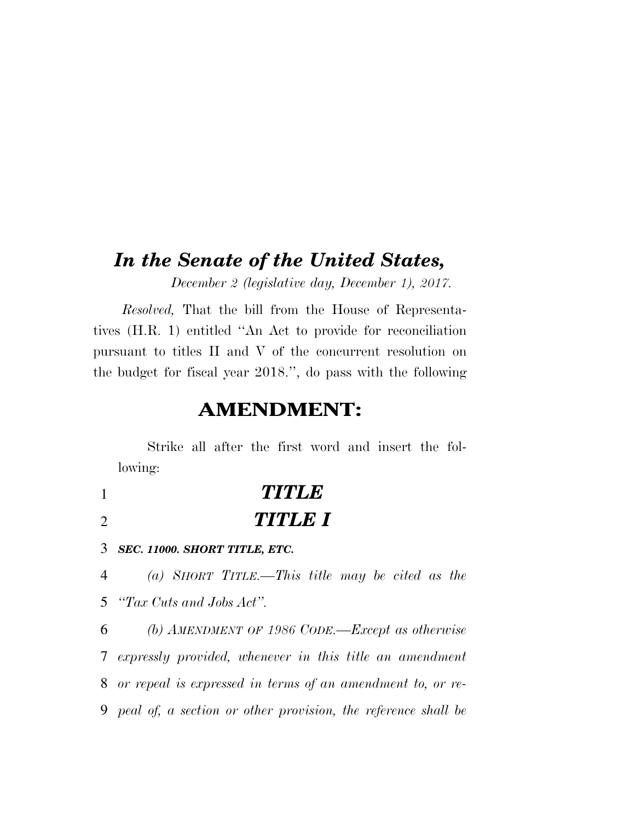# *In the Senate of the United States,*

*December 2 (legislative day, December 1), 2017.* 

*Resolved,* That the bill from the House of Representatives (H.R. 1) entitled ''An Act to provide for reconciliation pursuant to titles II and V of the concurrent resolution on the budget for fiscal year 2018.'', do pass with the following

# **AMENDMENT:**

Strike all after the first word and insert the following:

1 *TITLE*  2 *TITLE I* 

3 *SEC. 11000. SHORT TITLE, ETC.* 

4 *(a) SHORT TITLE.—This title may be cited as the*  5 *''Tax Cuts and Jobs Act''.* 

 *(b) AMENDMENT OF 1986 CODE.—Except as otherwise expressly provided, whenever in this title an amendment or repeal is expressed in terms of an amendment to, or re-peal of, a section or other provision, the reference shall be*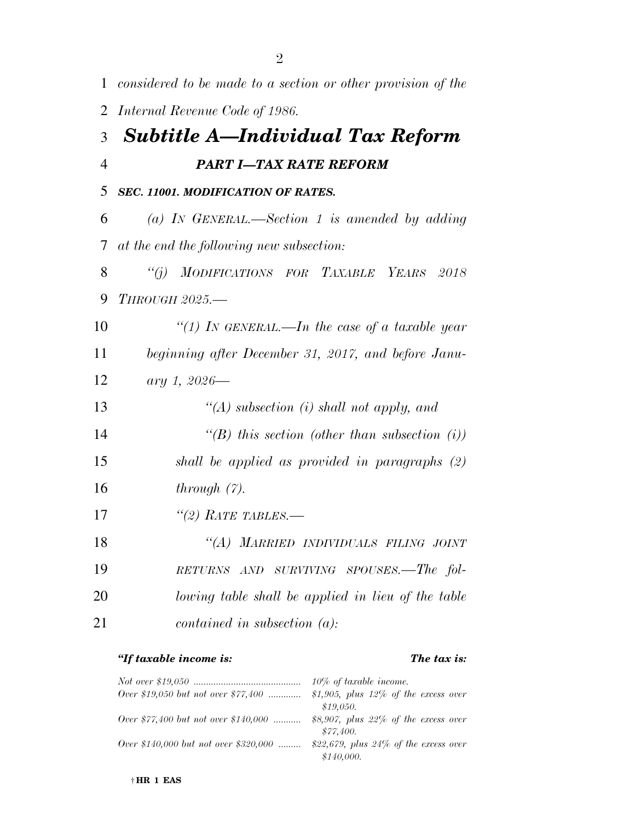| $\mathbf{1}$   | considered to be made to a section or other provision of the |
|----------------|--------------------------------------------------------------|
| 2              | Internal Revenue Code of 1986.                               |
| 3              | <b>Subtitle A—Individual Tax Reform</b>                      |
| $\overline{4}$ | <b>PART I-TAX RATE REFORM</b>                                |
| 5              | SEC. 11001. MODIFICATION OF RATES.                           |
| 6              | (a) IN GENERAL.—Section 1 is amended by adding               |
| 7              | at the end the following new subsection:                     |
| 8              | ``(i)<br>MODIFICATIONS FOR TAXABLE YEARS 2018                |
| 9              | <b>THROUGH 2025.-</b>                                        |
| 10             | "(1) IN GENERAL.—In the case of a taxable year               |
| 11             | beginning after December 31, 2017, and before Janu-          |
| 12             | ary 1, 2026-                                                 |
| 13             | "(A) subsection (i) shall not apply, and                     |
| 14             | "(B) this section (other than subsection $(i)$ )             |
| 15             | shall be applied as provided in paragraphs (2)               |
| 16             | through $(7)$ .                                              |
| 17             | $\lq(2)$ RATE TABLES.—                                       |
| 18             | $\lq (A)$<br>MARRIED INDIVIDUALS FILING JOINT                |
| 19             | RETURNS AND SURVIVING SPOUSES.—The fol-                      |
| 20             | lowing table shall be applied in lieu of the table           |
| 21             | contained in subsection $(a)$ :                              |

## *''If taxable income is: The tax is:*

|                                             | 10\% of taxable income.                  |
|---------------------------------------------|------------------------------------------|
| Over \$19,050 but not over \$77,400         | \$1,905, plus $12\%$ of the excess over  |
|                                             | \$19,050.                                |
| <i>Over</i> \$77,400 but not over \$140,000 | \$8,907, plus $22\%$ of the excess over  |
|                                             | \$77.400.                                |
| Over \$140,000 but not over \$320,000       | \$22,679, plus $24\%$ of the excess over |
|                                             | \$140,000.                               |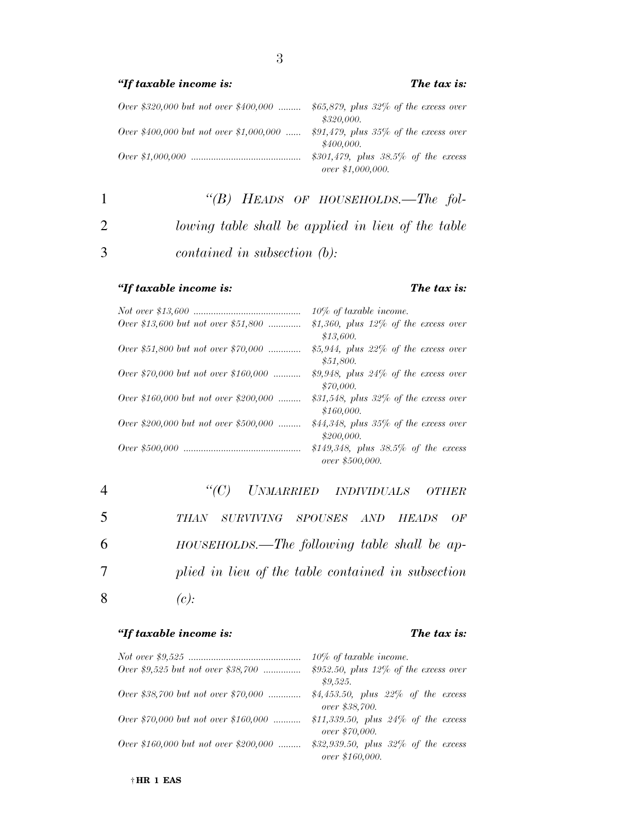### *''If taxable income is: The tax is:*

| Over \$320,000 but not over \$400,000   | \$65,879, plus $32\%$ of the excess over                    |
|-----------------------------------------|-------------------------------------------------------------|
|                                         | \$320,000.                                                  |
| Over \$400,000 but not over \$1,000,000 | $$91,479$ , plus 35% of the excess over<br>\$400,000.       |
|                                         | \$301,479, plus $38.5\%$ of the excess<br>over \$1,000,000. |

1 *''(B) HEADS OF HOUSEHOLDS.—The fol-*2 *lowing table shall be applied in lieu of the table*  3 *contained in subsection (b):* 

### *''If taxable income is: The tax is:*

|                                             | $10\%$ of taxable income.                                 |
|---------------------------------------------|-----------------------------------------------------------|
| <i>Over</i> \$13,600 but not over \$51,800  | \$1,360, plus $12\%$ of the excess over                   |
|                                             | \$13,600.                                                 |
| <i>Over \$51,800 but not over \$70,000 </i> | \$5,944, plus $22\%$ of the excess over                   |
|                                             | \$51,800.                                                 |
| <i>Over</i> \$70,000 but not over \$160,000 | \$9,948, plus $24\%$ of the excess over<br>\$70,000.      |
| Over \$160,000 but not over \$200,000       | \$31,548, plus $32\%$ of the excess over<br>\$160,000.    |
| Over \$200,000 but not over \$500,000       | \$44,348, plus $35\%$ of the excess over<br>\$200,000.    |
|                                             | \$149,348, plus $38.5\%$ of the excess<br>over \$500,000. |

|   | "(C) UNMARRIED INDIVIDUALS OTHER                   |
|---|----------------------------------------------------|
| 5 | THAN SURVIVING SPOUSES AND HEADS OF                |
| 6 | $HOUSEHOLDS.$ —The following table shall be ap-    |
| 7 | plied in lieu of the table contained in subsection |
| 8 | (c):                                               |

### *''If taxable income is: The tax is:*

|                                             | $10\%$ of taxable income.                                 |
|---------------------------------------------|-----------------------------------------------------------|
| Over \$9,525 but not over \$38,700          | $$952.50$ , plus 12% of the excess over<br>\$9,525.       |
| <i>Over \$38,700 but not over \$70,000 </i> | \$4,453.50, plus $22\%$ of the excess<br>over \$38,700.   |
| Over \$70,000 but not over \$160,000        | \$11,339.50, plus $24\%$ of the excess<br>over \$70,000.  |
| Over \$160,000 but not over \$200,000       | \$32,939.50, plus $32\%$ of the excess<br>over \$160,000. |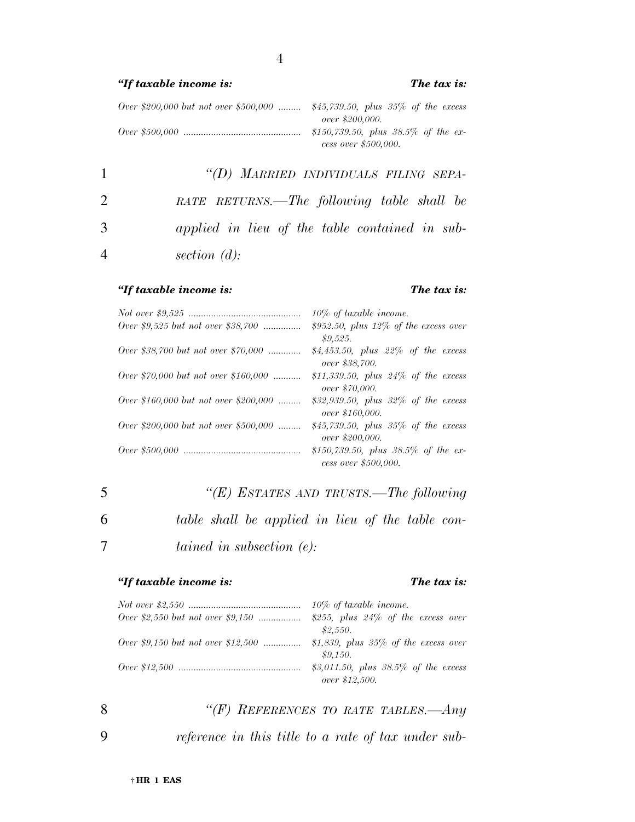### *''If taxable income is: The tax is:*

*Over \$200,000 but not over \$500,000 ......... \$45,739.50, plus 35% of the excess over \$200,000. Over \$500,000 ............................................... \$150,739.50, plus 38.5% of the excess over \$500,000.* 

 *''(D) MARRIED INDIVIDUALS FILING SEPA- RATE RETURNS.—The following table shall be applied in lieu of the table contained in sub-section (d):* 

### *''If taxable income is: The tax is:*

*Not over \$9,525 ............................................. 10% of taxable income. Over \$9,525 but not over \$38,700 ............... \$952.50, plus 12% of the excess over \$9,525. Over \$38,700 but not over \$70,000 ............. \$4,453.50, plus 22% of the excess over \$38,700. Over \$70,000 but not over \$160,000 ........... \$11,339.50, plus 24% of the excess over \$70,000. Over \$160,000 but not over \$200,000 ......... \$32,939.50, plus 32% of the excess over \$160,000. Over \$200,000 but not over \$500,000 ......... \$45,739.50, plus 35% of the excess over \$200,000. Over \$500,000 ............................................... \$150,739.50, plus 38.5% of the excess over \$500,000.* 

| 5 | "(E) ESTATES AND TRUSTS.—The following           |
|---|--------------------------------------------------|
| 6 | table shall be applied in lieu of the table con- |
|   | tained in subsection $(e)$ .                     |

### *''If taxable income is: The tax is:*

|                                           | $10\%$ of taxable income.               |
|-------------------------------------------|-----------------------------------------|
|                                           | \$255, plus $24\%$ of the excess over   |
|                                           | \$2,550.                                |
| <i>Over</i> \$9,150 but not over \$12,500 | \$1,839, plus $35\%$ of the excess over |
|                                           | \$9.150.                                |
|                                           | \$3,011.50, plus $38.5\%$ of the excess |
|                                           | over \$12,500.                          |

8 *''(F) REFERENCES TO RATE TABLES.—Any* 

9 *reference in this title to a rate of tax under sub-*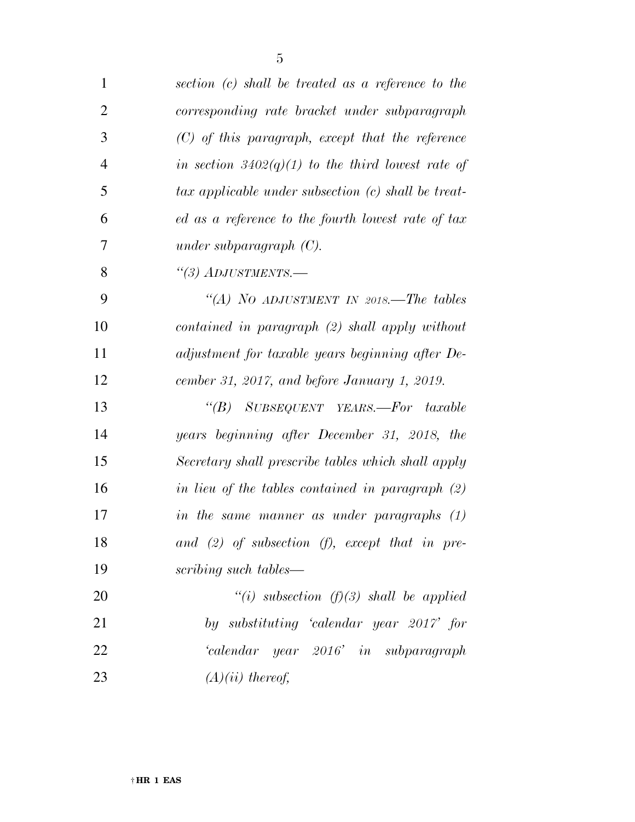| 1              | section (c) shall be treated as a reference to the  |
|----------------|-----------------------------------------------------|
| $\overline{2}$ | corresponding rate bracket under subparagraph       |
| 3              | $(C)$ of this paragraph, except that the reference  |
| $\overline{4}$ | in section $3402(q)(1)$ to the third lowest rate of |
| 5              | tax applicable under subsection (c) shall be treat- |
| 6              | ed as a reference to the fourth lowest rate of tax  |
| 7              | under subparagraph $(C)$ .                          |
| 8              | $\lq(3)$ ADJUSTMENTS.—                              |
| 9              | "(A) NO ADJUSTMENT IN 2018.—The tables              |
| 10             | contained in paragraph (2) shall apply without      |
| 11             | adjustment for taxable years beginning after De-    |
| 12             | cember 31, 2017, and before January 1, 2019.        |
| 13             | "(B) SUBSEQUENT YEARS.—For taxable                  |
| 14             | years beginning after December 31, 2018, the        |
| 15             | Secretary shall prescribe tables which shall apply  |
| 16             | in lieu of the tables contained in paragraph $(2)$  |
| 17             | in the same manner as under paragraphs (1)          |
| 18             | and $(2)$ of subsection $(f)$ , except that in pre- |
| 19             | scribing such tables—                               |
| 20             | "(i) subsection (f)(3) shall be applied             |
| 21             | by substituting 'calendar year 2017' for            |
| 22             | 'calendar year 2016' in subparagraph                |
| 23             | $(A)(ii)$ thereof,                                  |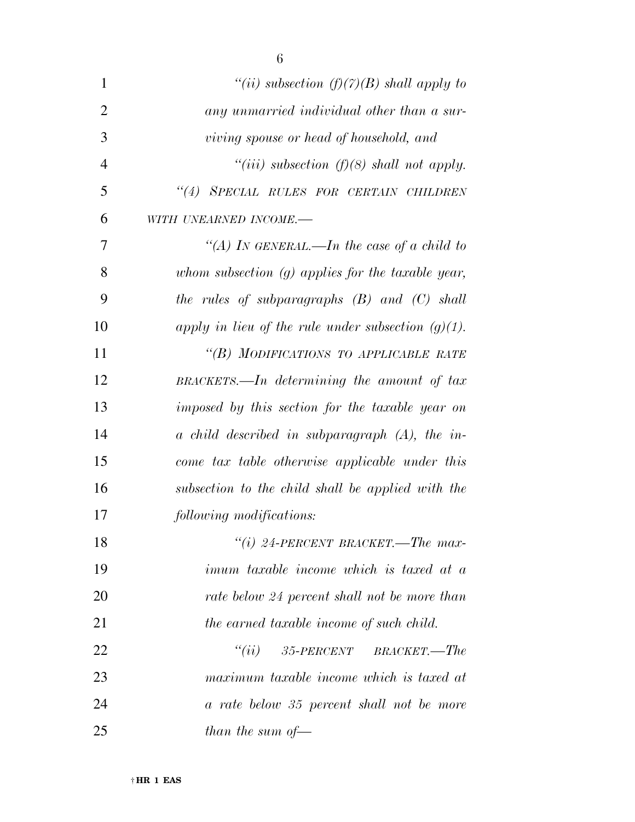| $\mathbf{1}$   | "(ii) subsection $(f)(7)(B)$ shall apply to           |
|----------------|-------------------------------------------------------|
| $\overline{2}$ | any unmarried individual other than a sur-            |
| 3              | viving spouse or head of household, and               |
| $\overline{4}$ | "(iii) subsection (f)(8) shall not apply.             |
| 5              | "(4) SPECIAL RULES FOR CERTAIN CHILDREN               |
| 6              | WITH UNEARNED INCOME.-                                |
| 7              | "(A) In GENERAL.—In the case of a child to            |
| 8              | whom subsection $(g)$ applies for the taxable year,   |
| 9              | the rules of subparagraphs $(B)$ and $(C)$ shall      |
| 10             | apply in lieu of the rule under subsection $(g)(1)$ . |
| 11             | "(B) MODIFICATIONS TO APPLICABLE RATE                 |
| 12             | $BRACKETS.$ In determining the amount of tax          |
| 13             | imposed by this section for the taxable year on       |
| 14             | $\alpha$ child described in subparagraph (A), the in- |
| 15             | come tax table otherwise applicable under this        |
| 16             | subsection to the child shall be applied with the     |
| 17             | following modifications:                              |
| 18             | "(i) 24-PERCENT BRACKET.—The max-                     |
| 19             | <i>imum taxable income which is taxed at a</i>        |
| 20             | rate below 24 percent shall not be more than          |
| 21             | the earned taxable income of such child.              |
| 22             | $35$ -PERCENT BRACKET.—The<br>``(ii)                  |
| 23             | maximum taxable income which is taxed at              |
| 24             | a rate below 35 percent shall not be more             |
| 25             | than the sum of $-$                                   |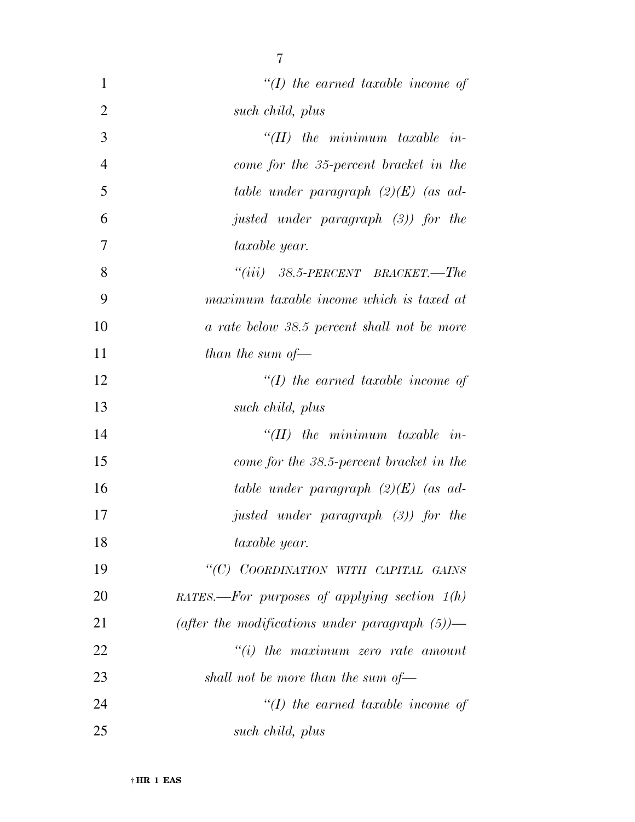| 1              | $\lq (I)$ the earned taxable income of            |
|----------------|---------------------------------------------------|
| $\overline{2}$ | such child, plus                                  |
| 3              | $H(II)$ the minimum taxable in-                   |
| $\overline{4}$ | come for the 35-percent bracket in the            |
| 5              | table under paragraph $(2)(E)$ (as ad-            |
| 6              | justed under paragraph (3)) for the               |
| 7              | taxable year.                                     |
| 8              | $``(iii)$ 38.5-PERCENT BRACKET.—The               |
| 9              | maximum taxable income which is taxed at          |
| 10             | a rate below 38.5 percent shall not be more       |
| 11             | than the sum of $-$                               |
| 12             | $\lq (I)$ the earned taxable income of            |
| 13             | such child, plus                                  |
| 14             | $H(II)$ the minimum taxable in-                   |
| 15             | come for the 38.5-percent bracket in the          |
| 16             | table under paragraph $(2)(E)$ (as ad-            |
| 17             | justed under paragraph $(3)$ ) for the            |
| 18             | taxable year.                                     |
| 19             | "(C) COORDINATION WITH CAPITAL GAINS              |
| 20             | RATES.—For purposes of applying section $1(h)$    |
| 21             | (after the modifications under paragraph $(5)$ )— |
| 22             | $``(i)$ the maximum zero rate amount              |
| 23             | shall not be more than the sum of $-$             |
| 24             | $\lq (I)$ the earned taxable income of            |
| 25             | such child, plus                                  |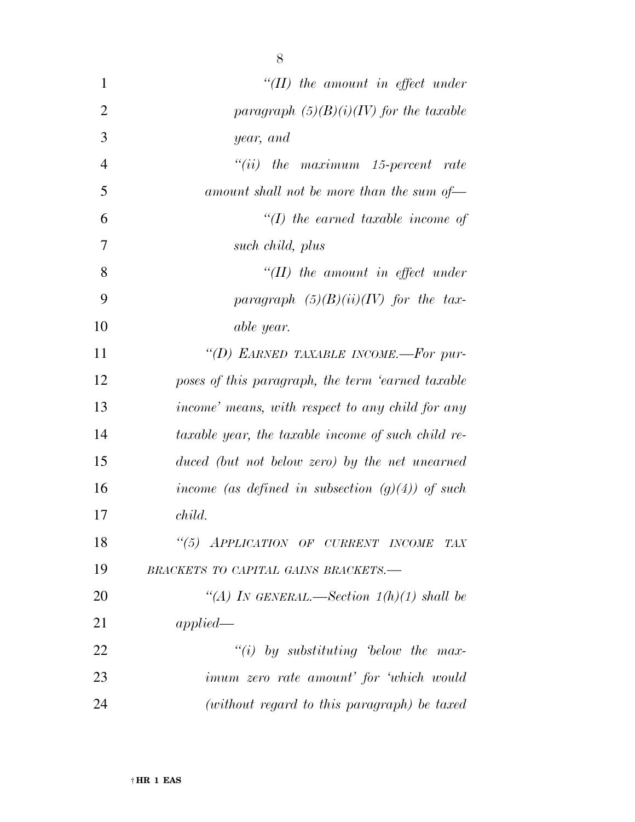| $\mathbf{1}$   | $``(II)$ the amount in effect under                 |
|----------------|-----------------------------------------------------|
| $\overline{2}$ | paragraph $(5)(B)(i)(IV)$ for the taxable           |
| 3              | year, and                                           |
| 4              | $``(ii)$ the maximum 15-percent rate                |
| 5              | amount shall not be more than the sum of-           |
| 6              | $\lq (I)$ the earned taxable income of              |
| 7              | such child, plus                                    |
| 8              | $H(II)$ the amount in effect under                  |
| 9              | paragraph $(5)(B)(ii)(IV)$ for the tax-             |
| 10             | able year.                                          |
| 11             | "(D) EARNED TAXABLE INCOME.-For pur-                |
| 12             | poses of this paragraph, the term 'earned taxable   |
| 13             | income' means, with respect to any child for any    |
| 14             | taxable year, the taxable income of such child re-  |
| 15             | duced (but not below zero) by the net unearned      |
| 16             | income (as defined in subsection $(g)(4)$ ) of such |
| 17             | child.                                              |
| 18             | "(5) APPLICATION OF CURRENT INCOME TAX              |
| 19             | BRACKETS TO CAPITAL GAINS BRACKETS.-                |
| 20             | "(A) IN GENERAL.—Section $1(h)(1)$ shall be         |
| 21             | applied                                             |
| 22             | "(i) by substituting below the max-                 |
| 23             | <i>imum zero rate amount' for 'which would</i>      |
| 24             | (without regard to this paragraph) be taxed         |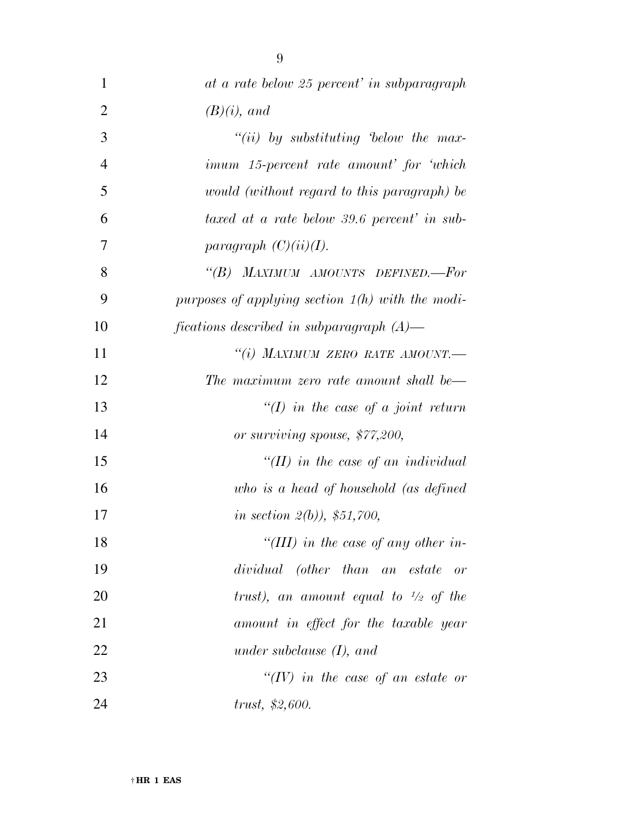| $\mathbf{1}$   | at a rate below 25 percent' in subparagraph        |
|----------------|----------------------------------------------------|
| $\overline{2}$ | $(B)(i)$ , and                                     |
| 3              | $``(ii)$ by substituting below the max-            |
| $\overline{4}$ | imum 15-percent rate amount' for 'which            |
| 5              | would (without regard to this paragraph) be        |
| 6              | taxed at a rate below 39.6 percent' in sub-        |
| 7              | paragraph $(C)(ii)(I)$ .                           |
| 8              | "(B) MAXIMUM AMOUNTS DEFINED.-For                  |
| 9              | purposes of applying section $1(h)$ with the modi- |
| 10             | fications described in subparagraph $(A)$ —        |
| 11             | "(i) MAXIMUM ZERO RATE AMOUNT.-                    |
| 12             | The maximum zero rate amount shall be—             |
| 13             | $\lq (I)$ in the case of a joint return            |
| 14             | or surviving spouse, \$77,200,                     |
| 15             | "(II) in the case of an individual                 |
| 16             | who is a head of household (as defined             |
| 17             | in section $2(b)$ , \$51,700,                      |
| 18             | "(III) in the case of any other in-                |
| 19             | dividual (other than an estate<br>or               |
| 20             | trust), an amount equal to $\frac{1}{2}$ of the    |
| 21             | amount in effect for the taxable year              |
| 22             | under subclause $(I)$ , and                        |
| 23             | "(IV) in the case of an estate or                  |
| 24             | trust, \$2,600.                                    |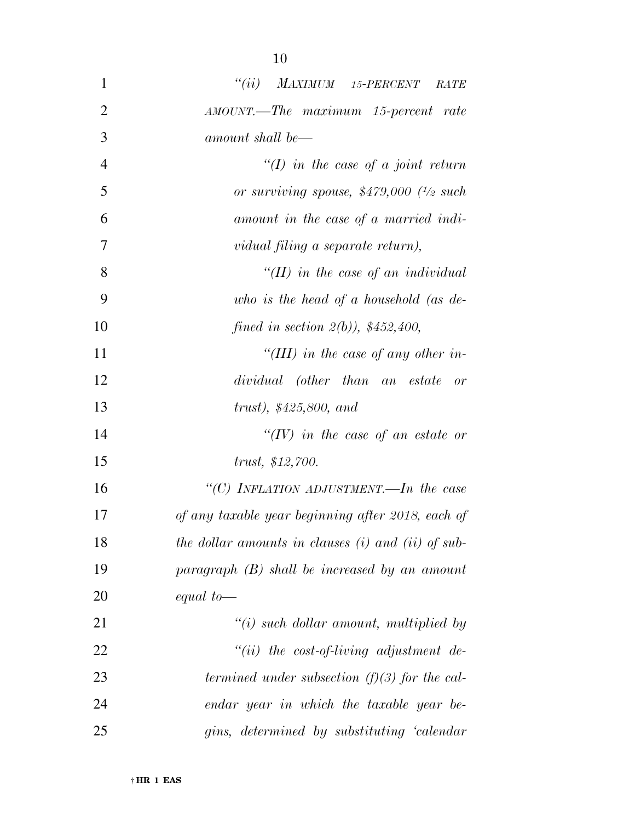| $\mathbf{1}$   | $``(ii)$ MAXIMUM 15-PERCENT<br><b>RATE</b>         |
|----------------|----------------------------------------------------|
| $\overline{2}$ | AMOUNT.—The maximum 15-percent rate                |
| 3              | amount shall be—                                   |
| $\overline{4}$ | $\lq (I)$ in the case of a joint return            |
| 5              | or surviving spouse, $$479,000$ $^{1/2}$ such      |
| 6              | amount in the case of a married indi-              |
| 7              | vidual filing a separate return),                  |
| 8              | "(II) in the case of an individual                 |
| 9              | who is the head of a household (as $de$ -          |
| 10             | fined in section $2(b)$ , \$452,400,               |
| 11             | "(III) in the case of any other in-                |
| 12             | dividual (other than an estate<br>or               |
| 13             | trust), $$425,800, and$                            |
| 14             | " $(IV)$ in the case of an estate or               |
| 15             | trust, \$12,700.                                   |
| 16             | "(C) INFLATION ADJUSTMENT.—In the case             |
| 17             | of any taxable year beginning after 2018, each of  |
| 18             | the dollar amounts in clauses (i) and (ii) of sub- |
| 19             | $paramph$ (B) shall be increased by an amount      |
| 20             | equal to $-$                                       |
| 21             | $"(i)$ such dollar amount, multiplied by           |
| 22             | $``(ii)$ the cost-of-living adjustment de-         |
| 23             | termined under subsection $(f)(3)$ for the cal-    |
| 24             | endar year in which the taxable year be-           |
| 25             | gins, determined by substituting 'calendar         |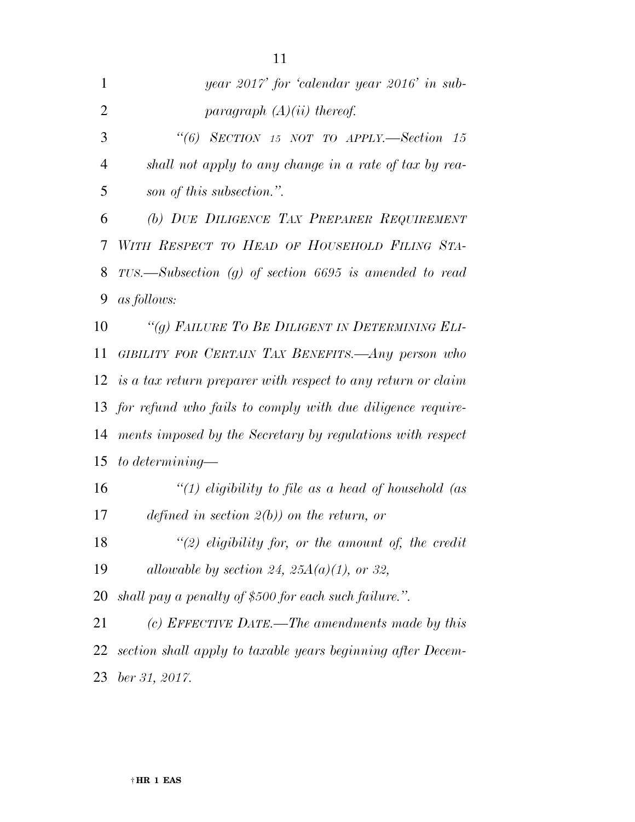| year 2017' for 'calendar year 2016' in sub-                     |
|-----------------------------------------------------------------|
| paragraph $(A)(ii)$ thereof.                                    |
| "(6) SECTION 15 NOT TO APPLY.—Section 15                        |
| shall not apply to any change in a rate of tax by rea-          |
| son of this subsection.".                                       |
| (b) DUE DILIGENCE TAX PREPARER REQUIREMENT                      |
| WITH RESPECT TO HEAD OF HOUSEHOLD FILING STA-                   |
| $TUS.$ Subsection (g) of section 6695 is amended to read        |
| <i>as follows:</i>                                              |
| "(g) FAILURE TO BE DILIGENT IN DETERMINING ELI-                 |
| GIBILITY FOR CERTAIN TAX BENEFITS. Any person who               |
| 12 is a tax return preparer with respect to any return or claim |
| 13 for refund who fails to comply with due diligence require-   |
| ments imposed by the Secretary by regulations with respect      |
| to determining—                                                 |
| "(1) eligibility to file as a head of household (as             |
| defined in section $2(b)$ on the return, or                     |
| " $(2)$ eligibility for, or the amount of, the credit           |
| allowable by section 24, 25 $A(a)(1)$ , or 32,                  |
| shall pay a penalty of \$500 for each such failure.".           |
| (c) EFFECTIVE DATE.—The amendments made by this                 |
| section shall apply to taxable years beginning after Decem-     |
| ber 31, 2017.                                                   |
|                                                                 |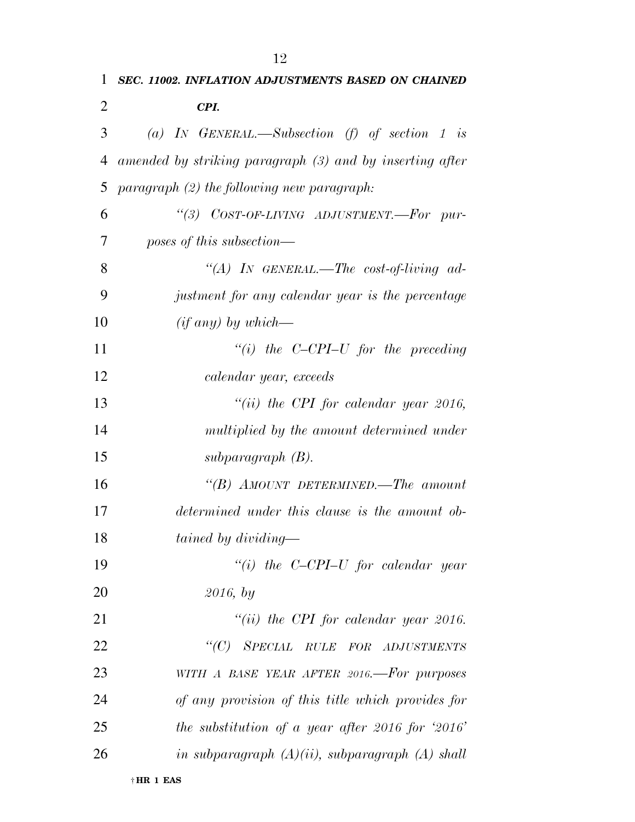| 1  | SEC. 11002. INFLATION ADJUSTMENTS BASED ON CHAINED       |
|----|----------------------------------------------------------|
| 2  | CPI.                                                     |
| 3  | (a) IN GENERAL.—Subsection (f) of section 1 is           |
| 4  | amended by striking paragraph (3) and by inserting after |
| 5  | $paramph (2)$ the following new paragraph:               |
| 6  | "(3) COST-OF-LIVING ADJUSTMENT.-For pur-                 |
| 7  | poses of this subsection—                                |
| 8  | "(A) IN GENERAL.—The cost-of-living ad-                  |
| 9  | justment for any calendar year is the percentage         |
| 10 | $(if any) by which$ —                                    |
| 11 | "(i) the C-CPI-U for the preceding                       |
| 12 | calendar year, exceeds                                   |
| 13 | "(ii) the CPI for calendar year 2016,                    |
| 14 | multiplied by the amount determined under                |
| 15 | subparagraph (B).                                        |
| 16 | "(B) AMOUNT DETERMINED.—The amount                       |
| 17 | determined under this clause is the amount ob-           |
| 18 | tained by dividing—                                      |
| 19 | "(i) the $C$ -CPI-U for calendar year                    |
| 20 | 2016, by                                                 |
| 21 | "(ii) the CPI for calendar year 2016.                    |
| 22 | "(C) SPECIAL RULE FOR ADJUSTMENTS                        |
| 23 | WITH A BASE YEAR AFTER 2016.-For purposes                |
| 24 | of any provision of this title which provides for        |
| 25 | the substitution of a year after 2016 for $2016'$        |
| 26 | in subparagraph $(A)(ii)$ , subparagraph $(A)$ shall     |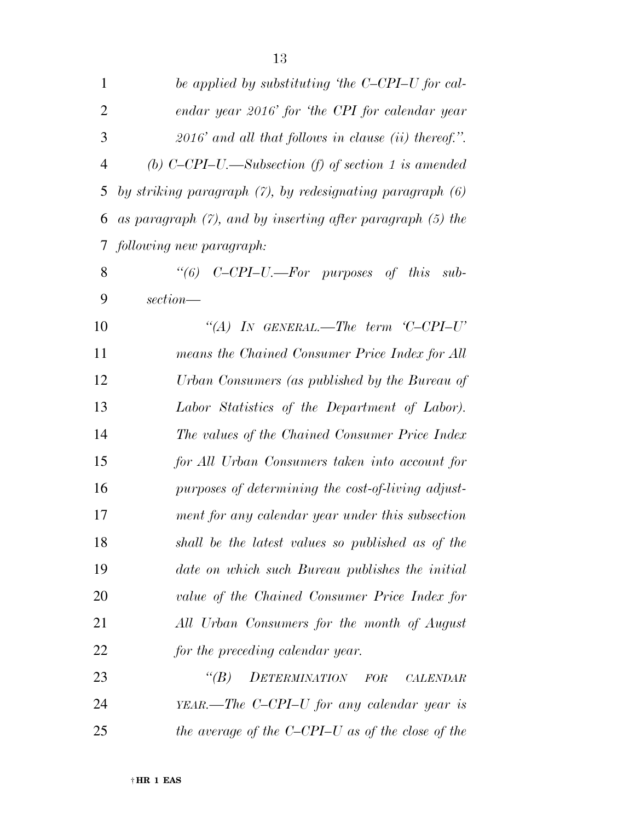| $\mathbf{1}$   | be applied by substituting 'the C-CPI-U for cal-                |
|----------------|-----------------------------------------------------------------|
| $\overline{2}$ | endar year 2016' for 'the CPI for calendar year                 |
| 3              | $2016'$ and all that follows in clause (ii) thereof.".          |
| $\overline{4}$ | (b) $C$ -CPI-U.—Subsection (f) of section 1 is amended          |
| 5              | by striking paragraph $(7)$ , by redesignating paragraph $(6)$  |
| 6              | as paragraph $(7)$ , and by inserting after paragraph $(5)$ the |
| 7              | following new paragraph:                                        |
| 8              | "(6) $C-CPI-U$ .—For purposes of this sub-                      |
| 9              | section—                                                        |
| 10             | "(A) IN GENERAL.—The term $C-CPI-U'$                            |
| 11             | means the Chained Consumer Price Index for All                  |
| 12             | Urban Consumers (as published by the Bureau of                  |
| 13             | Labor Statistics of the Department of Labor).                   |
| 14             | The values of the Chained Consumer Price Index                  |
| 15             | for All Urban Consumers taken into account for                  |
| 16             | purposes of determining the cost-of-living adjust-              |
| 17             | ment for any calendar year under this subsection                |
| 18             | shall be the latest values so published as of the               |
| 19             | date on which such Bureau publishes the initial                 |
| 20             | value of the Chained Consumer Price Index for                   |
| 21             | All Urban Consumers for the month of August                     |
| 22             | for the preceding calendar year.                                |
| 23             | $\lq (B)$<br><b>DETERMINATION</b><br>FOR<br>CALENDAR            |
| 24             | $YEAR$ —The C-CPI-U for any calendar year is                    |
| 25             | the average of the C-CPI-U as of the close of the               |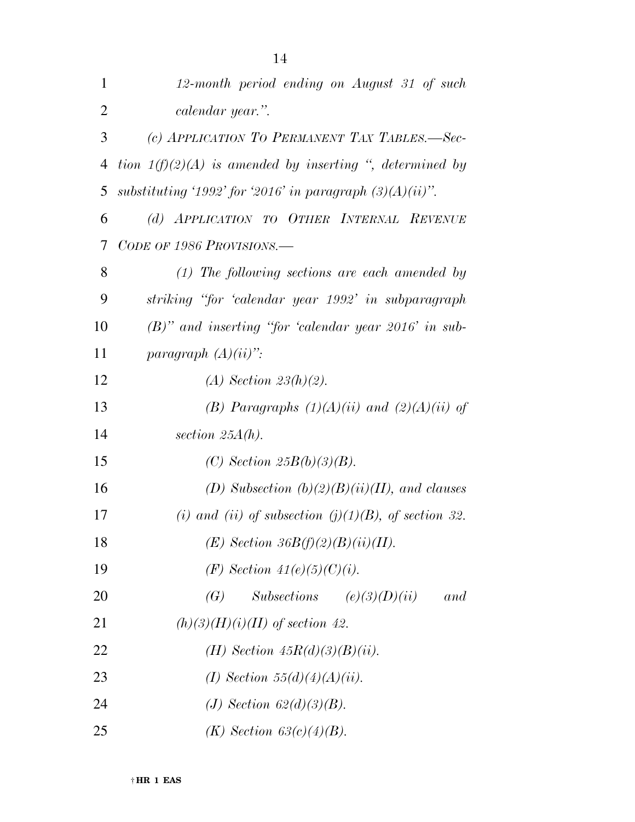| 1              | 12-month period ending on August 31 of such                 |
|----------------|-------------------------------------------------------------|
| $\overline{2}$ | calendar year.".                                            |
| 3              | (c) APPLICATION TO PERMANENT TAX TABLES.-Sec-               |
| $\overline{4}$ | tion $1(f)(2)(A)$ is amended by inserting ", determined by  |
| 5              | substituting '1992' for '2016' in paragraph $(3)(A)(ii)$ ". |
| 6              | (d) APPLICATION TO OTHER INTERNAL REVENUE                   |
| 7              | CODE OF 1986 PROVISIONS.—                                   |
| 8              | $(1)$ The following sections are each amended by            |
| 9              | striking "for 'calendar year 1992' in subparagraph          |
| 10             | $(B)$ " and inserting "for 'calendar year 2016' in sub-     |
| 11             | paragraph $(A)(ii)$ ":                                      |
| 12             | $(A)$ Section 23 $(h)(2)$ .                                 |
| 13             | (B) Paragraphs $(1)(A)(ii)$ and $(2)(A)(ii)$ of             |
| 14             | section $25A(h)$ .                                          |
| 15             | (C) Section $25B(b)(3)(B)$ .                                |
| 16             | (D) Subsection $(b)(2)(B)(ii)(II)$ , and clauses            |
| 17             | (i) and (ii) of subsection (j)(1)(B), of section 32.        |
| 18             | $(E)$ Section 36B(f)(2)(B)(ii)(II).                         |
| 19             | ( <i>F</i> ) Section $41(e)(5)(C)(i)$ .                     |
| 20             | $Subsections$ $(e)(3)(D)(ii)$<br>$\left(G\right)$<br>and    |
| 21             | $(h)(3)(H)(i)(II)$ of section 42.                           |
| 22             | ( <i>H</i> ) Section $45R(d)(3)(B)(ii)$ .                   |
| 23             | (I) Section 55(d)(4)(A)(ii).                                |
| 24             | (J) Section $62(d)(3)(B)$ .                                 |
| 25             | $(K)$ Section 63(c)(4)(B).                                  |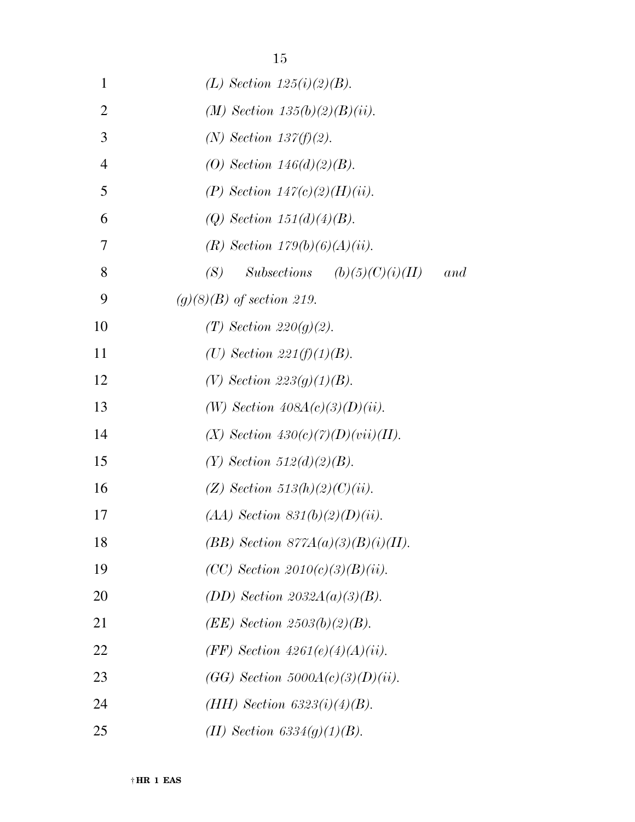| 1              | (L) Section $125(i)(2)(B)$ .                   |
|----------------|------------------------------------------------|
| $\overline{2}$ | (M) Section $135(b)(2)(B)(ii)$ .               |
| 3              | $(N)$ Section 137(f)(2).                       |
| $\overline{4}$ | (O) Section $146(d)(2)(B)$ .                   |
| 5              | (P) Section $147(c)(2)(H)(ii)$ .               |
| 6              | (Q) Section $151(d)(4)(B)$ .                   |
| 7              | (R) Section $179(b)(6)(A)(ii)$ .               |
| 8              | $Subsections$ $(b)(5)(C)(i)(II)$<br>(S)<br>and |
| 9              | $(g)(8)(B)$ of section 219.                    |
| 10             | $(T)$ Section 220(q)(2).                       |
| 11             | (U) Section $221(f)(1)(B)$ .                   |
| 12             | (V) Section $223(q)(1)(B)$ .                   |
| 13             | (W) Section $408A(c)(3)(D)(ii)$ .              |
| 14             | $(X)$ Section $430(c)(7)(D)(vii)(II)$ .        |
| 15             | $(Y)$ Section 512(d)(2)(B).                    |
| 16             | $(Z)$ Section 513(h)(2)(C)(ii).                |
| 17             | $(AA)$ Section 831(b)(2)(D)(ii).               |
| 18             | $(BB)$ Section $877A(a)(3)(B)(i)(II)$ .        |
| 19             | $(CC)$ Section $2010(c)(3)(B)(ii)$ .           |
| 20             | (DD) Section $2032A(a)(3)(B)$ .                |
| 21             | $(EE)$ Section 2503(b)(2)(B).                  |
| 22             | (FF) Section $4261(e)(4)(A)(ii)$ .             |
| 23             | $(GG)$ Section 5000A(c)(3)(D)(ii).             |
| 24             | $(HH)$ Section 6323(i)(4)(B).                  |
| 25             | (II) Section 6334(g)(1)(B).                    |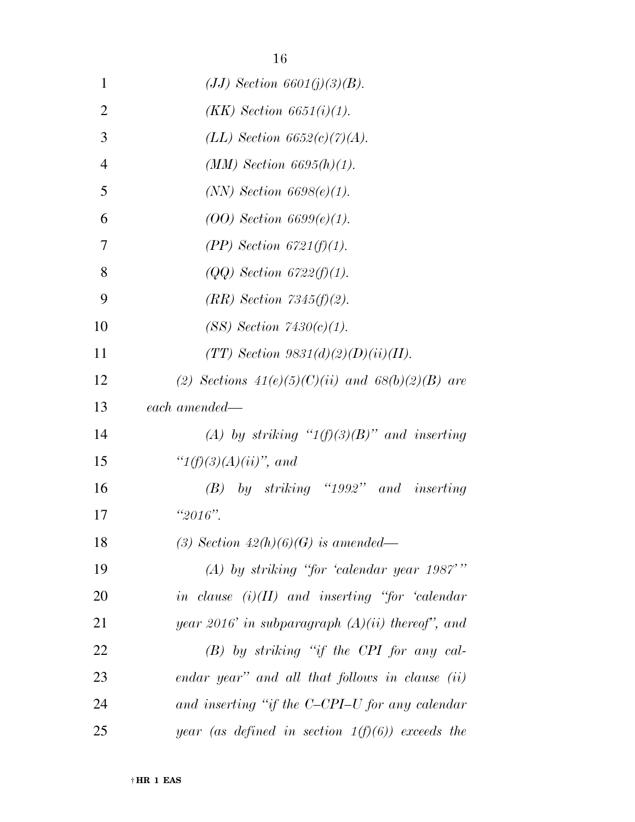| 1              | $(JJ)$ Section 6601(j)(3)(B).                           |
|----------------|---------------------------------------------------------|
| $\overline{2}$ | $(KK)$ Section 6651(i)(1).                              |
| 3              | (LL) Section $6652(c)(7)(A)$ .                          |
| $\overline{4}$ | $(MM)$ Section 6695(h)(1).                              |
| 5              | $(NN)$ Section 6698 $(e)(1)$ .                          |
| 6              | $(00)$ Section 6699 $(e)(1)$ .                          |
| 7              | $(PP)$ Section 6721(f)(1).                              |
| 8              | $(QQ)$ Section 6722(f)(1).                              |
| 9              | $(RR)$ Section 7345 $(f)(2)$ .                          |
| 10             | (SS) Section 7430(c)(1).                                |
| 11             | (TT) Section $9831(d)(2)(D)(ii)(II)$ .                  |
| 12             | (2) Sections $41(e)(5)(C)(ii)$ and $68(b)(2)(B)$ are    |
| 13             | each amended—                                           |
| 14             | (A) by striking " $1(f)(3)(B)$ " and inserting          |
| 15             | " $1(f)(3)(A)(ii)$ ", and                               |
| 16             | $(B)$ by striking "1992" and inserting                  |
| 17             | " $2016$ ".                                             |
| 18             | (3) Section $42(h)(6)(G)$ is amended—                   |
| 19             | $(A)$ by striking "for 'calendar year 1987'"            |
| 20             | in clause $(i)(II)$ and inserting "for 'calendar        |
| 21             | year 2016' in subparagraph $(A)(ii)$ thereof", and      |
| 22             | $(B)$ by striking "if the CPI for any cal-              |
| 23             | $\emph{endar year}$ and all that follows in clause (ii) |
| 24             | and inserting "if the C-CPI-U for any calendar"         |
| 25             | year (as defined in section $1(f)(6)$ ) exceeds the     |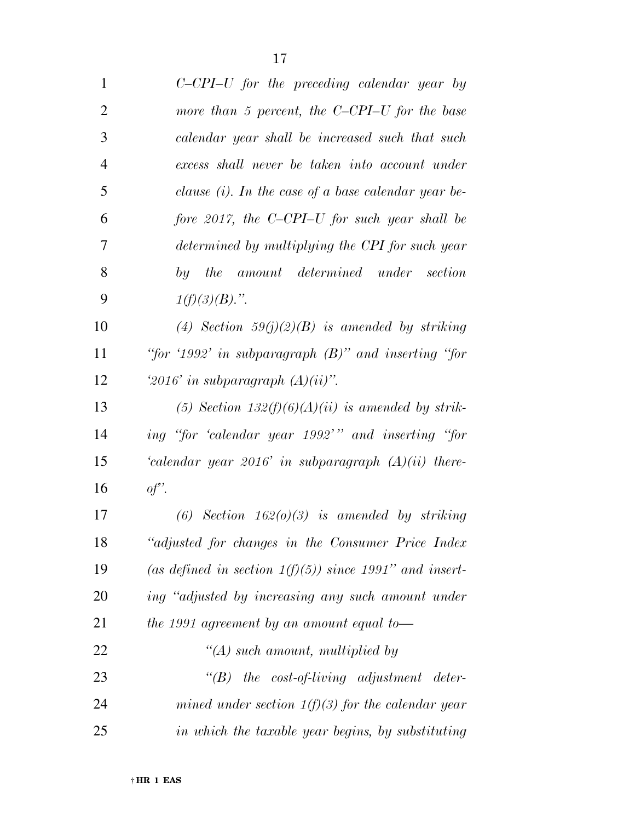| $\mathbf{1}$   | $C$ -CPI-U for the preceding calendar year by            |
|----------------|----------------------------------------------------------|
| $\overline{2}$ | more than 5 percent, the $C$ -CPI-U for the base         |
| 3              | calendar year shall be increased such that such          |
| $\overline{4}$ | excess shall never be taken into account under           |
| 5              | clause $(i)$ . In the case of a base calendar year be-   |
| 6              | fore 2017, the C-CPI-U for such year shall be            |
| 7              | determined by multiplying the CPI for such year          |
| 8              | by the amount determined under section                   |
| 9              | $1(f)(3)(B)$ .".                                         |
| 10             | (4) Section $59(j)(2)(B)$ is amended by striking         |
| 11             | "for '1992' in subparagraph $(B)$ " and inserting "for   |
| 12             | '2016' in subparagraph $(A)(ii)$ ".                      |
| 13             | (5) Section $132(f)(6)(A)(ii)$ is amended by strik-      |
| 14             | ing "for 'calendar year 1992'" and inserting "for        |
| 15             | 'calendar year $2016$ ' in subparagraph $(A)(ii)$ there- |
| 16             | of'.                                                     |
| 17             | (6) Section $162(0)(3)$ is amended by striking           |
| 18             | "adjusted for changes in the Consumer Price Index        |
|                |                                                          |

 *''adjusted for changes in the Consumer Price Index (as defined in section 1(f)(5)) since 1991'' and insert- ing ''adjusted by increasing any such amount under the 1991 agreement by an amount equal to— ''(A) such amount, multiplied by ''(B) the cost-of-living adjustment deter-mined under section 1(f)(3) for the calendar year* 

*in which the taxable year begins, by substituting*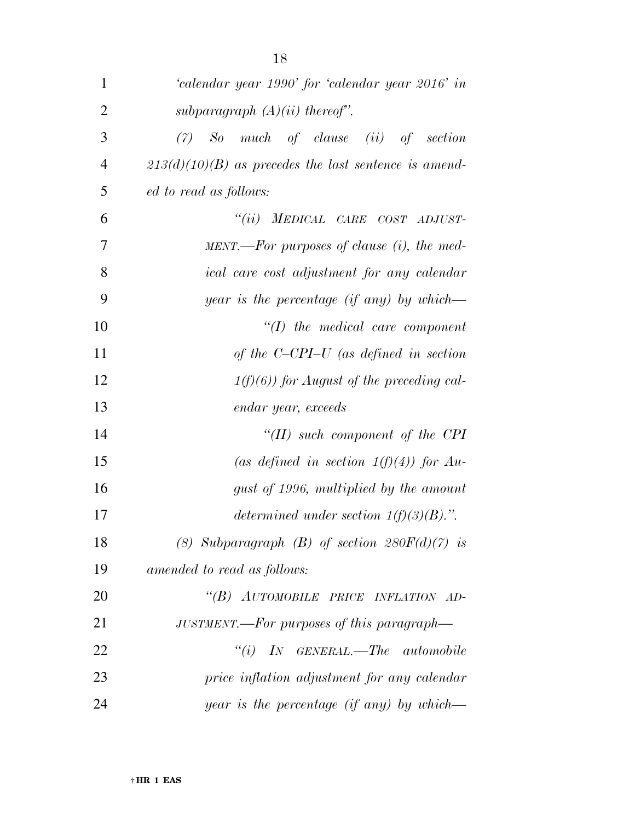| 1              | 'calendar year 1990' for 'calendar year 2016' in        |
|----------------|---------------------------------------------------------|
| $\overline{2}$ | subparagraph $(A)(ii)$ thereof".                        |
| 3              | $(7)$ So much of clause $(ii)$ of section               |
| $\overline{4}$ | $213(d)(10)(B)$ as precedes the last sentence is amend- |
| 5              | ed to read as follows:                                  |
| 6              | "(ii) MEDICAL CARE COST ADJUST-                         |
| 7              | $MENT.$ For purposes of clause (i), the med-            |
| 8              | ical care cost adjustment for any calendar              |
| 9              | year is the percentage (if any) by which—               |
| 10             | $\lq (I)$ the medical care component                    |
| 11             | of the $C$ -CPI-U (as defined in section                |
| 12             | $1(f)(6)$ for August of the preceding cal-              |
| 13             | endar year, exceeds                                     |
| 14             | "( $II$ ) such component of the CPI                     |
| 15             | (as defined in section $1(f)(4)$ ) for Au-              |
| 16             | gust of 1996, multiplied by the amount                  |
| 17             | determined under section $1(f)(3)(B)$ .".               |
| 18             | (8) Subparagraph (B) of section $280F(d)(7)$ is         |
| 19             | amended to read as follows:                             |
| 20             | "(B) AUTOMOBILE PRICE INFLATION AD-                     |
| 21             | JUSTMENT.—For purposes of this paragraph—               |
| 22             | $``(i)$ IN GENERAL.—The automobile                      |
| 23             | price inflation adjustment for any calendar             |
| 24             | <i>year is the percentage (if any) by which—</i>        |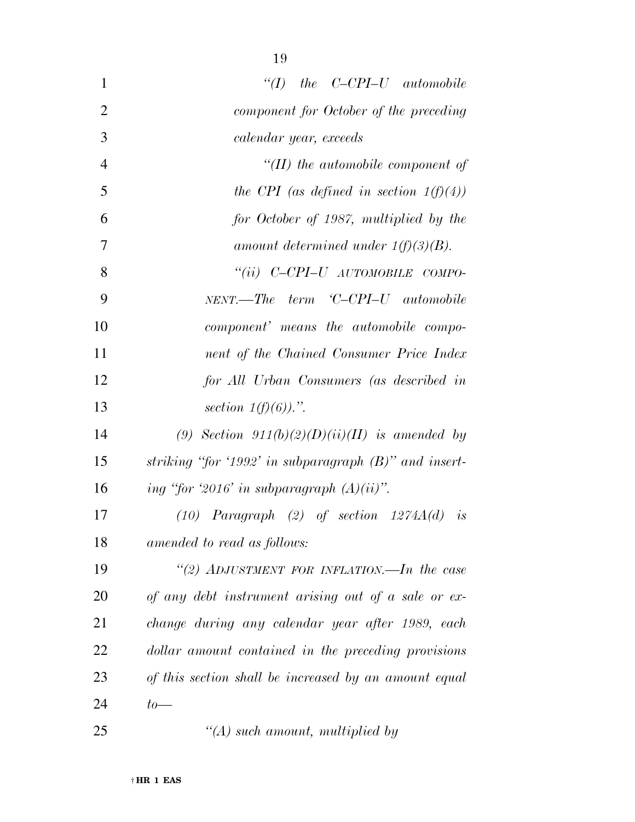| $\mathbf{1}$   | $\lq (I)$ the C-CPI-U automobile                         |
|----------------|----------------------------------------------------------|
| $\overline{2}$ | component for October of the preceding                   |
| 3              | calendar year, exceeds                                   |
| $\overline{4}$ | $\lq$ (II) the automobile component of                   |
| 5              | the CPI (as defined in section $1(f)(4)$ )               |
| 6              | for October of 1987, multiplied by the                   |
| $\overline{7}$ | amount determined under $1(f)(3)(B)$ .                   |
| 8              | "(ii) C-CPI-U AUTOMOBILE COMPO-                          |
| 9              | NENT.—The term 'C-CPI-U automobile                       |
| 10             | component' means the automobile compo-                   |
| 11             | nent of the Chained Consumer Price Index                 |
| 12             | for All Urban Consumers (as described in                 |
| 13             | section $1(f)(6)$ .".                                    |
| 14             | (9) Section $911(b)(2)(D)(ii)(II)$ is amended by         |
| 15             | striking "for '1992' in subparagraph $(B)$ " and insert- |
| 16             | ing "for '2016' in subparagraph $(A)(ii)$ ".             |
| 17             | $(10)$ Paragraph $(2)$ of section $1274A(d)$ is          |
| 18             | amended to read as follows:                              |
| 19             | "(2) ADJUSTMENT FOR INFLATION.—In the case               |
| 20             | of any debt instrument arising out of a sale or ex-      |
| 21             | change during any calendar year after 1989, each         |
| 22             | dollar amount contained in the preceding provisions      |
| 23             | of this section shall be increased by an amount equal    |
| 24             | $to-$                                                    |
| 25             | $\lq (A)$ such amount, multiplied by                     |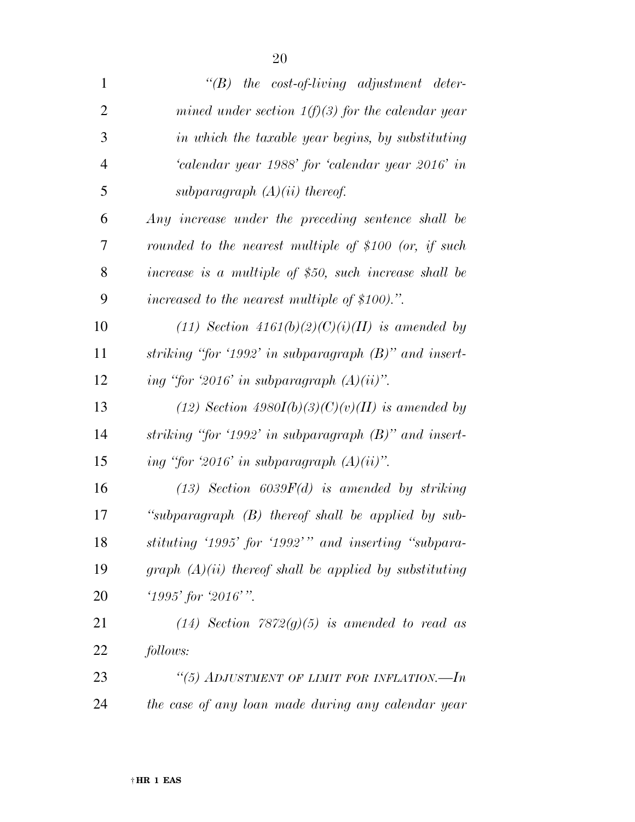| $\mathbf{1}$   | $\lq\lq B$ the cost-of-living adjustment deter-          |
|----------------|----------------------------------------------------------|
| $\overline{2}$ | mined under section $1(f)(3)$ for the calendar year      |
| 3              | in which the taxable year begins, by substituting        |
| $\overline{4}$ | 'calendar year 1988' for 'calendar year 2016' in         |
| 5              | subparagraph $(A)(ii)$ thereof.                          |
| 6              | Any increase under the preceding sentence shall be       |
| 7              | rounded to the nearest multiple of \$100 (or, if such    |
| 8              | increase is a multiple of \$50, such increase shall be   |
| 9              | increased to the nearest multiple of \$100).".           |
| 10             | (11) Section $4161(b)(2)(C)(i)(II)$ is amended by        |
| 11             | striking "for '1992' in subparagraph $(B)$ " and insert- |
| 12             | ing "for '2016' in subparagraph $(A)(ii)$ ".             |
| 13             | (12) Section 4980I(b)(3)(C)(v)(II) is amended by         |
| 14             | striking "for '1992' in subparagraph $(B)$ " and insert- |
| 15             | ing "for '2016' in subparagraph $(A)(ii)$ ".             |
| 16             | $(13)$ Section 6039 $F(d)$ is amended by striking        |
| 17             | "subparagraph $(B)$ thereof shall be applied by sub-     |
| 18             | stituting '1995' for '1992'" and inserting "subpara-     |
| 19             | graph $(A)(ii)$ thereof shall be applied by substituting |
| 20             | $'1995'$ for $'2016'$ .                                  |
| 21             | $(14)$ Section 7872 $(g)(5)$ is amended to read as       |
| 22             | follows:                                                 |
| 23             | "(5) ADJUSTMENT OF LIMIT FOR INFLATION.— $In$            |
| 24             | the case of any loan made during any calendar year       |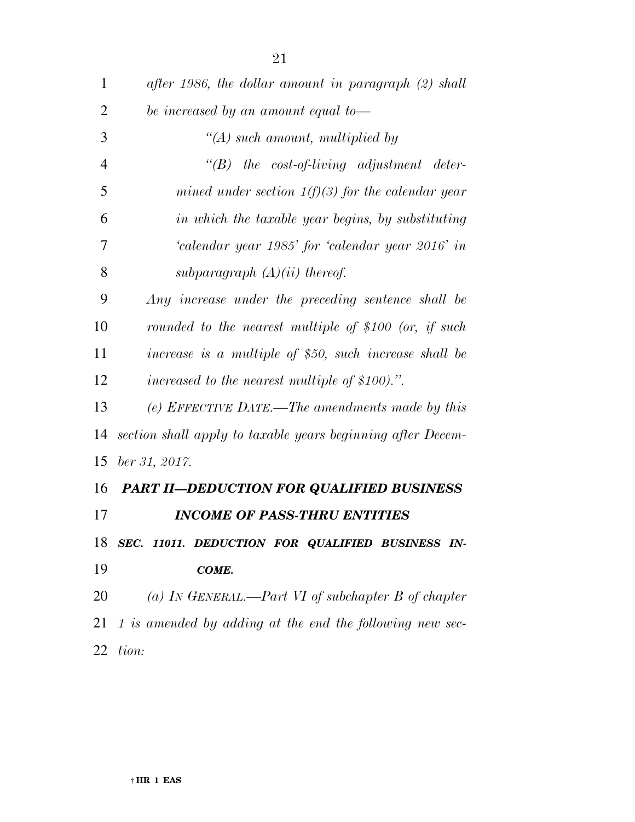| $\mathbf{1}$   | after 1986, the dollar amount in paragraph (2) shall        |
|----------------|-------------------------------------------------------------|
| $\overline{2}$ | be increased by an amount equal to-                         |
| 3              | $\lq (A)$ such amount, multiplied by                        |
| $\overline{4}$ | $\lq\lq B$ the cost-of-living adjustment deter-             |
| 5              | mined under section $1(f)(3)$ for the calendar year         |
| 6              | in which the taxable year begins, by substituting           |
| 7              | 'calendar year 1985' for 'calendar year 2016' in            |
| 8              | subparagraph $(A)(ii)$ thereof.                             |
| 9              | Any increase under the preceding sentence shall be          |
| 10             | rounded to the nearest multiple of \$100 (or, if such       |
| 11             | increase is a multiple of $$50$ , such increase shall be    |
| 12             | increased to the nearest multiple of \$100).".              |
| 13             | (e) EFFECTIVE DATE.—The amendments made by this             |
| 14             | section shall apply to taxable years beginning after Decem- |
| 15             | $ber\,31,\,2017.$                                           |
| 16             | <b>PART II-DEDUCTION FOR QUALIFIED BUSINESS</b>             |
| 17             | <b>INCOME OF PASS-THRU ENTITIES</b>                         |
| 18             | SEC. 11011. DEDUCTION FOR QUALIFIED BUSINESS IN-            |
| 19             | COME.                                                       |
| 20             | (a) IN GENERAL.—Part VI of subchapter B of chapter          |
| 21             | 1 is amended by adding at the end the following new sec-    |
| 22             | tion:                                                       |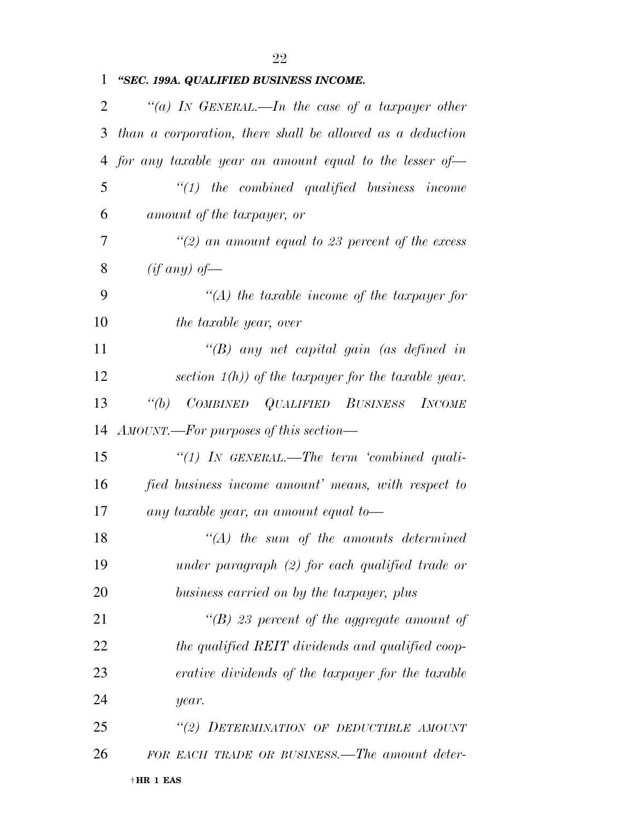|  |  |  | 1 "SEC. 199A. QUALIFIED BUSINESS INCOME. |  |  |
|--|--|--|------------------------------------------|--|--|
|--|--|--|------------------------------------------|--|--|

| 2  | "(a) In GENERAL.—In the case of a taxpayer other          |
|----|-----------------------------------------------------------|
| 3  | than a corporation, there shall be allowed as a deduction |
| 4  | for any taxable year an amount equal to the lesser of-    |
| 5  | $"(1)$ the combined qualified business income             |
| 6  | amount of the taxpayer, or                                |
| 7  | $\lq(2)$ an amount equal to 23 percent of the excess      |
| 8  | (if any) of                                               |
| 9  | $\lq (A)$ the taxable income of the taxpayer for          |
| 10 | the taxable year, over                                    |
| 11 | "(B) any net capital gain (as defined in                  |
| 12 | section $1(h)$ ) of the taxpayer for the taxable year.    |
| 13 | COMBINED QUALIFIED BUSINESS INCOME<br>$\lq(a)$            |
| 14 | AMOUNT.—For purposes of this section—                     |
| 15 | "(1) IN GENERAL.—The term 'combined quali-                |
| 16 | fied business income amount' means, with respect to       |
| 17 | any taxable year, an amount equal to-                     |
| 18 | $\lq\lq (A)$ the sum of the amounts determined            |
| 19 | under paragraph $(2)$ for each qualified trade or         |
| 20 | business carried on by the taxpayer, plus                 |
| 21 | "(B) 23 percent of the aggregate amount of                |
| 22 | the qualified REIT dividends and qualified coop-          |
| 23 | erative dividends of the taxpayer for the taxable         |
| 24 | year.                                                     |
| 25 | "(2) DETERMINATION OF DEDUCTIBLE AMOUNT                   |
| 26 | FOR EACH TRADE OR BUSINESS.—The amount deter-             |
|    | †HR 1 EAS                                                 |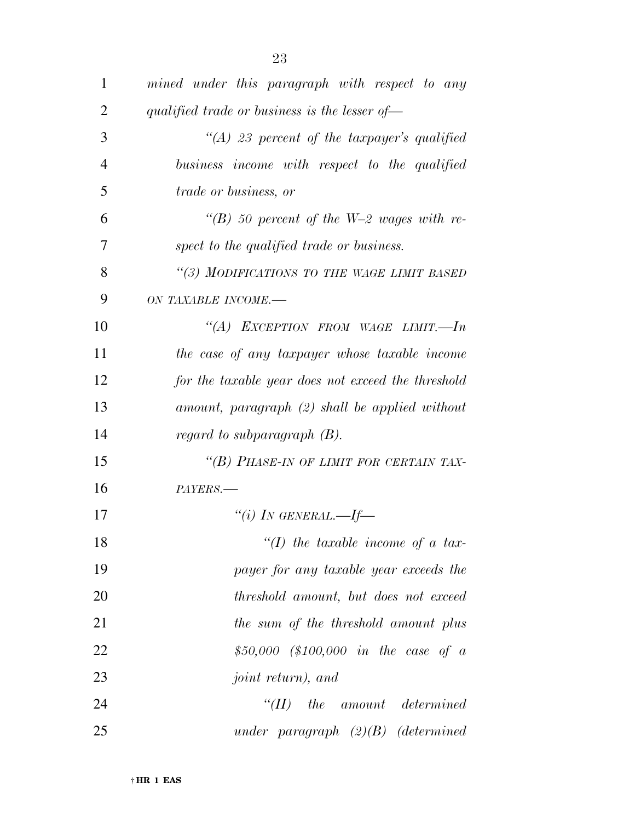| $\mathbf{1}$   | mined under this paragraph with respect to any     |
|----------------|----------------------------------------------------|
| $\overline{2}$ | qualified trade or business is the lesser of-      |
| 3              | $\lq (A)$ 23 percent of the taxpayer's qualified   |
| 4              | business income with respect to the qualified      |
| 5              | <i>trade or business, or</i>                       |
| 6              | "(B) 50 percent of the W-2 wages with re-          |
| 7              | spect to the qualified trade or business.          |
| 8              | "(3) MODIFICATIONS TO THE WAGE LIMIT BASED         |
| 9              | ON TAXABLE INCOME.-                                |
| 10             | "(A) EXCEPTION FROM WAGE LIMIT.—In                 |
| 11             | the case of any taxpayer whose taxable income      |
| 12             | for the taxable year does not exceed the threshold |
| 13             | amount, paragraph (2) shall be applied without     |
| 14             | regard to subparagraph $(B)$ .                     |
| 15             | "(B) PHASE-IN OF LIMIT FOR CERTAIN TAX-            |
| 16             | PAYERS.                                            |
| 17             | "(i) IN GENERAL.—If—                               |
| 18             | "(I) the taxable income of a tax-                  |
| 19             | payer for any taxable year exceeds the             |
| 20             | threshold amount, but does not exceed              |
| 21             | the sum of the threshold amount plus               |
| 22             | \$50,000 (\$100,000 in the case of a               |
| 23             | <i>joint return)</i> , and                         |
| 24             | $\lq(TI)$<br>the amount determined                 |
| 25             | under paragraph $(2)(B)$ (determined               |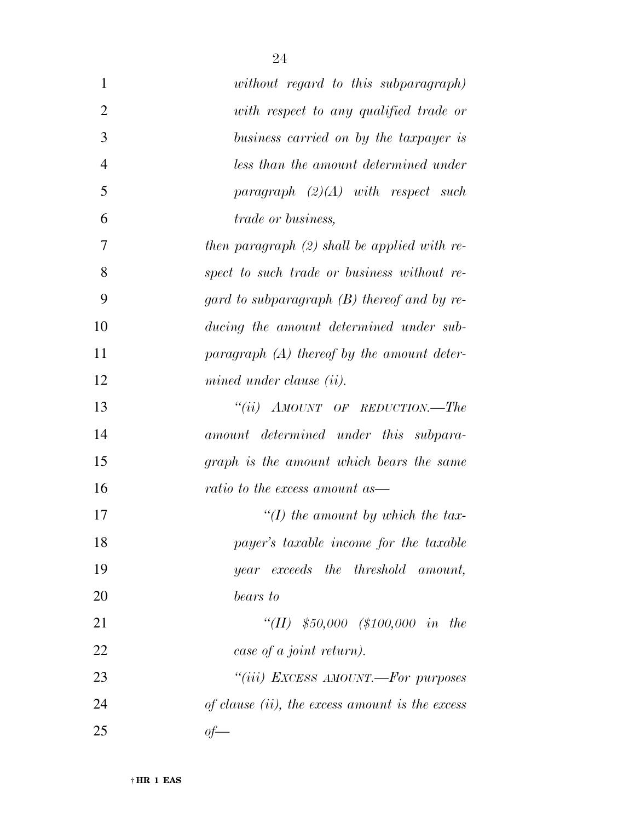| 1              | without regard to this subparagraph)               |
|----------------|----------------------------------------------------|
| $\overline{2}$ | with respect to any qualified trade or             |
| 3              | business carried on by the taxpayer is             |
| $\overline{4}$ | less than the amount determined under              |
| 5              | paragraph $(2)(A)$ with respect such               |
| 6              | <i>trade or business,</i>                          |
| 7              | then paragraph $(2)$ shall be applied with re-     |
| 8              | spect to such trade or business without re-        |
| 9              | gard to subparagraph $(B)$ thereof and by re-      |
| 10             | ducing the amount determined under sub-            |
| 11             | paragraph $(A)$ thereof by the amount deter-       |
| 12             | mined under clause (ii).                           |
| 13             | "(ii) $AMOUNT$ OF REDUCTION.—The                   |
| 14             | amount determined under this subpara-              |
| 15             | graph is the amount which bears the same           |
| 16             | ratio to the excess amount as—                     |
| 17             | "(I) the amount by which the tax-                  |
| 18             | payer's taxable income for the taxable             |
| 19             | year exceeds the threshold amount,                 |
| 20             | bears to                                           |
| 21             | "(II) $$50,000$ (\$100,000 in the                  |
| 22             | case of a joint return).                           |
| 23             | "(iii) EXCESS AMOUNT.—For purposes                 |
| 24             | of clause $(ii)$ , the excess amount is the excess |
| 25             | $of-$                                              |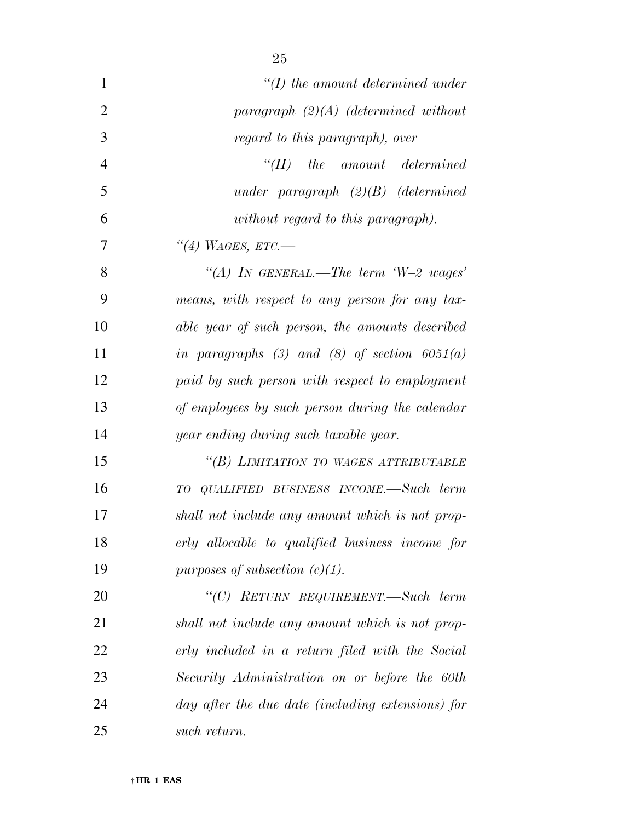| 1              | $\lq (I)$ the amount determined under             |
|----------------|---------------------------------------------------|
| $\overline{2}$ | paragraph $(2)(A)$ (determined without            |
| 3              | regard to this paragraph), over                   |
| 4              | $``(II)$ the amount determined                    |
| 5              | under paragraph $(2)(B)$ (determined              |
| 6              | without regard to this paragraph).                |
| 7              | "(4) WAGES, ETC.—                                 |
| 8              | "(A) IN GENERAL.—The term $W=2$ wages'            |
| 9              | means, with respect to any person for any tax-    |
| 10             | able year of such person, the amounts described   |
| 11             | in paragraphs (3) and (8) of section $6051(a)$    |
| 12             | paid by such person with respect to employment    |
| 13             | of employees by such person during the calendar   |
| 14             | year ending during such taxable year.             |
| 15             | "(B) LIMITATION TO WAGES ATTRIBUTABLE             |
| 16             | TO QUALIFIED BUSINESS INCOME.—Such term           |
| 17             | shall not include any amount which is not prop-   |
| 18             | erly allocable to qualified business income for   |
| 19             | purposes of subsection $(c)(1)$ .                 |
| 20             | "(C) RETURN REQUIREMENT.—Such term                |
| 21             | shall not include any amount which is not prop-   |
| 22             | erly included in a return filed with the Social   |
| 23             | Security Administration on or before the 60th     |
| 24             | day after the due date (including extensions) for |
| 25             | such return.                                      |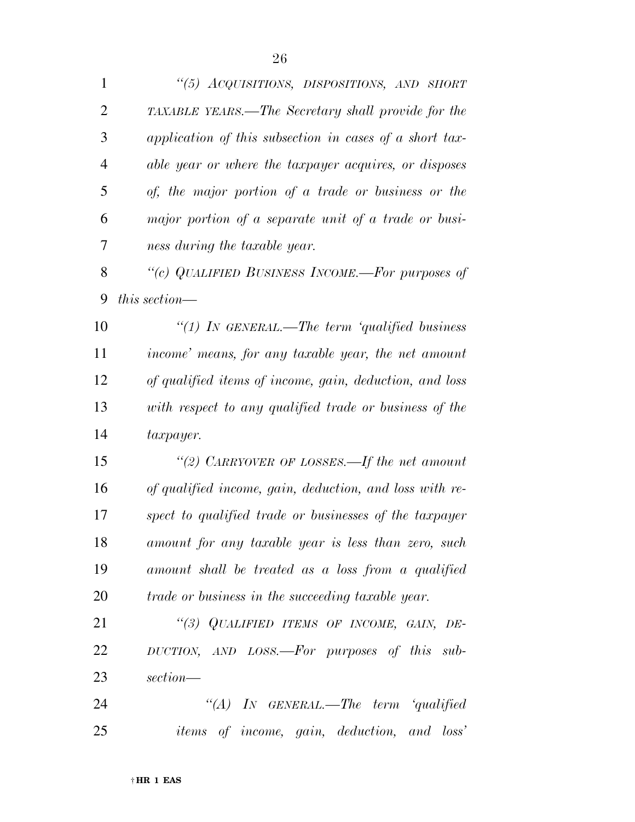*''(5) ACQUISITIONS, DISPOSITIONS, AND SHORT TAXABLE YEARS.—The Secretary shall provide for the application of this subsection in cases of a short tax- able year or where the taxpayer acquires, or disposes of, the major portion of a trade or business or the major portion of a separate unit of a trade or busi- ness during the taxable year. ''(c) QUALIFIED BUSINESS INCOME.—For purposes of this section— ''(1) IN GENERAL.—The term 'qualified business income' means, for any taxable year, the net amount of qualified items of income, gain, deduction, and loss with respect to any qualified trade or business of the taxpayer. ''(2) CARRYOVER OF LOSSES.—If the net amount of qualified income, gain, deduction, and loss with re- spect to qualified trade or businesses of the taxpayer amount for any taxable year is less than zero, such amount shall be treated as a loss from a qualified trade or business in the succeeding taxable year. ''(3) QUALIFIED ITEMS OF INCOME, GAIN, DE- DUCTION, AND LOSS.—For purposes of this sub- section— ''(A) IN GENERAL.—The term 'qualified items of income, gain, deduction, and loss'*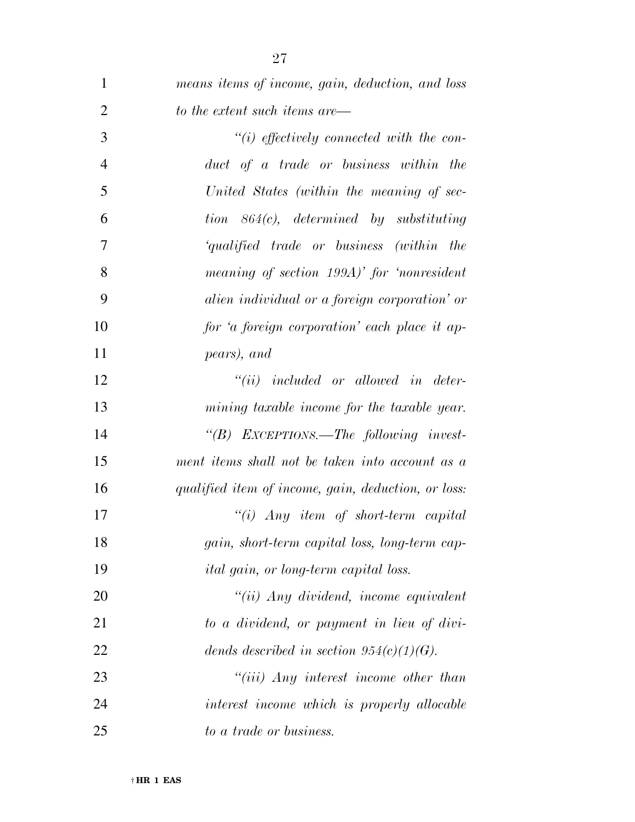| $\mathbf{1}$   | means items of income, gain, deduction, and loss                  |
|----------------|-------------------------------------------------------------------|
| $\overline{2}$ | to the extent such items are—                                     |
| 3              | $``(i)$ effectively connected with the con-                       |
| $\overline{4}$ | duct of a trade or business within the                            |
| 5              | United States (within the meaning of sec-                         |
| 6              | $tion \quad 864(c), \quad determined \quad by \quad substituting$ |
| 7              | 'qualified trade or business (within the                          |
| 8              | meaning of section 199A)' for 'nonresident                        |
| 9              | alien individual or a foreign corporation' or                     |
| 10             | for 'a foreign corporation' each place it ap-                     |
| 11             | pears), and                                                       |
| 12             | $``(ii)$ included or allowed in deter-                            |
| 13             | mining taxable income for the taxable year.                       |
| 14             | "(B) EXCEPTIONS.—The following invest-                            |
| 15             | ment items shall not be taken into account as a                   |
| 16             | qualified item of income, gain, deduction, or loss:               |
| 17             | $``(i)$ Any item of short-term capital                            |
| 18             | gain, short-term capital loss, long-term cap-                     |
| 19             | <i>ital gain, or long-term capital loss.</i>                      |
| 20             | $"(ii)$ Any dividend, income equivalent                           |
| 21             | to a dividend, or payment in lieu of divi-                        |
| 22             | dends described in section $954(c)(1)(G)$ .                       |
| 23             | $``(iii)$ Any interest income other than                          |
| 24             | interest income which is properly allocable                       |
| 25             | to a trade or business.                                           |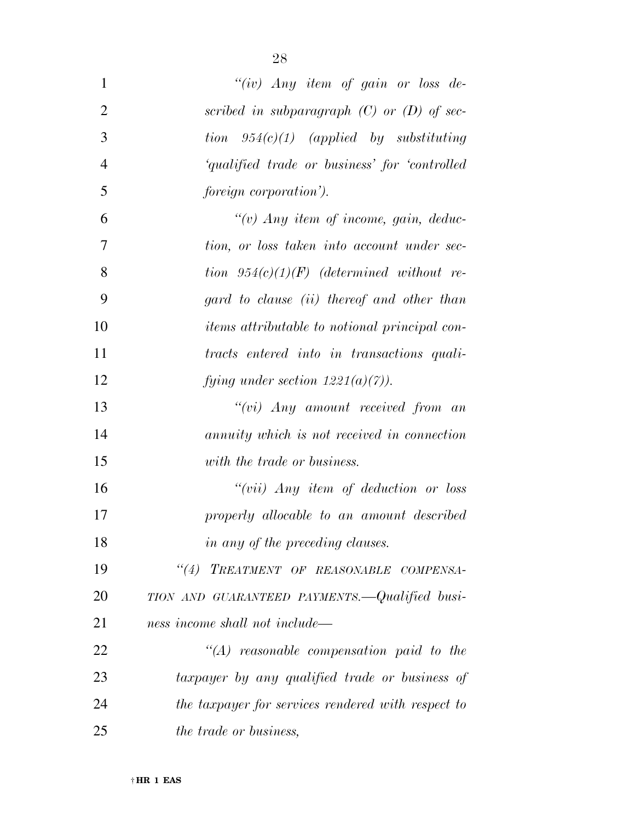| $\mathbf{1}$   | "(iv) Any item of gain or loss de-                   |
|----------------|------------------------------------------------------|
| $\overline{2}$ | scribed in subparagraph $(C)$ or $(D)$ of sec-       |
| 3              | tion $954(c)(1)$ (applied by substituting            |
| $\overline{4}$ | 'qualified trade or business' for 'controlled        |
| 5              | <i>foreign corporation').</i>                        |
| 6              | "(v) Any item of income, gain, deduc-                |
| 7              | tion, or loss taken into account under sec-          |
| 8              | tion $954(c)(1)(F)$ (determined without re-          |
| 9              | gard to clause (ii) thereof and other than           |
| 10             | <i>items attributable to notional principal con-</i> |
| 11             | tracts entered into in transactions quali-           |
| 12             | fying under section $1221(a)(7)$ ).                  |
| 13             | $``(vi)$ Any amount received from an                 |
| 14             | annuity which is not received in connection          |
| 15             | with the trade or business.                          |
| 16             | " $(vii)$ Any item of deduction or loss              |
| 17             | properly allocable to an amount described            |
| 18             | in any of the preceding clauses.                     |
| 19             | "(4) TREATMENT OF REASONABLE COMPENSA-               |
| 20             | TION AND GUARANTEED PAYMENTS.—Qualified busi-        |
| 21             | ness income shall not include—                       |
| 22             | $\lq\lq (A)$ reasonable compensation paid to the     |
| 23             | taxpayer by any qualified trade or business of       |
| 24             | the taxpayer for services rendered with respect to   |
| 25             | the trade or business,                               |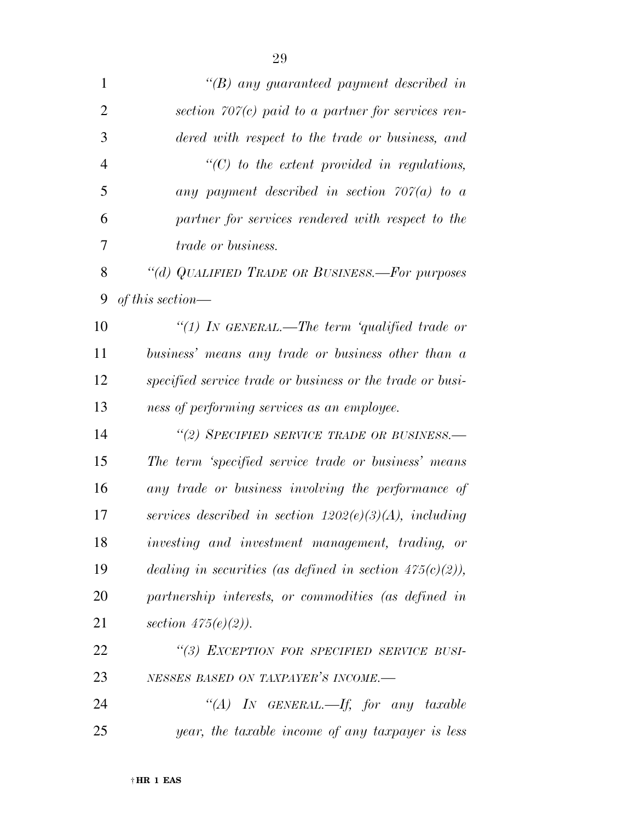| $\mathbf{1}$   | $\lq\lq(B)$ any guaranteed payment described in             |
|----------------|-------------------------------------------------------------|
| $\overline{2}$ | section $707(c)$ paid to a partner for services ren-        |
| 3              | dered with respect to the trade or business, and            |
| $\overline{4}$ | $\lq\lq C$ to the extent provided in regulations,           |
| 5              | any payment described in section $707(a)$ to a              |
| 6              | partner for services rendered with respect to the           |
| 7              | <i>trade or business.</i>                                   |
| 8              | "(d) QUALIFIED TRADE OR BUSINESS.—For purposes              |
| 9              | of this section—                                            |
| 10             | "(1) IN GENERAL.—The term 'qualified trade or               |
| 11             | business' means any trade or business other than a          |
| 12             | specified service trade or business or the trade or busi-   |
| 13             | ness of performing services as an employee.                 |
| 14             | "(2) SPECIFIED SERVICE TRADE OR BUSINESS.-                  |
| 15             | The term 'specified service trade or business' means        |
| 16             | any trade or business involving the performance of          |
| 17             | services described in section $1202(e)(3)(A)$ , including   |
| 18             | investing and investment management, trading, or            |
| 19             | dealing in securities (as defined in section $475(c)(2)$ ), |
| 20             | partnership interests, or commodities (as defined in        |
| 21             | section $475(e)(2)$ ).                                      |
| 22             | "(3) EXCEPTION FOR SPECIFIED SERVICE BUSI-                  |
| 23             | NESSES BASED ON TAXPAYER'S INCOME.-                         |
| 24             | "(A) IN GENERAL.—If, for any taxable                        |
| 25             | year, the taxable income of any taxpayer is less            |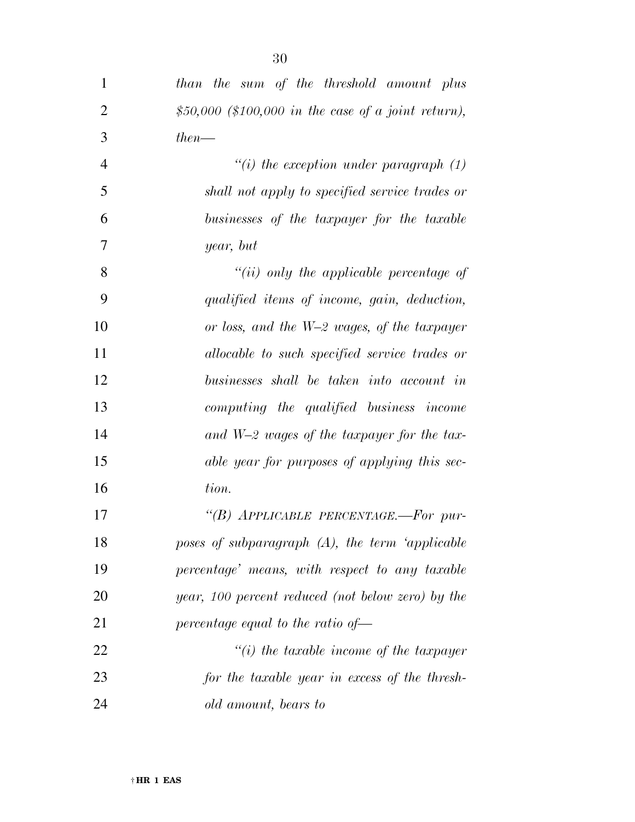| $\mathbf{1}$   | than the sum of the threshold amount plus           |
|----------------|-----------------------------------------------------|
| $\overline{2}$ | \$50,000 (\$100,000 in the case of a joint return), |
| 3              | $then$ —                                            |
| $\overline{4}$ | "(i) the exception under paragraph $(1)$            |
| 5              | shall not apply to specified service trades or      |
| 6              | businesses of the taxpayer for the taxable          |
| 7              | year, but                                           |
| 8              | $``(ii)$ only the applicable percentage of          |
| 9              | qualified items of income, gain, deduction,         |
| 10             | or loss, and the W-2 wages, of the taxpayer         |
| 11             | allocable to such specified service trades or       |
| 12             | businesses shall be taken into account in           |
| 13             | computing the qualified business income             |
| 14             | and $W-2$ wages of the taxpayer for the tax-        |
| 15             | able year for purposes of applying this sec-        |
| 16             | tion.                                               |
| 17             | "(B) APPLICABLE PERCENTAGE.-For pur-                |
| 18             | poses of subparagraph $(A)$ , the term 'applicable  |
| 19             | percentage' means, with respect to any taxable      |
| 20             | year, 100 percent reduced (not below zero) by the   |
| 21             | percentage equal to the ratio of $\rightarrow$      |
| 22             | $"(i)$ the taxable income of the taxpayer           |
| 23             | for the taxable year in excess of the thresh-       |
| 24             | old amount, bears to                                |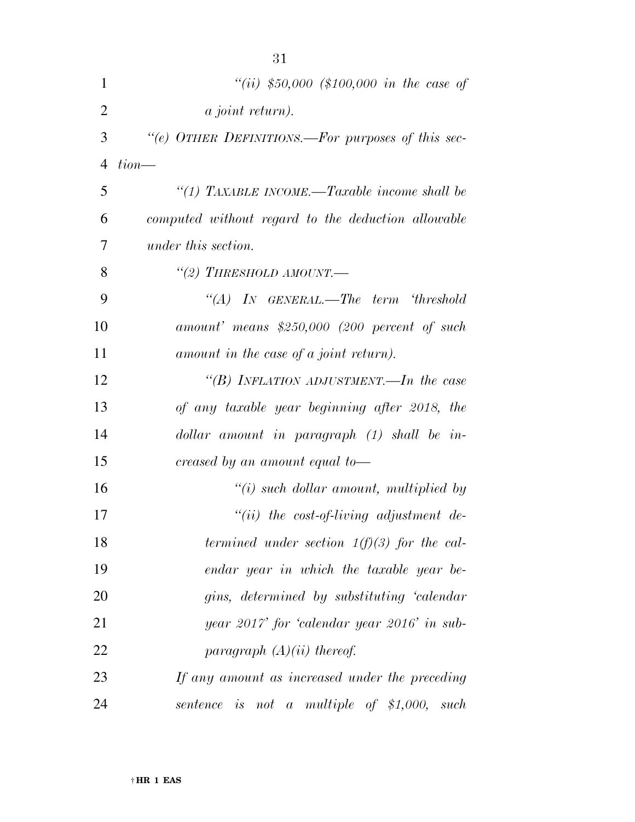| $\mathbf{1}$   | "(ii) \$50,000 (\$100,000 in the case of           |
|----------------|----------------------------------------------------|
| $\overline{2}$ | <i>a joint return).</i>                            |
| 3              | "(e) OTHER DEFINITIONS.—For purposes of this sec-  |
| $\overline{4}$ | $tion$ —                                           |
| 5              | "(1) TAXABLE INCOME.—Taxable income shall be       |
| 6              | computed without regard to the deduction allowable |
| 7              | under this section.                                |
| 8              | "(2) THRESHOLD AMOUNT.—                            |
| 9              | "(A) IN GENERAL.—The term 'threshold               |
| 10             | $amount'$ means \$250,000 (200 percent of such     |
| 11             | amount in the case of a joint return).             |
| 12             | "(B) INFLATION ADJUSTMENT.—In the case             |
| 13             | of any taxable year beginning after 2018, the      |
| 14             | $dollar$ amount in paragraph $(1)$ shall be in-    |
| 15             | creased by an amount equal to—                     |
| 16             | $\tilde{f}(i)$ such dollar amount, multiplied by   |
| 17             | $``(ii)$ the cost-of-living adjustment de-         |
| 18             | termined under section $1(f)(3)$ for the cal-      |
| 19             | endar year in which the taxable year be-           |
| 20             | gins, determined by substituting 'calendar         |
| 21             | year 2017' for 'calendar year 2016' in sub-        |
| 22             | paragraph $(A)(ii)$ thereof.                       |
| 23             | If any amount as increased under the preceding     |
| 24             | sentence is not a multiple of $$1,000$ , such      |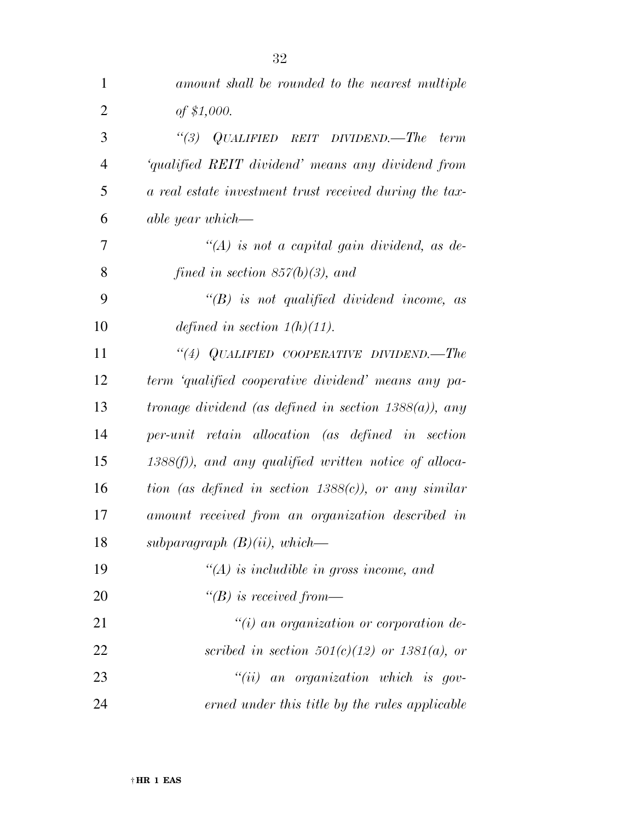| $\mathbf{1}$   | amount shall be rounded to the nearest multiple          |
|----------------|----------------------------------------------------------|
| $\overline{2}$ | of \$1,000.                                              |
| 3              | "(3) $QUALIFIED REIT DIVIDEND. - The$<br><i>term</i>     |
| $\overline{4}$ | 'qualified REIT dividend' means any dividend from        |
| 5              | a real estate investment trust received during the tax-  |
| 6              | able year which—                                         |
| 7              | $\lq (A)$ is not a capital gain dividend, as de-         |
| 8              | fined in section $857(b)(3)$ , and                       |
| 9              | $\lq\lq B$ is not qualified dividend income, as          |
| 10             | defined in section $1(h)(11)$ .                          |
| 11             | "(4) QUALIFIED COOPERATIVE DIVIDEND.—The                 |
| 12             | term 'qualified cooperative dividend' means any pa-      |
| 13             | tronage dividend (as defined in section $1388(a)$ ), any |
| 14             | per-unit retain allocation (as defined in section        |
| 15             | $1388(f)$ , and any qualified written notice of alloca-  |
| 16             | tion (as defined in section $1388(c)$ ), or any similar  |
| 17             | amount received from an organization described in        |
| 18             | subparagraph $(B)(ii)$ , which—                          |
| 19             | $\lq (A)$ is includible in gross income, and             |
| 20             | $\lq (B)$ is received from—                              |
| 21             | "(i) an organization or corporation de-                  |
| 22             | scribed in section $501(c)(12)$ or $1381(a)$ , or        |
| 23             | $``(ii)$ an organization which is gov-                   |
| 24             | erned under this title by the rules applicable           |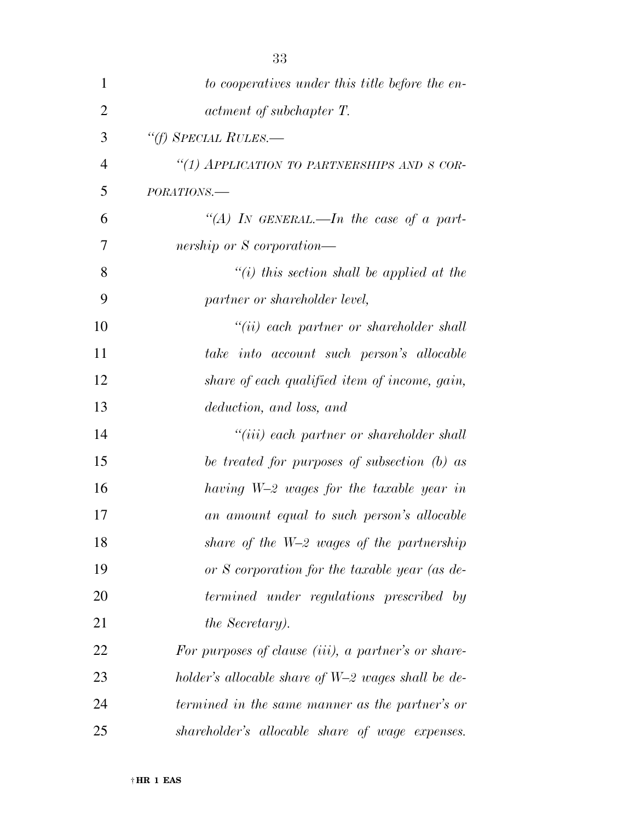| 1              | to cooperatives under this title before the en-      |
|----------------|------------------------------------------------------|
| $\overline{2}$ | actment of subchapter T.                             |
| 3              | "(f) SPECIAL RULES.—                                 |
| 4              | "(1) APPLICATION TO PARTNERSHIPS AND S COR-          |
| 5              | PORATIONS.-                                          |
| 6              | "(A) IN GENERAL.—In the case of a part-              |
| 7              | nership or S corporation—                            |
| 8              | $"(i)$ this section shall be applied at the          |
| 9              | partner or shareholder level,                        |
| 10             | $``(ii)$ each partner or shareholder shall           |
| 11             | take into account such person's allocable            |
| 12             | share of each qualified item of income, gain,        |
| 13             | deduction, and loss, and                             |
| 14             | "(iii) each partner or shareholder shall             |
| 15             | be treated for purposes of subsection (b) as         |
| 16             | having W-2 wages for the taxable year in             |
| 17             | an amount equal to such person's allocable           |
| 18             | share of the $W=2$ wages of the partnership          |
| 19             | or S corporation for the taxable year (as de-        |
| 20             | termined under regulations prescribed by             |
| 21             | <i>the Secretary</i> ).                              |
| 22             | For purposes of clause (iii), a partner's or share-  |
| 23             | holder's allocable share of $W=2$ wages shall be de- |
| 24             | termined in the same manner as the partner's or      |
| 25             | shareholder's allocable share of wage expenses.      |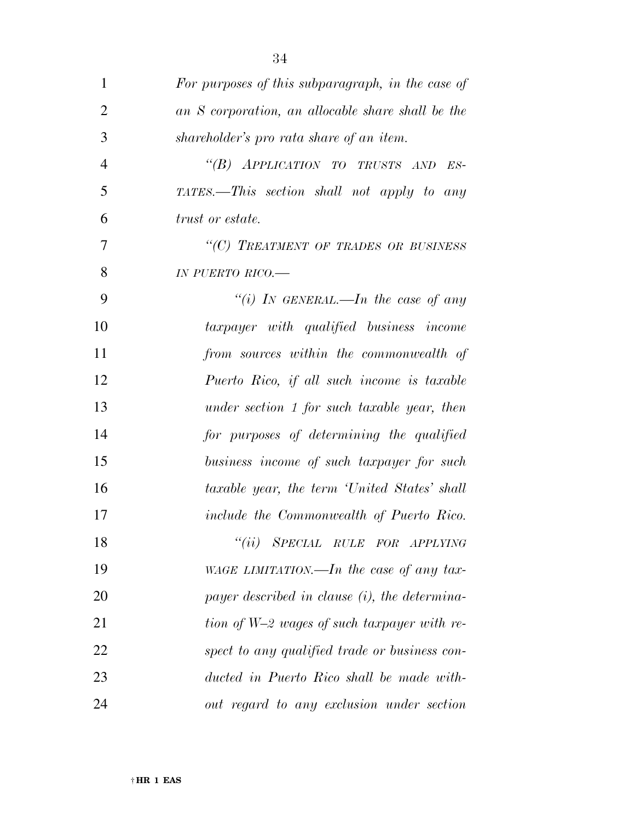| $\mathbf{1}$   | For purposes of this subparagraph, in the case of |
|----------------|---------------------------------------------------|
| $\overline{2}$ | an S corporation, an allocable share shall be the |
| 3              | shareholder's pro rata share of an item.          |
| $\overline{4}$ | "(B) APPLICATION TO TRUSTS AND ES-                |
| 5              | TATES.—This section shall not apply to any        |
| 6              | <i>trust or estate.</i>                           |
| 7              | "(C) TREATMENT OF TRADES OR BUSINESS              |
| 8              | IN PUERTO RICO.-                                  |
| 9              | "(i) IN GENERAL.—In the case of any               |
| 10             | taxpayer with qualified business income           |
| 11             | from sources within the commonwealth of           |
| 12             | Puerto Rico, if all such income is taxable        |
| 13             | under section 1 for such taxable year, then       |
| 14             | for purposes of determining the qualified         |
| 15             | business income of such taxpayer for such         |
| 16             | taxable year, the term 'United States' shall      |
| 17             | include the Commonwealth of Puerto Rico.          |
| 18             | ``(ii)<br>SPECIAL RULE FOR APPLYING               |
| 19             | WAGE LIMITATION.—In the case of any tax-          |
| 20             | payer described in clause $(i)$ , the determina-  |
| 21             | tion of W-2 wages of such taxpayer with re-       |
| 22             | spect to any qualified trade or business con-     |
| 23             | ducted in Puerto Rico shall be made with-         |
| 24             | out regard to any exclusion under section         |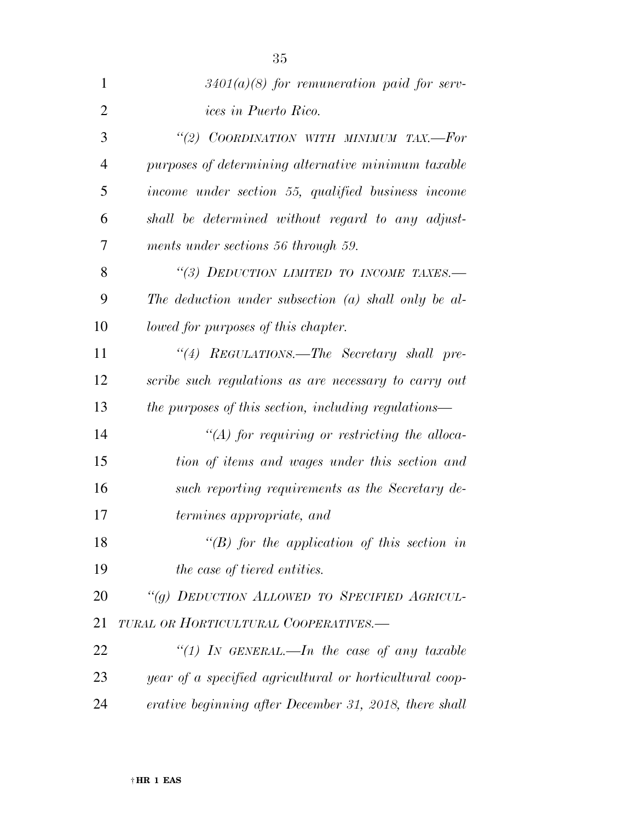| $\mathbf{1}$   | $3401(a)(8)$ for remuneration paid for serv-            |
|----------------|---------------------------------------------------------|
| $\overline{2}$ | <i>ices in Puerto Rico.</i>                             |
| 3              | "(2) COORDINATION WITH MINIMUM TAX.-For                 |
| $\overline{4}$ | purposes of determining alternative minimum taxable     |
| 5              | income under section 55, qualified business income      |
| 6              | shall be determined without regard to any adjust-       |
| 7              | ments under sections 56 through 59.                     |
| 8              | "(3) DEDUCTION LIMITED TO INCOME TAXES.-                |
| 9              | The deduction under subsection $(a)$ shall only be al-  |
| 10             | lowed for purposes of this chapter.                     |
| 11             | "(4) REGULATIONS.—The Secretary shall pre-              |
| 12             | scribe such regulations as are necessary to carry out   |
| 13             | the purposes of this section, including regulations—    |
| 14             | $\lq (A)$ for requiring or restricting the alloca-      |
| 15             | tion of items and wages under this section and          |
| 16             | such reporting requirements as the Secretary de-        |
| 17             | <i>termines appropriate, and</i>                        |
| 18             | " $(B)$ for the application of this section in          |
| 19             | the case of tiered entities.                            |
| 20             | "(g) DEDUCTION ALLOWED TO SPECIFIED AGRICUL-            |
| 21             | TURAL OR HORTICULTURAL COOPERATIVES.-                   |
| 22             | "(1) IN GENERAL.—In the case of any taxable             |
| 23             | year of a specified agricultural or horticultural coop- |
| 24             | erative beginning after December 31, 2018, there shall  |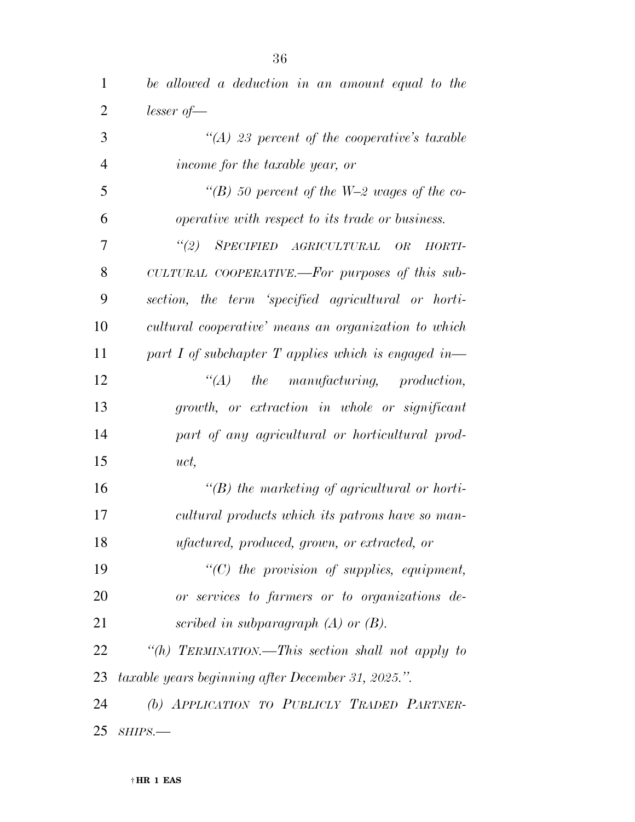| 1              | be allowed a deduction in an amount equal to the        |
|----------------|---------------------------------------------------------|
| $\overline{2}$ | $lesser of \text{---}$                                  |
| 3              | "(A) 23 percent of the cooperative's taxable            |
| $\overline{4}$ | income for the taxable year, or                         |
| 5              | "(B) 50 percent of the W-2 wages of the co-             |
| 6              | <i>operative with respect to its trade or business.</i> |
| $\tau$         | (2)<br>SPECIFIED AGRICULTURAL<br>OR<br>HORTI-           |
| 8              | CULTURAL COOPERATIVE.—For purposes of this sub-         |
| 9              | section, the term 'specified agricultural or horti-     |
| 10             | cultural cooperative' means an organization to which    |
| 11             | part I of subchapter $T$ applies which is engaged in—   |
| 12             | $\lq\lq (A)$ the manufacturing, production,             |
| 13             | growth, or extraction in whole or significant           |
| 14             | part of any agricultural or horticultural prod-         |
| 15             | uct,                                                    |
| 16             | $\lq\lq(B)$ the marketing of agricultural or horti-     |
| 17             | cultural products which its patrons have so man-        |
| 18             | <i>ufactured, produced, grown, or extracted, or</i>     |
| 19             | $\lq\lq C$ the provision of supplies, equipment,        |
| 20             | or services to farmers or to organizations de-          |
| 21             | scribed in subparagraph $(A)$ or $(B)$ .                |
| 22             | "(h) TERMINATION.—This section shall not apply to       |
| 23             | taxable years beginning after December 31, 2025.".      |
| 24             | (b) APPLICATION TO PUBLICLY TRADED PARTNER-             |
| 25             | SHIPS.                                                  |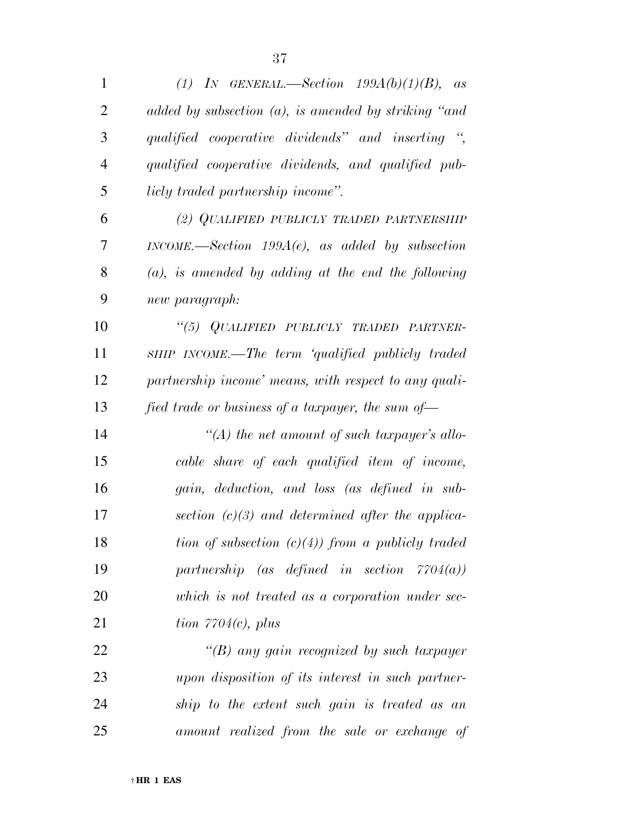| 1              | (1) IN GENERAL.—Section $199A(b)(1)(B)$ , as                |
|----------------|-------------------------------------------------------------|
| $\overline{2}$ | added by subsection $(a)$ , is amended by striking "and     |
| 3              | qualified cooperative dividends" and inserting ",           |
| $\overline{4}$ | qualified cooperative dividends, and qualified pub-         |
| 5              | licly traded partnership income".                           |
| 6              | (2) QUALIFIED PUBLICLY TRADED PARTNERSHIP                   |
| 7              | $INCOME. \text{—Section } 199A(e)$ , as added by subsection |
| 8              | $(a)$ , is amended by adding at the end the following       |
| 9              | new paragraph:                                              |
| 10             | "(5) QUALIFIED PUBLICLY TRADED PARTNER-                     |
| 11             | SHIP INCOME.—The term 'qualified publicly traded            |
| 12             | partnership income' means, with respect to any quali-       |
| 13             | fied trade or business of a taxpayer, the sum of-           |
| 14             | "(A) the net amount of such taxpayer's allo-                |
| 15             | cable share of each qualified item of income,               |
| 16             | gain, deduction, and loss (as defined in sub-               |
| 17             | section $(c)(3)$ and determined after the applica-          |
| 18             | tion of subsection $(c)(4)$ from a publicly traded          |
| 19             | partnership (as defined in section $7704(a)$ )              |
| 20             | which is not treated as a corporation under sec-            |
| 21             | tion $7704(c)$ , plus                                       |
| 22             | $\lq (B)$ any gain recognized by such taxpayer              |
| 23             | upon disposition of its interest in such partner-           |
|                |                                                             |

 *ship to the extent such gain is treated as an amount realized from the sale or exchange of*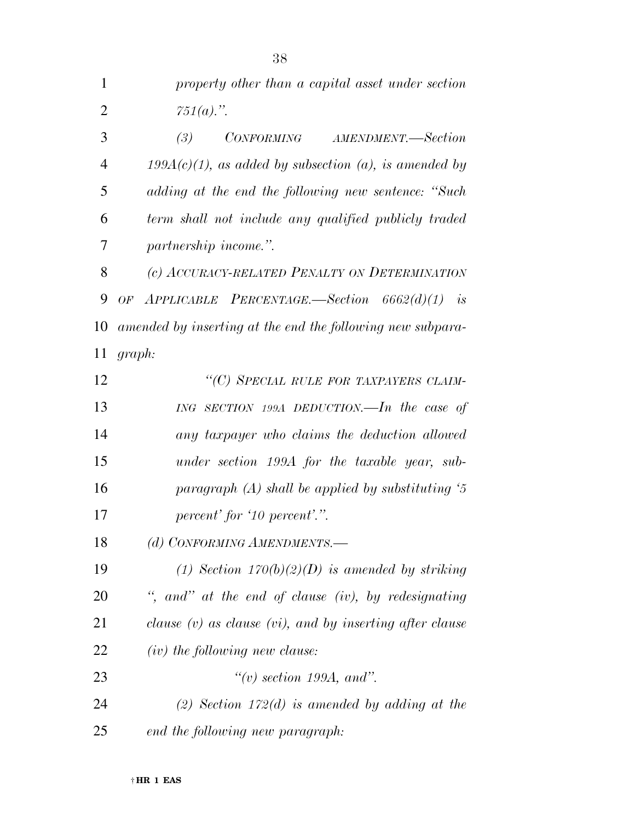| $\mathbf{1}$   | property other than a capital asset under section             |
|----------------|---------------------------------------------------------------|
| $\overline{2}$ | $751(a).$ ".                                                  |
| 3              | CONFORMING AMENDMENT.-Section<br>(3)                          |
| 4              | $199A(c)(1)$ , as added by subsection (a), is amended by      |
| 5              | adding at the end the following new sentence: "Such           |
| 6              | term shall not include any qualified publicly traded          |
| 7              | partnership income.".                                         |
| 8              | (c) ACCURACY-RELATED PENALTY ON DETERMINATION                 |
| 9              | $APPLICABLE$ PERCENTAGE.—Section $6662(d)(1)$ is<br>OF        |
| 10             | amended by inserting at the end the following new subpara-    |
| 11             | graph:                                                        |
| 12             | "(C) SPECIAL RULE FOR TAXPAYERS CLAIM-                        |
| 13             | ING SECTION 199A DEDUCTION.—In the case of                    |
| 14             | any taxpayer who claims the deduction allowed                 |
| 15             | under section 199A for the taxable year, sub-                 |
| 16             | paragraph $(A)$ shall be applied by substituting $5$          |
| 17             | percent' for '10 percent'.".                                  |
| 18             | (d) CONFORMING AMENDMENTS.-                                   |
| 19             | (1) Section $170(b)(2)(D)$ is amended by striking             |
| 20             | ", and" at the end of clause (iv), by redesignating           |
| 21             | clause $(v)$ as clause $(vi)$ , and by inserting after clause |
| 22             | (iv) the following new clause:                                |
| 23             | $\lq\lq(v)$ section 199A, and".                               |
| 24             | (2) Section 172(d) is amended by adding at the                |
| 25             | end the following new paragraph:                              |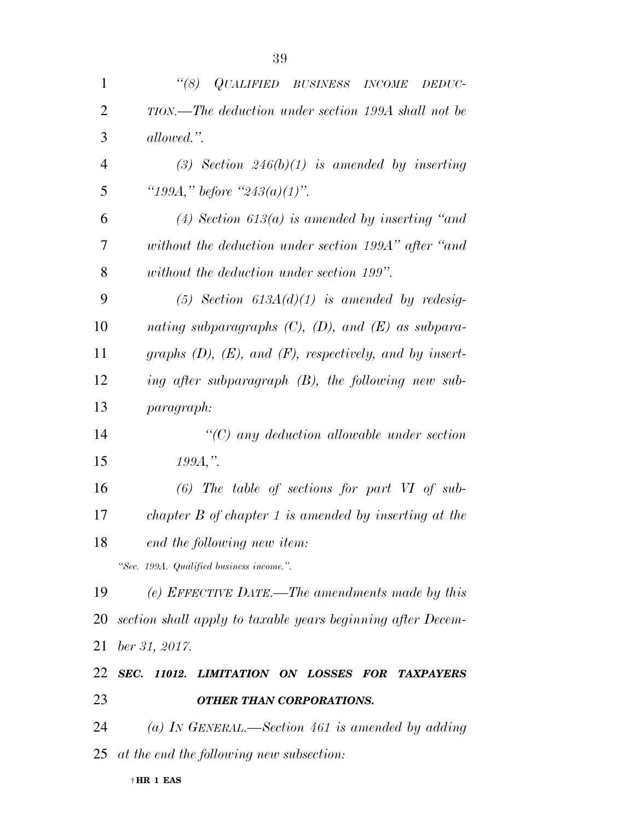| $\mathbf{1}$   | (8)<br>QUALIFIED BUSINESS INCOME<br>DEDUC-                      |
|----------------|-----------------------------------------------------------------|
| $\overline{2}$ | TION.—The deduction under section 199A shall not be             |
| 3              | allowed.".                                                      |
| $\overline{4}$ | (3) Section $246(b)(1)$ is amended by inserting                 |
| 5              | "199A," before "243(a)(1)".                                     |
| 6              | (4) Section 613(a) is amended by inserting "and                 |
| 7              | without the deduction under section 199A" after "and            |
| 8              | without the deduction under section 199".                       |
| 9              | (5) Section $613A(d)(1)$ is amended by redesig-                 |
| 10             | nating subparagraphs $(C)$ , $(D)$ , and $(E)$ as subpara-      |
| 11             | graphs $(D)$ , $(E)$ , and $(F)$ , respectively, and by insert- |
| 12             | ing after subparagraph $(B)$ , the following new sub-           |
| 13             | paragraph:                                                      |
| 14             | $\lq\lq C$ any deduction allowable under section                |
| 15             | $199A,$ ".                                                      |
| 16             | $(6)$ The table of sections for part VI of sub-                 |
| 17             | chapter $B$ of chapter 1 is amended by inserting at the         |
| 18             | end the following new item:                                     |
|                | "Sec. 199A. Qualified business income.".                        |
| 19             | (e) EFFECTIVE DATE.—The amendments made by this                 |
| 20             | section shall apply to taxable years beginning after Decem-     |
| 21             | ber 31, 2017.                                                   |
| 22             | SEC. 11012. LIMITATION ON LOSSES FOR TAXPAYERS                  |
| 23             | <b>OTHER THAN CORPORATIONS.</b>                                 |
| 24             | (a) IN GENERAL.—Section 461 is amended by adding                |
|                | $25$ at the end the following new subsection:                   |
|                | $\dagger$ HR 1 EAS                                              |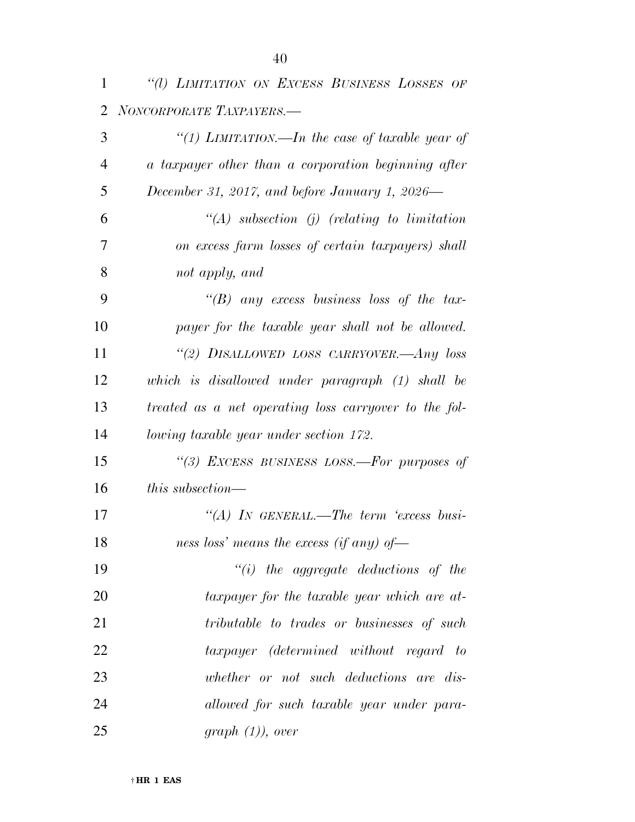| 1  | "(1) LIMITATION ON EXCESS BUSINESS LOSSES OF          |
|----|-------------------------------------------------------|
| 2  | NONCORPORATE TAXPAYERS.-                              |
| 3  | "(1) LIMITATION.—In the case of taxable year of       |
| 4  | a taxpayer other than a corporation beginning after   |
| 5  | December 31, 2017, and before January 1, 2026—        |
| 6  | $\lq (A)$ subsection (j) (relating to limitation      |
| 7  | on excess farm losses of certain taxpayers) shall     |
| 8  | not apply, and                                        |
| 9  | "(B) any excess business loss of the tax-             |
| 10 | payer for the taxable year shall not be allowed.      |
| 11 | "(2) DISALLOWED LOSS CARRYOVER.-Any loss              |
| 12 | which is disallowed under paragraph (1) shall be      |
| 13 | treated as a net operating loss carryover to the fol- |
| 14 | <i>lowing taxable year under section 172.</i>         |
| 15 | "(3) EXCESS BUSINESS LOSS.-For purposes of            |
| 16 | this subsection—                                      |
| 17 | $\lq\lq (A)$ In GENERAL.—The term 'excess busi-       |
| 18 | ness loss' means the excess (if any) of-              |
| 19 | $``(i)$ the aggregate deductions of the               |
| 20 | taxpayer for the taxable year which are at-           |
| 21 | tributable to trades or businesses of such            |
| 22 | taxpayer (determined without regard to                |
| 23 | whether or not such deductions are dis-               |
| 24 | allowed for such taxable year under para-             |
| 25 | $graph (1)$ , over                                    |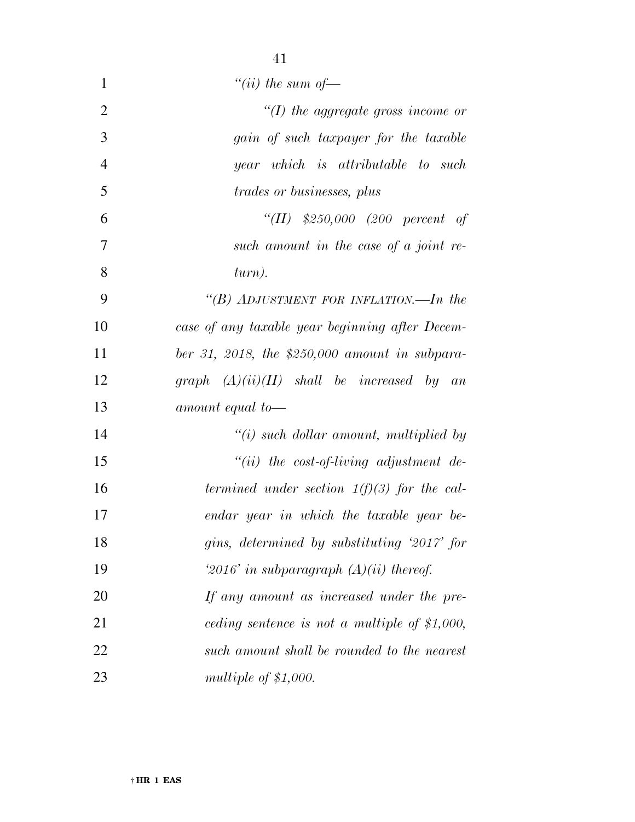| $\mathbf{1}$   | "(ii) the sum of $-$                             |
|----------------|--------------------------------------------------|
| $\overline{2}$ | $\lq (I)$ the aggregate gross income or          |
| 3              | gain of such taxpayer for the taxable            |
| $\overline{4}$ | year which is attributable to such               |
| 5              | <i>trades or businesses, plus</i>                |
| 6              | "(II) $$250,000$ (200 percent of                 |
| 7              | such amount in the case of a joint re-           |
| 8              | turn).                                           |
| 9              | "(B) ADJUSTMENT FOR INFLATION.—In the            |
| 10             | case of any taxable year beginning after Decem-  |
| 11             | ber 31, 2018, the \$250,000 amount in subpara-   |
| 12             | graph $(A)(ii)(II)$ shall be increased by an     |
| 13             | amount equal to-                                 |
| 14             | $\tilde{f}(i)$ such dollar amount, multiplied by |
| 15             | $``(ii)$ the cost-of-living adjustment de-       |
| 16             | termined under section $1(f)(3)$ for the cal-    |
| 17             | endar year in which the taxable year be-         |
| 18             | gins, determined by substituting '2017' for      |
| 19             | '2016' in subparagraph $(A)(ii)$ thereof.        |
| 20             | If any amount as increased under the pre-        |
| 21             | ceding sentence is not a multiple of $$1,000$ ,  |
| 22             | such amount shall be rounded to the nearest      |
| 23             | multiple of $$1,000$ .                           |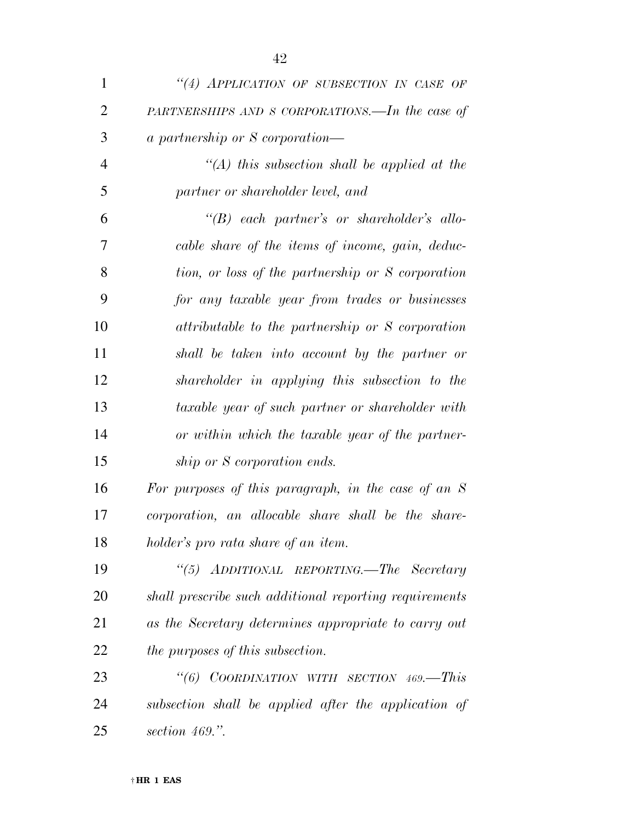| $\mathbf{1}$   | "(4) APPLICATION OF SUBSECTION IN CASE OF              |
|----------------|--------------------------------------------------------|
| $\overline{2}$ | PARTNERSHIPS AND S CORPORATIONS.—In the case of        |
| 3              | <i>a partnership or S corporation—</i>                 |
| $\overline{4}$ | "(A) this subsection shall be applied at the           |
| 5              | partner or shareholder level, and                      |
| 6              | $\lq\lq B$ each partner's or shareholder's allo-       |
| 7              | cable share of the items of income, gain, deduc-       |
| 8              | tion, or loss of the partnership or S corporation      |
| 9              | for any taxable year from trades or businesses         |
| 10             | attributable to the partnership or S corporation       |
| 11             | shall be taken into account by the partner or          |
| 12             | shareholder in applying this subsection to the         |
| 13             | taxable year of such partner or shareholder with       |
| 14             | or within which the taxable year of the partner-       |
| 15             | ship or S corporation ends.                            |
| 16             | For purposes of this paragraph, in the case of an $S$  |
| 17             | corporation, an allocable share shall be the share-    |
| 18             | holder's pro rata share of an item.                    |
| 19             | "(5) ADDITIONAL REPORTING.—The Secretary               |
| 20             | shall prescribe such additional reporting requirements |
| 21             | as the Secretary determines appropriate to carry out   |
| 22             | <i>the purposes of this subsection.</i>                |
| 23             | COORDINATION WITH SECTION 469.-This<br>$\frac{1}{6}$   |
| 24             | subsection shall be applied after the application of   |
| 25             | section $469$ .".                                      |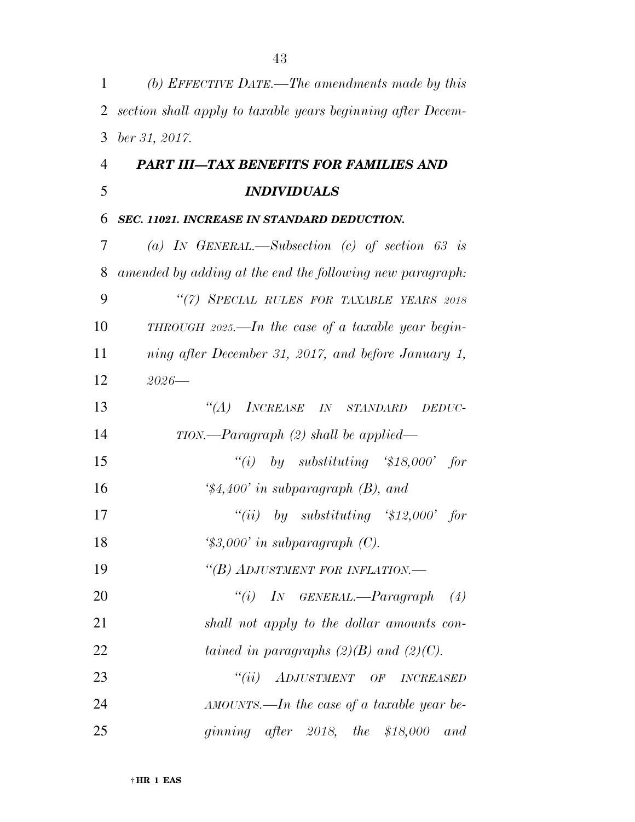| 1              | (b) EFFECTIVE DATE.—The amendments made by this             |
|----------------|-------------------------------------------------------------|
| 2              | section shall apply to taxable years beginning after Decem- |
| 3              | ber 31, 2017.                                               |
| $\overline{4}$ | <b>PART III-TAX BENEFITS FOR FAMILIES AND</b>               |
| 5              | <i><b>INDIVIDUALS</b></i>                                   |
| 6              | SEC. 11021. INCREASE IN STANDARD DEDUCTION.                 |
| 7              | (a) IN GENERAL.—Subsection (c) of section 63 is             |
| 8              | amended by adding at the end the following new paragraph:   |
| 9              | "(7) SPECIAL RULES FOR TAXABLE YEARS 2018                   |
| 10             | THROUGH 2025.—In the case of a taxable year begin-          |
| 11             | ning after December 31, 2017, and before January 1,         |
| 12             | $2026 -$                                                    |
| 13             | $\lq(A)$<br>INCREASE IN STANDARD<br>DEDUC-                  |
| 14             | $TION. \text{—} Paragraph (2) shall be applied \text{—}$    |
| 15             | ``(i)<br>by substituting $$18,000'$ for                     |
| 16             | $\frac{4}{34,400}$ in subparagraph (B), and                 |
| 17             | by substituting $$12,000$ for<br>``(ii)                     |
| 18             | $\text{\textdegree{*}}3,000'$ in subparagraph (C).          |
| 19             | "(B) ADJUSTMENT FOR INFLATION.-                             |
| 20             | "(i) IN GENERAL.—Paragraph (4)                              |
| 21             | shall not apply to the dollar amounts con-                  |
| 22             | tained in paragraphs $(2)(B)$ and $(2)(C)$ .                |
| 23             | ``(ii)<br>ADJUSTMENT OF INCREASED                           |
| 24             | $AMOUNTS.$ —In the case of a taxable year be-               |
| 25             | ginning after 2018, the $$18,000$ and                       |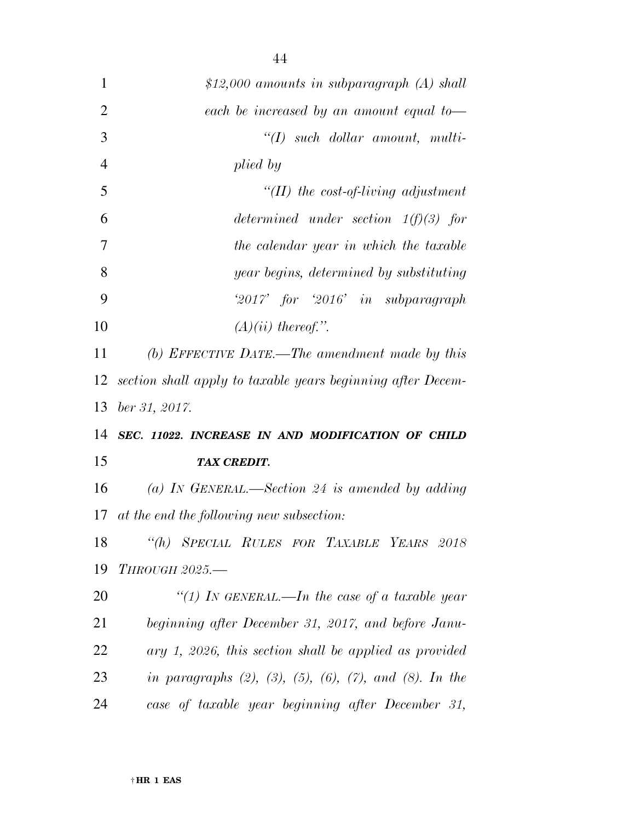| $\mathbf{1}$   | \$12,000 amounts in subparagraph $(A)$ shall                             |
|----------------|--------------------------------------------------------------------------|
| $\overline{2}$ | each be increased by an amount equal to-                                 |
| 3              | $\lq (I)$ such dollar amount, multi-                                     |
| $\overline{4}$ | plied by                                                                 |
| 5              | $\lq (II)$ the cost-of-living adjustment                                 |
| 6              | determined under section $1(f)(3)$ for                                   |
| 7              | the calendar year in which the taxable                                   |
| 8              | year begins, determined by substituting                                  |
| 9              | $2017'$ for $2016'$ in subparagraph                                      |
| 10             | $(A)(ii)$ thereof.".                                                     |
| 11             | (b) EFFECTIVE DATE.—The amendment made by this                           |
| 12             | section shall apply to taxable years beginning after Decem-              |
| 13             |                                                                          |
|                | ber 31, 2017.                                                            |
| 14             | SEC. 11022. INCREASE IN AND MODIFICATION OF CHILD                        |
| 15             | <b>TAX CREDIT.</b>                                                       |
| 16             | (a) IN GENERAL.—Section 24 is amended by adding                          |
| 17             | at the end the following new subsection:                                 |
| 18             | "(h) SPECIAL RULES FOR TAXABLE YEARS 2018                                |
| 19             | <b>THROUGH 2025.-</b>                                                    |
| 20             | "(1) In GENERAL.—In the case of a taxable year                           |
| 21             | beginning after December 31, 2017, and before Janu-                      |
| 22             | $ary 1, 2026, this section shall be applied as provided$                 |
| 23             | in paragraphs $(2)$ , $(3)$ , $(5)$ , $(6)$ , $(7)$ , and $(8)$ . In the |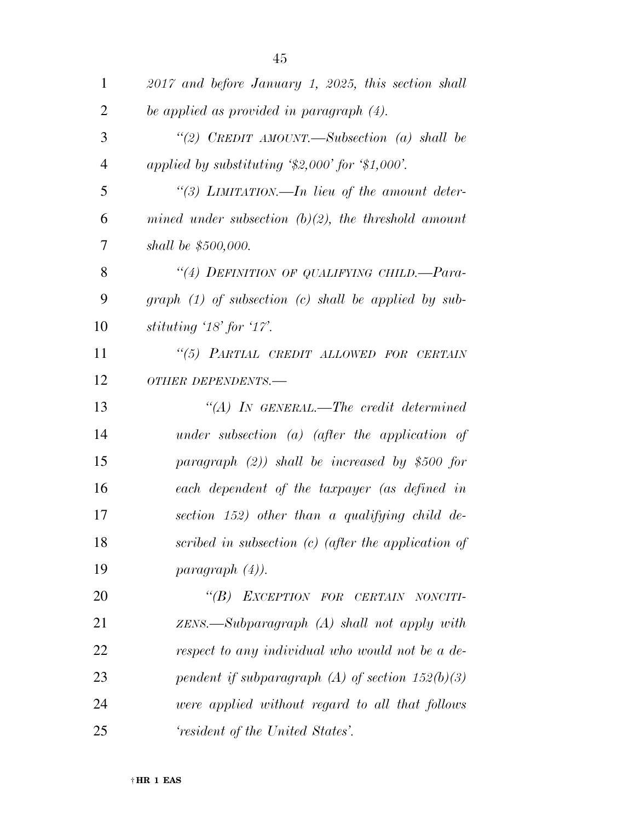| $\mathbf{1}$   | 2017 and before January 1, 2025, this section shall    |
|----------------|--------------------------------------------------------|
| $\overline{2}$ | be applied as provided in paragraph $(4)$ .            |
| 3              | "(2) CREDIT AMOUNT.—Subsection (a) shall be            |
| $\overline{4}$ | applied by substituting $\$2,000'$ for $\$1,000'$ .    |
| 5              | "(3) LIMITATION.—In lieu of the amount deter-          |
| 6              | mined under subsection $(b)(2)$ , the threshold amount |
| 7              | shall be \$500,000.                                    |
| 8              | "(4) DEFINITION OF QUALIFYING CHILD.—Para-             |
| 9              | $graph (1)$ of subsection (c) shall be applied by sub- |
| 10             | stituting $18'$ for $17'.$                             |
| 11             | "(5) PARTIAL CREDIT ALLOWED FOR CERTAIN                |
| 12             | OTHER DEPENDENTS.-                                     |
| 13             | $\lq\lq (A)$ In GENERAL.—The credit determined         |
| 14             | under subsection $(a)$ (after the application of       |
| 15             | paragraph $(2)$ ) shall be increased by \$500 for      |
| 16             | each dependent of the taxpayer (as defined in          |
| 17             | section 152) other than a qualifying child de-         |
| 18             | scribed in subsection $(c)$ (after the application of  |
| 19             | paragnath (4).                                         |
| 20             | "(B) EXCEPTION FOR CERTAIN NONCITI-                    |
| 21             | $ZENS.$ Subparagraph $(A)$ shall not apply with        |
| 22             | respect to any individual who would not be a de-       |
| 23             | pendent if subparagraph (A) of section $152(b)(3)$     |
| 24             | were applied without regard to all that follows        |
| 25             | 'resident of the United States'.                       |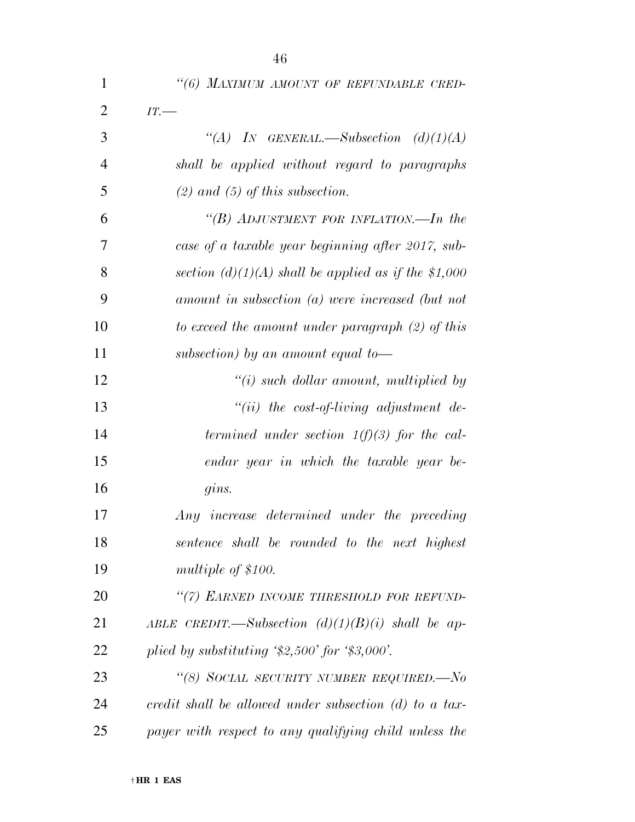| 1              | "(6) MAXIMUM AMOUNT OF REFUNDABLE CRED-                         |
|----------------|-----------------------------------------------------------------|
| $\overline{2}$ | IT.                                                             |
| 3              | "(A) IN GENERAL.—Subsection $(d)(1)(A)$                         |
| $\overline{4}$ | shall be applied without regard to paragraphs                   |
| 5              | $(2)$ and $(5)$ of this subsection.                             |
| 6              | "(B) ADJUSTMENT FOR INFLATION.—In the                           |
| 7              | case of a taxable year beginning after 2017, sub-               |
| 8              | section $(d)(1)(A)$ shall be applied as if the \$1,000          |
| 9              | amount in subsection (a) were increased (but not                |
| 10             | to exceed the amount under paragraph $(2)$ of this              |
| 11             | subsection) by an amount equal to-                              |
| 12             | $\lq\lq(i)$ such dollar amount, multiplied by                   |
| 13             | $"(ii)$ the cost-of-living adjustment de-                       |
| 14             | termined under section $1(f)(3)$ for the cal-                   |
| 15             | endar year in which the taxable year be-                        |
| 16             | gins.                                                           |
| 17             | Any increase determined under the preceding                     |
| 18             | sentence shall be rounded to the next highest                   |
| 19             | multiple of \$100.                                              |
| <b>20</b>      | "(7) EARNED INCOME THRESHOLD FOR REFUND-                        |
| 21             | ABLE CREDIT.—Subsection $(d)(1)(B)(i)$ shall be ap-             |
| 22             | plied by substituting $\frac{1}{2},500$ for $\frac{1}{3},000$ . |
| 23             | "(8) SOCIAL SECURITY NUMBER REQUIRED.—No                        |
| 24             | credit shall be allowed under subsection $(d)$ to a tax-        |
| 25             | payer with respect to any qualifying child unless the           |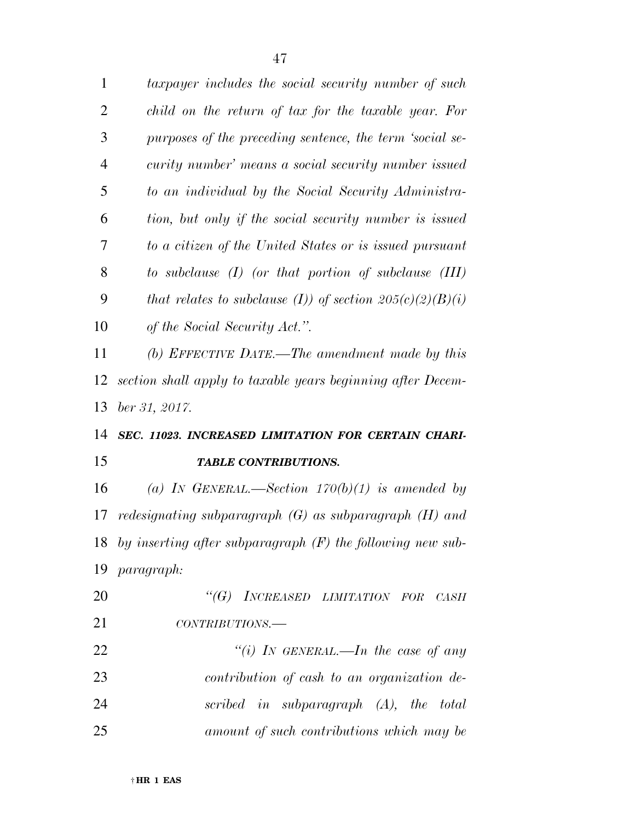| $\mathbf{1}$   | taxpayer includes the social security number of such            |
|----------------|-----------------------------------------------------------------|
| 2              | child on the return of tax for the taxable year. For            |
| 3              | purposes of the preceding sentence, the term 'social se-        |
| $\overline{4}$ | curity number' means a social security number issued            |
| 5              | to an individual by the Social Security Administra-             |
| 6              | tion, but only if the social security number is issued          |
| 7              | to a citizen of the United States or is issued pursuant         |
| 8              | to subclause $(I)$ (or that portion of subclause $(III)$        |
| 9              | that relates to subclause (I)) of section $205(c)(2)(B)(i)$     |
| 10             | of the Social Security Act.".                                   |
| 11             | (b) EFFECTIVE DATE.—The amendment made by this                  |
| 12             | section shall apply to taxable years beginning after Decem-     |
| 13             | ber 31, 2017.                                                   |
| 14             | SEC. 11023. INCREASED LIMITATION FOR CERTAIN CHARI-             |
| 15             | <b>TABLE CONTRIBUTIONS.</b>                                     |
| 16             | (a) IN GENERAL.—Section $170(b)(1)$ is amended by               |
| 17             | redesignating subparagraph $(G)$ as subparagraph $(H)$ and      |
|                | 18 by inserting after subparagraph $(F)$ the following new sub- |
| 19             | <i>paragraph:</i>                                               |
| 20             | "(G) INCREASED LIMITATION FOR CASH                              |
| 21             | $CONTRIBUTIONS$ .                                               |
| 22             | "(i) IN GENERAL.—In the case of any                             |
| 23             | contribution of cash to an organization de-                     |
| 24             | scribed in subparagraph $(A)$ , the total                       |
| 25             | amount of such contributions which may be                       |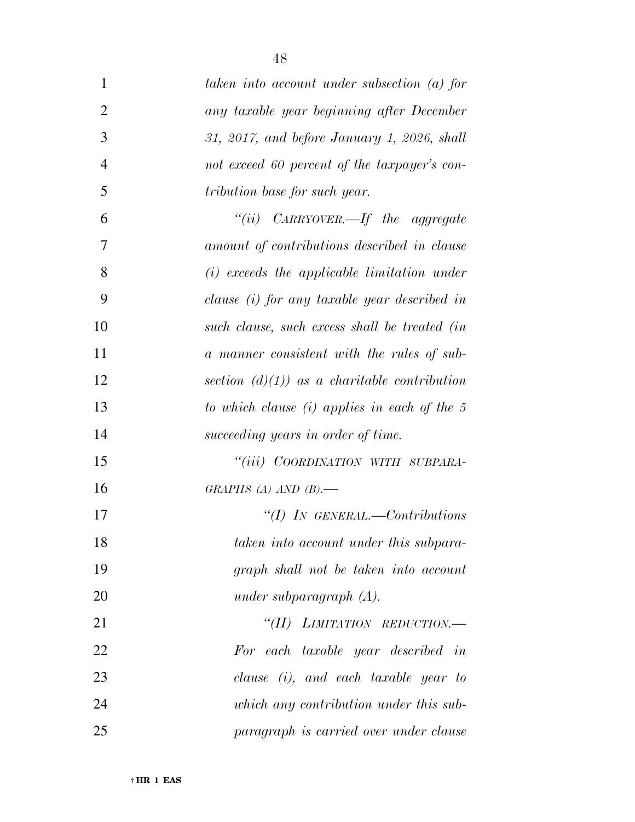| $\mathbf{1}$   | taken into account under subsection (a) for    |
|----------------|------------------------------------------------|
| $\overline{2}$ | any taxable year beginning after December      |
| 3              | 31, 2017, and before January 1, 2026, shall    |
| $\overline{4}$ | not exceed 60 percent of the taxpayer's con-   |
| 5              | tribution base for such year.                  |
| 6              | "(ii) $C_{ARRY OVER.}$ the aggregate           |
| 7              | amount of contributions described in clause    |
| 8              | $(i)$ exceeds the applicable limitation under  |
| 9              | clause (i) for any taxable year described in   |
| 10             | such clause, such excess shall be treated (in  |
| 11             | a manner consistent with the rules of sub-     |
| 12             | section $(d)(1)$ as a charitable contribution  |
| 13             | to which clause $(i)$ applies in each of the 5 |
| 14             | succeeding years in order of time.             |
| 15             | "(iii) COORDINATION WITH SUBPARA-              |
| 16             | GRAPHS (A) AND $(B)$ .                         |
| 17             | $\lq (I)$ In GENERAL.—Contributions            |
| 18             | taken into account under this subpara-         |
| 19             | graph shall not be taken into account          |
| 20             | under subparagraph $(A)$ .                     |
| 21             | "(II) LIMITATION REDUCTION.-                   |
| 22             | For each taxable year described in             |
| 23             | clause $(i)$ , and each taxable year to        |
| 24             | which any contribution under this sub-         |
| 25             | paragraph is carried over under clause         |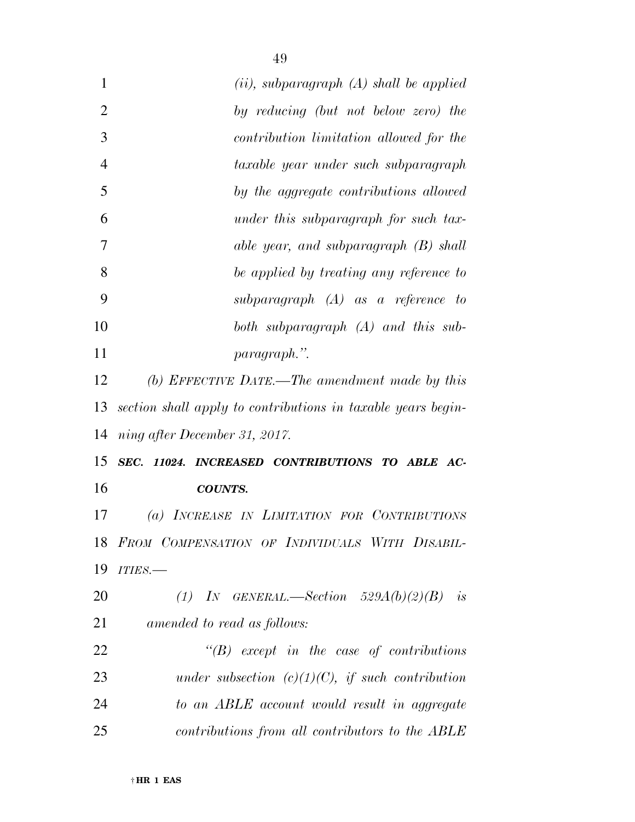| $\mathbf{1}$   | $(ii)$ , subparagraph $(A)$ shall be applied                 |
|----------------|--------------------------------------------------------------|
| $\overline{2}$ | by reducing (but not below zero) the                         |
| 3              | contribution limitation allowed for the                      |
| $\overline{4}$ | taxable year under such subparagraph                         |
| 5              | by the aggregate contributions allowed                       |
| 6              | under this subparagraph for such tax-                        |
| 7              | able year, and subparagraph (B) shall                        |
| 8              | be applied by treating any reference to                      |
| 9              | subparagraph $(A)$ as a reference to                         |
| 10             | both subparagraph (A) and this sub-                          |
| 11             | paragraph.".                                                 |
| 12             | (b) EFFECTIVE DATE.—The amendment made by this               |
| 13             | section shall apply to contributions in taxable years begin- |
| 14             | ning after December 31, 2017.                                |
| 15             | SEC. 11024. INCREASED CONTRIBUTIONS TO ABLE AC-              |
| 16             | <b>COUNTS.</b>                                               |
| 17             | (a) INCREASE IN LIMITATION FOR CONTRIBUTIONS                 |
| 18             | FROM COMPENSATION OF INDIVIDUALS WITH DISABIL-               |
| 19             | ITIES.-                                                      |
| 20             | (1) IN GENERAL.—Section $529A(b)(2)(B)$ is                   |
| 21             | amended to read as follows:                                  |
| 22             | $\lq\lq B$ except in the case of contributions               |
| 23             | under subsection $(c)(1)(C)$ , if such contribution          |
| 24             | to an ABLE account would result in aggregate                 |
| 25             | contributions from all contributors to the ABLE              |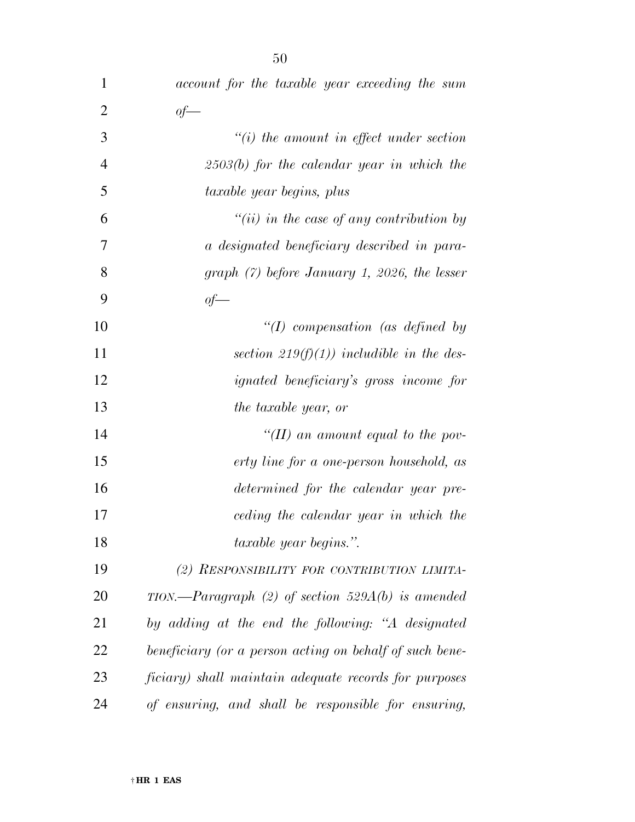| $\mathbf{1}$   | account for the taxable year exceeding the sum          |
|----------------|---------------------------------------------------------|
| $\overline{2}$ | of                                                      |
| 3              | $"(i)$ the amount in effect under section               |
| $\overline{4}$ | $2503(b)$ for the calendar year in which the            |
| 5              | taxable year begins, plus                               |
| 6              | $``(ii)$ in the case of any contribution by             |
| 7              | a designated beneficiary described in para-             |
| 8              | graph $(7)$ before January 1, 2026, the lesser          |
| 9              | $of-$                                                   |
| 10             | "(I) compensation (as defined by                        |
| 11             | section 219(f)(1)) includible in the des-               |
| 12             | <i>ignated beneficiary's gross income for</i>           |
| 13             | the taxable year, or                                    |
| 14             | "(II) an amount equal to the pov-                       |
| 15             | erty line for a one-person household, as                |
| 16             | determined for the calendar year pre-                   |
| 17             | ceding the calendar year in which the                   |
| 18             | <i>taxable year begins.</i> ".                          |
| 19             | (2) RESPONSIBILITY FOR CONTRIBUTION LIMITA-             |
| 20             | $TION. - Paragraph$ (2) of section 529A(b) is amended   |
| 21             | by adding at the end the following: "A designated       |
| 22             | beneficiary (or a person acting on behalf of such bene- |
| 23             | ficiary) shall maintain adequate records for purposes   |
| 24             | of ensuring, and shall be responsible for ensuring,     |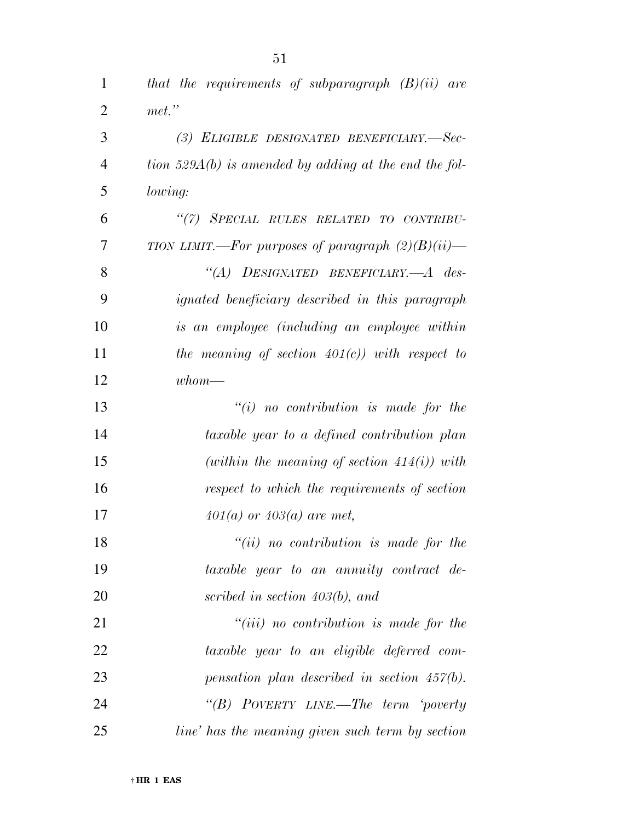| $\mathbf{1}$   | that the requirements of subparagraph $(B)(ii)$ are     |
|----------------|---------------------------------------------------------|
| $\overline{2}$ | $met.$ "                                                |
| 3              | (3) ELIGIBLE DESIGNATED BENEFICIARY.-Sec-               |
| $\overline{4}$ | tion $529A(b)$ is amended by adding at the end the fol- |
| 5              | <i>lowing:</i>                                          |
| 6              | "(7) SPECIAL RULES RELATED TO CONTRIBU-                 |
| 7              | TION LIMIT.—For purposes of paragraph $(2)(B)(ii)$ —    |
| 8              | "(A) DESIGNATED BENEFICIARY.—A des-                     |
| 9              | <i>ignated beneficiary described in this paragraph</i>  |
| 10             | is an employee (including an employee within            |
| 11             | the meaning of section $401(c)$ ) with respect to       |
| 12             | $whom$ —                                                |
| 13             | $``(i)$ no contribution is made for the                 |
| 14             | taxable year to a defined contribution plan             |
| 15             | (within the meaning of section $414(i)$ ) with          |
| 16             | respect to which the requirements of section            |
| 17             | $401(a)$ or $403(a)$ are met,                           |
| 18             | $``(ii)$ no contribution is made for the                |
| 19             | taxable year to an annuity contract de-                 |
| 20             | scribed in section $403(b)$ , and                       |
| 21             | $``(iii)$ no contribution is made for the               |
| 22             | taxable year to an eligible deferred com-               |
| 23             | pensation plan described in section $457(b)$ .          |
| 24             | "(B) POVERTY LINE.—The term 'poverty                    |
| 25             | line' has the meaning given such term by section        |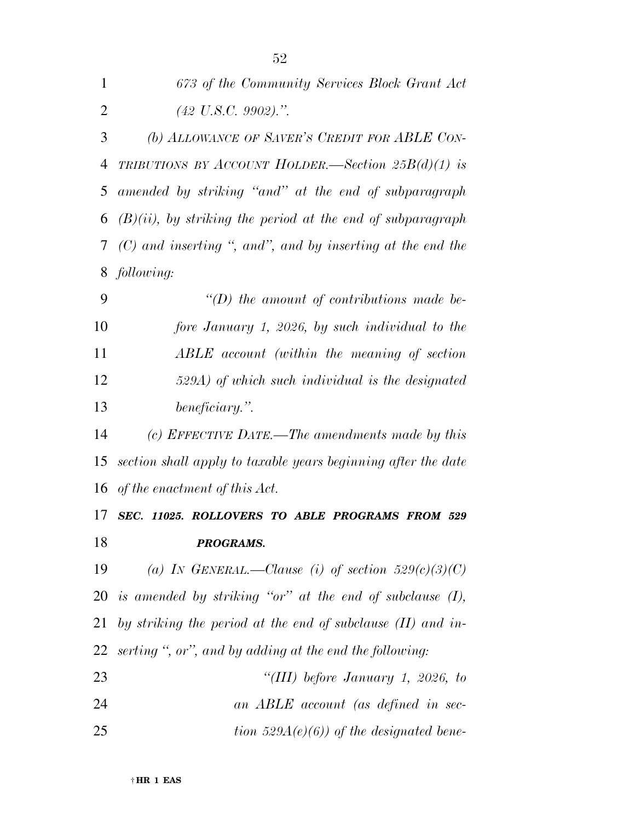| $\mathbf{1}$   | 673 of the Community Services Block Grant Act                  |
|----------------|----------------------------------------------------------------|
| $\overline{2}$ | $(42 \text{ U.S.C. } 9902).$ ".                                |
| 3              | (b) ALLOWANCE OF SAVER'S CREDIT FOR ABLE CON-                  |
| 4              | TRIBUTIONS BY ACCOUNT HOLDER.—Section $25B(d)(1)$ is           |
| 5              | amended by striking "and" at the end of subparagraph           |
| 6              | $(B)(ii)$ , by striking the period at the end of subparagraph  |
| 7              | $(C)$ and inserting ", and", and by inserting at the end the   |
| 8              | following:                                                     |
| 9              | $\lq\lq(D)$ the amount of contributions made be-               |
| 10             | fore January 1, 2026, by such individual to the                |
| 11             | ABLE account (within the meaning of section                    |
| 12             | 529A) of which such individual is the designated               |
| 13             | beneficiary.".                                                 |
| 14             | (c) EFFECTIVE DATE.—The amendments made by this                |
| 15             | section shall apply to taxable years beginning after the date  |
|                | 16 of the enactment of this Act.                               |
| 17             | SEC. 11025. ROLLOVERS TO ABLE PROGRAMS FROM 529                |
| 18             | PROGRAMS.                                                      |
| 19             | (a) IN GENERAL.—Clause (i) of section $529(c)(3)(C)$           |
|                | 20 is amended by striking "or" at the end of subclause $(I)$ , |
| 21             | by striking the period at the end of subclause $(II)$ and in-  |
| 22             | serting ", or", and by adding at the end the following:        |
| 23             | "(III) before January 1, 2026, to                              |
| 24             | an ABLE account (as defined in sec-                            |
| 25             | tion 529 $A(e)(6)$ of the designated bene-                     |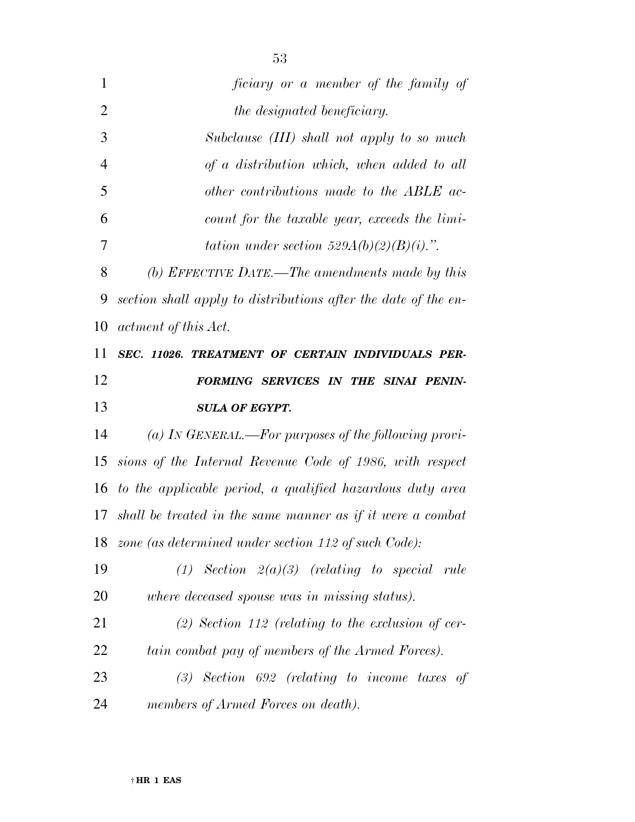| $\mathbf{1}$   | ficiary or a member of the family of                           |
|----------------|----------------------------------------------------------------|
| $\overline{2}$ | the designated beneficiary.                                    |
| 3              | Subclause (III) shall not apply to so much                     |
| $\overline{4}$ | of a distribution which, when added to all                     |
| 5              | other contributions made to the ABLE ac-                       |
| 6              | count for the taxable year, exceeds the limi-                  |
| 7              | tation under section $529A(b)(2)(B)(i)$ .".                    |
| 8              | (b) EFFECTIVE DATE.—The amendments made by this                |
| 9              | section shall apply to distributions after the date of the en- |
| 10             | actment of this Act.                                           |
| 11             | SEC. 11026. TREATMENT OF CERTAIN INDIVIDUALS PER-              |
| 12             | FORMING SERVICES IN THE SINAI PENIN-                           |
| 13             | <b>SULA OF EGYPT.</b>                                          |
| 14             | (a) In GENERAL.—For purposes of the following provi-           |
| 15             | sions of the Internal Revenue Code of 1986, with respect       |
| 16             | to the applicable period, a qualified hazardous duty area      |
|                | 17 shall be treated in the same manner as if it were a combat  |
|                | 18 zone (as determined under section 112 of such Code):        |
| 19             | $(1)$ Section $2(a)(3)$ (relating to special rule              |
| 20             | where deceased spouse was in missing status).                  |
| 21             | $(2)$ Section 112 (relating to the exclusion of cer-           |
| 22             | tain combat pay of members of the Armed Forces).               |
| 23             |                                                                |
|                | $(3)$ Section 692 (relating to income taxes of                 |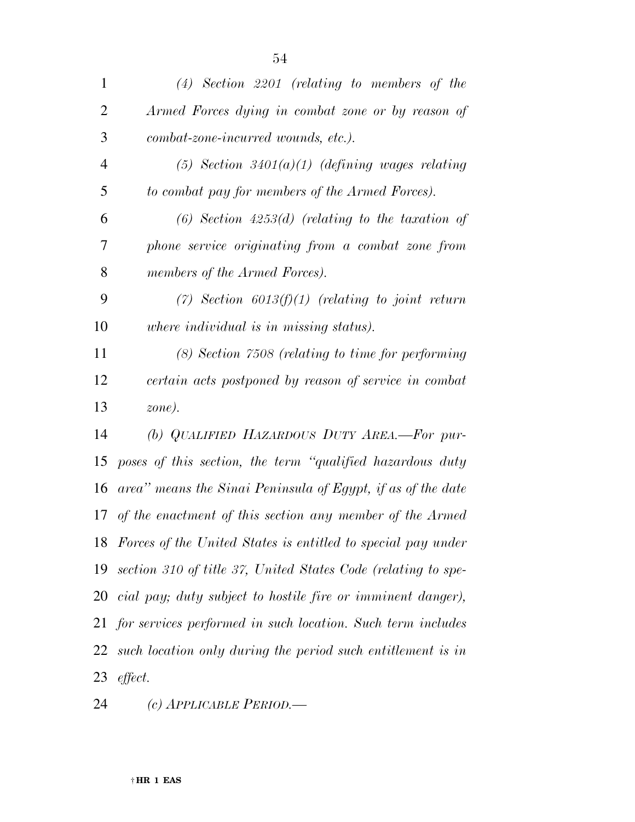| $\mathbf{1}$   | $(4)$ Section 2201 (relating to members of the                |
|----------------|---------------------------------------------------------------|
| $\overline{2}$ | Armed Forces dying in combat zone or by reason of             |
| 3              | combat-zone-incurred wounds, etc.).                           |
| $\overline{4}$ | $(5)$ Section 3401 $(a)(1)$ (defining wages relating          |
| 5              | to combat pay for members of the Armed Forces).               |
| 6              | $(6)$ Section 4253 $(d)$ (relating to the taxation of         |
| 7              | phone service originating from a combat zone from             |
| 8              | members of the Armed Forces).                                 |
| 9              | (7) Section $6013(f)(1)$ (relating to joint return            |
| 10             | where individual is in missing status).                       |
| 11             | (8) Section 7508 (relating to time for performing             |
| 12             | certain acts postponed by reason of service in combat         |
| 13             | zone).                                                        |
| 14             | (b) QUALIFIED HAZARDOUS DUTY AREA.-For pur-                   |
| 15             | poses of this section, the term "qualified hazardous duty     |
| 16             | area" means the Sinai Peninsula of Egypt, if as of the date   |
| 17             | of the enactment of this section any member of the Armed      |
| 18             | Forces of the United States is entitled to special pay under  |
| 19             | section 310 of title 37, United States Code (relating to spe- |
| 20             | cial pay; duty subject to hostile fire or imminent danger),   |
| 21             | for services performed in such location. Such term includes   |
| 22             | such location only during the period such entitlement is in   |
| 23             | effect.                                                       |

*(c) APPLICABLE PERIOD.—*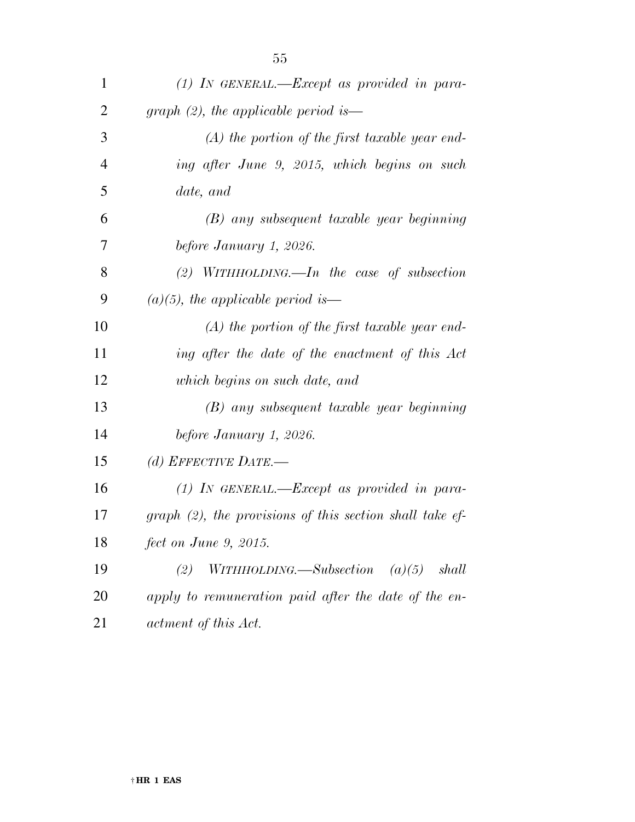| 1              | $(1)$ IN GENERAL.—Except as provided in para-                   |
|----------------|-----------------------------------------------------------------|
| 2              | graph $(2)$ , the applicable period is—                         |
| 3              | $(A)$ the portion of the first taxable year end-                |
| $\overline{4}$ | ing after June 9, 2015, which begins on such                    |
| 5              | date, and                                                       |
| 6              | (B) any subsequent taxable year beginning                       |
| 7              | before January 1, 2026.                                         |
| 8              | (2) WITHHOLDING.—In the case of subsection                      |
| 9              | $(a)(5)$ , the applicable period is—                            |
| 10             | $(A)$ the portion of the first taxable year end-                |
| 11             | ing after the date of the enactment of this Act                 |
| 12             | which begins on such date, and                                  |
| 13             | (B) any subsequent taxable year beginning                       |
| 14             | before January 1, 2026.                                         |
| 15             | (d) EFFECTIVE DATE.—                                            |
| 16             | $(1)$ In GENERAL.—Except as provided in para-                   |
| 17             | $graph (2)$ , the provisions of this section shall take ef-     |
| 18             | fect on June 9, 2015.                                           |
| 19             | shall<br>$WITHHOLDING. \text{—} Subsection \quad (a)(5)$<br>(2) |
| 20             | apply to remuneration paid after the date of the en-            |
| 21             | actment of this Act.                                            |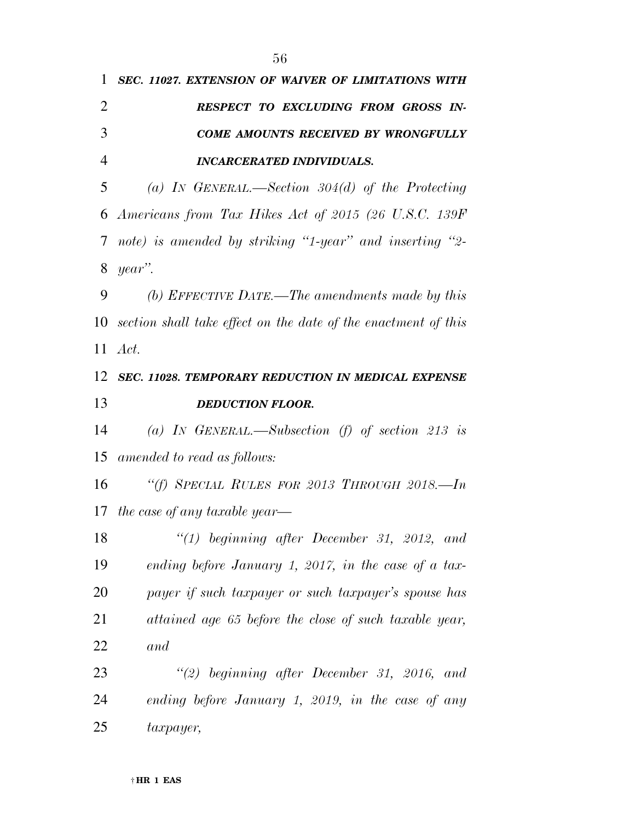| 1              | SEC. 11027. EXTENSION OF WAIVER OF LIMITATIONS WITH               |
|----------------|-------------------------------------------------------------------|
| $\overline{2}$ | RESPECT TO EXCLUDING FROM GROSS IN-                               |
| 3              | <b>COME AMOUNTS RECEIVED BY WRONGFULLY</b>                        |
| $\overline{4}$ | <b>INCARCERATED INDIVIDUALS.</b>                                  |
| 5              | (a) IN GENERAL.—Section $304(d)$ of the Protecting                |
| 6              | Americans from Tax Hikes Act of 2015 (26 U.S.C. 139F)             |
| 7              | note) is amended by striking "1-year" and inserting "2-           |
| 8              | year".                                                            |
| 9              | (b) EFFECTIVE DATE.—The amendments made by this                   |
|                | 10 section shall take effect on the date of the enactment of this |
| 11             | Act.                                                              |
| 12             | SEC. 11028. TEMPORARY REDUCTION IN MEDICAL EXPENSE                |
| 13             | <b>DEDUCTION FLOOR.</b>                                           |
| 14             | (a) IN GENERAL.—Subsection (f) of section 213 is                  |
| 15             | amended to read as follows:                                       |
| 16             | "(f) SPECIAL RULES FOR 2013 THROUGH 2018.—In                      |
|                | 17 the case of any taxable year—                                  |
| 18             | $\lq(1)$ beginning after December 31, 2012, and                   |
| 19             | ending before January 1, 2017, in the case of a tax-              |
| 20             | payer if such taxpayer or such taxpayer's spouse has              |
| 21             | attained age 65 before the close of such taxable year,            |
| 22             | and                                                               |
| 23             | $\lq(2)$ beginning after December 31, 2016, and                   |
| 24             | ending before January 1, 2019, in the case of any                 |
| 25             | taxpayer,                                                         |
|                |                                                                   |

*Act.* 

*and* 

*taxpayer,*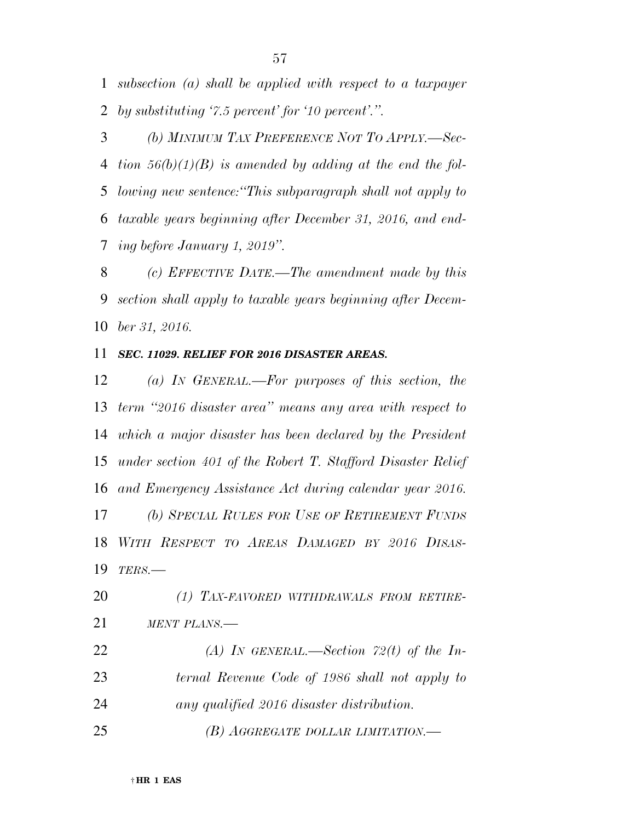*subsection (a) shall be applied with respect to a taxpayer by substituting '7.5 percent' for '10 percent'.''.* 

 *(b) MINIMUM TAX PREFERENCE NOT TO APPLY.—Sec- tion 56(b)(1)(B) is amended by adding at the end the fol- lowing new sentence:''This subparagraph shall not apply to taxable years beginning after December 31, 2016, and end-ing before January 1, 2019''.* 

 *(c) EFFECTIVE DATE.—The amendment made by this section shall apply to taxable years beginning after Decem-ber 31, 2016.* 

## *SEC. 11029. RELIEF FOR 2016 DISASTER AREAS.*

 *(a) IN GENERAL.—For purposes of this section, the term ''2016 disaster area'' means any area with respect to which a major disaster has been declared by the President under section 401 of the Robert T. Stafford Disaster Relief and Emergency Assistance Act during calendar year 2016. (b) SPECIAL RULES FOR USE OF RETIREMENT FUNDS WITH RESPECT TO AREAS DAMAGED BY 2016 DISAS-TERS.—* 

 *(1) TAX-FAVORED WITHDRAWALS FROM RETIRE- MENT PLANS.— (A) IN GENERAL.—Section 72(t) of the In- ternal Revenue Code of 1986 shall not apply to any qualified 2016 disaster distribution. (B) AGGREGATE DOLLAR LIMITATION.—*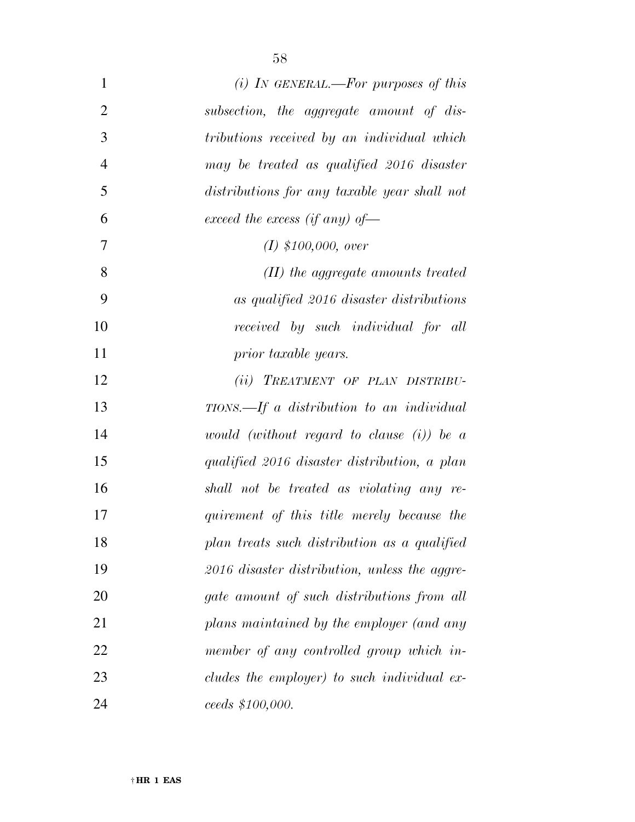| $\mathbf{1}$   | (i) In GENERAL.—For purposes of this          |
|----------------|-----------------------------------------------|
| $\overline{2}$ | subsection, the aggregate amount of dis-      |
| 3              | tributions received by an individual which    |
| $\overline{4}$ | may be treated as qualified 2016 disaster     |
| 5              | distributions for any taxable year shall not  |
| 6              | exceed the excess (if any) of-                |
| 7              | $(I)$ \$100,000, over                         |
| 8              | $(II)$ the aggregate amounts treated          |
| 9              | as qualified 2016 disaster distributions      |
| 10             | received by such individual for all           |
| 11             | prior taxable years.                          |
| 12             | (ii) TREATMENT OF PLAN DISTRIBU-              |
| 13             | TIONS.—If a distribution to an individual     |
| 14             | would (without regard to clause $(i)$ ) be a  |
| 15             | qualified 2016 disaster distribution, a plan  |
| 16             | shall not be treated as violating any re-     |
| 17             | quirement of this title merely because the    |
| 18             | plan treats such distribution as a qualified  |
| 19             | 2016 disaster distribution, unless the aggre- |
| 20             | gate amount of such distributions from all    |
| 21             | plans maintained by the employer (and any     |
| 22             | member of any controlled group which in-      |
| 23             | cludes the employer) to such individual ex-   |
| 24             | ceeds \$100,000.                              |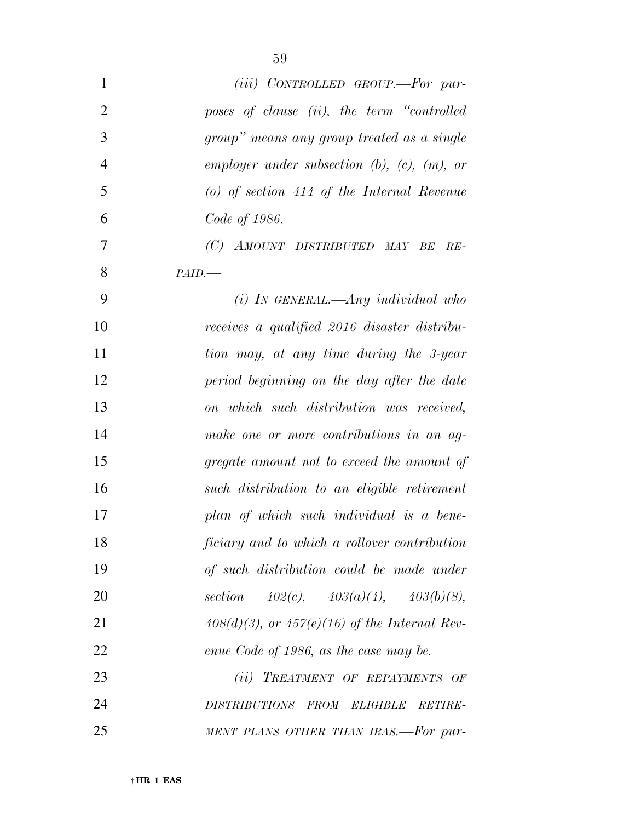| $\mathbf{1}$   | $(iii)$ CONTROLLED GROUP.—For pur-                                       |
|----------------|--------------------------------------------------------------------------|
| $\overline{2}$ | poses of clause (ii), the term "controlled                               |
| 3              | group" means any group treated as a single                               |
| $\overline{4}$ | employer under subsection $(b)$ , $(c)$ , $(m)$ , or                     |
| 5              | (o) of section $414$ of the Internal Revenue                             |
| 6              | Code of 1986.                                                            |
| 7              | (C) AMOUNT DISTRIBUTED MAY BE<br>$RE-$                                   |
| 8              | PAID.                                                                    |
| 9              | $(i)$ In GENERAL.—Any individual who                                     |
| 10             | receives a qualified 2016 disaster distribu-                             |
| 11             | tion may, at any time during the 3-year                                  |
| 12             | period beginning on the day after the date                               |
| 13             | on which such distribution was received,                                 |
| 14             | make one or more contributions in an ag-                                 |
| 15             | gregate amount not to exceed the amount of                               |
| 16             | such distribution to an eligible retirement                              |
| 17             | plan of which such individual is a bene-                                 |
| 18             | ficiary and to which a rollover contribution                             |
| 19             | of such distribution could be made under                                 |
| 20             | section $402(c)$ , $403(a)(4)$ , $403(b)(8)$ ,                           |
| 21             | $408(d)(3)$ , or $457(e)(16)$ of the Internal Rev-                       |
| 22             | enue Code of 1986, as the case may be.                                   |
| 23             | (ii) TREATMENT OF REPAYMENTS OF                                          |
| 24             | <b>FROM</b><br><i>DISTRIBUTIONS</i><br><b>ELIGIBLE</b><br><b>RETIRE-</b> |
| 25             | MENT PLANS OTHER THAN IRAS.-For pur-                                     |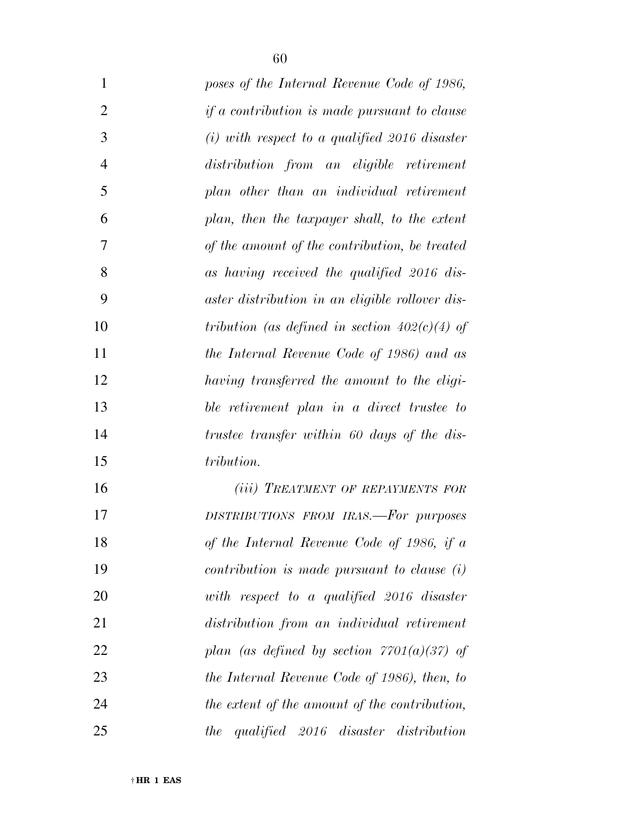| 1              | poses of the Internal Revenue Code of 1986,         |
|----------------|-----------------------------------------------------|
| $\overline{2}$ | <i>if a contribution is made pursuant to clause</i> |
| 3              | $(i)$ with respect to a qualified 2016 disaster     |
| $\overline{4}$ | distribution from an eligible retirement            |
| 5              | plan other than an individual retirement            |
| 6              | plan, then the taxpayer shall, to the extent        |
| 7              | of the amount of the contribution, be treated       |
| 8              | as having received the qualified 2016 dis-          |
| 9              | aster distribution in an eligible rollover dis-     |
| 10             | tribution (as defined in section $402(c)(4)$ of     |
| 11             | the Internal Revenue Code of 1986) and as           |
| 12             | having transferred the amount to the eligi-         |
| 13             | ble retirement plan in a direct trustee to          |
| 14             | trustee transfer within 60 days of the dis-         |
| 15             | tribution.                                          |
| 16             | (iii) TREATMENT OF REPAYMENTS FOR                   |
| 17             | DISTRIBUTIONS FROM IRAS.-For purposes               |
| 18             | of the Internal Revenue Code of 1986, if a          |
| 19             | $contribution$ is made pursuant to clause $(i)$     |
| 20             | with respect to a qualified $2016$ disaster         |
| 21             | distribution from an individual retirement          |
|                |                                                     |

 *plan (as defined by section 7701(a)(37) of the Internal Revenue Code of 1986), then, to the extent of the amount of the contribution,* 

*the qualified 2016 disaster distribution*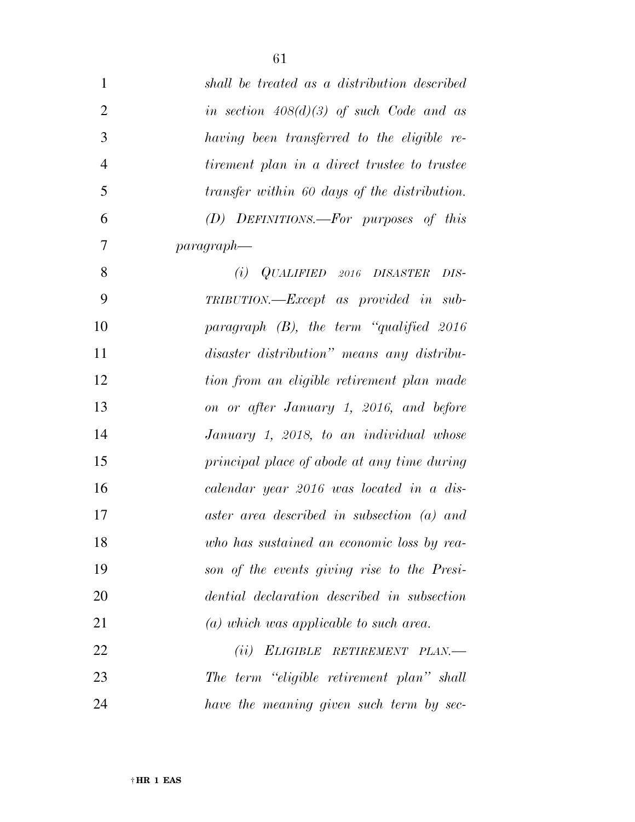| $\mathbf{1}$   | shall be treated as a distribution described |
|----------------|----------------------------------------------|
| $\overline{2}$ | in section $408(d)(3)$ of such Code and as   |
| 3              | having been transferred to the eligible re-  |
| $\overline{4}$ | tirement plan in a direct trustee to trustee |
| 5              | transfer within 60 days of the distribution. |
| 6              | (D) DEFINITIONS.—For purposes of this        |
| 7              | $paragnaph-$                                 |
| 8              | $(i)$ QUALIFIED 2016 DISASTER<br>DIS-        |
| 9              | TRIBUTION.—Except as provided in sub-        |
| 10             | paragraph $(B)$ , the term "qualified 2016"  |
| 11             | disaster distribution" means any distribu-   |
| 12             | tion from an eligible retirement plan made   |
| 13             | on or after January 1, 2016, and before      |
| 14             | January 1, 2018, to an individual whose      |
| 15             | principal place of abode at any time during  |
| 16             | calendar year 2016 was located in a dis-     |
| 17             | aster area described in subsection (a) and   |
| 18             | who has sustained an economic loss by rea-   |
| 19             | son of the events giving rise to the Presi-  |
| 20             | dential declaration described in subsection  |
| 21             | $(a)$ which was applicable to such area.     |
| 22             | ELIGIBLE RETIREMENT PLAN.<br>(ii)            |
| 23             | The term "eligible retirement plan" shall    |
| 24             | have the meaning given such term by sec-     |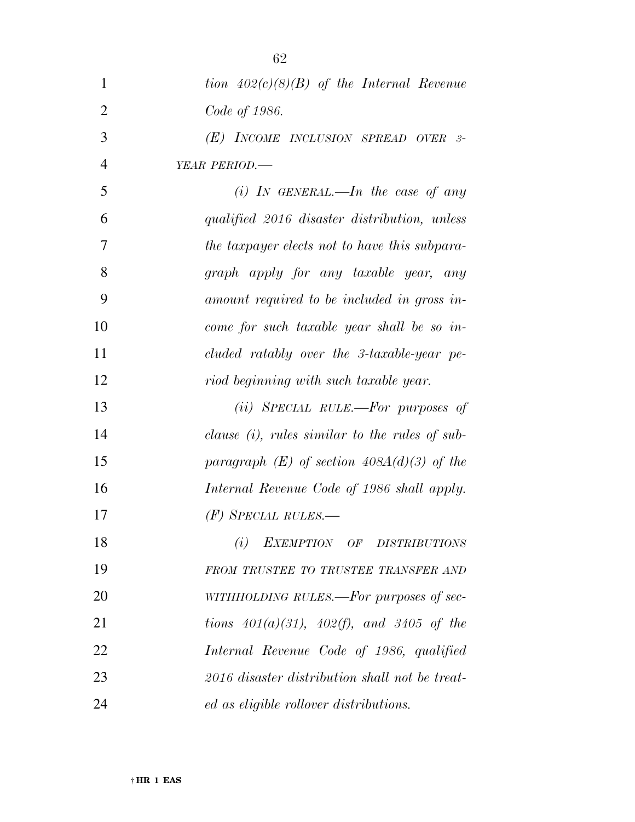| $\mathbf{1}$   | tion $402(c)(8)(B)$ of the Internal Revenue       |
|----------------|---------------------------------------------------|
| $\overline{2}$ | Code of 1986.                                     |
| 3              | (E) INCOME INCLUSION SPREAD OVER 3-               |
| $\overline{4}$ | YEAR PERIOD.-                                     |
| 5              | (i) IN GENERAL.—In the case of any                |
| 6              | qualified 2016 disaster distribution, unless      |
| 7              | the taxpayer elects not to have this subpara-     |
| 8              | graph apply for any taxable year, any             |
| 9              | amount required to be included in gross in-       |
| 10             | come for such taxable year shall be so in-        |
| 11             | cluded ratably over the 3-taxable-year pe-        |
| 12             | riod beginning with such taxable year.            |
| 13             | (ii) SPECIAL RULE.—For purposes of                |
| 14             | clause $(i)$ , rules similar to the rules of sub- |
| 15             | paragraph $(E)$ of section 408A(d)(3) of the      |
| 16             | Internal Revenue Code of 1986 shall apply.        |
| 17             | $(F)$ Special rules.—                             |
| 18             | EXEMPTION OF DISTRIBUTIONS<br>(i)                 |
| 19             | FROM TRUSTEE TO TRUSTEE TRANSFER AND              |
| 20             | WITHHOLDING RULES.—For purposes of sec-           |
| 21             | tions $401(a)(31)$ , $402(f)$ , and $3405$ of the |
| 22             | Internal Revenue Code of 1986, qualified          |
| 23             | 2016 disaster distribution shall not be treat-    |
| 24             | ed as eligible rollover distributions.            |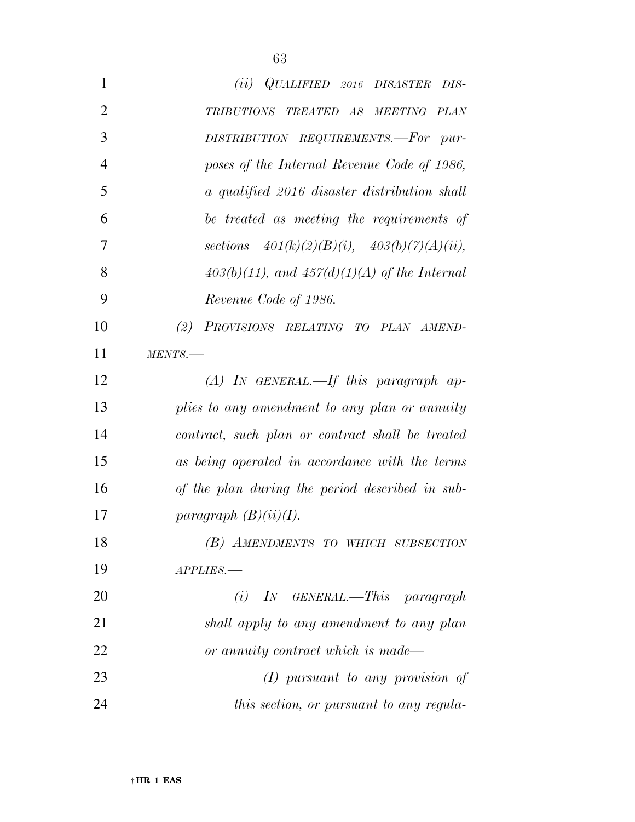| 1              | (ii) QUALIFIED 2016 DISASTER DIS-                 |
|----------------|---------------------------------------------------|
| $\overline{2}$ | TRIBUTIONS TREATED AS MEETING PLAN                |
| 3              | DISTRIBUTION REQUIREMENTS.-For pur-               |
| $\overline{4}$ | poses of the Internal Revenue Code of 1986,       |
| 5              | a qualified 2016 disaster distribution shall      |
| 6              | be treated as meeting the requirements of         |
| 7              | sections $401(k)(2)(B)(i)$ , $403(b)(7)(A)(ii)$ , |
| 8              | $403(b)(11)$ , and $457(d)(1)(A)$ of the Internal |
| 9              | Revenue Code of 1986.                             |
| 10             | PROVISIONS RELATING TO PLAN AMEND-<br>(2)         |
| 11             | MENTS.                                            |
| 12             | $(A)$ In GENERAL.—If this paragraph ap-           |
| 13             | plies to any amendment to any plan or annuity     |
| 14             | contract, such plan or contract shall be treated  |
| 15             | as being operated in accordance with the terms    |
| 16             | of the plan during the period described in sub-   |
| 17             | paragraph $(B)(ii)(I)$ .                          |
| 18             | (B) AMENDMENTS TO WHICH SUBSECTION                |
| 19             | APPLIES.-                                         |
| 20             | $(i)$ IN GENERAL.—This paragraph                  |
| 21             | shall apply to any amendment to any plan          |
| 22             | or annuity contract which is made—                |
| 23             | $(I)$ pursuant to any provision of                |
| 24             | this section, or pursuant to any regula-          |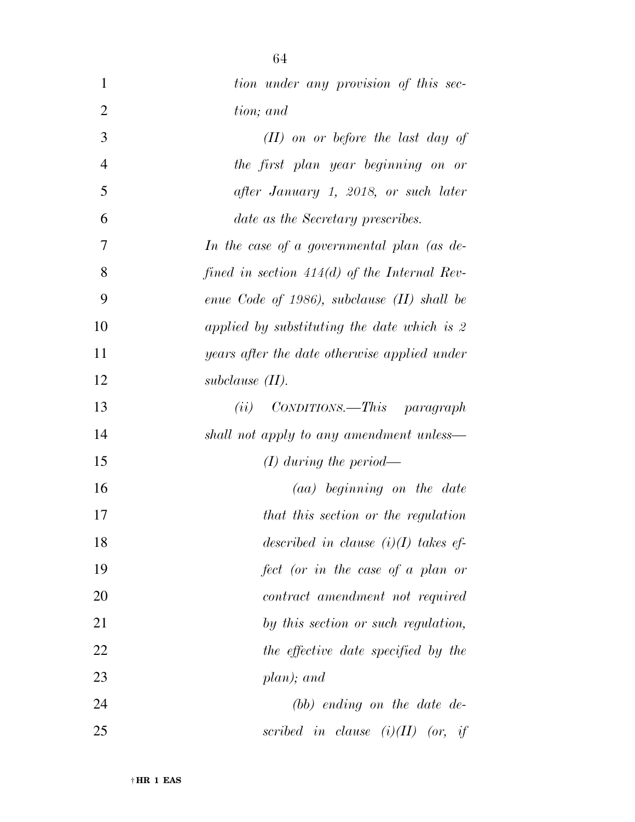| 1              | tion under any provision of this sec-          |
|----------------|------------------------------------------------|
| $\overline{2}$ | tion; and                                      |
| 3              | $(II)$ on or before the last day of            |
| $\overline{4}$ | the first plan year beginning on or            |
| 5              | after January 1, 2018, or such later           |
| 6              | date as the Secretary prescribes.              |
| 7              | In the case of a governmental plan (as de-     |
| 8              | fined in section $414(d)$ of the Internal Rev- |
| 9              | enue Code of 1986), subclause $(II)$ shall be  |
| 10             | applied by substituting the date which is 2    |
| 11             | years after the date otherwise applied under   |
| 12             | subclause $(II)$ .                             |
| 13             | $CONDITIONS. - This paragraph$<br>(ii)         |
| 14             | shall not apply to any amendment unless—       |
| 15             | $(I)$ during the period—                       |
| 16             | $(aa)$ beginning on the date                   |
| 17             | that this section or the regulation            |
| 18             | described in clause $(i)(I)$ takes ef-         |
| 19             | fect (or in the case of a plan or              |
| 20             | contract amendment not required                |
| 21             | by this section or such regulation,            |
| 22             | the effective date specified by the            |
| 23             | plan); and                                     |
| 24             | $(bb)$ ending on the date de-                  |
| 25             | scribed in clause $(i)(II)$ (or, if            |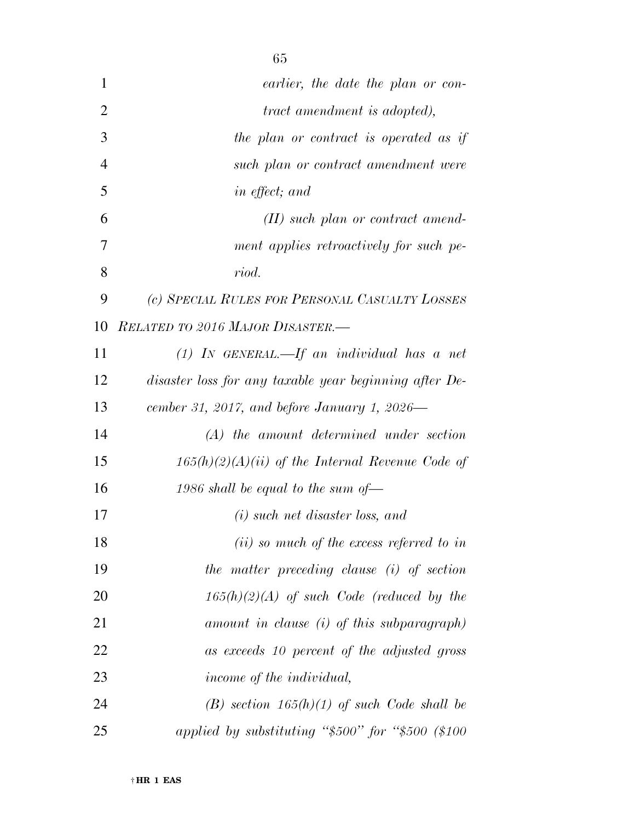| 1              | earlier, the date the plan or con-                     |
|----------------|--------------------------------------------------------|
| $\overline{2}$ | <i>tract amendment is adopted),</i>                    |
| 3              | the plan or contract is operated as if                 |
| $\overline{4}$ | such plan or contract amendment were                   |
| 5              | in effect; and                                         |
| 6              | $(II)$ such plan or contract amend-                    |
| 7              | ment applies retroactively for such pe-                |
| 8              | riod.                                                  |
| 9              | (c) SPECIAL RULES FOR PERSONAL CASUALTY LOSSES         |
| 10             | RELATED TO 2016 MAJOR DISASTER.-                       |
| 11             | $(1)$ IN GENERAL.—If an individual has a net           |
| 12             | disaster loss for any taxable year beginning after De- |
| 13             | cember 31, 2017, and before January 1, 2026—           |
| 14             | (A) the amount determined under section                |
| 15             | $165(h)(2)(A)(ii)$ of the Internal Revenue Code of     |
| 16             | 1986 shall be equal to the sum of $-$                  |
| 17             | $(i)$ such net disaster loss, and                      |
| 18             | $(ii)$ so much of the excess referred to in            |
| 19             | the matter preceding clause (i) of section             |
| 20             | $165(h)(2)(A)$ of such Code (reduced by the            |
| 21             | amount in clause (i) of this subparagraph)             |
| 22             | as exceeds 10 percent of the adjusted gross            |
| 23             | income of the individual,                              |
| 24             | $(B)$ section 165(h)(1) of such Code shall be          |
| 25             | applied by substituting " $$500"$ for " $$500$ (\$100  |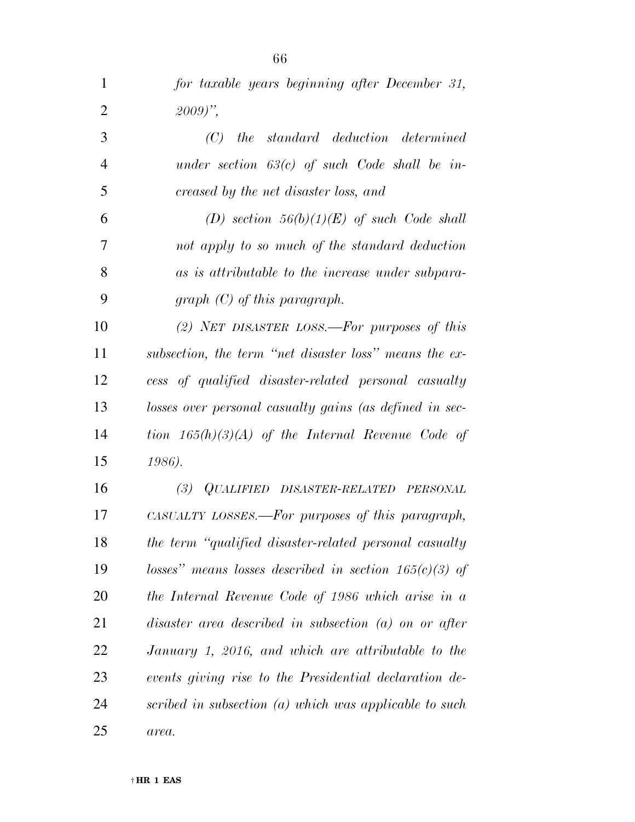| $\mathbf 1$    | for taxable years beginning after December 31,           |
|----------------|----------------------------------------------------------|
| $\overline{2}$ | $(2009)$ ",                                              |
| 3              | $(C)$ the standard deduction determined                  |
| $\overline{4}$ | under section $63(c)$ of such Code shall be in-          |
| 5              | creased by the net disaster loss, and                    |
| 6              | (D) section $56(b)(1)(E)$ of such Code shall             |
| 7              | not apply to so much of the standard deduction           |
| 8              | as is attributable to the increase under subpara-        |
| 9              | $graph(C)$ of this paragraph.                            |
| 10             | (2) NET DISASTER LOSS.—For purposes of this              |
| 11             | subsection, the term "net disaster loss" means the ex-   |
| 12             | cess of qualified disaster-related personal casualty     |
| 13             | losses over personal casualty gains (as defined in sec-  |
| 14             | tion $165(h)(3)(A)$ of the Internal Revenue Code of      |
| 15             | 1986).                                                   |
| 16             | (3) QUALIFIED DISASTER-RELATED PERSONAL                  |
| 17             | CASUALTY LOSSES.—For purposes of this paragraph,         |
| 18             | the term "qualified disaster-related personal casualty   |
| 19             | losses" means losses described in section $165(c)(3)$ of |
| 20             | the Internal Revenue Code of 1986 which arise in a       |
| 21             | disaster area described in subsection $(a)$ on or after  |
| 22             | January 1, 2016, and which are attributable to the       |
| 23             | events giving rise to the Presidential declaration de-   |
| 24             | scribed in subsection (a) which was applicable to such   |
| 25             | area.                                                    |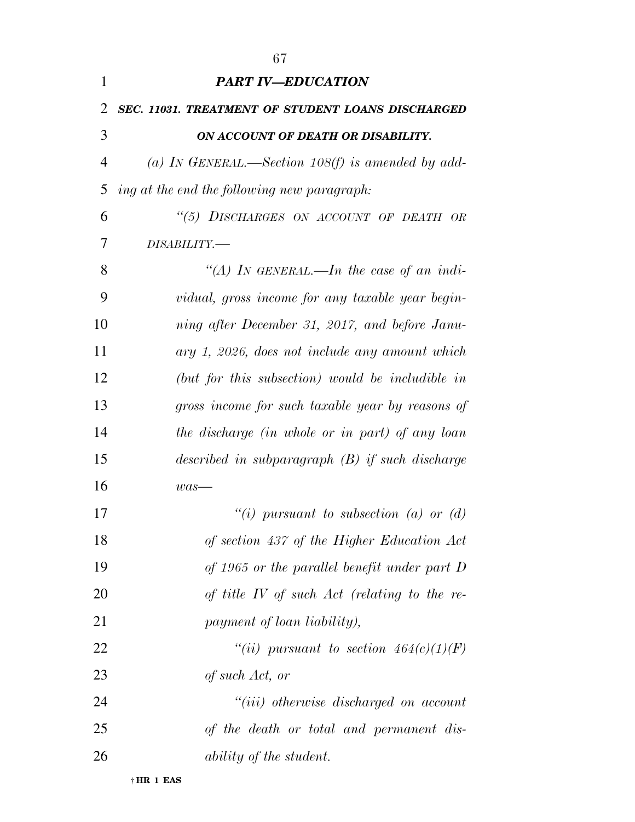| 1              | <b>PART IV-EDUCATION</b>                          |
|----------------|---------------------------------------------------|
| 2              | SEC. 11031. TREATMENT OF STUDENT LOANS DISCHARGED |
| 3              | ON ACCOUNT OF DEATH OR DISABILITY.                |
| $\overline{4}$ | (a) IN GENERAL.—Section 108(f) is amended by add- |
| 5              | ing at the end the following new paragraph:       |
| 6              | "(5) DISCHARGES ON ACCOUNT OF DEATH OR            |
| 7              | DISABILITY.-                                      |
| 8              | "(A) IN GENERAL.—In the case of an indi-          |
| 9              | vidual, gross income for any taxable year begin-  |
| 10             | ning after December 31, 2017, and before Janu-    |
| 11             | ary 1, 2026, does not include any amount which    |
| 12             | (but for this subsection) would be includible in  |
| 13             | gross income for such taxable year by reasons of  |
| 14             | the discharge (in whole or in part) of any loan   |
| 15             | described in subparagraph $(B)$ if such discharge |
| 16             | $was-$                                            |
| 17             | "(i) pursuant to subsection (a) or (d)            |
| 18             | of section 437 of the Higher Education Act        |
| 19             | of 1965 or the parallel benefit under part $D$    |
| 20             | of title $IV$ of such $Act$ (relating to the re-  |
| 21             | payment of loan liability),                       |
| 22             | "(ii) pursuant to section $464(c)(1)(F)$          |
| 23             | of such Act, or                                   |
| 24             | $``(iii)$ otherwise discharged on account         |
| 25             | of the death or total and permanent dis-          |
| 26             | <i>ability of the student.</i>                    |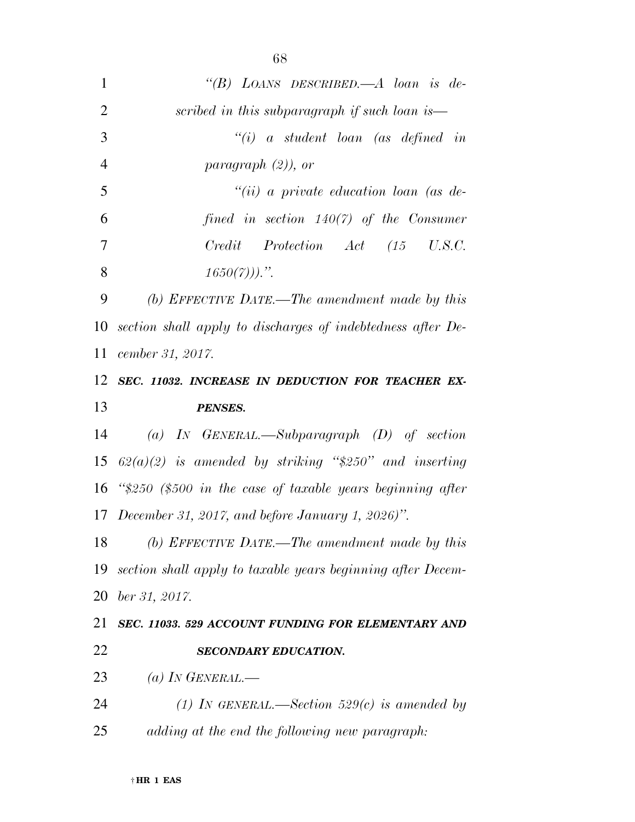| $\mathbf{1}$   | "(B) LOANS DESCRIBED.—A loan is de-                             |
|----------------|-----------------------------------------------------------------|
| $\overline{2}$ | scribed in this subparagraph if such loan is—                   |
| 3              | $``(i)$ a student loan (as defined in                           |
| $\overline{4}$ | paragraph $(2)$ ), or                                           |
| 5              | $``(ii)$ a private education loan (as de-                       |
| 6              | fined in section $140(7)$ of the Consumer                       |
| 7              | Credit Protection Act (15 U.S.C.                                |
| 8              | $1650(7)$ ).".                                                  |
| 9              | (b) EFFECTIVE DATE.—The amendment made by this                  |
| 10             | section shall apply to discharges of indebtedness after De-     |
| 11             | cember 31, 2017.                                                |
|                | 12 SEC. 11032. INCREASE IN DEDUCTION FOR TEACHER EX-            |
| 13             | <b>PENSES.</b>                                                  |
| 14             | (a) IN GENERAL.—Subparagraph $(D)$ of section                   |
| 15             | $62(a)(2)$ is amended by striking "\$250" and inserting         |
|                | 16 " $$250$ (\$500 in the case of taxable years beginning after |
|                | 17 December 31, 2017, and before January 1, 2026)".             |
| 18             | (b) EFFECTIVE DATE.—The amendment made by this                  |
| 19             | section shall apply to taxable years beginning after Decem-     |
| 20             | ber 31, 2017.                                                   |
| 21             | SEC. 11033. 529 ACCOUNT FUNDING FOR ELEMENTARY AND              |
| 22             | <b>SECONDARY EDUCATION.</b>                                     |
| 23             | (a) IN GENERAL.—                                                |
| 24             | (1) In GENERAL.—Section 529(c) is amended by                    |
| 25             | adding at the end the following new paragraph:                  |
|                |                                                                 |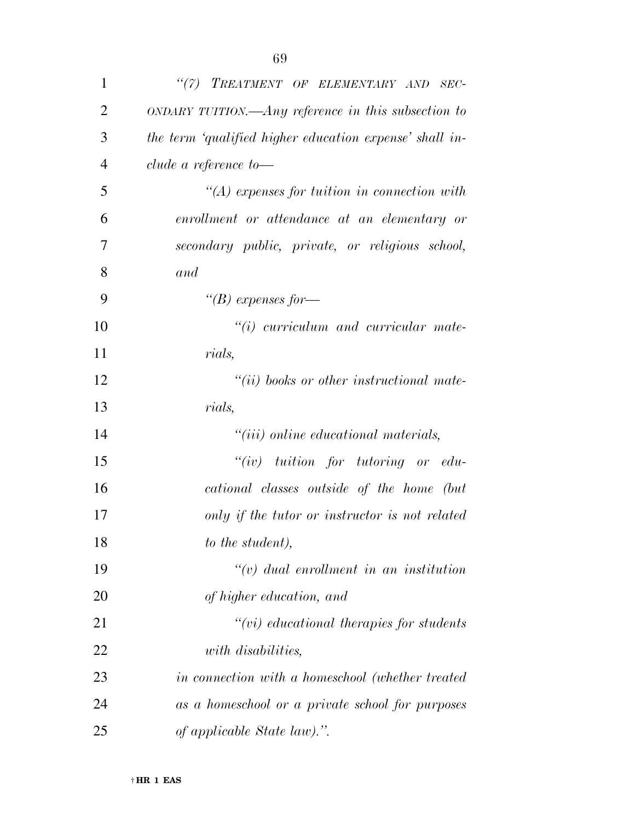| $\mathbf{1}$   | "(7) TREATMENT OF ELEMENTARY AND SEC-                   |
|----------------|---------------------------------------------------------|
| $\overline{2}$ | $ONDARY TUITION.$ Any reference in this subsection to   |
| 3              | the term 'qualified higher education expense' shall in- |
| 4              | clude a reference to-                                   |
| 5              | $\lq (A)$ expenses for tuition in connection with       |
| 6              | enrollment or attendance at an elementary or            |
| 7              | secondary public, private, or religious school,         |
| 8              | and                                                     |
| 9              | "(B) expenses for-                                      |
| 10             | $\lq\lq(i)$ curriculum and curricular mate-             |
| 11             | <i>rials,</i>                                           |
| 12             | $``(ii)$ books or other instructional mate-             |
| 13             | rials,                                                  |
| 14             | $"(iii)$ online educational materials,                  |
| 15             | $``(iv)$ tuition for tutoring or edu-                   |
| 16             | cational classes outside of the home (but               |
| 17             | only if the tutor or instructor is not related          |
| 18             | to the student),                                        |
| 19             | $\lq\lq(v)$ dual enrollment in an institution           |
| 20             | of higher education, and                                |
| 21             | $``(vi)$ educational therapies for students             |
| 22             | with disabilities,                                      |
| 23             | in connection with a homeschool (whether treated        |
| 24             | as a homeschool or a private school for purposes        |
| 25             | of applicable State law).".                             |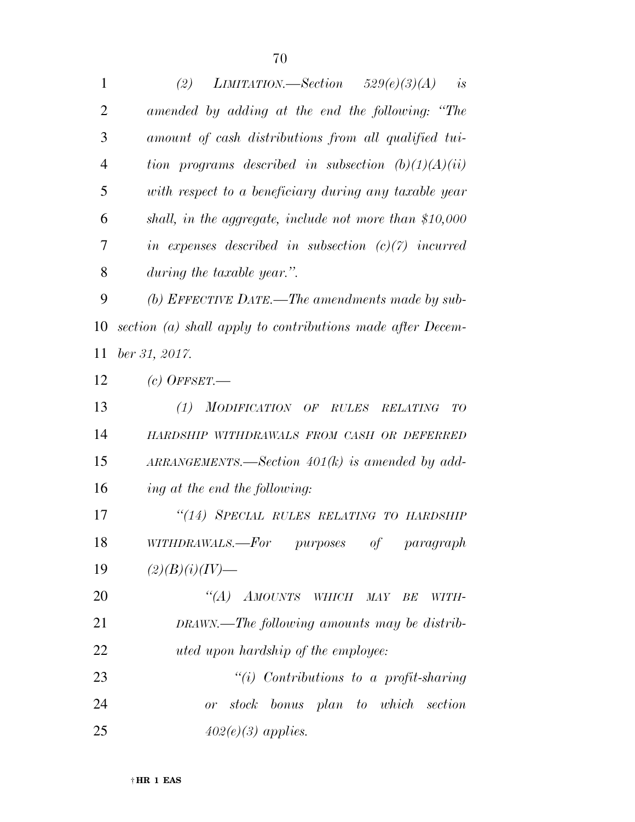*(2) LIMITATION.—Section 529(e)(3)(A) is amended by adding at the end the following: ''The amount of cash distributions from all qualified tui- tion programs described in subsection (b)(1)(A)(ii) with respect to a beneficiary during any taxable year shall, in the aggregate, include not more than \$10,000 in expenses described in subsection (c)(7) incurred during the taxable year.''. (b) EFFECTIVE DATE.—The amendments made by sub- section (a) shall apply to contributions made after Decem- ber 31, 2017. (c) OFFSET.— (1) MODIFICATION OF RULES RELATING TO HARDSHIP WITHDRAWALS FROM CASH OR DEFERRED ARRANGEMENTS.—Section 401(k) is amended by add- ing at the end the following: ''(14) SPECIAL RULES RELATING TO HARDSHIP WITHDRAWALS.—For purposes of paragraph (2)(B)(i)(IV)— ''(A) AMOUNTS WHICH MAY BE WITH- DRAWN.—The following amounts may be distrib- uted upon hardship of the employee: ''(i) Contributions to a profit-sharing or stock bonus plan to which section 402(e)(3) applies.*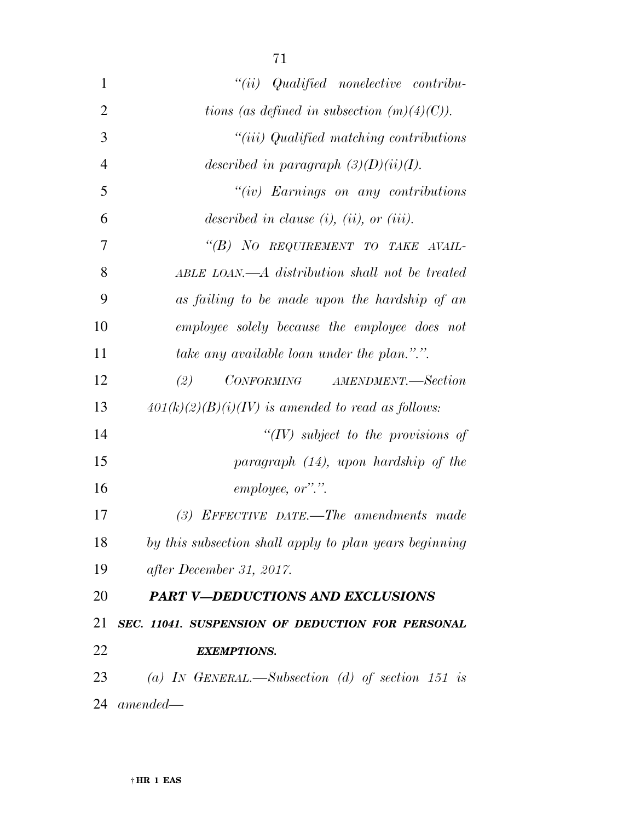| 1              | $``(ii)$ Qualified nonelective contribu-               |
|----------------|--------------------------------------------------------|
| $\overline{2}$ | tions (as defined in subsection $(m)(4)(C)$ ).         |
| 3              | "(iii) Qualified matching contributions                |
| $\overline{4}$ | described in paragraph $(3)(D)(ii)(I)$ .               |
| 5              | " $(iv)$ Earnings on any contributions"                |
| 6              | described in clause $(i)$ , $(ii)$ , or $(iii)$ .      |
| 7              | "(B) NO REQUIREMENT TO TAKE AVAIL-                     |
| 8              | ABLE LOAN.—A distribution shall not be treated         |
| 9              | as failing to be made upon the hardship of an          |
| 10             | employee solely because the employee does not          |
| 11             | take any available loan under the plan.".".            |
| 12             | CONFORMING AMENDMENT.-Section<br>(2)                   |
| 13             | $401(k)(2)(B)(i)(IV)$ is amended to read as follows:   |
| 14             | " $(IV)$ subject to the provisions of                  |
| 15             | $paragnph$ (14), upon hardship of the                  |
| 16             | employee, or".".                                       |
| 17             | (3) EFFECTIVE DATE.—The amendments made                |
| 18             | by this subsection shall apply to plan years beginning |
| 19             | after December 31, 2017.                               |
| 20             | <b>PART V-DEDUCTIONS AND EXCLUSIONS</b>                |
| 21             | SEC. 11041. SUSPENSION OF DEDUCTION FOR PERSONAL       |
| 22             | <b>EXEMPTIONS.</b>                                     |
| 23             | (a) IN GENERAL.—Subsection (d) of section 151 is       |
| 24             | amended—                                               |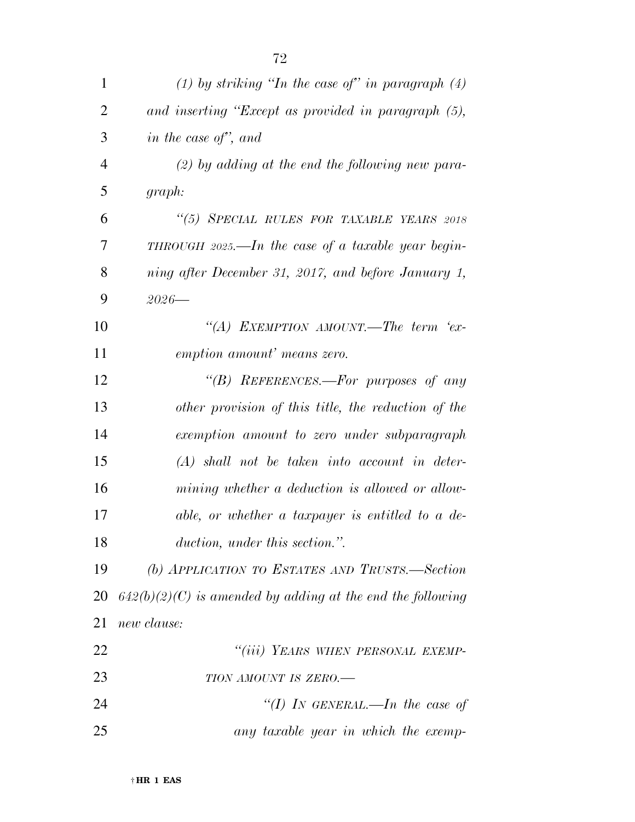| 1              | (1) by striking "In the case of" in paragraph $(4)$          |
|----------------|--------------------------------------------------------------|
| $\overline{2}$ | and inserting "Except as provided in paragraph (5),          |
| 3              | in the case of", and                                         |
| $\overline{4}$ | $(2)$ by adding at the end the following new para-           |
| 5              | graph:                                                       |
| 6              | "(5) SPECIAL RULES FOR TAXABLE YEARS 2018                    |
| 7              | THROUGH 2025.—In the case of a taxable year begin-           |
| 8              | ning after December 31, 2017, and before January 1,          |
| 9              | $2026 -$                                                     |
| 10             | "(A) EXEMPTION AMOUNT.—The term 'ex-                         |
| 11             | emption amount' means zero.                                  |
| 12             | "(B) REFERENCES.—For purposes of any                         |
| 13             | other provision of this title, the reduction of the          |
| 14             | exemption amount to zero under subparagraph                  |
| 15             | $(A)$ shall not be taken into account in deter-              |
| 16             | mining whether a deduction is allowed or allow-              |
| 17             | able, or whether a taxpayer is entitled to a de-             |
| 18             | duction, under this section.".                               |
| 19             | (b) APPLICATION TO ESTATES AND TRUSTS.—Section               |
| 20             | $642(b)(2)(C)$ is amended by adding at the end the following |
| 21             | new clause:                                                  |
| 22             | "(iii) YEARS WHEN PERSONAL EXEMP-                            |
| 23             | TION AMOUNT IS ZERO.-                                        |
| 24             | "(I) In GENERAL.—In the case of                              |
| 25             | any taxable year in which the exemp-                         |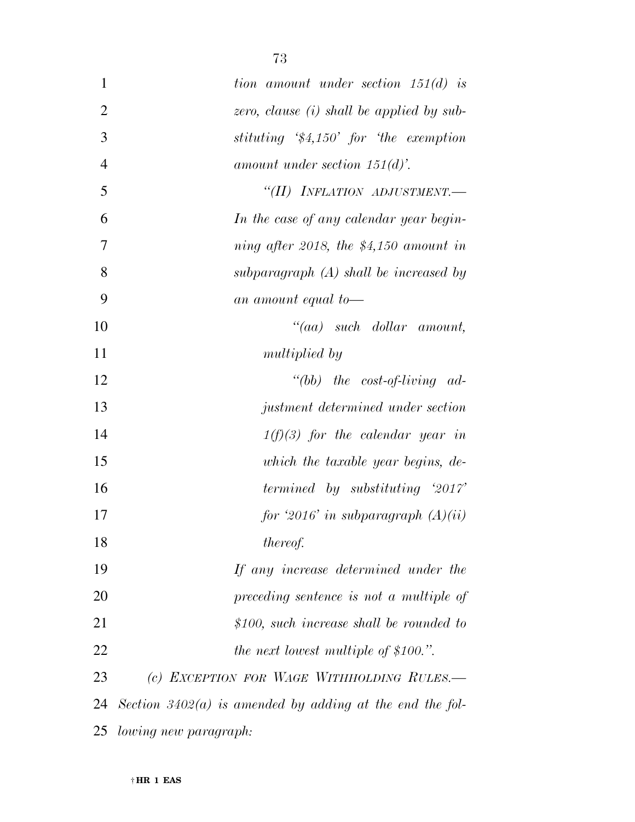| $\mathbf{1}$   | tion amount under section $151(d)$ is                      |
|----------------|------------------------------------------------------------|
| $\overline{2}$ | zero, clause $(i)$ shall be applied by sub-                |
| 3              | stituting $$4,150'$ for the exemption                      |
| $\overline{4}$ | amount under section $151(d)$ .                            |
| 5              | "(II) INFLATION ADJUSTMENT.-                               |
| 6              | In the case of any calendar year begin-                    |
| 7              | ning after 2018, the $$4,150$ amount in                    |
| 8              | subparagraph $(A)$ shall be increased by                   |
| 9              | an amount equal to-                                        |
| 10             | $``(aa) \quad such \quad dollar \quad amount,$             |
| 11             | <i>multiplied by</i>                                       |
| 12             | "(bb) the cost-of-living $ad-$                             |
| 13             | justment determined under section                          |
| 14             | $1(f)(3)$ for the calendar year in                         |
| 15             | which the taxable year begins, de-                         |
| 16             | <i>termined by substituting '2017'</i>                     |
| 17             | for '2016' in subparagraph $(A)(ii)$                       |
| 18             | thereof.                                                   |
| 19             | If any increase determined under the                       |
| 20             | preceding sentence is not a multiple of                    |
| 21             | $$100,$ such increase shall be rounded to                  |
| 22             | <i>the next lowest multiple of \$100.".</i>                |
| 23             | (c) EXCEPTION FOR WAGE WITHHOLDING RULES.-                 |
| 24             | Section $3402(a)$ is amended by adding at the end the fol- |
| 25             | lowing new paragraph:                                      |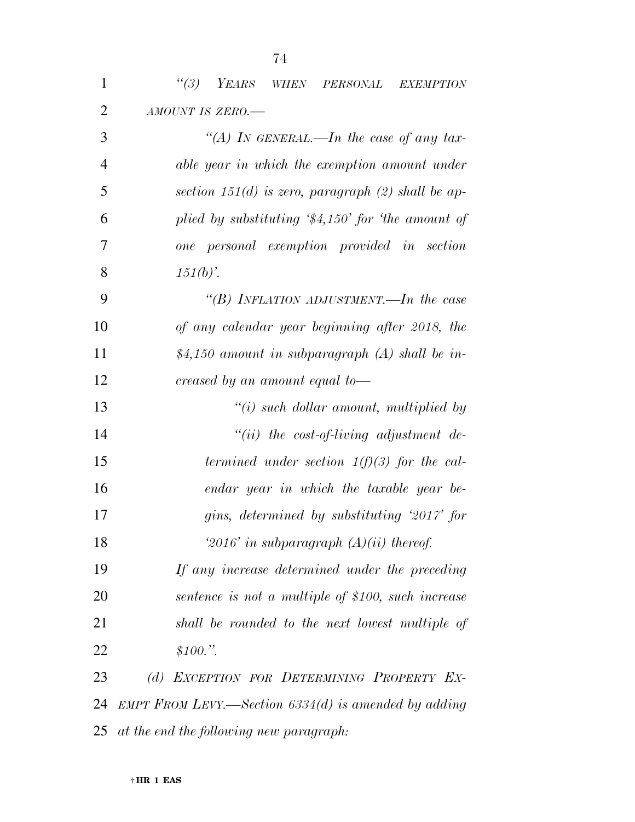| $\mathbf{1}$   | (3)<br>YEARS<br>WHEN PERSONAL<br><b>EXEMPTION</b>          |
|----------------|------------------------------------------------------------|
| $\overline{2}$ | AMOUNT IS ZERO.-                                           |
| 3              | "(A) In GENERAL.—In the case of any tax-                   |
| $\overline{4}$ | able year in which the exemption amount under              |
| 5              | section 151(d) is zero, paragraph (2) shall be ap-         |
| 6              | plied by substituting $\frac{4}{34,150}$ for the amount of |
| 7              | one personal exemption provided in section                 |
| 8              | $151(b)$ .                                                 |
| 9              | "(B) INFLATION ADJUSTMENT.—In the case                     |
| 10             | of any calendar year beginning after 2018, the             |
| 11             | \$4,150 amount in subparagraph $(A)$ shall be in-          |
| 12             | creased by an amount equal to-                             |
| 13             | $\lq\lq(i)$ such dollar amount, multiplied by              |
| 14             | $``(ii)$ the cost-of-living adjustment de-                 |
| 15             | termined under section $1(f)(3)$ for the cal-              |
| 16             | endar year in which the taxable year be-                   |
| 17             | gins, determined by substituting '2017' for                |
| 18             | '2016' in subparagraph $(A)(ii)$ thereof.                  |
| 19             | If any increase determined under the preceding             |
| 20             | sentence is not a multiple of \$100, such increase         |
| 21             | shall be rounded to the next lowest multiple of            |
| 22             | \$100."                                                    |
| 23             | (d) EXCEPTION FOR DETERMINING PROPERTY EX-                 |
| 24             | EMPT FROM LEVY.—Section $6334(d)$ is amended by adding     |
| 25             | at the end the following new paragraph:                    |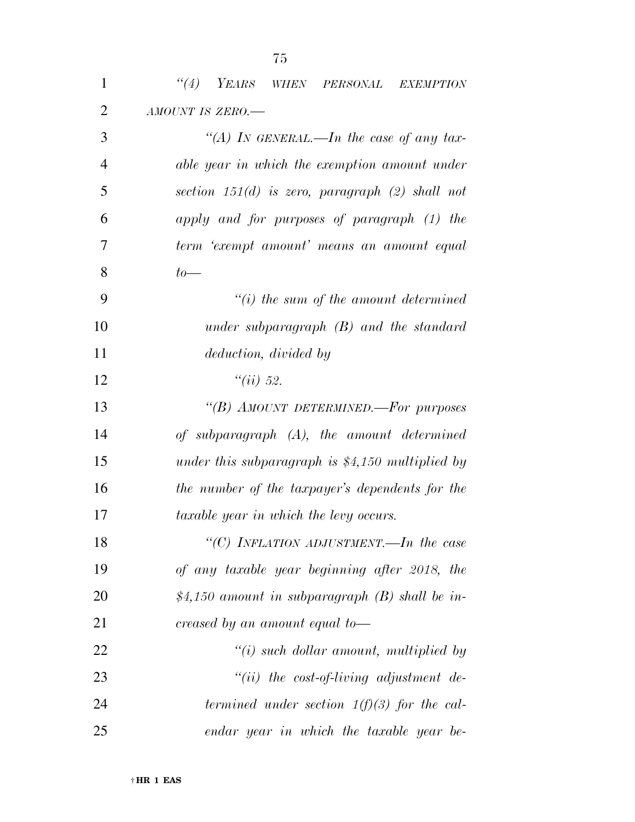| $\mathbf{1}$   | "(4) YEARS WHEN PERSONAL EXEMPTION                |
|----------------|---------------------------------------------------|
| $\overline{2}$ | AMOUNT IS ZERO.-                                  |
| 3              | "(A) IN GENERAL.—In the case of any tax-          |
| $\overline{4}$ | able year in which the exemption amount under     |
| 5              | section $151(d)$ is zero, paragraph (2) shall not |
| 6              | apply and for purposes of paragraph (1) the       |
| 7              | term 'exempt amount' means an amount equal        |
| 8              | $to-$                                             |
| 9              | $``(i)$ the sum of the amount determined          |
| 10             | under subparagraph $(B)$ and the standard         |
| 11             | deduction, divided by                             |
| 12             | ``(ii) 52.                                        |
| 13             | "(B) AMOUNT DETERMINED.—For purposes              |
| 14             | of subparagraph (A), the amount determined        |
| 15             | under this subparagraph is $$4,150$ multiplied by |
| 16             | the number of the taxpayer's dependents for the   |
| 17             | taxable year in which the levy occurs.            |
| 18             | "(C) INFLATION ADJUSTMENT.—In the case            |
| 19             | of any taxable year beginning after 2018, the     |
| 20             | \$4,150 amount in subparagraph $(B)$ shall be in- |
| 21             | creased by an amount equal to-                    |
| 22             | $\lq\lq(i)$ such dollar amount, multiplied by     |
| 23             | "(ii) the cost-of-living adjustment de-           |
| 24             | termined under section $1(f)(3)$ for the cal-     |
| 25             | endar year in which the taxable year be-          |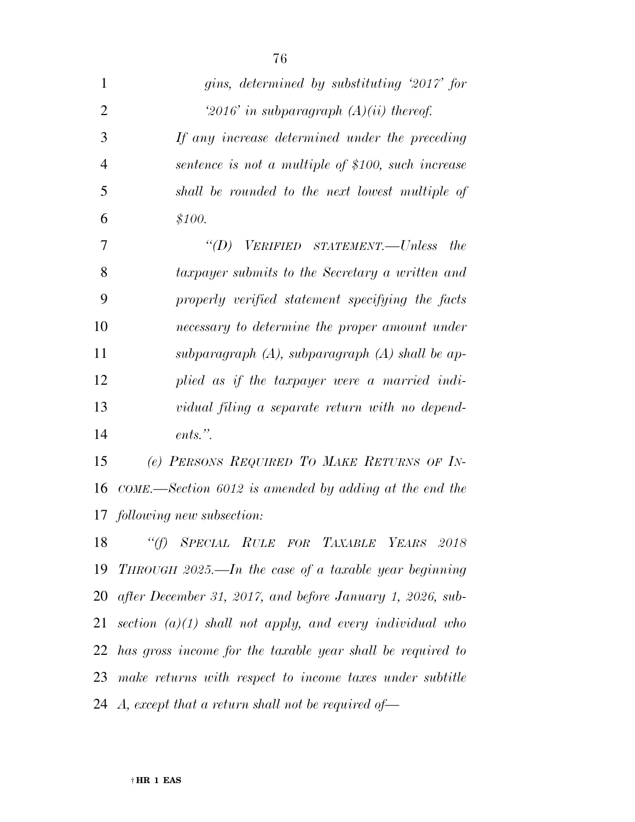| $\mathbf{1}$   | gins, determined by substituting '2017' for                   |
|----------------|---------------------------------------------------------------|
| $\overline{2}$ | '2016' in subparagraph $(A)(ii)$ thereof.                     |
| 3              | If any increase determined under the preceding                |
| $\overline{4}$ | sentence is not a multiple of \$100, such increase            |
| 5              | shall be rounded to the next lowest multiple of               |
| 6              | \$100.                                                        |
| 7              | "(D) VERIFIED STATEMENT.—Unless<br><i>the</i>                 |
| 8              | taxpayer submits to the Secretary a written and               |
| 9              | properly verified statement specifying the facts              |
| 10             | necessary to determine the proper amount under                |
| 11             | subparagraph $(A)$ , subparagraph $(A)$ shall be ap-          |
| 12             | plied as if the taxpayer were a married indi-                 |
| 13             | vidual filing a separate return with no depend-               |
| 14             | ents.".                                                       |
| 15             | (e) PERSONS REQUIRED TO MAKE RETURNS OF IN-                   |
| 16             | $COME$ —Section 6012 is amended by adding at the end the      |
|                | 17 following new subsection:                                  |
| 18             | "(f) SPECIAL RULE FOR TAXABLE YEARS 2018                      |
|                | 19 THROUGH 2025.—In the case of a taxable year beginning      |
|                | 20 after December 31, 2017, and before January 1, 2026, sub-  |
| 21             | section $(a)(1)$ shall not apply, and every individual who    |
|                | 22 has gross income for the taxable year shall be required to |
|                | 23 make returns with respect to income taxes under subtitle   |
|                | 24 A, except that a return shall not be required of-          |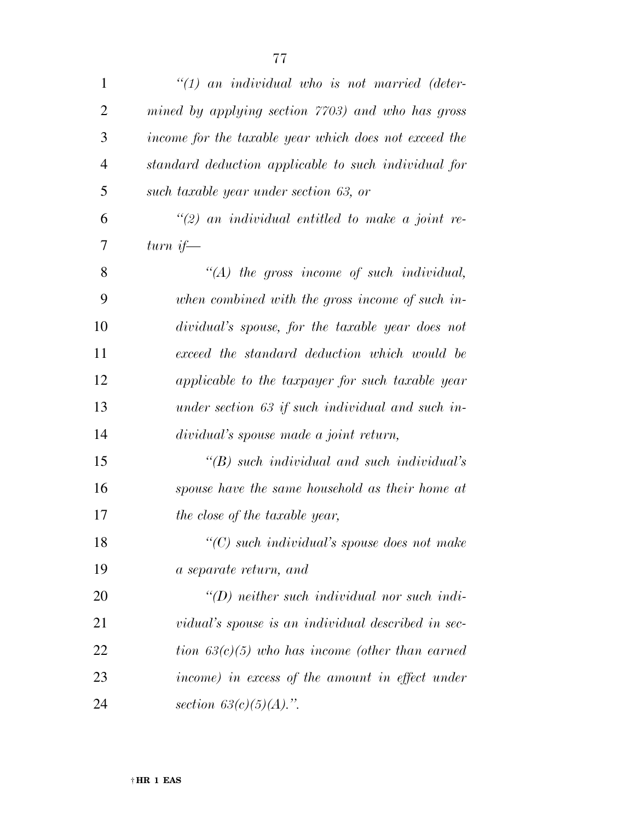| $\mathbf{1}$   | $\lq(1)$ an individual who is not married (deter-     |
|----------------|-------------------------------------------------------|
| $\overline{2}$ | mined by applying section 7703) and who has gross     |
| 3              | income for the taxable year which does not exceed the |
| $\overline{4}$ | standard deduction applicable to such individual for  |
| 5              | such taxable year under section 63, or                |
| 6              | $\lq(2)$ an individual entitled to make a joint re-   |
| 7              | turn if—                                              |
| 8              | $\lq (A)$ the gross income of such individual,        |
| 9              | when combined with the gross income of such in-       |
| 10             | dividual's spouse, for the taxable year does not      |
| 11             | exceed the standard deduction which would be          |
| 12             | applicable to the taxpayer for such taxable year      |
| 13             | under section 63 if such individual and such in-      |
| 14             | dividual's spouse made a joint return,                |
| 15             | $\lq (B)$ such individual and such individual's       |
| 16             | spouse have the same household as their home at       |
| 17             | the close of the taxable year,                        |
| 18             | $\lq\lq$ such individual's spouse does not make       |
| 19             | a separate return, and                                |
| 20             | $\lq (D)$ neither such individual nor such indi-      |
| 21             | vidual's spouse is an individual described in sec-    |
| 22             | tion $63(c)(5)$ who has income (other than earned     |
| 23             | income) in excess of the amount in effect under       |
| 24             | section $63(c)(5)(A)$ .".                             |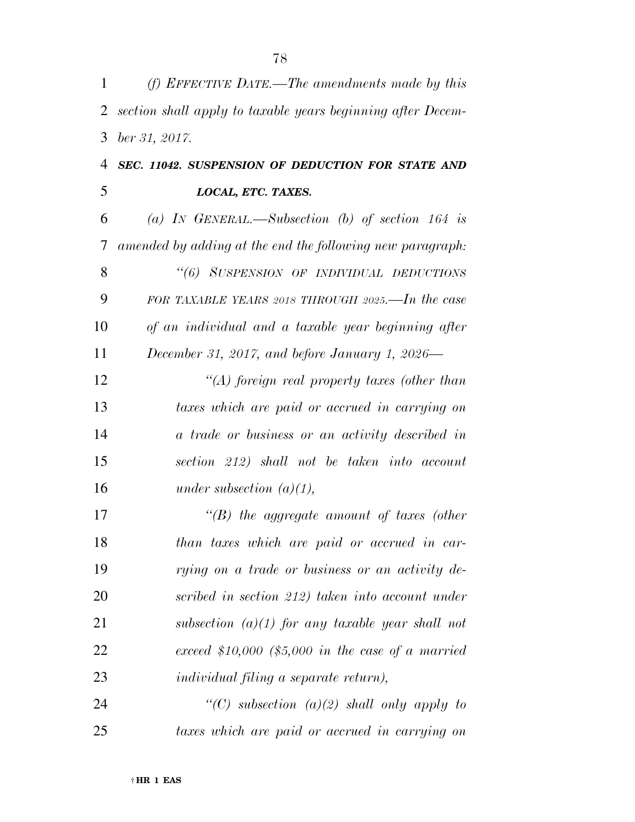| 1  | (f) EFFECTIVE DATE.—The amendments made by this             |
|----|-------------------------------------------------------------|
| 2  | section shall apply to taxable years beginning after Decem- |
| 3  | ber 31, 2017.                                               |
| 4  | SEC. 11042. SUSPENSION OF DEDUCTION FOR STATE AND           |
| 5  | LOCAL, ETC. TAXES.                                          |
| 6  | (a) IN GENERAL.—Subsection (b) of section 164 is            |
| 7  | amended by adding at the end the following new paragraph:   |
| 8  | "(6) SUSPENSION OF INDIVIDUAL DEDUCTIONS                    |
| 9  | FOR TAXABLE YEARS 2018 THROUGH 2025.—In the case            |
| 10 | of an individual and a taxable year beginning after         |
| 11 | December 31, 2017, and before January 1, 2026—              |
| 12 | "(A) foreign real property taxes (other than                |
| 13 | taxes which are paid or accrued in carrying on              |
| 14 | a trade or business or an activity described in             |
| 15 | section 212) shall not be taken into account                |
| 16 | under subsection $(a)(1)$ ,                                 |
| 17 | $\lq\lq(B)$ the aggregate amount of taxes (other            |
| 18 | than taxes which are paid or accrued in car-                |
| 19 | rying on a trade or business or an activity de-             |
| 20 | scribed in section 212) taken into account under            |
| 21 | subsection $(a)(1)$ for any taxable year shall not          |
| 22 | exceed \$10,000 (\$5,000 in the case of a married           |
| 23 | individual filing a separate return),                       |
| 24 | "(C) subsection (a)(2) shall only apply to                  |
| 25 | taxes which are paid or accrued in carrying on              |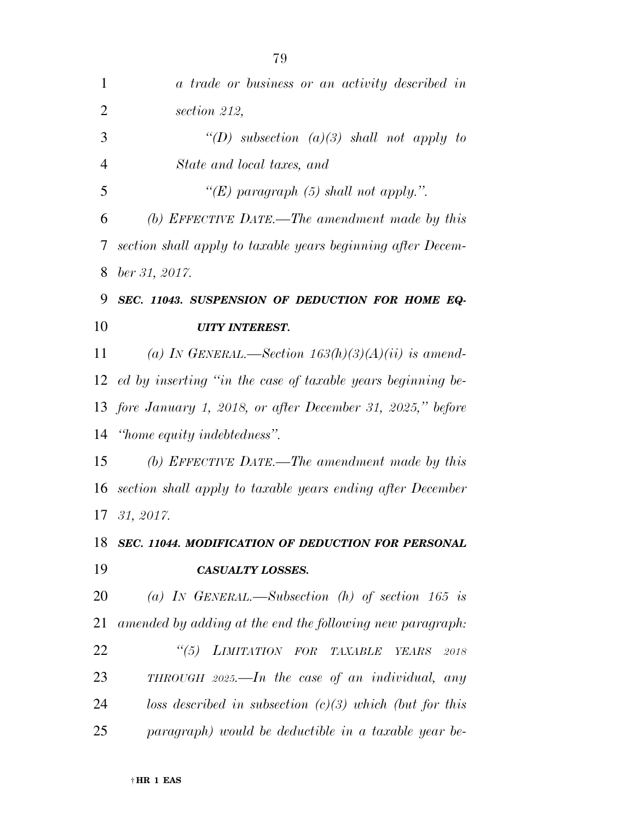| $\mathbf{1}$   | a trade or business or an activity described in                |
|----------------|----------------------------------------------------------------|
| $\overline{2}$ | section 212,                                                   |
| 3              | "(D) subsection (a)(3) shall not apply to                      |
| $\overline{4}$ | State and local taxes, and                                     |
| 5              | "(E) paragraph (5) shall not apply.".                          |
| 6              | (b) EFFECTIVE DATE.—The amendment made by this                 |
| 7              | section shall apply to taxable years beginning after Decem-    |
| 8              | $ber\,31,\,2017.$                                              |
| 9              | SEC. 11043. SUSPENSION OF DEDUCTION FOR HOME EQ-               |
| 10             | <b>UITY INTEREST.</b>                                          |
| 11             | (a) IN GENERAL.—Section $163(h)(3)(A)(ii)$ is amend-           |
|                | 12 ed by inserting "in the case of taxable years beginning be- |
|                | 13 fore January 1, 2018, or after December 31, 2025," before   |
| 14             | "home equity indebtedness".                                    |
| 15             | (b) EFFECTIVE DATE.—The amendment made by this                 |
| 16             | section shall apply to taxable years ending after December     |
| 17             | 31, 2017.                                                      |
| 18             | SEC. 11044. MODIFICATION OF DEDUCTION FOR PERSONAL             |
| 19             | <b>CASUALTY LOSSES.</b>                                        |
| 20             | (a) IN GENERAL.—Subsection (h) of section 165 is               |
| 21             | amended by adding at the end the following new paragraph:      |
| 22             | "(5) LIMITATION FOR TAXABLE<br>YEARS<br>$2018\,$               |
| 23             | THROUGH $2025$ —In the case of an individual, any              |
| 24             | loss described in subsection $(c)(3)$ which (but for this      |
| 25             | paragraph) would be deductible in a taxable year be-           |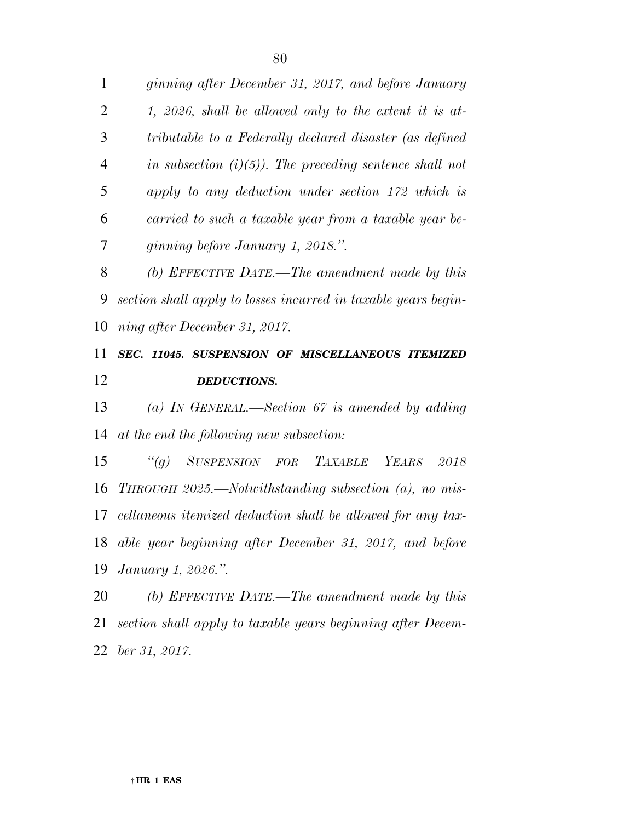*in subsection (i)(5)). The preceding sentence shall not apply to any deduction under section 172 which is carried to such a taxable year from a taxable year be-ginning before January 1, 2018.''.* 

 *(b) EFFECTIVE DATE.—The amendment made by this section shall apply to losses incurred in taxable years begin-ning after December 31, 2017.* 

## *SEC. 11045. SUSPENSION OF MISCELLANEOUS ITEMIZED DEDUCTIONS.*

 *(a) IN GENERAL.—Section 67 is amended by adding at the end the following new subsection:* 

 *''(g) SUSPENSION FOR TAXABLE YEARS 2018 THROUGH 2025.—Notwithstanding subsection (a), no mis- cellaneous itemized deduction shall be allowed for any tax- able year beginning after December 31, 2017, and before January 1, 2026.''.* 

 *(b) EFFECTIVE DATE.—The amendment made by this section shall apply to taxable years beginning after Decem-ber 31, 2017.*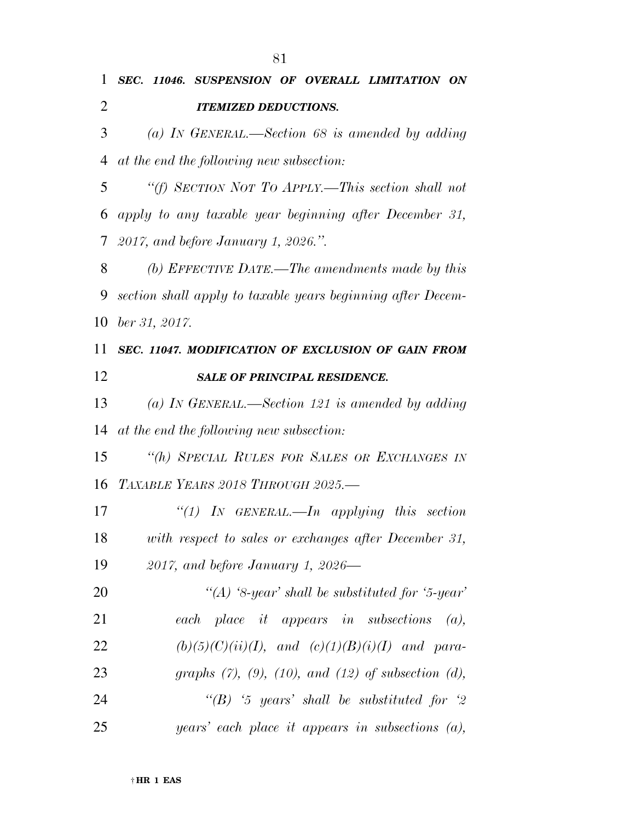|                | 1 SEC. 11046. SUSPENSION OF OVERALL LIMITATION ON        |
|----------------|----------------------------------------------------------|
| 2              | <b>ITEMIZED DEDUCTIONS.</b>                              |
| $\mathfrak{Z}$ | (a) IN GENERAL.—Section 68 is amended by adding          |
|                | 4 at the end the following new subsection:               |
| 5 <sup>5</sup> | "(f) SECTION NOT TO APPLY.—This section shall not        |
|                | 6 apply to any taxable year beginning after December 31, |
|                | 7 2017, and before January 1, 2026.".                    |
|                | 8 (b) FUREOTIVE DATE The amendments made by this         |

 *(b) EFFECTIVE DATE.—The amendments made by this section shall apply to taxable years beginning after Decem-ber 31, 2017.* 

 *SEC. 11047. MODIFICATION OF EXCLUSION OF GAIN FROM SALE OF PRINCIPAL RESIDENCE.* 

 *(a) IN GENERAL.—Section 121 is amended by adding at the end the following new subsection:* 

 *''(h) SPECIAL RULES FOR SALES OR EXCHANGES IN TAXABLE YEARS 2018 THROUGH 2025.—* 

 *''(1) IN GENERAL.—In applying this section with respect to sales or exchanges after December 31, 2017, and before January 1, 2026—* 

 *''(A) '8-year' shall be substituted for '5-year' each place it appears in subsections (a), (b)(5)(C)(ii)(I), and (c)(1)(B)(i)(I) and para- graphs (7), (9), (10), and (12) of subsection (d), ''(B) '5 years' shall be substituted for '2 years' each place it appears in subsections (a),*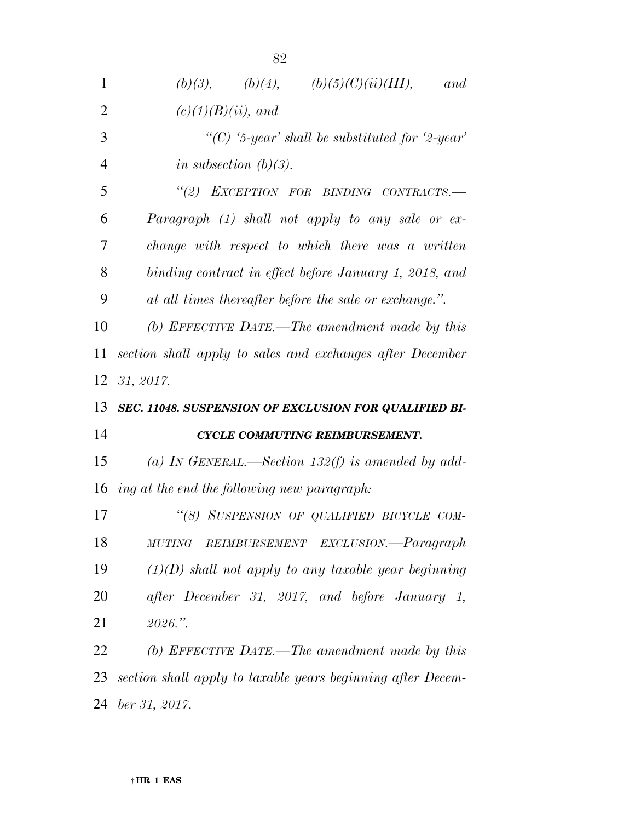| 1              | (b)(3), (b)(4), (b)(5)(C)(ii)(III),<br>and                  |
|----------------|-------------------------------------------------------------|
| $\overline{2}$ | $(c)(1)(B)(ii)$ , and                                       |
| 3              | "(C) '5-year' shall be substituted for '2-year'             |
| $\overline{4}$ | in subsection $(b)(3)$ .                                    |
| 5              | "(2) EXCEPTION FOR BINDING CONTRACTS.-                      |
| 6              | Paragraph $(1)$ shall not apply to any sale or ex-          |
| 7              | change with respect to which there was a written            |
| 8              | binding contract in effect before January 1, 2018, and      |
| 9              | at all times thereafter before the sale or exchange.".      |
| 10             | (b) EFFECTIVE DATE.—The amendment made by this              |
| 11             | section shall apply to sales and exchanges after December   |
| 12             | 31, 2017.                                                   |
|                |                                                             |
| 13             | SEC. 11048. SUSPENSION OF EXCLUSION FOR QUALIFIED BI-       |
| 14             | CYCLE COMMUTING REIMBURSEMENT.                              |
| 15             | (a) IN GENERAL.—Section 132(f) is amended by add-           |
| 16             | ing at the end the following new paragraph:                 |
| 17             | "(8) SUSPENSION OF QUALIFIED BICYCLE COM-                   |
| 18             | REIMBURSEMENT EXCLUSION.—Paragraph<br><b>MUTING</b>         |
| 19             | $(1)(D)$ shall not apply to any taxable year beginning      |
| 20             | after December 31, 2017, and before January 1,              |
| 21             | 2026."                                                      |
| 22             | (b) EFFECTIVE DATE.—The amendment made by this              |
| 23             | section shall apply to taxable years beginning after Decem- |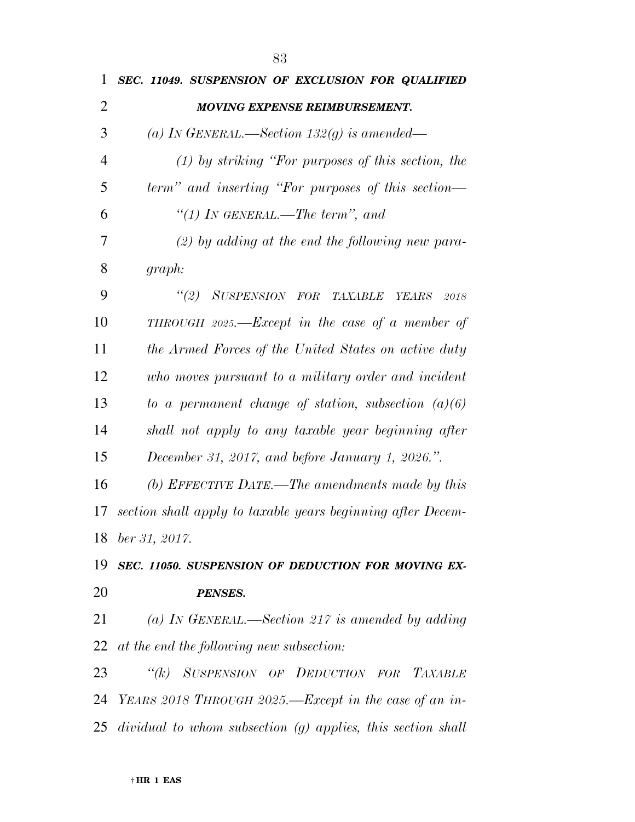| 1  | SEC. 11049. SUSPENSION OF EXCLUSION FOR QUALIFIED           |
|----|-------------------------------------------------------------|
| 2  | <b>MOVING EXPENSE REIMBURSEMENT.</b>                        |
| 3  | (a) IN GENERAL.—Section 132(g) is amended—                  |
| 4  | $(1)$ by striking "For purposes of this section, the        |
| 5  | term" and inserting "For purposes of this section—          |
| 6  | "(1) IN GENERAL.—The term", and                             |
| 7  | $(2)$ by adding at the end the following new para-          |
| 8  | graph:                                                      |
| 9  | "(2) SUSPENSION FOR TAXABLE<br>YEARS 2018                   |
| 10 | THROUGH 2025.— $Except in the case of a member of$          |
| 11 | the Armed Forces of the United States on active duty        |
| 12 | who moves pursuant to a military order and incident         |
| 13 | to a permanent change of station, subsection $(a)(6)$       |
| 14 | shall not apply to any taxable year beginning after         |
| 15 | December 31, 2017, and before January 1, 2026.".            |
| 16 | (b) EFFECTIVE DATE.—The amendments made by this             |
| 17 | section shall apply to taxable years beginning after Decem- |
| 18 | ber 31, 2017.                                               |
| 19 | SEC. 11050. SUSPENSION OF DEDUCTION FOR MOVING EX-          |
| 20 | <b>PENSES.</b>                                              |
| 21 | (a) IN GENERAL.—Section 217 is amended by adding            |
| 22 | at the end the following new subsection:                    |
| 23 | "(k) SUSPENSION OF DEDUCTION FOR TAXABLE                    |
|    | 24 YEARS 2018 THROUGH 2025.—Except in the case of an in-    |

*dividual to whom subsection (g) applies, this section shall*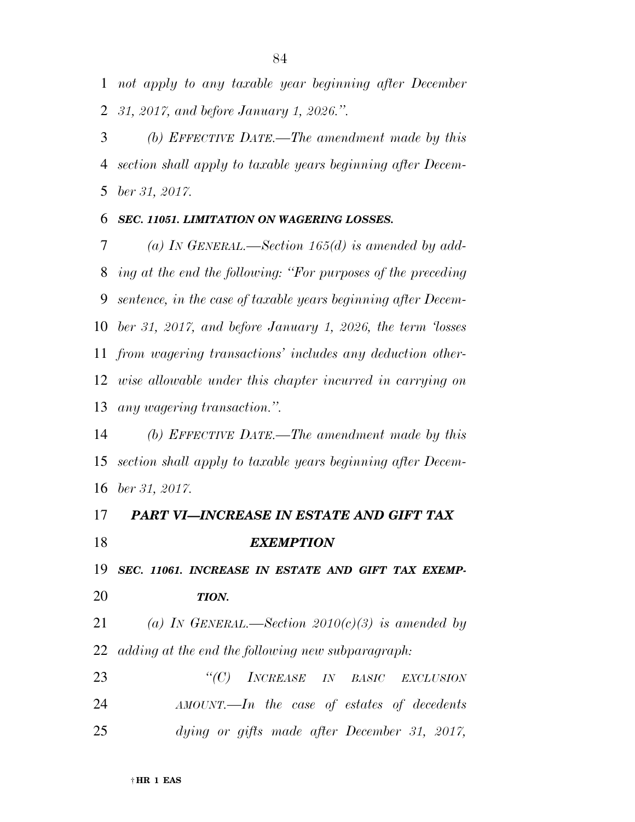*not apply to any taxable year beginning after December 31, 2017, and before January 1, 2026.''.* 

 *(b) EFFECTIVE DATE.—The amendment made by this section shall apply to taxable years beginning after Decem-ber 31, 2017.* 

## *SEC. 11051. LIMITATION ON WAGERING LOSSES.*

 *(a) IN GENERAL.—Section 165(d) is amended by add- ing at the end the following: ''For purposes of the preceding sentence, in the case of taxable years beginning after Decem- ber 31, 2017, and before January 1, 2026, the term 'losses from wagering transactions' includes any deduction other- wise allowable under this chapter incurred in carrying on any wagering transaction.''.* 

 *(b) EFFECTIVE DATE.—The amendment made by this section shall apply to taxable years beginning after Decem-ber 31, 2017.* 

## *PART VI—INCREASE IN ESTATE AND GIFT TAX EXEMPTION*

*SEC. 11061. INCREASE IN ESTATE AND GIFT TAX EXEMP-*

## *TION.*

 *(a) IN GENERAL.—Section 2010(c)(3) is amended by adding at the end the following new subparagraph:* 

 *''(C) INCREASE IN BASIC EXCLUSION AMOUNT.—In the case of estates of decedents dying or gifts made after December 31, 2017,*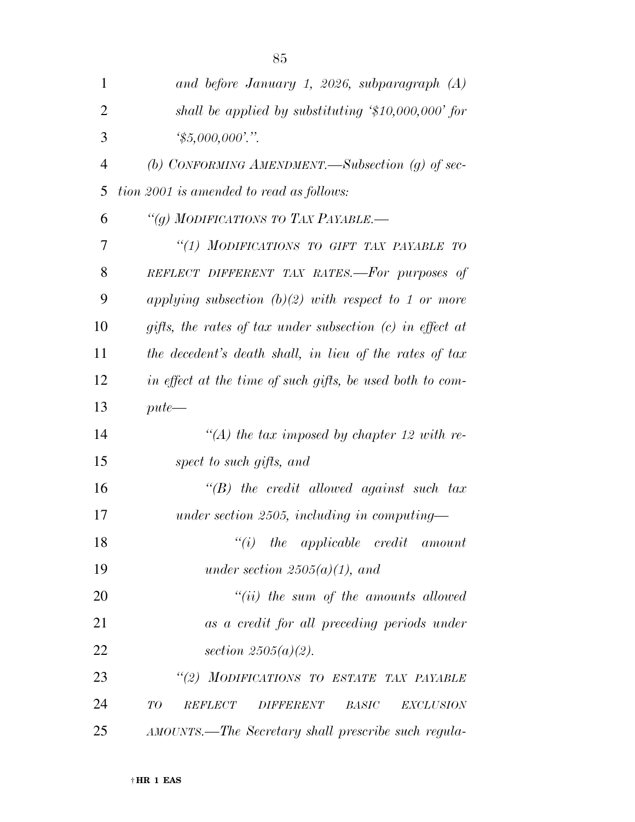| 1              | and before January 1, 2026, subparagraph (A)                                  |
|----------------|-------------------------------------------------------------------------------|
| $\overline{2}$ | shall be applied by substituting $$10,000,000'$ for                           |
| 3              | $\frac{1}{2}5,000,000$ ."                                                     |
| $\overline{4}$ | (b) CONFORMING AMENDMENT.—Subsection (g) of sec-                              |
| 5              | tion 2001 is amended to read as follows:                                      |
| 6              | "(g) MODIFICATIONS TO TAX PAYABLE.-                                           |
| 7              | "(1) MODIFICATIONS TO GIFT TAX PAYABLE TO                                     |
| 8              | REFLECT DIFFERENT TAX RATES.-For purposes of                                  |
| 9              | applying subsection $(b)(2)$ with respect to 1 or more                        |
| 10             | gifts, the rates of tax under subsection $(c)$ in effect at                   |
| 11             | the decedent's death shall, in lieu of the rates of tax                       |
| 12             | in effect at the time of such gifts, be used both to com-                     |
| 13             | $pute$ —                                                                      |
| 14             | "(A) the tax imposed by chapter 12 with re-                                   |
| 15             | spect to such gifts, and                                                      |
| 16             | $\lq\lq B$ ) the credit allowed against such tax                              |
| 17             | under section 2505, including in computing-                                   |
| 18             | $``(i)$ the applicable credit amount                                          |
| 19             | under section $2505(a)(1)$ , and                                              |
| 20             | $``(ii)$ the sum of the amounts allowed                                       |
| 21             | as a credit for all preceding periods under                                   |
| 22             | section $2505(a)(2)$ .                                                        |
| 23             | "(2) MODIFICATIONS TO ESTATE TAX PAYABLE                                      |
| 24             | T O<br><b>BASIC</b><br><b>REFLECT</b><br><b>DIFFERENT</b><br><b>EXCLUSION</b> |
| 25             | AMOUNTS.—The Secretary shall prescribe such regula-                           |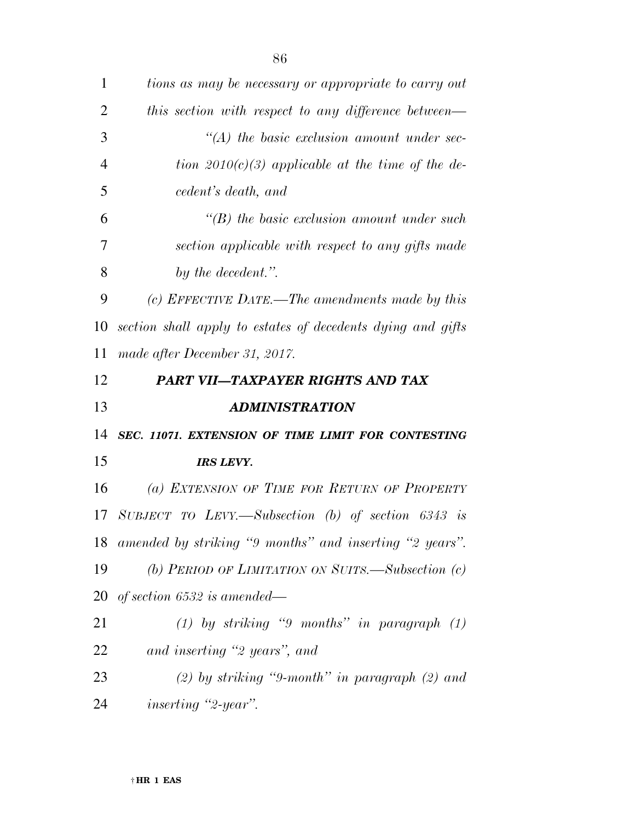| $\mathbf{1}$   | tions as may be necessary or appropriate to carry out       |
|----------------|-------------------------------------------------------------|
| $\overline{2}$ | this section with respect to any difference between—        |
| 3              | $\lq (A)$ the basic exclusion amount under sec-             |
| $\overline{4}$ | tion 2010(c)(3) applicable at the time of the de-           |
| 5              | cedent's death, and                                         |
| 6              | $\lq (B)$ the basic exclusion amount under such             |
| 7              | section applicable with respect to any gifts made           |
| 8              | by the decedent.".                                          |
| 9              | (c) EFFECTIVE DATE.—The amendments made by this             |
| 10             | section shall apply to estates of decedents dying and gifts |
| 11             | made after December 31, 2017.                               |
| 12             | PART VII—TAXPAYER RIGHTS AND TAX                            |
|                |                                                             |
| 13             | <b>ADMINISTRATION</b>                                       |
| 14             | SEC. 11071. EXTENSION OF TIME LIMIT FOR CONTESTING          |
| 15             | <b>IRS LEVY.</b>                                            |
| 16             | (a) EXTENSION OF TIME FOR RETURN OF PROPERTY                |
| 17             | SUBJECT TO LEVY.—Subsection (b) of section $6343$ is        |
|                | 18 amended by striking "9 months" and inserting "2 years".  |
| 19             | (b) PERIOD OF LIMITATION ON SUITS.-Subsection (c)           |
| 20             | of section $6532$ is amended—                               |
| 21             | $(1)$ by striking "9 months" in paragraph $(1)$             |
| 22             | and inserting "2 years", and                                |
| 23             | $(2)$ by striking "9-month" in paragraph $(2)$ and          |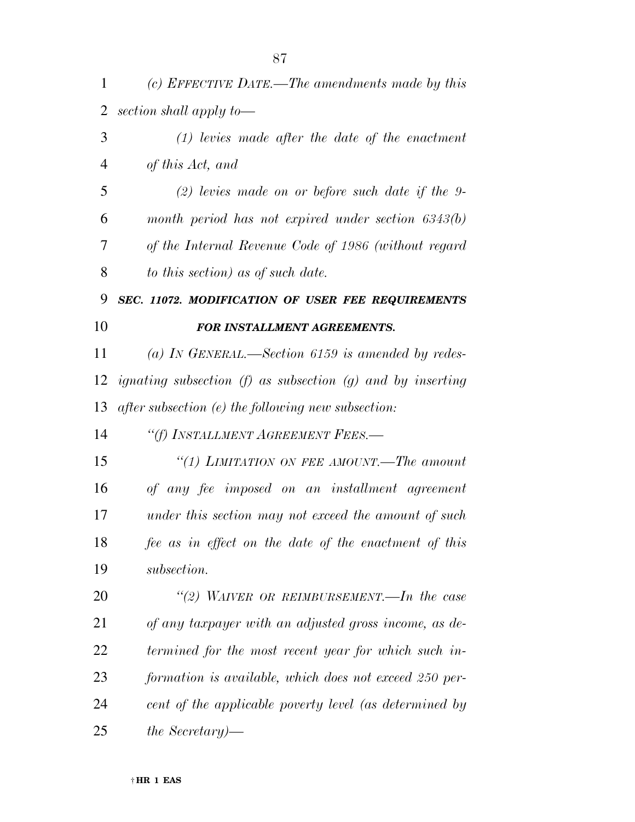*(c) EFFECTIVE DATE.—The amendments made by this section shall apply to—* 

| 3              | $(1)$ levies made after the date of the enactment                 |
|----------------|-------------------------------------------------------------------|
| $\overline{4}$ | of this Act, and                                                  |
| 5              | $(2)$ levies made on or before such date if the 9-                |
| 6              | month period has not expired under section $6343(b)$              |
| 7              | of the Internal Revenue Code of 1986 (without regard              |
| 8              | to this section) as of such date.                                 |
| 9              | SEC. 11072. MODIFICATION OF USER FEE REQUIREMENTS                 |
| 10             | FOR INSTALLMENT AGREEMENTS.                                       |
| 11             | (a) IN GENERAL.—Section 6159 is amended by redes-                 |
| 12             | <i>ignating subsection (f)</i> as subsection (g) and by inserting |
| 13             | after subsection (e) the following new subsection:                |
| 14             | "(f) INSTALLMENT AGREEMENT FEES.-                                 |
| 15             | "(1) LIMITATION ON FEE AMOUNT.—The amount                         |
| 16             | of any fee imposed on an installment agreement                    |
| 17             | under this section may not exceed the amount of such              |
| 18             | fee as in effect on the date of the enactment of this             |
| 19             | subsection.                                                       |
| 20             | "(2) WAIVER OR REIMBURSEMENT.—In the case                         |
| 21             | of any taxpayer with an adjusted gross income, as de-             |
| 22             | termined for the most recent year for which such in-              |
|                |                                                                   |

 *formation is available, which does not exceed 250 per- cent of the applicable poverty level (as determined by the Secretary)—*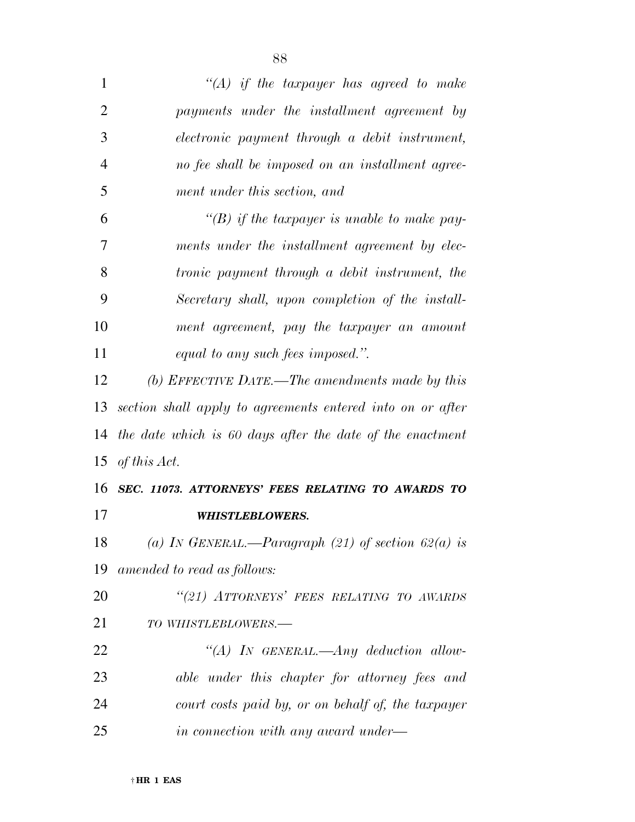| $\mathbf{1}$   | "(A) if the taxpayer has agreed to make                    |
|----------------|------------------------------------------------------------|
| $\overline{2}$ | payments under the installment agreement by                |
| 3              | electronic payment through a debit instrument,             |
| $\overline{4}$ | no fee shall be imposed on an installment agree-           |
| 5              | ment under this section, and                               |
| 6              | "(B) if the taxpayer is unable to make pay-                |
| 7              | ments under the installment agreement by elec-             |
| 8              | <i>tronic payment through a debit instrument, the</i>      |
| 9              | Secretary shall, upon completion of the install-           |
| 10             | ment agreement, pay the taxpayer an amount                 |
| 11             | equal to any such fees imposed.".                          |
| 12             | (b) EFFECTIVE DATE.—The amendments made by this            |
| 13             | section shall apply to agreements entered into on or after |
| 14             | the date which is 60 days after the date of the enactment  |
| 15             | of this Act.                                               |
|                | 16 SEC. 11073. ATTORNEYS' FEES RELATING TO AWARDS TO       |
| 17             | <b>WHISTLEBLOWERS.</b>                                     |
| 18             | (a) IN GENERAL.—Paragraph (21) of section $62(a)$ is       |
| 19             | amended to read as follows:                                |
| 20             | "(21) ATTORNEYS' FEES RELATING TO AWARDS                   |
| 21             | TO WHISTLEBLOWERS.-                                        |
| 22             | "(A) IN GENERAL.—Any deduction allow-                      |
| 23             | able under this chapter for attorney fees and              |
| 24             | court costs paid by, or on behalf of, the taxpayer         |
| 25             | in connection with any award under—                        |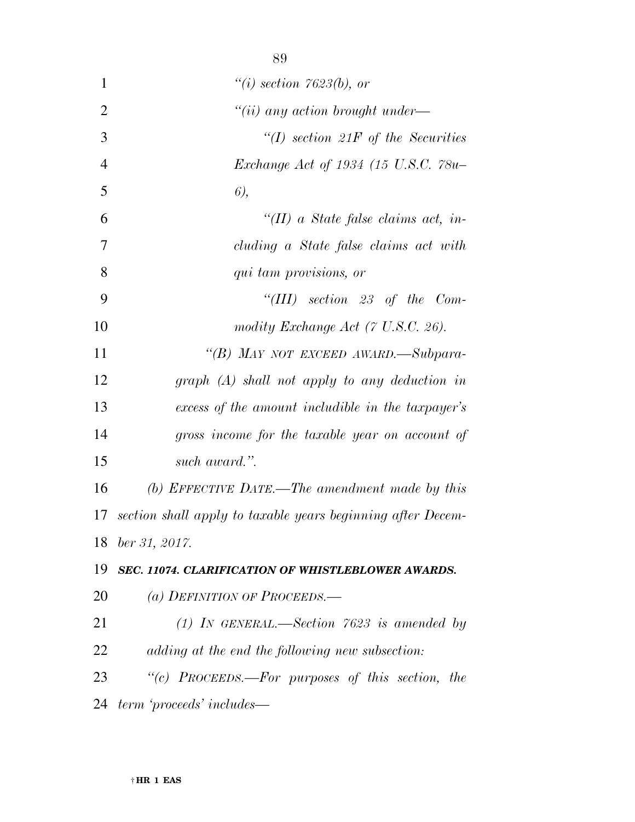| $\mathbf{1}$   | $\degree$ (i) section 7623(b), or                           |
|----------------|-------------------------------------------------------------|
| $\overline{2}$ | $``(ii)$ any action brought under—                          |
| 3              | $\lq (I)$ section 21F of the Securities                     |
| $\overline{4}$ | Exchange Act of 1934 (15 U.S.C. 78u-                        |
| 5              | $6$ ,                                                       |
| 6              | "(II) a State false claims act, in-                         |
| 7              | cluding a State false claims act with                       |
| 8              | qui tam provisions, or                                      |
| 9              | "(III) section 23 of the Com-                               |
| 10             | modity Exchange Act (7 U.S.C. 26).                          |
| 11             | "(B) MAY NOT EXCEED AWARD.-Subpara-                         |
| 12             | $graph(A)$ shall not apply to any deduction in              |
| 13             | excess of the amount includible in the taxpayer's           |
| 14             | gross income for the taxable year on account of             |
| 15             | such award.".                                               |
| 16             | (b) EFFECTIVE DATE.—The amendment made by this              |
| 17             | section shall apply to taxable years beginning after Decem- |
|                | 18 ber 31, 2017.                                            |
| 19             | SEC. 11074. CLARIFICATION OF WHISTLEBLOWER AWARDS.          |
| 20             | (a) DEFINITION OF PROCEEDS.—                                |
| 21             | (1) IN GENERAL.—Section $7623$ is amended by                |
| 22             | adding at the end the following new subsection:             |
| 23             | "(c) PROCEEDS.—For purposes of this section, the            |
| 24             | term 'proceeds' includes—                                   |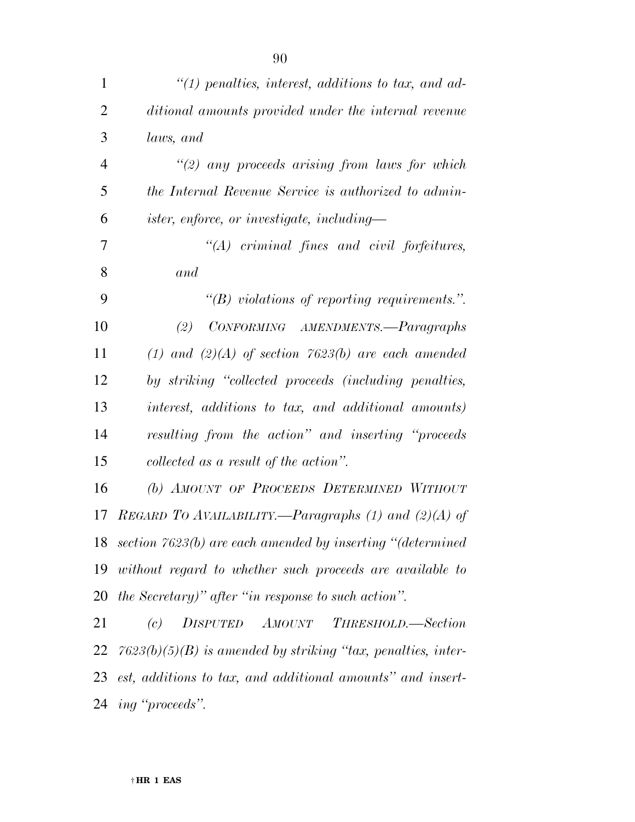| 1              | $\lq(1)$ penalties, interest, additions to tax, and ad-        |
|----------------|----------------------------------------------------------------|
| $\overline{2}$ | ditional amounts provided under the internal revenue           |
| 3              | laws, and                                                      |
| $\overline{4}$ | $\lq(2)$ any proceeds arising from laws for which              |
| 5              | the Internal Revenue Service is authorized to admin-           |
| 6              | <i>ister, enforce, or investigate, including</i> —             |
| 7              | $"(A)$ criminal fines and civil forfeitures,                   |
| 8              | and                                                            |
| 9              | $\lq\lq(B)$ violations of reporting requirements.".            |
| 10             | CONFORMING AMENDMENTS.-Paragraphs<br>(2)                       |
| 11             | (1) and (2)(A) of section 7623(b) are each amended             |
| 12             | by striking "collected proceeds (including penalties,          |
| 13             | interest, additions to tax, and additional amounts)            |
| 14             | resulting from the action" and inserting "proceeds             |
| 15             | collected as a result of the action".                          |
| 16             | (b) AMOUNT OF PROCEEDS DETERMINED WITHOUT                      |
| 17             | REGARD TO AVAILABILITY.—Paragraphs (1) and (2)(A) of           |
|                | 18 section 7623(b) are each amended by inserting "(determined  |
|                | 19 without regard to whether such proceeds are available to    |
|                | 20 the Secretary)" after "in response to such action".         |
| 21             | (c) DISPUTED AMOUNT<br>THRESHOLD.—Section                      |
| 22             | $7623(b)(5)(B)$ is amended by striking "tax, penalties, inter- |
| 23             | est, additions to tax, and additional amounts" and insert-     |

*ing ''proceeds''.*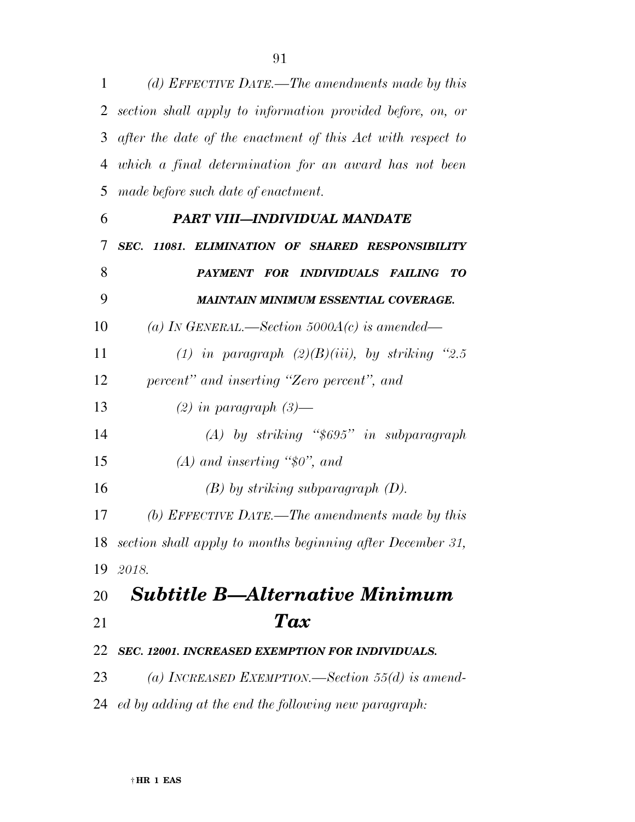*(d) EFFECTIVE DATE.—The amendments made by this* 

*section shall apply to information provided before, on, or* 

|    | 3 after the date of the enactment of this Act with respect to |
|----|---------------------------------------------------------------|
| 4  | which a final determination for an award has not been         |
| 5  | made before such date of enactment.                           |
| 6  | PART VIII-INDIVIDUAL MANDATE                                  |
| 7  | SEC. 11081. ELIMINATION OF SHARED RESPONSIBILITY              |
| 8  | PAYMENT FOR INDIVIDUALS FAILING TO                            |
| 9  | MAINTAIN MINIMUM ESSENTIAL COVERAGE.                          |
| 10 | (a) IN GENERAL.—Section 5000A(c) is amended—                  |
| 11 | (1) in paragraph $(2)(B)(iii)$ , by striking "2.5             |
| 12 | percent" and inserting "Zero percent", and                    |
| 13 | $(2)$ in paragraph $(3)$ —                                    |
| 14 | $(A)$ by striking "\$695" in subparagraph                     |
| 15 | $(A)$ and inserting "\$0", and                                |
| 16 | $(B)$ by striking subparagraph $(D)$ .                        |
| 17 | (b) EFFECTIVE DATE.—The amendments made by this               |
| 18 | section shall apply to months beginning after December 31,    |
|    | 19 2018.                                                      |
|    | 20 Subtitle B—Alternative Minimum                             |
| 21 | Tax                                                           |
| 22 | SEC. 12001. INCREASED EXEMPTION FOR INDIVIDUALS.              |
| 23 | (a) INCREASED EXEMPTION.—Section 55(d) is amend-              |
|    | 24 ed by adding at the end the following new paragraph:       |
|    |                                                               |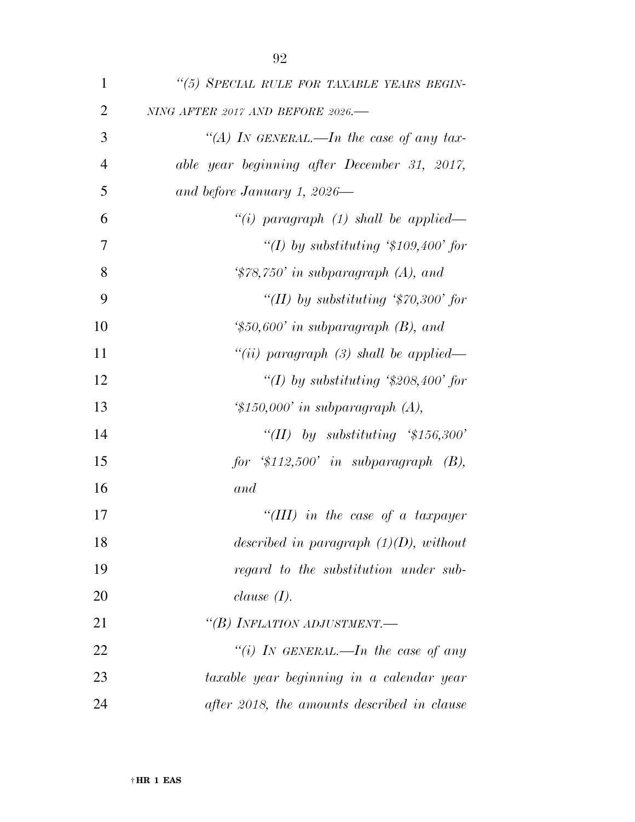| $\mathbf{1}$   | "(5) SPECIAL RULE FOR TAXABLE YEARS BEGIN-              |
|----------------|---------------------------------------------------------|
| $\overline{2}$ | NING AFTER 2017 AND BEFORE 2026.-                       |
| 3              | "(A) IN GENERAL.—In the case of any tax-                |
| $\overline{4}$ | able year beginning after December 31, 2017,            |
| 5              | and before January 1, 2026—                             |
| 6              | "(i) paragraph $(1)$ shall be applied—                  |
| 7              | "(I) by substituting '\$109,400' for                    |
| 8              | $\frac{4}{3}$ 78,750' in subparagraph (A), and          |
| 9              | "(II) by substituting $\degree$ 70,300' for             |
| 10             | $\text{\textdegree{*}}50,600'$ in subparagraph (B), and |
| 11             | "(ii) paragraph (3) shall be applied—                   |
| 12             | "(I) by substituting '\$208,400' for                    |
| 13             | $\text{\textdegree{*}}150,000'$ in subparagraph (A),    |
| 14             | "(II) by substituting $\frac{4}{56,300}$ "              |
| 15             | for $$112,500$ in subparagraph $(B)$ ,                  |
| 16             | and                                                     |
| 17             | "(III) in the case of a taxpayer                        |
| 18             | described in paragraph $(1)(D)$ , without               |
| 19             | regard to the substitution under sub-                   |
| 20             | clause $(I)$ .                                          |
| 21             | "(B) INFLATION ADJUSTMENT.—                             |
| 22             | "(i) IN GENERAL.—In the case of any                     |
| 23             | taxable year beginning in a calendar year               |
| 24             | after 2018, the amounts described in clause             |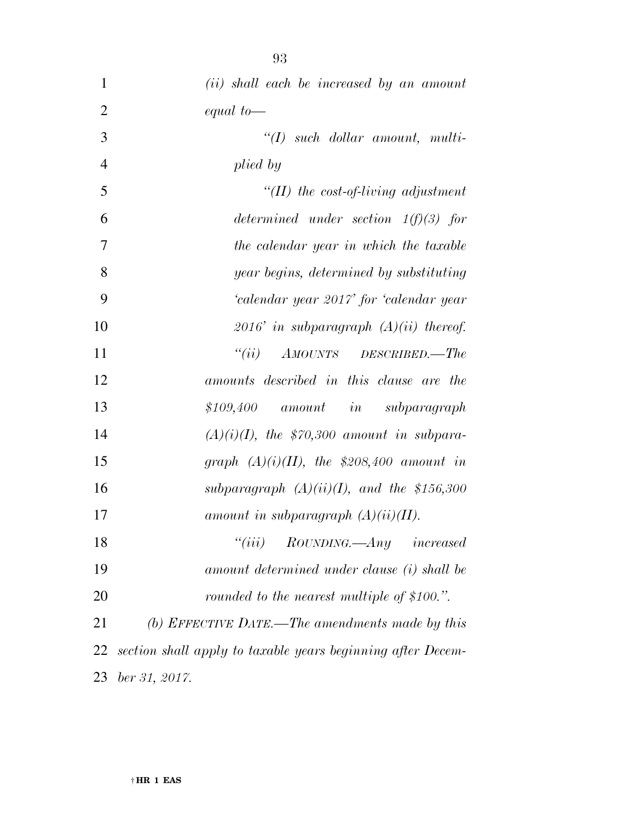| $\mathbf{1}$   | (ii) shall each be increased by an amount                   |
|----------------|-------------------------------------------------------------|
| $\overline{2}$ | equal to $-$                                                |
| 3              | $\lq (I)$ such dollar amount, multi-                        |
| $\overline{4}$ | plied by                                                    |
| 5              | "(II) the cost-of-living adjustment                         |
| 6              | determined under section $1(f)(3)$ for                      |
| 7              | the calendar year in which the taxable                      |
| 8              | year begins, determined by substituting                     |
| 9              | 'calendar year 2017' for 'calendar year                     |
| 10             | 2016' in subparagraph $(A)(ii)$ thereof.                    |
| 11             | AMOUNTS DESCRIBED.-The<br>``(ii)                            |
| 12             | amounts described in this clause are the                    |
| 13             | $$109,400$ amount in subparagraph                           |
| 14             | $(A)(i)(I)$ , the \$70,300 amount in subpara-               |
| 15             | graph $(A)(i)(II)$ , the \$208,400 amount in                |
| 16             | subparagraph $(A)(ii)(I)$ , and the \$156,300               |
| 17             | amount in subparagraph $(A)(ii)(II)$ .                      |
| 18             | "(iii) $\;$ ROUNDING.—Any $\;$ increased                    |
| 19             | amount determined under clause (i) shall be                 |
| 20             | rounded to the nearest multiple of \$100.".                 |
| 21             | (b) EFFECTIVE DATE.—The amendments made by this             |
| 22             | section shall apply to taxable years beginning after Decem- |
| 23             | ber 31, 2017.                                               |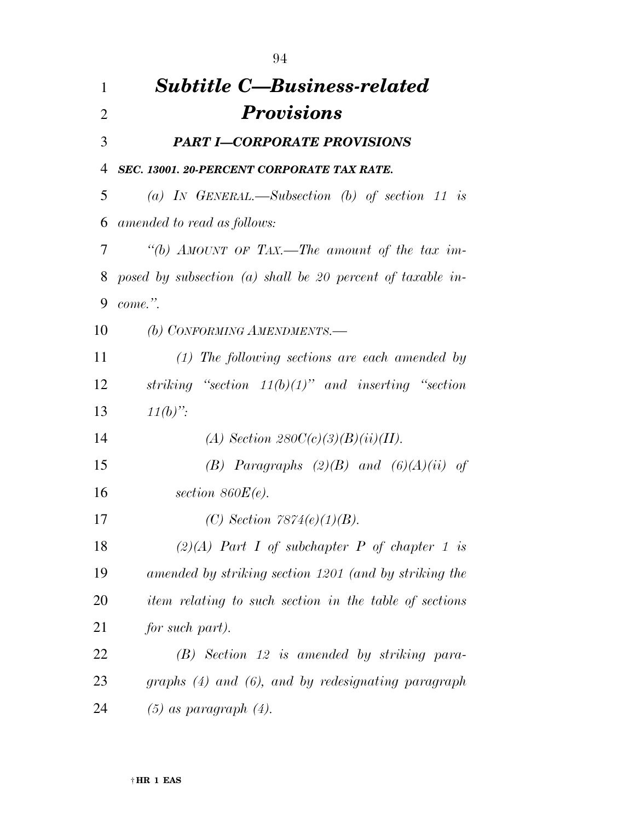| 1              | <b>Subtitle C-Business-related</b>                         |
|----------------|------------------------------------------------------------|
| $\overline{2}$ | <b>Provisions</b>                                          |
| 3              | <b>PART I-CORPORATE PROVISIONS</b>                         |
| 4              | SEC. 13001. 20-PERCENT CORPORATE TAX RATE.                 |
| 5              | (a) IN GENERAL.—Subsection (b) of section 11 is            |
| 6              | amended to read as follows:                                |
| 7              | "(b) AMOUNT OF TAX.—The amount of the tax im-              |
| 8              | posed by subsection (a) shall be 20 percent of taxable in- |
| 9              | $come$ ."                                                  |
| 10             | (b) CONFORMING AMENDMENTS.-                                |
| 11             | $(1)$ The following sections are each amended by           |
| 12             | striking "section $11(b)(1)$ " and inserting "section      |
| 13             | $11(b)$ ":                                                 |
| 14             | (A) Section $280C(c)(3)(B)(ii)(II)$ .                      |
| 15             | (B) Paragraphs $(2)(B)$ and $(6)(A)(ii)$ of                |
| 16             | section $860E(e)$ .                                        |
| 17             | (C) Section $7874(e)(1)(B)$ .                              |
| 18             | $(2)(A)$ Part I of subchapter P of chapter 1 is            |
| 19             | amended by striking section 1201 (and by striking the      |
| 20             | item relating to such section in the table of sections     |
| 21             | for such part).                                            |
| 22             | $(B)$ Section 12 is amended by striking para-              |
| 23             | graphs (4) and (6), and by redesignating paragraph         |
| 24             | $(5)$ as paragraph $(4)$ .                                 |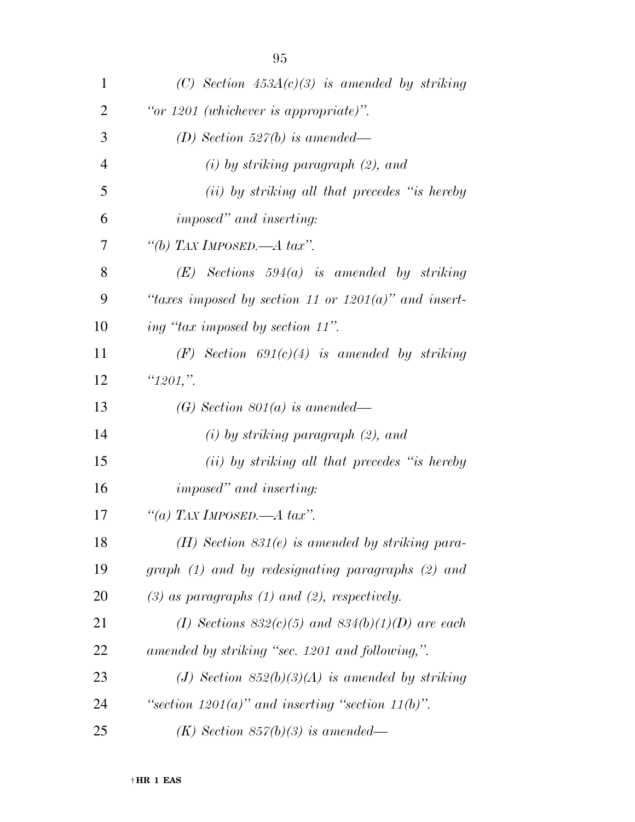| 1              | (C) Section $453A(c)(3)$ is amended by striking         |
|----------------|---------------------------------------------------------|
| $\overline{2}$ | "or $1201$ (whichever is appropriate)".                 |
| 3              | (D) Section 527(b) is amended—                          |
| $\overline{4}$ | $(i)$ by striking paragraph $(2)$ , and                 |
| 5              | (ii) by striking all that precedes "is hereby           |
| 6              | <i>imposed</i> " and <i>inserting:</i>                  |
| 7              | "(b) TAX IMPOSED.—A tax".                               |
| 8              | $(E)$ Sections 594(a) is amended by striking            |
| 9              | "taxes imposed by section 11 or $1201(a)$ " and insert- |
| 10             | ing "tax imposed by section 11".                        |
| 11             | $(F)$ Section 691(c)(4) is amended by striking          |
| 12             | " $1201$ ,".                                            |
| 13             | (G) Section $801(a)$ is amended—                        |
| 14             | $(i)$ by striking paragraph $(2)$ , and                 |
| 15             | (ii) by striking all that precedes "is hereby           |
| 16             | <i>imposed</i> " and <i>inserting</i> :                 |
| 17             | "(a) TAX IMPOSED.—A tax".                               |
| 18             | $(H)$ Section 831 $(e)$ is amended by striking para-    |
| 19             | $graph (1)$ and by redesignating paragraphs $(2)$ and   |
| 20             | $(3)$ as paragraphs $(1)$ and $(2)$ , respectively.     |
| 21             | (I) Sections $832(c)(5)$ and $834(b)(1)(D)$ are each    |
| 22             | amended by striking "sec. 1201 and following,".         |
| 23             | (J) Section $852(b)(3)(A)$ is amended by striking       |
| 24             | "section $1201(a)$ " and inserting "section $11(b)$ ".  |
| 25             | $(K)$ Section 857(b)(3) is amended—                     |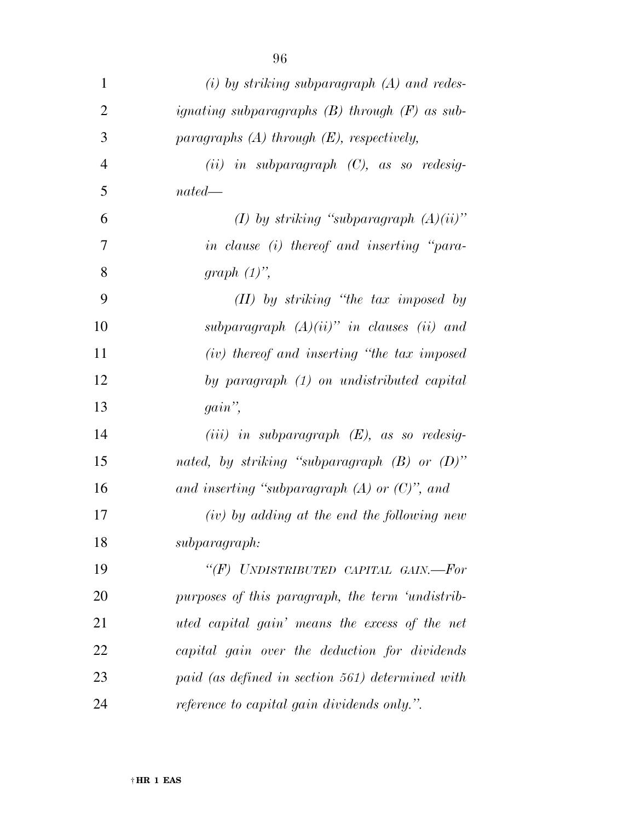| $\mathbf{1}$   | $(i)$ by striking subparagraph $(A)$ and redes-    |
|----------------|----------------------------------------------------|
| 2              | ignating subparagraphs $(B)$ through $(F)$ as sub- |
| 3              | paragraphs $(A)$ through $(E)$ , respectively,     |
| $\overline{4}$ | $(ii)$ in subparagraph $(C)$ , as so redesig-      |
| 5              | $nated$ —                                          |
| 6              | (I) by striking "subparagraph $(A)(ii)$ "          |
| 7              | in clause (i) thereof and inserting "para-         |
| 8              | graph $(1)$ ",                                     |
| 9              | $(II)$ by striking "the tax imposed by             |
| 10             | subparagraph $(A)(ii)$ " in clauses (ii) and       |
| 11             | (iv) thereof and inserting "the tax imposed        |
| 12             | by paragraph (1) on undistributed capital          |
| 13             | $gain$ ",                                          |
| 14             | $(iii)$ in subparagraph $(E)$ , as so redesig-     |
| 15             | nated, by striking "subparagraph $(B)$ or $(D)$ "  |
| 16             | and inserting "subparagraph $(A)$ or $(C)$ ", and  |
| 17             | $(iv)$ by adding at the end the following new      |
| 18             | subparagraph:                                      |
| 19             | "(F) UNDISTRIBUTED CAPITAL GAIN.-For               |
| 20             | purposes of this paragraph, the term 'undistrib-   |
| 21             | uted capital gain' means the excess of the net     |
| 22             | capital gain over the deduction for dividends      |
| 23             | paid (as defined in section 561) determined with   |
| 24             | reference to capital gain dividends only.".        |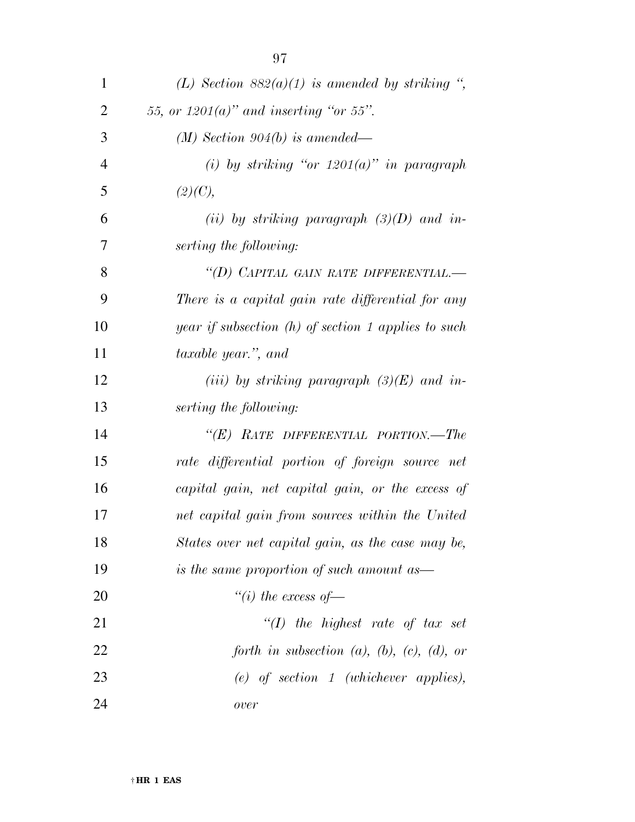| 1              | (L) Section $882(a)(1)$ is amended by striking ",      |
|----------------|--------------------------------------------------------|
| $\overline{2}$ | 55, or $1201(a)$ " and inserting "or 55".              |
| 3              | $(M)$ Section 904(b) is amended—                       |
| $\overline{4}$ | (i) by striking "or $1201(a)$ " in paragraph           |
| 5              | (2)(C),                                                |
| 6              | (ii) by striking paragraph $(3)(D)$ and in-            |
| 7              | serting the following:                                 |
| 8              | "(D) CAPITAL GAIN RATE DIFFERENTIAL.-                  |
| 9              | There is a capital gain rate differential for any      |
| 10             | year if subsection $(h)$ of section 1 applies to such  |
| 11             | taxable year.", and                                    |
| 12             | (iii) by striking paragraph $(3)(E)$ and in-           |
| 13             | serting the following:                                 |
| 14             | " $(E)$ RATE DIFFERENTIAL PORTION.—The                 |
| 15             | rate differential portion of foreign source net        |
| 16             | capital gain, net capital gain, or the excess of       |
| 17             | net capital gain from sources within the United        |
| 18             | States over net capital gain, as the case may be,      |
| 19             | is the same proportion of such amount as—              |
| 20             | "(i) the excess of $-$                                 |
| 21             | "(I) the highest rate of tax set                       |
| 22             | forth in subsection $(a)$ , $(b)$ , $(c)$ , $(d)$ , or |
| 23             | $(e)$ of section 1 (whichever applies),                |
| 24             | over                                                   |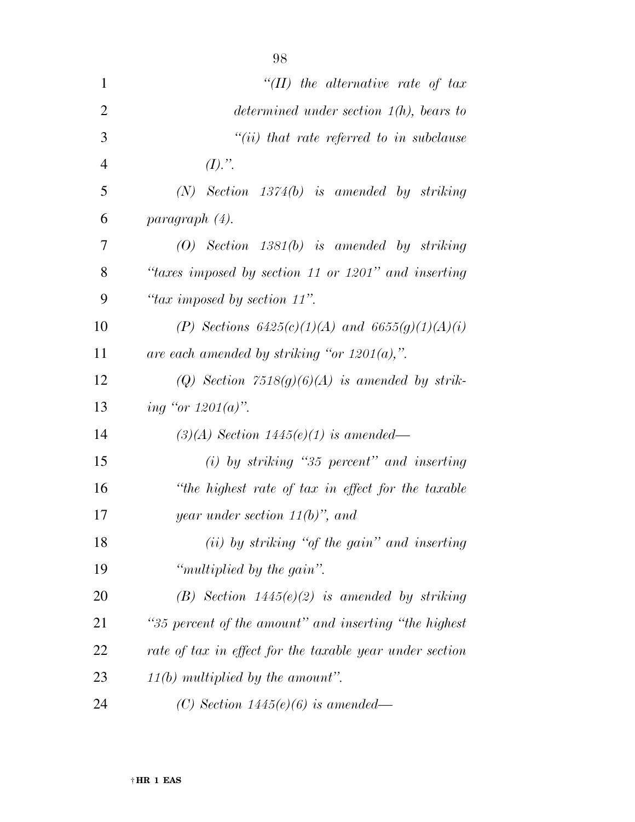| $\mathbf{1}$   | "(II) the alternative rate of tax                        |
|----------------|----------------------------------------------------------|
| $\overline{2}$ | determined under section $1(h)$ , bears to               |
| 3              | $``(ii)$ that rate referred to in subclause              |
| $\overline{4}$ | $(I).$ ".                                                |
| 5              | $(N)$ Section 1374 $(b)$ is amended by striking          |
| 6              | paragraph (4).                                           |
| 7              | $(0)$ Section 1381 $(b)$ is amended by striking          |
| 8              | "taxes imposed by section 11 or 1201" and inserting      |
| 9              | "tax imposed by section 11".                             |
| 10             | (P) Sections $6425(c)(1)(A)$ and $6655(g)(1)(A)(i)$      |
| 11             | are each amended by striking "or $1201(a)$ ,".           |
| 12             | (Q) Section $7518(g)(6)(A)$ is amended by strik-         |
| 13             | ing "or $1201(a)$ ".                                     |
| 14             | $(3)(A)$ Section 1445 $(e)(1)$ is amended—               |
| 15             | $(i)$ by striking "35 percent" and inserting             |
| 16             | "the highest rate of tax in effect for the taxable       |
| 17             | year under section $11(b)$ ", and                        |
| 18             | (ii) by striking "of the gain" and inserting             |
| 19             | "multiplied by the gain".                                |
| 20             | (B) Section $1445(e)(2)$ is amended by striking          |
| 21             | "35 percent of the amount" and inserting "the highest"   |
| 22             | rate of tax in effect for the taxable year under section |
| 23             | $11(b)$ multiplied by the amount".                       |
| 24             | (C) Section $1445(e)(6)$ is amended—                     |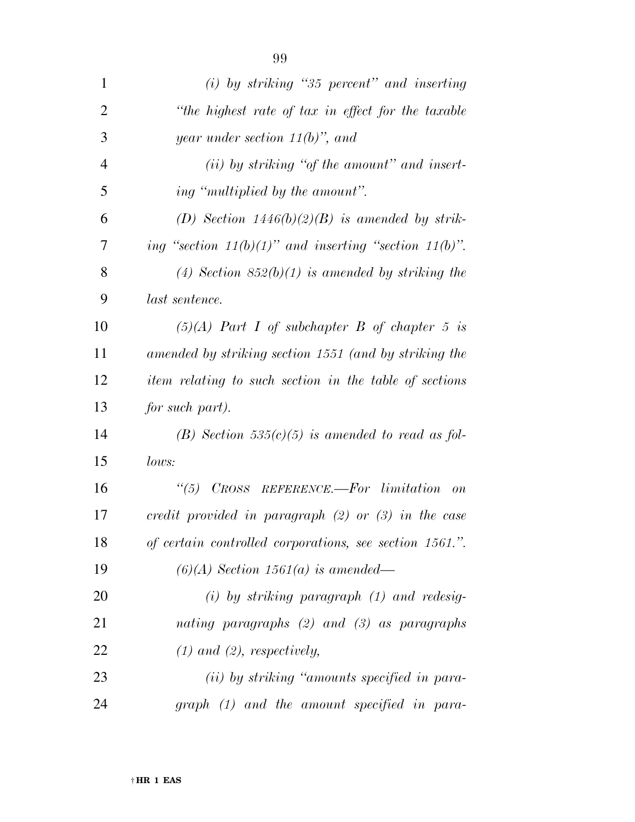| 1              | $(i)$ by striking "35 percent" and inserting                |
|----------------|-------------------------------------------------------------|
| $\overline{2}$ | "the highest rate of tax in effect for the taxable          |
| 3              | year under section $11(b)$ , and                            |
| $\overline{4}$ | $(ii)$ by striking "of the amount" and insert-              |
| 5              | ing "multiplied by the amount".                             |
| 6              | (D) Section $1446(b)(2)(B)$ is amended by strik-            |
| 7              | ing "section $11(b)(1)$ " and inserting "section $11(b)$ ". |
| 8              | (4) Section $852(b)(1)$ is amended by striking the          |
| 9              | last sentence.                                              |
| 10             | $(5)(A)$ Part I of subchapter B of chapter 5 is             |
| 11             | amended by striking section 1551 (and by striking the       |
| 12             | item relating to such section in the table of sections      |
| 13             | for such part).                                             |
| 14             | (B) Section 535(c)(5) is amended to read as fol-            |
| 15             | lows:                                                       |
| 16             | $\lq(5)$ CROSS REFERENCE.—For limitation<br>$\overline{on}$ |
| 17             | credit provided in paragraph $(2)$ or $(3)$ in the case     |
| 18             | of certain controlled corporations, see section 1561.".     |
| 19             | $(6)(A)$ Section 1561(a) is amended—                        |
| 20             | $(i)$ by striking paragraph $(1)$ and redesig-              |
| 21             | nating paragraphs $(2)$ and $(3)$ as paragraphs             |
| 22             | $(1)$ and $(2)$ , respectively,                             |
| 23             | (ii) by striking "amounts specified in para-                |
| 24             | graph (1) and the amount specified in para-                 |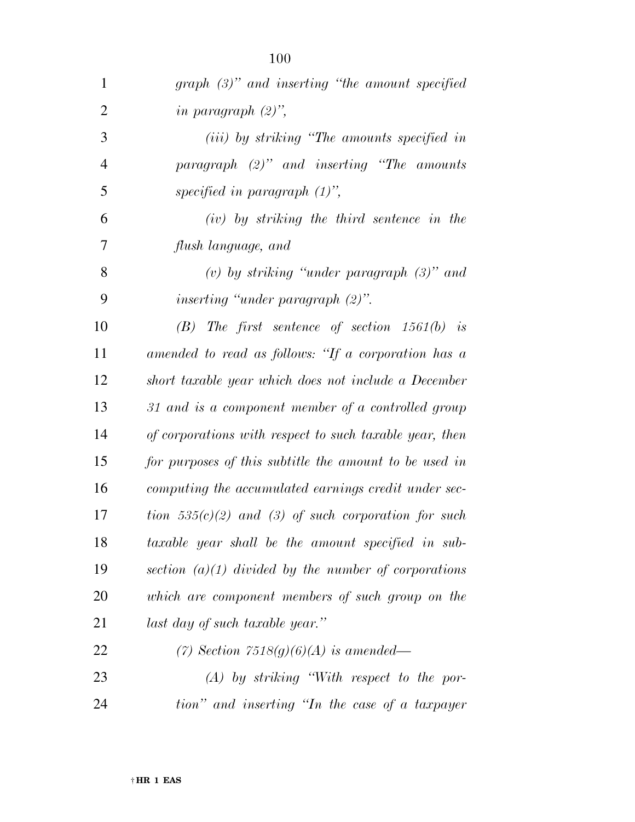| $\mathbf{1}$   | graph $(3)$ " and inserting "the amount specified       |
|----------------|---------------------------------------------------------|
| $\overline{2}$ | in paragraph $(2)$ ",                                   |
| 3              | (iii) by striking "The amounts specified in             |
| $\overline{4}$ | paragraph $(2)$ " and inserting "The amounts"           |
| 5              | specified in paragraph $(1)$ ",                         |
| 6              | $(iv)$ by striking the third sentence in the            |
| 7              | flush language, and                                     |
| 8              | (v) by striking "under paragraph $(3)$ " and            |
| 9              | inserting "under paragraph $(2)$ ".                     |
| 10             | $(B)$ The first sentence of section 1561(b) is          |
| 11             | amended to read as follows: "If a corporation has a     |
| 12             | short taxable year which does not include a December    |
| 13             | 31 and is a component member of a controlled group      |
| 14             | of corporations with respect to such taxable year, then |
| 15             | for purposes of this subtitle the amount to be used in  |
| 16             | computing the accumulated earnings credit under sec-    |
| 17             | tion $535(c)(2)$ and (3) of such corporation for such   |
| 18             | taxable year shall be the amount specified in sub-      |
| 19             | section $(a)(1)$ divided by the number of corporations  |
| 20             | which are component members of such group on the        |
| 21             | last day of such taxable year."                         |
| 22             | (7) Section $7518(g)(6)(A)$ is amended—                 |
| 23             | $(A)$ by striking "With respect to the por-             |
| 24             | tion" and inserting "In the case of a taxpayer          |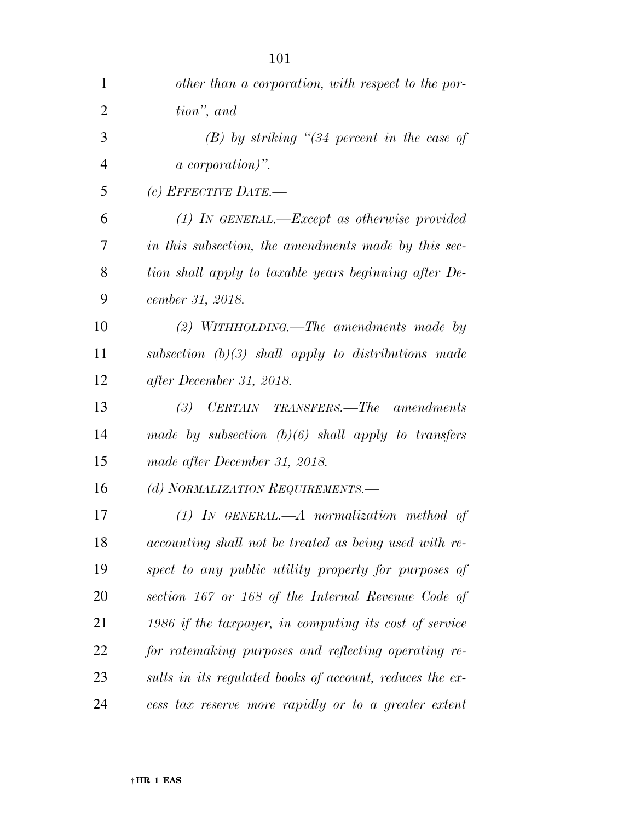| $\mathbf{1}$   | other than a corporation, with respect to the por-       |
|----------------|----------------------------------------------------------|
| $\overline{2}$ | tion", and                                               |
| 3              | $(B)$ by striking "(34 percent in the case of            |
| $\overline{4}$ | <i>a</i> corporation)".                                  |
| 5              | (c) EFFECTIVE DATE.—                                     |
| 6              | $(1)$ IN GENERAL.—Except as otherwise provided           |
| 7              | in this subsection, the amendments made by this sec-     |
| 8              | tion shall apply to taxable years beginning after De-    |
| 9              | cember 31, 2018.                                         |
| 10             | $(2)$ WITHHOLDING.—The amendments made by                |
| 11             | subsection $(b)(3)$ shall apply to distributions made    |
| 12             | after December 31, 2018.                                 |
| 13             | CERTAIN TRANSFERS.—The amendments<br>(3)                 |
| 14             | made by subsection $(b)(6)$ shall apply to transfers     |
| 15             | made after December 31, 2018.                            |
| 16             | (d) NORMALIZATION REQUIREMENTS.-                         |
| 17             | $(1)$ IN GENERAL.—A normalization method of              |
| 18             | accounting shall not be treated as being used with re-   |
| 19             | spect to any public utility property for purposes of     |
| 20             | section 167 or 168 of the Internal Revenue Code of       |
| 21             | 1986 if the taxpayer, in computing its cost of service   |
| 22             | for ratemaking purposes and reflecting operating re-     |
| 23             | sults in its regulated books of account, reduces the ex- |
| 24             | cess tax reserve more rapidly or to a greater extent     |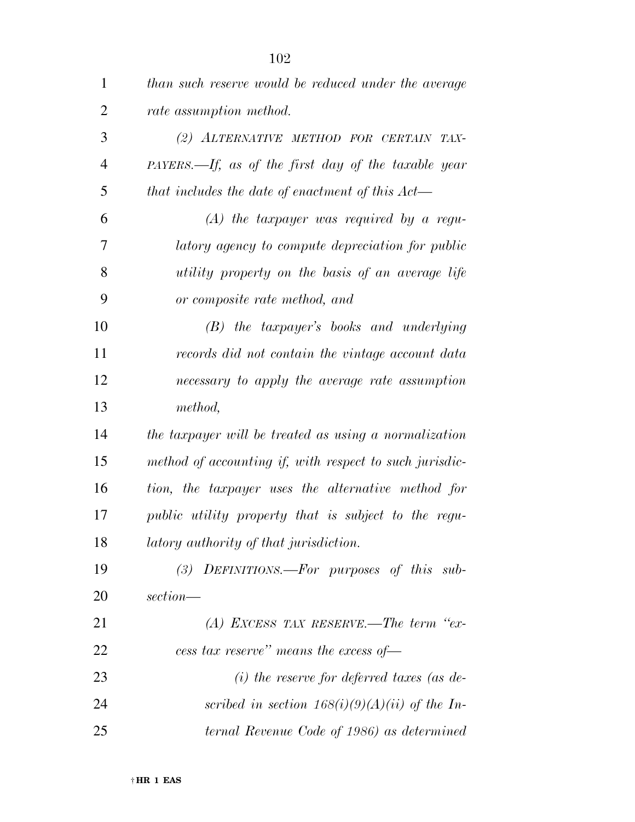| $\mathbf{1}$   | than such reserve would be reduced under the average    |
|----------------|---------------------------------------------------------|
| $\overline{2}$ | rate assumption method.                                 |
| 3              | (2) ALTERNATIVE METHOD FOR CERTAIN TAX-                 |
| 4              | $PAYERS$ —If, as of the first day of the taxable year   |
| 5              | that includes the date of enactment of this $Act$       |
| 6              | $(A)$ the taxpayer was required by a regu-              |
| 7              | latory agency to compute depreciation for public        |
| 8              | utility property on the basis of an average life        |
| 9              | or composite rate method, and                           |
| 10             | (B) the taxpayer's books and underlying                 |
| 11             | records did not contain the vintage account data        |
| 12             | necessary to apply the average rate assumption          |
| 13             | method,                                                 |
| 14             | the taxpayer will be treated as using a normalization   |
| 15             | method of accounting if, with respect to such jurisdic- |
| 16             | tion, the taxpayer uses the alternative method for      |
| 17             | public utility property that is subject to the regu-    |
| 18             | latory authority of that jurisdiction.                  |
| 19             | $(3)$ DEFINITIONS.—For purposes of this sub-            |
| 20             | section—                                                |
| 21             | $(A)$ EXCESS TAX RESERVE.—The term "ex-                 |
| 22             | cess tax reserve" means the excess of-                  |
| 23             | $(i)$ the reserve for deferred taxes (as de-            |
| 24             | scribed in section $168(i)(9)(A)(ii)$ of the In-        |
| 25             | ternal Revenue Code of 1986) as determined              |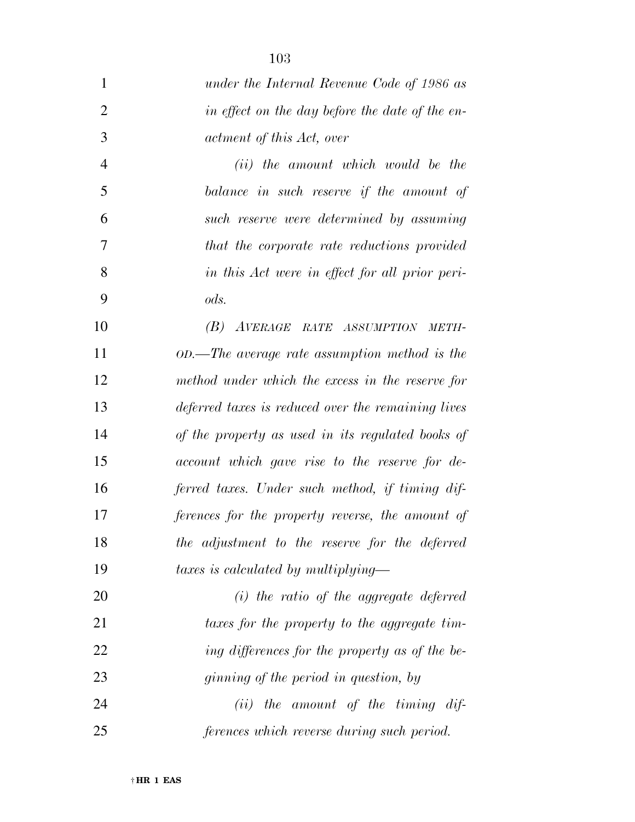| under the Internal Revenue Code of 1986 as         |
|----------------------------------------------------|
| in effect on the day before the date of the en-    |
| actment of this Act, over                          |
| ( <i>ii</i> ) the amount which would be the        |
| balance in such reserve if the amount of           |
| such reserve were determined by assuming           |
| that the corporate rate reductions provided        |
| in this Act were in effect for all prior peri-     |
| ods.                                               |
| (B) AVERAGE RATE ASSUMPTION METH-                  |
| $OD.$ The average rate assumption method is the    |
| method under which the excess in the reserve for   |
| deferred taxes is reduced over the remaining lives |
| of the property as used in its regulated books of  |
| account which gave rise to the reserve for de-     |
| ferred taxes. Under such method, if timing dif-    |
| ferences for the property reverse, the amount of   |
| the adjustment to the reserve for the deferred     |
| taxes is calculated by multiplying-                |
| $(i)$ the ratio of the aggregate deferred          |
| taxes for the property to the aggregate tim-       |
| ing differences for the property as of the be-     |
| <i>ginning of the period in question, by</i>       |
| $(ii)$ the amount of the timing dif-               |
| ferences which reverse during such period.         |
|                                                    |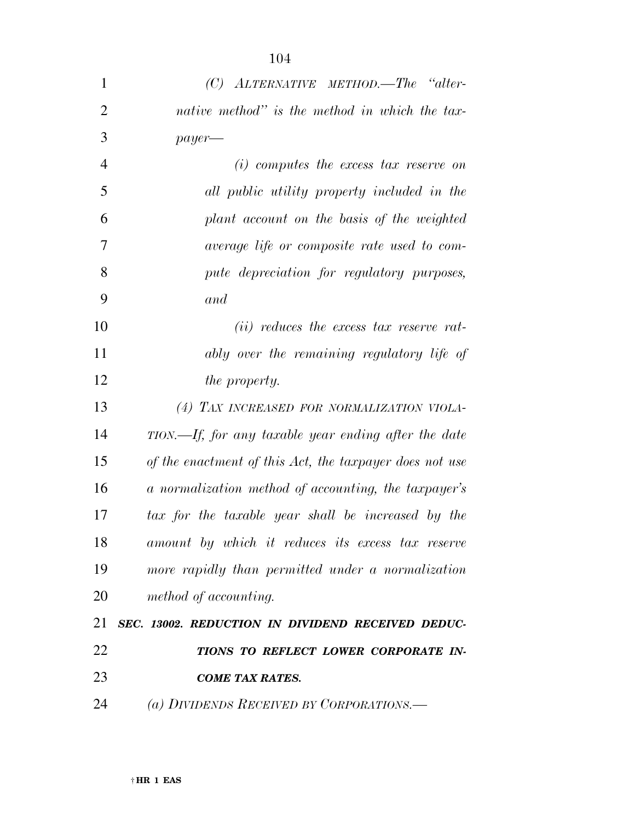| $\mathbf{1}$   | $(C)$ ALTERNATIVE METHOD. The "alter-                   |
|----------------|---------------------------------------------------------|
| $\overline{2}$ | native method" is the method in which the tax-          |
| 3              | $payer$ —                                               |
| $\overline{4}$ | $(i)$ computes the excess tax reserve on                |
| 5              | all public utility property included in the             |
| 6              | plant account on the basis of the weighted              |
| 7              | average life or composite rate used to com-             |
| 8              | pute depreciation for regulatory purposes,              |
| 9              | and                                                     |
| 10             | $(ii)$ reduces the excess tax reserve rat-              |
| 11             | ably over the remaining regulatory life of              |
| 12             | <i>the property.</i>                                    |
| 13             | (4) TAX INCREASED FOR NORMALIZATION VIOLA-              |
| 14             | TION.—If, for any taxable year ending after the date    |
| 15             | of the enactment of this Act, the taxpayer does not use |
| 16             | a normalization method of accounting, the taxpayer's    |
| 17             | tax for the taxable year shall be increased by the      |
| 18             | amount by which it reduces its excess tax reserve       |
| 19             | more rapidly than permitted under a normalization       |
| 20             | method of accounting.                                   |
| 21             | SEC. 13002. REDUCTION IN DIVIDEND RECEIVED DEDUC-       |
| 22             | TIONS TO REFLECT LOWER CORPORATE IN-                    |
| 23             | <b>COME TAX RATES.</b>                                  |
| 24             | (a) DIVIDENDS RECEIVED BY CORPORATIONS.—                |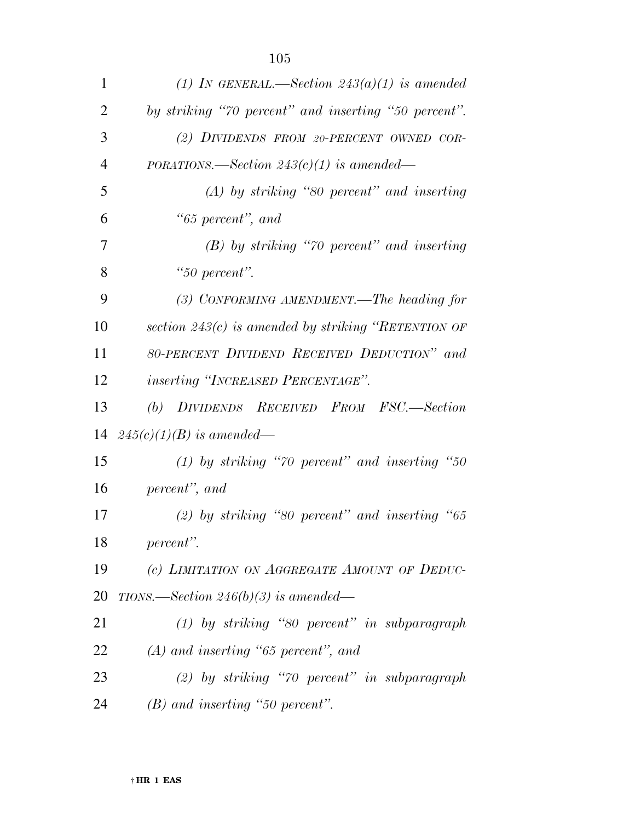| $\mathbf{1}$   | (1) IN GENERAL.—Section $243(a)(1)$ is amended         |
|----------------|--------------------------------------------------------|
| $\overline{2}$ | by striking "70 percent" and inserting "50 percent".   |
| 3              | (2) DIVIDENDS FROM 20-PERCENT OWNED COR-               |
| 4              | PORATIONS.—Section $243(c)(1)$ is amended—             |
| 5              | $(A)$ by striking "80 percent" and inserting           |
| 6              | "65 percent", and                                      |
| 7              | $(B)$ by striking "70 percent" and inserting           |
| 8              | "50 percent".                                          |
| 9              | (3) CONFORMING AMENDMENT.—The heading for              |
| 10             | section 243 $(c)$ is amended by striking "RETENTION OF |
| 11             | 80-PERCENT DIVIDEND RECEIVED DEDUCTION" and            |
| 12             | <i>inserting "INCREASED PERCENTAGE"</i> .              |
| 13             | (b) DIVIDENDS RECEIVED FROM FSC.-Section               |
| 14             | $245(c)(1)(B)$ is amended—                             |
| 15             | (1) by striking "70 percent" and inserting "50         |
| 16             | percent", and                                          |
| 17             | $(2)$ by striking "80 percent" and inserting "65       |
| 18             | percent".                                              |
| 19             | (c) LIMITATION ON AGGREGATE AMOUNT OF DEDUC-           |
| <b>20</b>      | TIONS.—Section 246(b)(3) is amended—                   |
| 21             | $(1)$ by striking "80 percent" in subparagraph         |
| 22             | $(A)$ and inserting "65 percent", and                  |
| 23             | $(2)$ by striking "70 percent" in subparagraph         |
| 24             | $(B)$ and inserting "50 percent".                      |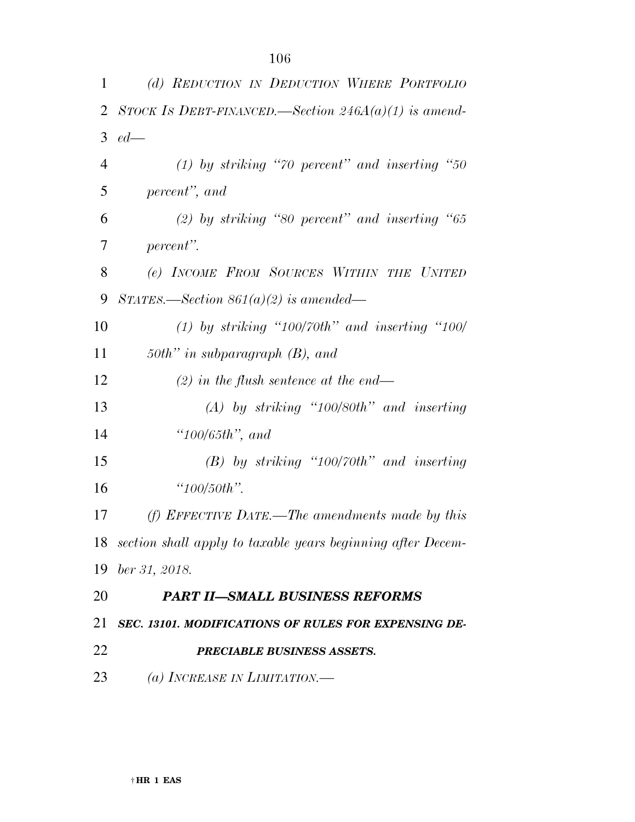| 1              | (d) REDUCTION IN DEDUCTION WHERE PORTFOLIO                     |
|----------------|----------------------------------------------------------------|
| 2              | STOCK IS DEBT-FINANCED.—Section $246A(a)(1)$ is amend-         |
|                | $3 \text{ } ed$ —                                              |
| $\overline{4}$ | $(1)$ by striking "70 percent" and inserting "50               |
| 5              | percent", and                                                  |
| 6              | (2) by striking "80 percent" and inserting "65                 |
| 7              | percent".                                                      |
| 8              | (e) INCOME FROM SOURCES WITHIN THE UNITED                      |
| 9              | STATES.—Section $861(a)(2)$ is amended—                        |
| 10             | $(1)$ by striking "100/70th" and inserting "100/               |
| 11             | 50th" in subparagraph $(B)$ , and                              |
| 12             | $(2)$ in the flush sentence at the end—                        |
| 13             | $(A)$ by striking "100/80th" and inserting                     |
| 14             | $"100/65th"$ , and                                             |
| 15             | $(B)$ by striking "100/70th" and inserting                     |
| 16             | " $100/50$ th".                                                |
| 17             | (f) EFFECTIVE DATE.—The amendments made by this                |
|                | 18 section shall apply to taxable years beginning after Decem- |
|                | 19 ber 31, 2018.                                               |
| 20             | <b>PART II–SMALL BUSINESS REFORMS</b>                          |
| 21             | SEC. 13101. MODIFICATIONS OF RULES FOR EXPENSING DE-           |
| 22             | PRECIABLE BUSINESS ASSETS.                                     |
| 23             | (a) INCREASE IN LIMITATION.                                    |
|                |                                                                |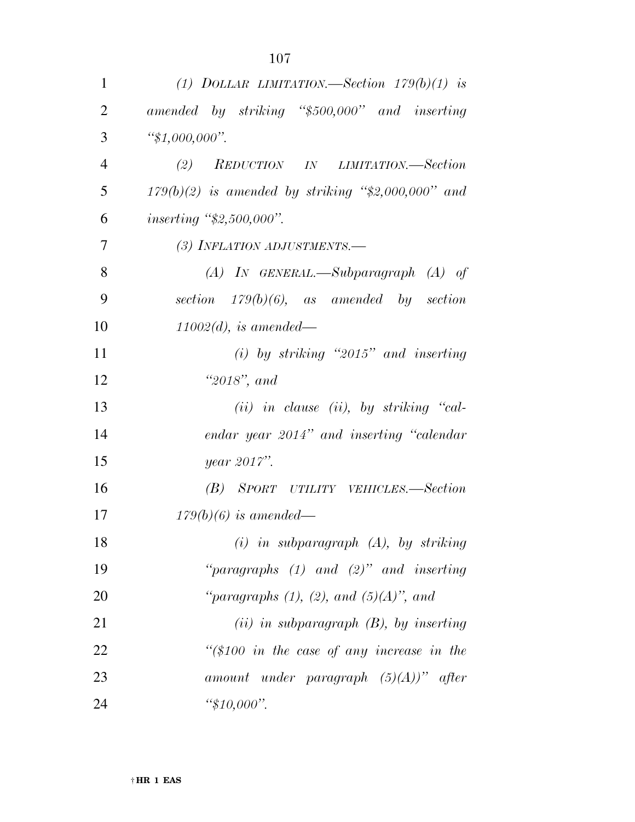| $\mathbf{1}$   | (1) DOLLAR LIMITATION.—Section $179(b)(1)$ is        |
|----------------|------------------------------------------------------|
| $\overline{2}$ | amended by striking "\$500,000" and inserting        |
| 3              | " $$1,000,000$ ".                                    |
| $\overline{4}$ | (2) REDUCTION IN LIMITATION.—Section                 |
| 5              | $179(b)(2)$ is amended by striking "\$2,000,000" and |
| 6              | <i>inserting</i> "\$2,500,000".                      |
| 7              | (3) INFLATION ADJUSTMENTS.-                          |
| 8              | $(A)$ IN GENERAL.—Subparagraph $(A)$ of              |
| 9              | section $179(b)(6)$ , as amended by section          |
| 10             | $11002(d)$ , is amended—                             |
| 11             | $(i)$ by striking "2015" and inserting               |
| 12             | " $2018"$ , and                                      |
| 13             | $(ii)$ in clause (ii), by striking "cal-             |
| 14             | endar year 2014" and inserting "calendar             |
| 15             | year 2017".                                          |
| 16             | (B) SPORT UTILITY VEHICLES.—Section                  |
| 17             | $179(b)(6)$ is amended—                              |
| 18             | $(i)$ in subparagraph $(A)$ , by striking            |
| 19             | "paragraphs $(1)$ and $(2)$ " and inserting          |
| 20             | "paragraphs $(1)$ , $(2)$ , and $(5)(A)$ ", and      |
| 21             | $(ii)$ in subparagraph $(B)$ , by inserting          |
| 22             | " $(\$100$ in the case of any increase in the        |
| 23             | amount under paragraph $(5)(A)$ " after              |
| 24             | " $$10,000$ ".                                       |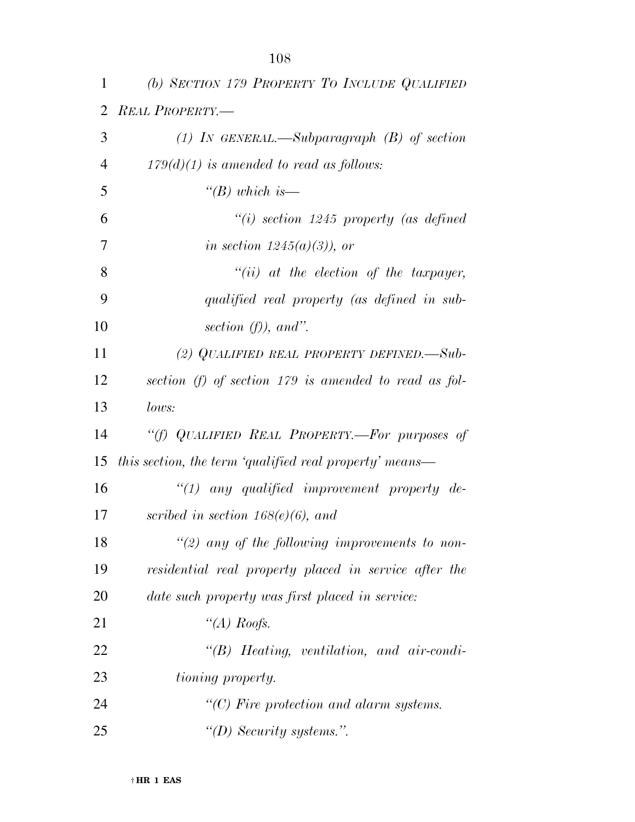| 1              | (b) SECTION 179 PROPERTY TO INCLUDE QUALIFIED           |
|----------------|---------------------------------------------------------|
| 2              | <b>REAL PROPERTY.</b>                                   |
| 3              | (1) IN GENERAL.—Subparagraph $(B)$ of section           |
| $\overline{4}$ | $179(d)(1)$ is amended to read as follows:              |
| 5              | "(B) which is—                                          |
| 6              | $``(i)$ section 1245 property (as defined               |
| 7              | in section $1245(a)(3)$ , or                            |
| 8              | $``(ii)$ at the election of the taxpayer,               |
| 9              | qualified real property (as defined in sub-             |
| 10             | section $(f)$ , and".                                   |
| 11             | (2) QUALIFIED REAL PROPERTY DEFINED. $-Sub$             |
| 12             | section (f) of section $179$ is amended to read as fol- |
| 13             | lows:                                                   |
| 14             | "(f) QUALIFIED REAL PROPERTY.-For purposes of           |
| 15             | this section, the term 'qualified real property' means— |
| 16             | $"(1)$ any qualified improvement property de-           |
| 17             | scribed in section $168(e)(6)$ , and                    |
| 18             | $\degree$ (2) any of the following improvements to non- |
| 19             | residential real property placed in service after the   |
| 20             | date such property was first placed in service:         |
| 21             | "(A) Roofs.                                             |
| 22             | $\lq\lq B$ Heating, ventilation, and air-condi-         |
| 23             | <i>tioning property.</i>                                |
| 24             | $\lq\lq C$ ) Fire protection and alarm systems.         |
| 25             | "(D) Security systems.".                                |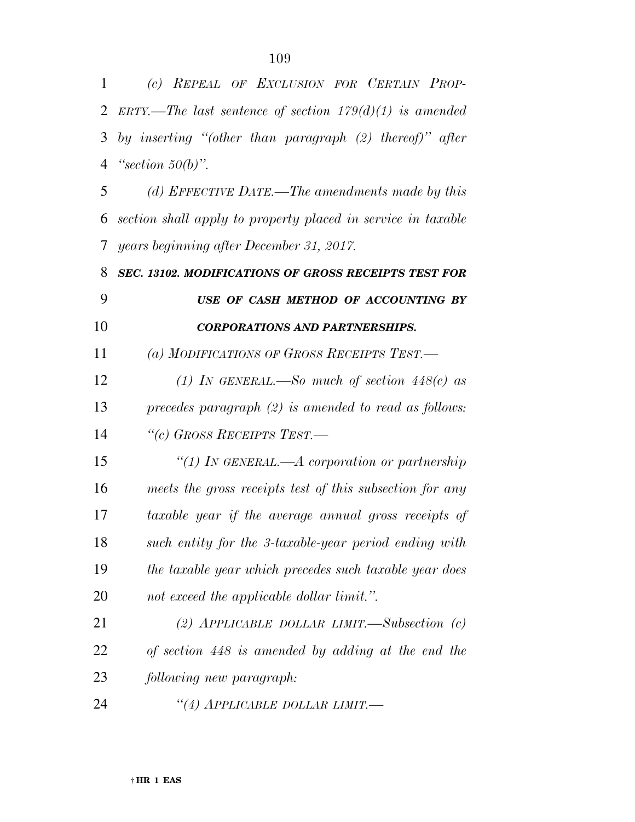| 1  | (c) REPEAL OF EXCLUSION FOR CERTAIN PROP-                    |
|----|--------------------------------------------------------------|
| 2  | ERTY.—The last sentence of section $179(d)(1)$ is amended    |
| 3  | by inserting "(other than paragraph $(2)$ thereof)" after    |
| 4  | "section $50(b)$ ".                                          |
| 5  | (d) EFFECTIVE DATE.—The amendments made by this              |
| 6  | section shall apply to property placed in service in taxable |
| 7  | years beginning after December 31, 2017.                     |
| 8  | SEC. 13102. MODIFICATIONS OF GROSS RECEIPTS TEST FOR         |
| 9  | USE OF CASH METHOD OF ACCOUNTING BY                          |
| 10 | <b>CORPORATIONS AND PARTNERSHIPS.</b>                        |
| 11 | (a) MODIFICATIONS OF GROSS RECEIPTS TEST.—                   |
| 12 | (1) In GENERAL.—So much of section $448(c)$ as               |
| 13 | precedes paragraph $(2)$ is amended to read as follows:      |
| 14 | "(c) GROSS RECEIPTS TEST.-                                   |
| 15 | "(1) IN GENERAL.—A corporation or partnership                |
| 16 | meets the gross receipts test of this subsection for any     |
| 17 | taxable year if the average annual gross receipts of         |
| 18 | such entity for the 3-taxable-year period ending with        |
| 19 | the taxable year which precedes such taxable year does       |
| 20 | not exceed the applicable dollar limit.".                    |
| 21 | (2) APPLICABLE DOLLAR LIMIT.—Subsection $(c)$                |
| 22 | of section 448 is amended by adding at the end the           |
| 23 | following new paragraph:                                     |
| 24 | "(4) APPLICABLE DOLLAR LIMIT.—                               |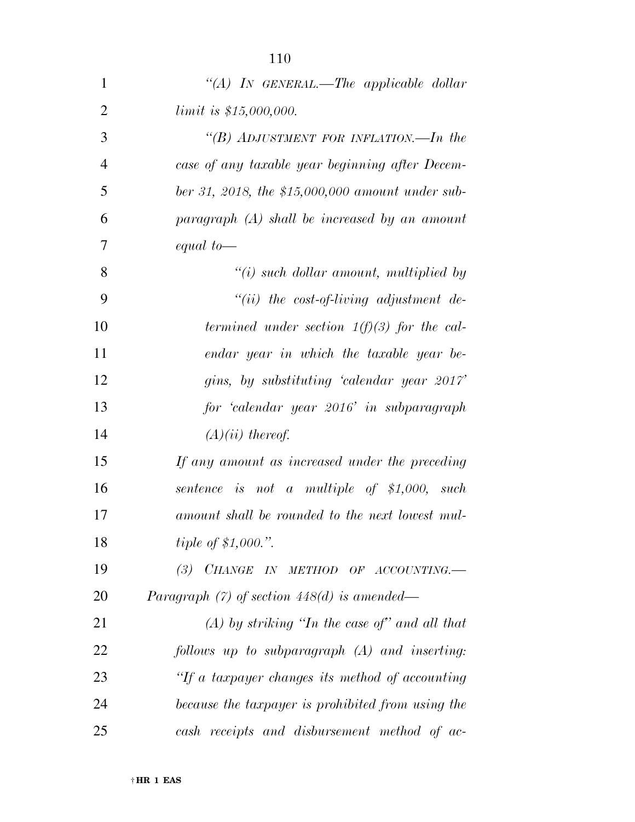| $\mathbf{1}$   | "(A) IN GENERAL.—The applicable dollar                                                                   |
|----------------|----------------------------------------------------------------------------------------------------------|
| $\overline{2}$ | limit is \$15,000,000.                                                                                   |
| 3              | "(B) ADJUSTMENT FOR INFLATION.—In the                                                                    |
| $\overline{4}$ | case of any taxable year beginning after Decem-                                                          |
| 5              | ber 31, 2018, the \$15,000,000 amount under sub-                                                         |
| 6              | paragraph (A) shall be increased by an amount                                                            |
| 7              | equal to $-$                                                                                             |
| 8              | $\lq\lq(i)$ such dollar amount, multiplied by                                                            |
| 9              | $``(ii)$ the cost-of-living adjustment de-                                                               |
| 10             | termined under section $1(f)(3)$ for the cal-                                                            |
| 11             | endar year in which the taxable year be-                                                                 |
| 12             | gins, by substituting 'calendar year 2017'                                                               |
| 13             | for 'calendar year 2016' in subparagraph                                                                 |
| 14             | $(A)(ii)$ thereof.                                                                                       |
| 15             | If any amount as increased under the preceding                                                           |
| 16             | sentence is not a multiple of $$1,000$ , such                                                            |
| 17             | amount shall be rounded to the next lowest mul-                                                          |
| 18             | <i>tiple of \$1,000.</i> ".                                                                              |
| 19             | $\begin{tabular}{cc} \bf CHANGE & \bf IN & \bf METHOD & \bf OF & \bf ACCOUNTING.\\ \end{tabular}$<br>(3) |
| 20             | Paragraph $(7)$ of section 448 $(d)$ is amended—                                                         |
| 21             | $(A)$ by striking "In the case of" and all that                                                          |
| 22             | $follows$ up to subparagraph $(A)$ and inserting:                                                        |
| 23             | "If a taxpayer changes its method of accounting                                                          |
| 24             | because the taxpayer is prohibited from using the                                                        |
| 25             | cash receipts and disbursement method of ac-                                                             |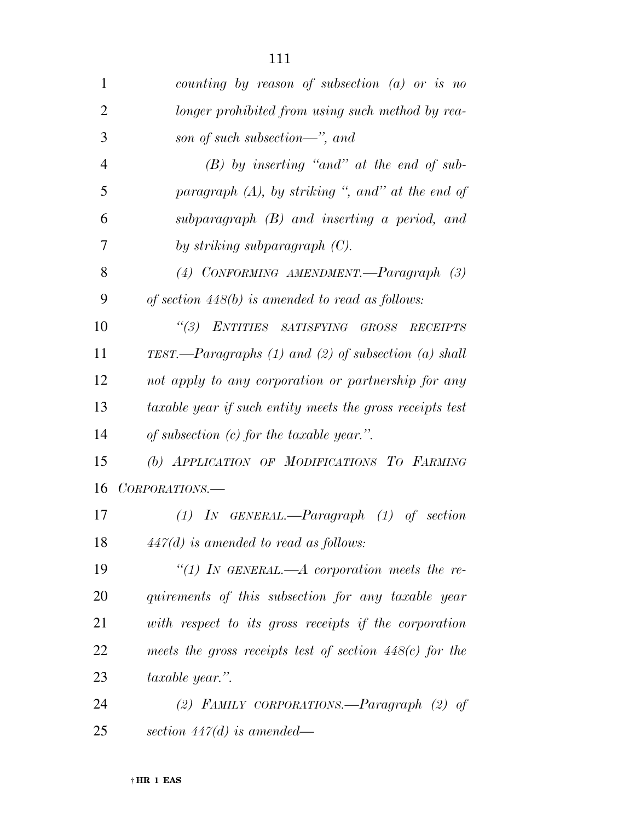| 1              | counting by reason of subsection $(a)$ or is no            |
|----------------|------------------------------------------------------------|
| $\overline{2}$ | longer prohibited from using such method by rea-           |
| 3              | son of such subsection—", and                              |
| $\overline{4}$ | $(B)$ by inserting "and" at the end of sub-                |
| 5              | paragraph $(A)$ , by striking ", and" at the end of        |
| 6              | subparagraph $(B)$ and inserting a period, and             |
| 7              | by striking subparagraph $(C)$ .                           |
| 8              | (4) CONFORMING AMENDMENT.—Paragraph (3)                    |
| 9              | of section $448(b)$ is amended to read as follows:         |
| 10             | "(3) ENTITIES SATISFYING GROSS<br><b>RECEIPTS</b>          |
| 11             | TEST.—Paragraphs $(1)$ and $(2)$ of subsection $(a)$ shall |
| 12             | not apply to any corporation or partnership for any        |
| 13             | taxable year if such entity meets the gross receipts test  |
| 14             | of subsection $(c)$ for the taxable year.".                |
| 15             | (b) APPLICATION OF MODIFICATIONS TO FARMING                |
| 16             | CORPORATIONS.—                                             |
| 17             | $(1)$ IN GENERAL.—Paragraph $(1)$ of section               |
| 18             | $447(d)$ is amended to read as follows:                    |
| 19             | "(1) In GENERAL.—A corporation meets the re-               |
| 20             | quirements of this subsection for any taxable year         |
| 21             | with respect to its gross receipts if the corporation      |
| 22             | meets the gross receipts test of section $448(c)$ for the  |
| 23             | taxable year.".                                            |
| 24             | (2) FAMILY CORPORATIONS.—Paragraph $(2)$ of                |
| 25             | section $447(d)$ is amended—                               |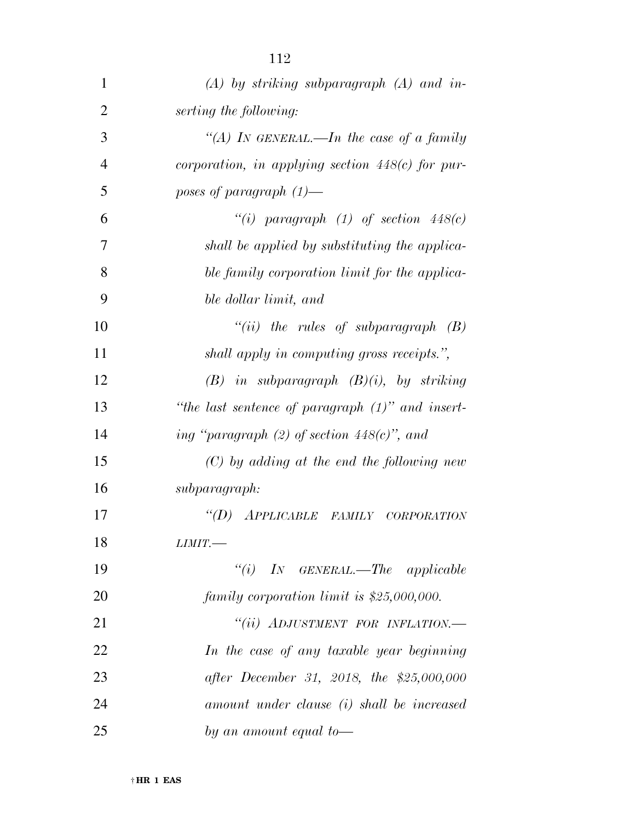| $\mathbf{1}$   | $(A)$ by striking subparagraph $(A)$ and in-        |
|----------------|-----------------------------------------------------|
| $\overline{2}$ | serting the following:                              |
| 3              | "(A) IN GENERAL.—In the case of a family            |
| $\overline{4}$ | corporation, in applying section $448(c)$ for pur-  |
| 5              | poses of paragraph $(1)$ —                          |
| 6              | "(i) paragraph (1) of section $448(c)$              |
| 7              | shall be applied by substituting the applica-       |
| 8              | ble family corporation limit for the applica-       |
| 9              | ble dollar limit, and                               |
| 10             | "(ii) the rules of subparagraph $(B)$               |
| 11             | shall apply in computing gross receipts.",          |
| 12             | $(B)$ in subparagraph $(B)(i)$ , by striking        |
| 13             | "the last sentence of paragraph $(1)$ " and insert- |
| 14             | ing "paragraph $(2)$ of section $448(c)$ ", and     |
| 15             | $(C)$ by adding at the end the following new        |
| 16             | subparagraph:                                       |
| 17             | APPLICABLE FAMILY CORPORATION<br>$\lq (D)$          |
| 18             | LIMIT.                                              |
| 19             | $``(i)$ IN GENERAL.—The applicable                  |
| 20             | family corporation limit is $$25,000,000$ .         |
| 21             | "(ii) ADJUSTMENT FOR INFLATION.-                    |
| 22             | In the case of any taxable year beginning           |
| 23             | after December 31, 2018, the \$25,000,000           |
| 24             | amount under clause (i) shall be increased          |
| 25             | by an amount equal to-                              |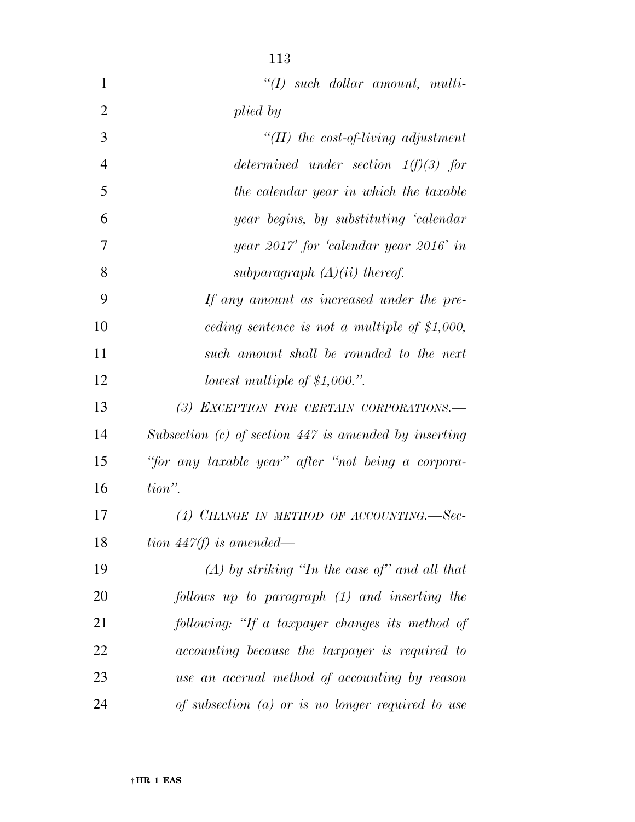| $\mathbf{1}$   | $\lq (I)$ such dollar amount, multi-                    |
|----------------|---------------------------------------------------------|
| $\overline{2}$ | plied by                                                |
| 3              | "(II) the cost-of-living adjustment                     |
| $\overline{4}$ | determined under section $1(f)(3)$ for                  |
| 5              | the calendar year in which the taxable                  |
| 6              | year begins, by substituting 'calendar                  |
| 7              | year 2017' for 'calendar year 2016' in                  |
| 8              | subparagraph $(A)(ii)$ thereof.                         |
| 9              | If any amount as increased under the pre-               |
| 10             | ceding sentence is not a multiple of $$1,000$ ,         |
| 11             | such amount shall be rounded to the next                |
| 12             | lowest multiple of $$1,000."$ .                         |
| 13             | (3) EXCEPTION FOR CERTAIN CORPORATIONS.-                |
| 14             | Subsection $(c)$ of section 447 is amended by inserting |
| 15             | "for any taxable year" after "not being a corpora-      |
| 16             | tion".                                                  |
| 17             | (4) CHANGE IN METHOD OF ACCOUNTING.—Sec-                |
| 18             | tion $447(f)$ is amended—                               |
| 19             | $(A)$ by striking "In the case of" and all that         |
| 20             | follows up to paragraph (1) and inserting the           |
| 21             | following: "If a taxpayer changes its method of         |
| 22             | accounting because the taxpayer is required to          |
| 23             | use an accrual method of accounting by reason           |
| 24             | of subsection $(a)$ or is no longer required to use     |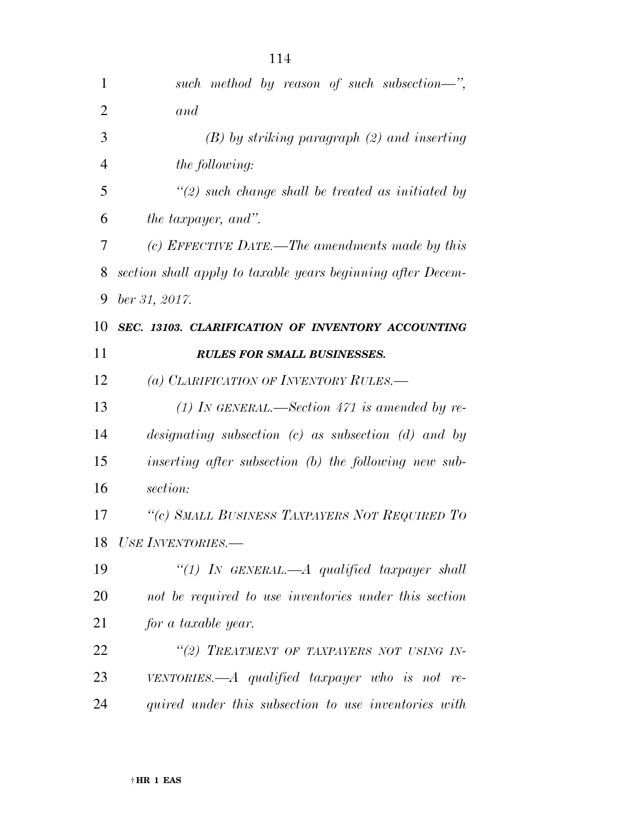| $\mathbf{1}$   | such method by reason of such subsection—",                 |
|----------------|-------------------------------------------------------------|
| $\overline{2}$ | and                                                         |
| 3              | $(B)$ by striking paragraph $(2)$ and inserting             |
| $\overline{4}$ | the following:                                              |
| 5              | $\lq(2)$ such change shall be treated as initiated by       |
| 6              | <i>the taxpayer, and"</i> .                                 |
| 7              | (c) EFFECTIVE DATE.—The amendments made by this             |
| 8              | section shall apply to taxable years beginning after Decem- |
| 9              | ber 31, 2017.                                               |
| 10             | SEC. 13103. CLARIFICATION OF INVENTORY ACCOUNTING           |
| 11             | <b>RULES FOR SMALL BUSINESSES.</b>                          |
| 12             | (a) CLARIFICATION OF INVENTORY RULES.—                      |
| 13             | (1) IN GENERAL.—Section 471 is amended by re-               |
| 14             | designating subsection $(c)$ as subsection $(d)$ and by     |
| 15             | inserting after subsection (b) the following new sub-       |
| 16             | section:                                                    |
| 17             | "(c) SMALL BUSINESS TAXPAYERS NOT REQUIRED TO               |
| 18             | USE INVENTORIES.—                                           |
| 19             | "(1) In GENERAL.—A qualified taxpayer shall                 |
| 20             | not be required to use inventories under this section       |
| 21             | for a taxable year.                                         |
| 22             | "(2) TREATMENT OF TAXPAYERS NOT USING IN-                   |
| 23             | VENTORIES.— $A$ qualified taxpayer who is not re-           |
| 24             | quired under this subsection to use inventories with        |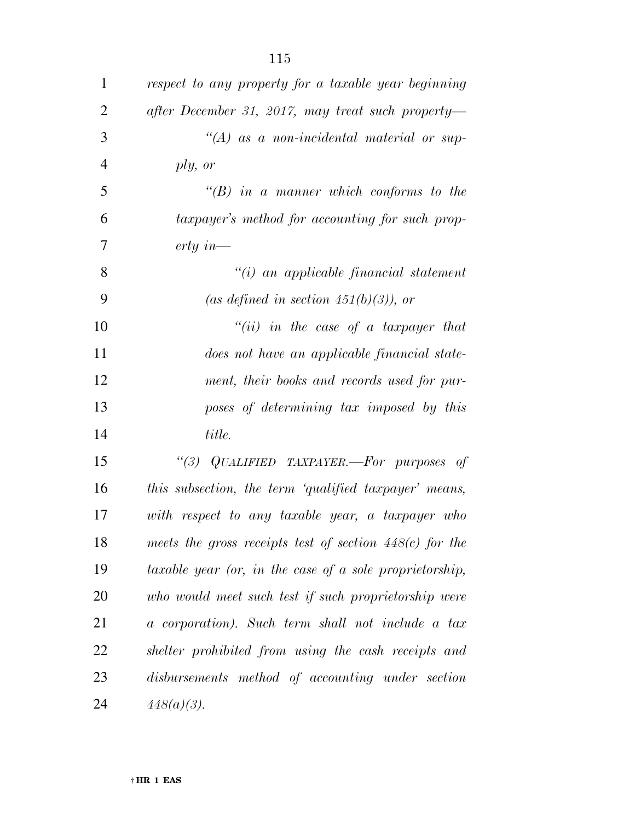| $\mathbf{1}$   | respect to any property for a taxable year beginning      |
|----------------|-----------------------------------------------------------|
| $\overline{2}$ | after December 31, 2017, may treat such property-         |
| 3              | $\lq (A)$ as a non-incidental material or sup-            |
| $\overline{4}$ | ply, or                                                   |
| 5              | $\lq\lq B$ in a manner which conforms to the              |
| 6              | taxpayer's method for accounting for such prop-           |
| 7              | $erty\ in$ —                                              |
| 8              | $\lq\lq(i)$ an applicable financial statement             |
| 9              | (as defined in section 451(b)(3)), or                     |
| 10             | $``(ii)$ in the case of a taxpayer that                   |
| 11             | does not have an applicable financial state-              |
| 12             | ment, their books and records used for pur-               |
| 13             | poses of determining tax imposed by this                  |
| 14             | title.                                                    |
| 15             | "(3) QUALIFIED TAXPAYER.—For purposes of                  |
| 16             | this subsection, the term 'qualified taxpayer' means,     |
| 17             | with respect to any taxable year, a taxpayer who          |
| 18             | meets the gross receipts test of section $448(c)$ for the |
| 19             | taxable year (or, in the case of a sole proprietorship,   |
| 20             | who would meet such test if such proprietorship were      |
| 21             | a corporation). Such term shall not include a tax         |
| 22             | shelter prohibited from using the cash receipts and       |
| 23             | disbursements method of accounting under section          |
|                |                                                           |

*448(a)(3).*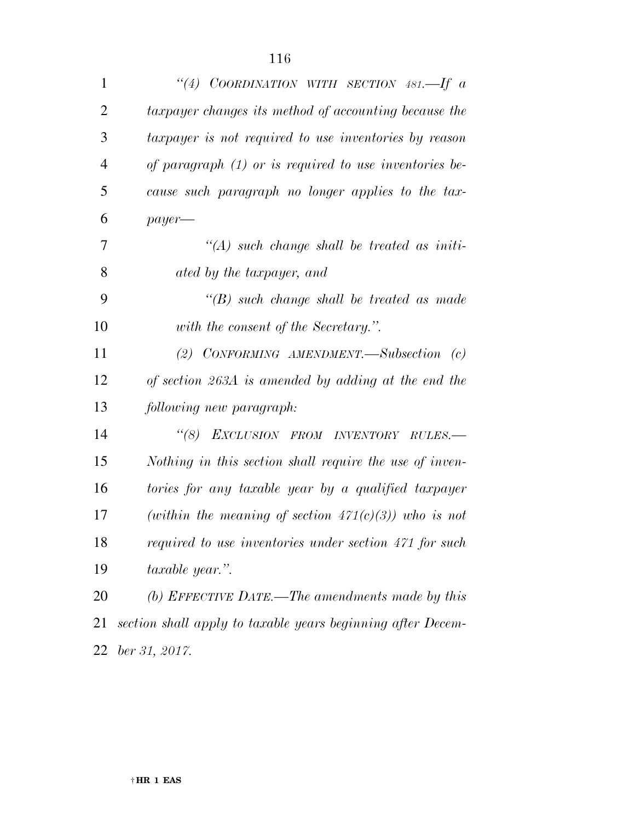| $\mathbf{1}$   | "(4) COORDINATION WITH SECTION 481.—If $a$                  |
|----------------|-------------------------------------------------------------|
| $\overline{2}$ | taxpayer changes its method of accounting because the       |
| 3              | taxpayer is not required to use inventories by reason       |
| $\overline{4}$ | of paragraph $(1)$ or is required to use inventories be-    |
| 5              | cause such paragraph no longer applies to the tax-          |
| 6              | $payer$ —                                                   |
| 7              | $\lq (A)$ such change shall be treated as initi-            |
| 8              | ated by the taxpayer, and                                   |
| 9              | $\lq\lq(B)$ such change shall be treated as made            |
| 10             | with the consent of the Secretary.".                        |
| 11             | (2) CONFORMING AMENDMENT. Subsection $(c)$                  |
| 12             | of section 263A is amended by adding at the end the         |
| 13             | following new paragraph:                                    |
| 14             | $\lq(8)$<br>EXCLUSION FROM INVENTORY RULES.-                |
| 15             | Nothing in this section shall require the use of inven-     |
| 16             | tories for any taxable year by a qualified taxpayer         |
| 17             | (within the meaning of section $471(c)(3)$ ) who is not     |
| 18             | required to use inventories under section 471 for such      |
| 19             | taxable year.".                                             |
| 20             | (b) EFFECTIVE DATE.—The amendments made by this             |
| 21             | section shall apply to taxable years beginning after Decem- |
| 22             | ber 31, 2017.                                               |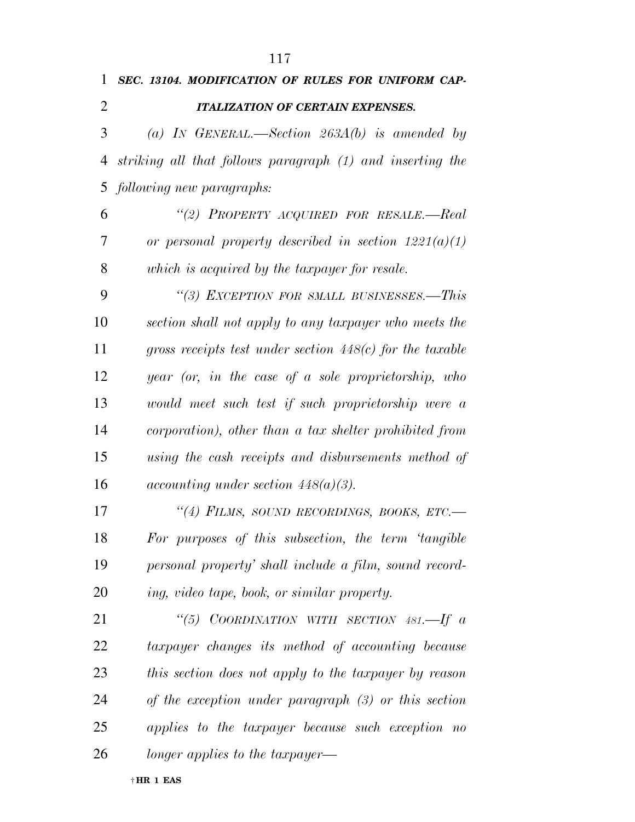| 1              | SEC. 13104. MODIFICATION OF RULES FOR UNIFORM CAP-         |
|----------------|------------------------------------------------------------|
| $\overline{2}$ | <b>ITALIZATION OF CERTAIN EXPENSES.</b>                    |
| 3              | (a) IN GENERAL.—Section $263A(b)$ is amended by            |
| 4              | striking all that follows paragraph (1) and inserting the  |
| 5              | following new paragraphs:                                  |
| 6              | "(2) PROPERTY ACQUIRED FOR RESALE.-Real                    |
| 7              | or personal property described in section $1221(a)(1)$     |
| 8              | which is acquired by the taxpayer for resale.              |
| 9              | "(3) EXCEPTION FOR SMALL BUSINESSES.—This                  |
| 10             | section shall not apply to any taxpayer who meets the      |
| 11             | gross receipts test under section $448(c)$ for the taxable |
| 12             | year (or, in the case of a sole proprietorship, who        |
| 13             | would meet such test if such proprietorship were a         |
| 14             | corporation), other than a tax shelter prohibited from     |
| 15             | using the cash receipts and disbursements method of        |
| 16             | <i>accounting under section 448(a)(3).</i>                 |
| 17             | "(4) FILMS, SOUND RECORDINGS, BOOKS, ETC.-                 |
| 18             | For purposes of this subsection, the term 'tangible        |
| 19             | personal property' shall include a film, sound record-     |
| 20             | ing, video tape, book, or similar property.                |
| 21             | "(5) COORDINATION WITH SECTION $481$ --If a                |
| 22             | taxpayer changes its method of accounting because          |
| 23             | this section does not apply to the taxpayer by reason      |
| 24             | of the exception under paragraph $(3)$ or this section     |
| 25             | applies to the taxpayer because such exception no          |
| 26             | longer applies to the taxpayer—                            |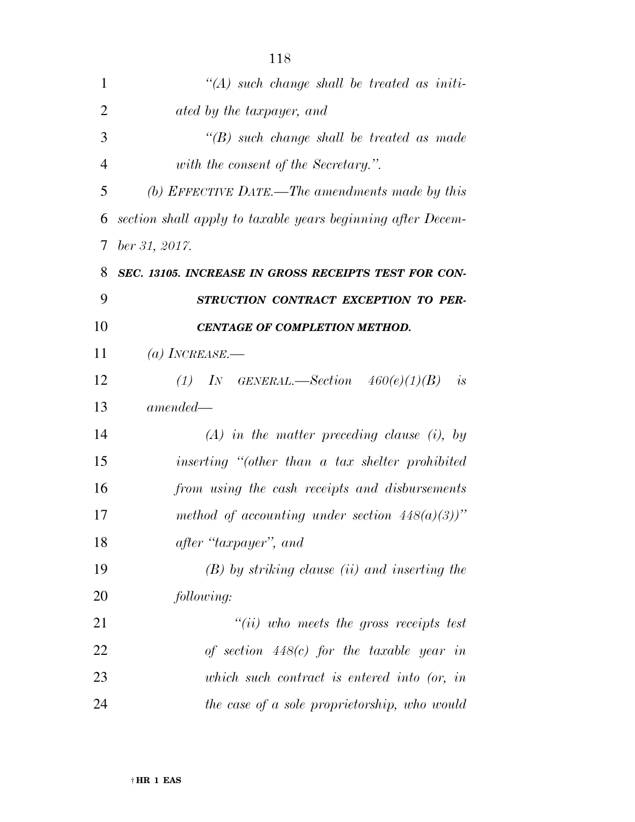| $\lq (A)$ such change shall be treated as initi-            |
|-------------------------------------------------------------|
| ated by the taxpayer, and                                   |
| $\lq\lq(B)$ such change shall be treated as made            |
| with the consent of the Secretary.".                        |
| (b) EFFECTIVE DATE.—The amendments made by this             |
| section shall apply to taxable years beginning after Decem- |
| ber 31, 2017.                                               |
| SEC. 13105. INCREASE IN GROSS RECEIPTS TEST FOR CON-        |
| STRUCTION CONTRACT EXCEPTION TO PER-                        |
| CENTAGE OF COMPLETION METHOD.                               |
| (a) INCREASE.—                                              |
| (1) IN GENERAL.—Section $460(e)(1)(B)$ is                   |
| $amended -$                                                 |
| $(A)$ in the matter preceding clause (i), by                |
| inserting "(other than a tax shelter prohibited             |
| from using the cash receipts and disbursements              |
| method of accounting under section $448(a)(3)$ "            |
| after "taxpayer", and                                       |
| $(B)$ by striking clause (ii) and inserting the             |
| following:                                                  |
| $``(ii)$ who meets the gross receipts test                  |
| of section $448(c)$ for the taxable year in                 |
| which such contract is entered into (or, in                 |
| the case of a sole proprietorship, who would                |
|                                                             |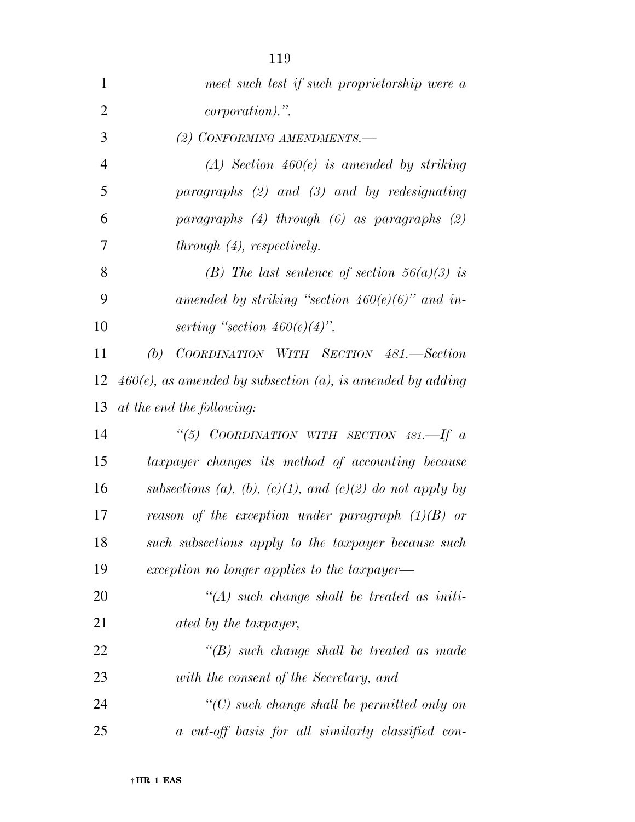| 1              | meet such test if such proprietorship were a                  |
|----------------|---------------------------------------------------------------|
| $\overline{2}$ | <i>corporation</i> ).".                                       |
| 3              | (2) CONFORMING AMENDMENTS.-                                   |
| $\overline{4}$ | $(A)$ Section 460 $(e)$ is amended by striking                |
| 5              | paragraphs $(2)$ and $(3)$ and by redesignating               |
| 6              | paragraphs $(4)$ through $(6)$ as paragraphs $(2)$            |
| 7              | through (4), respectively.                                    |
| 8              | (B) The last sentence of section $56(a)(3)$ is                |
| 9              | amended by striking "section $460(e)(6)$ " and in-            |
| 10             | serting "section $460(e)(4)$ ".                               |
| 11             | (b)<br>COORDINATION WITH SECTION 481.—Section                 |
| 12             | $460(e)$ , as amended by subsection (a), is amended by adding |
| 13             | at the end the following:                                     |
| 14             | "(5) COORDINATION WITH SECTION 481.—If $a$                    |
| 15             | taxpayer changes its method of accounting because             |
| 16             | subsections (a), (b), (c)(1), and (c)(2) do not apply by      |
| 17             | reason of the exception under paragraph $(1)(B)$ or           |
| 18             | such subsections apply to the taxpayer because such           |
| 19             | exception no longer applies to the taxpayer—                  |
| 20             | $\lq (A)$ such change shall be treated as initi-              |
| 21             | ated by the taxpayer,                                         |
| 22             | $\lq\lq(B)$ such change shall be treated as made              |
| 23             | with the consent of the Secretary, and                        |
| 24             | $\lq\lq C$ such change shall be permitted only on             |
| 25             | a cut-off basis for all similarly classified con-             |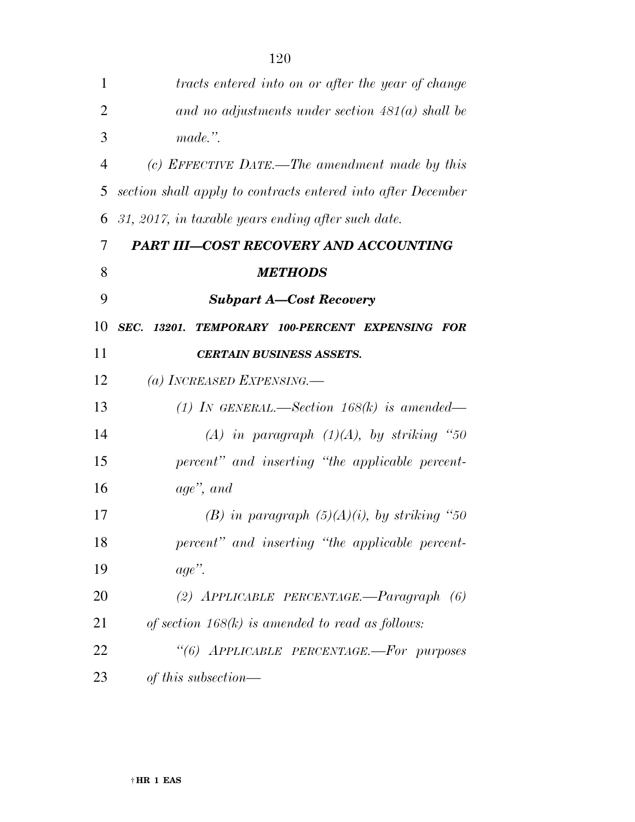| 1              | tracts entered into on or after the year of change           |
|----------------|--------------------------------------------------------------|
| $\overline{2}$ | and no adjustments under section $481(a)$ shall be           |
| 3              | made.".                                                      |
| $\overline{4}$ | (c) EFFECTIVE DATE.—The amendment made by this               |
| 5              | section shall apply to contracts entered into after December |
| 6              | 31, 2017, in taxable years ending after such date.           |
| 7              | <b>PART III-COST RECOVERY AND ACCOUNTING</b>                 |
| 8              | <b>METHODS</b>                                               |
| 9              | <b>Subpart A-Cost Recovery</b>                               |
| 10             | SEC.<br>13201. TEMPORARY 100-PERCENT EXPENSING FOR           |
| 11             | <b>CERTAIN BUSINESS ASSETS.</b>                              |
| 12             | (a) INCREASED EXPENSING.—                                    |
| 13             | (1) IN GENERAL.—Section $168(k)$ is amended—                 |
| 14             | (A) in paragraph $(1)(A)$ , by striking "50                  |
| 15             | percent" and inserting "the applicable percent-              |
| 16             | age", and                                                    |
| 17             | (B) in paragraph $(5)(A)(i)$ , by striking "50               |
| 18             | percent" and inserting "the applicable percent-              |
| 19             | $age$ ".                                                     |
| 20             | (2) $APPLICABLE$ $PERCENTAGE$ . $-Paragraph$ (6)             |
| 21             | of section $168(k)$ is amended to read as follows:           |
| 22             | "(6) APPLICABLE PERCENTAGE.-For purposes                     |
| 23             | of this subsection—                                          |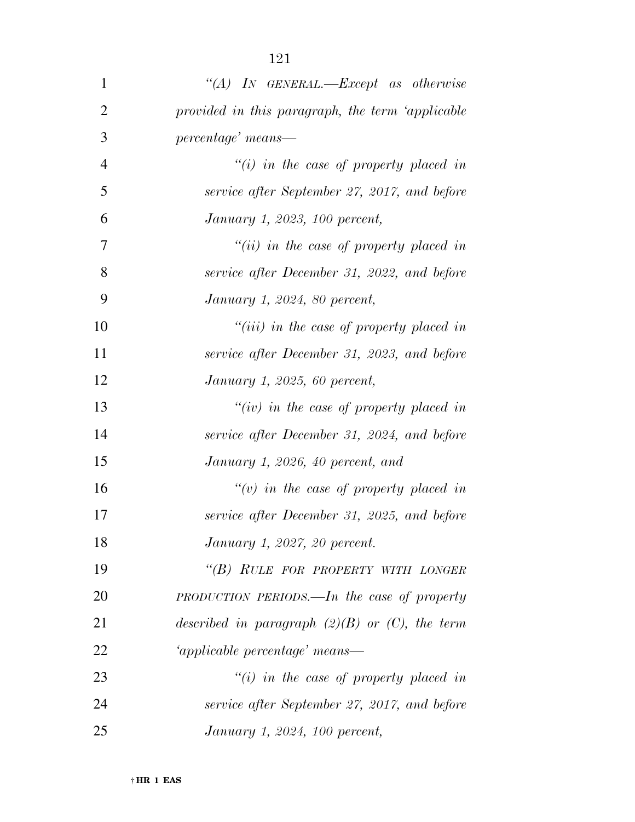| $\mathbf{1}$   | "(A) IN GENERAL.—Except as otherwise                |
|----------------|-----------------------------------------------------|
| $\overline{2}$ | provided in this paragraph, the term 'applicable    |
| 3              | percentage' means-                                  |
| $\overline{4}$ | $\tilde{f}(i)$ in the case of property placed in    |
| 5              | service after September 27, 2017, and before        |
| 6              | January 1, 2023, 100 percent,                       |
| 7              | $``(ii)$ in the case of property placed in          |
| 8              | service after December 31, 2022, and before         |
| 9              | January 1, 2024, 80 percent,                        |
| 10             | " $(iii)$ in the case of property placed in         |
| 11             | service after December 31, 2023, and before         |
| 12             | January 1, 2025, 60 percent,                        |
| 13             | "(iv) in the case of property placed in             |
| 14             | service after December 31, 2024, and before         |
| 15             | January 1, 2026, 40 percent, and                    |
| 16             | "(v) in the case of property placed in              |
| 17             | service after December 31, 2025, and before         |
| 18             | January 1, 2027, 20 percent.                        |
| 19             | "(B) RULE FOR PROPERTY WITH LONGER                  |
| 20             | PRODUCTION PERIODS.—In the case of property         |
| 21             | described in paragraph $(2)(B)$ or $(C)$ , the term |
| 22             | 'applicable percentage' means—                      |
| 23             | $\tilde{f}(i)$ in the case of property placed in    |
| 24             | service after September 27, 2017, and before        |
| 25             | January 1, 2024, 100 percent,                       |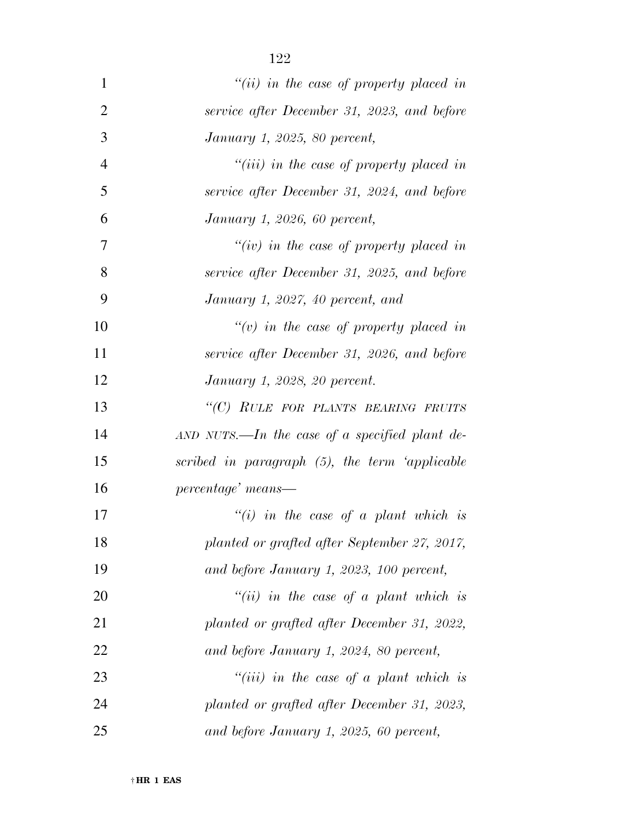| $\mathbf{1}$   | "(ii) in the case of property placed in          |
|----------------|--------------------------------------------------|
| $\overline{2}$ | service after December 31, 2023, and before      |
| 3              | January 1, 2025, 80 percent,                     |
| $\overline{4}$ | " $(iii)$ in the case of property placed in      |
| 5              | service after December 31, 2024, and before      |
| 6              | January 1, 2026, 60 percent,                     |
| 7              | "(iv) in the case of property placed in          |
| 8              | service after December 31, 2025, and before      |
| 9              | January 1, 2027, 40 percent, and                 |
| 10             | "(v) in the case of property placed in           |
| 11             | service after December 31, 2026, and before      |
| 12             | January 1, 2028, 20 percent.                     |
| 13             | "(C) RULE FOR PLANTS BEARING FRUITS              |
| 14             | $AND$ NUTS.—In the case of a specified plant de- |
| 15             | scribed in paragraph (5), the term 'applicable   |
| 16             | percentage' means—                               |
| 17             | "(i) in the case of a plant which is             |
| 18             | planted or grafted after September 27, 2017,     |
| 19             | and before January 1, 2023, 100 percent,         |
| 20             | "(ii) in the case of a plant which is            |
| 21             | planted or grafted after December 31, 2022,      |
| 22             | and before January 1, 2024, 80 percent,          |
| 23             | $``(iii)$ in the case of a plant which is        |
| 24             | planted or grafted after December 31, 2023,      |
| 25             | and before January 1, 2025, 60 percent,          |

† **HR 1 EAS**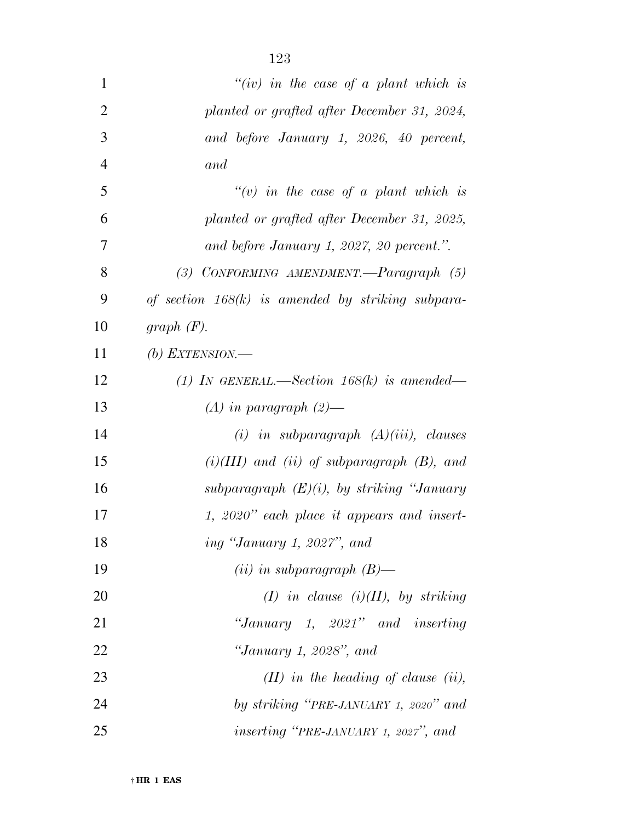| 1              | "(iv) in the case of a plant which is               |
|----------------|-----------------------------------------------------|
| $\overline{2}$ | planted or grafted after December 31, 2024,         |
| 3              | and before January 1, 2026, 40 percent,             |
| $\overline{4}$ | and                                                 |
| 5              | "(v) in the case of a plant which is                |
| 6              | planted or grafted after December 31, 2025,         |
| 7              | and before January 1, 2027, 20 percent.".           |
| 8              | (3) CONFORMING AMENDMENT. $-$ Paragraph (5)         |
| 9              | of section $168(k)$ is amended by striking subpara- |
| 10             | graph $(F)$ .                                       |
| 11             | (b) EXTENSION.—                                     |
| 12             | (1) IN GENERAL.—Section $168(k)$ is amended—        |
| 13             | $(A)$ in paragraph $(2)$ —                          |
| 14             | $(i)$ in subparagraph $(A)(iii)$ , clauses          |
| 15             | $(i)(III)$ and $(ii)$ of subparagraph $(B)$ , and   |
| 16             | subparagraph $(E)(i)$ , by striking "January        |
| 17             | 1, 2020" each place it appears and insert-          |
| 18             | ing "January 1, 2027", and                          |
| 19             | $(ii)$ in subparagraph $(B)$ —                      |
| 20             | $(I)$ in clause $(i)(II)$ , by striking             |
| 21             | "January 1, $2021$ " and inserting                  |
| 22             | "January 1, 2028", and                              |
| 23             | $(II)$ in the heading of clause (ii),               |
| 24             | by striking "PRE-JANUARY 1, 2020" and               |
| 25             | <i>inserting</i> "PRE-JANUARY 1, 2027", and         |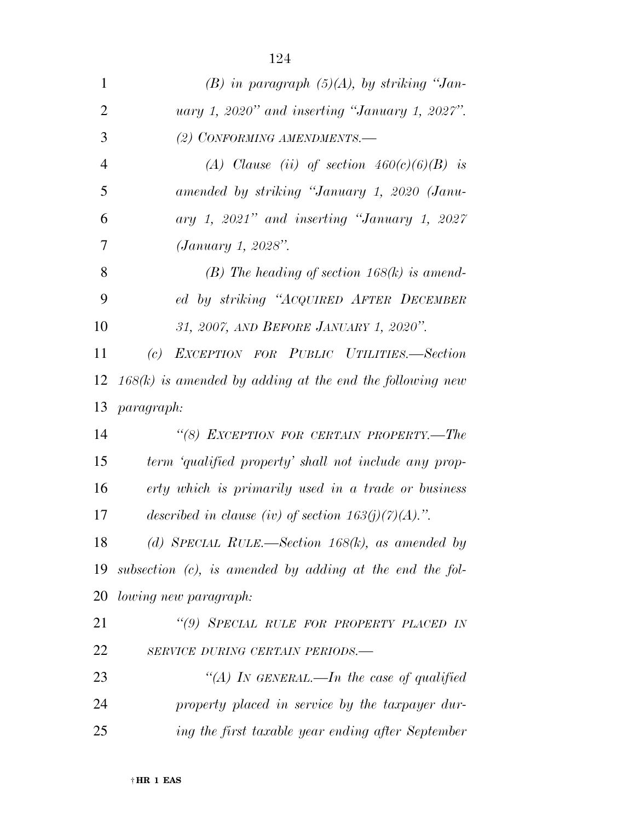| 1              | $(B)$ in paragraph $(5)(A)$ , by striking "Jan-             |
|----------------|-------------------------------------------------------------|
| $\overline{2}$ | uary 1, 2020" and inserting "January 1, 2027".              |
| 3              | (2) CONFORMING AMENDMENTS.-                                 |
| $\overline{4}$ | (A) Clause (ii) of section $460(c)(6)(B)$ is                |
| 5              | amended by striking "January 1, 2020 (Janu-                 |
| 6              | ary 1, 2021" and inserting "January 1, 2027                 |
| 7              | (January 1, 2028".                                          |
| 8              | (B) The heading of section $168(k)$ is amend-               |
| 9              | ed by striking "ACQUIRED AFTER DECEMBER                     |
| 10             | 31, 2007, AND BEFORE JANUARY 1, 2020".                      |
| 11             | (c) EXCEPTION FOR PUBLIC UTILITIES.-Section                 |
| 12             | $168(k)$ is amended by adding at the end the following new  |
| 13             | <i>paragraph:</i>                                           |
| 14             | "(8) EXCEPTION FOR CERTAIN PROPERTY.-The                    |
| 15             | term 'qualified property' shall not include any prop-       |
| 16             | erty which is primarily used in a trade or business         |
| 17             | described in clause (iv) of section $163(j)(7)(A)$ .".      |
| 18             | (d) SPECIAL RULE.—Section 168(k), as amended by             |
| 19             | subsection $(c)$ , is amended by adding at the end the fol- |
| 20             | <i>lowing new paragraph:</i>                                |
| 21             | "(9) SPECIAL RULE FOR PROPERTY PLACED IN                    |
| 22             | SERVICE DURING CERTAIN PERIODS.-                            |
| 23             | "(A) IN GENERAL.—In the case of qualified                   |
| 24             | property placed in service by the taxpayer dur-             |
| 25             | ing the first taxable year ending after September           |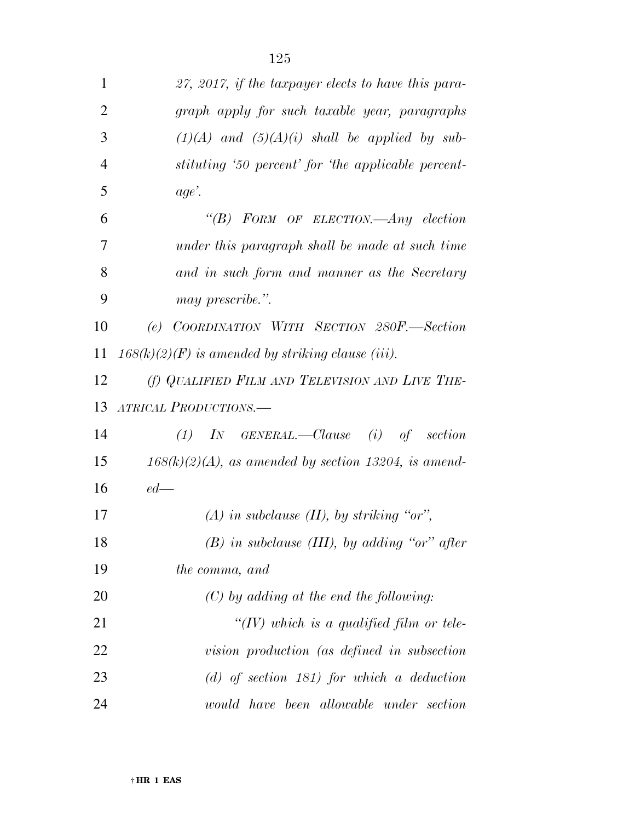| 1              | 27, 2017, if the taxpayer elects to have this para-     |
|----------------|---------------------------------------------------------|
| $\overline{2}$ | graph apply for such taxable year, paragraphs           |
| 3              | $(1)(A)$ and $(5)(A)(i)$ shall be applied by sub-       |
| $\overline{4}$ | stituting '50 percent' for 'the applicable percent-     |
| 5              | age'.                                                   |
| 6              | "(B) FORM OF ELECTION.—Any election                     |
| 7              | under this paragraph shall be made at such time         |
| 8              | and in such form and manner as the Secretary            |
| 9              | may prescribe.".                                        |
| 10             | (e) COORDINATION WITH SECTION 280F.—Section             |
| 11             | $168(k)(2)(F)$ is amended by striking clause (iii).     |
| 12             | (f) QUALIFIED FILM AND TELEVISION AND LIVE THE-         |
| 13             | ATRICAL PRODUCTIONS.-                                   |
| 14             | $IN$ GENERAL.—Clause (i) of section<br>(1)              |
| 15             | $168(k)(2)(A)$ , as amended by section 13204, is amend- |
| 16             | $ed$ —                                                  |
| 17             | $(A)$ in subclause $(II)$ , by striking "or",           |
| 18             | $(B)$ in subclause (III), by adding "or" after          |
| 19             | the comma, and                                          |
| 20             | $(C)$ by adding at the end the following:               |
| 21             | "(IV) which is a qualified film or tele-                |
| 22             | vision production (as defined in subsection             |
| 23             | $(d)$ of section 181) for which a deduction             |
| 24             | would have been allowable under section                 |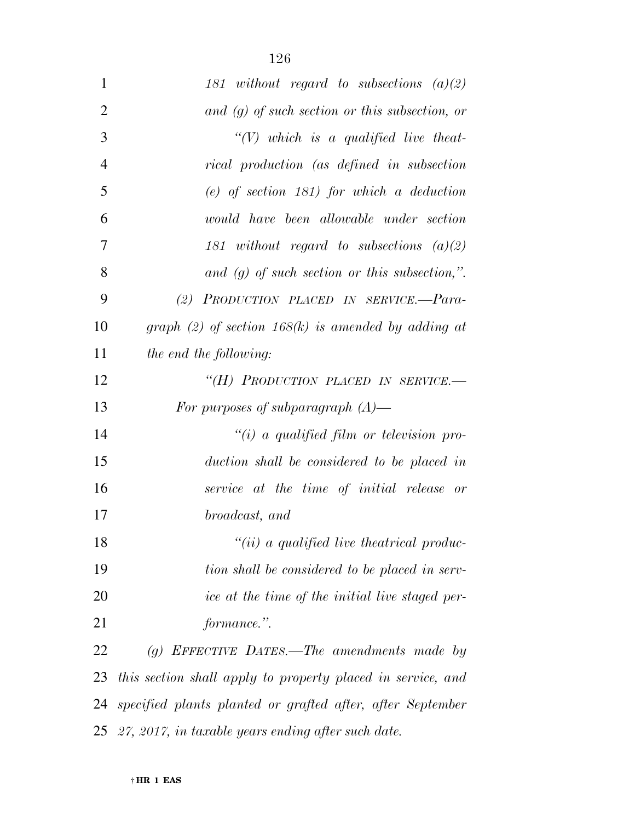| $\mathbf{1}$   | 181 without regard to subsections $(a)(2)$                  |
|----------------|-------------------------------------------------------------|
| $\overline{2}$ | $and (g)$ of such section or this subsection, or            |
| 3              | $``(V)$ which is a qualified live theat-                    |
| $\overline{4}$ | rical production (as defined in subsection                  |
| 5              | $(e)$ of section 181) for which a deduction                 |
| 6              | would have been allowable under section                     |
| $\overline{7}$ | 181 without regard to subsections $(a)(2)$                  |
| 8              | and $(g)$ of such section or this subsection,".             |
| 9              | (2) PRODUCTION PLACED IN SERVICE.-Para-                     |
| 10             | graph (2) of section 168(k) is amended by adding at         |
| 11             | the end the following:                                      |
| 12             | "(H) PRODUCTION PLACED IN SERVICE.-                         |
| 13             | For purposes of subparagraph $(A)$ —                        |
| 14             | "(i) a qualified film or television pro-                    |
| 15             | duction shall be considered to be placed in                 |
| 16             | service at the time of initial release or                   |
| 17             | broadcast, and                                              |
| 18             | $"(ii)$ a qualified live theatrical produc-                 |
| 19             | tion shall be considered to be placed in serv-              |
| 20             | ice at the time of the initial live staged per-             |
| 21             | formance.".                                                 |
| 22             | $(g)$ EFFECTIVE DATES.—The amendments made by               |
| 23             | this section shall apply to property placed in service, and |
| 24             | specified plants planted or grafted after, after September  |

*27, 2017, in taxable years ending after such date.*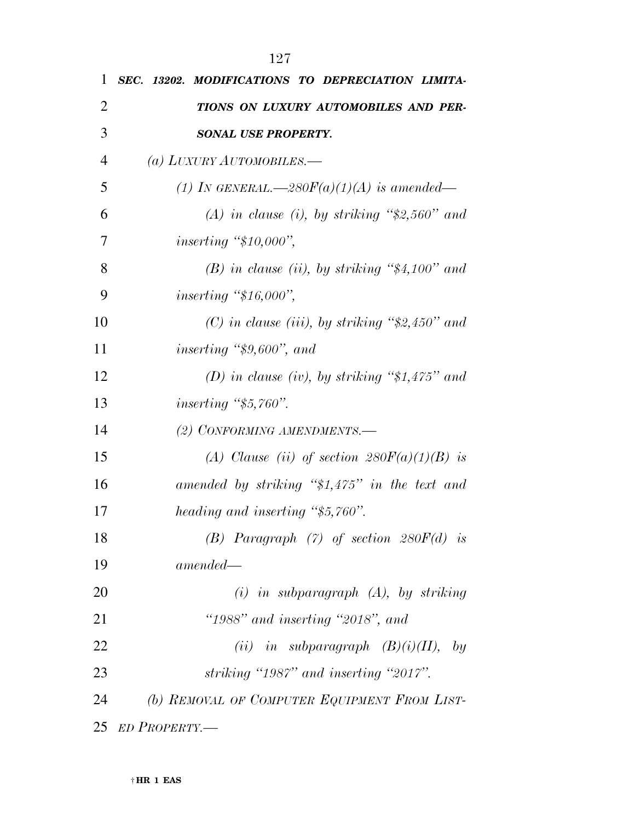| 1              | SEC. 13202. MODIFICATIONS TO DEPRECIATION LIMITA-         |
|----------------|-----------------------------------------------------------|
| $\overline{2}$ | TIONS ON LUXURY AUTOMOBILES AND PER-                      |
| 3              | SONAL USE PROPERTY.                                       |
| $\overline{4}$ | (a) LUXURY AUTOMOBILES.—                                  |
| 5              | (1) IN GENERAL.—280 $F(a)(1)(A)$ is amended—              |
| 6              | (A) in clause (i), by striking " $\frac{2}{3}$ , 560" and |
| 7              | inserting " $$10,000$ ",                                  |
| 8              | $(B)$ in clause (ii), by striking "\$4,100" and           |
| 9              | <i>inserting</i> "\$16,000",                              |
| 10             | (C) in clause (iii), by striking " $2,450$ " and          |
| 11             | inserting " $$9,600"$ , and                               |
| 12             | (D) in clause (iv), by striking " $$1,475"$ and           |
| 13             | inserting " $$5,760"$ .                                   |
| 14             | (2) CONFORMING AMENDMENTS.-                               |
| 15             | (A) Clause (ii) of section $280F(a)(1)(B)$ is             |
| 16             | amended by striking " $$1,475"$ in the text and           |
| 17             | heading and inserting "\$5,760".                          |
| 18             | (B) Paragraph $(7)$ of section $280F(d)$ is               |
| 19             | $amended -$                                               |
| 20             | $(i)$ in subparagraph $(A)$ , by striking                 |
| 21             | " $1988"$ and inserting " $2018"$ , and                   |
| 22             | (ii) in subparagraph $(B)(i)(II)$ , by                    |
| 23             | striking "1987" and inserting "2017".                     |
| 24             | (b) REMOVAL OF COMPUTER EQUIPMENT FROM LIST-              |
| 25             | ED PROPERTY.-                                             |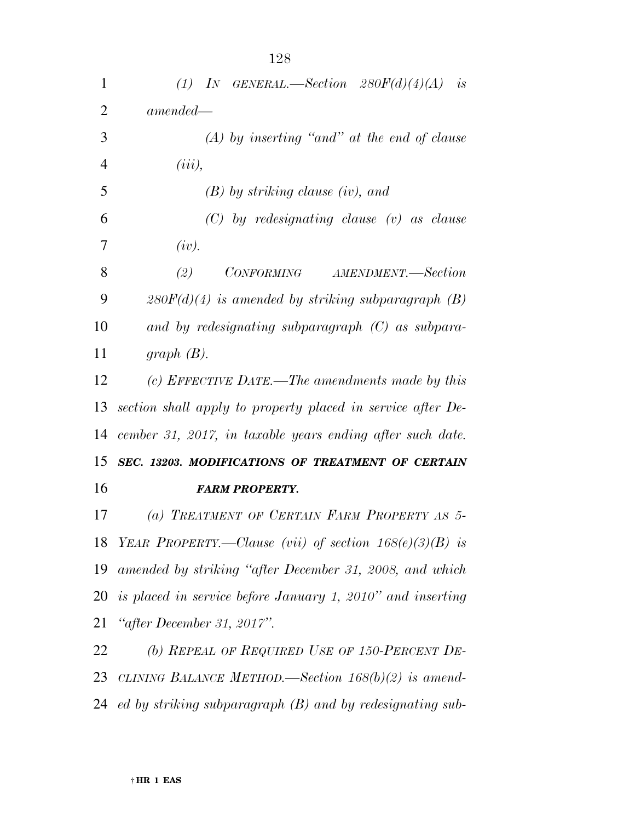| $\mathbf{1}$   | (1) IN GENERAL.—Section $280F(d)(4)(A)$ is                    |
|----------------|---------------------------------------------------------------|
| $\overline{2}$ | $amended -$                                                   |
| 3              | $(A)$ by inserting "and" at the end of clause                 |
| $\overline{4}$ | $(iii)$ ,                                                     |
| 5              | $(B)$ by striking clause (iv), and                            |
| 6              | $(C)$ by redesignating clause $(v)$ as clause                 |
| 7              | (iv).                                                         |
| 8              | (2)<br>CONFORMING AMENDMENT.—Section                          |
| 9              | $280F(d)(4)$ is amended by striking subparagraph (B)          |
| 10             | and by redesignating subparagraph $(C)$ as subpara-           |
| 11             | $graph(B)$ .                                                  |
| 12             | (c) EFFECTIVE DATE.—The amendments made by this               |
| 13             | section shall apply to property placed in service after De-   |
| 14             | cember 31, 2017, in taxable years ending after such date.     |
| 15             | SEC. 13203. MODIFICATIONS OF TREATMENT OF CERTAIN             |
| 16             | <b>FARM PROPERTY.</b>                                         |
| 17             | (a) TREATMENT OF CERTAIN FARM PROPERTY AS 5-                  |
| 18             | YEAR PROPERTY.—Clause (vii) of section $168(e)(3)(B)$ is      |
| 19             | amended by striking "after December 31, 2008, and which       |
| 20             | is placed in service before January 1, 2010" and inserting    |
| 21             | "after December 31, 2017".                                    |
| 22             | (b) REPEAL OF REQUIRED USE OF 150-PERCENT DE-                 |
| 23             | CLINING BALANCE METHOD.—Section $168(b)(2)$ is amend-         |
| 24             | $ed$ by striking subparagraph $(B)$ and by redesignating sub- |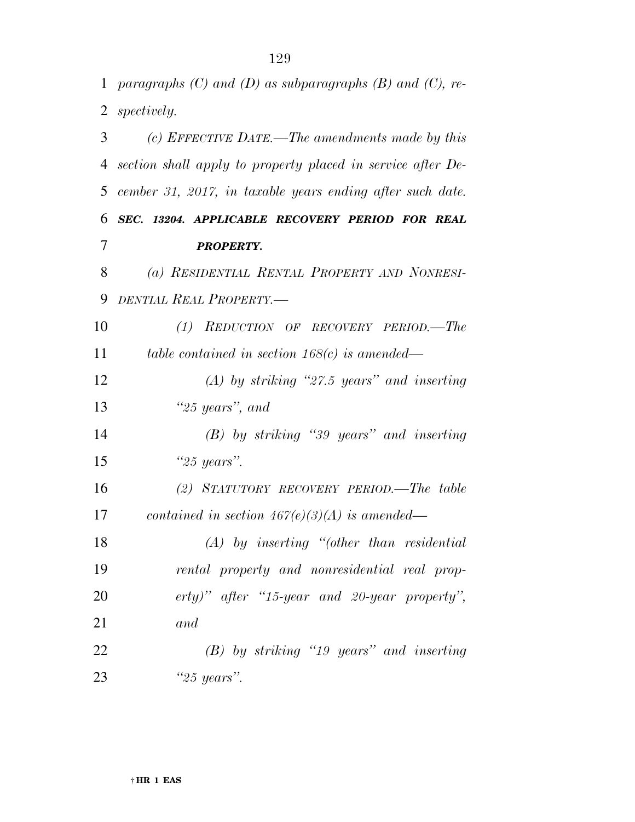*paragraphs (C) and (D) as subparagraphs (B) and (C), re- spectively. (c) EFFECTIVE DATE.—The amendments made by this section shall apply to property placed in service after De- cember 31, 2017, in taxable years ending after such date. SEC. 13204. APPLICABLE RECOVERY PERIOD FOR REAL PROPERTY. (a) RESIDENTIAL RENTAL PROPERTY AND NONRESI- DENTIAL REAL PROPERTY.— (1) REDUCTION OF RECOVERY PERIOD.—The table contained in section 168(c) is amended— (A) by striking ''27.5 years'' and inserting ''25 years'', and (B) by striking ''39 years'' and inserting ''25 years''. (2) STATUTORY RECOVERY PERIOD.—The table contained in section 467(e)(3)(A) is amended— (A) by inserting ''(other than residential rental property and nonresidential real prop- erty)'' after ''15-year and 20-year property'', and (B) by striking ''19 years'' and inserting ''25 years''.*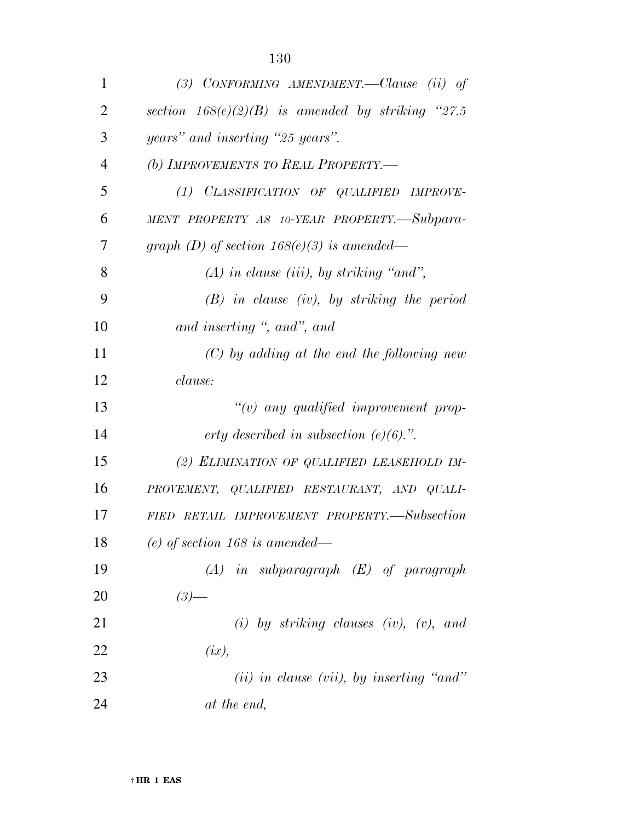| $\mathbf{1}$   | (3) CONFORMING AMENDMENT.—Clause (ii) of             |
|----------------|------------------------------------------------------|
| $\overline{2}$ | section $168(e)(2)(B)$ is amended by striking "27.5" |
| 3              | years" and inserting "25 years".                     |
| $\overline{4}$ | (b) IMPROVEMENTS TO REAL PROPERTY.-                  |
| 5              | (1) CLASSIFICATION OF QUALIFIED IMPROVE-             |
| 6              | MENT PROPERTY AS 10-YEAR PROPERTY.-Subpara-          |
| 7              | graph (D) of section $168(e)(3)$ is amended—         |
| 8              | $(A)$ in clause (iii), by striking "and",            |
| 9              | $(B)$ in clause (iv), by striking the period         |
| 10             | and inserting ", and", and                           |
| 11             | $(C)$ by adding at the end the following new         |
| 12             | clause:                                              |
| 13             | $\lq\lq(v)$ any qualified improvement prop-          |
| 14             | erty described in subsection $(e)(6)$ .".            |
| 15             | (2) ELIMINATION OF QUALIFIED LEASEHOLD IM-           |
| 16             | PROVEMENT, QUALIFIED RESTAURANT, AND QUALI-          |
| 17             | FIED RETAIL IMPROVEMENT PROPERTY.-Subsection         |
| 18             | $(e)$ of section 168 is amended—                     |
| 19             | $(A)$ in subparagraph $(E)$ of paragraph             |
| <b>20</b>      | $(3)$ —                                              |
| 21             | (i) by striking clauses (iv), (v), and               |
| 22             | (ix),                                                |
| 23             | $(ii)$ in clause (vii), by inserting "and"           |
| 24             | at the end,                                          |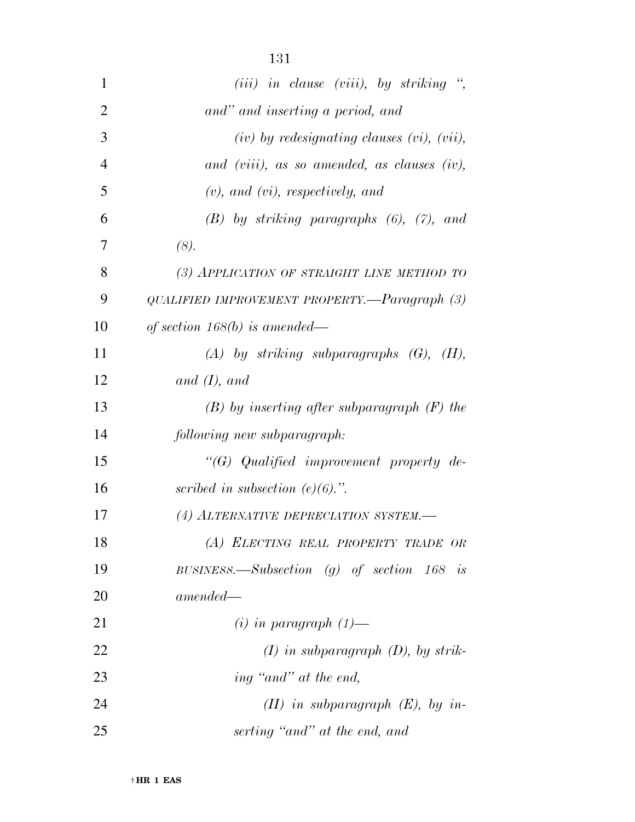| 1              | $(iii)$ in clause (viii), by striking ",           |
|----------------|----------------------------------------------------|
| $\overline{2}$ | and" and inserting a period, and                   |
| 3              | $(iv)$ by redesignating clauses $(vi)$ , $(vii)$ , |
| 4              | and (viii), as so amended, as clauses (iv),        |
| 5              | $(v)$ , and $(vi)$ , respectively, and             |
| 6              | $(B)$ by striking paragraphs $(6)$ , $(7)$ , and   |
| 7              | (8).                                               |
| 8              | (3) APPLICATION OF STRAIGHT LINE METHOD TO         |
| 9              | QUALIFIED IMPROVEMENT PROPERTY.—Paragraph (3)      |
| 10             | of section $168(b)$ is amended—                    |
| 11             | $(A)$ by striking subparagraphs $(G)$ , $(H)$ ,    |
| 12             | and $(I)$ , and                                    |
| 13             | $(B)$ by inserting after subparagraph $(F)$ the    |
| 14             | following new subparagraph:                        |
| 15             | "(G) Qualified improvement property de-            |
| 16             | scribed in subsection $(e)(6)$ .".                 |
| 17             | (4) ALTERNATIVE DEPRECIATION SYSTEM.               |
| 18             | (A) ELECTING REAL PROPERTY TRADE OR                |
| 19             | BUSINESS.—Subsection (g) of section $168$ is       |
| 20             | $amended-$                                         |
| 21             | $(i)$ in paragraph $(1)$ —                         |
| <u>22</u>      | $(I)$ in subparagraph $(D)$ , by strik-            |
| 23             | ing "and" at the end,                              |
| 24             | $(II)$ in subparagraph $(E)$ , by in-              |
| 25             | serting "and" at the end, and                      |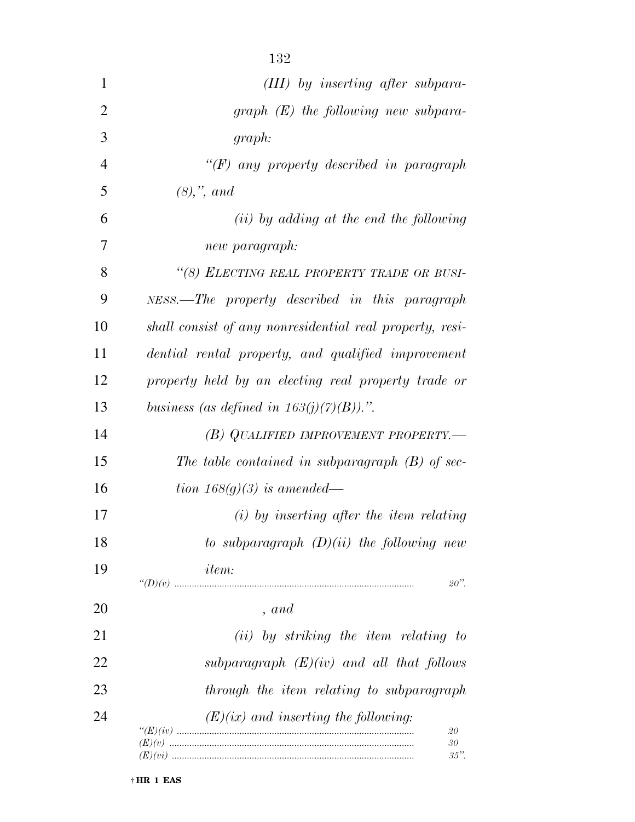| $\mathbf{1}$   | $(III)$ by inserting after subpara-                           |
|----------------|---------------------------------------------------------------|
| $\overline{2}$ | $graph(E)$ the following new subpara-                         |
| 3              | graph:                                                        |
| $\overline{4}$ | " $(F)$ any property described in paragraph                   |
| 5              | $(8),$ ", and                                                 |
| 6              | $(ii)$ by adding at the end the following                     |
| 7              | new paragraph:                                                |
| 8              | "(8) ELECTING REAL PROPERTY TRADE OR BUSI-                    |
| 9              | NESS.—The property described in this paragraph                |
| 10             | shall consist of any nonresidential real property, resi-      |
| 11             | dential rental property, and qualified improvement            |
| 12             | property held by an electing real property trade or           |
| 13             | business (as defined in $163(j)(7)(B)$ ).".                   |
| 14             | (B) QUALIFIED IMPROVEMENT PROPERTY.—                          |
| 15             | The table contained in subparagraph $(B)$ of sec-             |
| 16             | tion 168 $(g)(3)$ is amended—                                 |
| 17             | $(i)$ by inserting after the item relating                    |
| 18             | to subparagraph $(D)(ii)$ the following new                   |
| 19             | <i>item:</i><br>$20$ ".                                       |
| 20             | , and                                                         |
| 21             | (ii) by striking the item relating to                         |
| 22             | subparagraph $(E)(iv)$ and all that follows                   |
| 23             | through the item relating to subparagraph                     |
| 24             | $(E)(ix)$ and inserting the following:<br>20<br>30<br>$35$ ". |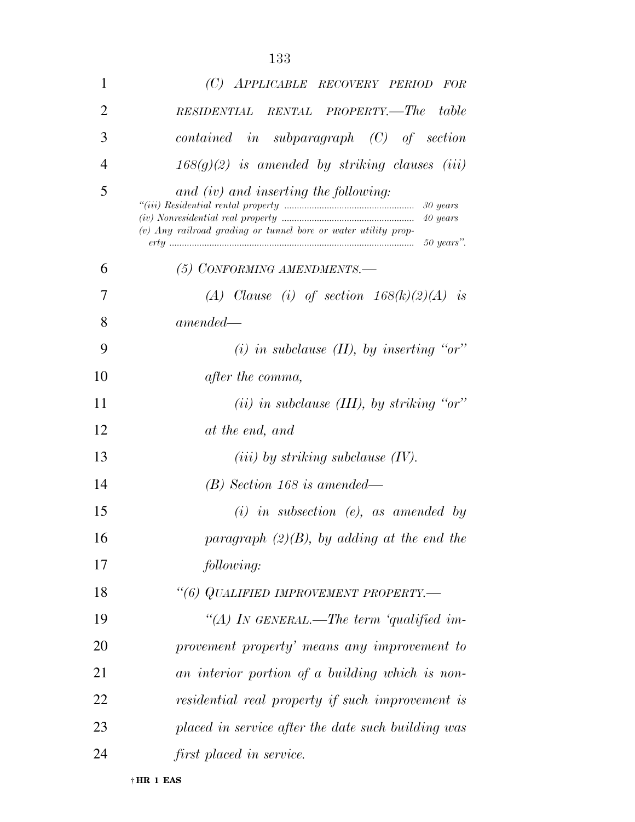| 1              | (C) APPLICABLE RECOVERY PERIOD FOR                                                                                                |
|----------------|-----------------------------------------------------------------------------------------------------------------------------------|
| $\overline{2}$ | RENTAL PROPERTY.-The<br>table<br><b>RESIDENTIAL</b>                                                                               |
| 3              | $contained$ in subparagraph $(C)$ of section                                                                                      |
| $\overline{4}$ | $168(g)(2)$ is amended by striking clauses (iii)                                                                                  |
| 5              | and (iv) and inserting the following:<br>30 years<br>40 years<br>$(v)$ Any railroad grading or tunnel bore or water utility prop- |
| 6              | (5) CONFORMING AMENDMENTS.—                                                                                                       |
| 7              | (A) Clause (i) of section $168(k)(2)(A)$ is                                                                                       |
| 8              | $amended-$                                                                                                                        |
| 9              | (i) in subclause $(II)$ , by inserting "or"                                                                                       |
| 10             | <i>after the comma,</i>                                                                                                           |
| 11             | (ii) in subclause (III), by striking "or"                                                                                         |
| 12             | at the end, and                                                                                                                   |
| 13             | $(iii)$ by striking subclause $(IV)$ .                                                                                            |
| 14             | $(B)$ Section 168 is amended—                                                                                                     |
| 15             | $(i)$ in subsection $(e)$ , as amended by                                                                                         |
| 16             | paragraph $(2)(B)$ , by adding at the end the                                                                                     |
| 17             | following:                                                                                                                        |
| 18             | "(6) QUALIFIED IMPROVEMENT PROPERTY.-                                                                                             |
| 19             | "(A) IN GENERAL.—The term 'qualified im-                                                                                          |
| 20             | provement property' means any improvement to                                                                                      |
| 21             | an interior portion of a building which is non-                                                                                   |
| 22             | residential real property if such improvement is                                                                                  |
| 23             | placed in service after the date such building was                                                                                |
| 24             | first placed in service.                                                                                                          |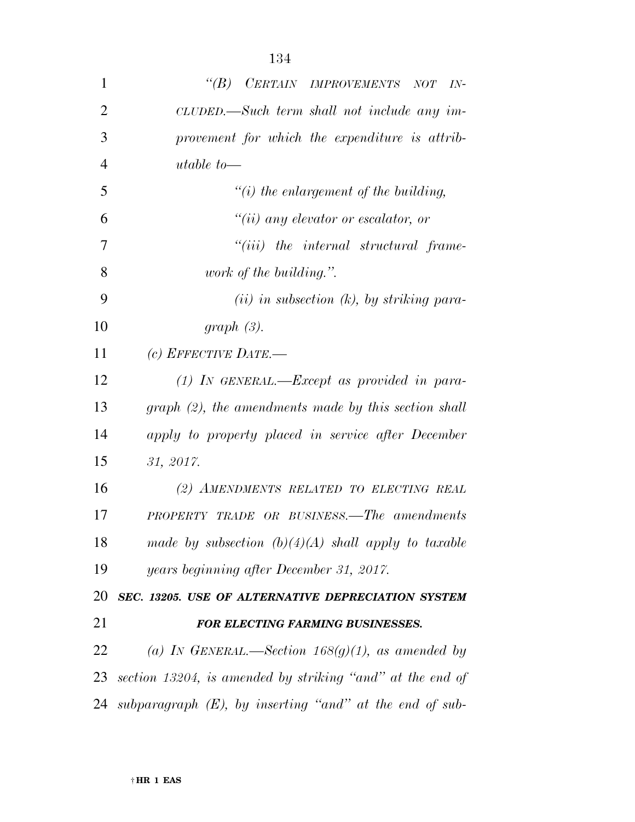| $\mathbf{1}$ | CERTAIN IMPROVEMENTS NOT<br>$\lq(B)$<br>$IN-$             |
|--------------|-----------------------------------------------------------|
| 2            | $CLUDED$ .—Such term shall not include any im-            |
| 3            | provement for which the expenditure is attrib-            |
| 4            | utable to-                                                |
| 5            | $\lq\lq(i)$ the enlargement of the building,              |
| 6            | $``(ii)$ any elevator or escalator, or                    |
| 7            | "(iii) the internal structural frame-                     |
| 8            | <i>work of the building.</i> ".                           |
| 9            | $(ii)$ in subsection $(k)$ , by striking para-            |
| 10           | $graph(3)$ .                                              |
| 11           | (c) EFFECTIVE DATE.—                                      |
| 12           | $(1)$ IN GENERAL.—Except as provided in para-             |
| 13           | $graph (2)$ , the amendments made by this section shall   |
| 14           | apply to property placed in service after December        |
| 15           | 31, 2017.                                                 |
| 16           | (2) AMENDMENTS RELATED TO ELECTING REAL                   |
| 17           | <b>PROPERTY TRADE OR BUSINESS.—The amendments</b>         |
| 18           | made by subsection $(b)(4)(A)$ shall apply to taxable     |
| 19           | years beginning after December 31, 2017.                  |
| 20           | SEC. 13205. USE OF ALTERNATIVE DEPRECIATION SYSTEM        |
| 21           | FOR ELECTING FARMING BUSINESSES.                          |
| 22           | (a) IN GENERAL.—Section $168(g)(1)$ , as amended by       |
| 23           | section 13204, is amended by striking "and" at the end of |
| 24           |                                                           |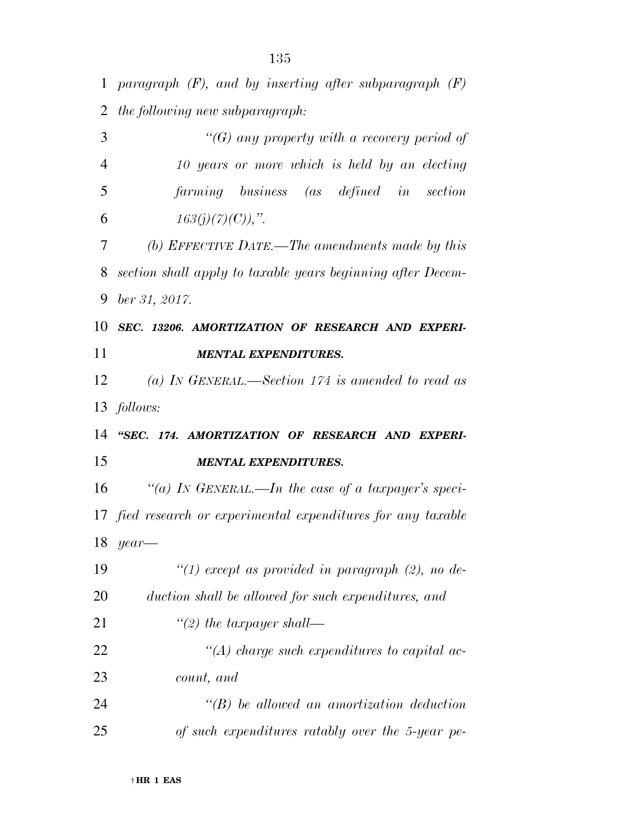*paragraph (F), and by inserting after subparagraph (F) the following new subparagraph:* 

| 3  | "(G) any property with a recovery period of                   |
|----|---------------------------------------------------------------|
| 4  | 10 years or more which is held by an electing                 |
| 5  | farming business (as defined in section                       |
| 6  | $163(j)(7)(C)$ ,".                                            |
| 7  | (b) EFFECTIVE DATE.—The amendments made by this               |
| 8  | section shall apply to taxable years beginning after Decem-   |
| 9  | $ber\,31,\,2017.$                                             |
| 10 | SEC. 13206. AMORTIZATION OF RESEARCH AND EXPERI-              |
| 11 | <b>MENTAL EXPENDITURES.</b>                                   |
| 12 | (a) IN GENERAL.—Section 174 is amended to read as             |
|    | 13 <i>follows:</i>                                            |
| 14 | "SEC. 174. AMORTIZATION OF RESEARCH AND EXPERI-               |
| 15 | <b>MENTAL EXPENDITURES.</b>                                   |
| 16 | "(a) IN GENERAL.—In the case of a taxpayer's speci-           |
|    | 17 fied research or experimental expenditures for any taxable |
| 18 | year                                                          |
| 19 | "(1) except as provided in paragraph $(2)$ , no de-           |
| 20 | duction shall be allowed for such expenditures, and           |
| 21 | $\lq(2)$ the taxpayer shall—                                  |
| 22 | $\lq (A)$ charge such expenditures to capital ac-             |
| 23 | count, and                                                    |
| 24 |                                                               |
|    | $\lq\lq B$ ) be allowed an amortization deduction             |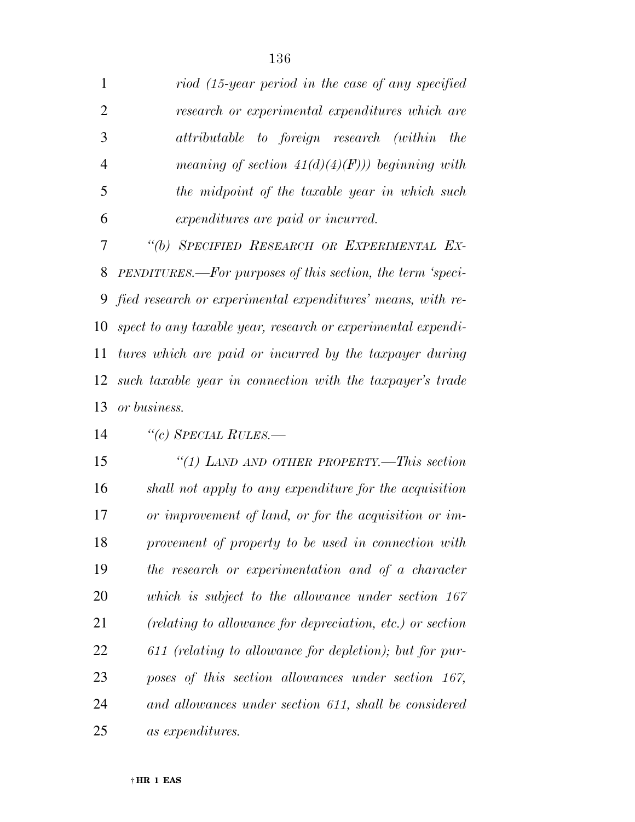| 1              | riod (15-year period in the case of any specified             |
|----------------|---------------------------------------------------------------|
| $\overline{2}$ | research or experimental expenditures which are               |
| 3              | attributable to foreign research (within<br><i>the</i>        |
| $\overline{4}$ | meaning of section $41(d)(4)(F))$ beginning with              |
| 5              | the midpoint of the taxable year in which such                |
| 6              | expenditures are paid or incurred.                            |
| 7              | "(b) SPECIFIED RESEARCH OR EXPERIMENTAL EX-                   |
| 8              | PENDITURES.—For purposes of this section, the term 'speci-    |
|                | 9 fied research or experimental expenditures' means, with re- |
| 10             | spect to any taxable year, research or experimental expendi-  |
| 11             | tures which are paid or incurred by the taxpayer during       |
| 12             | such taxable year in connection with the taxpayer's trade     |
|                |                                                               |
| 13             | or business.                                                  |
| 14             | "(c) SPECIAL RULES.-                                          |
| 15             | "(1) LAND AND OTHER PROPERTY.—This section                    |
| 16             | shall not apply to any expenditure for the acquisition        |
| 17             | or improvement of land, or for the acquisition or im-         |
| 18             | provement of property to be used in connection with           |
| 19             | the research or experimentation and of a character            |
| 20             | which is subject to the allowance under section 167           |
| 21             | (relating to allowance for depreciation, etc.) or section     |
| 22             | 611 (relating to allowance for depletion); but for pur-       |
| 23             | poses of this section allowances under section 167,           |
| 24             | and allowances under section 611, shall be considered         |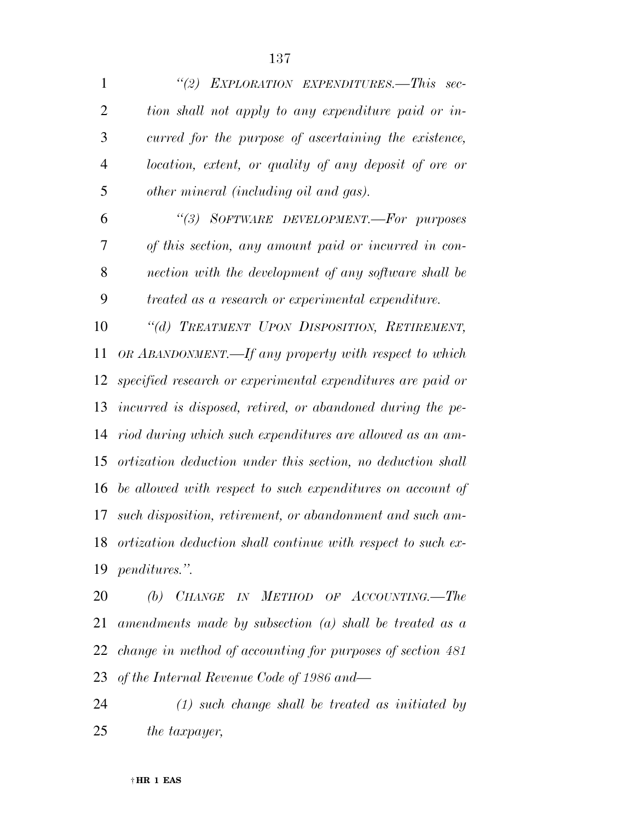*''(2) EXPLORATION EXPENDITURES.—This sec- tion shall not apply to any expenditure paid or in- curred for the purpose of ascertaining the existence, location, extent, or quality of any deposit of ore or other mineral (including oil and gas).* 

 *''(3) SOFTWARE DEVELOPMENT.—For purposes of this section, any amount paid or incurred in con- nection with the development of any software shall be treated as a research or experimental expenditure.* 

 *''(d) TREATMENT UPON DISPOSITION, RETIREMENT, OR ABANDONMENT.—If any property with respect to which specified research or experimental expenditures are paid or incurred is disposed, retired, or abandoned during the pe- riod during which such expenditures are allowed as an am- ortization deduction under this section, no deduction shall be allowed with respect to such expenditures on account of such disposition, retirement, or abandonment and such am- ortization deduction shall continue with respect to such ex-penditures.''.* 

 *(b) CHANGE IN METHOD OF ACCOUNTING.—The amendments made by subsection (a) shall be treated as a change in method of accounting for purposes of section 481 of the Internal Revenue Code of 1986 and—* 

 *(1) such change shall be treated as initiated by the taxpayer,*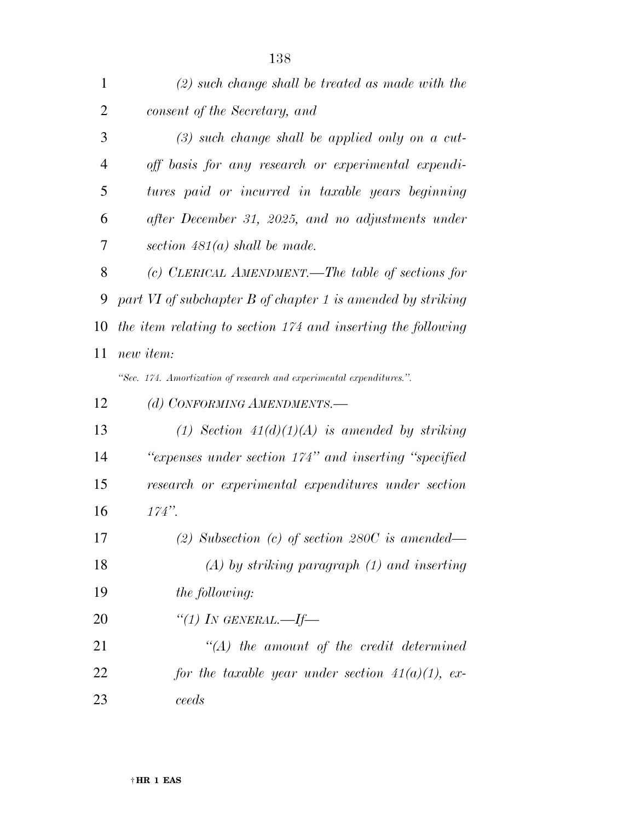| $\mathbf{1}$   | $(2)$ such change shall be treated as made with the                  |
|----------------|----------------------------------------------------------------------|
| $\overline{2}$ | consent of the Secretary, and                                        |
| 3              | $(3)$ such change shall be applied only on a cut-                    |
| 4              | off basis for any research or experimental expendi-                  |
| 5              | tures paid or incurred in taxable years beginning                    |
| 6              | after December 31, 2025, and no adjustments under                    |
| 7              | section $481(a)$ shall be made.                                      |
| 8              | (c) CLERICAL AMENDMENT.—The table of sections for                    |
| 9              | part VI of subchapter B of chapter 1 is amended by striking          |
| 10             | the item relating to section 174 and inserting the following         |
| 11             | new item:                                                            |
|                | "Sec. 174. Amortization of research and experimental expenditures.". |
| 12             | (d) CONFORMING AMENDMENTS.-                                          |
| 13             | (1) Section $41(d)(1)(A)$ is amended by striking                     |
| 14             | "expenses under section 174" and inserting "specified                |
| 15             | research or experimental expenditures under section                  |
| 16             | $174"$ .                                                             |
| 17             | (2) Subsection (c) of section $280C$ is amended—                     |
| 18             | $(A)$ by striking paragraph $(1)$ and inserting                      |
| 19             | <i>the following:</i>                                                |
| 20             | "(1) IN GENERAL.—If—                                                 |
| 21             | $\lq (A)$ the amount of the credit determined                        |
| 22             | for the taxable year under section $41(a)(1)$ , ex-                  |
| 23             | ceeds                                                                |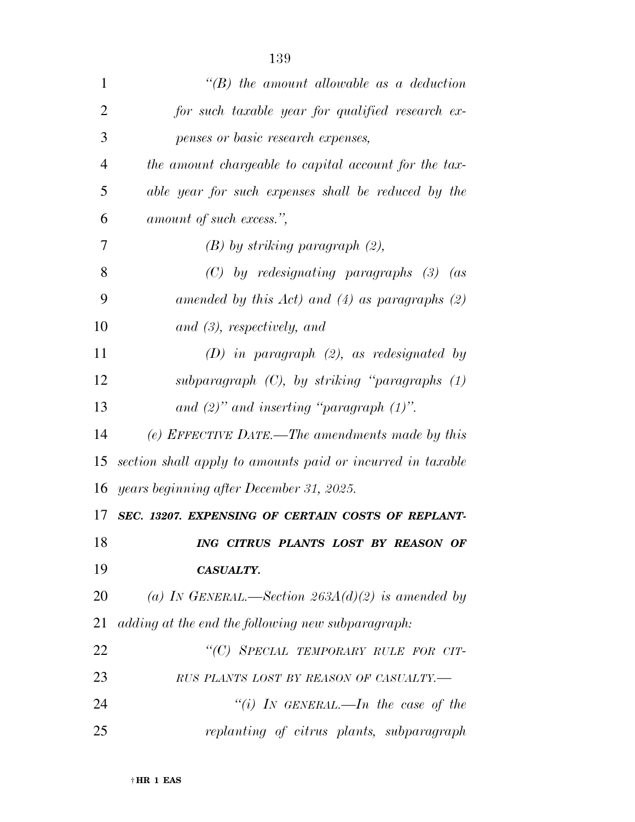| $\mathbf{1}$   | $\lq\lq B$ the amount allowable as a deduction             |
|----------------|------------------------------------------------------------|
| $\overline{2}$ | for such taxable year for qualified research ex-           |
| 3              | penses or basic research expenses,                         |
| 4              | the amount chargeable to capital account for the tax-      |
| 5              | able year for such expenses shall be reduced by the        |
| 6              | amount of such excess.",                                   |
| 7              | $(B)$ by striking paragraph $(2)$ ,                        |
| 8              | $(C)$ by redesignating paragraphs $(3)$ (as                |
| 9              | amended by this $Act)$ and $(4)$ as paragraphs $(2)$       |
| 10             | and (3), respectively, and                                 |
| 11             | $(D)$ in paragraph $(2)$ , as redesignated by              |
| 12             | subparagraph $(C)$ , by striking "paragraphs $(1)$         |
| 13             | and $(2)$ " and inserting "paragraph $(1)$ ".              |
| 14             | (e) EFFECTIVE DATE.—The amendments made by this            |
| 15             | section shall apply to amounts paid or incurred in taxable |
|                | 16 years beginning after December 31, 2025.                |
| 17             | SEC. 13207. EXPENSING OF CERTAIN COSTS OF REPLANT-         |
| 18             | ING CITRUS PLANTS LOST BY REASON OF                        |
| 19             | CASUALTY.                                                  |
| 20             | (a) IN GENERAL.—Section $263A(d)(2)$ is amended by         |
| 21             | adding at the end the following new subparagraph:          |
| 22             | "(C) SPECIAL TEMPORARY RULE FOR CIT-                       |
| 23             | RUS PLANTS LOST BY REASON OF CASUALTY.-                    |
| 24             | "(i) IN GENERAL.—In the case of the                        |
| 25             | replanting of citrus plants, subparagraph                  |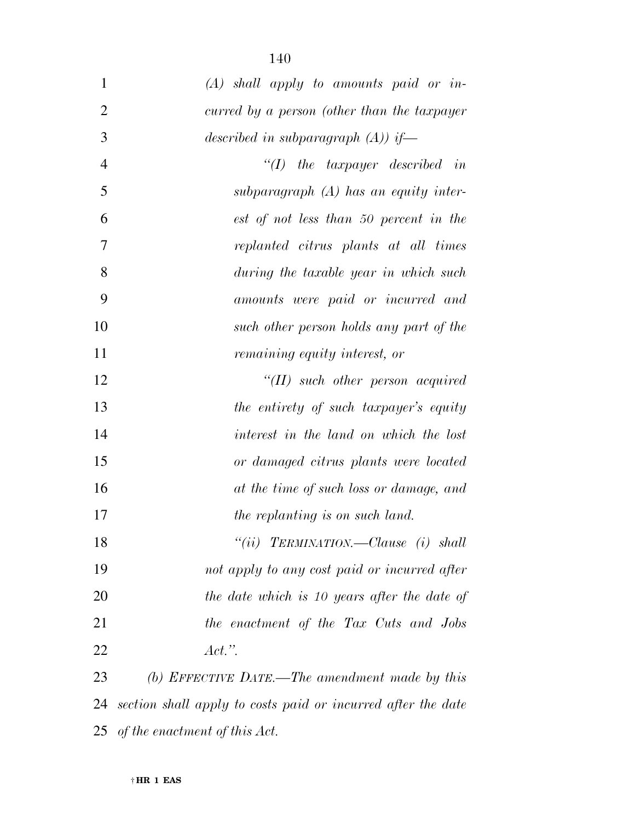| $\mathbf{1}$   | $(A)$ shall apply to amounts paid or in-                     |
|----------------|--------------------------------------------------------------|
| $\overline{2}$ | curred by a person (other than the taxpayer                  |
| 3              | described in subparagraph $(A)$ if—                          |
| $\overline{4}$ | $``(I)$ the taxpayer described in                            |
| 5              | subparagraph $(A)$ has an equity inter-                      |
| 6              | est of not less than 50 percent in the                       |
| 7              | replanted citrus plants at all times                         |
| 8              | during the taxable year in which such                        |
| 9              | amounts were paid or incurred and                            |
| 10             | such other person holds any part of the                      |
| 11             | remaining equity interest, or                                |
| 12             | $``(II)$ such other person acquired                          |
| 13             | the entirety of such taxpayer's equity                       |
| 14             | interest in the land on which the lost                       |
| 15             | or damaged citrus plants were located                        |
| 16             | at the time of such loss or damage, and                      |
| 17             | the replanting is on such land.                              |
| 18             | "(ii) TERMINATION.—Clause (i) shall                          |
| 19             | not apply to any cost paid or incurred after                 |
| 20             | the date which is 10 years after the date of                 |
| 21             | the enactment of the Tax Cuts and Jobs                       |
| 22             | $Act.$ ".                                                    |
| 23             | (b) EFFECTIVE DATE.—The amendment made by this               |
| 24             | section shall apply to costs paid or incurred after the date |

*of the enactment of this Act.*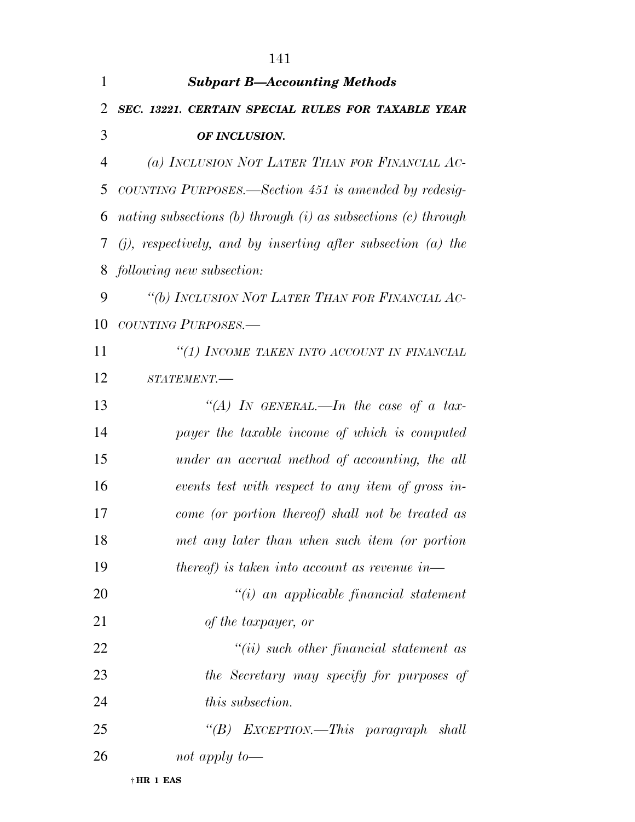| $\mathbf{1}$ | <b>Subpart B-Accounting Methods</b>                                 |
|--------------|---------------------------------------------------------------------|
| 2            | SEC. 13221. CERTAIN SPECIAL RULES FOR TAXABLE YEAR                  |
| 3            | OF INCLUSION.                                                       |
| 4            | (a) INCLUSION NOT LATER THAN FOR FINANCIAL AC-                      |
| 5            | COUNTING PURPOSES.—Section 451 is amended by redesig-               |
| 6            | nating subsections $(b)$ through $(i)$ as subsections $(c)$ through |
| 7            | $(j)$ , respectively, and by inserting after subsection (a) the     |
| 8            | following new subsection:                                           |
| 9            | "(b) INCLUSION NOT LATER THAN FOR FINANCIAL AC-                     |
| 10           | COUNTING PURPOSES.-                                                 |
| 11           | "(1) INCOME TAKEN INTO ACCOUNT IN FINANCIAL                         |
| 12           | STATEMENT.-                                                         |
| 13           | "(A) IN GENERAL.—In the case of a tax-                              |
| 14           | payer the taxable income of which is computed                       |
| 15           | under an accrual method of accounting, the all                      |
| 16           | events test with respect to any item of gross in-                   |
| 17           | come (or portion thereof) shall not be treated as                   |
| 18           | met any later than when such item (or portion                       |
| 19           | thereof) is taken into account as revenue in—                       |
| 20           | $``(i)$ an applicable financial statement                           |
| 21           | of the taxpayer, or                                                 |
| 22           | $``(ii)$ such other financial statement as                          |
| 23           | the Secretary may specify for purposes of                           |
| 24           | this subsection.                                                    |
| 25           | "(B) EXCEPTION.—This paragraph shall                                |
| 26           | not apply to-                                                       |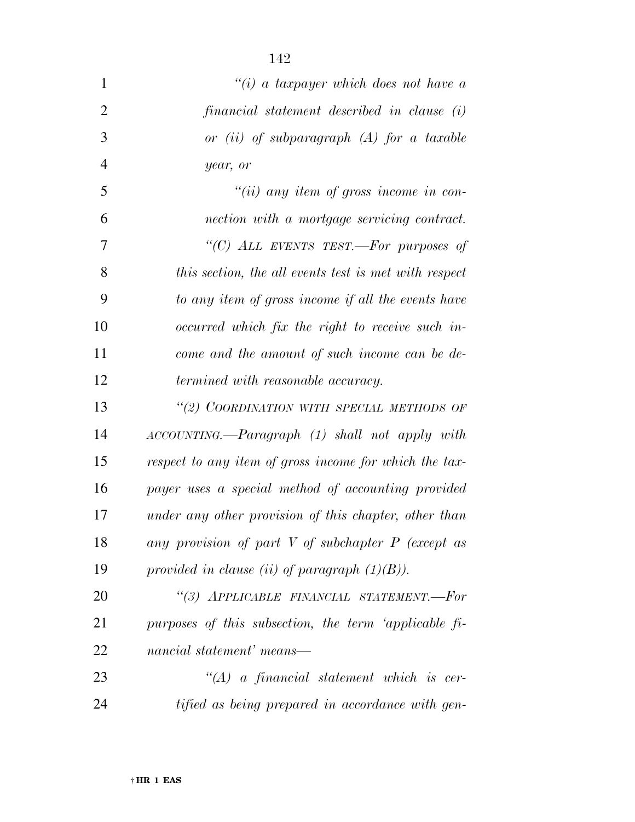| $\mathbf{1}$   | "(i) a taxpayer which does not have a                  |
|----------------|--------------------------------------------------------|
| $\overline{2}$ | financial statement described in clause (i)            |
| 3              | or $(ii)$ of subparagraph $(A)$ for a taxable          |
| $\overline{4}$ | year, or                                               |
| 5              | "(ii) any item of gross income in con-                 |
| 6              | nection with a mortgage servicing contract.            |
| 7              | "(C) ALL EVENTS TEST.—For purposes of                  |
| 8              | this section, the all events test is met with respect  |
| 9              | to any item of gross income if all the events have     |
| 10             | occurred which fix the right to receive such in-       |
| 11             | come and the amount of such income can be de-          |
| 12             | <i>termined with reasonable accuracy.</i>              |
| 13             | "(2) COORDINATION WITH SPECIAL METHODS OF              |
| 14             | ACCOUNTING.—Paragraph (1) shall not apply with         |
| 15             | respect to any item of gross income for which the tax- |
| 16             | payer uses a special method of accounting provided     |
| 17             | under any other provision of this chapter, other than  |
| 18             | any provision of part $V$ of subchapter $P$ (except as |
| 19             | provided in clause (ii) of paragraph $(1)(B)$ ).       |
| 20             | "(3) APPLICABLE FINANCIAL STATEMENT.-For               |
| 21             | purposes of this subsection, the term 'applicable fi-  |
| 22             | nancial statement' means—                              |
| 23             | $\lq (A)$ a financial statement which is cer-          |
| 24             | tified as being prepared in accordance with gen-       |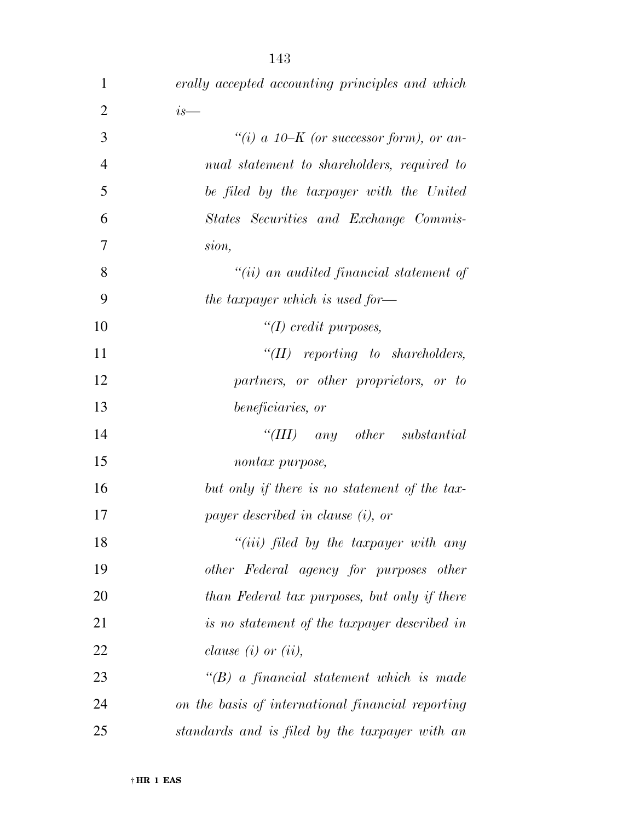| $\mathbf{1}$   | erally accepted accounting principles and which   |
|----------------|---------------------------------------------------|
| $\overline{2}$ | $is-$                                             |
| 3              | "(i) a 10–K (or successor form), or an-           |
| $\overline{4}$ | nual statement to shareholders, required to       |
| 5              | be filed by the taxpayer with the United          |
| 6              | States Securities and Exchange Commis-            |
| $\overline{7}$ | sion,                                             |
| 8              | $``(ii)$ an audited financial statement of        |
| 9              | the taxpayer which is used for-                   |
| 10             | $\lq (I) \; credit \; purposes,$                  |
| 11             | $``(II)$ reporting to shareholders,               |
| 12             | partners, or other proprietors, or to             |
| 13             | beneficiaries, or                                 |
| 14             | "(III) any other substantial                      |
| 15             | nontax purpose,                                   |
| 16             | but only if there is no statement of the tax-     |
| 17             | payer described in clause (i), or                 |
| 18             | $``(iii)$ filed by the taxpayer with any          |
| 19             | other Federal agency for purposes other           |
| 20             | than Federal tax purposes, but only if there      |
| 21             | is no statement of the taxpayer described in      |
| 22             | <i>clause</i> $(i)$ or $(ii)$ ,                   |
| 23             | $\lq\lq B$ a financial statement which is made    |
| 24             | on the basis of international financial reporting |
| 25             | standards and is filed by the taxpayer with an    |

† **HR 1 EAS**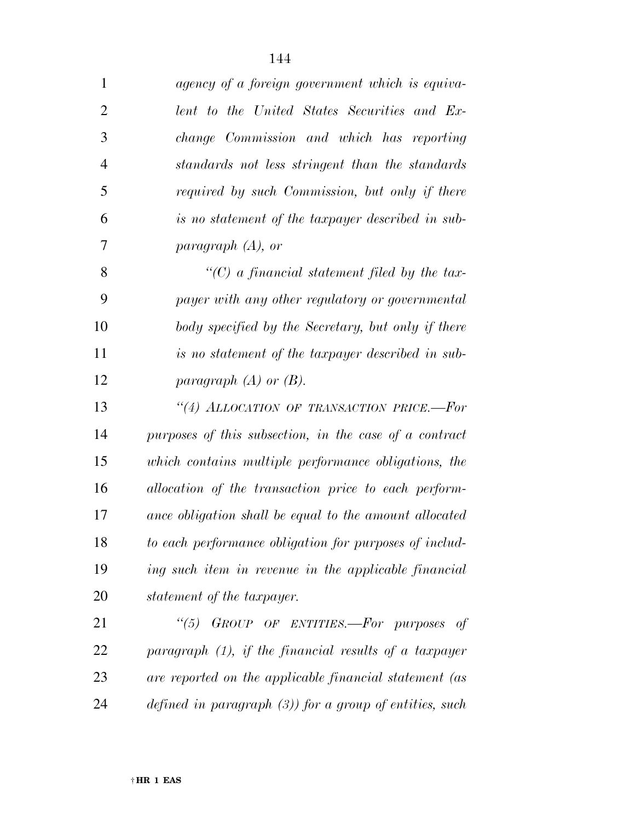| $\mathbf{1}$   | agency of a foreign government which is equiva-            |
|----------------|------------------------------------------------------------|
| $\overline{2}$ | lent to the United States Securities and Ex-               |
| 3              | change Commission and which has reporting                  |
| $\overline{4}$ | standards not less stringent than the standards            |
| 5              | required by such Commission, but only if there             |
| 6              | is no statement of the taxpayer described in sub-          |
| 7              | paragraph $(A)$ , or                                       |
| 8              | $\lq\lq C$ a financial statement filed by the tax-         |
| 9              | payer with any other regulatory or governmental            |
| 10             | body specified by the Secretary, but only if there         |
| 11             | is no statement of the taxpayer described in sub-          |
| 12             | paragraph $(A)$ or $(B)$ .                                 |
| 13             | "(4) ALLOCATION OF TRANSACTION PRICE.-For                  |
| 14             | purposes of this subsection, in the case of a contract     |
| 15             | which contains multiple performance obligations, the       |
| 16             | allocation of the transaction price to each perform-       |
| 17             | ance obligation shall be equal to the amount allocated     |
| 18             | to each performance obligation for purposes of includ-     |
| 19             | ing such item in revenue in the applicable financial       |
| 20             | statement of the taxpayer.                                 |
| 21             | "(5) GROUP OF ENTITIES.—For purposes<br>of                 |
| 22             | paragraph $(1)$ , if the financial results of a taxpayer   |
| 23             | are reported on the applicable financial statement (as     |
| 24             | defined in paragraph $(3)$ ) for a group of entities, such |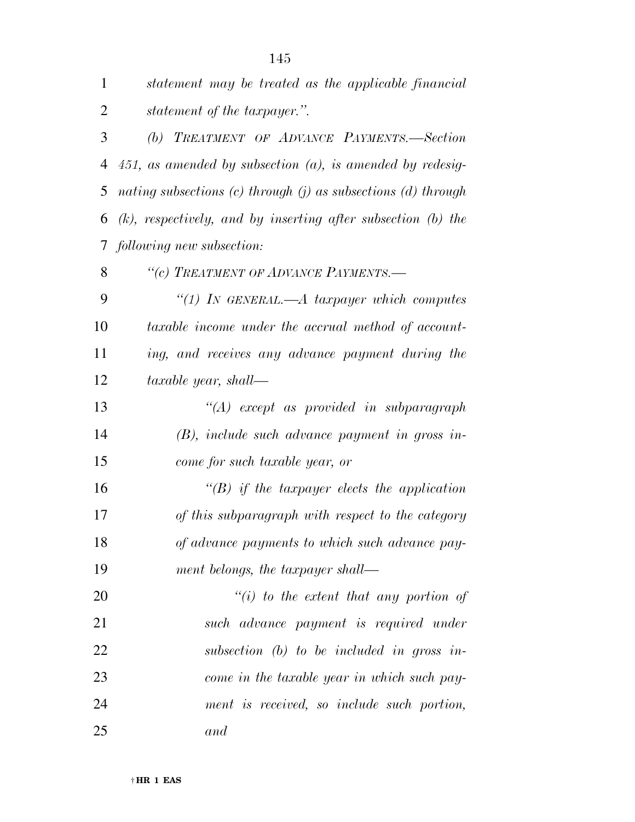| $\mathbf{1}$   | statement may be treated as the applicable financial                |
|----------------|---------------------------------------------------------------------|
| $\overline{2}$ | <i>statement of the taxpayer.</i> ".                                |
| 3              | (b) TREATMENT OF ADVANCE PAYMENTS.-Section                          |
| 4              | $451$ , as amended by subsection $(a)$ , is amended by redesig-     |
| 5              | nating subsections $(c)$ through $(j)$ as subsections $(d)$ through |
| 6              | $(k)$ , respectively, and by inserting after subsection $(b)$ the   |
| $\tau$         | following new subsection:                                           |
| 8              | "(c) TREATMENT OF ADVANCE PAYMENTS.-                                |
| 9              | "(1) In GENERAL.—A taxpayer which computes                          |
| 10             | taxable income under the accrual method of account-                 |
| 11             | ing, and receives any advance payment during the                    |
| 12             | taxable year, shall—                                                |
| 13             | $\lq (A)$ except as provided in subparagraph                        |
| 14             | $(B)$ , include such advance payment in gross in-                   |
| 15             | come for such taxable year, or                                      |
| 16             | $\lq\lq(B)$ if the taxpayer elects the application                  |
| 17             | of this subparagraph with respect to the category                   |
| 18             | of advance payments to which such advance pay-                      |
| 19             | ment belongs, the taxpayer shall—                                   |
| 20             | $``(i)$ to the extent that any portion of                           |
| 21             | such advance payment is required under                              |
| 22             | subsection $(b)$ to be included in gross in-                        |
| 23             | come in the taxable year in which such pay-                         |
| 24             | ment is received, so include such portion,                          |
| 25             | and                                                                 |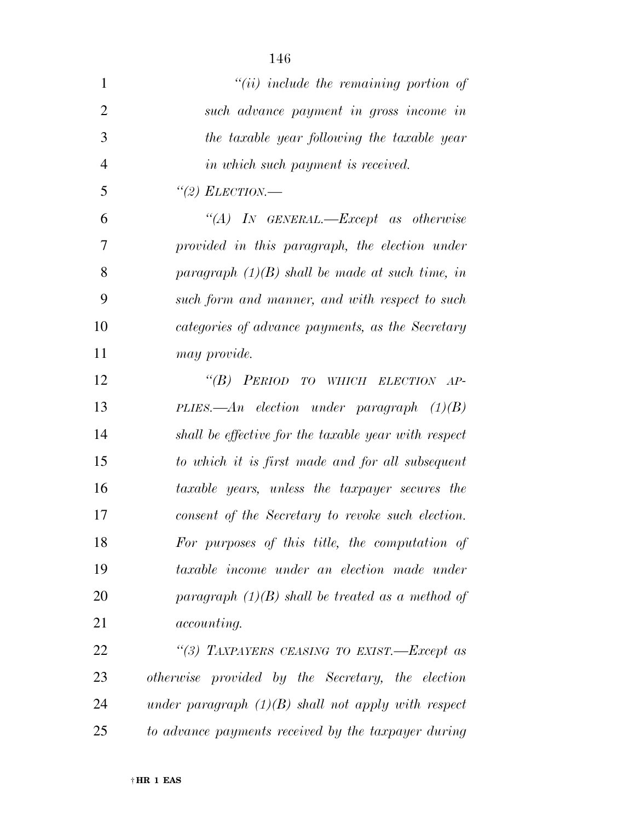| 1              | $``(ii)$ include the remaining portion of             |
|----------------|-------------------------------------------------------|
| $\overline{2}$ | such advance payment in gross income in               |
| 3              | the taxable year following the taxable year           |
| $\overline{4}$ | in which such payment is received.                    |
| 5              | "(2) ELECTION.—                                       |
| 6              | "(A) IN GENERAL.—Except as otherwise                  |
| 7              | provided in this paragraph, the election under        |
| 8              | paragraph $(1)(B)$ shall be made at such time, in     |
| 9              | such form and manner, and with respect to such        |
| 10             | categories of advance payments, as the Secretary      |
| 11             | may provide.                                          |
| 12             | "(B) PERIOD TO WHICH ELECTION AP-                     |
| 13             | PLIES.— $An$ election under paragraph $(1)(B)$        |
| 14             | shall be effective for the taxable year with respect  |
| 15             | to which it is first made and for all subsequent      |
| 16             | <i>taxable years, unless the taxpayer secures the</i> |
| 17             | consent of the Secretary to revoke such election.     |
| 18             | For purposes of this title, the computation of        |
| 19             | taxable income under an election made under           |
| 20             | paragraph $(1)(B)$ shall be treated as a method of    |
| 21             | <i>accounting.</i>                                    |
| 22             | "(3) TAXPAYERS CEASING TO EXIST.-Except as            |
| 23             | otherwise provided by the Secretary, the election     |
| 24             | under paragraph $(1)(B)$ shall not apply with respect |
| 25             | to advance payments received by the taxpayer during   |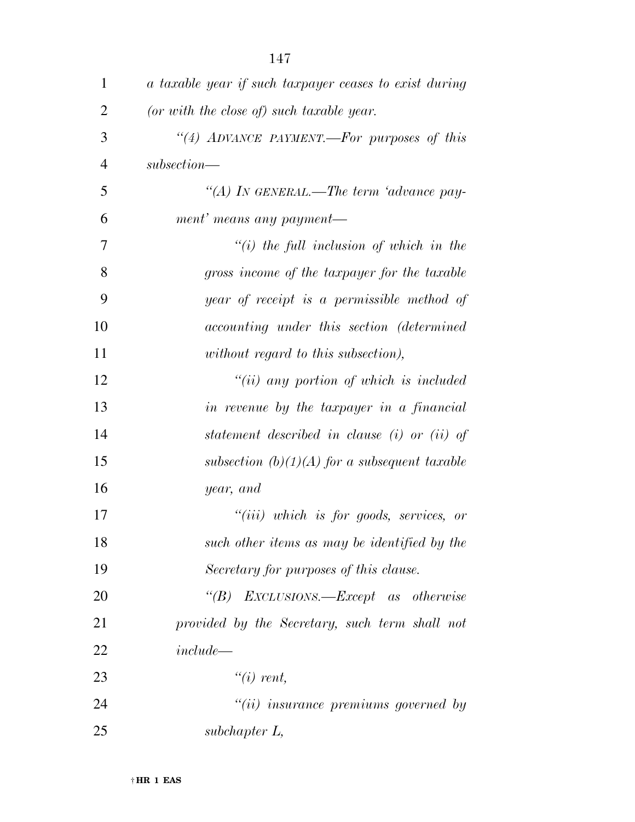| 1              | a taxable year if such taxpayer ceases to exist during |
|----------------|--------------------------------------------------------|
| $\overline{2}$ | (or with the close of) such taxable year.              |
| 3              | "(4) ADVANCE PAYMENT.—For purposes of this             |
| $\overline{4}$ | $subsection$ —                                         |
| 5              | "(A) In GENERAL.—The term 'advance pay-                |
| 6              | ment' means any payment—                               |
| 7              | $\lq\lq(i)$ the full inclusion of which in the         |
| 8              | gross income of the taxpayer for the taxable           |
| 9              | year of receipt is a permissible method of             |
| 10             | accounting under this section (determined              |
| 11             | without regard to this subsection),                    |
| 12             | $``(ii)$ any portion of which is included              |
| 13             | in revenue by the taxpayer in a financial              |
| 14             | statement described in clause (i) or (ii) of           |
| 15             | subsection $(b)(1)(A)$ for a subsequent taxable        |
| 16             | year, and                                              |
| 17             | $``(iii)$ which is for goods, services, or             |
| 18             | such other items as may be identified by the           |
| 19             | Secretary for purposes of this clause.                 |
| 20             | "(B) EXCLUSIONS.—Except as otherwise                   |
| 21             | provided by the Secretary, such term shall not         |
| 22             | $include -$                                            |
| 23             | $\lq\lq(i)$ rent,                                      |
| 24             | $"(ii)$ insurance premiums governed by                 |
| 25             | $subchapter L$ ,                                       |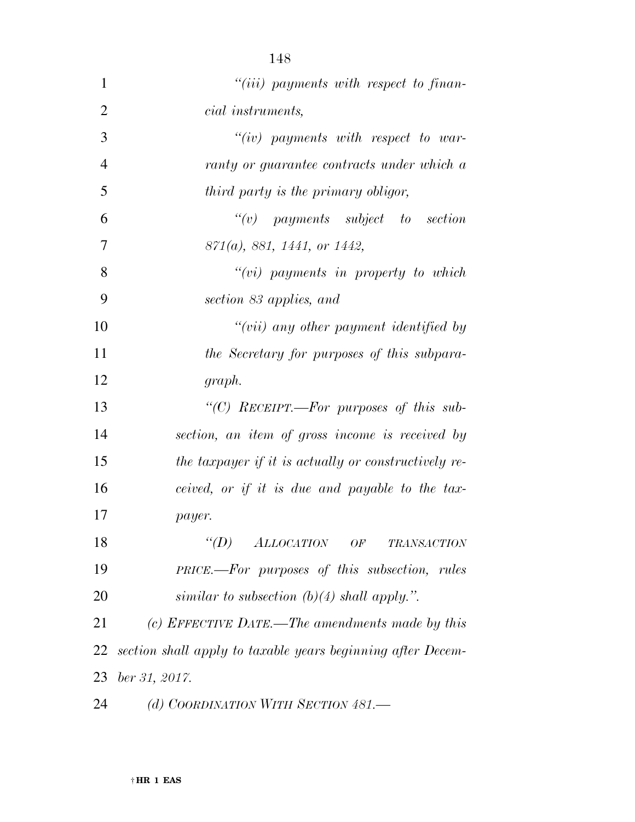| $\mathbf{1}$   | $``(iii)$ payments with respect to finan-                   |
|----------------|-------------------------------------------------------------|
| $\overline{2}$ | <i>cial instruments,</i>                                    |
| 3              | $``(iv)$ payments with respect to war-                      |
| $\overline{4}$ | ranty or guarantee contracts under which a                  |
| 5              | third party is the primary obligor,                         |
| 6              | $``(v)$ payments subject to section                         |
| 7              | $871(a)$ , 881, 1441, or 1442,                              |
| 8              | $``(vi)$ payments in property to which                      |
| 9              | section 83 applies, and                                     |
| 10             | $``(vii)$ any other payment identified by                   |
| 11             | the Secretary for purposes of this subpara-                 |
| 12             | graph.                                                      |
| 13             | "(C) RECEIPT.—For purposes of this sub-                     |
| 14             | section, an item of gross income is received by             |
| 15             | the taxpayer if it is actually or constructively re-        |
| 16             | ceived, or if it is due and payable to the tax-             |
| 17             | payer.                                                      |
| 18             | $\lq (D)$<br><b>ALLOCATION</b><br>OF<br><b>TRANSACTION</b>  |
| 19             | <b>PRICE.—For purposes of this subsection, rules</b>        |
| 20             | similar to subsection (b)(4) shall apply.".                 |
| 21             | (c) EFFECTIVE DATE.—The amendments made by this             |
| 22             | section shall apply to taxable years beginning after Decem- |
| 23             | ber 31, 2017.                                               |
| 24             | (d) COORDINATION WITH SECTION 481.-                         |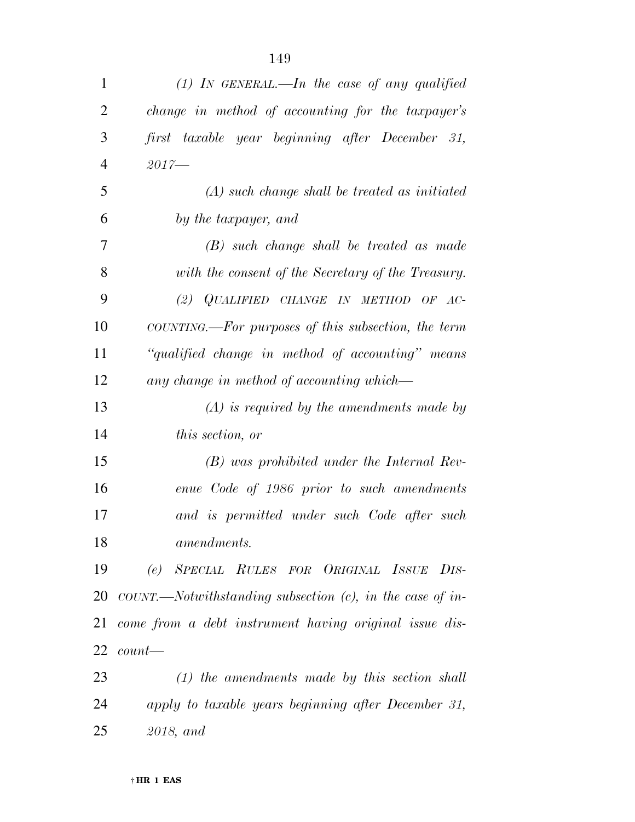| $\mathbf{1}$   | (1) In GENERAL.—In the case of any qualified           |
|----------------|--------------------------------------------------------|
| $\overline{2}$ | change in method of accounting for the taxpayer's      |
| 3              | first taxable year beginning after December 31,        |
| $\overline{4}$ | $2017 -$                                               |
| 5              | $(A)$ such change shall be treated as initiated        |
| 6              | by the taxpayer, and                                   |
| 7              | $(B)$ such change shall be treated as made             |
| 8              | with the consent of the Secretary of the Treasury.     |
| 9              | (2) $QUALIFIED$ CHANGE IN METHOD OF AC-                |
| 10             | COUNTING.—For purposes of this subsection, the term    |
| 11             | "qualified change in method of accounting" means       |
| 12             | any change in method of accounting which—              |
| 13             | $(A)$ is required by the amendments made by            |
| 14             | this section, or                                       |
| 15             | $(B)$ was prohibited under the Internal Rev-           |
| 16             | enue Code of 1986 prior to such amendments             |
| 17             | and is permitted under such Code after such            |
| 18             | amendments.                                            |
| 19             | (e) SPECIAL RULES FOR ORIGINAL ISSUE DIS-              |
| 20             |                                                        |
| 21             | come from a debt instrument having original issue dis- |
| 22             | $count$ —                                              |
| 23             | $(1)$ the amendments made by this section shall        |
| 24             | apply to taxable years beginning after December 31,    |
| 25             | 2018, and                                              |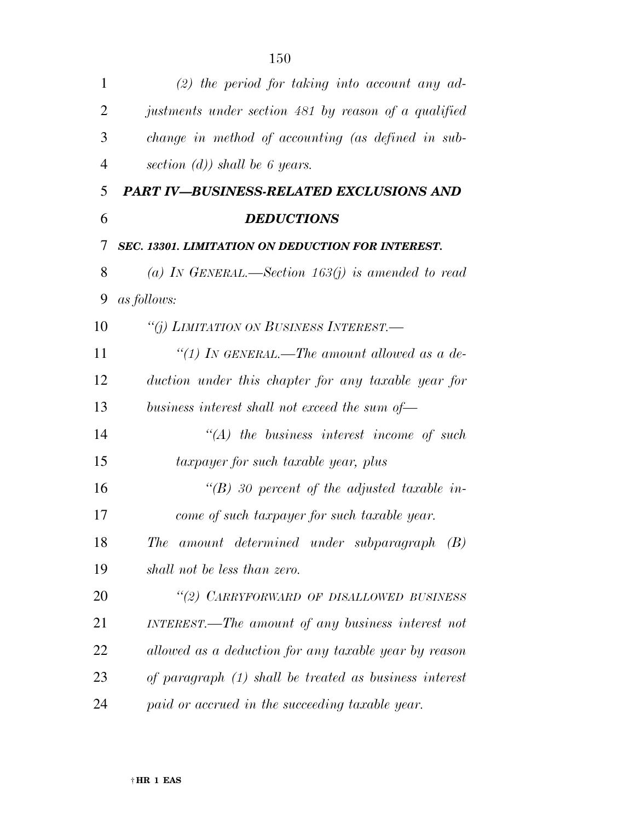| $\mathbf{1}$   | $(2)$ the period for taking into account any ad-         |
|----------------|----------------------------------------------------------|
| 2              | justments under section 481 by reason of a qualified     |
| 3              | change in method of accounting (as defined in sub-       |
| $\overline{4}$ | section $(d)$ ) shall be 6 years.                        |
| 5              | PART IV-BUSINESS-RELATED EXCLUSIONS AND                  |
| 6              | <b>DEDUCTIONS</b>                                        |
| 7              | SEC. 13301. LIMITATION ON DEDUCTION FOR INTEREST.        |
| 8              | (a) IN GENERAL.—Section 163(j) is amended to read        |
| 9              | <i>as follows:</i>                                       |
| 10             | "(j) LIMITATION ON BUSINESS INTEREST.—                   |
| 11             | "(1) IN GENERAL.—The amount allowed as a de-             |
| 12             | duction under this chapter for any taxable year for      |
| 13             | business interest shall not exceed the sum of—           |
| 14             | $\lq\lq (A)$ the business interest income of such        |
| 15             | taxpayer for such taxable year, plus                     |
| 16             | $\lq (B)$ 30 percent of the adjusted taxable in-         |
| 17             | come of such taxpayer for such taxable year.             |
| 18             | amount determined under subparagraph (B)<br>The          |
| 19             | shall not be less than zero.                             |
| 20             | "(2) CARRYFORWARD OF DISALLOWED BUSINESS                 |
| 21             | INTEREST.—The amount of any business interest not        |
| 22             | allowed as a deduction for any taxable year by reason    |
| 23             | of paragraph $(1)$ shall be treated as business interest |
| 24             | paid or accrued in the succeeding taxable year.          |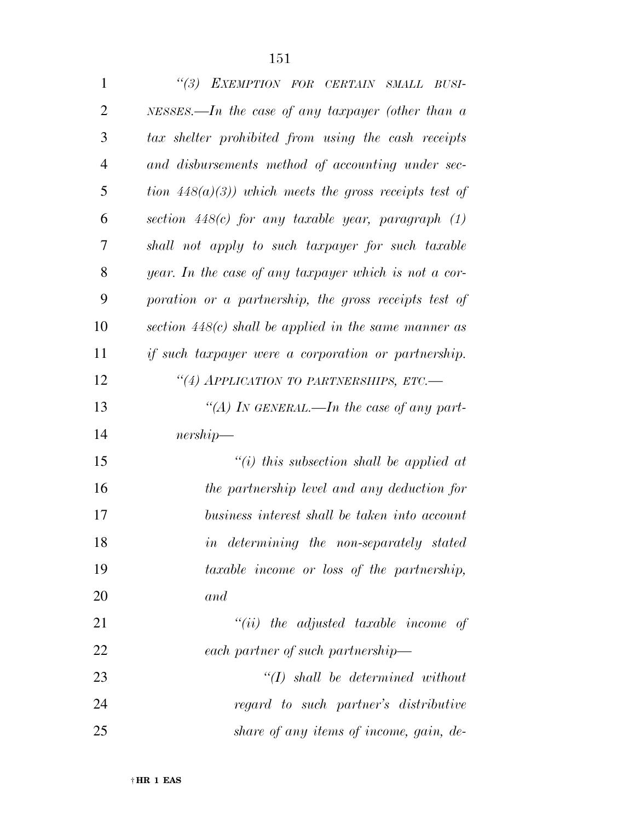| $\mathbf{1}$   | "(3) EXEMPTION FOR CERTAIN SMALL BUSI-                    |
|----------------|-----------------------------------------------------------|
| $\overline{2}$ | NESSES.—In the case of any taxpayer (other than $a$       |
| 3              | tax shelter prohibited from using the cash receipts       |
| $\overline{4}$ | and disbursements method of accounting under sec-         |
| 5              | tion $448(a)(3)$ ) which meets the gross receipts test of |
| 6              | section $448(c)$ for any taxable year, paragraph $(1)$    |
| 7              | shall not apply to such taxpayer for such taxable         |
| 8              | year. In the case of any taxpayer which is not a cor-     |
| 9              | poration or a partnership, the gross receipts test of     |
| 10             | section $448(c)$ shall be applied in the same manner as   |
| 11             | if such taxpayer were a corporation or partnership.       |
| 12             | "(4) APPLICATION TO PARTNERSHIPS, ETC.-                   |
| 13             | "(A) In GENERAL.—In the case of any part-                 |
| 14             | $nership-$                                                |
| 15             | "(i) this subsection shall be applied at                  |
| 16             | the partnership level and any deduction for               |
| 17             | business interest shall be taken into account             |
| 18             | in determining the non-separately stated                  |
| 19             | taxable income or loss of the partnership,                |
| 20             | and                                                       |
| 21             | $``(ii)$ the adjusted taxable income of                   |
| 22             | each partner of such partnership—                         |
| 23             | $\lq (I)$ shall be determined without                     |
| 24             | regard to such partner's distributive                     |

*share of any items of income, gain, de-*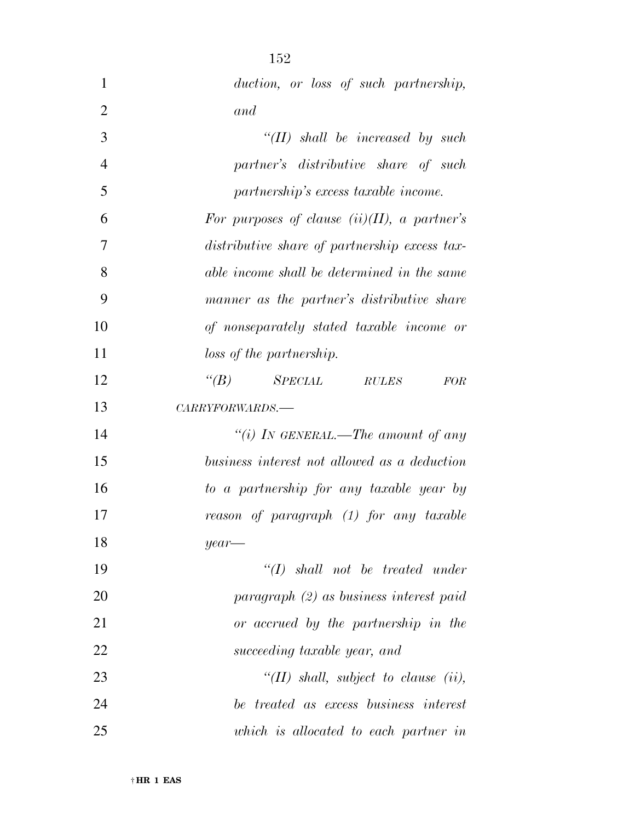| $\mathbf{1}$   | duction, or loss of such partnership,           |
|----------------|-------------------------------------------------|
| $\overline{2}$ | and                                             |
| 3              | $``(II)$ shall be increased by such             |
| $\overline{4}$ | partner's distributive share of such            |
| 5              | partnership's excess taxable income.            |
| 6              | For purposes of clause $(ii)(II)$ , a partner's |
| 7              | distributive share of partnership excess tax-   |
| 8              | able income shall be determined in the same     |
| 9              | manner as the partner's distributive share      |
| 10             | of nonseparately stated taxable income or       |
| 11             | loss of the partnership.                        |
| 12             | $SPECIAL$ RULES<br>$\lq(B)$<br><b>FOR</b>       |
| 13             | CARRYFORWARDS.-                                 |
| 14             | "(i) In GENERAL.—The amount of any              |
| 15             | business interest not allowed as a deduction    |
| 16             | to a partnership for any taxable year by        |
| 17             | reason of paragraph (1) for any taxable         |
| 18             | year-                                           |
| 19             | $\lq\lq (I)$ shall not be treated under         |
| 20             | $paragnph (2)$ as business interest paid        |
| 21             | or accrued by the partnership in the            |
| 22             | succeeding taxable year, and                    |
| 23             | " $(II)$ shall, subject to clause $(ii)$ ,      |
| 24             | be treated as excess business interest          |
| 25             | which is allocated to each partner in           |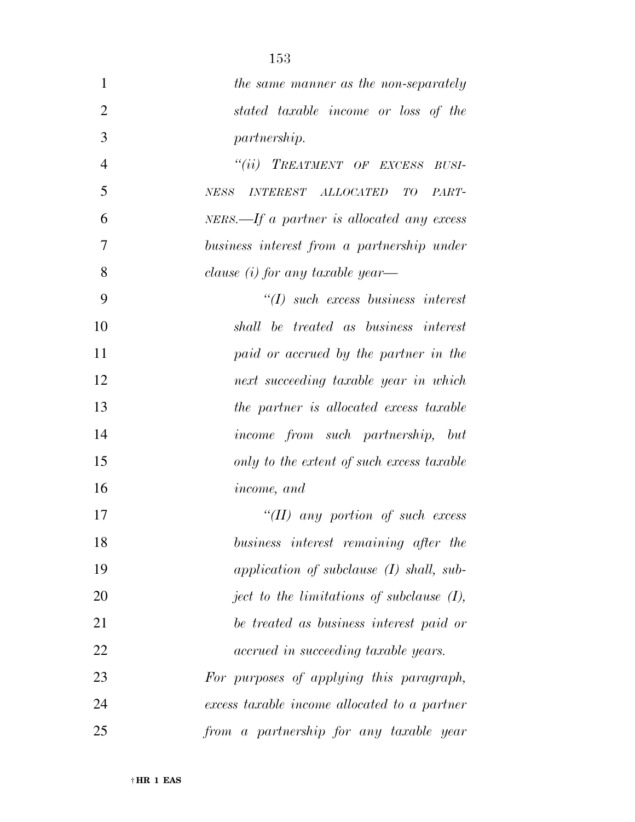| $\mathbf{1}$   | the same manner as the non-separately          |
|----------------|------------------------------------------------|
| $\overline{2}$ | stated taxable income or loss of the           |
| 3              | <i>partnership.</i>                            |
| $\overline{4}$ | "(ii) TREATMENT OF EXCESS BUSI-                |
| 5              | INTEREST ALLOCATED TO<br>NESS<br>PART-         |
| 6              | $NERS. - If a partner is allocated any excess$ |
| 7              | business interest from a partnership under     |
| 8              | clause $(i)$ for any taxable year—             |
| 9              | $\lq (I)$ such excess business interest        |
| 10             | shall be treated as business interest          |
| 11             | paid or accrued by the partner in the          |
| 12             | next succeeding taxable year in which          |
| 13             | the partner is allocated excess taxable        |
| 14             | <i>income from such partnership, but</i>       |
| 15             | only to the extent of such excess taxable      |
| 16             | <i>income, and</i>                             |
| 17             | "(II) any portion of such excess               |
| 18             | business interest remaining after the          |
| 19             | application of subclause (I) shall, sub-       |
| 20             | ject to the limitations of subclause $(I)$ ,   |
| 21             | be treated as business interest paid or        |
| 22             | accrued in succeeding taxable years.           |
| 23             | For purposes of applying this paragraph,       |
| 24             | excess taxable income allocated to a partner   |
| 25             | from a partnership for any taxable year        |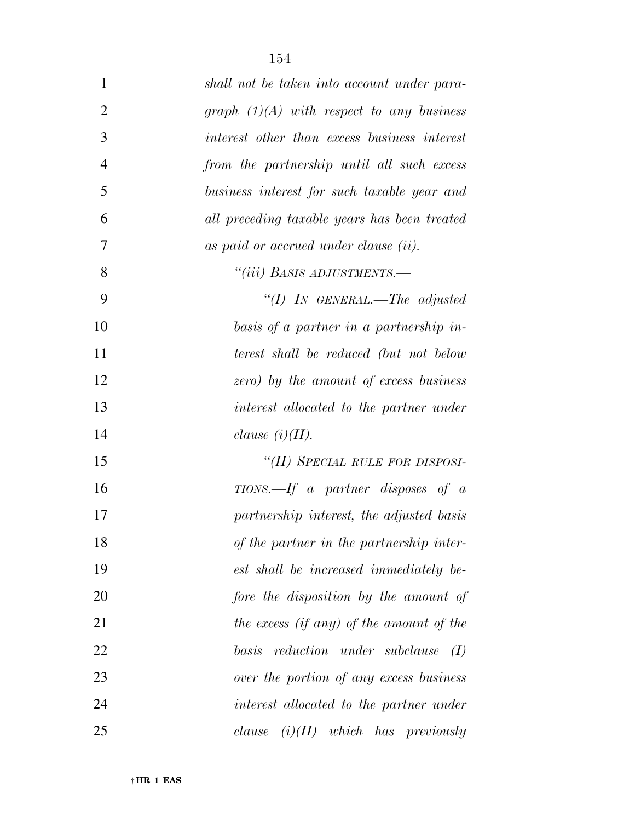| $\mathbf{1}$   | shall not be taken into account under para-  |
|----------------|----------------------------------------------|
| $\overline{2}$ | graph $(1)(A)$ with respect to any business  |
| 3              | interest other than excess business interest |
| $\overline{4}$ | from the partnership until all such excess   |
| 5              | business interest for such taxable year and  |
| 6              | all preceding taxable years has been treated |
| 7              | as paid or accrued under clause (ii).        |
| 8              | "(iii) BASIS ADJUSTMENTS.-                   |
| 9              | "(I) IN GENERAL.—The adjusted                |
| 10             | basis of a partner in a partnership in-      |
| 11             | terest shall be reduced (but not below       |
| 12             | zero) by the amount of excess business       |
| 13             | interest allocated to the partner under      |
| 14             | clause $(i)(II)$ .                           |
| 15             | "(II) SPECIAL RULE FOR DISPOSI-              |
| 16             | $TIONS. - If a partner disposes of a$        |
| 17             | partnership interest, the adjusted basis     |
| 18             | of the partner in the partnership inter-     |
| 19             | est shall be increased immediately be-       |
| 20             | fore the disposition by the amount of        |
| 21             | the excess (if any) of the amount of the     |
| 22             | basis<br>reduction under subclause<br>(I)    |
| 23             | over the portion of any excess business      |
| 24             | interest allocated to the partner under      |
| 25             | $(i)(II)$ which has previously<br>clause     |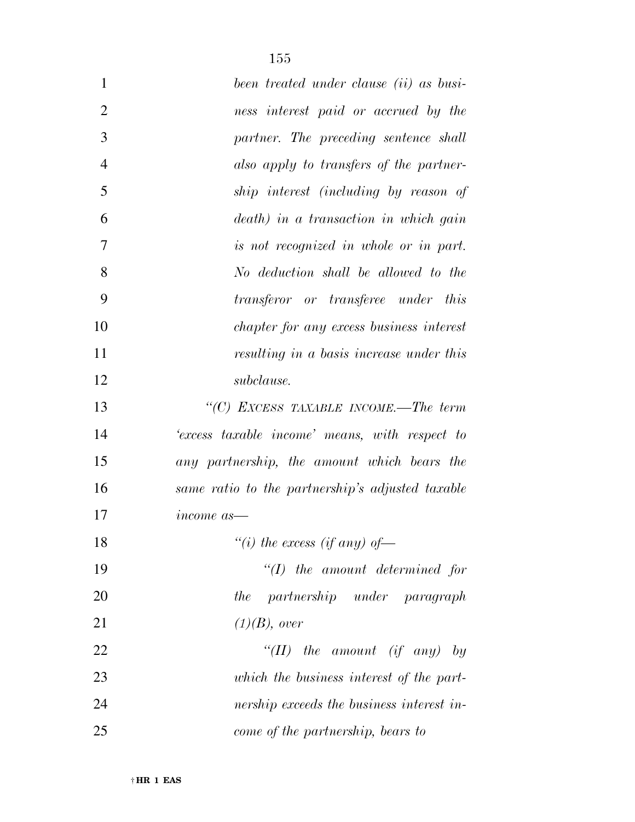| $\mathbf{1}$   | been treated under clause <i>(ii)</i> as busi-   |
|----------------|--------------------------------------------------|
| $\overline{2}$ | ness interest paid or accrued by the             |
| 3              | partner. The preceding sentence shall            |
| $\overline{4}$ | also apply to transfers of the partner-          |
| 5              | ship interest (including by reason of            |
| 6              | death) in a transaction in which gain            |
| $\overline{7}$ | is not recognized in whole or in part.           |
| 8              | No deduction shall be allowed to the             |
| 9              | transferor or transferee under this              |
| 10             | chapter for any excess business interest         |
| 11             | resulting in a basis increase under this         |
| 12             | subclause.                                       |
| 13             | "(C) EXCESS TAXABLE INCOME.—The term             |
| 14             | 'excess taxable income' means, with respect to   |
| 15             | any partnership, the amount which bears the      |
| 16             | same ratio to the partnership's adjusted taxable |
| 17             | <i>income</i> as                                 |
| 18             | "(i) the excess (if any) of-                     |
| 19             | $\lq (I)$ the amount determined for              |
| 20             | the partnership under paragraph                  |
| 21             | $(1)(B)$ , over                                  |
| 22             | "(II) the amount (if any) by                     |
| 23             | which the business interest of the part-         |
| 24             | nership exceeds the business interest in-        |
| 25             | come of the partnership, bears to                |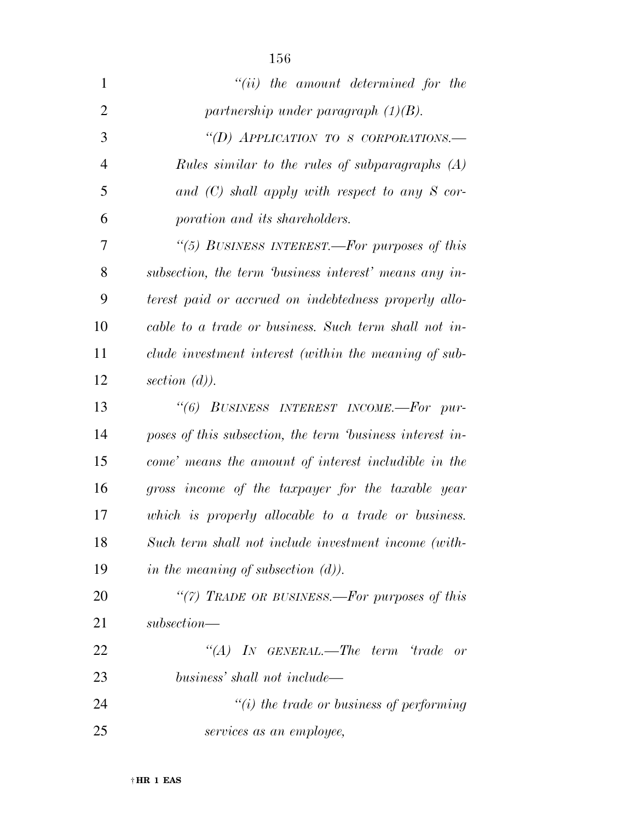| $\mathbf{1}$   | $``(ii)$ the amount determined for the                   |
|----------------|----------------------------------------------------------|
| $\overline{2}$ | partnership under paragraph $(1)(B)$ .                   |
| 3              | "(D) APPLICATION TO S CORPORATIONS.-                     |
| $\overline{4}$ | <i>Rules similar to the rules of subparagraphs</i> (A)   |
| 5              | and $(C)$ shall apply with respect to any S cor-         |
| 6              | poration and its shareholders.                           |
| 7              | "(5) BUSINESS INTEREST.—For purposes of this             |
| 8              | subsection, the term business interest' means any in-    |
| 9              | terest paid or accrued on indebtedness properly allo-    |
| 10             | cable to a trade or business. Such term shall not in-    |
| 11             | clude investment interest (within the meaning of sub-    |
| 12             | section $(d)$ ).                                         |
| 13             | "(6) BUSINESS INTEREST INCOME.-For pur-                  |
| 14             | poses of this subsection, the term business interest in- |
| 15             | come' means the amount of interest includible in the     |
| 16             | gross income of the taxpayer for the taxable year        |
| 17             | which is properly allocable to a trade or business.      |
| 18             | Such term shall not include investment income (with-     |
| 19             | in the meaning of subsection $(d)$ ).                    |
| 20             | "(7) TRADE OR BUSINESS.—For purposes of this             |
| 21             | $subsection$ —                                           |
| 22             | "(A) IN GENERAL.—The term 'trade<br>or                   |
| 23             | business' shall not include—                             |
| 24             | $"(i)$ the trade or business of performing               |
| 25             | services as an employee,                                 |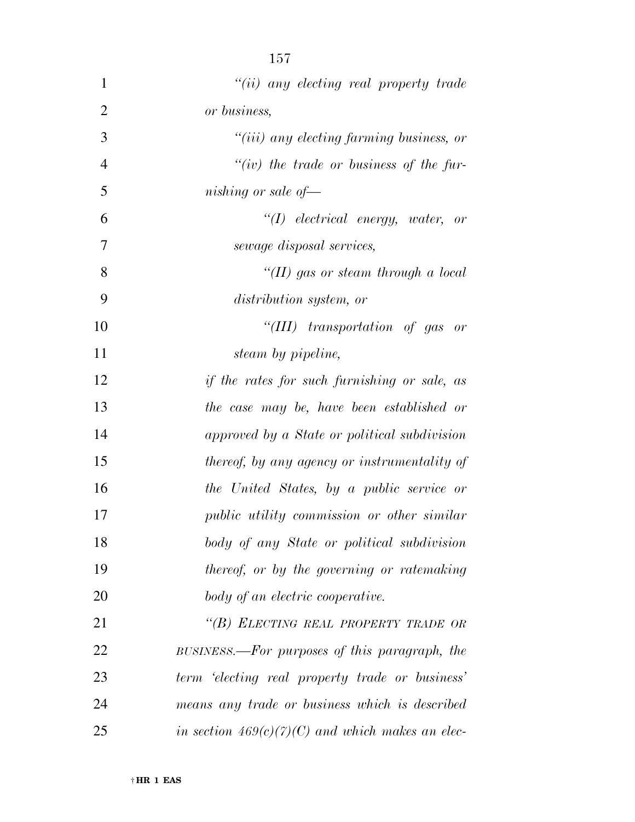| $\mathbf{1}$   | $"(ii)$ any electing real property trade           |
|----------------|----------------------------------------------------|
| $\overline{2}$ | or business,                                       |
| 3              | $``(iii)$ any electing farming business, or        |
| $\overline{4}$ | "(iv) the trade or business of the fur-            |
| 5              | nishing or sale of $-$                             |
| 6              | $\lq (I)$ electrical energy, water, or             |
| 7              | sewage disposal services,                          |
| 8              | "(II) gas or steam through a local                 |
| 9              | distribution system, or                            |
| 10             | "(III) transportation of gas or                    |
| 11             | steam by pipeline,                                 |
| 12             | if the rates for such furnishing or sale, as       |
| 13             | the case may be, have been established or          |
| 14             | approved by a State or political subdivision       |
| 15             | thereof, by any agency or instrumentality of       |
| 16             | the United States, by a public service or          |
| 17             | public utility commission or other similar         |
| 18             | body of any State or political subdivision         |
| 19             | thereof, or by the governing or ratemaking         |
| 20             | body of an electric cooperative.                   |
| 21             | "(B) ELECTING REAL PROPERTY TRADE OR               |
| 22             | BUSINESS.—For purposes of this paragraph, the      |
| 23             | term 'electing real property trade or business'    |
| 24             | means any trade or business which is described     |
| 25             | in section $469(c)(7)(C)$ and which makes an elec- |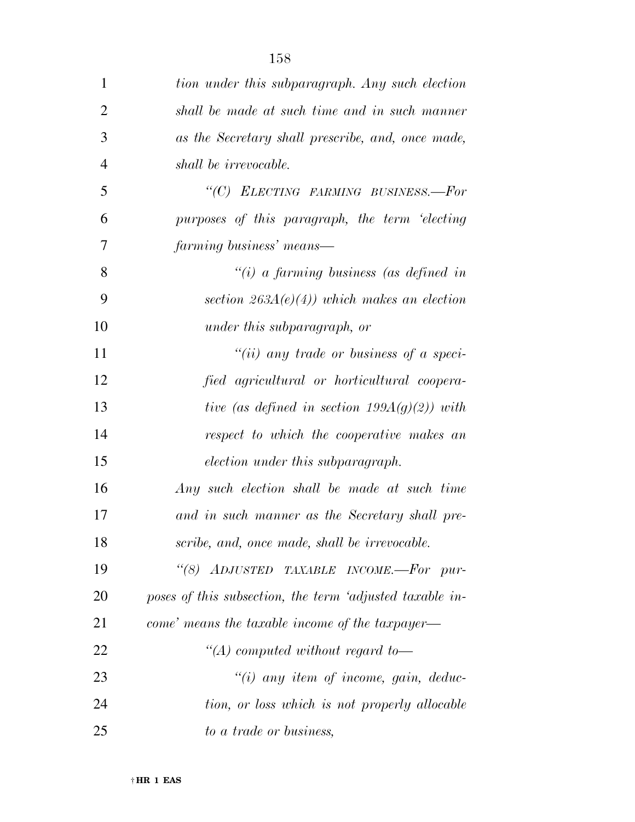| 1              | tion under this subparagraph. Any such election          |
|----------------|----------------------------------------------------------|
| $\overline{2}$ | shall be made at such time and in such manner            |
| 3              | as the Secretary shall prescribe, and, once made,        |
| $\overline{4}$ | shall be irrevocable.                                    |
| 5              | "(C) ELECTING FARMING BUSINESS.-For                      |
| 6              | purposes of this paragraph, the term 'electing           |
| 7              | farming business' means—                                 |
| 8              | "(i) a farming business (as defined in                   |
| 9              | section $263A(e)(4)$ ) which makes an election           |
| 10             | under this subparagraph, or                              |
| 11             | "(ii) any trade or business of a speci-                  |
| 12             | fied agricultural or horticultural coopera-              |
| 13             | tive (as defined in section 199 $A(g)(2)$ ) with         |
| 14             | respect to which the cooperative makes an                |
| 15             | election under this subparagraph.                        |
| 16             | Any such election shall be made at such time             |
| 17             | and in such manner as the Secretary shall pre-           |
| 18             | scribe, and, once made, shall be irrevocable.            |
| 19             | "(8) ADJUSTED TAXABLE INCOME.-For pur-                   |
| 20             | poses of this subsection, the term 'adjusted taxable in- |
| 21             | come' means the taxable income of the taxpayer—          |
| 22             | "(A) computed without regard to-                         |
| 23             | $"(i)$ any item of income, gain, deduc-                  |
| 24             | tion, or loss which is not properly allocable            |
| 25             | to a trade or business,                                  |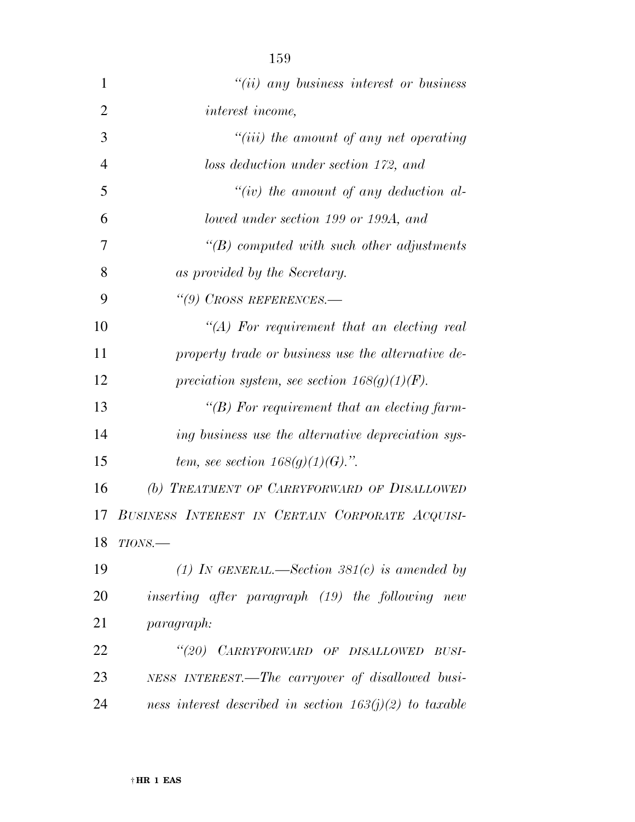| $\mathbf{1}$   | $"(ii)$ any business interest or business                 |
|----------------|-----------------------------------------------------------|
| $\overline{2}$ | interest income,                                          |
| 3              | $``(iii)$ the amount of any net operating                 |
| $\overline{4}$ | loss deduction under section 172, and                     |
| 5              | "(iv) the amount of any deduction al-                     |
| 6              | lowed under section 199 or 199A, and                      |
| 7              | $\lq\lq B$ computed with such other adjustments           |
| 8              | as provided by the Secretary.                             |
| 9              | $\lq(9)$ CROSS REFERENCES.—                               |
| 10             | $\lq (A)$ For requirement that an electing real           |
| 11             | property trade or business use the alternative de-        |
| 12             | preciation system, see section $168(g)(1)(F)$ .           |
| 13             | "(B) For requirement that an electing farm-               |
| 14             | ing business use the alternative depreciation sys-        |
| 15             | tem, see section $168(g)(1)(G)$ .".                       |
| 16             | (b) TREATMENT OF CARRYFORWARD OF DISALLOWED               |
| 17             | BUSINESS INTEREST IN CERTAIN CORPORATE ACQUISI-           |
| 18             | $TIONS$ .                                                 |
| 19             | (1) In GENERAL.—Section 381(c) is amended by              |
| 20             | inserting after paragraph (19) the following new          |
| 21             | paragraph:                                                |
| 22             | "(20) CARRYFORWARD OF DISALLOWED BUSI-                    |
| 23             | NESS INTEREST.—The carryover of disallowed busi-          |
| 24             | ness interest described in section $163(j)(2)$ to taxable |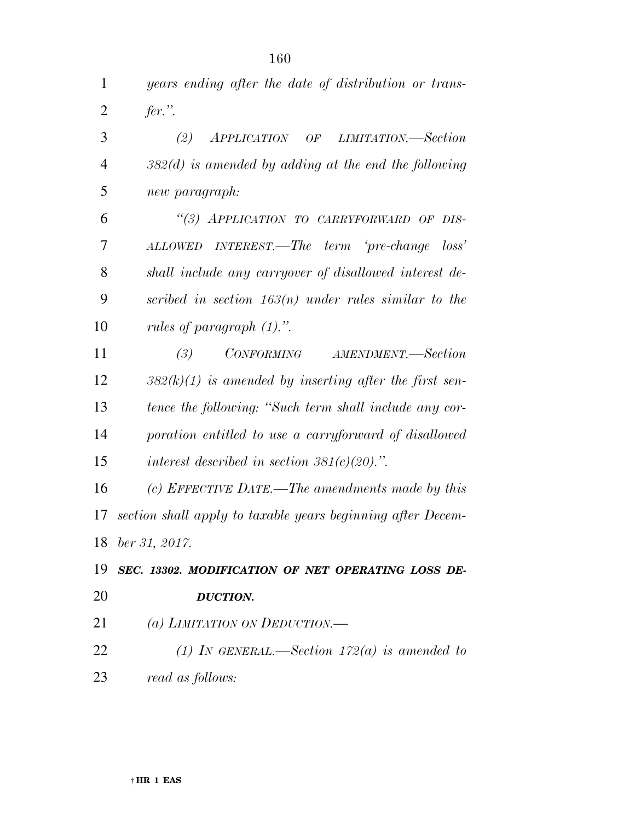| $\mathbf{1}$   | years ending after the date of distribution or trans-       |
|----------------|-------------------------------------------------------------|
| $\overline{2}$ | $fer.$ ".                                                   |
| 3              | APPLICATION OF LIMITATION.—Section<br>(2)                   |
| $\overline{4}$ | $382(d)$ is amended by adding at the end the following      |
| 5              | new paragraph:                                              |
| 6              | "(3) APPLICATION TO CARRYFORWARD OF DIS-                    |
| 7              | ALLOWED INTEREST.—The term 'pre-change<br>$\cos^2$          |
| 8              | shall include any carryover of disallowed interest de-      |
| 9              | scribed in section $163(n)$ under rules similar to the      |
| 10             | rules of paragraph $(1)$ .".                                |
| 11             | <i>CONFORMING</i><br>AMENDMENT.-Section<br>(3)              |
| 12             | $382(k)(1)$ is amended by inserting after the first sen-    |
| 13             | tence the following: "Such term shall include any cor-      |
| 14             | poration entitled to use a carryforward of disallowed       |
| 15             | interest described in section $381(c)(20)$ .".              |
| 16             | (c) EFFECTIVE DATE.—The amendments made by this             |
| 17             | section shall apply to taxable years beginning after Decem- |
|                | 18 <i>ber 31, 2017</i> .                                    |
| 19             | SEC. 13302. MODIFICATION OF NET OPERATING LOSS DE-          |
| 20             | <b>DUCTION.</b>                                             |
| 21             | (a) LIMITATION ON DEDUCTION.—                               |
| 22             | (1) IN GENERAL.—Section $172(a)$ is amended to              |
| 23             | read as follows:                                            |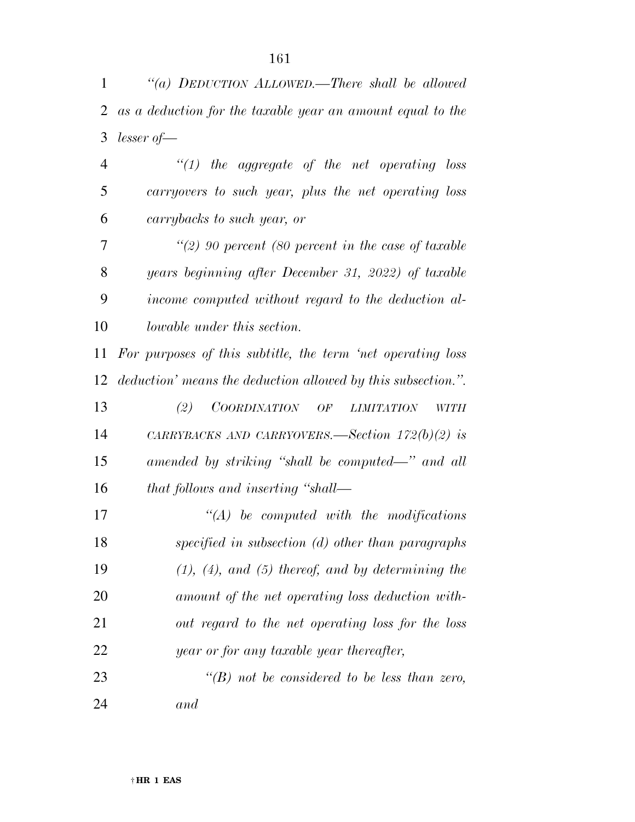*''(a) DEDUCTION ALLOWED.—There shall be allowed as a deduction for the taxable year an amount equal to the lesser of—* 

 *''(1) the aggregate of the net operating loss carryovers to such year, plus the net operating loss carrybacks to such year, or* 

 *''(2) 90 percent (80 percent in the case of taxable years beginning after December 31, 2022) of taxable income computed without regard to the deduction al-lowable under this section.* 

 *For purposes of this subtitle, the term 'net operating loss deduction' means the deduction allowed by this subsection.''.* 

 *(2) COORDINATION OF LIMITATION WITH CARRYBACKS AND CARRYOVERS.—Section 172(b)(2) is amended by striking ''shall be computed—'' and all that follows and inserting ''shall—* 

 *''(A) be computed with the modifications specified in subsection (d) other than paragraphs (1), (4), and (5) thereof, and by determining the amount of the net operating loss deduction with- out regard to the net operating loss for the loss year or for any taxable year thereafter,* 

 *''(B) not be considered to be less than zero, and*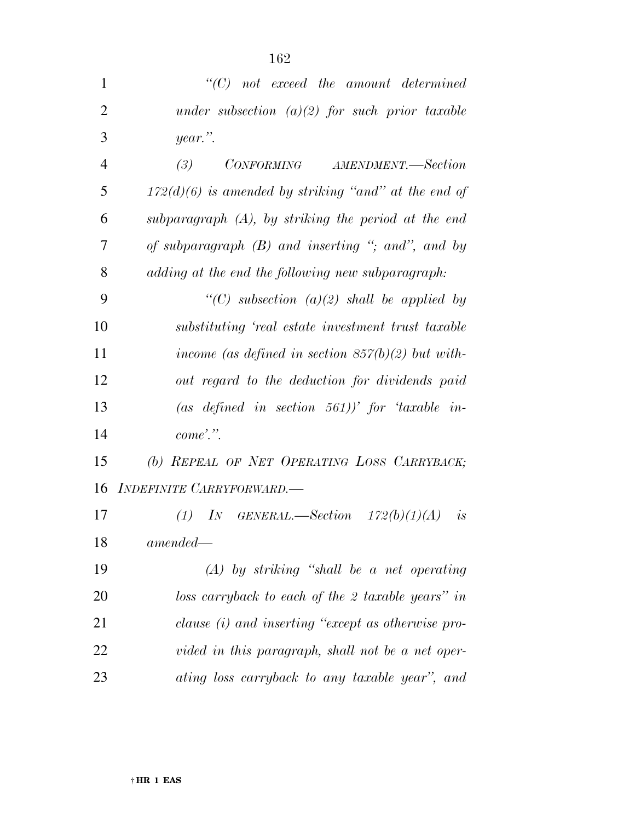| $\mathbf{1}$   | $"$ (C) not exceed the amount determined               |
|----------------|--------------------------------------------------------|
| $\overline{2}$ | under subsection $(a)(2)$ for such prior taxable       |
| 3              | $year$ .                                               |
| $\overline{4}$ | CONFORMING AMENDMENT.-Section<br>(3)                   |
| 5              | $172(d)(6)$ is amended by striking "and" at the end of |
| 6              | subparagraph $(A)$ , by striking the period at the end |
| 7              | of subparagraph $(B)$ and inserting "; and", and by    |
| 8              | adding at the end the following new subparagraph:      |
| 9              | "(C) subsection (a)(2) shall be applied by             |
| 10             | substituting 'real estate investment trust taxable     |
| 11             | income (as defined in section $857(b)(2)$ but with-    |
| 12             | out regard to the deduction for dividends paid         |
| 13             | (as defined in section 561))' for 'taxable in-         |
| 14             | $come$ .".                                             |
| 15             | (b) REPEAL OF NET OPERATING LOSS CARRYBACK;            |
| 16             | INDEFINITE CARRYFORWARD.-                              |
| 17             | IN GENERAL.—Section $172(b)(1)(A)$<br>(1)<br>is        |
| 18             | $amended-$                                             |
| 19             | $(A)$ by striking "shall be a net operating            |
| 20             | loss carryback to each of the 2 taxable years" in      |
| 21             | clause (i) and inserting "except as otherwise pro-     |
| 22             | vided in this paragraph, shall not be a net oper-      |
| 23             | ating loss carryback to any taxable year", and         |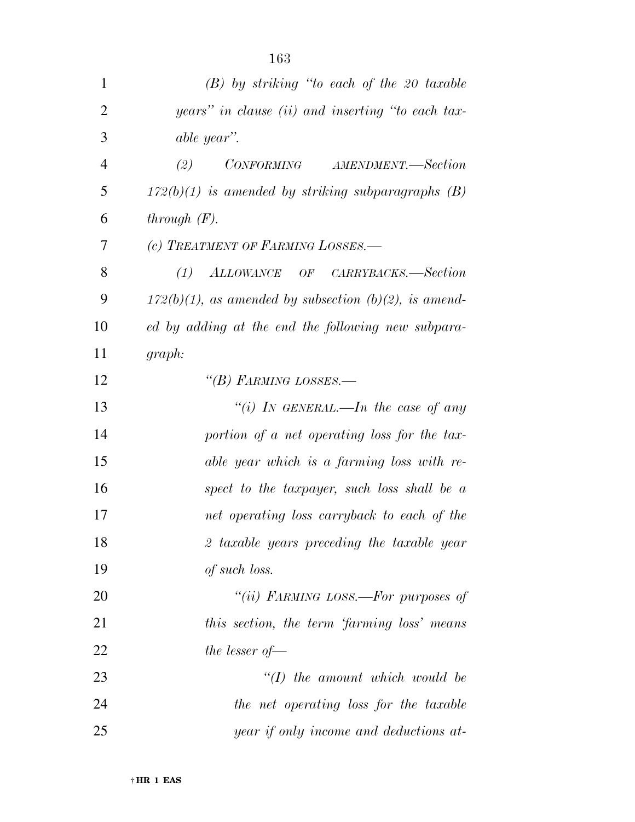| $\mathbf{1}$   | $(B)$ by striking "to each of the 20 taxable             |
|----------------|----------------------------------------------------------|
| $\overline{2}$ | years" in clause (ii) and inserting "to each tax-        |
| 3              | able year".                                              |
| $\overline{4}$ | (2)<br>CONFORMING AMENDMENT.—Section                     |
| 5              | $172(b)(1)$ is amended by striking subparagraphs (B)     |
| 6              | through $(F)$ .                                          |
| 7              | (c) TREATMENT OF FARMING LOSSES.-                        |
| 8              | ALLOWANCE OF CARRYBACKS.—Section<br>(1)                  |
| 9              | $172(b)(1)$ , as amended by subsection (b)(2), is amend- |
| 10             | ed by adding at the end the following new subpara-       |
| 11             | graph:                                                   |
| 12             | "(B) FARMING LOSSES.-                                    |
| 13             | "(i) IN GENERAL.—In the case of any                      |
| 14             | portion of a net operating loss for the tax-             |
| 15             | able year which is a farming loss with re-               |
| 16             | spect to the taxpayer, such loss shall be $a$            |
| 17             | net operating loss carryback to each of the              |
| 18             | 2 taxable years preceding the taxable year               |
| 19             | of such loss.                                            |
| 20             | "(ii) FARMING LOSS.—For purposes of                      |
| 21             | this section, the term 'farming loss' means              |
| 22             | the lesser of $-$                                        |
| 23             | $\lq (I)$ the amount which would be                      |
| 24             | the net operating loss for the taxable                   |
| 25             | year if only income and deductions at-                   |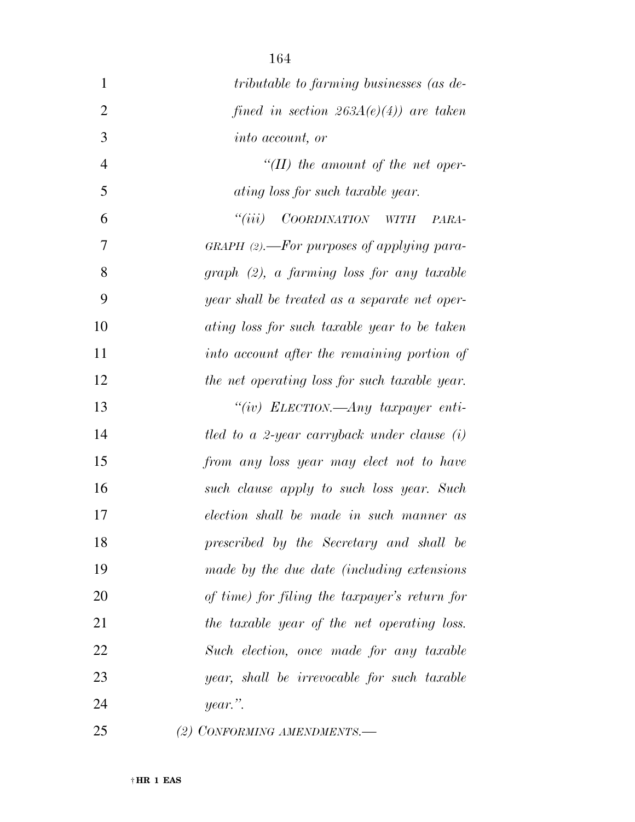| $\mathbf{1}$   | tributable to farming businesses (as de-      |
|----------------|-----------------------------------------------|
| $\overline{2}$ | fined in section $263A(e)(4)$ are taken       |
| 3              | <i>into account, or</i>                       |
| $\overline{4}$ | $\lq (II)$ the amount of the net oper-        |
| 5              | ating loss for such taxable year.             |
| 6              | ``(iii)<br>COORDINATION WITH<br>PARA-         |
| 7              | $GRAPH$ (2).—For purposes of applying para-   |
| 8              | $graph (2)$ , a farming loss for any taxable  |
| 9              | year shall be treated as a separate net oper- |
| 10             | ating loss for such taxable year to be taken  |
| 11             | into account after the remaining portion of   |
| 12             | the net operating loss for such taxable year. |
| 13             | "(iv) ELECTION.—Any taxpayer enti-            |
| 14             | tled to a 2-year carryback under clause $(i)$ |
| 15             | from any loss year may elect not to have      |
| 16             | such clause apply to such loss year. Such     |
| 17             | election shall be made in such manner as      |
| 18             | prescribed by the Secretary and shall be      |
| 19             | made by the due date (including extensions    |
| 20             | of time) for filing the taxpayer's return for |
| 21             | the taxable year of the net operating loss.   |
| 22             | Such election, once made for any taxable      |
| 23             | year, shall be irrevocable for such taxable   |
| 24             | year.".                                       |
| 25             | (2) CONFORMING AMENDMENTS.-                   |

† **HR 1 EAS**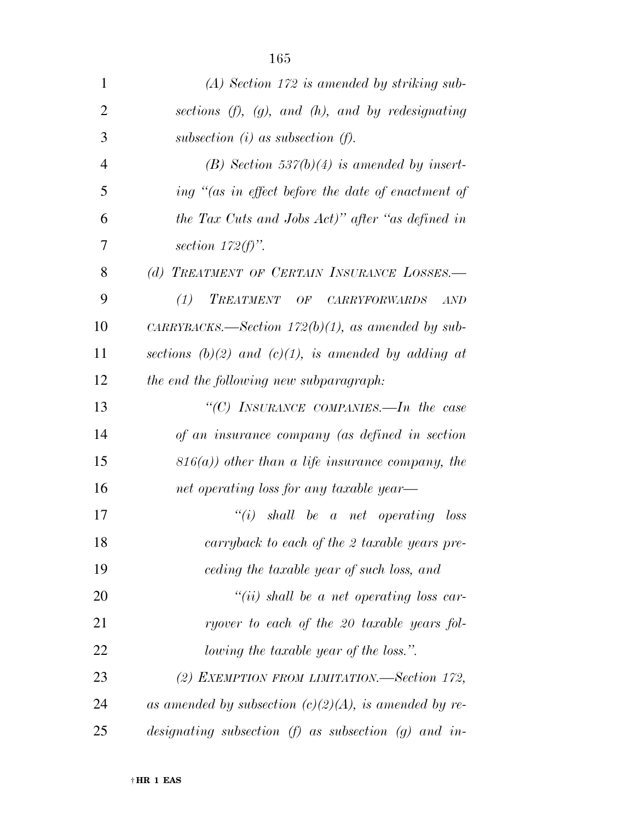| $\mathbf{1}$   | $(A)$ Section 172 is amended by striking sub-             |
|----------------|-----------------------------------------------------------|
| $\overline{2}$ | sections $(f)$ , $(g)$ , and $(h)$ , and by redesignating |
| 3              | subsection $(i)$ as subsection $(f)$ .                    |
| $\overline{4}$ | (B) Section 537(b)(4) is amended by insert-               |
| 5              | ing "(as in effect before the date of enactment of        |
| 6              | the Tax Cuts and Jobs Act)" after "as defined in          |
| 7              | section $172(f)$ .                                        |
| 8              | (d) TREATMENT OF CERTAIN INSURANCE LOSSES.-               |
| 9              | (1)<br>TREATMENT OF CARRYFORWARDS<br>AND                  |
| 10             | CARRYBACKS.—Section $172(b)(1)$ , as amended by sub-      |
| 11             | sections (b)(2) and (c)(1), is amended by adding at       |
| 12             | the end the following new subparagraph:                   |
| 13             | "(C) INSURANCE COMPANIES.—In the case                     |
| 14             | of an insurance company (as defined in section            |
| 15             | $816(a)$ ) other than a life insurance company, the       |
| 16             | net operating loss for any taxable year—                  |
| 17             | $``(i)$ shall be a net operating loss                     |
| 18             | carryback to each of the 2 taxable years pre-             |
| 19             | ceding the taxable year of such loss, and                 |
| 20             | $``(ii)$ shall be a net operating loss car-               |
| 21             | ryover to each of the 20 taxable years fol-               |
| 22             | <i>lowing the taxable year of the loss.</i> ".            |
| 23             | (2) EXEMPTION FROM LIMITATION.—Section 172,               |
| 24             | as amended by subsection $(c)(2)(A)$ , is amended by re-  |
| 25             | designating subsection $(f)$ as subsection $(g)$ and in-  |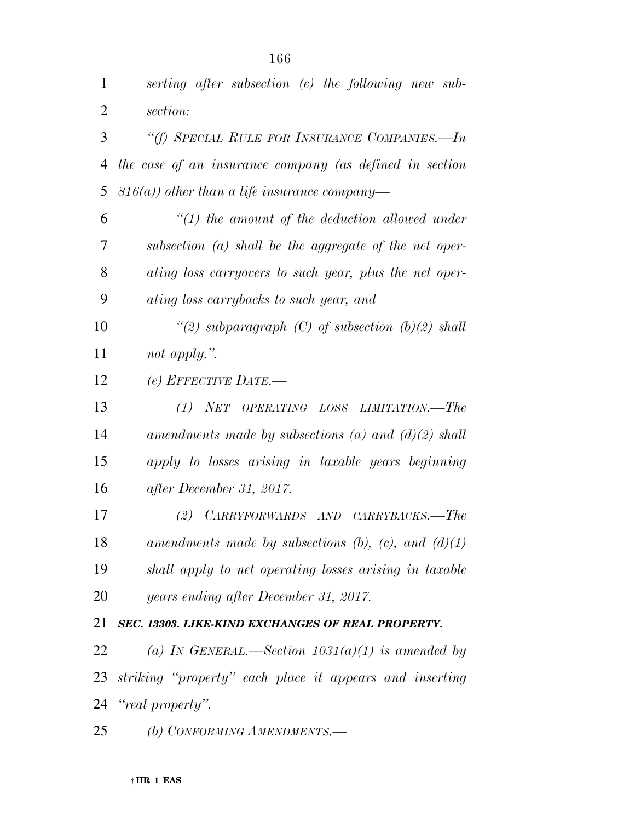| 1  | serting after subsection (e) the following new sub-         |
|----|-------------------------------------------------------------|
| 2  | section:                                                    |
| 3  | "(f) SPECIAL RULE FOR INSURANCE COMPANIES.—In               |
| 4  | the case of an insurance company (as defined in section     |
| 5  | $(816(a))$ other than a life insurance company—             |
| 6  | $\lq(1)$ the amount of the deduction allowed under          |
| 7  | subsection $(a)$ shall be the aggregate of the net oper-    |
| 8  | ating loss carryovers to such year, plus the net oper-      |
| 9  | ating loss carrybacks to such year, and                     |
| 10 | "(2) subparagraph (C) of subsection $(b)(2)$ shall          |
| 11 | not apply.".                                                |
| 12 | (e) EFFECTIVE DATE.—                                        |
| 13 | (1) NET OPERATING LOSS LIMITATION.—The                      |
| 14 | amendments made by subsections (a) and $(d)(2)$ shall       |
| 15 | apply to losses arising in taxable years beginning          |
| 16 | after December 31, 2017.                                    |
| 17 | CARRYFORWARDS AND CARRYBACKS.—The<br>(2)                    |
| 18 | amendments made by subsections $(b)$ , $(c)$ , and $(d)(1)$ |
| 19 | shall apply to net operating losses arising in taxable      |
| 20 | years ending after December 31, 2017.                       |
| 21 | SEC. 13303. LIKE-KIND EXCHANGES OF REAL PROPERTY.           |
| 22 | (a) IN GENERAL.—Section $1031(a)(1)$ is amended by          |
| 23 | striking "property" each place it appears and inserting     |
| 24 | "real property".                                            |
| 25 | (b) CONFORMING AMENDMENTS.-                                 |
|    |                                                             |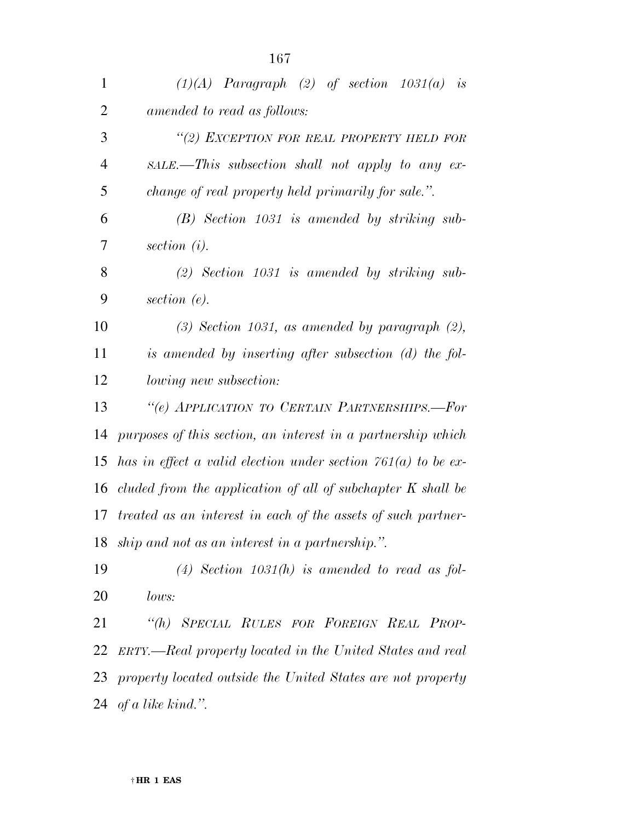| 1              | $(1)(A)$ Paragraph $(2)$ of section $1031(a)$ is                |
|----------------|-----------------------------------------------------------------|
| $\overline{2}$ | amended to read as follows:                                     |
| 3              | "(2) EXCEPTION FOR REAL PROPERTY HELD FOR                       |
| $\overline{4}$ | $SALE$ . This subsection shall not apply to any ex-             |
| 5              | change of real property held primarily for sale.".              |
| 6              | $(B)$ Section 1031 is amended by striking sub-                  |
| 7              | section $(i)$ .                                                 |
| 8              | $(2)$ Section 1031 is amended by striking sub-                  |
| 9              | section $(e)$ .                                                 |
| 10             | $(3)$ Section 1031, as amended by paragraph $(2)$ ,             |
| 11             | is amended by inserting after subsection (d) the fol-           |
| 12             | lowing new subsection:                                          |
| 13             | "(e) APPLICATION TO CERTAIN PARTNERSHIPS.-For                   |
| 14             | purposes of this section, an interest in a partnership which    |
| 15             | has in effect a valid election under section $761(a)$ to be ex- |
| 16             | cluded from the application of all of subchapter K shall be     |
| 17             | treated as an interest in each of the assets of such partner-   |
|                | 18 ship and not as an interest in a partnership.".              |
| 19             | (4) Section 1031(h) is amended to read as fol-                  |
| 20             | lows:                                                           |
| 21             | "(h) SPECIAL RULES FOR FOREIGN REAL PROP-                       |
| 22             | ERTY.—Real property located in the United States and real       |
|                | 23 property located outside the United States are not property  |
|                | 24 of a like kind.".                                            |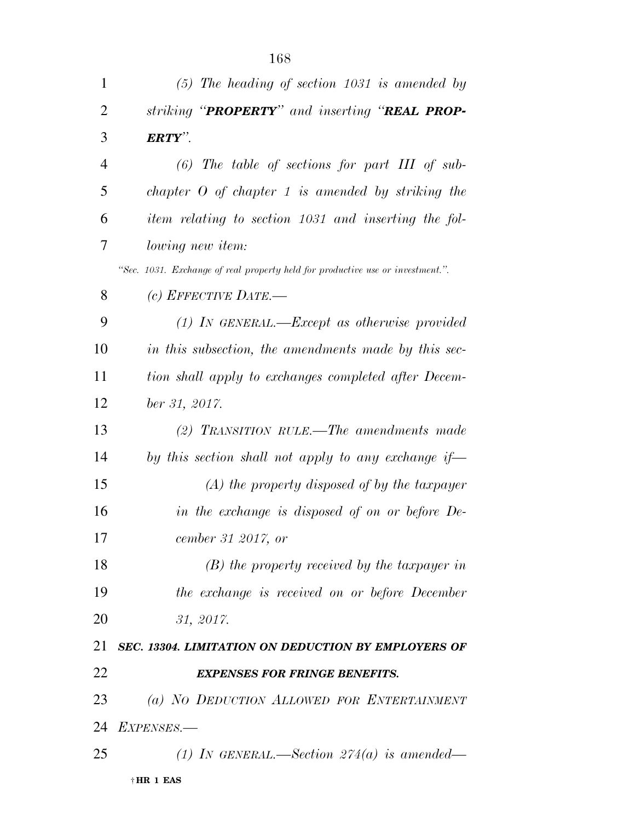| 1              | $(5)$ The heading of section 1031 is amended by                                |
|----------------|--------------------------------------------------------------------------------|
| $\overline{2}$ | striking "PROPERTY" and inserting "REAL PROP-                                  |
| 3              | $ERTY$ .                                                                       |
| $\overline{4}$ | $(6)$ The table of sections for part III of sub-                               |
| 5              | chapter $O$ of chapter 1 is amended by striking the                            |
| 6              | item relating to section 1031 and inserting the fol-                           |
| 7              | <i>lowing new item:</i>                                                        |
|                | "Sec. 1031. Exchange of real property held for productive use or investment.". |
| 8              | $(c)$ EFFECTIVE DATE.—                                                         |
| 9              | $(1)$ IN GENERAL.—Except as otherwise provided                                 |
| 10             | in this subsection, the amendments made by this sec-                           |
| 11             | tion shall apply to exchanges completed after Decem-                           |
| 12             | ber 31, 2017.                                                                  |
| 13             | (2) TRANSITION RULE.—The amendments made                                       |
| 14             | by this section shall not apply to any exchange if-                            |
| 15             | $(A)$ the property disposed of by the taxpayer                                 |
| 16             | in the exchange is disposed of on or before De-                                |
| 17             | cember 31 2017, or                                                             |
| 18             | $(B)$ the property received by the taxpayer in                                 |
| 19             | the exchange is received on or before December                                 |
| 20             | 31, 2017.                                                                      |
| 21             | SEC. 13304. LIMITATION ON DEDUCTION BY EMPLOYERS OF                            |
| 22             | <b>EXPENSES FOR FRINGE BENEFITS.</b>                                           |
| 23             | (a) NO DEDUCTION ALLOWED FOR ENTERTAINMENT                                     |
| 24             | EXPENSES.-                                                                     |
| 25             | (1) IN GENERAL.—Section $274(a)$ is amended—                                   |
|                | $\dagger$ HR 1 EAS                                                             |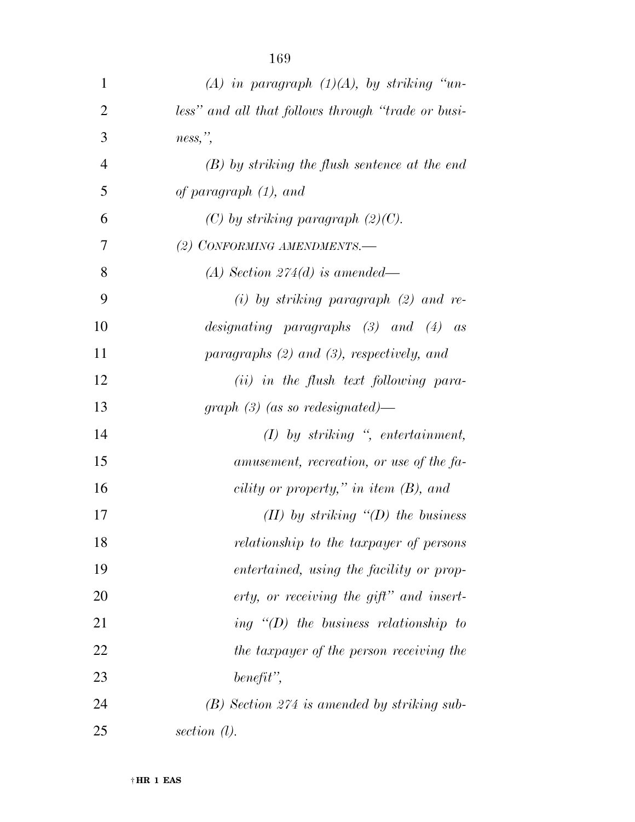| $\mathbf{1}$   | (A) in paragraph $(1)(A)$ , by striking "un-       |
|----------------|----------------------------------------------------|
| $\overline{2}$ | less" and all that follows through "trade or busi- |
| 3              | $ness,$ ",                                         |
| $\overline{4}$ | $(B)$ by striking the flush sentence at the end    |
| 5              | of paragraph (1), and                              |
| 6              | $(C)$ by striking paragraph $(2)(C)$ .             |
| 7              | (2) CONFORMING AMENDMENTS.-                        |
| 8              | (A) Section 274(d) is amended—                     |
| 9              | $(i)$ by striking paragraph $(2)$ and re-          |
| 10             | designating paragraphs $(3)$ and $(4)$ as          |
| 11             | paragraphs $(2)$ and $(3)$ , respectively, and     |
| 12             | $(ii)$ in the flush text following para-           |
| 13             | graph $(3)$ (as so redesignated)—                  |
| 14             | $(I)$ by striking ", entertainment,                |
| 15             | amusement, recreation, or use of the fa-           |
| 16             | cility or property," in item $(B)$ , and           |
| 17             | $(II)$ by striking " $(D)$ the business            |
| 18             | relationship to the taxpayer of persons            |
| 19             | <i>entertained, using the facility or prop-</i>    |
| 20             | erty, or receiving the gift" and insert-           |
| 21             | ing $\lq (D)$ the business relationship to         |
| 22             | the taxpayer of the person receiving the           |
| 23             | $\textit{ benefit}\text{''},$                      |
| 24             | $(B)$ Section 274 is amended by striking sub-      |
| 25             | section $(l)$ .                                    |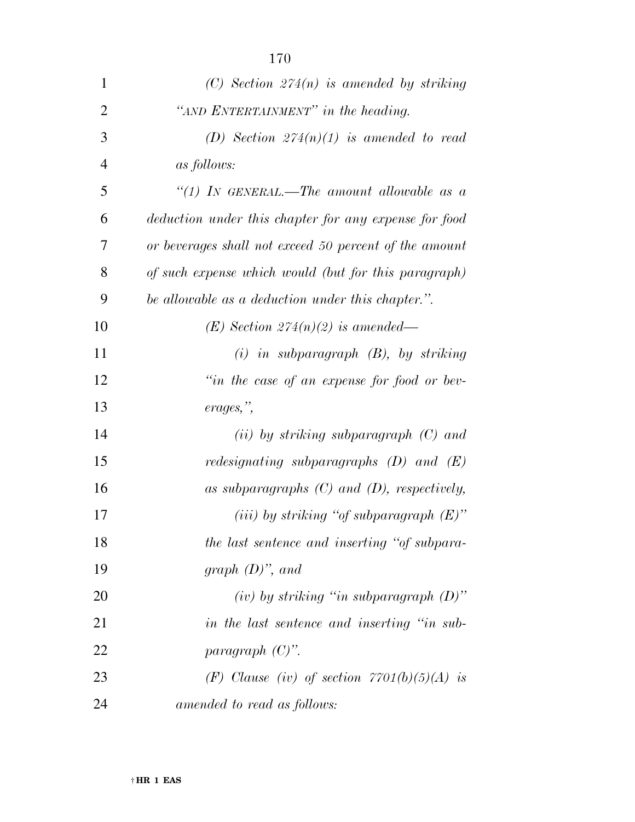| $\mathbf{1}$   | $(C)$ Section 274(n) is amended by striking            |
|----------------|--------------------------------------------------------|
| $\overline{2}$ | "AND ENTERTAINMENT" in the heading.                    |
| 3              | (D) Section $274(n)(1)$ is amended to read             |
| $\overline{4}$ | <i>as follows:</i>                                     |
| 5              | "(1) IN GENERAL.—The amount allowable as a             |
| 6              | deduction under this chapter for any expense for food  |
| 7              | or beverages shall not exceed 50 percent of the amount |
| 8              | of such expense which would (but for this paragraph)   |
| 9              | be allowable as a deduction under this chapter.".      |
| 10             | $(E)$ Section 274(n)(2) is amended—                    |
| 11             | $(i)$ in subparagraph $(B)$ , by striking              |
| 12             | "in the case of an expense for food or bev-            |
| 13             | erages,",                                              |
| 14             | $(ii)$ by striking subparagraph $(C)$ and              |
| 15             | <i>redesignating subparagraphs</i> $(D)$ and $(E)$     |
| 16             | as subparagraphs $(C)$ and $(D)$ , respectively,       |
| 17             | (iii) by striking "of subparagraph $(E)$ "             |
| 18             | the last sentence and inserting "of subpara-           |
| 19             | graph $(D)$ ", and                                     |
| 20             | $(iv)$ by striking "in subparagraph $(D)$ "            |
| 21             | in the last sentence and inserting "in sub-            |
| 22             | paragraph $(C)$ ".                                     |
| 23             | (F) Clause (iv) of section $7701(b)(5)(A)$ is          |
| 24             | amended to read as follows:                            |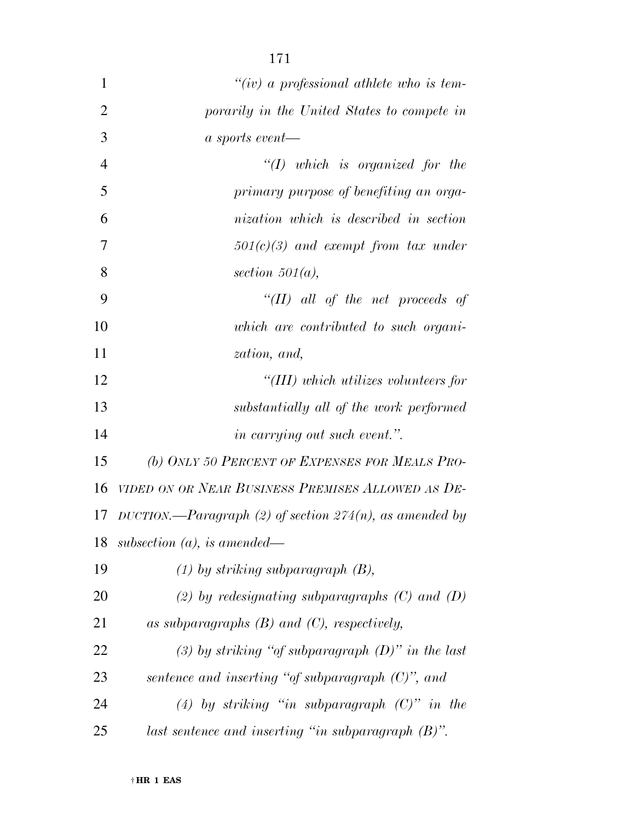| $\mathbf{1}$   | "(iv) a professional athlete who is tem-                   |
|----------------|------------------------------------------------------------|
| $\overline{2}$ | porarily in the United States to compete in                |
| 3              | $a$ sports event—                                          |
| $\overline{4}$ | $"(1)$ which is organized for the                          |
| 5              | primary purpose of benefiting an orga-                     |
| 6              | nization which is described in section                     |
| 7              | $501(c)(3)$ and exempt from tax under                      |
| 8              | section $501(a)$ ,                                         |
| 9              | "(II) all of the net proceeds of                           |
| 10             | which are contributed to such organi-                      |
| 11             | zation, and,                                               |
| 12             | "(III) which utilizes volunteers for                       |
| 13             | substantially all of the work performed                    |
| 14             | <i>in carrying out such event.</i> ".                      |
| 15             | (b) ONLY 50 PERCENT OF EXPENSES FOR MEALS PRO-             |
| 16             | VIDED ON OR NEAR BUSINESS PREMISES ALLOWED AS DE-          |
| 17             | DUCTION.—Paragraph (2) of section $274(n)$ , as amended by |
| 18             | subsection $(a)$ , is amended—                             |
| 19             | $(1)$ by striking subparagraph $(B)$ ,                     |
| 20             | (2) by redesignating subparagraphs $(C)$ and $(D)$         |
| 21             | as subparagraphs $(B)$ and $(C)$ , respectively,           |
| 22             | (3) by striking "of subparagraph $(D)$ " in the last       |
| 23             | sentence and inserting "of subparagraph $(C)$ ", and       |
| 24             | (4) by striking "in subparagraph $(C)$ " in the            |
| 25             | last sentence and inserting "in subparagraph $(B)$ ".      |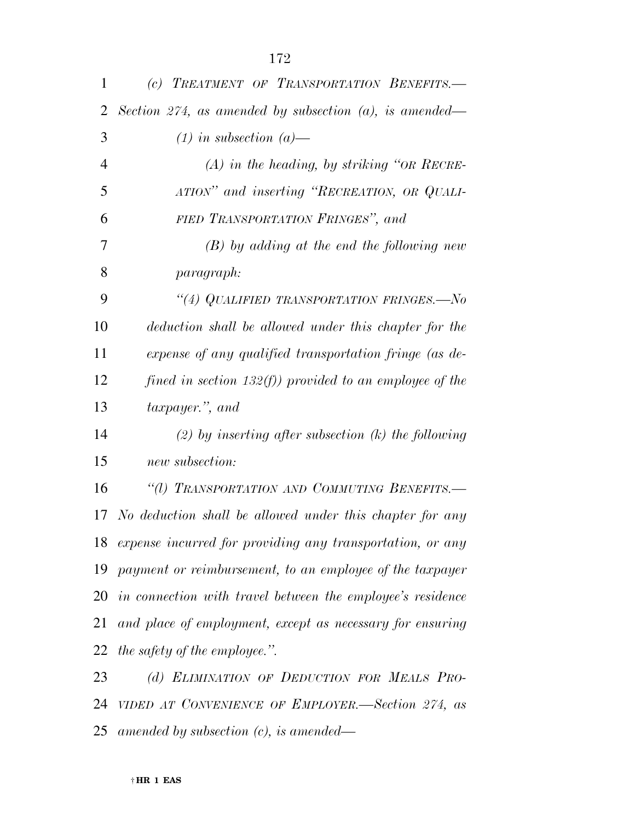| 1              | (c) TREATMENT OF TRANSPORTATION BENEFITS.-                   |
|----------------|--------------------------------------------------------------|
| 2              | Section 274, as amended by subsection $(a)$ , is amended—    |
| 3              | $(1)$ in subsection $(a)$ —                                  |
| $\overline{4}$ | $(A)$ in the heading, by striking "OR RECRE-                 |
| 5              | ATION" and inserting "RECREATION, OR QUALI-                  |
| 6              | FIED TRANSPORTATION FRINGES", and                            |
| 7              | $(B)$ by adding at the end the following new                 |
| 8              | <i>paragraph:</i>                                            |
| 9              | "(4) QUALIFIED TRANSPORTATION FRINGES.—No                    |
| 10             | deduction shall be allowed under this chapter for the        |
| 11             | expense of any qualified transportation fringe (as de-       |
| 12             | fined in section 132(f)) provided to an employee of the      |
| 13             | taxpayer.", and                                              |
| 14             | (2) by inserting after subsection $(k)$ the following        |
| 15             | new subsection:                                              |
| 16             | "(1) TRANSPORTATION AND COMMUTING BENEFITS.-                 |
| 17             | No deduction shall be allowed under this chapter for any     |
|                | 18 expense incurred for providing any transportation, or any |
|                | 19 payment or reimbursement, to an employee of the taxpayer  |
| 20             | in connection with travel between the employee's residence   |
| 21             | and place of employment, except as necessary for ensuring    |
| 22             | the safety of the employee.".                                |
| 23             | (d) ELIMINATION OF DEDUCTION FOR MEALS PRO-                  |

 *VIDED AT CONVENIENCE OF EMPLOYER.—Section 274, as amended by subsection (c), is amended—*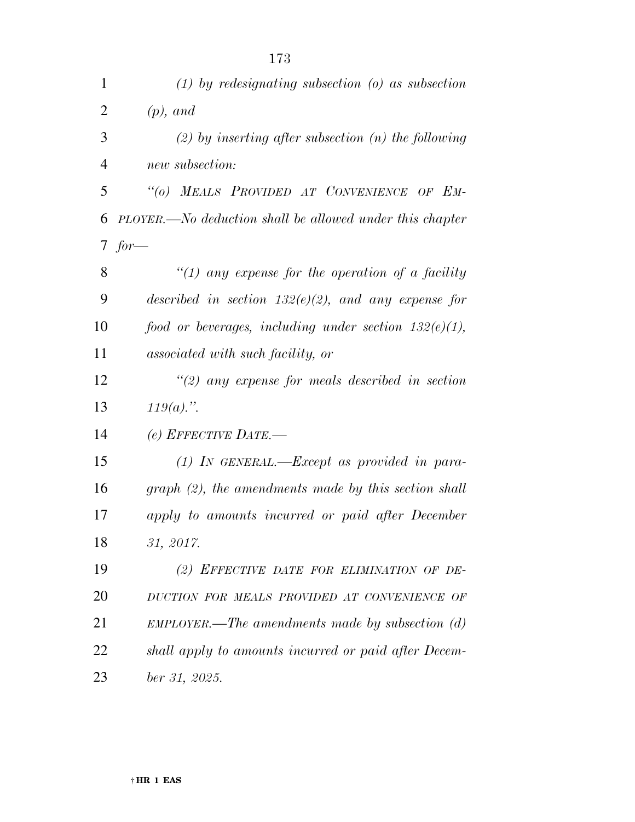| $\mathbf{1}$   | $(1)$ by redesignating subsection $(0)$ as subsection    |
|----------------|----------------------------------------------------------|
| $\overline{2}$ | $(p)$ , and                                              |
| 3              | $(2)$ by inserting after subsection $(n)$ the following  |
| $\overline{4}$ | new subsection:                                          |
| 5              | "(0) MEALS PROVIDED AT CONVENIENCE OF EM-                |
| 6              | PLOYER.—No deduction shall be allowed under this chapter |
| 7 <sup>1</sup> | $for-$                                                   |
| 8              | "(1) any expense for the operation of a facility         |
| 9              | described in section $132(e)(2)$ , and any expense for   |
| 10             | food or beverages, including under section $132(e)(1)$ , |
| 11             | associated with such facility, or                        |
| 12             | $\lq(2)$ any expense for meals described in section      |
| 13             | $119(a)$ .".                                             |
| 14             | (e) EFFECTIVE DATE.—                                     |
| 15             | $(1)$ IN GENERAL.—Except as provided in para-            |
| 16             | $graph (2)$ , the amendments made by this section shall  |
| 17             | apply to amounts incurred or paid after December         |
| 18             | 31, 2017.                                                |
| 19             | (2) EFFECTIVE DATE FOR ELIMINATION OF DE-                |
| 20             | DUCTION FOR MEALS PROVIDED AT CONVENIENCE OF             |
| 21             | $EMPLOVER.$ —The amendments made by subsection $(d)$     |
| 22             | shall apply to amounts incurred or paid after Decem-     |
| 23             | ber 31, 2025.                                            |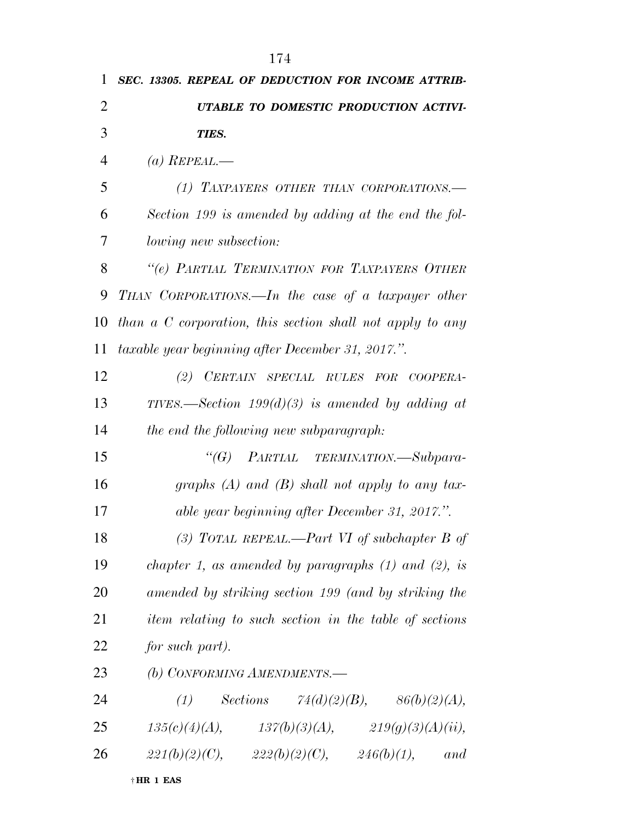| 1              | SEC. 13305. REPEAL OF DEDUCTION FOR INCOME ATTRIB-        |
|----------------|-----------------------------------------------------------|
| $\overline{2}$ | UTABLE TO DOMESTIC PRODUCTION ACTIVI-                     |
| 3              | TIES.                                                     |
| 4              | (a) REPEAL.—                                              |
| 5              | (1) TAXPAYERS OTHER THAN CORPORATIONS.-                   |
| 6              | Section 199 is amended by adding at the end the fol-      |
| 7              | <i>lowing new subsection:</i>                             |
| 8              | "(e) PARTIAL TERMINATION FOR TAXPAYERS OTHER              |
| 9              | THAN CORPORATIONS.—In the case of a taxpayer other        |
| 10             | than a C corporation, this section shall not apply to any |
| 11             | taxable year beginning after December 31, 2017.".         |
| 12             | (2) CERTAIN SPECIAL RULES FOR COOPERA-                    |
| 13             | TIVES.—Section $199(d)(3)$ is amended by adding at        |
| 14             | the end the following new subparagraph:                   |
| 15             | $\lq G$<br>PARTIAL TERMINATION.—Subpara-                  |
| 16             | graphs $(A)$ and $(B)$ shall not apply to any tax-        |
| 17             | able year beginning after December 31, 2017.".            |
| 18             | (3) TOTAL REPEAL.—Part VI of subchapter B of              |
| 19             | chapter 1, as amended by paragraphs $(1)$ and $(2)$ , is  |
| 20             | amended by striking section 199 (and by striking the      |
| 21             | item relating to such section in the table of sections    |
| 22             | for such part).                                           |
| 23             | (b) CONFORMING AMENDMENTS.-                               |
| 24             | (1) Sections $74(d)(2)(B)$ , $86(b)(2)(A)$ ,              |
| 25             | $135(c)(4)(A),$ $137(b)(3)(A),$ $219(g)(3)(A)(ii),$       |
| 26             | $221(b)(2)(C),$ $222(b)(2)(C),$ $246(b)(1),$ and          |
|                | †HR 1 EAS                                                 |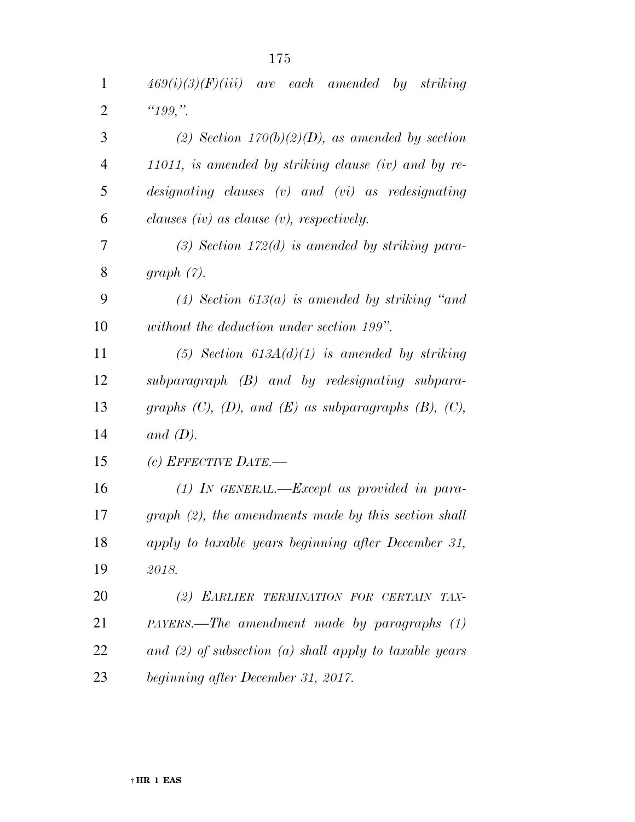| $\mathbf{1}$   | $469(i)(3)(F)(iii)$ are each amended by striking                  |
|----------------|-------------------------------------------------------------------|
| $\overline{2}$ | " $199,$ ".                                                       |
| 3              | (2) Section $170(b)(2)(D)$ , as amended by section                |
| $\overline{4}$ | 11011, is amended by striking clause $(iv)$ and by re-            |
| 5              | designating clauses $(v)$ and $(vi)$ as redesignating             |
| 6              | clauses (iv) as clause $(v)$ , respectively.                      |
| 7              | $(3)$ Section 172 $(d)$ is amended by striking para-              |
| 8              | graph(7).                                                         |
| 9              | (4) Section 613(a) is amended by striking "and                    |
| 10             | without the deduction under section 199".                         |
| 11             | (5) Section $613A(d)(1)$ is amended by striking                   |
| 12             | $subparagnph$ (B) and by redesignating subpara-                   |
| 13             | graphs $(C)$ , $(D)$ , and $(E)$ as subparagraphs $(B)$ , $(C)$ , |
| 14             | and $(D)$ .                                                       |
| 15             | (c) EFFECTIVE DATE.—                                              |
| 16             | $(1)$ In GENERAL.—Except as provided in para-                     |
| 17             | $graph (2)$ , the amendments made by this section shall           |
| 18             | apply to taxable years beginning after December 31,               |
| 19             | 2018.                                                             |
| 20             | (2) EARLIER TERMINATION FOR CERTAIN TAX-                          |
| 21             | $PAYERS.$ The amendment made by paragraphs $(1)$                  |
| 22             | and (2) of subsection (a) shall apply to taxable years            |
| 23             | beginning after December 31, 2017.                                |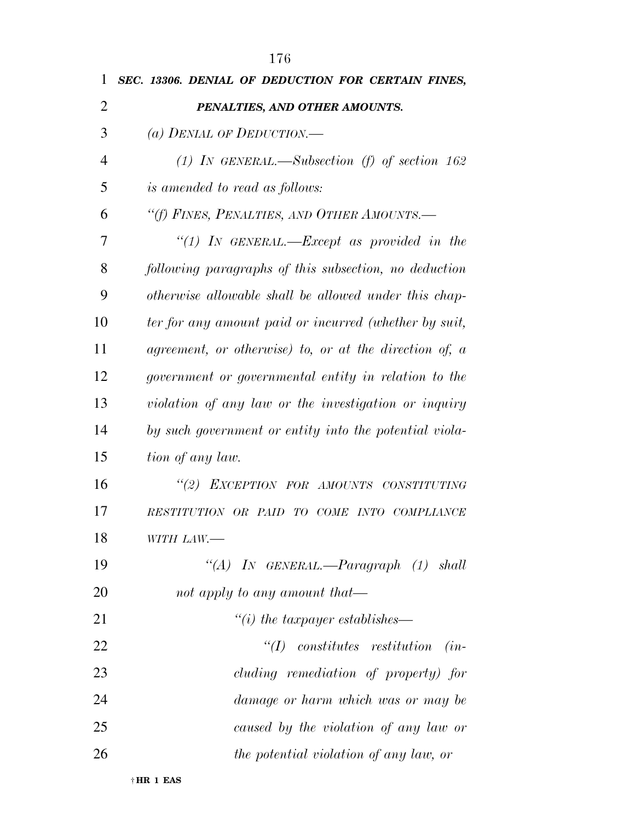| 1              | SEC. 13306. DENIAL OF DEDUCTION FOR CERTAIN FINES,     |
|----------------|--------------------------------------------------------|
| $\overline{2}$ | PENALTIES, AND OTHER AMOUNTS.                          |
| 3              | (a) DENIAL OF DEDUCTION.—                              |
| $\overline{4}$ | (1) IN GENERAL.—Subsection (f) of section 162          |
| 5              | <i>is amended to read as follows:</i>                  |
| 6              | "(f) FINES, PENALTIES, AND OTHER AMOUNTS.—             |
| 7              | "(1) In GENERAL.—Except as provided in the             |
| 8              | following paragraphs of this subsection, no deduction  |
| 9              | otherwise allowable shall be allowed under this chap-  |
| 10             | ter for any amount paid or incurred (whether by suit,  |
| 11             | agreement, or otherwise) to, or at the direction of, a |
| 12             | government or governmental entity in relation to the   |
| 13             | violation of any law or the investigation or inquiry   |
| 14             | by such government or entity into the potential viola- |
| 15             | tion of any law.                                       |
| 16             | "(2) EXCEPTION FOR AMOUNTS CONSTITUTING                |
| 17             | RESTITUTION OR PAID TO COME INTO COMPLIANCE            |
| 18             | WITH LAW.-                                             |
| 19             | "(A) IN GENERAL.—Paragraph $(1)$ shall                 |
| 20             | not apply to any amount that—                          |
| 21             | $``(i)$ the taxpayer establishes—                      |
| 22             | $\lq (I)$ constitutes restitution<br>$(in-$            |
| 23             | cluding remediation of property) for                   |
| 24             | damage or harm which was or may be                     |
| 25             | caused by the violation of any law or                  |
| 26             | the potential violation of any law, or                 |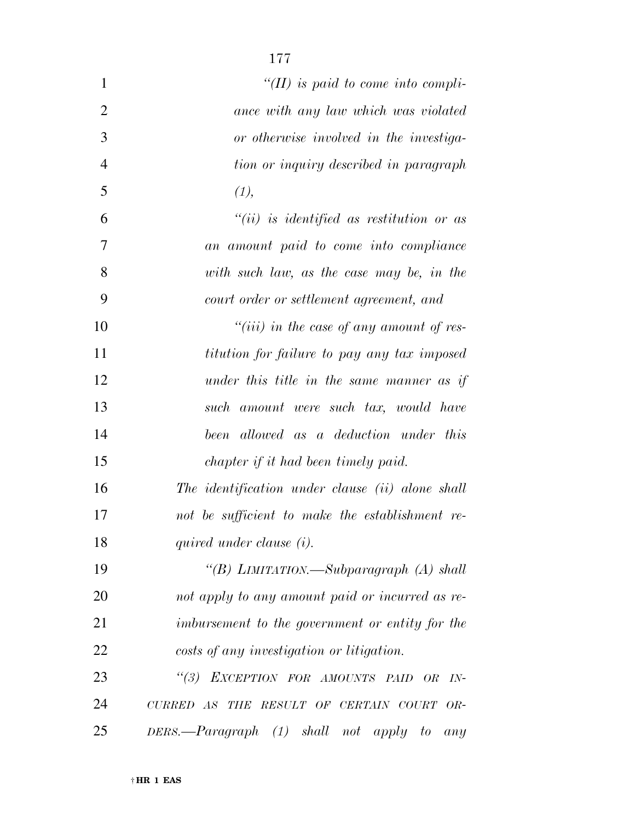| $\mathbf{1}$   | "(II) is paid to come into compli-                               |
|----------------|------------------------------------------------------------------|
| $\overline{2}$ | ance with any law which was violated                             |
| 3              | or otherwise involved in the investiga-                          |
| $\overline{4}$ | tion or inquiry described in paragraph                           |
| 5              | (1),                                                             |
| 6              | $``(ii)$ is identified as restitution or as                      |
| $\overline{7}$ | an amount paid to come into compliance                           |
| 8              | with such law, as the case may be, in the                        |
| 9              | court order or settlement agreement, and                         |
| 10             | "(iii) in the case of any amount of res-                         |
| 11             | titution for failure to pay any tax imposed                      |
| 12             | under this title in the same manner as if                        |
| 13             | such amount were such tax, would have                            |
| 14             | been allowed as a deduction under this                           |
| 15             | chapter if it had been timely paid.                              |
| 16             | The identification under clause (ii) alone shall                 |
| 17             | not be sufficient to make the establishment re-                  |
| 18             | quired under clause (i).                                         |
| 19             | "(B) LIMITATION.—Subparagraph (A) shall                          |
| 20             | not apply to any amount paid or incurred as re-                  |
| 21             | imbursement to the government or entity for the                  |
| 22             | costs of any investigation or litigation.                        |
| 23             | $\lq(3)$<br>EXCEPTION FOR AMOUNTS PAID OR<br>$IN-$               |
| 24             | CURRED AS THE RESULT OF CERTAIN COURT<br>$OR-$                   |
| 25             | $DERS$ . $\rightarrow$ $Paragraph$ (1) shall not apply to<br>any |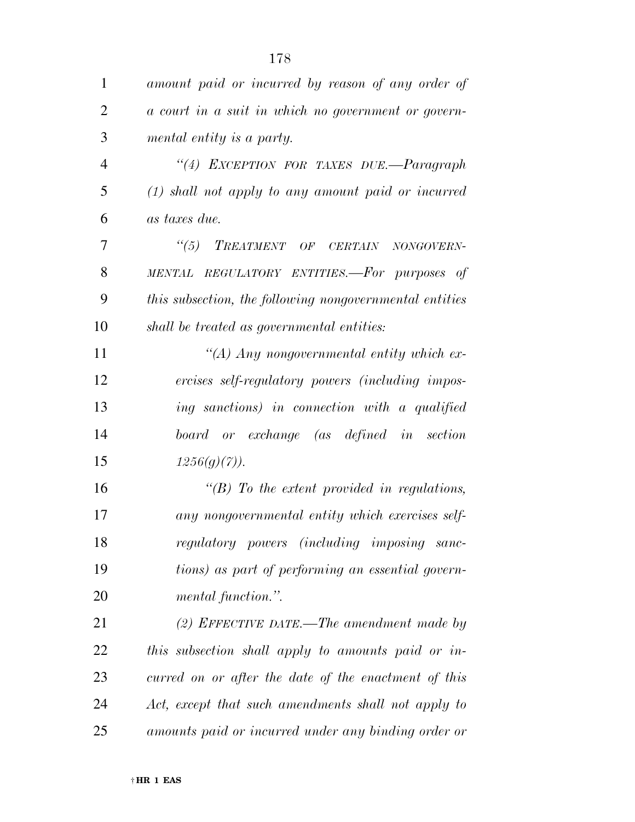| 1              | amount paid or incurred by reason of any order of       |
|----------------|---------------------------------------------------------|
| $\overline{2}$ | a court in a suit in which no government or govern-     |
| 3              | mental entity is a party.                               |
| $\overline{4}$ | "(4) EXCEPTION FOR TAXES DUE.-Paragraph                 |
| 5              | $(1)$ shall not apply to any amount paid or incurred    |
| 6              | as taxes due.                                           |
| 7              | $\frac{1}{1}$<br>TREATMENT OF CERTAIN<br>NONGOVERN-     |
| 8              | MENTAL REGULATORY ENTITIES.—For purposes of             |
| 9              | this subsection, the following nongovernmental entities |
| 10             | shall be treated as governmental entities:              |
| 11             | "(A) Any nongovernmental entity which ex-               |
| 12             | ercises self-regulatory powers (including impos-        |
| 13             | ing sanctions) in connection with a qualified           |
| 14             | board or exchange (as defined in section                |
| 15             | $1256(g)(7)$ ).                                         |
| 16             | $\lq\lq B$ To the extent provided in regulations,       |
| 17             | any nongovernmental entity which exercises self-        |
| 18             | regulatory powers (including imposing<br>sanc-          |
| 19             | tions) as part of performing an essential govern-       |
| 20             | mental function.".                                      |
| 21             | (2) EFFECTIVE DATE.—The amendment made by               |
| 22             | this subsection shall apply to amounts paid or in-      |
| 23             | curred on or after the date of the enactment of this    |
| 24             | Act, except that such amendments shall not apply to     |
| 25             | amounts paid or incurred under any binding order or     |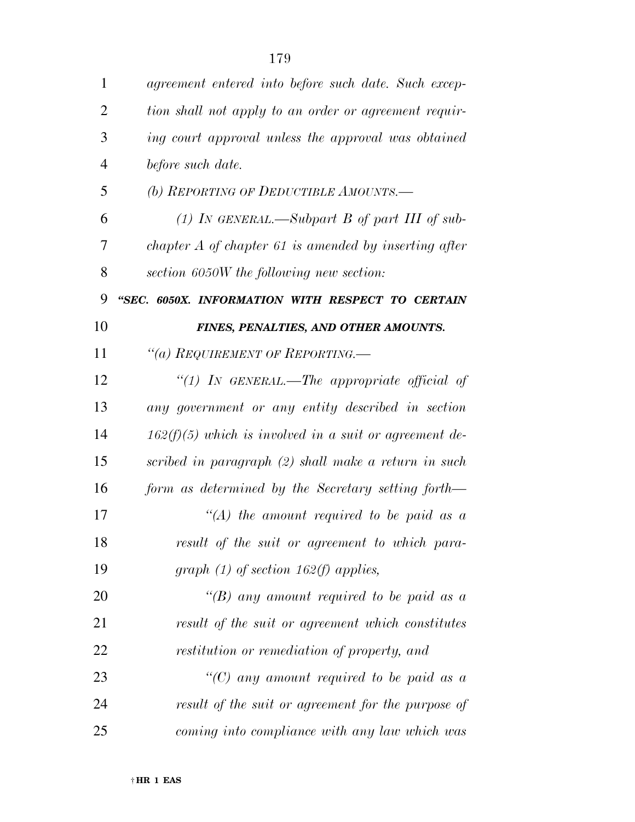| $\mathbf{1}$   | agreement entered into before such date. Such excep-     |
|----------------|----------------------------------------------------------|
| $\overline{2}$ | tion shall not apply to an order or agreement requir-    |
| 3              | ing court approval unless the approval was obtained      |
| $\overline{4}$ | before such date.                                        |
| 5              | (b) REPORTING OF DEDUCTIBLE AMOUNTS.—                    |
| 6              | (1) IN GENERAL.—Subpart B of part III of sub-            |
| 7              | chapter $A$ of chapter 61 is amended by inserting after  |
| 8              | section 6050W the following new section:                 |
| 9              | "SEC. 6050X. INFORMATION WITH RESPECT TO CERTAIN         |
| 10             | FINES, PENALTIES, AND OTHER AMOUNTS.                     |
| 11             | "(a) REQUIREMENT OF REPORTING.—                          |
| 12             | "(1) IN GENERAL.—The appropriate official of             |
| 13             | any government or any entity described in section        |
| 14             | $162(f)(5)$ which is involved in a suit or agreement de- |
| 15             | scribed in paragraph (2) shall make a return in such     |
| 16             | form as determined by the Secretary setting forth—       |
| 17             | $\lq (A)$ the amount required to be paid as a            |
| 18             | result of the suit or agreement to which para-           |
| 19             | graph $(1)$ of section 162(f) applies,                   |
| 20             | "(B) any amount required to be paid as a                 |
| 21             | result of the suit or agreement which constitutes        |
| 22             | restitution or remediation of property, and              |
| 23             | "(C) any amount required to be paid as a                 |
| 24             | result of the suit or agreement for the purpose of       |
| 25             | coming into compliance with any law which was            |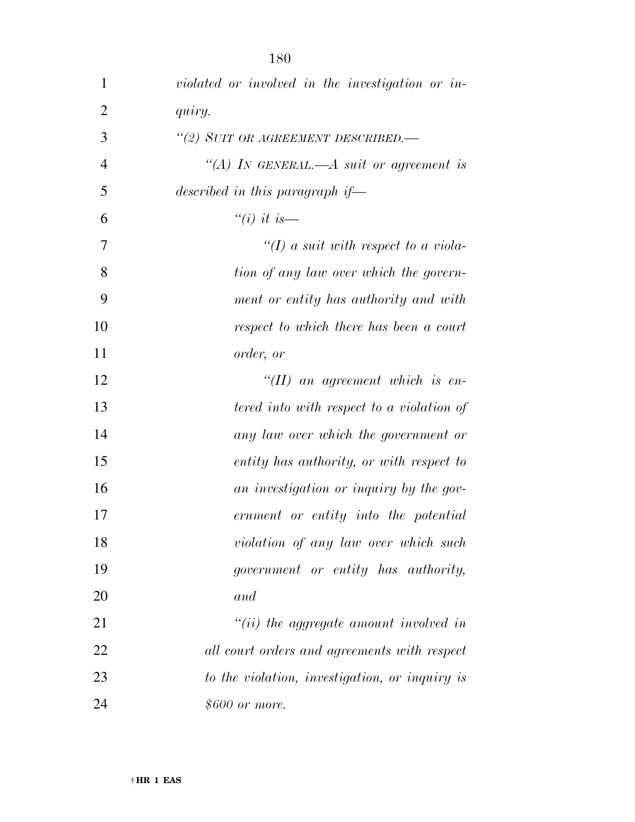| $\mathbf{1}$   | violated or involved in the investigation or in- |
|----------------|--------------------------------------------------|
| $\overline{2}$ | quiry.                                           |
| 3              | "(2) SUIT OR AGREEMENT DESCRIBED.-               |
| $\overline{4}$ | "(A) IN GENERAL.—A suit or agreement is          |
| 5              | described in this paragraph if—                  |
| 6              | "(i) it is—                                      |
| 7              | "(I) a suit with respect to a viola-             |
| 8              | tion of any law over which the govern-           |
| 9              | ment or entity has authority and with            |
| 10             | respect to which there has been a court          |
| 11             | order, or                                        |
| 12             | $\lq (II)$ an agreement which is en-             |
| 13             | tered into with respect to a violation of        |
| 14             | any law over which the government or             |
| 15             | entity has authority, or with respect to         |
| 16             | an investigation or inquiry by the gov-          |
| 17             | ernment or entity into the potential             |
| 18             | violation of any law over which such             |
| 19             | government or entity has authority,              |
| 20             | and                                              |
| 21             | $``(ii)$ the aggregate amount involved in        |
| 22             | all court orders and agreements with respect     |
| 23             | to the violation, investigation, or inquiry is   |
| 24             | \$600 or more.                                   |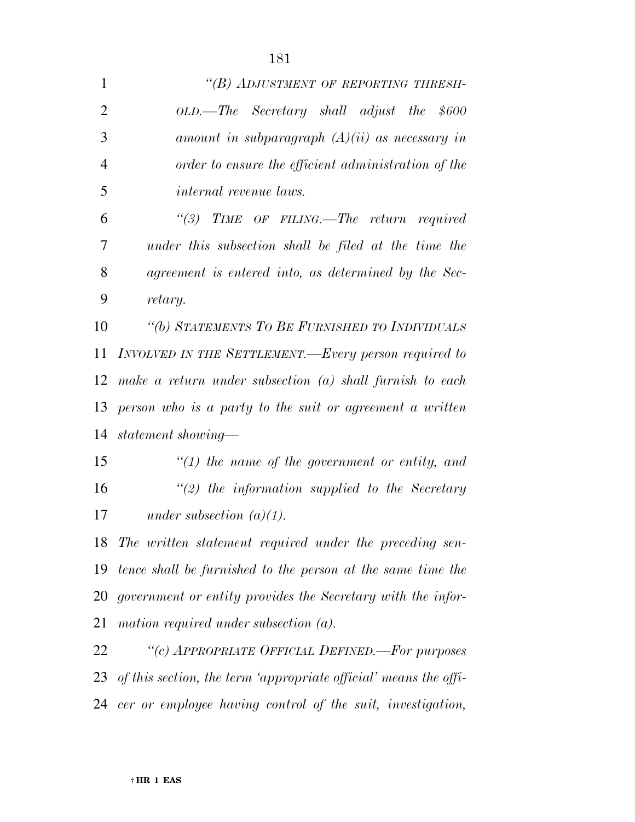| $\mathbf{1}$   | "(B) ADJUSTMENT OF REPORTING THRESH-                             |
|----------------|------------------------------------------------------------------|
| $\overline{2}$ | OLD.—The Secretary shall adjust the \$600                        |
| 3              | amount in subparagraph $(A)(ii)$ as necessary in                 |
| $\overline{4}$ | order to ensure the efficient administration of the              |
| 5              | <i>internal revenue laws.</i>                                    |
| 6              | $\lq(3)$ TIME OF FILING.—The return required                     |
| 7              | under this subsection shall be filed at the time the             |
| 8              | agreement is entered into, as determined by the Sec-             |
| 9              | retary.                                                          |
| 10             | "(b) STATEMENTS TO BE FURNISHED TO INDIVIDUALS                   |
| 11             | INVOLVED IN THE SETTLEMENT.—Every person required to             |
| 12             | make a return under subsection $(a)$ shall furnish to each       |
| 13             | person who is a party to the suit or agreement a written         |
| 14             | statement showing—                                               |
| 15             | $\lq(1)$ the name of the government or entity, and               |
| 16             | $\lq(2)$ the information supplied to the Secretary               |
| 17             | under subsection $(a)(1)$ .                                      |
| 18             | The written statement required under the preceding sen-          |
| 19             | tence shall be furnished to the person at the same time the      |
| 20             | government or entity provides the Secretary with the infor-      |
| 21             | mation required under subsection $(a)$ .                         |
| 22             | "(c) APPROPRIATE OFFICIAL DEFINED.-For purposes                  |
| 23             | of this section, the term 'appropriate official' means the offi- |
| 24             | cer or employee having control of the suit, investigation,       |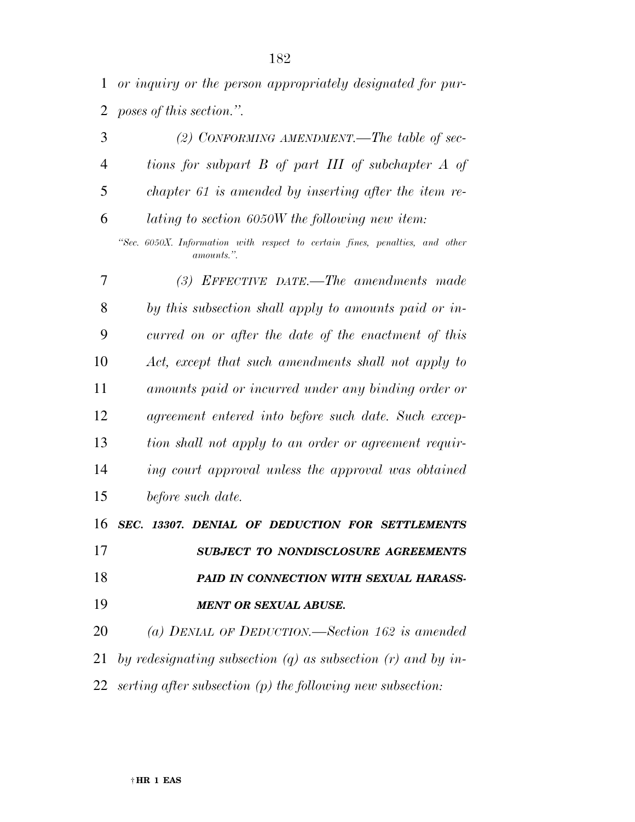*or inquiry or the person appropriately designated for pur-poses of this section.''.* 

|                | (2) CONFORMING AMENDMENT.—The table of sec-           |
|----------------|-------------------------------------------------------|
| $\overline{4}$ | tions for subpart B of part III of subchapter A of    |
| 5              | chapter 61 is amended by inserting after the item re- |
| 6              | lating to section 6050W the following new item:       |

*''Sec. 6050X. Information with respect to certain fines, penalties, and other amounts.''.* 

 *(3) EFFECTIVE DATE.—The amendments made by this subsection shall apply to amounts paid or in- curred on or after the date of the enactment of this Act, except that such amendments shall not apply to amounts paid or incurred under any binding order or agreement entered into before such date. Such excep- tion shall not apply to an order or agreement requir- ing court approval unless the approval was obtained before such date.* 

 *SEC. 13307. DENIAL OF DEDUCTION FOR SETTLEMENTS SUBJECT TO NONDISCLOSURE AGREEMENTS PAID IN CONNECTION WITH SEXUAL HARASS-MENT OR SEXUAL ABUSE.* 

 *(a) DENIAL OF DEDUCTION.—Section 162 is amended by redesignating subsection (q) as subsection (r) and by in-serting after subsection (p) the following new subsection:*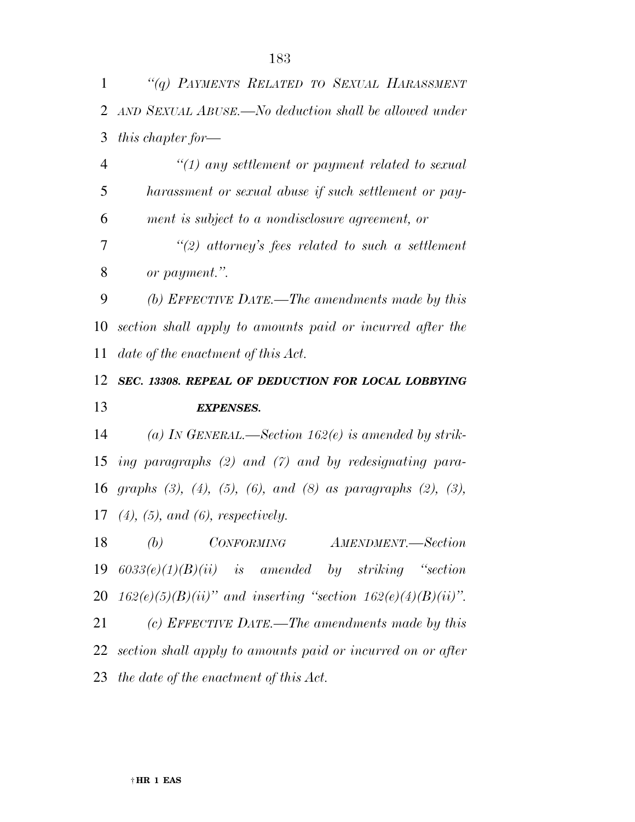| 1              | "(q) PAYMENTS RELATED TO SEXUAL HARASSMENT                                        |
|----------------|-----------------------------------------------------------------------------------|
| $\overline{2}$ | AND SEXUAL ABUSE.—No deduction shall be allowed under                             |
| 3              | this chapter for—                                                                 |
| $\overline{4}$ | $\lq(1)$ any settlement or payment related to sexual                              |
| 5              | harassment or sexual abuse if such settlement or pay-                             |
| 6              | ment is subject to a nondisclosure agreement, or                                  |
| 7              | "(2) attorney's fees related to such a settlement                                 |
| 8              | or payment.".                                                                     |
| 9              | (b) EFFECTIVE DATE.—The amendments made by this                                   |
| 10             | section shall apply to amounts paid or incurred after the                         |
| 11             | date of the enactment of this Act.                                                |
| 12             | SEC. 13308. REPEAL OF DEDUCTION FOR LOCAL LOBBYING                                |
|                |                                                                                   |
| 13             | <b>EXPENSES.</b>                                                                  |
| 14             | (a) IN GENERAL.—Section 162(e) is amended by strik-                               |
| 15             | ing paragraphs $(2)$ and $(7)$ and by redesignating para-                         |
|                | 16 graphs $(3)$ , $(4)$ , $(5)$ , $(6)$ , and $(8)$ as paragraphs $(2)$ , $(3)$ , |
|                | 17 $(4)$ , $(5)$ , and $(6)$ , respectively.                                      |
| 18             | (b) CONFORMING AMENDMENT.—Section                                                 |
|                | 19 $6033(e)(1)(B)(ii)$ is amended by striking "section                            |
|                | 20 $162(e)(5)(B)(ii)$ " and inserting "section $162(e)(4)(B)(ii)$ ".              |
| 21             | (c) EFFECTIVE DATE.—The amendments made by this                                   |
| 22             | section shall apply to amounts paid or incurred on or after                       |
|                | 23 the date of the enactment of this $Act.$                                       |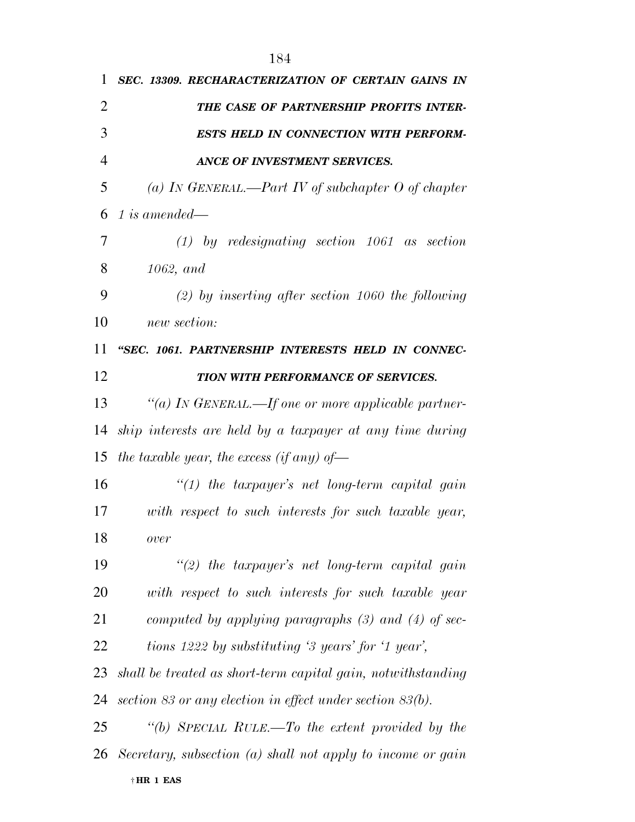| 1              | SEC. 13309. RECHARACTERIZATION OF CERTAIN GAINS IN           |
|----------------|--------------------------------------------------------------|
| $\overline{2}$ | THE CASE OF PARTNERSHIP PROFITS INTER-                       |
| 3              | <b>ESTS HELD IN CONNECTION WITH PERFORM-</b>                 |
| $\overline{4}$ | ANCE OF INVESTMENT SERVICES.                                 |
| 5              | (a) IN GENERAL.—Part IV of subchapter O of chapter           |
| 6              | 1 is amended—                                                |
| 7              | $(1)$ by redesignating section 1061 as section               |
| 8              | 1062, and                                                    |
| 9              | $(2)$ by inserting after section 1060 the following          |
| 10             | new section:                                                 |
| 11             | "SEC. 1061. PARTNERSHIP INTERESTS HELD IN CONNEC-            |
| 12             | TION WITH PERFORMANCE OF SERVICES.                           |
| 13             | "(a) IN GENERAL.—If one or more applicable partner-          |
| 14             | ship interests are held by a taxpayer at any time during     |
| 15             | the taxable year, the excess (if any) of-                    |
| 16             | $\lq(1)$ the taxpayer's net long-term capital gain           |
| 17             | with respect to such interests for such taxable year,        |
| 18             | over                                                         |
| 19             | "(2) the taxpayer's net long-term capital gain               |
| 20             | with respect to such interests for such taxable year         |
| 21             | computed by applying paragraphs $(3)$ and $(4)$ of sec-      |
| 22             | tions 1222 by substituting '3 years' for '1 year',           |
| 23             | shall be treated as short-term capital gain, notwithstanding |
| 24             | section 83 or any election in effect under section 83(b).    |
| 25             | "(b) SPECIAL RULE.—To the extent provided by the             |
| 26             | Secretary, subsection (a) shall not apply to income or gain  |
|                | †HR 1 EAS                                                    |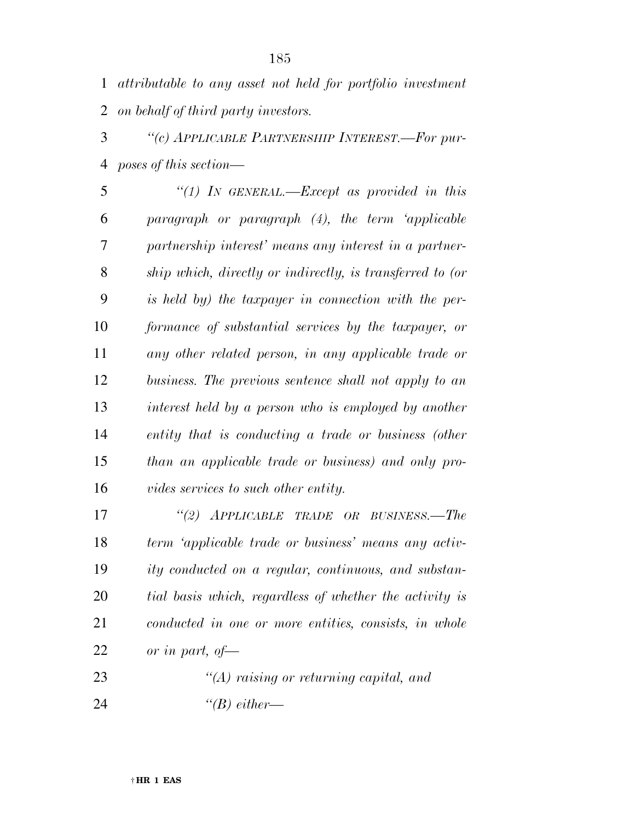*attributable to any asset not held for portfolio investment on behalf of third party investors.* 

 *''(c) APPLICABLE PARTNERSHIP INTEREST.—For pur-poses of this section—* 

 *''(1) IN GENERAL.—Except as provided in this paragraph or paragraph (4), the term 'applicable partnership interest' means any interest in a partner- ship which, directly or indirectly, is transferred to (or is held by) the taxpayer in connection with the per- formance of substantial services by the taxpayer, or any other related person, in any applicable trade or business. The previous sentence shall not apply to an interest held by a person who is employed by another entity that is conducting a trade or business (other than an applicable trade or business) and only pro-vides services to such other entity.* 

 *''(2) APPLICABLE TRADE OR BUSINESS.—The term 'applicable trade or business' means any activ- ity conducted on a regular, continuous, and substan- tial basis which, regardless of whether the activity is conducted in one or more entities, consists, in whole or in part, of—* 

 *''(A) raising or returning capital, and ''(B) either—*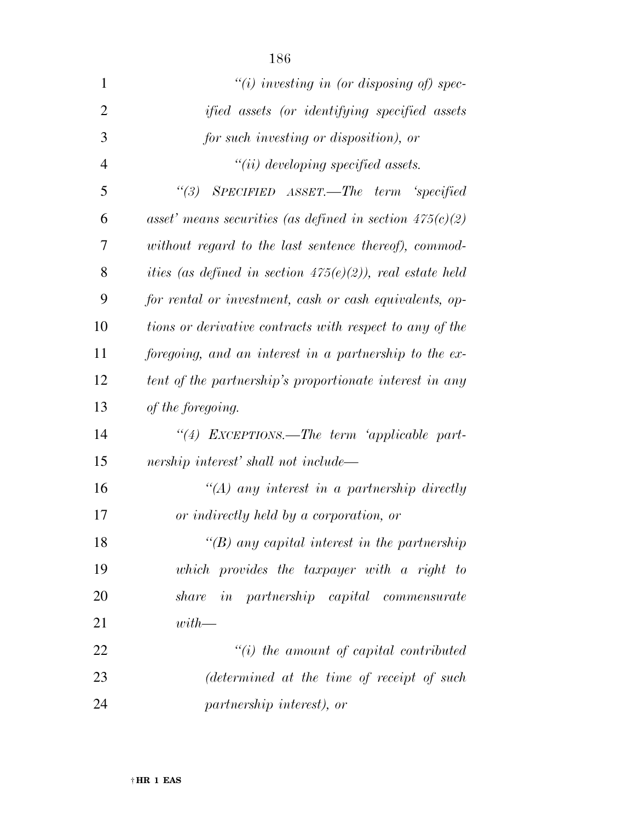| $\mathbf{1}$   | "(i) investing in (or disposing of) spec-                    |
|----------------|--------------------------------------------------------------|
| $\overline{2}$ | ified assets (or identifying specified assets                |
| 3              | for such investing or disposition), or                       |
| $\overline{4}$ | $"(ii) \; developing \; specified \; assets.$                |
| 5              | SPECIFIED ASSET.—The term 'specified<br>$\lq(3)$             |
| 6              | asset' means securities (as defined in section $475(c)(2)$ ) |
| 7              | without regard to the last sentence thereof), commod-        |
| 8              | ities (as defined in section $475(e)(2)$ ), real estate held |
| 9              | for rental or investment, cash or cash equivalents, op-      |
| 10             | tions or derivative contracts with respect to any of the     |
| 11             | foregoing, and an interest in a partnership to the ex-       |
| 12             | tent of the partnership's proportionate interest in any      |
| 13             | of the foregoing.                                            |
| 14             | "(4) EXCEPTIONS.—The term 'applicable part-                  |
| 15             | nership interest' shall not include—                         |
| 16             | $\lq (A)$ any interest in a partnership directly             |
| 17             | or indirectly held by a corporation, or                      |
| 18             | "(B) any capital interest in the partnership                 |
| 19             | which provides the taxpayer with a right to                  |
| 20             | <i>in partnership capital commensurate</i><br>share          |
| 21             | $with$ —                                                     |
| 22             | $"(i)$ the amount of capital contributed                     |
| 23             | (determined at the time of receipt of such                   |
| 24             | partnership interest), or                                    |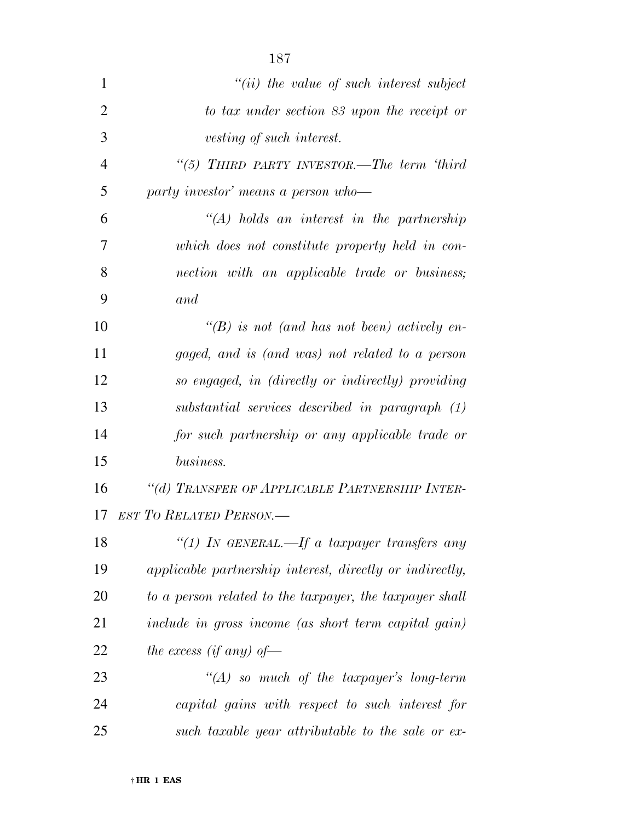| $\mathbf{1}$   | $``(ii)$ the value of such interest subject              |
|----------------|----------------------------------------------------------|
| $\overline{2}$ | to tax under section 83 upon the receipt or              |
| 3              | vesting of such interest.                                |
| $\overline{4}$ | "(5) THIRD PARTY INVESTOR.—The term 'third               |
| 5              | party investor' means a person who-                      |
| 6              | $\lq (A)$ holds an interest in the partnership           |
| 7              | which does not constitute property held in con-          |
| 8              | nection with an applicable trade or business;            |
| 9              | and                                                      |
| 10             | $\lq\lq(B)$ is not (and has not been) actively en-       |
| 11             | gaged, and is (and was) not related to a person          |
| 12             | so engaged, in (directly or indirectly) providing        |
| 13             | substantial services described in paragraph (1)          |
| 14             | for such partnership or any applicable trade or          |
| 15             | business.                                                |
| 16             | "(d) TRANSFER OF APPLICABLE PARTNERSHIP INTER-           |
| 17             | <b>EST TO RELATED PERSON.—</b>                           |
| 18             | "(1) IN GENERAL.—If a taxpayer transfers any             |
| 19             | applicable partnership interest, directly or indirectly, |
| 20             | to a person related to the taxpayer, the taxpayer shall  |
| 21             | include in gross income (as short term capital gain)     |
| 22             | the excess (if any) of-                                  |
| 23             | $\lq (A)$ so much of the taxpayer's long-term            |
| 24             | capital gains with respect to such interest for          |
| 25             | such taxable year attributable to the sale or ex-        |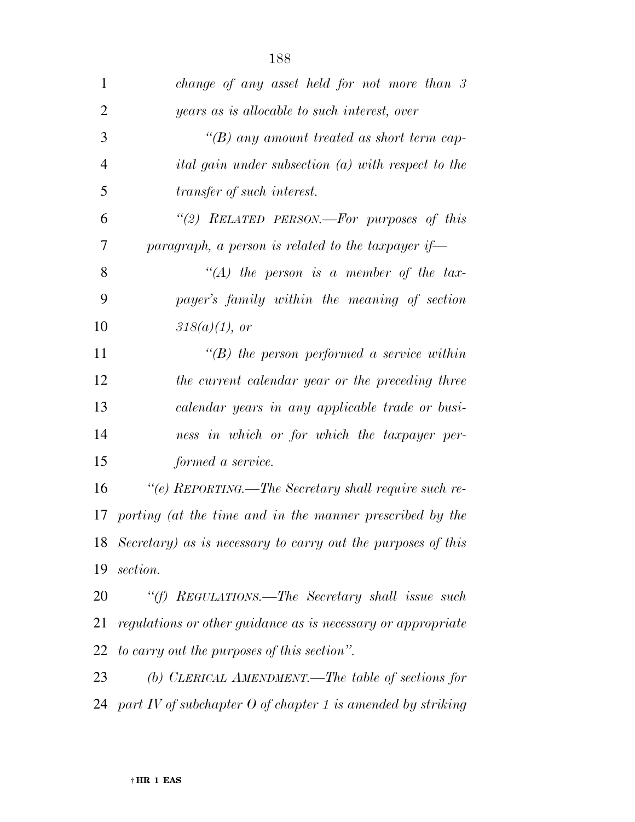| 1              | change of any asset held for not more than 3                    |
|----------------|-----------------------------------------------------------------|
| $\overline{2}$ | years as is allocable to such interest, over                    |
| 3              | " $(B)$ any amount treated as short term cap-                   |
| $\overline{4}$ | <i>ital gain under subsection (a) with respect to the</i>       |
| 5              | <i>transfer of such interest.</i>                               |
| 6              | "(2) RELATED PERSON.—For purposes of this                       |
| 7              | paragraph, a person is related to the taxpayer if—              |
| 8              | "(A) the person is a member of the tax-                         |
| 9              | payer's family within the meaning of section                    |
| 10             | $318(a)(1)$ , or                                                |
| 11             | $\lq\lq(B)$ the person performed a service within               |
| 12             | the current calendar year or the preceding three                |
| 13             | calendar years in any applicable trade or busi-                 |
| 14             | ness in which or for which the taxpayer per-                    |
| 15             | formed a service.                                               |
| 16             | "(e) REPORTING.—The Secretary shall require such re-            |
|                | 17 porting (at the time and in the manner prescribed by the     |
|                | 18 Secretary) as is necessary to carry out the purposes of this |
| 19             | section.                                                        |
| 20             | "(f) REGULATIONS.—The Secretary shall issue such                |
| 21             | regulations or other guidance as is necessary or appropriate    |
|                | 22 to carry out the purposes of this section".                  |
| 23             | (b) CLERICAL AMENDMENT.—The table of sections for               |
|                | 24 part IV of subchapter O of chapter 1 is amended by striking  |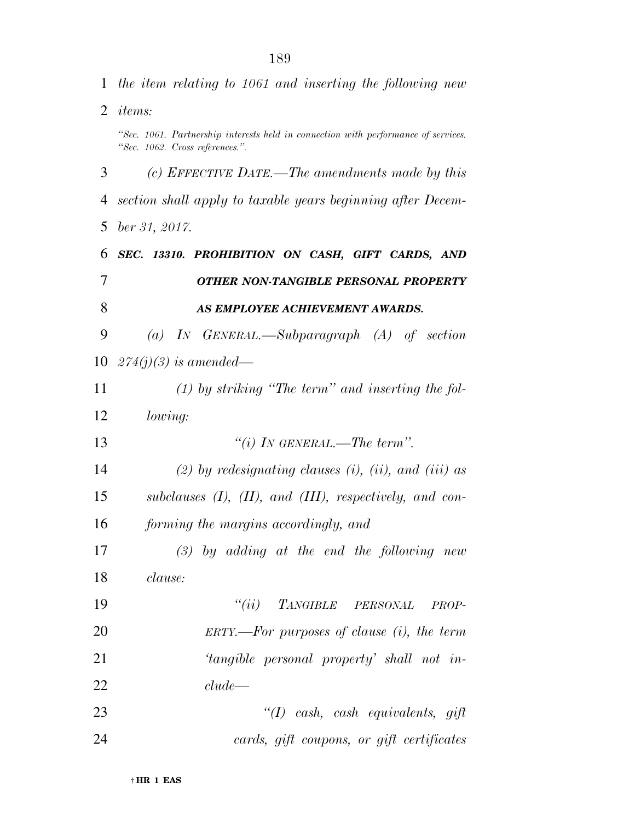*the item relating to 1061 and inserting the following new items: ''Sec. 1061. Partnership interests held in connection with performance of services. ''Sec. 1062. Cross references.''. (c) EFFECTIVE DATE.—The amendments made by this section shall apply to taxable years beginning after Decem- ber 31, 2017. SEC. 13310. PROHIBITION ON CASH, GIFT CARDS, AND OTHER NON-TANGIBLE PERSONAL PROPERTY AS EMPLOYEE ACHIEVEMENT AWARDS. (a) IN GENERAL.—Subparagraph (A) of section 274(j)(3) is amended— (1) by striking ''The term'' and inserting the fol- lowing: ''(i) IN GENERAL.—The term''. (2) by redesignating clauses (i), (ii), and (iii) as subclauses (I), (II), and (III), respectively, and con- forming the margins accordingly, and (3) by adding at the end the following new clause: ''(ii) TANGIBLE PERSONAL PROP- ERTY.—For purposes of clause (i), the term 'tangible personal property' shall not in- clude— ''(I) cash, cash equivalents, gift cards, gift coupons, or gift certificates*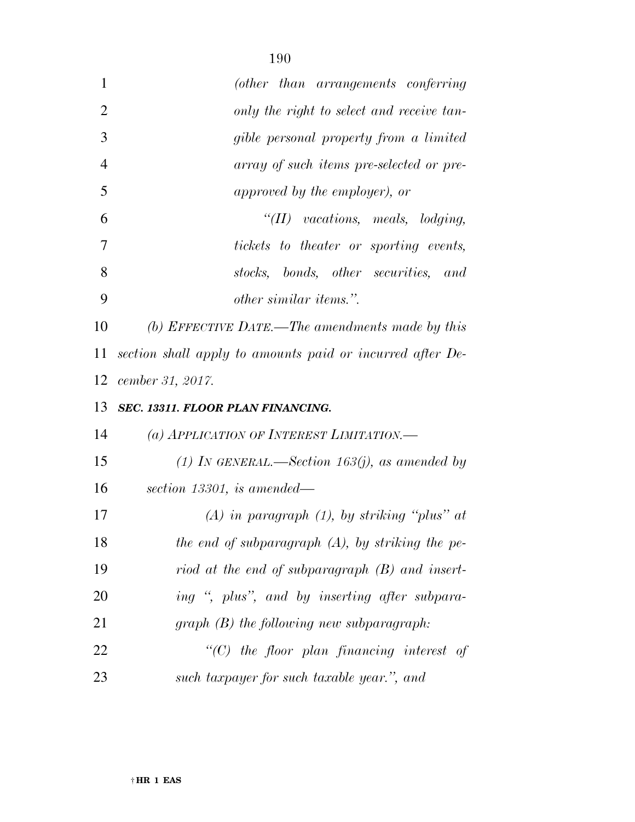| 1              | (other than arrangements conferring                       |
|----------------|-----------------------------------------------------------|
| $\overline{2}$ | only the right to select and receive tan-                 |
| 3              | gible personal property from a limited                    |
| $\overline{4}$ | array of such items pre-selected or pre-                  |
| 5              | approved by the employer), or                             |
| 6              | $\lq$ (II) vacations, meals, lodging,                     |
| 7              | tickets to theater or sporting events,                    |
| 8              | stocks, bonds, other securities, and                      |
| 9              | <i>other similar items.</i> ".                            |
| 10             | (b) EFFECTIVE DATE.—The amendments made by this           |
| 11             | section shall apply to amounts paid or incurred after De- |
| 12             | cember 31, 2017.                                          |
| 13             | SEC. 13311. FLOOR PLAN FINANCING.                         |
| 14             | (a) APPLICATION OF INTEREST LIMITATION.—                  |
| 15             | (1) IN GENERAL.—Section 163(j), as amended by             |
| 16             | section 13301, is amended—                                |
| 17             | $(A)$ in paragraph $(1)$ , by striking "plus" at          |
| 18             | the end of subparagraph $(A)$ , by striking the pe-       |
| 19             | riod at the end of subparagraph $(B)$ and insert-         |
| 20             | ing ", plus", and by inserting after subpara-             |
| 21             | $graph(B)$ the following new subparagraph:                |
| 22             | $\lq\lq C$ the floor plan financing interest of           |
| 23             | such taxpayer for such taxable year.", and                |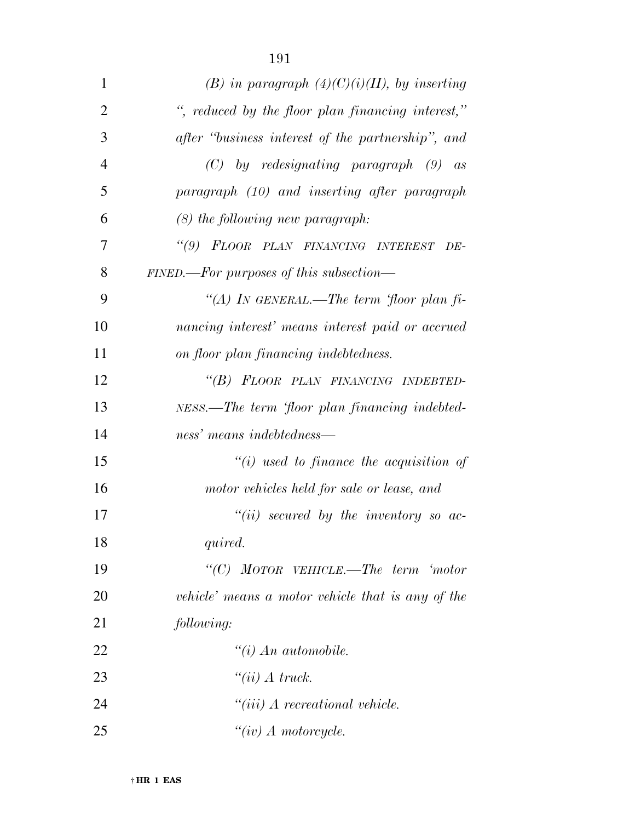| $\mathbf{1}$   | (B) in paragraph $(4)(C)(i)(II)$ , by inserting   |
|----------------|---------------------------------------------------|
| $\overline{2}$ | ", reduced by the floor plan financing interest," |
| 3              | after "business interest of the partnership", and |
| $\overline{4}$ | $(C)$ by redesignating paragraph $(9)$ as         |
| 5              | paragraph (10) and inserting after paragraph      |
| 6              | $(8)$ the following new paragraph:                |
| 7              | "(9) FLOOR PLAN FINANCING INTEREST<br>DE-         |
| 8              | $FINED.$ For purposes of this subsection—         |
| 9              | "(A) IN GENERAL.—The term 'floor plan fi-         |
| 10             | nancing interest' means interest paid or accrued  |
| 11             | on floor plan financing indebtedness.             |
| 12             | "(B) FLOOR PLAN FINANCING INDEBTED-               |
| 13             | NESS.—The term 'floor plan financing indebted-    |
| 14             | ness' means indebtedness—                         |
| 15             | $``(i)$ used to finance the acquisition of        |
| 16             | motor vehicles held for sale or lease, and        |
| 17             | $``(ii)$ secured by the inventory so ac-          |
| 18             | quired.                                           |
| 19             | "(C) MOTOR VEHICLE.—The term 'motor               |
| 20             | vehicle' means a motor vehicle that is any of the |
| 21             | following:                                        |
| 22             | $\lq\lq(i)$ An automobile.                        |
| 23             | "(ii) $\Lambda$ truck.                            |
| 24             | $``(iii)$ A recreational vehicle.                 |
| 25             | $``(iv)$ A motorcycle.                            |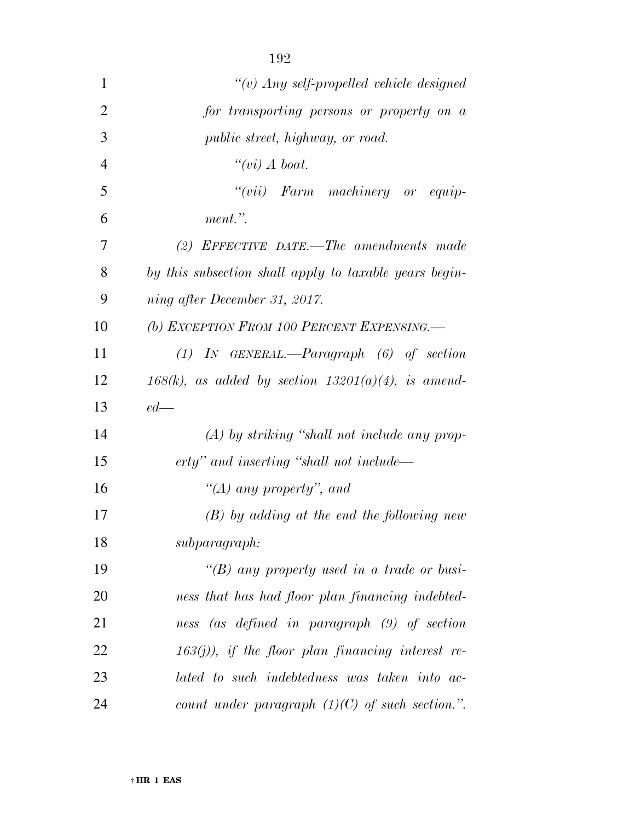| $\mathbf{1}$   | "(v) Any self-propelled vehicle designed               |
|----------------|--------------------------------------------------------|
| $\overline{2}$ | for transporting persons or property on a              |
| 3              | <i>public street, highway, or road.</i>                |
| 4              | " $(vi)$ A boat.                                       |
| 5              | "(vii) Farm machinery or equip-                        |
| 6              | ment.".                                                |
| 7              | (2) EFFECTIVE DATE.—The amendments made                |
| 8              | by this subsection shall apply to taxable years begin- |
| 9              | ning after December 31, 2017.                          |
| 10             | (b) EXCEPTION FROM 100 PERCENT EXPENSING.              |
| 11             | $(1)$ IN GENERAL.—Paragraph $(6)$ of section           |
| 12             | 168(k), as added by section $13201(a)(4)$ , is amend-  |
| 13             | $ed$ —                                                 |
| 14             | $(A)$ by striking "shall not include any prop-         |
| 15             | erty" and inserting "shall not include—                |
| 16             | "(A) any property", and                                |
| 17             | $(B)$ by adding at the end the following new           |
| 18             | subparagraph:                                          |
| 19             | "(B) any property used in a trade or busi-             |
| 20             | ness that has had floor plan financing indebted-       |
| 21             | ness (as defined in paragraph (9) of section           |
| 22             | $163(j)$ ), if the floor plan financing interest re-   |
| 23             | lated to such indebtedness was taken into ac-          |
| 24             | count under paragraph $(1)(C)$ of such section.".      |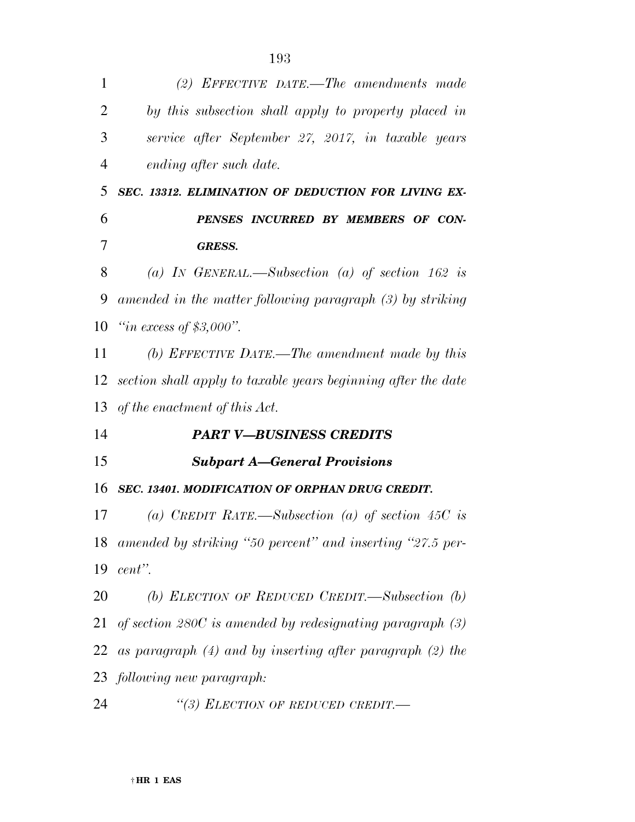| 1              | (2) EFFECTIVE DATE.—The amendments made                        |
|----------------|----------------------------------------------------------------|
| $\overline{2}$ | by this subsection shall apply to property placed in           |
| 3              | service after September 27, 2017, in taxable years             |
| $\overline{4}$ | ending after such date.                                        |
| 5              | SEC. 13312. ELIMINATION OF DEDUCTION FOR LIVING EX-            |
| 6              | PENSES INCURRED BY MEMBERS OF CON-                             |
| 7              | <b>GRESS.</b>                                                  |
| 8              | (a) IN GENERAL.—Subsection (a) of section 162 is               |
| 9              | amended in the matter following paragraph (3) by striking      |
| 10             | "in excess of $$3,000"$ .                                      |
| 11             | (b) EFFECTIVE DATE.—The amendment made by this                 |
| 12             | section shall apply to taxable years beginning after the date  |
| 13             | of the enactment of this Act.                                  |
|                |                                                                |
| 14             | <b>PART V-BUSINESS CREDITS</b>                                 |
| 15             | <b>Subpart A–General Provisions</b>                            |
| 16             | SEC. 13401. MODIFICATION OF ORPHAN DRUG CREDIT.                |
| 17             | (a) CREDIT RATE.—Subsection (a) of section 45C is              |
| 18             | amended by striking "50 percent" and inserting "27.5 per-      |
| 19             | cent".                                                         |
| 20             | (b) ELECTION OF REDUCED CREDIT.—Subsection $(b)$               |
|                | 21 of section 280C is amended by redesignating paragraph $(3)$ |
| 22             | as paragraph $(4)$ and by inserting after paragraph $(2)$ the  |
|                | 23 following new paragraph:                                    |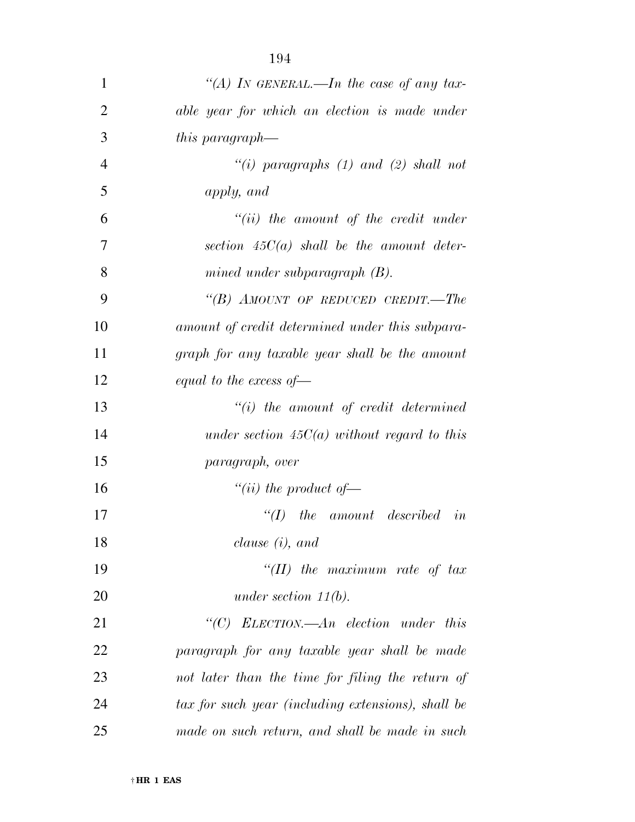| $\mathbf{1}$ | "(A) In GENERAL.—In the case of any tax-           |
|--------------|----------------------------------------------------|
| 2            | able year for which an election is made under      |
| 3            | this paragraph—                                    |
| 4            | "(i) paragraphs (1) and (2) shall not              |
| 5            | apply, and                                         |
| 6            | $``(ii)$ the amount of the credit under            |
| 7            | section $45C(a)$ shall be the amount deter-        |
| 8            | mined under subparagraph $(B)$ .                   |
| 9            | "(B) AMOUNT OF REDUCED CREDIT.—The                 |
| 10           | amount of credit determined under this subpara-    |
| 11           | graph for any taxable year shall be the amount     |
| 12           | equal to the excess of $-$                         |
| 13           | $``(i)$ the amount of credit determined            |
| 14           | under section $45C(a)$ without regard to this      |
| 15           | paragraph, over                                    |
| 16           | "(ii) the product of $-$                           |
| 17           | $\lq (I)$<br><i>the amount described in</i>        |
| 18           | clause $(i)$ , and                                 |
| 19           | "(II) the maximum rate of $tax$                    |
| 20           | under section $11(b)$ .                            |
| 21           | " $(C)$ ELECTION.—An election under this           |
| 22           | paragraph for any taxable year shall be made       |
| 23           | not later than the time for filing the return of   |
| 24           | tax for such year (including extensions), shall be |
| 25           | made on such return, and shall be made in such     |

† **HR 1 EAS**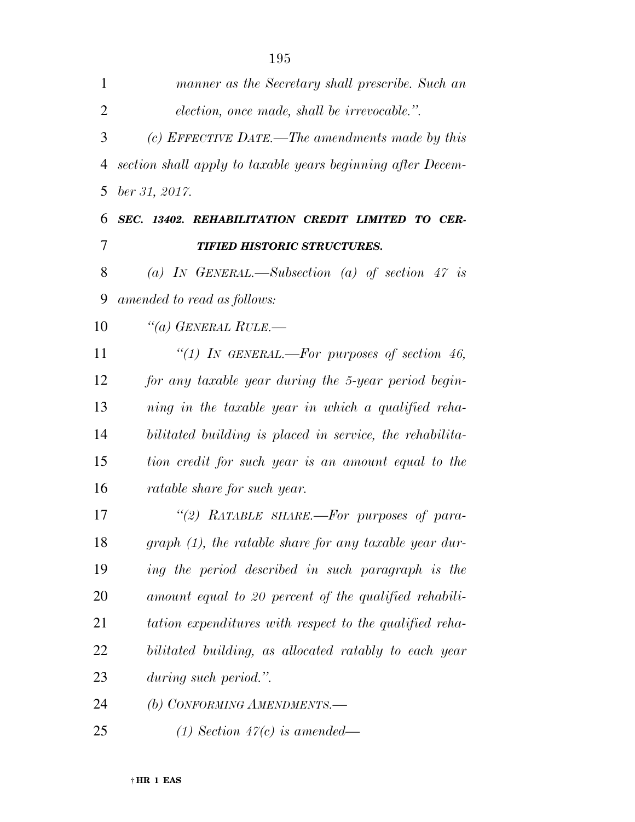| $\mathbf{1}$   | manner as the Secretary shall prescribe. Such an            |
|----------------|-------------------------------------------------------------|
| $\overline{2}$ | election, once made, shall be irrevocable.".                |
| 3              | (c) EFFECTIVE DATE.—The amendments made by this             |
| 4              | section shall apply to taxable years beginning after Decem- |
| 5              | ber 31, 2017.                                               |
| 6              | SEC. 13402. REHABILITATION CREDIT LIMITED TO CER-           |
| 7              | <b>TIFIED HISTORIC STRUCTURES.</b>                          |
| 8              | (a) IN GENERAL.—Subsection (a) of section 47 is             |
| 9              | amended to read as follows:                                 |
| 10             | $\lq(a)$ GENERAL RULE.—                                     |
| 11             | "(1) In GENERAL.—For purposes of section 46,                |
| 12             | for any taxable year during the 5-year period begin-        |
| 13             | ning in the taxable year in which a qualified reha-         |
| 14             | bilitated building is placed in service, the rehabilita-    |
| 15             | tion credit for such year is an amount equal to the         |
| 16             | <i>ratable share for such year.</i>                         |
| 17             | "(2) RATABLE SHARE.—For purposes of para-                   |
| 18             | $graph(1)$ , the ratable share for any taxable year dur-    |
| 19             | ing the period described in such paragraph is the           |
| 20             | amount equal to 20 percent of the qualified rehabili-       |
| 21             | tation expenditures with respect to the qualified reha-     |
| 22             | bilitated building, as allocated ratably to each year       |
| 23             | during such period.".                                       |
| 24             | (b) CONFORMING AMENDMENTS.-                                 |
| 25             | (1) Section $47(c)$ is amended—                             |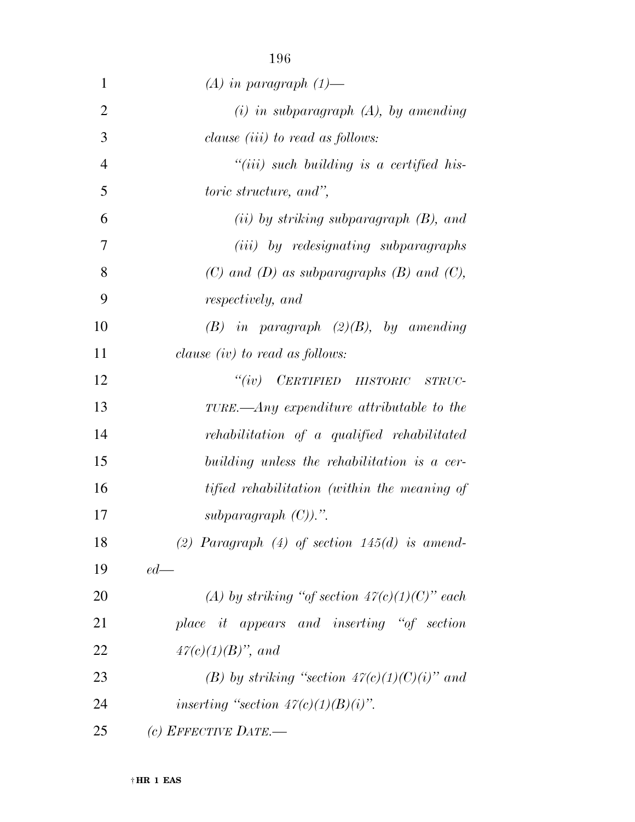| 1              | $(A)$ in paragraph $(1)$ —                         |
|----------------|----------------------------------------------------|
| $\overline{2}$ | $(i)$ in subparagraph $(A)$ , by amending          |
| 3              | clause <i>(iii)</i> to read as <i>follows</i> :    |
| $\overline{4}$ | $``(iii)$ such building is a certified his-        |
| 5              | <i>toric structure, and",</i>                      |
| 6              | $(ii)$ by striking subparagraph $(B)$ , and        |
| 7              | ( <i>iii</i> ) by redesignating subparagraphs      |
| 8              | $(C)$ and $(D)$ as subparagraphs $(B)$ and $(C)$ , |
| 9              | respectively, and                                  |
| 10             | $(B)$ in paragraph $(2)(B)$ , by amending          |
| 11             | clause $(iv)$ to read as follows:                  |
| 12             | $``(iv)$ $CERTIFIED$ $HISTORIC$<br>STRUC-          |
| 13             | TURE.—Any expenditure attributable to the          |
| 14             | rehabilitation of a qualified rehabilitated        |
| 15             | building unless the rehabilitation is a cer-       |
| 16             | tified rehabilitation (within the meaning of       |
| 17             | subparagraph $(C)$ ).".                            |
| 18             | (2) Paragraph $(4)$ of section 145 $(d)$ is amend- |
| 19             | $ed$ —                                             |
| 20             | (A) by striking "of section $47(c)(1)(C)$ " each   |
| 21             | place it appears and inserting "of section         |
| 22             | $47(c)(1)(B)$ , and                                |
| 23             | (B) by striking "section $47(c)(1)(C)(i)$ " and    |
| 24             | inserting "section $47(c)(1)(B)(i)$ ".             |
| 25             | $(c)$ EFFECTIVE DATE.—                             |
|                |                                                    |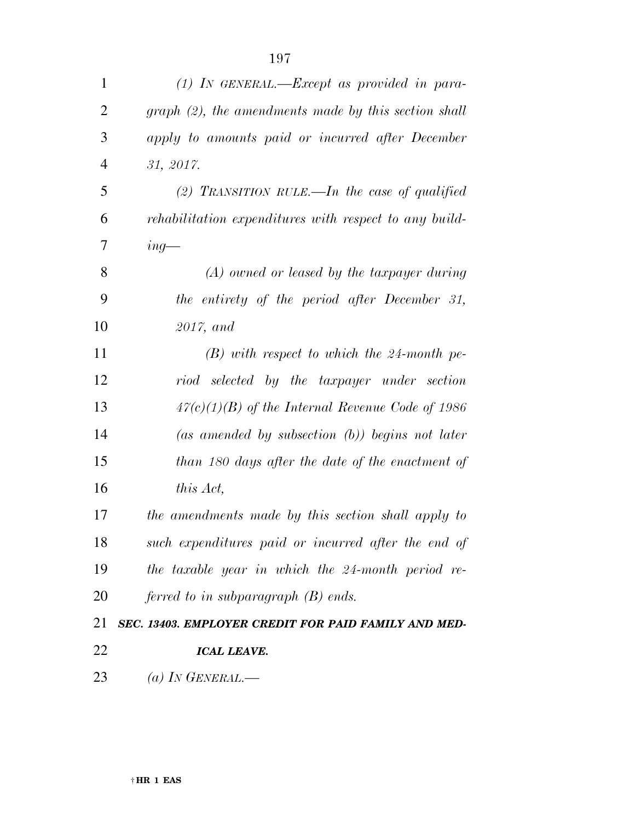| $\mathbf{1}$   | $(1)$ In GENERAL.—Except as provided in para-           |
|----------------|---------------------------------------------------------|
| $\overline{2}$ | $graph (2)$ , the amendments made by this section shall |
| 3              | apply to amounts paid or incurred after December        |
| 4              | 31, 2017.                                               |
| 5              | (2) TRANSITION RULE.—In the case of qualified           |
| 6              | rehabilitation expenditures with respect to any build-  |
| 7              | $ing$ —                                                 |
| 8              | $(A)$ owned or leased by the taxpayer during            |
| 9              | the entirety of the period after December 31,           |
| 10             | $2017$ , and                                            |
| 11             | $(B)$ with respect to which the 24-month pe-            |
| 12             | riod selected by the taxpayer under section             |
| 13             | $47(c)(1)(B)$ of the Internal Revenue Code of 1986      |
| 14             | (as amended by subsection $(b)$ ) begins not later      |
| 15             | than 180 days after the date of the enactment of        |
| 16             | this Act,                                               |
| 17             | the amendments made by this section shall apply to      |
| 18             | such expenditures paid or incurred after the end of     |
| 19             | the taxable year in which the 24-month period re-       |
| 20             | ferred to in subparagraph $(B)$ ends.                   |
| 21             | SEC. 13403. EMPLOYER CREDIT FOR PAID FAMILY AND MED-    |
| 22             | <b>ICAL LEAVE.</b>                                      |
| 23             | (a) IN GENERAL.—                                        |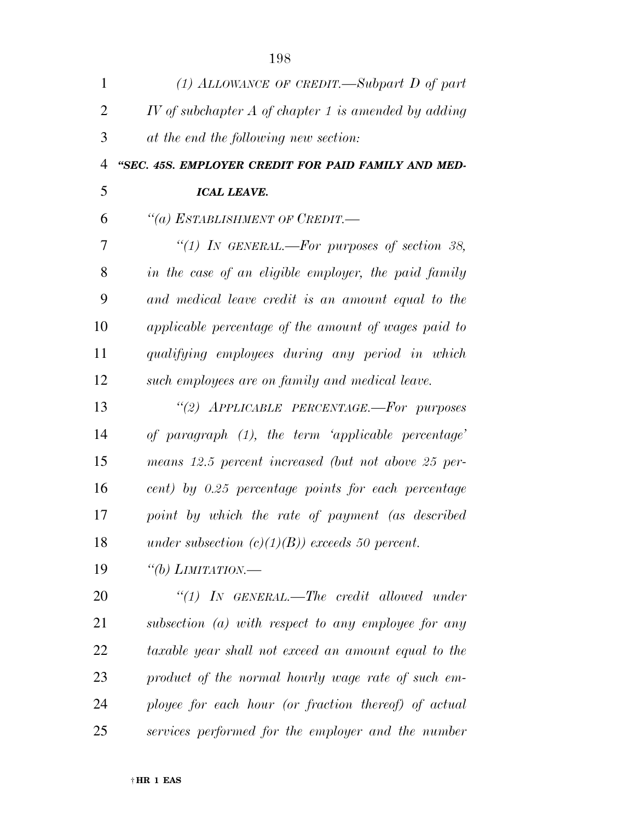| $\mathbf{1}$   | (1) ALLOWANCE OF CREDIT.—Subpart D of part             |
|----------------|--------------------------------------------------------|
| $\overline{2}$ | IV of subchapter $A$ of chapter 1 is amended by adding |
| 3              | at the end the following new section:                  |
| $\overline{4}$ | "SEC. 45S. EMPLOYER CREDIT FOR PAID FAMILY AND MED-    |
| 5              | <b>ICAL LEAVE.</b>                                     |
| 6              | "(a) ESTABLISHMENT OF CREDIT.-                         |
| 7              | "(1) IN GENERAL.—For purposes of section 38,           |
| 8              | in the case of an eligible employer, the paid family   |
| 9              | and medical leave credit is an amount equal to the     |
| 10             | applicable percentage of the amount of wages paid to   |
| 11             | qualifying employees during any period in which        |
| 12             | such employees are on family and medical leave.        |
| 13             | "(2) APPLICABLE PERCENTAGE.-For purposes               |
| 14             | of paragraph $(1)$ , the term 'applicable percentage'  |
| 15             | means 12.5 percent increased (but not above 25 per-    |
| 16             | cent) by 0.25 percentage points for each percentage    |
| 17             | point by which the rate of payment (as described       |
| 18             | under subsection $(c)(1)(B)$ exceeds 50 percent.       |
| 19             | "(b) LIMITATION.—                                      |
| 20             | "(1) IN GENERAL.—The credit allowed under              |
| 21             | subsection $(a)$ with respect to any employee for any  |
| 22             | taxable year shall not exceed an amount equal to the   |
| 23             | product of the normal hourly wage rate of such em-     |
| 24             | ployee for each hour (or fraction thereof) of actual   |
| 25             | services performed for the employer and the number     |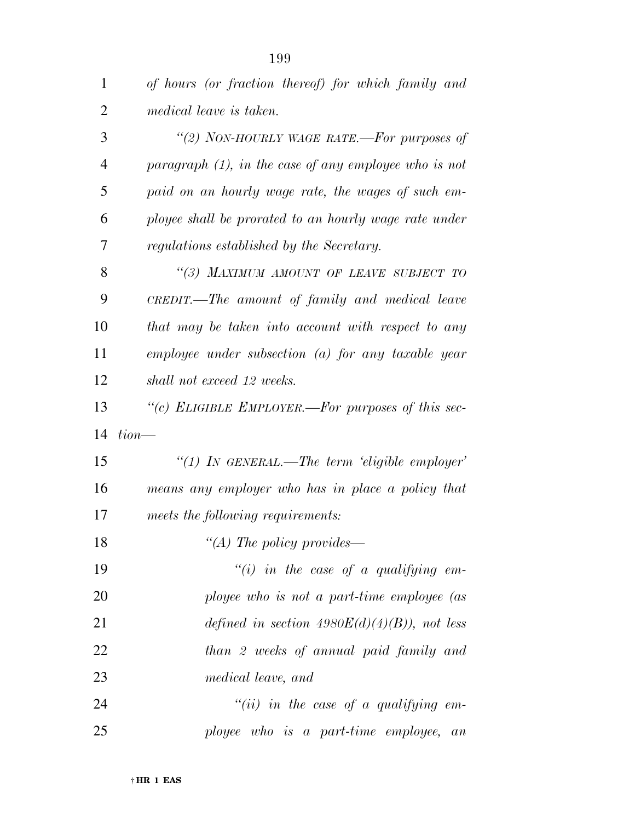| 1              | of hours (or fraction thereof) for which family and      |
|----------------|----------------------------------------------------------|
| $\overline{2}$ | medical leave is taken.                                  |
| 3              | "(2) NON-HOURLY WAGE RATE.—For purposes of               |
| $\overline{4}$ | paragraph $(1)$ , in the case of any employee who is not |
| 5              | paid on an hourly wage rate, the wages of such em-       |
| 6              | ployee shall be prorated to an hourly wage rate under    |
| 7              | regulations established by the Secretary.                |
| 8              | "(3) MAXIMUM AMOUNT OF LEAVE SUBJECT TO                  |
| 9              | CREDIT.—The amount of family and medical leave           |
| 10             | that may be taken into account with respect to any       |
| 11             | $emplyee$ under subsection (a) for any taxable year      |
| 12             | shall not exceed 12 weeks.                               |
| 13             | "(c) ELIGIBLE EMPLOYER.—For purposes of this sec-        |
| 14             | $tion$ —                                                 |
| 15             | "(1) In GENERAL.—The term 'eligible employer'            |
| 16             | means any employer who has in place a policy that        |
| 17             | meets the following requirements:                        |
| 18             |                                                          |
|                | "(A) The policy provides—                                |
| 19             | "(i) in the case of a qualifying em-                     |
| 20             | ployee who is not a part-time employee (as               |
| 21             | defined in section $4980E(d)(4)(B)$ , not less           |
| 22             | than 2 weeks of annual paid family and                   |
| 23             | medical leave, and                                       |
| 24             | $``(ii)$ in the case of a qualifying em-                 |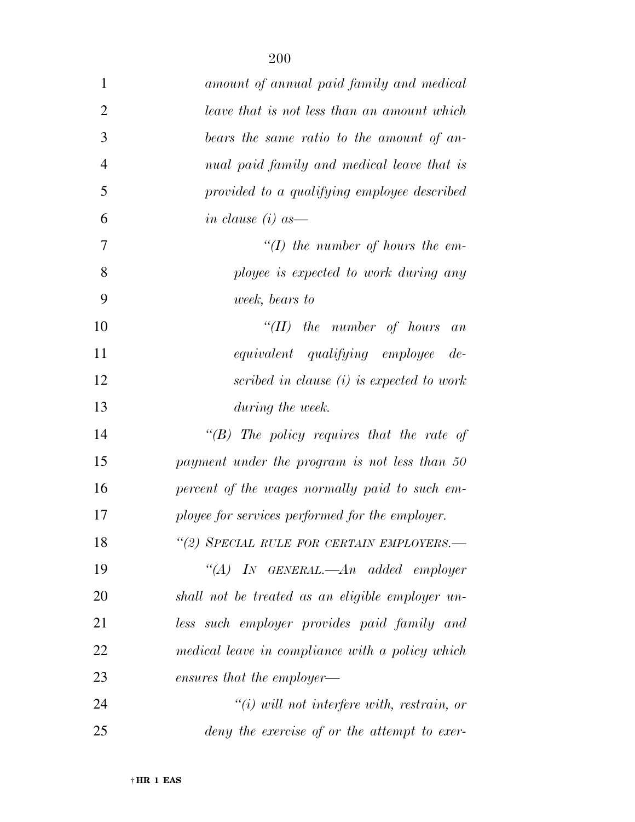| $\mathbf{1}$   | amount of annual paid family and medical             |
|----------------|------------------------------------------------------|
| $\overline{2}$ | leave that is not less than an amount which          |
| 3              | bears the same ratio to the amount of an-            |
| $\overline{4}$ | nual paid family and medical leave that is           |
| 5              | provided to a qualifying employee described          |
| 6              | in clause $(i)$ as —                                 |
| 7              | $\lq (I)$ the number of hours the em-                |
| 8              | ployee is expected to work during any                |
| 9              | week, bears to                                       |
| 10             | $``(II)$ the number of hours an                      |
| 11             | equivalent qualifying employee de-                   |
| 12             | scribed in clause (i) is expected to work            |
| 13             | during the week.                                     |
| 14             | "(B) The policy requires that the rate of            |
| 15             | payment under the program is not less than 50        |
| 16             | percent of the wages normally paid to such em-       |
| 17             | ployee for services performed for the employer.      |
| 18             | "(2) SPECIAL RULE FOR CERTAIN EMPLOYERS.-            |
| 19             | "(A) IN GENERAL.—An added employer                   |
| 20             | shall not be treated as an eligible employer un-     |
| 21             | less such employer provides paid family and          |
| 22             | medical leave in compliance with a policy which      |
| 23             | ensures that the employer—                           |
| 24             | $\tilde{f}(i)$ will not interfere with, restrain, or |
| 25             | deny the exercise of or the attempt to exer-         |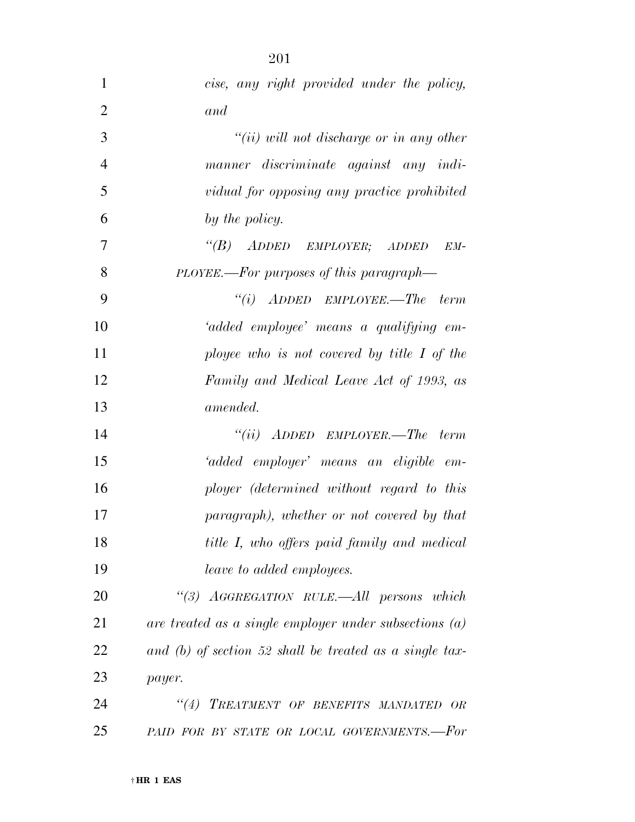| $\mathbf{1}$   | cise, any right provided under the policy,               |
|----------------|----------------------------------------------------------|
| $\overline{2}$ | and                                                      |
| 3              | $``(ii)$ will not discharge or in any other              |
| $\overline{4}$ | manner discriminate against any indi-                    |
| 5              | vidual for opposing any practice prohibited              |
| 6              | by the policy.                                           |
| 7              | $\lq\lq(B)$ ADDED EMPLOYER; ADDED<br>EM-                 |
| 8              | PLOYEE.—For purposes of this paragraph—                  |
| 9              | $``(i)$ ADDED EMPLOYEE.—The term                         |
| 10             | 'added employee' means a qualifying em-                  |
| 11             | ployee who is not covered by title $I$ of the            |
| 12             | Family and Medical Leave Act of 1993, as                 |
| 13             | <i>amended.</i>                                          |
| 14             | $``(ii)$ ADDED EMPLOYER.—The term                        |
| 15             | 'added employer' means an eligible em-                   |
| 16             | ployer (determined without regard to this                |
| 17             | paragraph), whether or not covered by that               |
| 18             | title I, who offers paid family and medical              |
| 19             | leave to added employees.                                |
| 20             | "(3) AGGREGATION RULE.—All persons which                 |
| 21             | are treated as a single employer under subsections $(a)$ |
| 22             | and (b) of section 52 shall be treated as a single tax-  |
| 23             | payer.                                                   |
| 24             | "(4) TREATMENT OF BENEFITS MANDATED OR                   |
| 25             | PAID FOR BY STATE OR LOCAL GOVERNMENTS.-For              |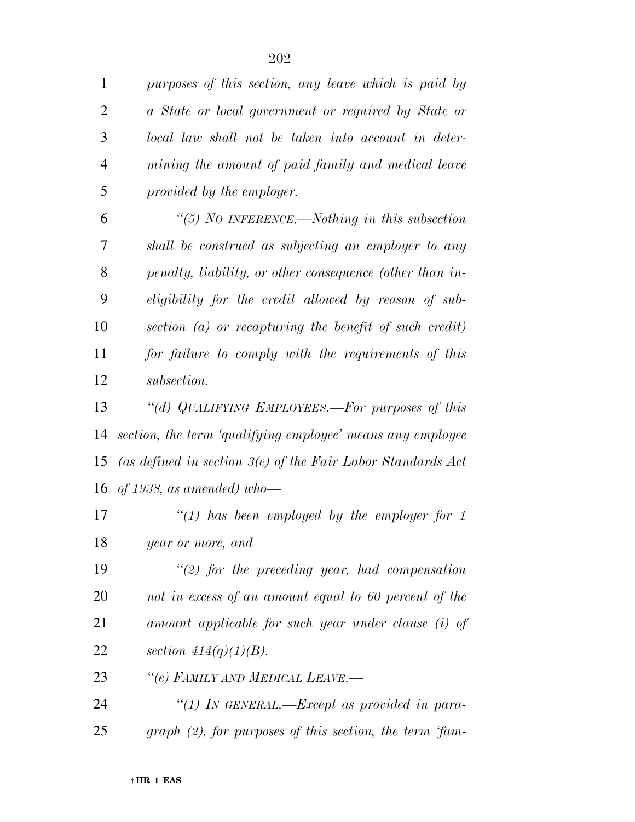|   | purposes of this section, any leave which is paid by |
|---|------------------------------------------------------|
| 2 | a State or local government or required by State or  |
| 3 | local law shall not be taken into account in deter-  |
| 4 | mining the amount of paid family and medical leave   |
| 5 | provided by the employer.                            |
|   |                                                      |

 *''(5) NO INFERENCE.—Nothing in this subsection shall be construed as subjecting an employer to any penalty, liability, or other consequence (other than in- eligibility for the credit allowed by reason of sub- section (a) or recapturing the benefit of such credit) for failure to comply with the requirements of this subsection.* 

 *''(d) QUALIFYING EMPLOYEES.—For purposes of this section, the term 'qualifying employee' means any employee (as defined in section 3(e) of the Fair Labor Standards Act of 1938, as amended) who—* 

 *''(1) has been employed by the employer for 1 year or more, and* 

 *''(2) for the preceding year, had compensation not in excess of an amount equal to 60 percent of the amount applicable for such year under clause (i) of section 414(q)(1)(B).* 

*''(e) FAMILY AND MEDICAL LEAVE.—* 

 *''(1) IN GENERAL.—Except as provided in para-graph (2), for purposes of this section, the term 'fam-*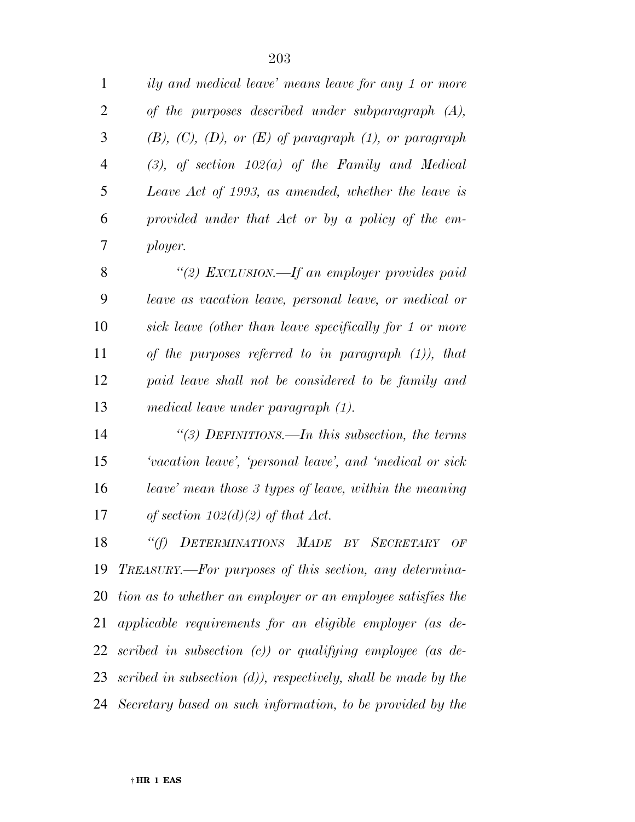| $\mathbf{1}$   | ily and medical leave' means leave for any 1 or more              |
|----------------|-------------------------------------------------------------------|
| $\overline{2}$ | of the purposes described under subparagraph $(A)$ ,              |
| 3              | $(B), (C), (D), or (E)$ of paragraph $(1),$ or paragraph          |
| $\overline{4}$ | $(3)$ , of section $102(a)$ of the Family and Medical             |
| 5              | Leave Act of 1993, as amended, whether the leave is               |
| 6              | provided under that Act or by a policy of the em-                 |
| 7              | ployer.                                                           |
| 8              | "(2) EXCLUSION.—If an employer provides paid                      |
| 9              | leave as vacation leave, personal leave, or medical or            |
| 10             | sick leave (other than leave specifically for 1 or more           |
| 11             | of the purposes referred to in paragraph $(1)$ ), that            |
| 12             | paid leave shall not be considered to be family and               |
| 13             | medical leave under paragraph (1).                                |
| 14             | "(3) DEFINITIONS.—In this subsection, the terms                   |
| 15             | 'vacation leave', 'personal leave', and 'medical or sick          |
| 16             | leave' mean those 3 types of leave, within the meaning            |
| 17             | of section $102(d)(2)$ of that Act.                               |
| 18             | "(f) DETERMINATIONS MADE BY SECRETARY OF                          |
| 19             | TREASURY.—For purposes of this section, any determina-            |
|                | 20 tion as to whether an employer or an employee satisfies the    |
| 21             | applicable requirements for an eligible employer (as de-          |
| 22             | scribed in subsection $(c)$ or qualifying employee (as de-        |
|                | 23 scribed in subsection (d)), respectively, shall be made by the |
|                | 24 Secretary based on such information, to be provided by the     |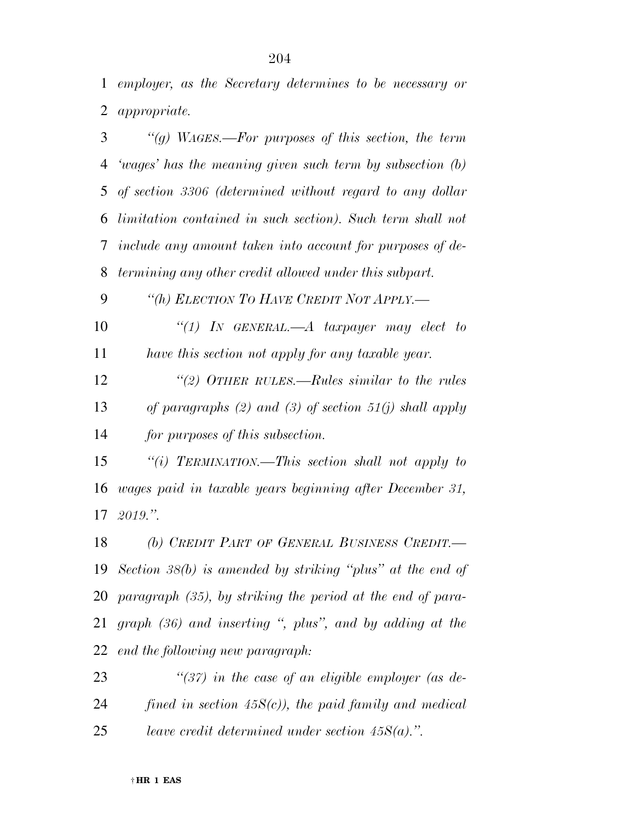*employer, as the Secretary determines to be necessary or appropriate.* 

| 3           | "(g) WAGES.—For purposes of this section, the term         |
|-------------|------------------------------------------------------------|
| 4           | 'wages' has the meaning given such term by subsection (b)  |
| $5^{\circ}$ | of section 3306 (determined without regard to any dollar   |
| 6           | limitation contained in such section). Such term shall not |
| 7           | include any amount taken into account for purposes of de-  |
| 8           | termining any other credit allowed under this subpart.     |
| 9           | "(h) ELECTION TO HAVE CREDIT NOT APPLY.—                   |
| 10          | "(1) In GENERAL.—A taxpayer may elect to                   |
| 11          | have this section not apply for any taxable year.          |
| 12          | "(2) OTHER RULES.—Rules similar to the rules               |
| 13          | of paragraphs (2) and (3) of section $51(j)$ shall apply   |
| 14          | for purposes of this subsection.                           |
| 15          | "(i) TERMINATION.—This section shall not apply to          |
| 16          | wages paid in taxable years beginning after December 31,   |
|             | $17 \text{ } 2019."$                                       |
| 18          | (b) CREDIT PART OF GENERAL RUSINESS CREDIT                 |

*(b) CREDIT PART OF GENERAL BUSINESS CREDIT. Section 38(b) is amended by striking ''plus'' at the end of paragraph (35), by striking the period at the end of para- graph (36) and inserting '', plus'', and by adding at the end the following new paragraph:* 

 *''(37) in the case of an eligible employer (as de- fined in section 45S(c)), the paid family and medical leave credit determined under section 45S(a).''.*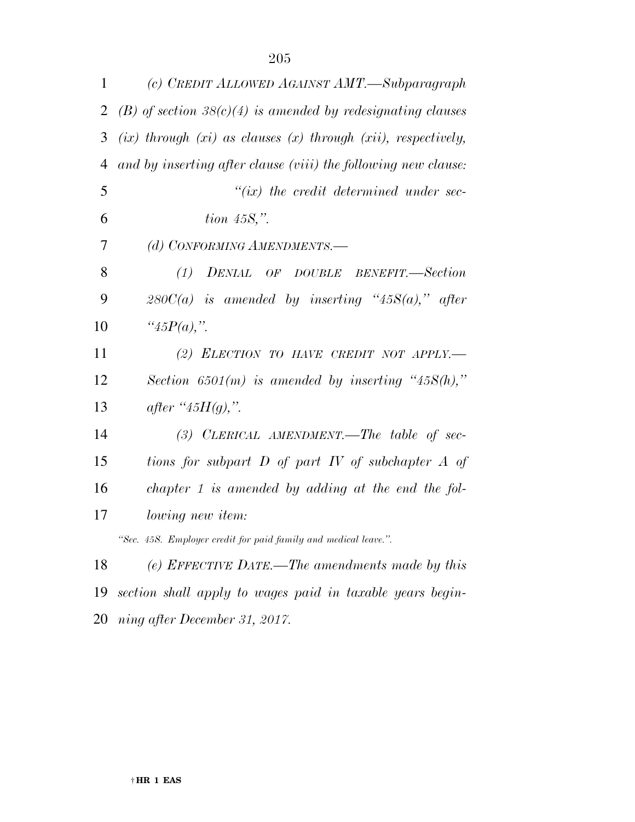| $\mathbf{1}$   | (c) CREDIT ALLOWED AGAINST AMT.—Subparagraph                          |
|----------------|-----------------------------------------------------------------------|
| $\overline{2}$ | $(B)$ of section 38(c)(4) is amended by redesignating clauses         |
| 3              | $(ix)$ through $(xi)$ as clauses $(x)$ through $(xi)$ , respectively, |
| $\overline{4}$ | and by inserting after clause (viii) the following new clause:        |
| 5              | $``(ix)$ the credit determined under sec-                             |
| 6              | tion $458$ ,".                                                        |
| 7              | (d) CONFORMING AMENDMENTS.-                                           |
| 8              | (1)<br>DENIAL OF DOUBLE BENEFIT.-Section                              |
| 9              | $280C(a)$ is amended by inserting "45S(a)," after                     |
| 10             | " $45P(a)$ ,".                                                        |
| 11             | (2) ELECTION TO HAVE CREDIT NOT APPLY.                                |
| 12             | Section 6501(m) is amended by inserting "45 $S(h)$ ,"                 |
| 13             | after " $45H(q)$ ,".                                                  |
| 14             | $(3)$ CLERICAL AMENDMENT.—The table of sec-                           |
| 15             | tions for subpart $D$ of part $IV$ of subchapter $A$ of               |
| 16             | chapter 1 is amended by adding at the end the fol-                    |
| 17             | <i>lowing new item:</i>                                               |
|                | "Sec. 45S. Employer credit for paid family and medical leave.".       |
| 18             | (e) EFFECTIVE DATE.—The amendments made by this                       |
| 19             | section shall apply to wages paid in taxable years begin-             |

*ning after December 31, 2017.*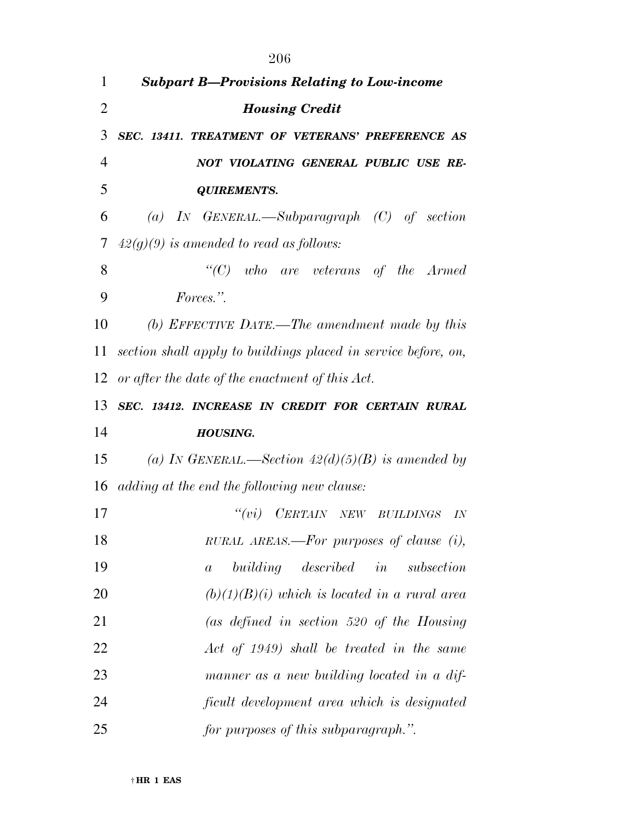| 1              | <b>Subpart B-Provisions Relating to Low-income</b>             |
|----------------|----------------------------------------------------------------|
| $\overline{2}$ | <b>Housing Credit</b>                                          |
| 3              | SEC. 13411. TREATMENT OF VETERANS' PREFERENCE AS               |
| $\overline{4}$ | NOT VIOLATING GENERAL PUBLIC USE RE-                           |
| 5              | <b>QUIREMENTS.</b>                                             |
| 6              | (a) IN GENERAL.—Subparagraph $(C)$ of section                  |
| 7              | $42(g)(9)$ is amended to read as follows:                      |
| 8              | $\lq\lq C$ who are veterans of the Armed                       |
| 9              | Forces.".                                                      |
| 10             | (b) EFFECTIVE DATE.—The amendment made by this                 |
| 11             | section shall apply to buildings placed in service before, on, |
| 12             | or after the date of the enactment of this Act.                |
| 13             | SEC. 13412. INCREASE IN CREDIT FOR CERTAIN RURAL               |
| 14             | <b>HOUSING.</b>                                                |
| 15             | (a) IN GENERAL.—Section $42(d)(5)(B)$ is amended by            |
| 16             | adding at the end the following new clause:                    |
| 17             | "(vi) CERTAIN NEW BUILDINGS<br>IN                              |
| 18             | RURAL AREAS.—For purposes of clause (i),                       |
| 19             | in<br>building described<br>subsection<br>$\boldsymbol{a}$     |
| 20             | $(b)(1)(B)(i)$ which is located in a rural area                |
| 21             | (as defined in section 520 of the Housing                      |
| 22             | Act of 1949) shall be treated in the same                      |
| 23             | manner as a new building located in a dif-                     |

- *ficult development area which is designated*
- *for purposes of this subparagraph.''.*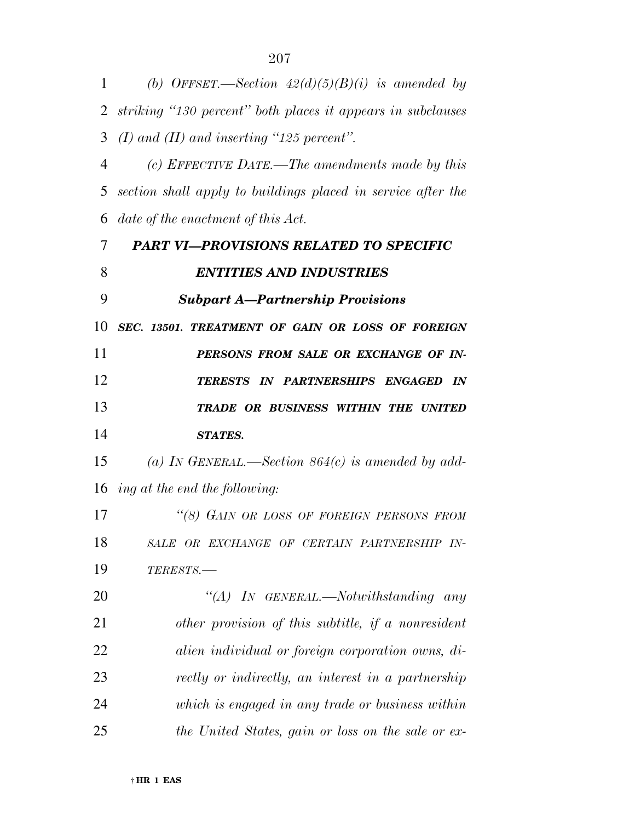| 1  | (b) OFFSET.—Section $42(d)(5)(B)(i)$ is amended by           |
|----|--------------------------------------------------------------|
| 2  | striking "130 percent" both places it appears in subclauses  |
| 3  | $(I)$ and $(II)$ and inserting "125 percent".                |
| 4  | (c) EFFECTIVE DATE.—The amendments made by this              |
| 5  | section shall apply to buildings placed in service after the |
| 6  | date of the enactment of this Act.                           |
| 7  | <b>PART VI-PROVISIONS RELATED TO SPECIFIC</b>                |
| 8  | <b>ENTITIES AND INDUSTRIES</b>                               |
| 9  | <b>Subpart A-Partnership Provisions</b>                      |
| 10 | SEC. 13501. TREATMENT OF GAIN OR LOSS OF FOREIGN             |
| 11 | PERSONS FROM SALE OR EXCHANGE OF IN-                         |
| 12 | TERESTS IN PARTNERSHIPS ENGAGED IN                           |
| 13 | TRADE OR BUSINESS WITHIN THE UNITED                          |
| 14 | <b>STATES.</b>                                               |
| 15 | (a) IN GENERAL.—Section $864(c)$ is amended by add-          |
| 16 | ing at the end the following:                                |
| 17 | "(8) GAIN OR LOSS OF FOREIGN PERSONS FROM                    |
| 18 | SALE OR EXCHANGE OF CERTAIN PARTNERSHIP IN-                  |
| 19 | TERESTS.                                                     |
| 20 | $\lq\lq (A)$ In GENERAL.—Notwithstanding any                 |
| 21 | other provision of this subtitle, if a nonresident           |
| 22 | alien individual or foreign corporation owns, di-            |
| 23 | rectly or indirectly, an interest in a partnership           |
| 24 | which is engaged in any trade or business within             |
| 25 | the United States, gain or loss on the sale or ex-           |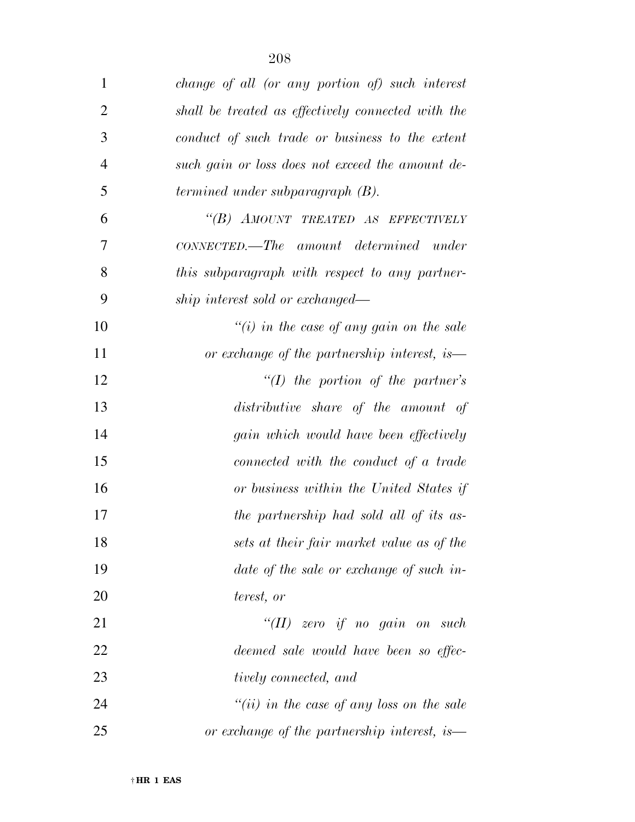| $\mathbf{1}$   | change of all (or any portion of) such interest    |
|----------------|----------------------------------------------------|
| $\overline{2}$ | shall be treated as effectively connected with the |
| 3              | conduct of such trade or business to the extent    |
| $\overline{4}$ | such gain or loss does not exceed the amount de-   |
| 5              | termined under subparagraph (B).                   |
| 6              | "(B) AMOUNT TREATED AS EFFECTIVELY                 |
| 7              | CONNECTED.—The amount determined under             |
| 8              | this subparagraph with respect to any partner-     |
| 9              | ship interest sold or exchanged—                   |
| 10             | "(i) in the case of any gain on the sale           |
| 11             | or exchange of the partnership interest, is—       |
| 12             | $\lq (I)$ the portion of the partner's             |
| 13             | distributive share of the amount of                |
| 14             | gain which would have been effectively             |
| 15             | connected with the conduct of a trade              |
| 16             | or business within the United States if            |
| 17             | the partnership had sold all of its as-            |
| 18             | sets at their fair market value as of the          |
| 19             | date of the sale or exchange of such in-           |
| 20             | terest, or                                         |
| 21             | $``(II)$ zero if no gain on such                   |
| 22             | deemed sale would have been so effec-              |
| 23             | tively connected, and                              |
| 24             | "(ii) in the case of any loss on the sale          |
| 25             | or exchange of the partnership interest, is—       |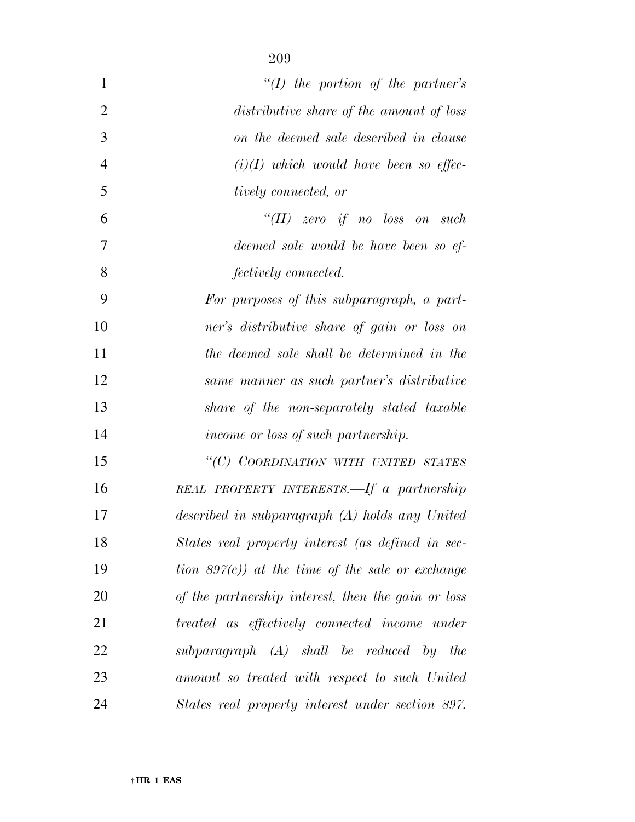| 1              | $\lq (I)$ the portion of the partner's             |
|----------------|----------------------------------------------------|
| $\overline{2}$ | distributive share of the amount of loss           |
| 3              | on the deemed sale described in clause             |
| $\overline{4}$ | $(i)(I)$ which would have been so effec-           |
| 5              | <i>tively connected, or</i>                        |
| 6              | "(II) zero if no loss on such                      |
| 7              | deemed sale would be have been so ef-              |
| 8              | <i>fectively connected.</i>                        |
| 9              | For purposes of this subparagraph, a part-         |
| 10             | ner's distributive share of gain or loss on        |
| 11             | the deemed sale shall be determined in the         |
| 12             | same manner as such partner's distributive         |
| 13             | share of the non-separately stated taxable         |
| 14             | <i>income or loss of such partnership.</i>         |
| 15             | "(C) COORDINATION WITH UNITED STATES               |
| 16             | REAL PROPERTY INTERESTS.—If a partnership          |
| 17             | described in subparagraph (A) holds any United     |
| 18             | States real property interest (as defined in sec-  |
| 19             | tion $897(c)$ at the time of the sale or exchange  |
| 20             | of the partnership interest, then the gain or loss |
| 21             | treated as effectively connected income under      |
| 22             | subparagraph (A) shall be reduced by the           |
| 23             | amount so treated with respect to such United      |
| 24             | States real property interest under section 897.   |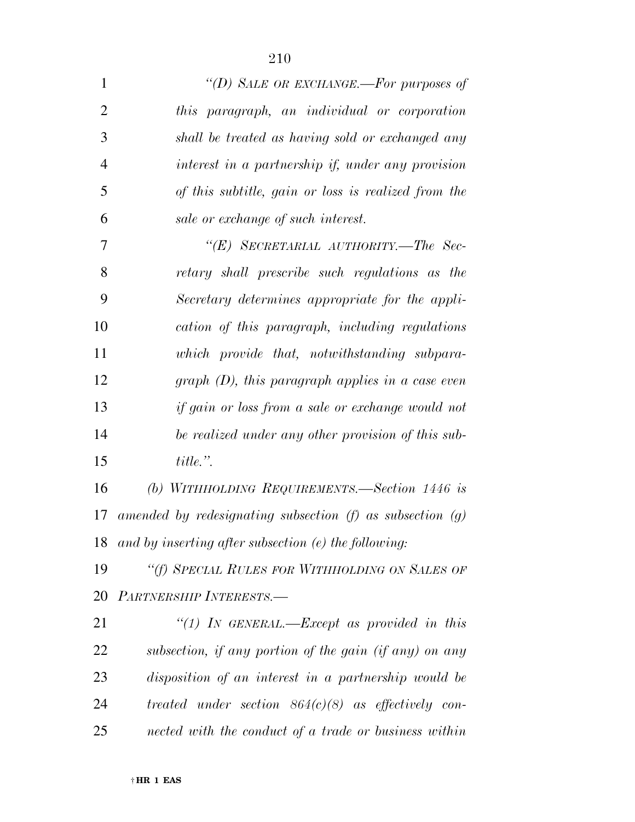| $\mathbf{1}$   | "(D) SALE OR EXCHANGE.-For purposes of                        |
|----------------|---------------------------------------------------------------|
| $\overline{2}$ | this paragraph, an individual or corporation                  |
| 3              | shall be treated as having sold or exchanged any              |
| $\overline{4}$ | interest in a partnership if, under any provision             |
| 5              | of this subtitle, gain or loss is realized from the           |
| 6              | sale or exchange of such interest.                            |
| 7              | "(E) SECRETARIAL AUTHORITY.—The Sec-                          |
| 8              | retary shall prescribe such regulations as the                |
| 9              | Secretary determines appropriate for the appli-               |
| 10             | cation of this paragraph, including regulations               |
| 11             | which provide that, notwithstanding subpara-                  |
| 12             | graph $(D)$ , this paragraph applies in a case even           |
| 13             | if gain or loss from a sale or exchange would not             |
| 14             | be realized under any other provision of this sub-            |
| 15             | title.".                                                      |
| 16             | (b) WITHHOLDING REQUIREMENTS.—Section $1446$ is               |
| 17             | amended by redesignating subsection $(f)$ as subsection $(g)$ |
| 18             | and by inserting after subsection $(e)$ the following:        |
| 19             | "(f) SPECIAL RULES FOR WITHHOLDING ON SALES OF                |
| 20             | PARTNERSHIP INTERESTS.-                                       |
| 21             | "(1) In GENERAL.—Except as provided in this                   |
| 22             | subsection, if any portion of the gain (if any) on any        |
| 23             | disposition of an interest in a partnership would be          |

 *treated under section 864(c)(8) as effectively con-nected with the conduct of a trade or business within*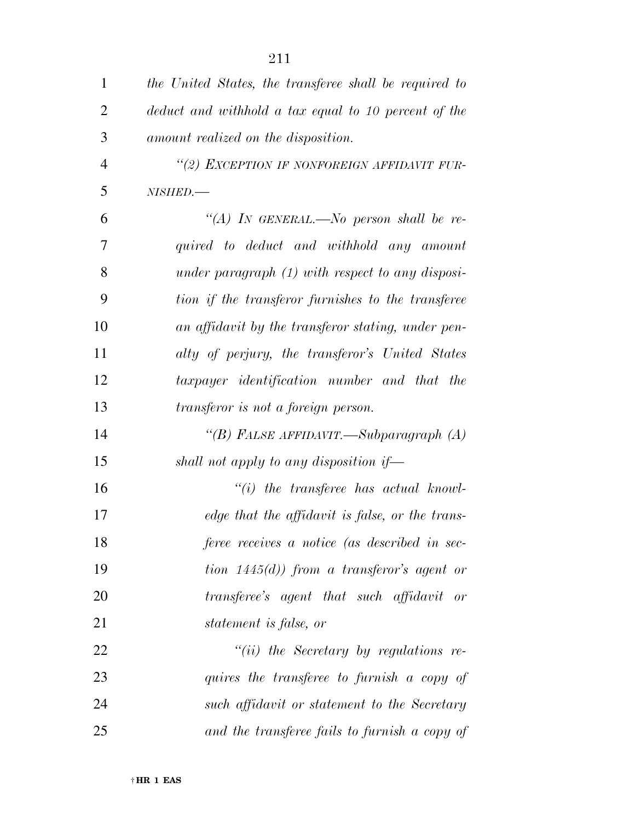| $\mathbf{1}$   | the United States, the transferee shall be required to |
|----------------|--------------------------------------------------------|
| $\overline{2}$ | deduct and withhold a tax equal to 10 percent of the   |
| 3              | amount realized on the disposition.                    |
| $\overline{4}$ | "(2) EXCEPTION IF NONFOREIGN AFFIDAVIT FUR-            |
| 5              | NISHED.-                                               |
| 6              | "(A) IN GENERAL.—No person shall be re-                |
| 7              | quired to deduct and withhold any amount               |
| 8              | under paragraph $(1)$ with respect to any disposi-     |
| 9              | tion if the transferor furnishes to the transferee     |
| 10             | an affidavit by the transferor stating, under pen-     |
| 11             | alty of perjury, the transferor's United States        |
| 12             | taxpayer identification number and that the            |
| 13             | transferor is not a foreign person.                    |
| 14             | "(B) FALSE AFFIDAVIT.—Subparagraph (A)                 |
| 15             | shall not apply to any disposition if-                 |
| 16             | $``(i)$ the transferee has actual knowl-               |
| 17             | edge that the affidavit is false, or the trans-        |
| 18             | feree receives a notice (as described in sec-          |
| 19             | tion $1445(d)$ from a transferor's agent or            |
| 20             | transferee's agent that such affidavit or              |
| 21             | statement is false, or                                 |
| 22             | $``(ii)$ the Secretary by regulations re-              |
| 23             | quires the transferee to furnish a copy of             |
| 24             | such affidavit or statement to the Secretary           |
| 25             | and the transferee fails to furnish a copy of          |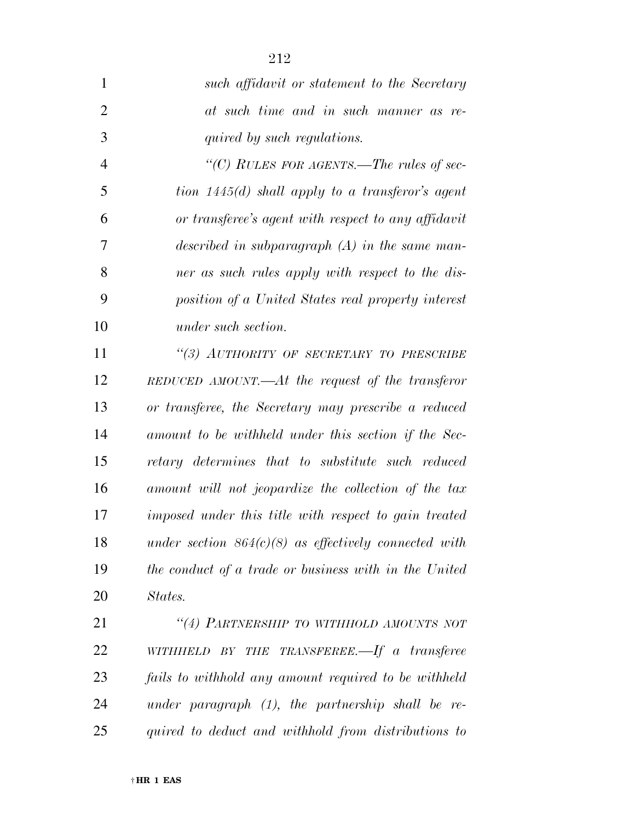| $\mathbf{1}$   | such affidavit or statement to the Secretary            |
|----------------|---------------------------------------------------------|
| $\overline{2}$ | at such time and in such manner as re-                  |
| 3              | quired by such regulations.                             |
| $\overline{4}$ | "(C) RULES FOR AGENTS.—The rules of sec-                |
| 5              | tion $1445(d)$ shall apply to a transferor's agent      |
| 6              | or transferee's agent with respect to any affidavit     |
| 7              | described in subparagraph $(A)$ in the same man-        |
| 8              | ner as such rules apply with respect to the dis-        |
| 9              | position of a United States real property interest      |
| 10             | under such section.                                     |
| 11             | "(3) AUTHORITY OF SECRETARY TO PRESCRIBE                |
| 12             | $REDUCED$ AMOUNT.— $At$ the request of the transferor   |
| 13             | or transferee, the Secretary may prescribe a reduced    |
| 14             | amount to be withheld under this section if the Sec-    |
| 15             | retary determines that to substitute such reduced       |
| 16             | amount will not jeopardize the collection of the tax    |
| 17             | imposed under this title with respect to gain treated   |
| 18             | under section $864(c)(8)$ as effectively connected with |
| 19             | the conduct of a trade or business with in the United   |
| 20             | States.                                                 |
| 21             | "(4) PARTNERSHIP TO WITHHOLD AMOUNTS NOT                |
| 22             | WITHHELD BY THE TRANSFEREE.—If a transferee             |
| 23             | fails to withhold any amount required to be withheld    |
| 24             | under paragraph $(1)$ , the partnership shall be re-    |
|                |                                                         |

*quired to deduct and withhold from distributions to* 

† **HR 1 EAS**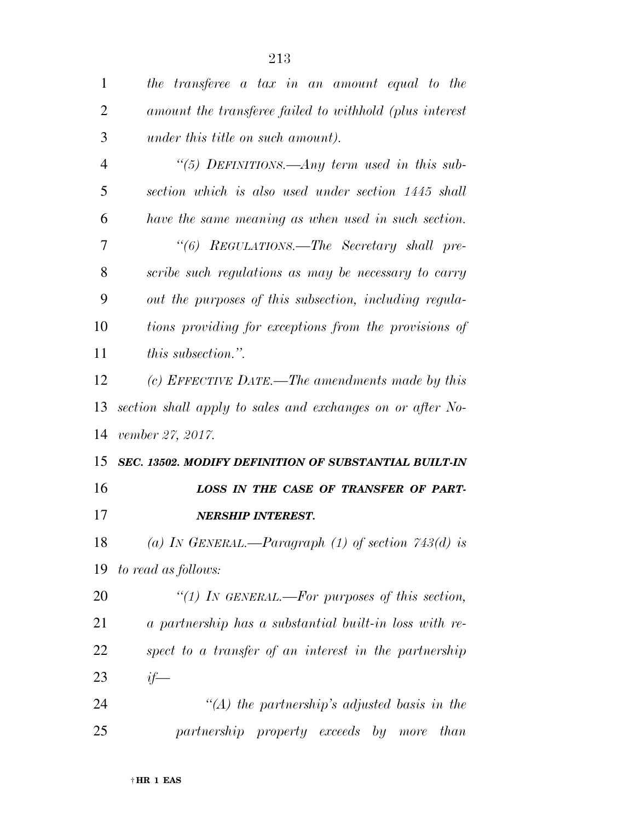| $\mathbf{1}$   | the transferee a tax in an amount equal to the             |
|----------------|------------------------------------------------------------|
| $\overline{2}$ | amount the transferee failed to withhold (plus interest    |
| 3              | under this title on such amount).                          |
| $\overline{4}$ | "(5) DEFINITIONS.—Any term used in this sub-               |
| 5              | section which is also used under section 1445 shall        |
| 6              | have the same meaning as when used in such section.        |
| 7              | "(6) REGULATIONS.—The Secretary shall pre-                 |
| 8              | scribe such regulations as may be necessary to carry       |
| 9              | out the purposes of this subsection, including regula-     |
| 10             | tions providing for exceptions from the provisions of      |
| 11             | <i>this subsection.</i> "                                  |
| 12             | (c) EFFECTIVE DATE.—The amendments made by this            |
| 13             | section shall apply to sales and exchanges on or after No- |
| 14             | vember 27, 2017.                                           |
| 15             | SEC. 13502. MODIFY DEFINITION OF SUBSTANTIAL BUILT-IN      |
| 16             | LOSS IN THE CASE OF TRANSFER OF PART-                      |
| 17             | <b>NERSHIP INTEREST.</b>                                   |
| 18             | (a) IN GENERAL.—Paragraph (1) of section $743(d)$ is       |
| 19             | to read as follows:                                        |
| 20             | "(1) In GENERAL.—For purposes of this section,             |
| 21             | a partnership has a substantial built-in loss with re-     |
| 22             | spect to a transfer of an interest in the partnership      |
| 23             | $if-$                                                      |
| 24             | "(A) the partnership's adjusted basis in the               |
| 25             |                                                            |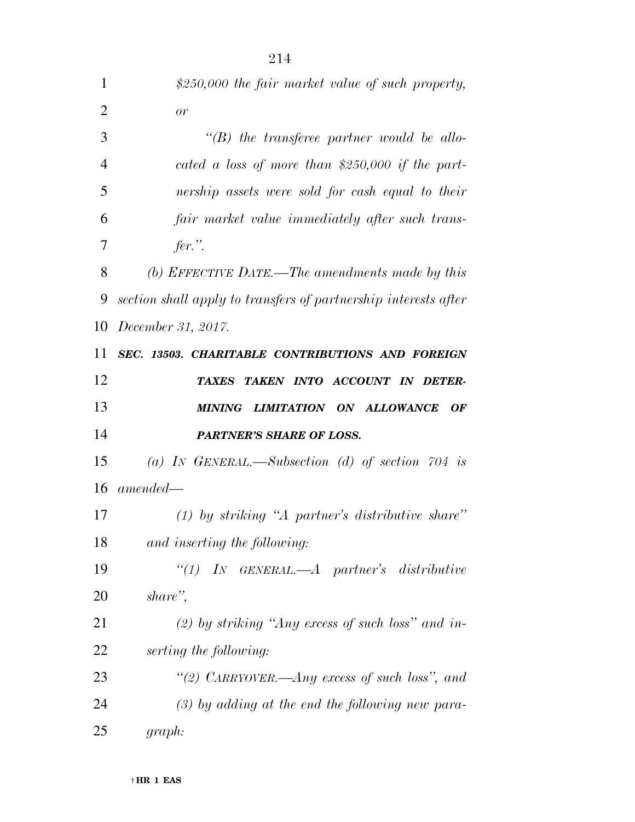| 1              | \$250,000 the fair market value of such property,               |
|----------------|-----------------------------------------------------------------|
| $\overline{2}$ | or                                                              |
| 3              | $\lq\lq B$ the transferee partner would be allo-                |
| $\overline{4}$ | cated a loss of more than \$250,000 if the part-                |
| 5              | nership assets were sold for cash equal to their                |
| 6              | fair market value immediately after such trans-                 |
| 7              | fer.".                                                          |
| 8              | (b) EFFECTIVE DATE.—The amendments made by this                 |
| 9              | section shall apply to transfers of partnership interests after |
| 10             | December 31, 2017.                                              |
| 11             | SEC. 13503. CHARITABLE CONTRIBUTIONS AND FOREIGN                |
| 12             | TAXES TAKEN INTO ACCOUNT IN DETER-                              |
| 13             | MINING LIMITATION ON ALLOWANCE<br><b>OF</b>                     |
| 14             | <b>PARTNER'S SHARE OF LOSS.</b>                                 |
| 15             | (a) IN GENERAL.—Subsection (d) of section 704 is                |
| 16             | $amended -$                                                     |
| 17             | $(1)$ by striking "A partner's distributive share"              |
| 18             | and inserting the following:                                    |
| 19             | "(1) IN GENERAL.— $A$ partner's distributive                    |
| 20             | share",                                                         |
| 21             | (2) by striking "Any excess of such loss" and in-               |
| 22             | serting the following:                                          |
| 23             | "(2) CARRYOVER.—Any excess of such loss", and                   |
| 24             | $(3)$ by adding at the end the following new para-              |
| 25             | graph:                                                          |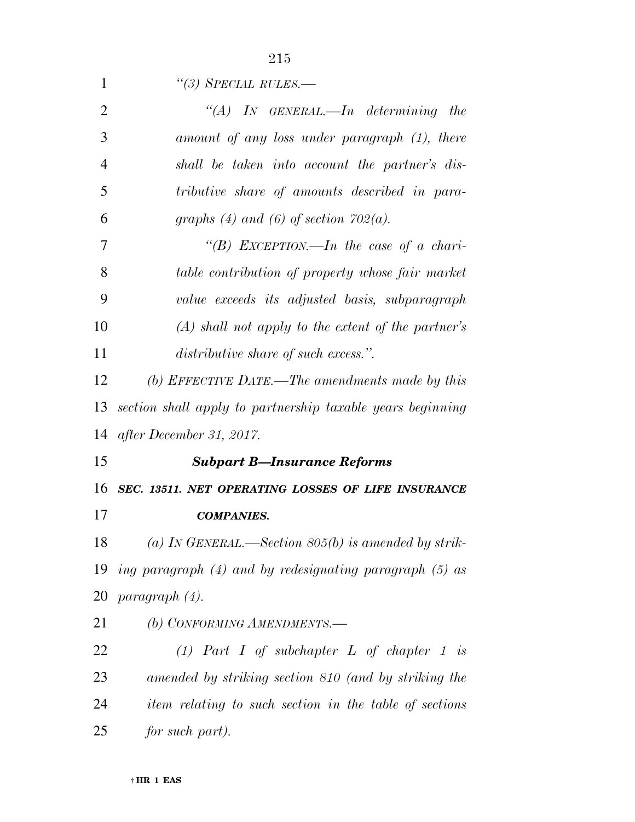| 1              | $\lq(3)$ SPECIAL RULES.—                                   |
|----------------|------------------------------------------------------------|
| $\overline{2}$ | "(A) IN GENERAL.—In determining the                        |
| 3              | amount of any loss under paragraph (1), there              |
| $\overline{4}$ | shall be taken into account the partner's dis-             |
| 5              | tributive share of amounts described in para-              |
| 6              | graphs (4) and (6) of section $702(a)$ .                   |
| 7              | "(B) EXCEPTION.—In the case of a chari-                    |
| 8              | table contribution of property whose fair market           |
| 9              | value exceeds its adjusted basis, subparagraph             |
| 10             | $(A)$ shall not apply to the extent of the partner's       |
| 11             | distributive share of such excess.".                       |
| 12             | (b) EFFECTIVE DATE.—The amendments made by this            |
| 13             | section shall apply to partnership taxable years beginning |
| 14             | after December 31, 2017.                                   |
| 15             | <b>Subpart B-Insurance Reforms</b>                         |
|                | 16 SEC. 13511. NET OPERATING LOSSES OF LIFE INSURANCE      |
| 17             | <b>COMPANIES.</b>                                          |
| 18             | (a) IN GENERAL.—Section $805(b)$ is amended by strik-      |
| 19             | ing paragraph (4) and by redesignating paragraph (5) as    |
| 20             | paragraph (4).                                             |
| 21             | (b) CONFORMING AMENDMENTS.-                                |
| 22             | (1) Part I of subchapter $L$ of chapter 1 is               |
| 23             | amended by striking section 810 (and by striking the       |
| 24             | item relating to such section in the table of sections     |
| 25             | for such part).                                            |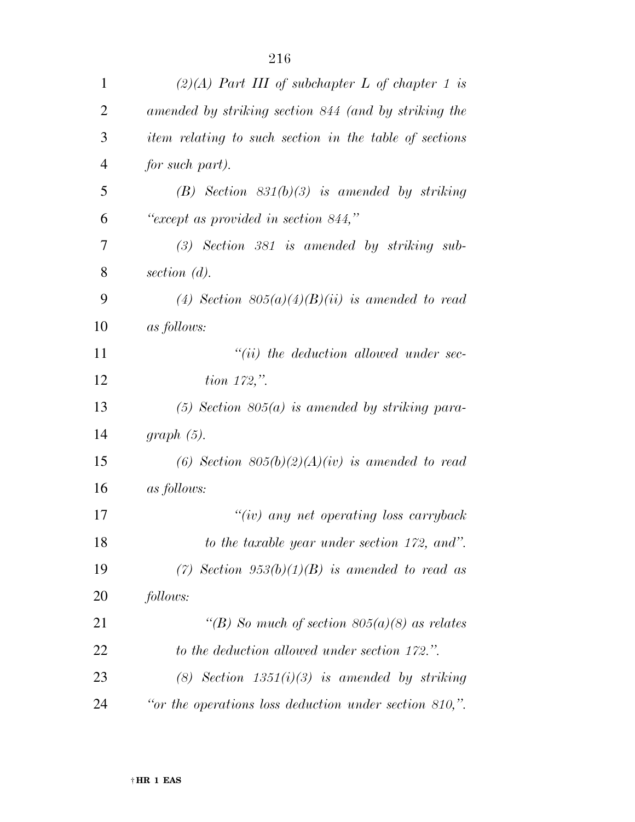| $\mathbf{1}$   | $(2)(A)$ Part III of subchapter L of chapter 1 is         |
|----------------|-----------------------------------------------------------|
| $\overline{2}$ | amended by striking section 844 (and by striking the      |
| 3              | item relating to such section in the table of sections    |
| $\overline{4}$ | for such part).                                           |
| 5              | $(B)$ Section $831(b)(3)$ is amended by striking          |
| 6              | "except as provided in section 844,"                      |
| 7              | $(3)$ Section 381 is amended by striking sub-             |
| 8              | section $(d)$ .                                           |
| 9              | (4) Section $805(a)(4)(B)(ii)$ is amended to read         |
| 10             | as follows:                                               |
| 11             | $``(ii)$ the deduction allowed under sec-                 |
| 12             | <i>tion</i> $172,$ ".                                     |
| 13             | $(5)$ Section 805 $(a)$ is amended by striking para-      |
| 14             | $graph(5)$ .                                              |
| 15             | (6) Section $805(b)(2)(A)(iv)$ is amended to read         |
| 16             | as follows:                                               |
| 17             | $``(iv)$ any net operating loss carryback                 |
| 18             | to the taxable year under section 172, and".              |
| 19             | (7) Section $953(b)(1)(B)$ is amended to read as          |
| 20             | follows:                                                  |
| 21             | "(B) So much of section $805(a)(8)$ as relates            |
| 22             | to the deduction allowed under section 172.".             |
| 23             | (8) Section $1351(i)(3)$ is amended by striking           |
| 24             | "or the operations loss deduction under section $810$ ,". |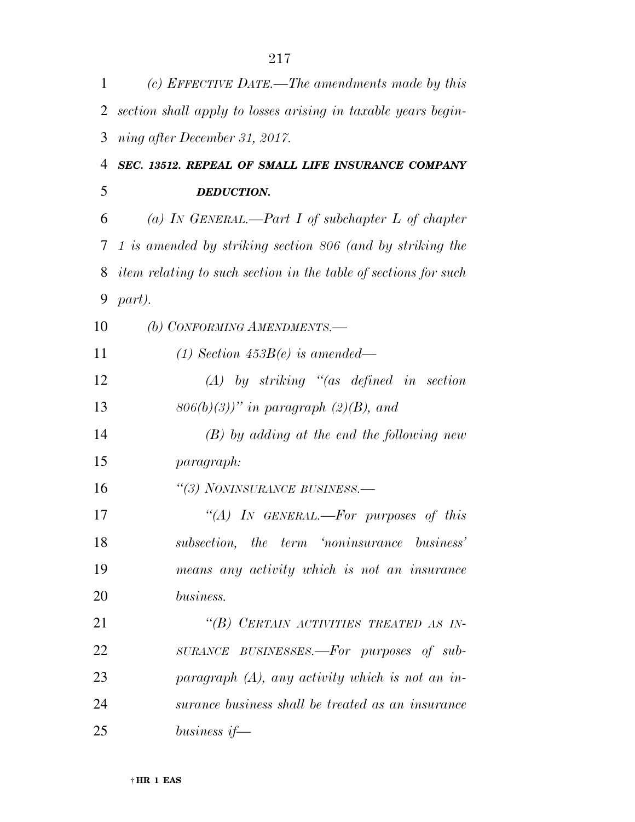| 1  | (c) EFFECTIVE DATE.—The amendments made by this                 |
|----|-----------------------------------------------------------------|
| 2  | section shall apply to losses arising in taxable years begin-   |
| 3  | ning after December 31, 2017.                                   |
| 4  | SEC. 13512. REPEAL OF SMALL LIFE INSURANCE COMPANY              |
| 5  | <b>DEDUCTION.</b>                                               |
| 6  | (a) IN GENERAL.—Part I of subchapter L of chapter               |
| 7  | 1 is amended by striking section 806 (and by striking the       |
| 8  | item relating to such section in the table of sections for such |
| 9  | part).                                                          |
| 10 | (b) CONFORMING AMENDMENTS.-                                     |
| 11 | (1) Section $453B(e)$ is amended—                               |
| 12 | $(A)$ by striking "(as defined in section                       |
| 13 | $806(b)(3)$ " in paragraph (2)(B), and                          |
| 14 | $(B)$ by adding at the end the following new                    |
| 15 | paragraph:                                                      |
| 16 | "(3) NONINSURANCE BUSINESS.-                                    |
| 17 | "(A) IN GENERAL.—For purposes of this                           |
| 18 | subsection, the term 'noninsurance business'                    |
| 19 | means any activity which is not an insurance                    |
| 20 | business.                                                       |
| 21 | "(B) CERTAIN ACTIVITIES TREATED AS IN-                          |
| 22 | SURANCE BUSINESSES.-For purposes of sub-                        |
| 23 | paragraph $(A)$ , any activity which is not an in-              |
| 24 | surance business shall be treated as an insurance               |
| 25 | business if $-$                                                 |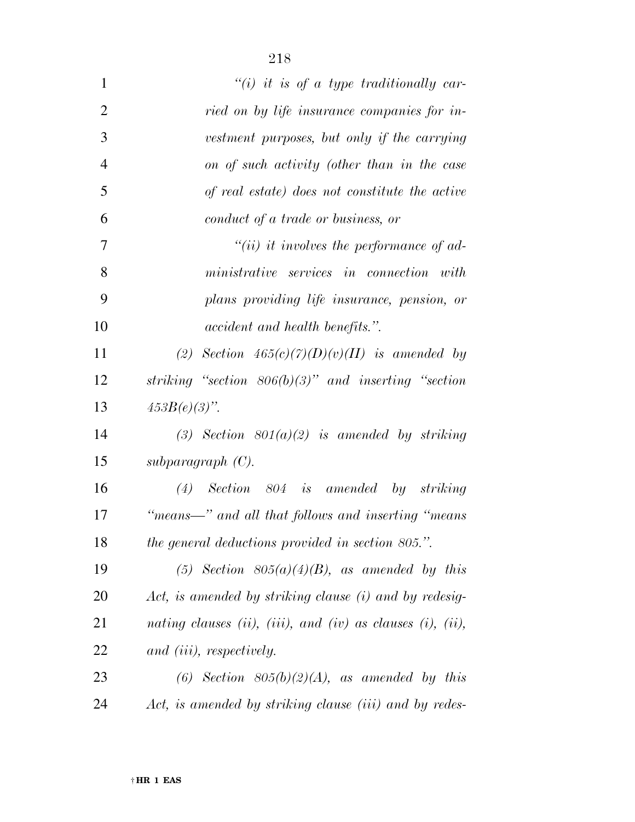| $\mathbf{1}$   | $``(i)$ it is of a type traditionally car-                                         |
|----------------|------------------------------------------------------------------------------------|
| $\overline{2}$ | ried on by life insurance companies for in-                                        |
| 3              | vestment purposes, but only if the carrying                                        |
| $\overline{4}$ | on of such activity (other than in the case                                        |
| 5              | of real estate) does not constitute the active                                     |
| 6              | conduct of a trade or business, or                                                 |
| 7              | $``(ii)$ it involves the performance of ad-                                        |
| 8              | $ministrative \quad services \quad in \quad connection \quad with$                 |
| 9              | plans providing life insurance, pension, or                                        |
| 10             | <i>accident and health benefits.</i> ".                                            |
| 11             | (2) Section $465(c)(7)(D)(v)(II)$ is amended by                                    |
| 12             | striking "section $806(b)(3)$ " and inserting "section                             |
| 13             | $453B(e)(3)$ ".                                                                    |
| 14             | (3) Section $801(a)(2)$ is amended by striking                                     |
| 15             | subparagraph $(C)$ .                                                               |
| 16             | $(4)$ Section 804 is amended by striking                                           |
| 17             | $\emph{``means} \emph{---''} \emph{ and all that follows and inserting ``means''}$ |
| 18             | the general deductions provided in section 805.".                                  |
| 19             | (5) Section $805(a)(4)(B)$ , as amended by this                                    |
| 20             | Act, is amended by striking clause (i) and by redesig-                             |
| 21             | nating clauses (ii), (iii), and (iv) as clauses (i), (ii),                         |
| 22             | and <i>(iii)</i> , <i>respectively</i> .                                           |
| 23             | (6) Section $805(b)(2)(A)$ , as amended by this                                    |
| 24             | Act, is amended by striking clause (iii) and by redes-                             |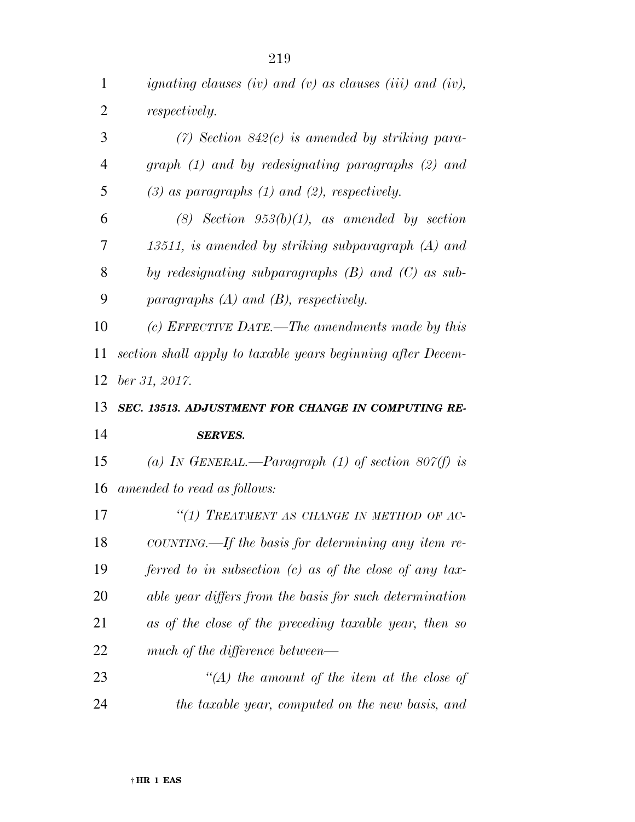| $\mathbf{1}$   | ignating clauses (iv) and (v) as clauses (iii) and (iv),    |
|----------------|-------------------------------------------------------------|
| $\overline{2}$ | <i>respectively.</i>                                        |
| 3              | $(7)$ Section 842 $(c)$ is amended by striking para-        |
| $\overline{4}$ | $graph (1)$ and by redesignating paragraphs $(2)$ and       |
| 5              | $(3)$ as paragraphs $(1)$ and $(2)$ , respectively.         |
| 6              | $(8)$ Section $953(b)(1)$ , as amended by section           |
| 7              | 13511, is amended by striking subparagraph (A) and          |
| 8              | by redesignating subparagraphs $(B)$ and $(C)$ as sub-      |
| 9              | paragraphs $(A)$ and $(B)$ , respectively.                  |
| 10             | (c) EFFECTIVE DATE.—The amendments made by this             |
| 11             | section shall apply to taxable years beginning after Decem- |
| 12             | $ber\,31,\,2017.$                                           |
|                |                                                             |
| 13             | SEC. 13513. ADJUSTMENT FOR CHANGE IN COMPUTING RE-          |
| 14             | <b>SERVES.</b>                                              |
| 15             | (a) In GENERAL.—Paragraph (1) of section 807(f) is          |
| 16             | amended to read as follows:                                 |
| 17             | "(1) TREATMENT AS CHANGE IN METHOD OF AC-                   |
| 18             | COUNTING.—If the basis for determining any item re-         |
| 19             | ferred to in subsection $(c)$ as of the close of any tax-   |
| 20             | able year differs from the basis for such determination     |
| 21             | as of the close of the preceding taxable year, then so      |
| 22             | much of the difference between—                             |
| 23             | $\lq (A)$ the amount of the item at the close of            |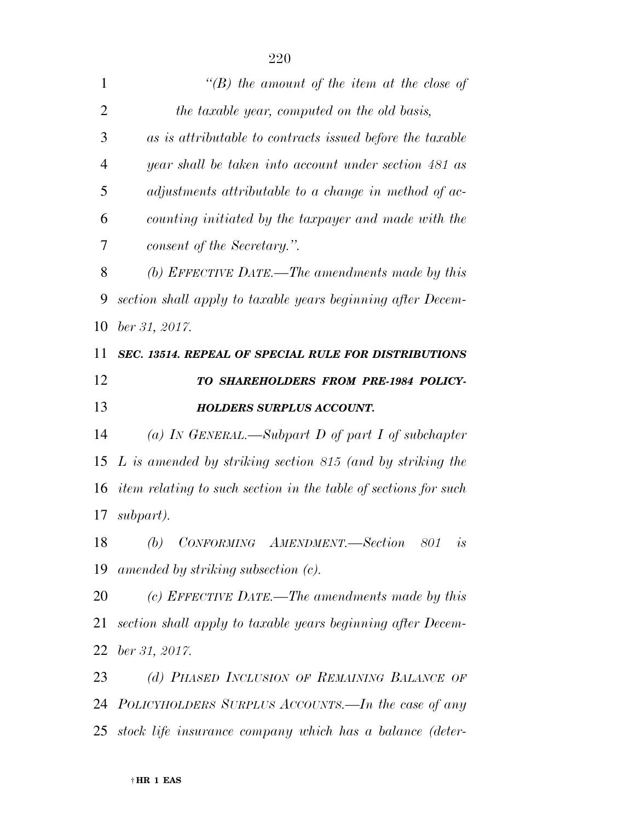| $\mathbf{1}$                     | "(B) the amount of the item at the close of                     |
|----------------------------------|-----------------------------------------------------------------|
| $\overline{2}$                   | the taxable year, computed on the old basis,                    |
| 3                                | as is attributable to contracts issued before the taxable       |
| 4                                | year shall be taken into account under section 481 as           |
| 5                                | adjustments attributable to a change in method of ac-           |
| 6                                | counting initiated by the taxpayer and made with the            |
| 7                                | consent of the Secretary.".                                     |
| 8                                | (b) EFFECTIVE DATE.—The amendments made by this                 |
| 9                                | section shall apply to taxable years beginning after Decem-     |
| 10                               | ber 31, 2017.                                                   |
| 11                               | <b>SEC. 13514. REPEAL OF SPECIAL RULE FOR DISTRIBUTIONS</b>     |
| 12                               | TO SHAREHOLDERS FROM PRE-1984 POLICY-                           |
| 13                               | <b>HOLDERS SURPLUS ACCOUNT.</b>                                 |
|                                  |                                                                 |
| 14                               | (a) IN GENERAL.—Subpart D of part I of subchapter               |
| 15                               | L is amended by striking section 815 (and by striking the       |
| 16                               | item relating to such section in the table of sections for such |
|                                  | subpart).                                                       |
| 18                               | (b) CONFORMING AMENDMENT.—Section 801<br>is                     |
|                                  | amended by striking subsection $(c)$ .                          |
|                                  | (c) EFFECTIVE DATE.—The amendments made by this                 |
|                                  | section shall apply to taxable years beginning after Decem-     |
|                                  | ber 31, 2017.                                                   |
|                                  | (d) PHASED INCLUSION OF REMAINING BALANCE OF                    |
| 17<br>19<br>20<br>21<br>22<br>23 | 24 POLICYHOLDERS SURPLUS ACCOUNTS.—In the case of any           |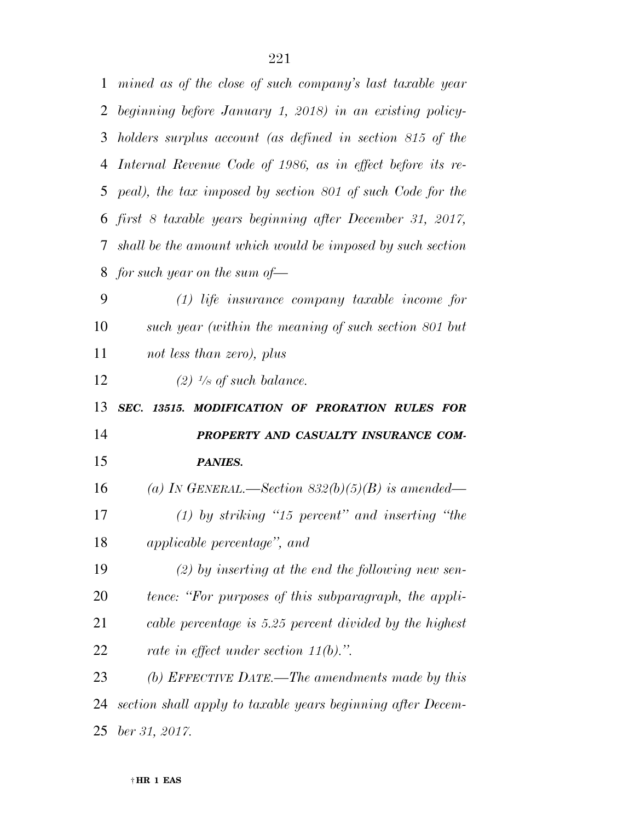| $\mathbf{1}$ | mined as of the close of such company's last taxable year    |
|--------------|--------------------------------------------------------------|
| 2            | beginning before January 1, 2018) in an existing policy-     |
| 3            | holders surplus account (as defined in section 815 of the    |
| 4            | Internal Revenue Code of 1986, as in effect before its re-   |
|              | 5 peal), the tax imposed by section 801 of such Code for the |
|              | 6 first 8 taxable years beginning after December 31, 2017,   |
| $\tau$       | shall be the amount which would be imposed by such section   |
|              | 8 for such year on the sum of—                               |
| 9            | $(1)$ life insurance company taxable income for              |
| 10           | such year (within the meaning of such section 801 but        |
| 11           | not less than zero), plus                                    |
| 12           | $(2)$ <sup>1</sup> /s of such balance.                       |
|              |                                                              |
| 13           | SEC. 13515. MODIFICATION OF PRORATION RULES FOR              |
| 14           | PROPERTY AND CASUALTY INSURANCE COM-                         |
| 15           | <b>PANIES.</b>                                               |
| 16           | (a) In GENERAL.—Section $832(b)(5)(B)$ is amended—           |
| 17           | $(1)$ by striking "15 percent" and inserting "the            |
| 18           | applicable percentage", and                                  |
| 19           | $(2)$ by inserting at the end the following new sen-         |
| 20           | tence: "For purposes of this subparagraph, the appli-        |
| 21           | cable percentage is 5.25 percent divided by the highest      |
| 22           | rate in effect under section $11(b)$ .".                     |
| 23           | (b) EFFECTIVE DATE.—The amendments made by this              |
| 24           | section shall apply to taxable years beginning after Decem-  |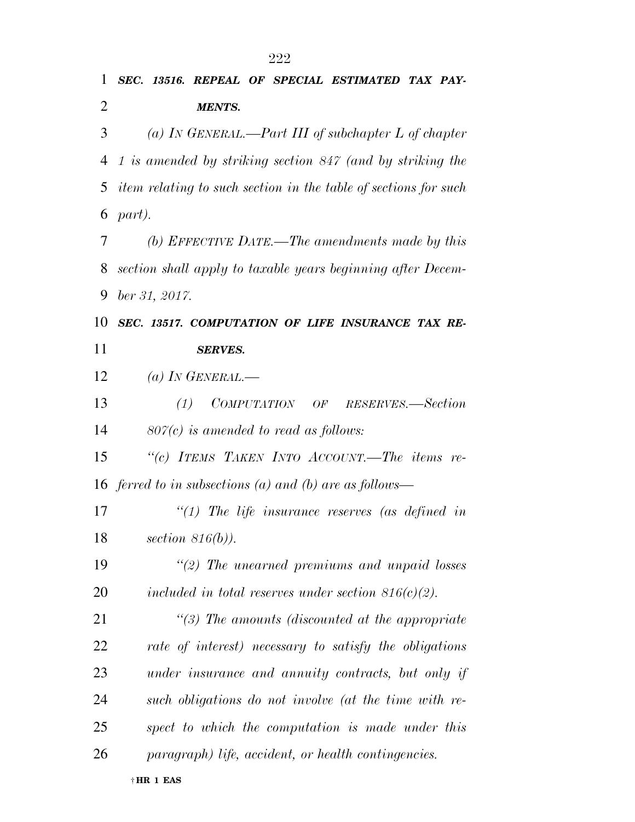| 1              | SEC. 13516. REPEAL OF SPECIAL ESTIMATED TAX PAY-                |
|----------------|-----------------------------------------------------------------|
| $\overline{2}$ | <b>MENTS.</b>                                                   |
| 3              | (a) IN GENERAL.—Part III of subchapter L of chapter             |
| 4              | 1 is amended by striking section 847 (and by striking the       |
| 5              | item relating to such section in the table of sections for such |
| 6              | part).                                                          |
| 7              | (b) EFFECTIVE DATE.—The amendments made by this                 |
| 8              | section shall apply to taxable years beginning after Decem-     |
| 9              | ber 31, 2017.                                                   |
| 10             | SEC. 13517. COMPUTATION OF LIFE INSURANCE TAX RE-               |
| 11             | <b>SERVES.</b>                                                  |
| 12             | (a) IN GENERAL.—                                                |
| 13             | COMPUTATION OF RESERVES.-Section<br>(1)                         |
| 14             | $80\%$ is amended to read as follows:                           |
| 15             | "(c) ITEMS TAKEN INTO ACCOUNT.—The items re-                    |
|                | 16 ferred to in subsections (a) and (b) are as follows—         |
| 17             | $\lq(1)$ The life insurance reserves (as defined in             |
| 18             | section $816(b)$ ).                                             |
| 19             | $\lq(2)$ The unearned premiums and unpaid losses                |
| 20             | included in total reserves under section $816(c)(2)$ .          |
| 21             | $\lq(3)$ The amounts (discounted at the appropriate             |
| 22             | rate of interest) necessary to satisfy the obligations          |
| 23             | under insurance and annuity contracts, but only if              |
| 24             | such obligations do not involve (at the time with re-           |
| 25             | spect to which the computation is made under this               |
| 26             | paragraph) life, accident, or health contingencies.             |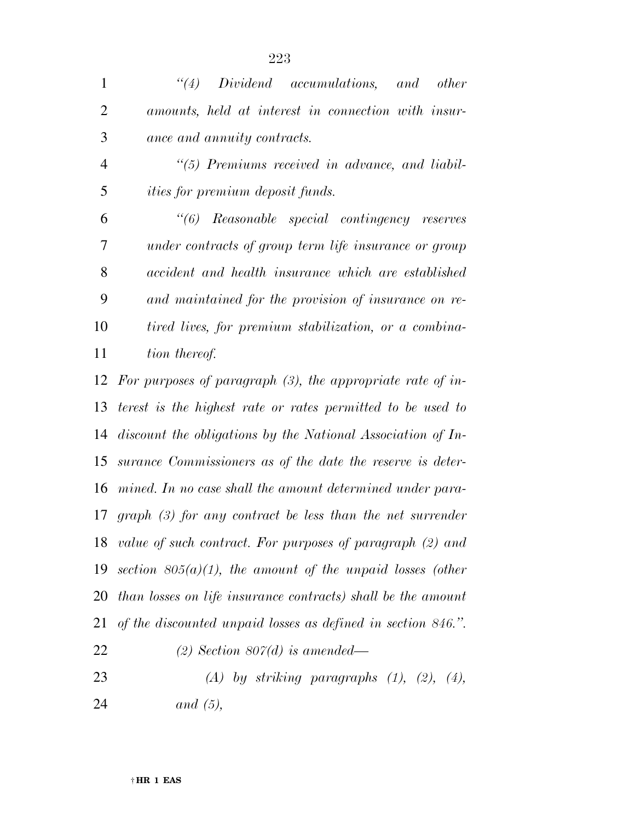*''(4) Dividend accumulations, and other amounts, held at interest in connection with insur-ance and annuity contracts.* 

 *''(5) Premiums received in advance, and liabil-ities for premium deposit funds.* 

 *''(6) Reasonable special contingency reserves under contracts of group term life insurance or group accident and health insurance which are established and maintained for the provision of insurance on re- tired lives, for premium stabilization, or a combina-tion thereof.* 

 *For purposes of paragraph (3), the appropriate rate of in- terest is the highest rate or rates permitted to be used to discount the obligations by the National Association of In- surance Commissioners as of the date the reserve is deter- mined. In no case shall the amount determined under para- graph (3) for any contract be less than the net surrender value of such contract. For purposes of paragraph (2) and section 805(a)(1), the amount of the unpaid losses (other than losses on life insurance contracts) shall be the amount of the discounted unpaid losses as defined in section 846.''. (2) Section 807(d) is amended—* 

 *(A) by striking paragraphs (1), (2), (4), and (5),*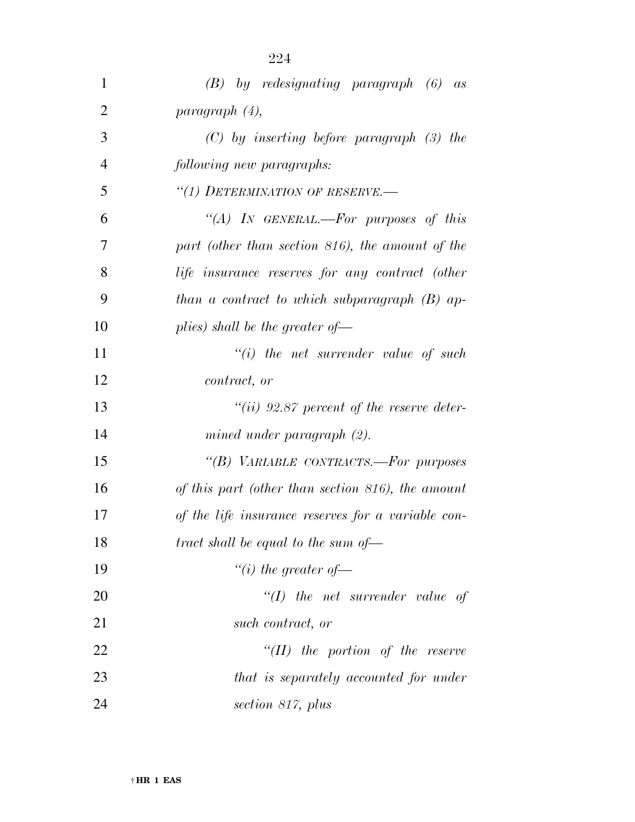| $\mathbf{1}$   | $(B)$ by redesignating paragraph $(6)$ as          |
|----------------|----------------------------------------------------|
| $\overline{2}$ | paragnath(4),                                      |
| 3              | $(C)$ by inserting before paragraph $(3)$ the      |
| $\overline{4}$ | following new paragraphs:                          |
| 5              | "(1) DETERMINATION OF RESERVE.-                    |
| 6              | "(A) IN GENERAL.—For purposes of this              |
| 7              | part (other than section 816), the amount of the   |
| 8              | life insurance reserves for any contract (other    |
| 9              | than a contract to which subparagraph $(B)$ ap-    |
| 10             | plies) shall be the greater of                     |
| 11             | $"(i)$ the net surrender value of such             |
| 12             | <i>contract, or</i>                                |
| 13             | $``(ii)$ 92.87 percent of the reserve deter-       |
| 14             | mined under paragraph (2).                         |
| 15             | "(B) VARIABLE CONTRACTS.—For purposes              |
| 16             | of this part (other than section 816), the amount  |
| 17             | of the life insurance reserves for a variable con- |
| 18             | tract shall be equal to the sum of $-$             |
| 19             | "(i) the greater of $-$                            |
| 20             | $``(I)$ the net surrender value of                 |
| 21             | such contract, or                                  |
| 22             | $``(II)$ the portion of the reserve                |
| 23             | that is separately accounted for under             |
| 24             | section 817, plus                                  |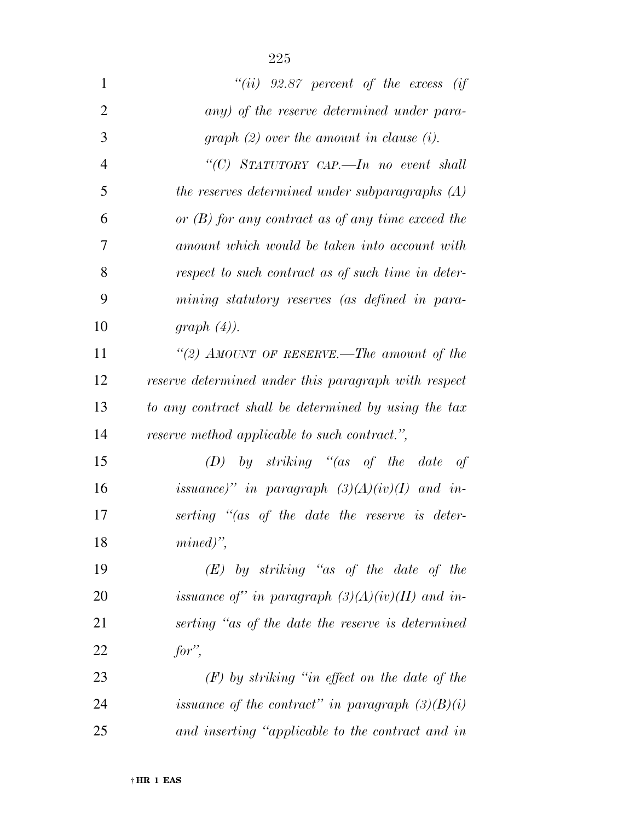| $\mathbf{1}$   | "(ii) $92.87$ percent of the excess (if               |
|----------------|-------------------------------------------------------|
| $\overline{2}$ | any) of the reserve determined under para-            |
| 3              | graph $(2)$ over the amount in clause $(i)$ .         |
| $\overline{4}$ | "(C) STATUTORY CAP.—In no event shall                 |
| 5              | the reserves determined under subparagraphs $(A)$     |
| 6              | or $(B)$ for any contract as of any time exceed the   |
| 7              | amount which would be taken into account with         |
| 8              | respect to such contract as of such time in deter-    |
| 9              | mining statutory reserves (as defined in para-        |
| 10             | graph $(4)$ ).                                        |
| 11             | "(2) AMOUNT OF RESERVE.—The amount of the             |
| 12             | reserve determined under this paragraph with respect  |
| 13             | to any contract shall be determined by using the tax  |
| 14             | <i>reserve method applicable to such contract."</i> , |
| 15             | $(D)$ by striking "(as of the date of                 |
| 16             | issuance)" in paragraph $(3)(A)(iv)(I)$ and in-       |
| 17             | serting "(as of the date the reserve is deter-        |
| 18             | $mined)$ ",                                           |
| 19             | $(E)$ by striking "as of the date of the              |
| 20             | issuance of" in paragraph $(3)(A)(iv)(II)$ and in-    |
| 21             | serting "as of the date the reserve is determined     |
| 22             | $for$ ,                                               |
| 23             | $(F)$ by striking "in effect on the date of the       |
| 24             | issuance of the contract" in paragraph $(3)(B)(i)$    |
| 25             | and inserting "applicable to the contract and in      |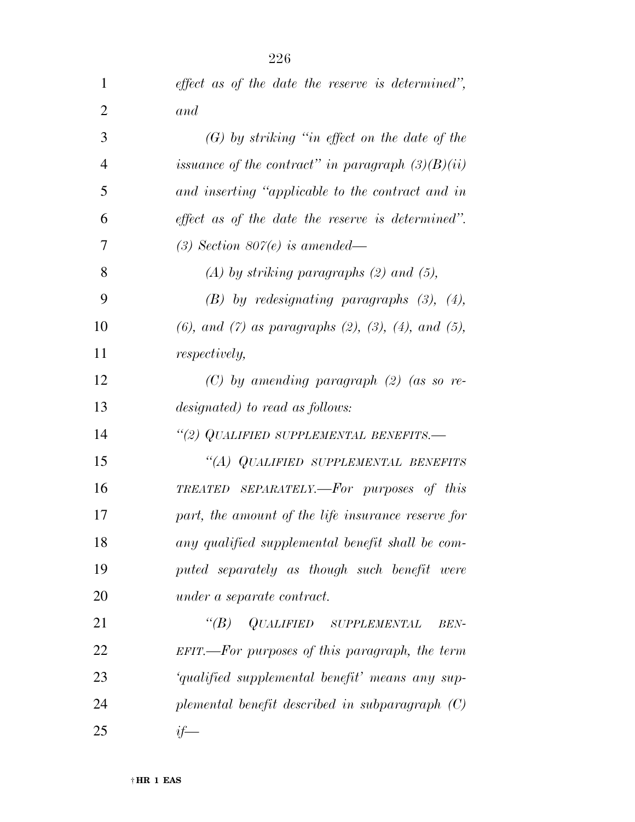| 1              | effect as of the date the reserve is determined",                   |
|----------------|---------------------------------------------------------------------|
| $\overline{2}$ | and                                                                 |
| 3              | $(G)$ by striking "in effect on the date of the                     |
| $\overline{4}$ | issuance of the contract" in paragraph $(3)(B)(ii)$                 |
| 5              | and inserting "applicable to the contract and in                    |
| 6              | effect as of the date the reserve is determined".                   |
| 7              | $(3)$ Section 807 $(e)$ is amended—                                 |
| 8              | $(A)$ by striking paragraphs $(2)$ and $(5)$ ,                      |
| 9              | $(B)$ by redesignating paragraphs $(3)$ , $(4)$ ,                   |
| 10             | $(6)$ , and $(7)$ as paragraphs $(2)$ , $(3)$ , $(4)$ , and $(5)$ , |
| 11             | <i>respectively,</i>                                                |
| 12             | $(C)$ by amending paragraph $(2)$ (as so re-                        |
| 13             | designated) to read as follows:                                     |
| 14             | "(2) QUALIFIED SUPPLEMENTAL BENEFITS.—                              |
| 15             | "(A) QUALIFIED SUPPLEMENTAL BENEFITS                                |
| 16             | TREATED SEPARATELY.—For purposes of this                            |
| 17             | part, the amount of the life insurance reserve for                  |
| 18             | any qualified supplemental benefit shall be com-                    |
| 19             | puted separately as though such benefit were                        |
| <b>20</b>      | under a separate contract.                                          |
| 21             | QUALIFIED SUPPLEMENTAL<br>$\lq(B)$<br><b>BEN-</b>                   |
| 22             | $EFIT.$ —For purposes of this paragraph, the term                   |
| 23             | 'qualified supplemental benefit' means any sup-                     |
| 24             | plemental benefit described in subparagraph $(C)$                   |
| 25             | $if-$                                                               |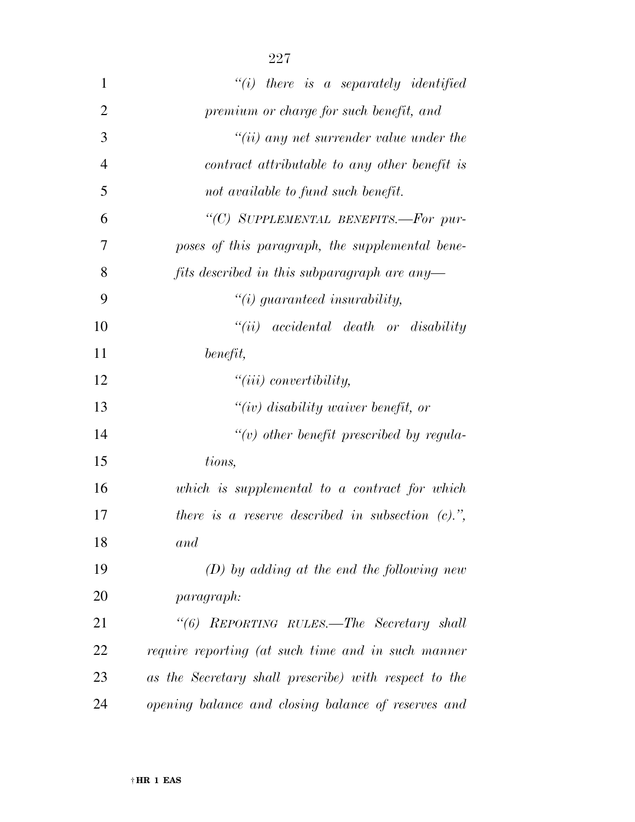| $\mathbf{1}$   | $"(i)$ there is a separately identified                         |
|----------------|-----------------------------------------------------------------|
| $\overline{2}$ | premium or charge for such benefit, and                         |
| 3              | $``(ii)$ any net surrender value under the                      |
| 4              | contract attributable to any other benefit is                   |
| 5              | not available to fund such benefit.                             |
| 6              | "(C) SUPPLEMENTAL BENEFITS.-For pur-                            |
| 7              | poses of this paragraph, the supplemental bene-                 |
| 8              | fits described in this subparagraph are any-                    |
| 9              | $\lq\lq(i)$ guaranteed insurability,                            |
| 10             | $``(ii) \quad accidental \quad death \quad or \quad disability$ |
| 11             | benefit,                                                        |
| 12             | $``(iii)$ convertibility,                                       |
| 13             | "(iv) disability waiver benefit, or                             |
| 14             | $\lq\lq(v)$ other benefit prescribed by regula-                 |
| 15             | tions,                                                          |
| 16             | which is supplemental to a contract for which                   |
| 17             | there is a reserve described in subsection $(c)$ .",            |
| 18             | and                                                             |
| 19             | $(D)$ by adding at the end the following new                    |
| 20             | <i>paragraph:</i>                                               |
| 21             | "(6) REPORTING RULES.—The Secretary shall                       |
| 22             | require reporting (at such time and in such manner              |
| 23             | as the Secretary shall prescribe) with respect to the           |
| 24             | opening balance and closing balance of reserves and             |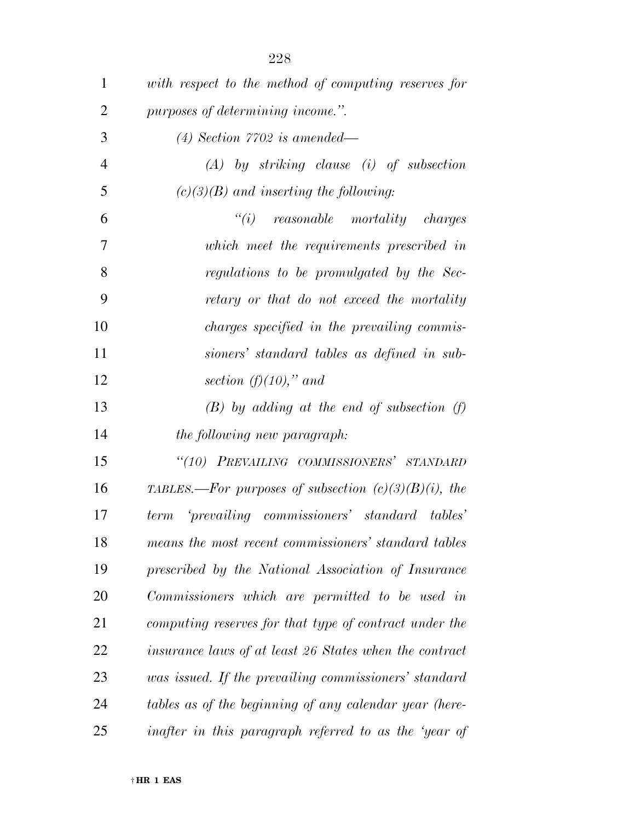| 1              | with respect to the method of computing reserves for    |
|----------------|---------------------------------------------------------|
| $\overline{2}$ | purposes of determining income.".                       |
| 3              | $(4)$ Section 7702 is amended—                          |
| $\overline{4}$ | $(A)$ by striking clause (i) of subsection              |
| 5              | $(c)(3)(B)$ and inserting the following:                |
| 6              | $``(i)$ reasonable mortality charges                    |
| 7              | which meet the requirements prescribed in               |
| 8              | regulations to be promulgated by the Sec-               |
| 9              | retary or that do not exceed the mortality              |
| 10             | <i>charges specified in the prevailing commis-</i>      |
| 11             | sioners' standard tables as defined in sub-             |
| 12             | section $(f)(10)$ ," and                                |
| 13             | $(B)$ by adding at the end of subsection (f)            |
| 14             | the following new paragraph:                            |
| 15             | "(10) PREVAILING COMMISSIONERS' STANDARD                |
| 16             | TABLES.—For purposes of subsection $(c)(3)(B)(i)$ , the |
| 17             | 'prevailing commissioners' standard tables'<br>term     |
| 18             | means the most recent commissioners' standard tables    |
| 19             | prescribed by the National Association of Insurance     |
| 20             | Commissioners which are permitted to be used in         |
| 21             | computing reserves for that type of contract under the  |
| 22             | insurance laws of at least 26 States when the contract  |
| 23             | was issued. If the prevailing commissioners' standard   |
| 24             | tables as of the beginning of any calendar year (here-  |
| 25             | inafter in this paragraph referred to as the 'year of   |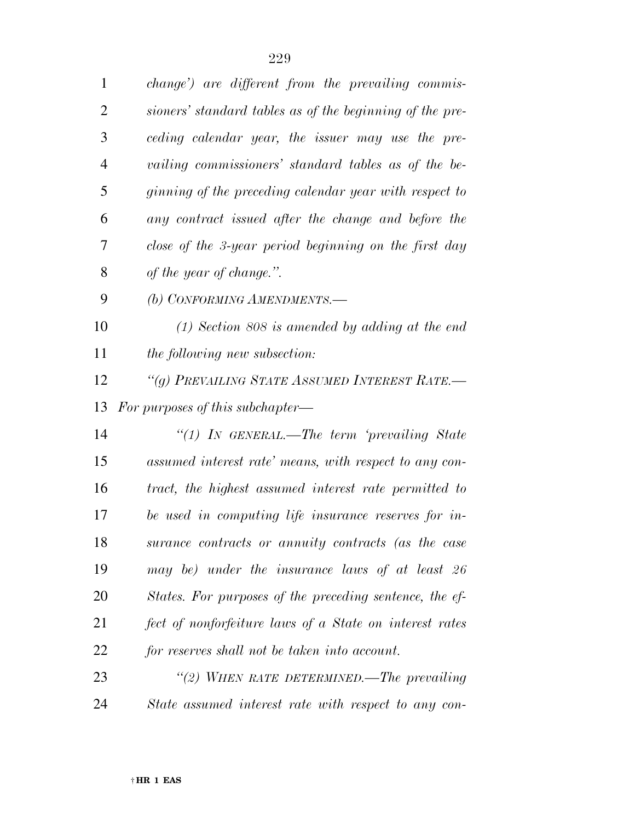| 1              | <i>change</i> ') are different from the prevailing commis- |
|----------------|------------------------------------------------------------|
| $\overline{2}$ | sioners' standard tables as of the beginning of the pre-   |
| 3              | ceding calendar year, the issuer may use the pre-          |
| $\overline{4}$ | vailing commissioners' standard tables as of the be-       |
| 5              | ginning of the preceding calendar year with respect to     |
| 6              | any contract issued after the change and before the        |
| 7              | close of the 3-year period beginning on the first day      |
| 8              | of the year of change.".                                   |
| 9              | (b) CONFORMING AMENDMENTS.-                                |
| 10             | $(1)$ Section 808 is amended by adding at the end          |
| 11             | the following new subsection:                              |
| 12             | "(g) PREVAILING STATE ASSUMED INTEREST RATE.-              |
|                |                                                            |
| 13             | For purposes of this subchapter—                           |
| 14             | "(1) In GENERAL.—The term 'prevailing State                |
| 15             | assumed interest rate' means, with respect to any con-     |
| 16             | tract, the highest assumed interest rate permitted to      |
| 17             | be used in computing life insurance reserves for in-       |
| 18             | surance contracts or annuity contracts (as the case        |
| 19             | may be) under the insurance laws of at least 26            |
| 20             | States. For purposes of the preceding sentence, the ef-    |
| 21             | fect of nonforfeiture laws of a State on interest rates    |
| 22             | for reserves shall not be taken into account.              |
| 23             | "(2) WHEN RATE DETERMINED.—The prevailing                  |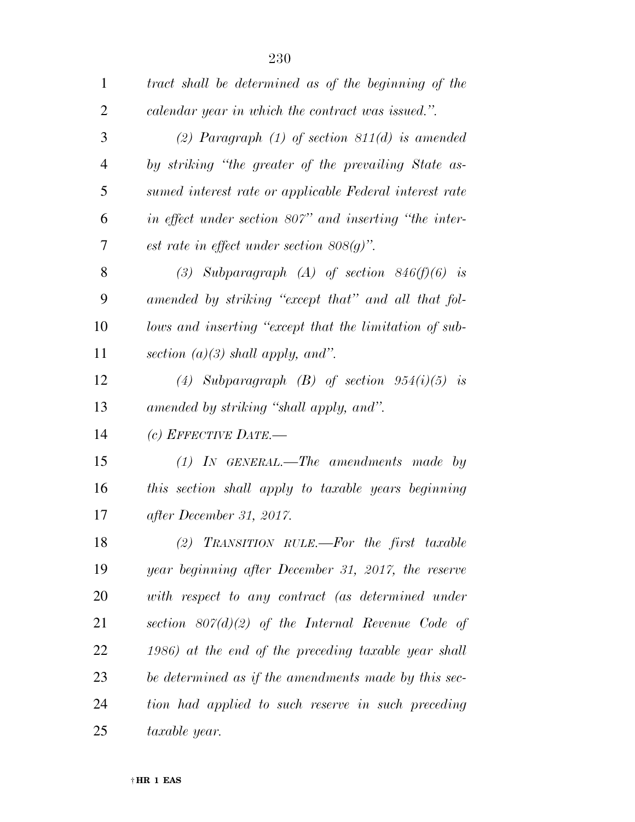| $\mathbf{1}$   | tract shall be determined as of the beginning of the    |
|----------------|---------------------------------------------------------|
| $\overline{2}$ | calendar year in which the contract was issued.".       |
| 3              | (2) Paragraph $(1)$ of section 811 $(d)$ is amended     |
| $\overline{4}$ | by striking "the greater of the prevailing State as-    |
| 5              | sumed interest rate or applicable Federal interest rate |
| 6              | in effect under section 807" and inserting "the inter-  |
| 7              | est rate in effect under section $808(g)$ ".            |
| 8              | (3) Subparagraph (A) of section $846(f)(6)$ is          |
| 9              | amended by striking "except that" and all that fol-     |
| 10             | lows and inserting "except that the limitation of sub-  |
| 11             | section $(a)(3)$ shall apply, and".                     |
| 12             | (4) Subparagraph $(B)$ of section $954(i)(5)$ is        |
| 13             | amended by striking "shall apply, and".                 |
| 14             | (c) EFFECTIVE DATE.—                                    |
| 15             | $(1)$ IN GENERAL.—The amendments made by                |
| 16             | this section shall apply to taxable years beginning     |
| 17             | after December 31, 2017.                                |
| 18             | (2) TRANSITION RULE.—For the first taxable              |
| 19             | year beginning after December 31, 2017, the reserve     |
| 20             | with respect to any contract (as determined under       |
| 21             | section $807(d)(2)$ of the Internal Revenue Code of     |
| 22             | $(1986)$ at the end of the preceding taxable year shall |
| 23             | be determined as if the amendments made by this sec-    |
| 24             | tion had applied to such reserve in such preceding      |
| 25             | taxable year.                                           |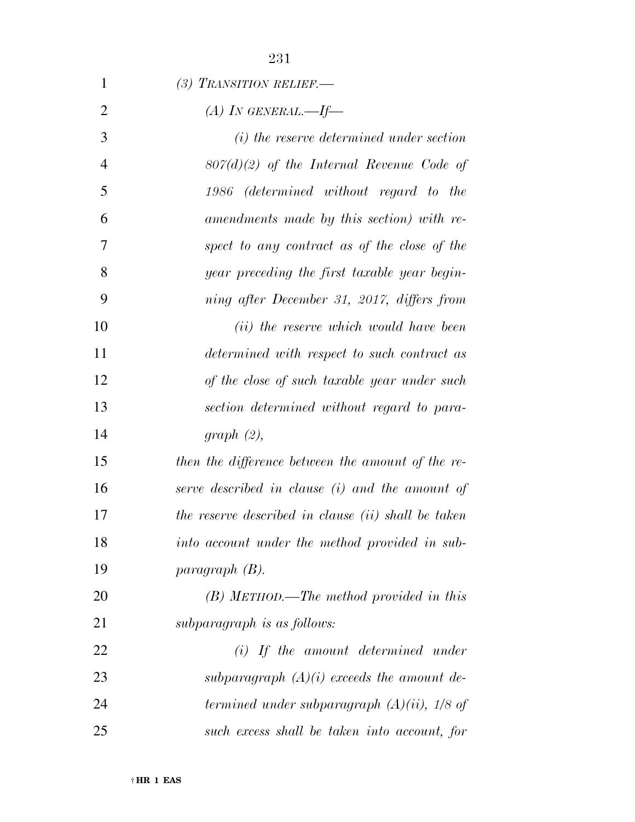| $\mathbf{1}$   | (3) TRANSITION RELIEF.                              |
|----------------|-----------------------------------------------------|
| $\overline{2}$ | (A) IN GENERAL.—If—                                 |
| 3              | (i) the reserve determined under section            |
| $\overline{4}$ | $807(d)(2)$ of the Internal Revenue Code of         |
| 5              | 1986 (determined without regard to the              |
| 6              | amendments made by this section) with re-           |
| 7              | spect to any contract as of the close of the        |
| 8              | year preceding the first taxable year begin-        |
| 9              | ning after December 31, 2017, differs from          |
| 10             | (ii) the reserve which would have been              |
| 11             | determined with respect to such contract as         |
| 12             | of the close of such taxable year under such        |
| 13             | section determined without regard to para-          |
| 14             | graph (2),                                          |
| 15             | then the difference between the amount of the re-   |
| 16             | serve described in clause (i) and the amount of     |
| 17             | the reserve described in clause (ii) shall be taken |
| 18             | into account under the method provided in sub-      |
| 19             | $paragnath(B)$ .                                    |
| 20             | $(B)$ METHOD.—The method provided in this           |
| 21             | subparagraph is as follows:                         |
| 22             | $(i)$ If the amount determined under                |
| 23             | subparagraph $(A)(i)$ exceeds the amount de-        |
| 24             | termined under subparagraph $(A)(ii)$ , $1/8$ of    |
| 25             | such excess shall be taken into account, for        |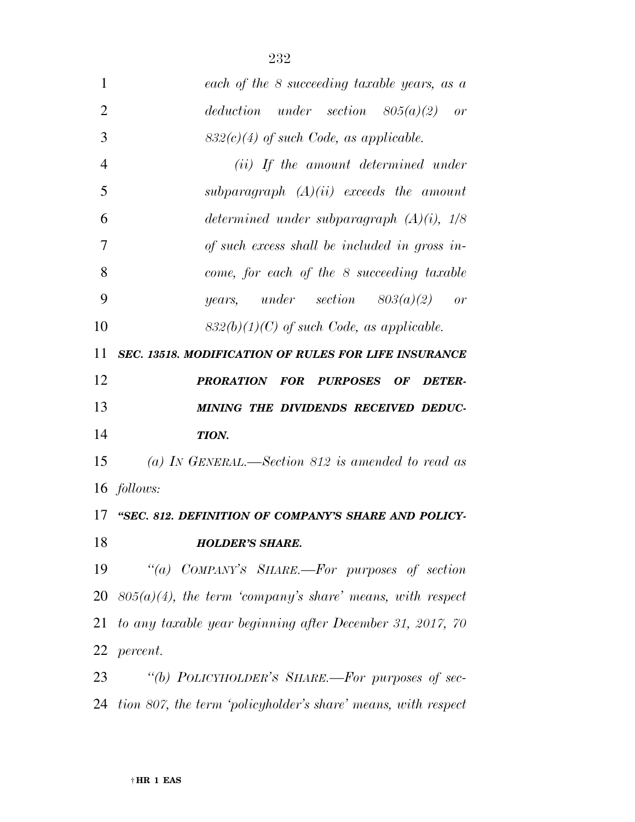| $\mathbf{1}$   | each of the 8 succeeding taxable years, as a                 |
|----------------|--------------------------------------------------------------|
| $\overline{2}$ | deduction under section $805(a)(2)$ or                       |
| 3              | $832(c)(4)$ of such Code, as applicable.                     |
| $\overline{4}$ | (ii) If the amount determined under                          |
| 5              | subparagraph $(A)(ii)$ exceeds the amount                    |
| 6              | determined under subparagraph $(A)(i)$ , $1/8$               |
| 7              | of such excess shall be included in gross in-                |
| 8              | come, for each of the 8 succeeding taxable                   |
| 9              | years, under section $803(a)(2)$ or                          |
| 10             | $832(b)(1)(C)$ of such Code, as applicable.                  |
| 11             | <b>SEC. 13518. MODIFICATION OF RULES FOR LIFE INSURANCE</b>  |
| 12             | PRORATION FOR PURPOSES<br>OF D<br><b>DETER-</b>              |
| 13             | MINING THE DIVIDENDS RECEIVED DEDUC-                         |
| 14             | TION.                                                        |
| 15             | (a) IN GENERAL.—Section 812 is amended to read as            |
|                | 16 <i>follows:</i>                                           |
| 17             | "SEC. 812. DEFINITION OF COMPANY'S SHARE AND POLICY-         |
| 18             | <b>HOLDER'S SHARE.</b>                                       |
| 19             | "(a) COMPANY'S SHARE.—For purposes of section                |
| 20             | $805(a)(4)$ , the term 'company's share' means, with respect |
| 21             | to any taxable year beginning after December 31, 2017, 70    |
|                | 22 <i>percent.</i>                                           |
| 23             | "(b) POLICYHOLDER'S SHARE.—For purposes of sec-              |

*tion 807, the term 'policyholder's share' means, with respect*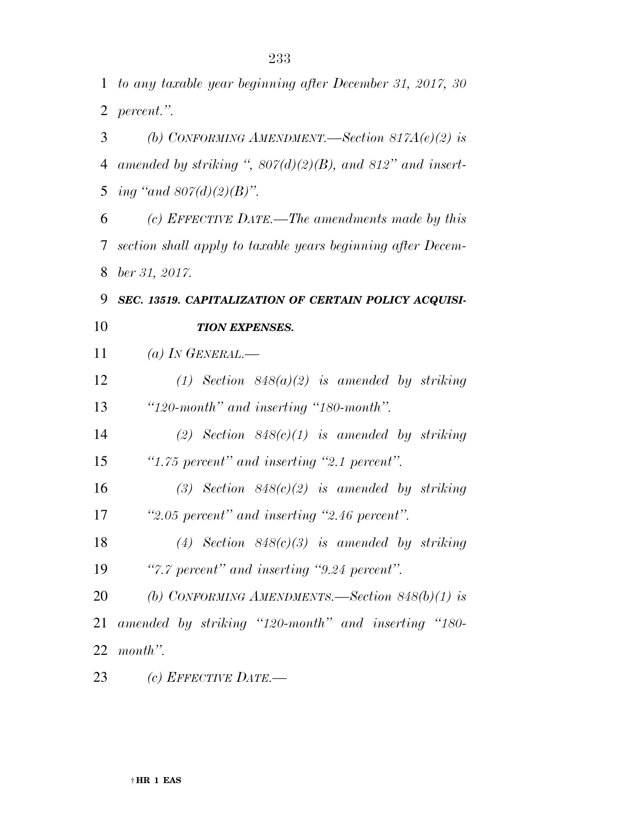*to any taxable year beginning after December 31, 2017, 30 percent.''.* 

 *(b) CONFORMING AMENDMENT.—Section 817A(e)(2) is amended by striking '', 807(d)(2)(B), and 812'' and insert-ing ''and 807(d)(2)(B)''.* 

 *(c) EFFECTIVE DATE.—The amendments made by this section shall apply to taxable years beginning after Decem-ber 31, 2017.* 

*SEC. 13519. CAPITALIZATION OF CERTAIN POLICY ACQUISI-*

## *TION EXPENSES.*

*(a) IN GENERAL.—* 

 *(1) Section 848(a)(2) is amended by striking ''120-month'' and inserting ''180-month''.* 

 *(2) Section 848(c)(1) is amended by striking ''1.75 percent'' and inserting ''2.1 percent''.* 

 *(3) Section 848(c)(2) is amended by striking ''2.05 percent'' and inserting ''2.46 percent''.* 

 *(4) Section 848(c)(3) is amended by striking ''7.7 percent'' and inserting ''9.24 percent''.* 

 *(b) CONFORMING AMENDMENTS.—Section 848(b)(1) is amended by striking ''120-month'' and inserting ''180- month''.* 

*(c) EFFECTIVE DATE.—*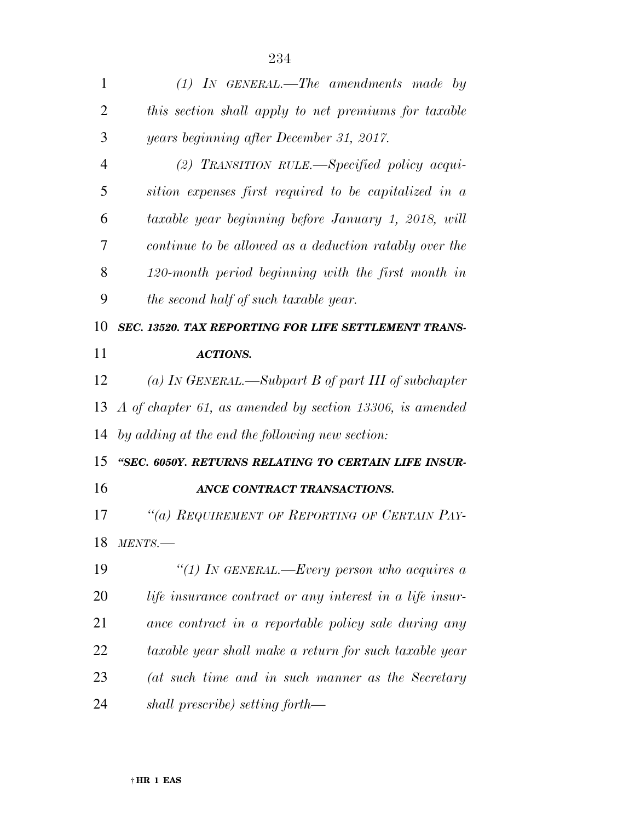*this section shall apply to net premiums for taxable years beginning after December 31, 2017. (2) TRANSITION RULE.—Specified policy acqui- sition expenses first required to be capitalized in a taxable year beginning before January 1, 2018, will continue to be allowed as a deduction ratably over the 120-month period beginning with the first month in the second half of such taxable year. SEC. 13520. TAX REPORTING FOR LIFE SETTLEMENT TRANS-ACTIONS.* 

 *(a) IN GENERAL.—Subpart B of part III of subchapter A of chapter 61, as amended by section 13306, is amended by adding at the end the following new section:* 

 *''SEC. 6050Y. RETURNS RELATING TO CERTAIN LIFE INSUR-ANCE CONTRACT TRANSACTIONS.* 

 *''(a) REQUIREMENT OF REPORTING OF CERTAIN PAY-MENTS.—* 

 *''(1) IN GENERAL.—Every person who acquires a life insurance contract or any interest in a life insur- ance contract in a reportable policy sale during any taxable year shall make a return for such taxable year (at such time and in such manner as the Secretary shall prescribe) setting forth—* 

*(1) IN GENERAL.—The amendments made by*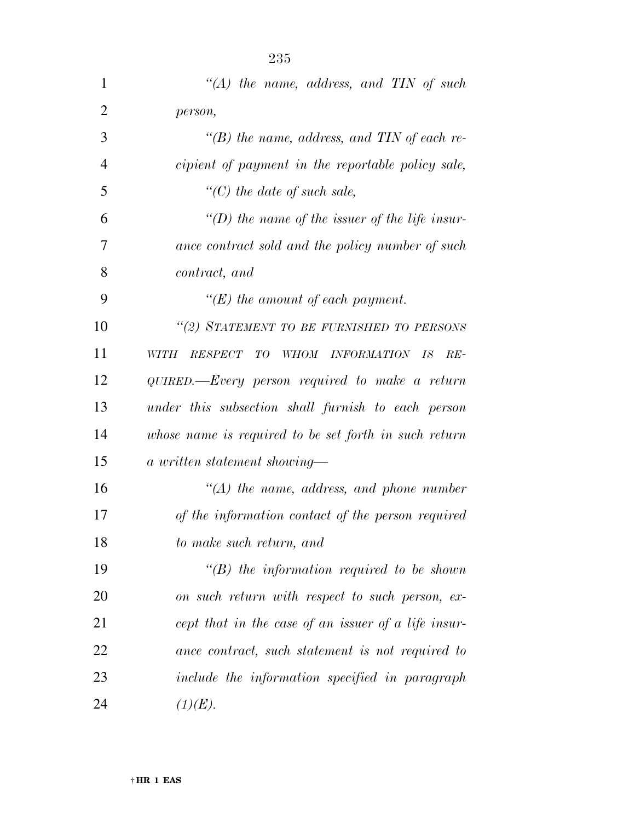| $\mathbf{1}$   | "(A) the name, address, and TIN of such               |
|----------------|-------------------------------------------------------|
| $\overline{2}$ | person,                                               |
| 3              | $\lq (B)$ the name, address, and TIN of each re-      |
| 4              | cipient of payment in the reportable policy sale,     |
| 5              | $\lq\lq C$ the date of such sale,                     |
| 6              | "(D) the name of the issuer of the life insur-        |
| 7              | ance contract sold and the policy number of such      |
| 8              | contract, and                                         |
| 9              | "(E) the amount of each payment.                      |
| 10             | "(2) STATEMENT TO BE FURNISHED TO PERSONS             |
| 11             | RESPECT<br>WHOM INFORMATION IS<br>WITH<br>TО<br>$RE-$ |
| 12             | QUIRED.—Every person required to make a return        |
| 13             | under this subsection shall furnish to each person    |
| 14             | whose name is required to be set forth in such return |
| 15             | a written statement showing—                          |
| 16             | $\lq (A)$ the name, address, and phone number         |
| 17             | of the information contact of the person required     |
| 18             | to make such return, and                              |
| 19             | $\lq\lq B$ the information required to be shown       |
| 20             | on such return with respect to such person, ex-       |
| 21             | cept that in the case of an issuer of a life insur-   |
| 22             | ance contract, such statement is not required to      |
| 23             | include the information specified in paragraph        |
| 24             | (1)(E).                                               |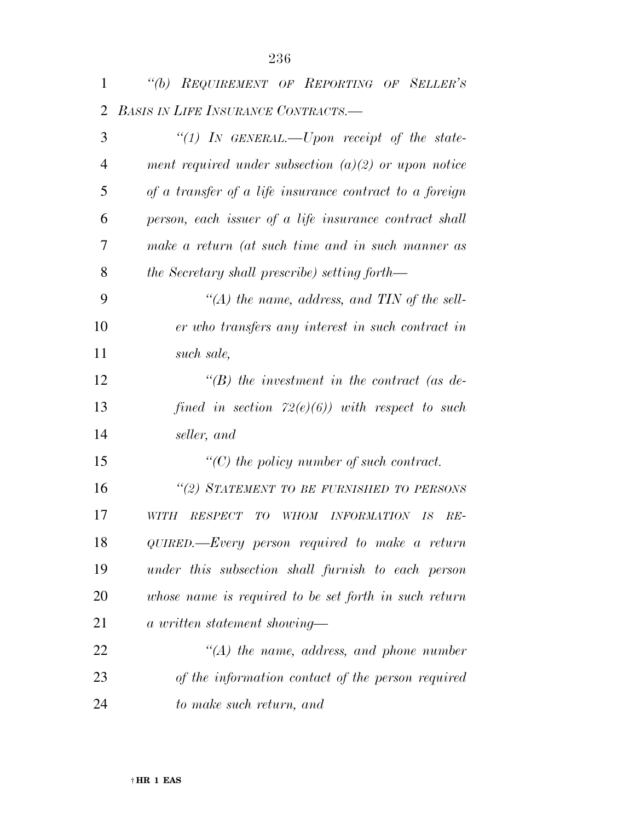| $\mathbf{1}$   | "(b) REQUIREMENT OF REPORTING OF SELLER'S                                        |
|----------------|----------------------------------------------------------------------------------|
| 2              | <b>BASIS IN LIFE INSURANCE CONTRACTS.</b>                                        |
| 3              | "(1) IN GENERAL.—Upon receipt of the state-                                      |
| $\overline{4}$ | ment required under subsection $(a)(2)$ or upon notice                           |
| 5              | of a transfer of a life insurance contract to a foreign                          |
| 6              | person, each issuer of a life insurance contract shall                           |
| 7              | make a return (at such time and in such manner as                                |
| 8              | the Secretary shall prescribe) setting forth—                                    |
| 9              | "(A) the name, address, and TIN of the sell-                                     |
| 10             | er who transfers any interest in such contract in                                |
| 11             | such sale,                                                                       |
| 12             | $\lq\lq(B)$ the investment in the contract (as de-                               |
| 13             | fined in section $72(e)(6)$ ) with respect to such                               |
| 14             | seller, and                                                                      |
| 15             | $\lq\lq C$ the policy number of such contract.                                   |
| 16             | "(2) STATEMENT TO BE FURNISHED TO PERSONS                                        |
| 17             | <i>INFORMATION</i><br>WITH<br><b>RESPECT</b><br>TО<br><b>WHOM</b><br>IS<br>$RE-$ |
| 18             | QUIRED.—Every person required to make a return                                   |
| 19             | under this subsection shall furnish to each person                               |
| 20             | whose name is required to be set forth in such return                            |
| 21             | a written statement showing—                                                     |
| 22             | $\lq (A)$ the name, address, and phone number                                    |
| 23             | of the information contact of the person required                                |
| 24             | to make such return, and                                                         |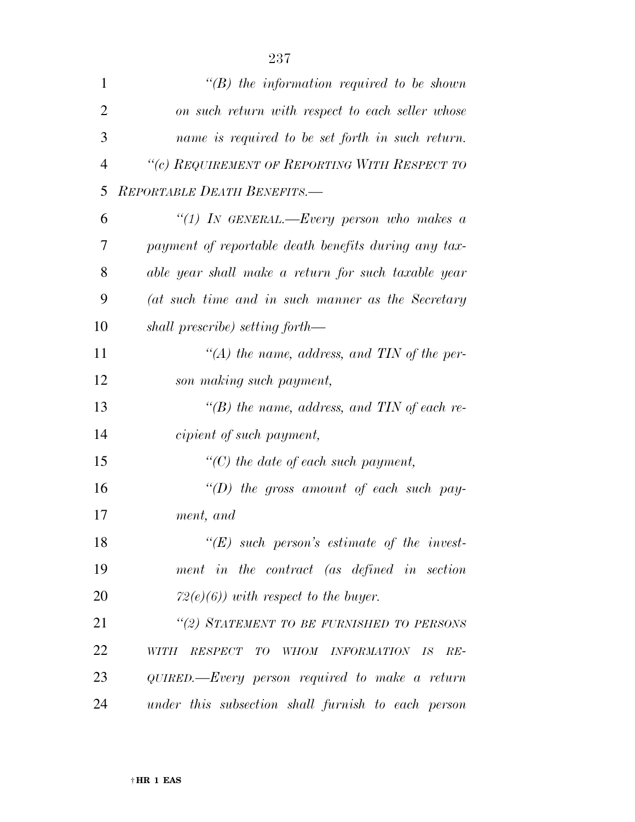| $\mathbf{1}$   | $\lq\lq B$ the information required to be shown                         |
|----------------|-------------------------------------------------------------------------|
| $\overline{2}$ | on such return with respect to each seller whose                        |
| 3              | name is required to be set forth in such return.                        |
| $\overline{4}$ | "(c) REQUIREMENT OF REPORTING WITH RESPECT TO                           |
| 5              | REPORTABLE DEATH BENEFITS.-                                             |
| 6              | "(1) In GENERAL.—Every person who makes a                               |
| 7              | payment of reportable death benefits during any tax-                    |
| 8              | able year shall make a return for such taxable year                     |
| 9              | (at such time and in such manner as the Secretary                       |
| 10             | shall prescribe) setting forth—                                         |
| 11             | "(A) the name, address, and TIN of the per-                             |
| 12             | son making such payment,                                                |
| 13             | "(B) the name, address, and TIN of each re-                             |
| 14             | cipient of such payment,                                                |
| 15             | $\lq\lq C$ the date of each such payment,                               |
| 16             | "(D) the gross amount of each such pay-                                 |
| 17             | ment, and                                                               |
| 18             | " $(E)$ such person's estimate of the invest-                           |
| 19             | ment in the contract (as defined in section                             |
| 20             | $72(e)(6)$ ) with respect to the buyer.                                 |
| 21             | "(2) STATEMENT TO BE FURNISHED TO PERSONS                               |
| 22             | <i>RESPECT</i><br>T O<br>INFORMATION IS<br>WITH<br><b>WHOM</b><br>$RE-$ |
| 23             | QUIRED.—Every person required to make a return                          |
| 24             | under this subsection shall furnish to each person                      |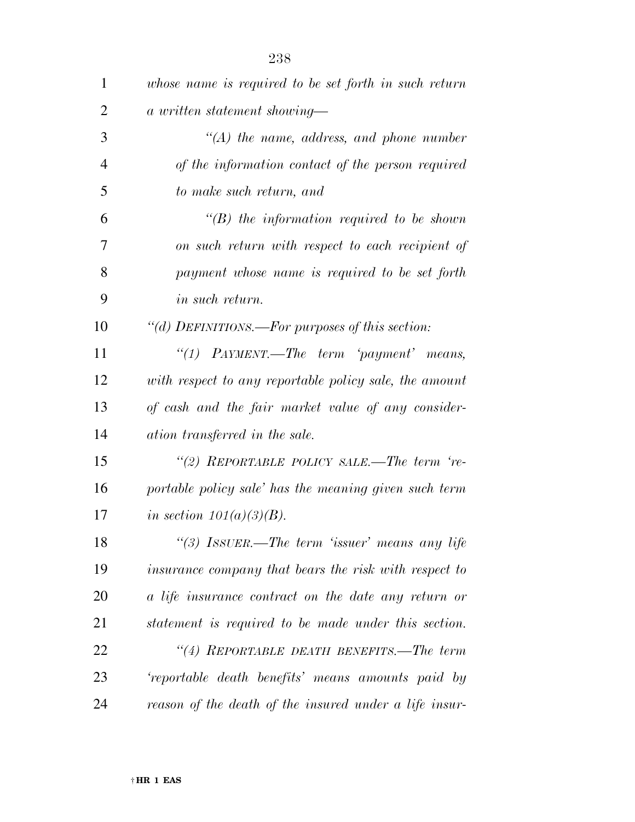| $\mathbf{1}$   | whose name is required to be set forth in such return  |
|----------------|--------------------------------------------------------|
| $\overline{2}$ | a written statement showing—                           |
| 3              | $\lq (A)$ the name, address, and phone number          |
| 4              | of the information contact of the person required      |
| 5              | to make such return, and                               |
| 6              | $\lq\lq B$ the information required to be shown        |
| 7              | on such return with respect to each recipient of       |
| 8              | payment whose name is required to be set forth         |
| 9              | <i>in such return.</i>                                 |
| 10             | "(d) DEFINITIONS.—For purposes of this section:        |
| 11             | "(1) $PAYMENT$ —The term 'payment' means,              |
| 12             | with respect to any reportable policy sale, the amount |
| 13             | of cash and the fair market value of any consider-     |
| 14             | ation transferred in the sale.                         |
| 15             | "(2) REPORTABLE POLICY SALE.—The term 're-             |
| 16             | portable policy sale' has the meaning given such term  |
| 17             | in section $101(a)(3)(B)$ .                            |
| 18             | "(3) ISSUER.—The term 'issuer' means any life          |
| 19             | insurance company that bears the risk with respect to  |
| 20             | a life insurance contract on the date any return or    |
| 21             | statement is required to be made under this section.   |
| 22             | "(4) REPORTABLE DEATH BENEFITS.—The term               |
| 23             | 'reportable death benefits' means amounts paid by      |
| 24             | reason of the death of the insured under a life insur- |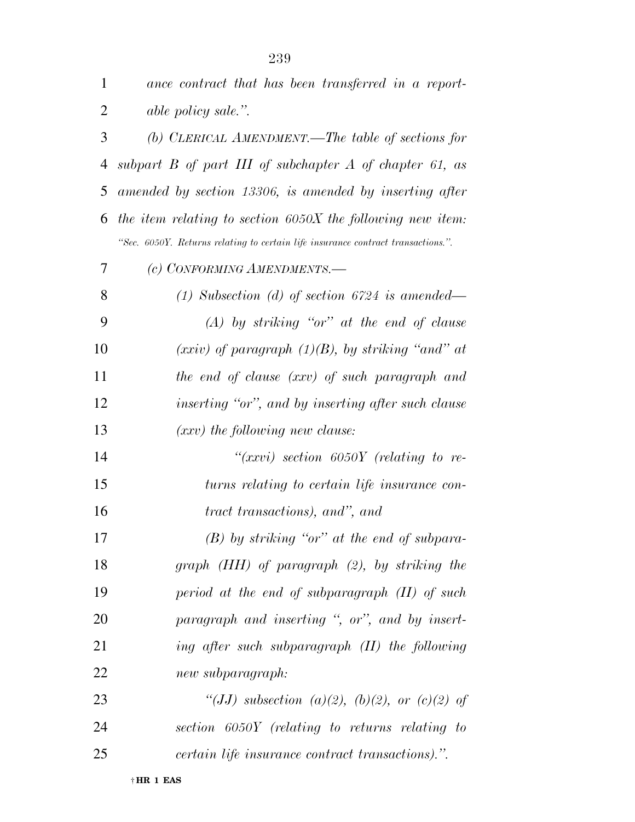| $\mathbf{1}$   | ance contract that has been transferred in a report-                             |
|----------------|----------------------------------------------------------------------------------|
| $\overline{2}$ | able policy sale.".                                                              |
| 3              | (b) CLERICAL AMENDMENT.—The table of sections for                                |
| 4              | subpart $B$ of part III of subchapter $A$ of chapter 61, as                      |
| 5              | amended by section 13306, is amended by inserting after                          |
| 6              | the item relating to section $6050X$ the following new item:                     |
|                | "Sec. 6050Y. Returns relating to certain life insurance contract transactions.". |
| 7              | (c) CONFORMING AMENDMENTS.-                                                      |
| 8              | (1) Subsection (d) of section $6724$ is amended—                                 |
| 9              | $(A)$ by striking "or" at the end of clause                                      |
| 10             | $(xxiv)$ of paragraph $(1)(B)$ , by striking "and" at                            |
| 11             | the end of clause (xxv) of such paragraph and                                    |
| 12             | inserting "or", and by inserting after such clause                               |
| 13             | $(xxv)$ the following new clause:                                                |
| 14             | " $(xxvi)$ section 6050Y (relating to re-                                        |
| 15             | turns relating to certain life insurance con-                                    |
| 16             | tract transactions), and", and                                                   |
| 17             | $(B)$ by striking "or" at the end of subpara-                                    |
| 18             | graph (HH) of paragraph (2), by striking the                                     |
| 19             | period at the end of subparagraph $(II)$ of such                                 |
| 20             | paragraph and inserting ", or", and by insert-                                   |
| 21             | ing after such subparagraph $(II)$ the following                                 |
| 22             | new subparagraph:                                                                |
| 23             | "(JJ) subsection (a)(2), (b)(2), or (c)(2) of                                    |
| 24             | section 6050Y (relating to returns relating to                                   |
| 25             | certain life insurance contract transactions).".                                 |

† **HR 1 EAS**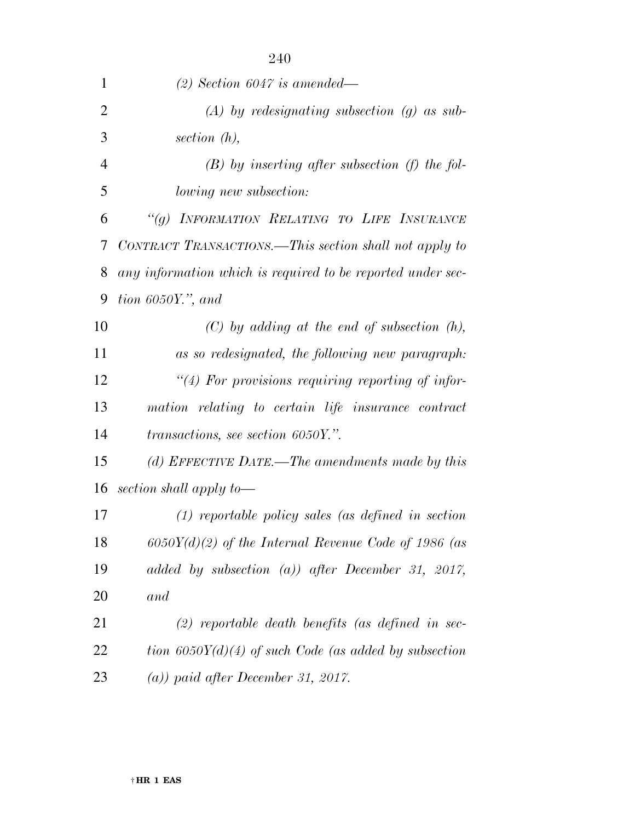| 1              | $(2)$ Section 6047 is amended—                              |
|----------------|-------------------------------------------------------------|
| $\overline{2}$ | $(A)$ by redesignating subsection $(g)$ as sub-             |
| 3              | section $(h)$ ,                                             |
| 4              | $(B)$ by inserting after subsection (f) the fol-            |
| 5              | <i>lowing new subsection:</i>                               |
| 6              | "(g) INFORMATION RELATING TO LIFE INSURANCE                 |
| 7              | CONTRACT TRANSACTIONS.—This section shall not apply to      |
| 8              | any information which is required to be reported under sec- |
| 9              | tion $6050Y$ ,", and                                        |
| 10             | $(C)$ by adding at the end of subsection $(h)$ ,            |
| 11             | as so redesignated, the following new paragraph:            |
| 12             | $\lq(4)$ For provisions requiring reporting of infor-       |
| 13             | mation relating to certain life insurance contract          |
| 14             | transactions, see section 6050Y.".                          |
| 15             | (d) EFFECTIVE DATE.—The amendments made by this             |
| 16             | section shall apply to-                                     |
| 17             | $(1)$ reportable policy sales (as defined in section        |
| 18             | $6050Y(d)(2)$ of the Internal Revenue Code of 1986 (as      |
| 19             | added by subsection (a)) after December 31, 2017,           |
| 20             | and                                                         |
| 21             | $(2)$ reportable death benefits (as defined in sec-         |
| 22             | tion $6050Y(d)(4)$ of such Code (as added by subsection     |
| 23             | $(a)$ ) paid after December 31, 2017.                       |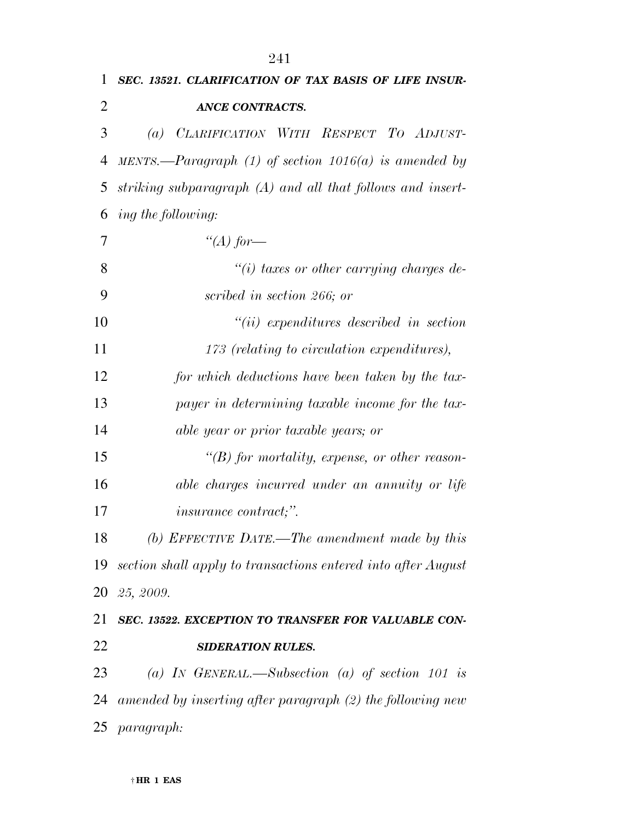| SEC. 13521. CLARIFICATION OF TAX BASIS OF LIFE INSUR-            |
|------------------------------------------------------------------|
| <b>ANCE CONTRACTS.</b>                                           |
| (a) CLARIFICATION WITH RESPECT TO ADJUST-                        |
| MENTS.—Paragraph (1) of section $1016(a)$ is amended by          |
| striking subparagraph (A) and all that follows and insert-       |
| ing the following:                                               |
| "(A) for—                                                        |
| $\lq(i)$ taxes or other carrying charges de-                     |
| scribed in section 266; or                                       |
| $``(ii)$ expenditures described in section                       |
| 173 (relating to circulation expenditures),                      |
| for which deductions have been taken by the tax-                 |
| payer in determining taxable income for the tax-                 |
| able year or prior taxable years; or                             |
| $\lq\lq(B)$ for mortality, expense, or other reason-             |
| able charges incurred under an annuity or life                   |
| <i>insurance contract;".</i>                                     |
| (b) EFFECTIVE DATE.—The amendment made by this                   |
| 19 section shall apply to transactions entered into after August |
| 20 25, 2009.                                                     |
| SEC. 13522. EXCEPTION TO TRANSFER FOR VALUABLE CON-              |
| <b>SIDERATION RULES.</b>                                         |
| (a) IN GENERAL.—Subsection (a) of section 101 is                 |
| amended by inserting after paragraph (2) the following new       |
| <i>paragraph:</i>                                                |
|                                                                  |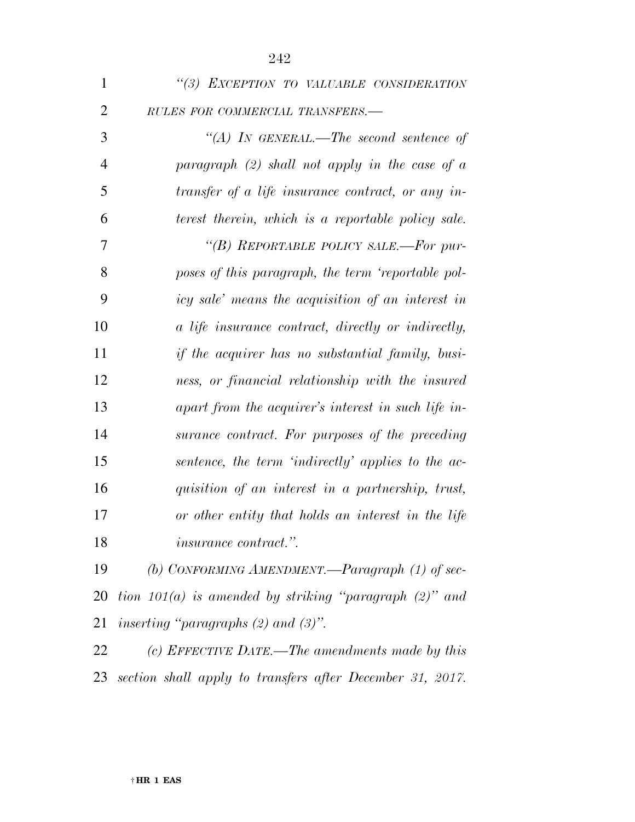| $\mathbf{1}$   | "(3) EXCEPTION TO VALUABLE CONSIDERATION                    |
|----------------|-------------------------------------------------------------|
| $\overline{2}$ | RULES FOR COMMERCIAL TRANSFERS.-                            |
| 3              | "(A) IN GENERAL.—The second sentence of                     |
| $\overline{4}$ | paragraph $(2)$ shall not apply in the case of a            |
| 5              | transfer of a life insurance contract, or any in-           |
| 6              | terest therein, which is a reportable policy sale.          |
| 7              | "(B) REPORTABLE POLICY SALE.—For pur-                       |
| 8              | poses of this paragraph, the term 'reportable pol-          |
| 9              | icy sale' means the acquisition of an interest in           |
| 10             | a life insurance contract, directly or indirectly,          |
| 11             | if the acquirer has no substantial family, busi-            |
| 12             | ness, or financial relationship with the insured            |
| 13             | apart from the acquirer's interest in such life in-         |
| 14             | surance contract. For purposes of the preceding             |
| 15             | sentence, the term 'indirectly' applies to the ac-          |
| 16             | quisition of an interest in a partnership, trust,           |
| 17             | or other entity that holds an interest in the life          |
| 18             | <i>insurance contract.</i> ".                               |
| 19             | (b) CONFORMING AMENDMENT.—Paragraph (1) of sec-             |
| 20             | tion $101(a)$ is amended by striking "paragraph $(2)$ " and |

*inserting ''paragraphs (2) and (3)''.* 

 *(c) EFFECTIVE DATE.—The amendments made by this section shall apply to transfers after December 31, 2017.*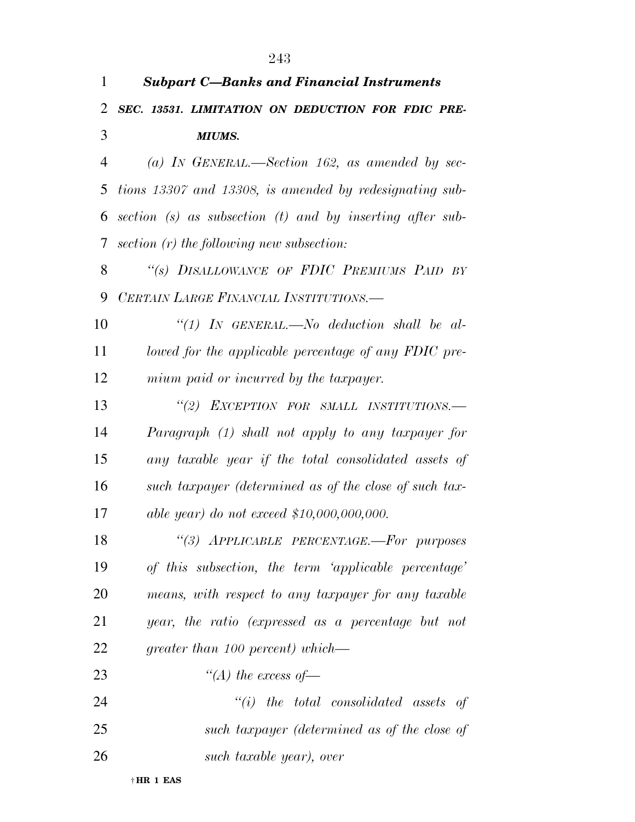| 1              | <b>Subpart C-Banks and Financial Instruments</b>          |
|----------------|-----------------------------------------------------------|
| 2              | SEC. 13531. LIMITATION ON DEDUCTION FOR FDIC PRE-         |
| 3              | <b>MIUMS.</b>                                             |
| $\overline{4}$ | (a) IN GENERAL.—Section 162, as amended by sec-           |
| 5              | tions 13307 and 13308, is amended by redesignating sub-   |
| 6              | section (s) as subsection (t) and by inserting after sub- |
| 7              | section $(r)$ the following new subsection:               |
| 8              | "(s) DISALLOWANCE OF FDIC PREMIUMS PAID BY                |
| 9              | CERTAIN LARGE FINANCIAL INSTITUTIONS.-                    |
| 10             | "(1) IN GENERAL.—No deduction shall be al-                |
| 11             | lowed for the applicable percentage of any FDIC pre-      |
| 12             | mium paid or incurred by the taxpayer.                    |
| 13             | "(2) EXCEPTION FOR SMALL INSTITUTIONS.-                   |
| 14             | Paragraph (1) shall not apply to any taxpayer for         |
| 15             | any taxable year if the total consolidated assets of      |
| 16             | such taxpayer (determined as of the close of such tax-    |
| 17             | able year) do not exceed $$10,000,000,000$ .              |
| 18             | "(3) APPLICABLE PERCENTAGE.-For purposes                  |
| 19             | of this subsection, the term 'applicable percentage'      |
| 20             | means, with respect to any taxpayer for any taxable       |
| 21             | year, the ratio (expressed as a percentage but not        |
| 22             | greater than 100 percent) which—                          |
| 23             | "(A) the excess of $-$                                    |
| 24             | $``(i)$ the total consolidated assets of                  |
| 25             | such taxpayer (determined as of the close of              |
| 26             | such taxable year), over                                  |

† **HR 1 EAS**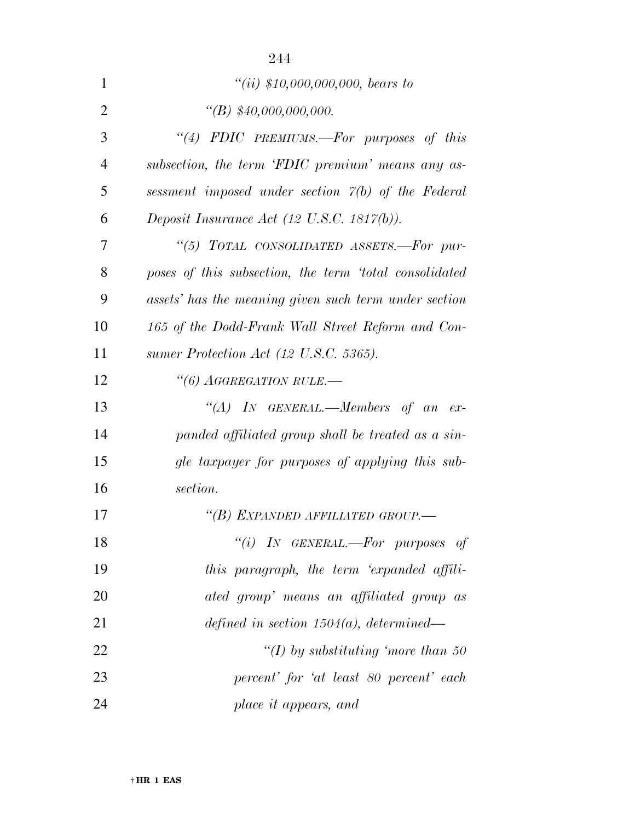|                | 244                                                        |
|----------------|------------------------------------------------------------|
| 1              | $``(ii) $10,000,000,000,$ bears to                         |
| $\overline{2}$ | $\lq (B) \lq\lq 40,000,000,000.$                           |
| 3              | "(4) FDIC PREMIUMS.-For purposes of this                   |
| $\overline{4}$ | subsection, the term 'FDIC premium' means any as-          |
| 5              | sessment imposed under section $\varphi(b)$ of the Federal |
| 6              | Deposit Insurance Act (12 U.S.C. 1817(b)).                 |
| 7              | "(5) TOTAL CONSOLIDATED ASSETS.-For pur-                   |
| 8              | poses of this subsection, the term 'total consolidated     |
| 9              | assets' has the meaning given such term under section      |
| 10             | 165 of the Dodd-Frank Wall Street Reform and Con-          |
| 11             | sumer Protection Act (12 U.S.C. 5365).                     |
| 12             | "(6) AGGREGATION RULE.-                                    |
| 13             | "(A) IN GENERAL.—Members of an ex-                         |
| 14             | panded affiliated group shall be treated as a sin-         |
| 15             | gle taxpayer for purposes of applying this sub-            |
| 16             | section.                                                   |
| 17             | "(B) EXPANDED AFFILIATED GROUP.-                           |
| 18             | "(i) IN GENERAL.—For purposes of                           |
| 19             | this paragraph, the term 'expanded affili-                 |
| 20             | ated group' means an affiliated group as                   |
| 21             | defined in section $1504(a)$ , determined—                 |
| 22             | "(I) by substituting 'more than 50"                        |
| 23             | percent' for 'at least 80 percent' each                    |
| 24             | place it appears, and                                      |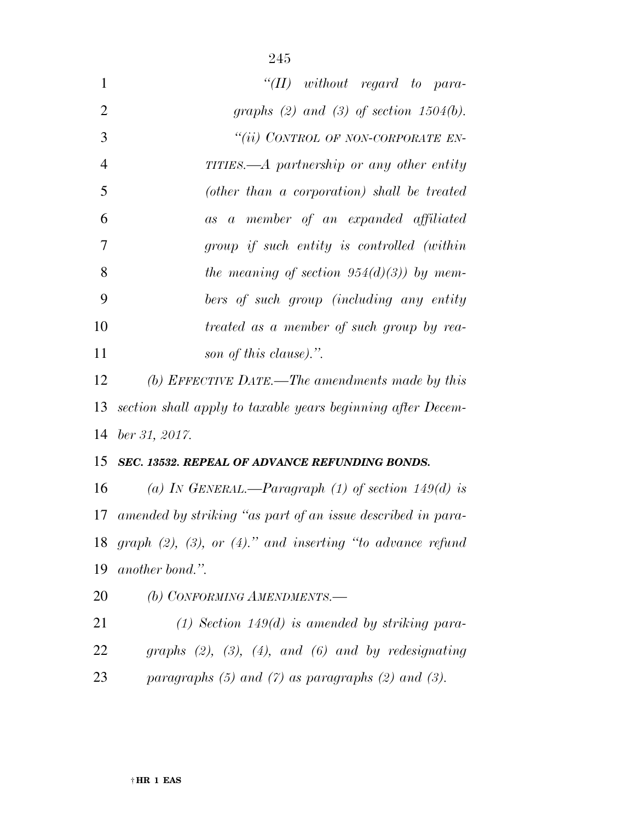| $\mathbf{1}$   | " $(II)$ without regard to para-                                      |
|----------------|-----------------------------------------------------------------------|
| $\overline{2}$ | graphs (2) and (3) of section $1504(b)$ .                             |
| 3              | "(ii) CONTROL OF NON-CORPORATE EN-                                    |
| $\overline{4}$ | TITIES.— $A$ partnership or any other entity                          |
| 5              | (other than a corporation) shall be treated                           |
| 6              | as a member of an expanded affiliated                                 |
| 7              | group if such entity is controlled (within                            |
| 8              | the meaning of section $954(d)(3)$ by mem-                            |
| 9              | bers of such group (including any entity                              |
| 10             | treated as a member of such group by rea-                             |
| 11             | son of this clause).".                                                |
| 12             | (b) EFFECTIVE DATE.—The amendments made by this                       |
| 13             | section shall apply to taxable years beginning after Decem-           |
| 14             | $ber\,31,\,2017.$                                                     |
| 15             | <b>SEC. 13532. REPEAL OF ADVANCE REFUNDING BONDS.</b>                 |
| 16             | (a) IN GENERAL.—Paragraph (1) of section 149(d) is                    |
|                | 17 amended by striking "as part of an issue described in para-        |
|                | 18 graph $(2)$ , $(3)$ , or $(4)$ ." and inserting "to advance refund |
| 19             | another bond.".                                                       |
| 20             | (b) CONFORMING AMENDMENTS.-                                           |
| 21             | $(1)$ Section 149 $(d)$ is amended by striking para-                  |
| 22             | graphs $(2)$ , $(3)$ , $(4)$ , and $(6)$ and by redesignating         |
| 23             | paragraphs $(5)$ and $(7)$ as paragraphs $(2)$ and $(3)$ .            |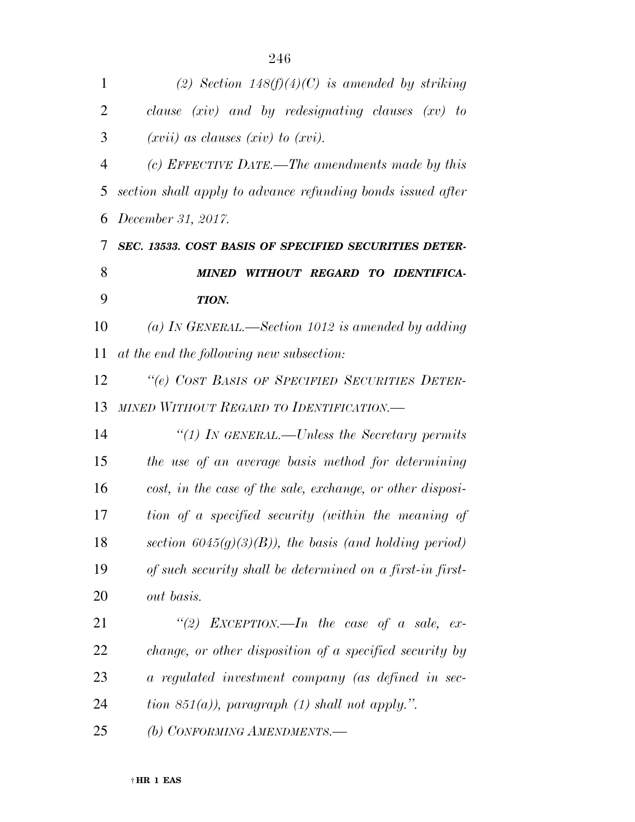| $\mathbf{1}$   | (2) Section $148(f)(4)(C)$ is amended by striking           |
|----------------|-------------------------------------------------------------|
| $\overline{2}$ | clause $(xiv)$ and by redesignating clauses $(xv)$ to       |
| 3              | $(xvii)$ as clauses $(xiv)$ to $(xvi)$ .                    |
| $\overline{4}$ | (c) EFFECTIVE DATE.—The amendments made by this             |
| 5              | section shall apply to advance refunding bonds issued after |
| 6              | December 31, 2017.                                          |
| 7              | SEC. 13533. COST BASIS OF SPECIFIED SECURITIES DETER-       |
| 8              | WITHOUT REGARD TO IDENTIFICA-<br><b>MINED</b>               |
| 9              | TION.                                                       |
| 10             | (a) IN GENERAL.—Section 1012 is amended by adding           |
| 11             | at the end the following new subsection:                    |
| 12             | "(e) COST BASIS OF SPECIFIED SECURITIES DETER-              |
| 13             | MINED WITHOUT REGARD TO IDENTIFICATION.-                    |
| 14             | "(1) IN GENERAL.—Unless the Secretary permits               |
| 15             | the use of an average basis method for determining          |
| 16             | cost, in the case of the sale, exchange, or other disposi-  |
| 17             | tion of a specified security (within the meaning of         |
| 18             | section $6045(g)(3)(B)$ , the basis (and holding period)    |
| 19             | of such security shall be determined on a first-in first-   |
| 20             | <i>out basis.</i>                                           |
| 21             | "(2) EXCEPTION.—In the case of a sale, ex-                  |
| 22             | change, or other disposition of a specified security by     |
| 23             | a regulated investment company (as defined in sec-          |
| 24             | tion 851(a)), paragraph (1) shall not apply.".              |
| 25             | (b) CONFORMING AMENDMENTS.-                                 |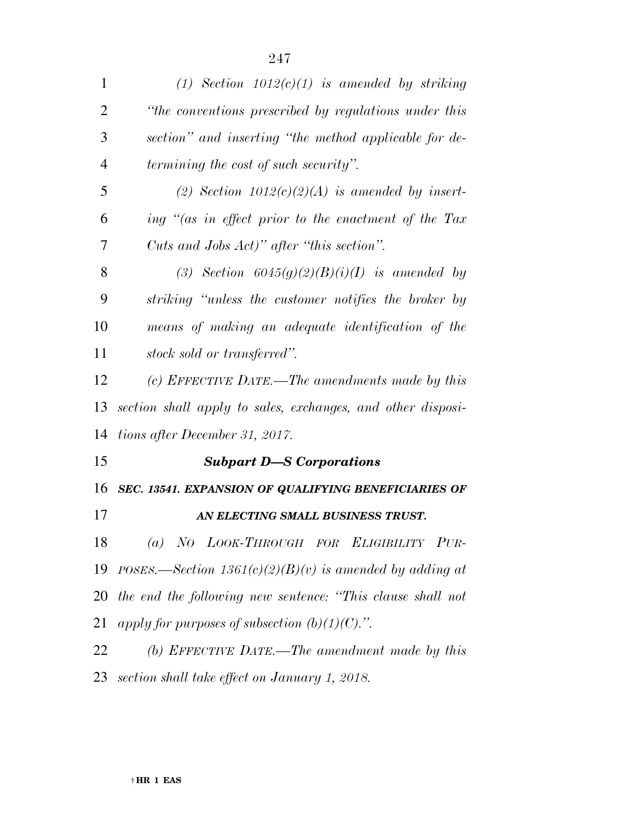| $\mathbf{1}$   | (1) Section $1012(c)(1)$ is amended by striking             |
|----------------|-------------------------------------------------------------|
| $\overline{2}$ | "the conventions prescribed by regulations under this       |
| 3              | section" and inserting "the method applicable for de-       |
| $\overline{4}$ | <i>termining the cost of such security".</i>                |
| 5              | (2) Section $1012(c)(2)(A)$ is amended by insert-           |
| 6              | ing "(as in effect prior to the enactment of the Tax        |
| 7              | Cuts and Jobs Act)" after "this section".                   |
| 8              | (3) Section $6045(g)(2)(B)(i)(I)$ is amended by             |
| 9              | striking "unless the customer notifies the broker by        |
| 10             | means of making an adequate identification of the           |
| 11             | stock sold or transferred".                                 |
| 12             | (c) EFFECTIVE DATE.—The amendments made by this             |
| 13             | section shall apply to sales, exchanges, and other disposi- |
| 14             | tions after December 31, 2017.                              |
| 15             | <b>Subpart D-S Corporations</b>                             |
| 16             | SEC. 13541. EXPANSION OF QUALIFYING BENEFICIARIES OF        |
| 17             | AN ELECTING SMALL BUSINESS TRUST.                           |
| 18             | (a) NO LOOK-THROUGH FOR ELIGIBILITY PUR-                    |
| 19             | POSES.—Section $1361(c)(2)(B)(v)$ is amended by adding at   |
| 20             | the end the following new sentence: "This clause shall not  |
| 21             | apply for purposes of subsection $(b)(1)(C)$ .".            |
| 22             | (b) EFFECTIVE DATE.—The amendment made by this              |
|                |                                                             |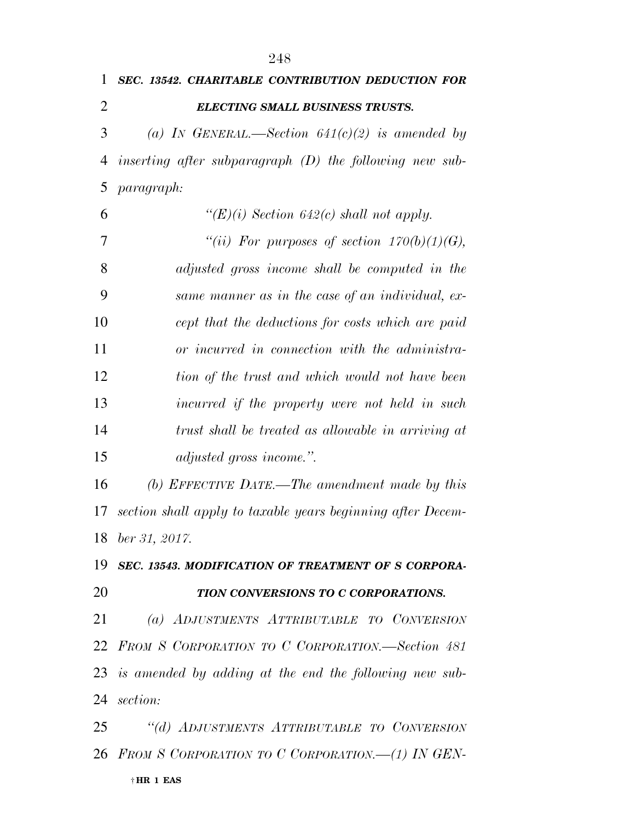| 1  | <b>SEC. 13542. CHARITABLE CONTRIBUTION DEDUCTION FOR</b>    |
|----|-------------------------------------------------------------|
| 2  | <b>ELECTING SMALL BUSINESS TRUSTS.</b>                      |
| 3  | (a) IN GENERAL.—Section $641(c)(2)$ is amended by           |
| 4  | inserting after subparagraph $(D)$ the following new sub-   |
| 5  | <i>paragraph:</i>                                           |
| 6  | " $(E)(i)$ Section 642(c) shall not apply.                  |
| 7  | "(ii) For purposes of section $170(b)(1)(G)$ ,              |
| 8  | adjusted gross income shall be computed in the              |
| 9  | same manner as in the case of an individual, ex-            |
| 10 | cept that the deductions for costs which are paid           |
| 11 | or incurred in connection with the administra-              |
| 12 | tion of the trust and which would not have been             |
| 13 | incurred if the property were not held in such              |
| 14 | trust shall be treated as allowable in arriving at          |
| 15 | adjusted gross income.".                                    |
| 16 | (b) EFFECTIVE DATE.—The amendment made by this              |
| 17 | section shall apply to taxable years beginning after Decem- |
| 18 | ber 31, 2017.                                               |
| 19 | SEC. 13543. MODIFICATION OF TREATMENT OF S CORPORA-         |
| 20 | TION CONVERSIONS TO C CORPORATIONS.                         |
| 21 | (a) ADJUSTMENTS ATTRIBUTABLE TO CONVERSION                  |
|    | 22 FROM S CORPORATION TO C CORPORATION.-Section 481         |
|    | 23 is amended by adding at the end the following new sub-   |
| 24 | section:                                                    |
| 25 | "(d) ADJUSTMENTS ATTRIBUTABLE TO CONVERSION                 |
|    | 26 FROM S CORPORATION TO C CORPORATION. (1) IN GEN-         |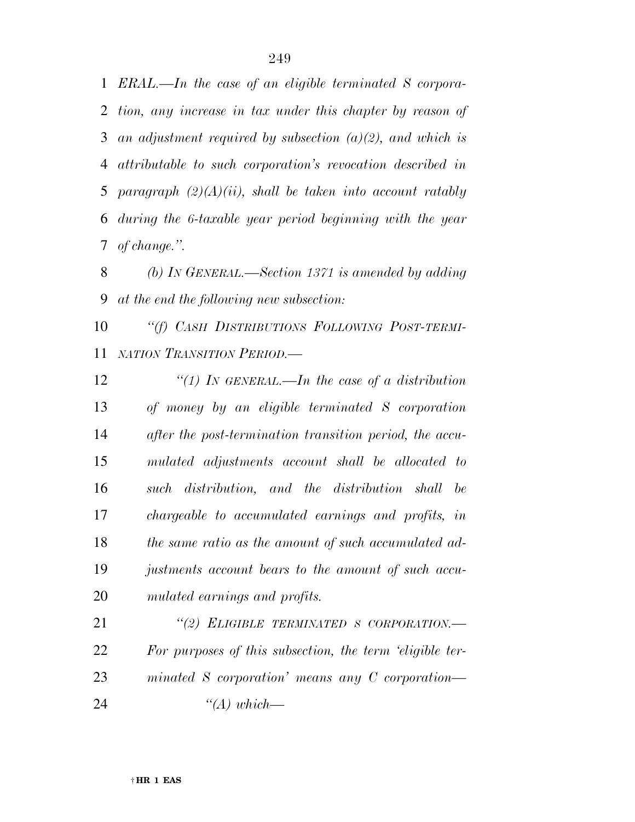*ERAL.—In the case of an eligible terminated S corpora- tion, any increase in tax under this chapter by reason of an adjustment required by subsection (a)(2), and which is attributable to such corporation's revocation described in paragraph (2)(A)(ii), shall be taken into account ratably during the 6-taxable year period beginning with the year of change.''.* 

 *(b) IN GENERAL.—Section 1371 is amended by adding at the end the following new subsection:* 

 *''(f) CASH DISTRIBUTIONS FOLLOWING POST-TERMI-NATION TRANSITION PERIOD.—* 

 *''(1) IN GENERAL.—In the case of a distribution of money by an eligible terminated S corporation after the post-termination transition period, the accu- mulated adjustments account shall be allocated to such distribution, and the distribution shall be chargeable to accumulated earnings and profits, in the same ratio as the amount of such accumulated ad- justments account bears to the amount of such accu-mulated earnings and profits.* 

 *''(2) ELIGIBLE TERMINATED S CORPORATION.— For purposes of this subsection, the term 'eligible ter- minated S corporation' means any C corporation— ''(A) which—*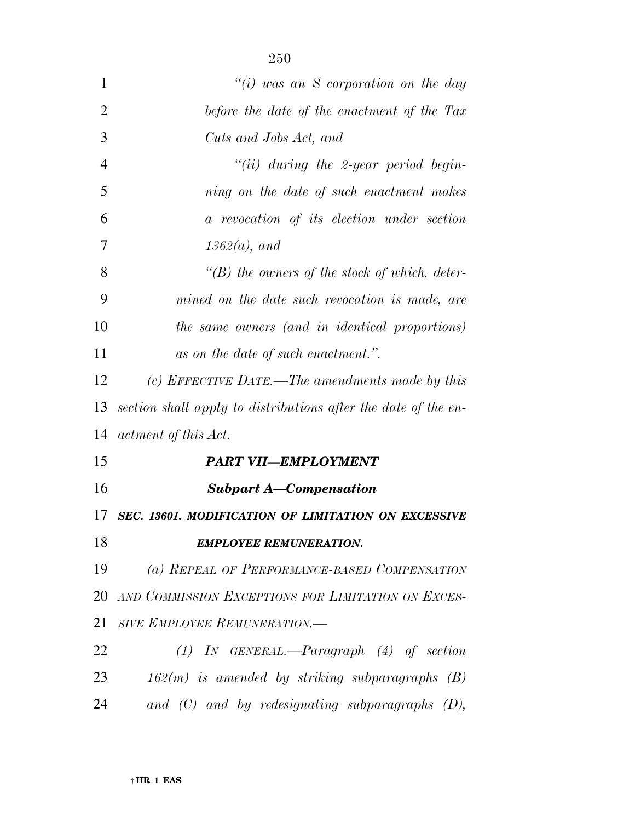| $\mathbf{1}$   | "(i) was an S corporation on the day                           |
|----------------|----------------------------------------------------------------|
| $\overline{2}$ | before the date of the enactment of the Tax                    |
| 3              | Cuts and Jobs Act, and                                         |
| $\overline{4}$ | "(ii) during the 2-year period begin-                          |
| 5              | ning on the date of such enactment makes                       |
| 6              | a revocation of its election under section                     |
| 7              | $1362(a)$ , and                                                |
| 8              | $\lq\lq(B)$ the owners of the stock of which, deter-           |
| 9              | mined on the date such revocation is made, are                 |
| 10             | the same owners (and in identical proportions)                 |
| 11             | as on the date of such enactment.".                            |
| 12             | (c) EFFECTIVE DATE.—The amendments made by this                |
| 13             | section shall apply to distributions after the date of the en- |
| 14             | actment of this Act.                                           |
| 15             | <b>PART VII-EMPLOYMENT</b>                                     |
| 16             | <b>Subpart A-Compensation</b>                                  |
| 17             | SEC. 13601. MODIFICATION OF LIMITATION ON EXCESSIVE            |
| 18             | <b>EMPLOYEE REMUNERATION.</b>                                  |
| 19             | (a) REPEAL OF PERFORMANCE-BASED COMPENSATION                   |
| 20             | AND COMMISSION EXCEPTIONS FOR LIMITATION ON EXCES-             |
| 21             | SIVE EMPLOYEE REMUNERATION.-                                   |
| 22             | $(1)$ IN GENERAL.—Paragraph $(4)$ of section                   |
| 23             | $162(m)$ is amended by striking subparagraphs $(B)$            |
| 24             | and $(C)$ and by redesignating subparagraphs $(D)$ ,           |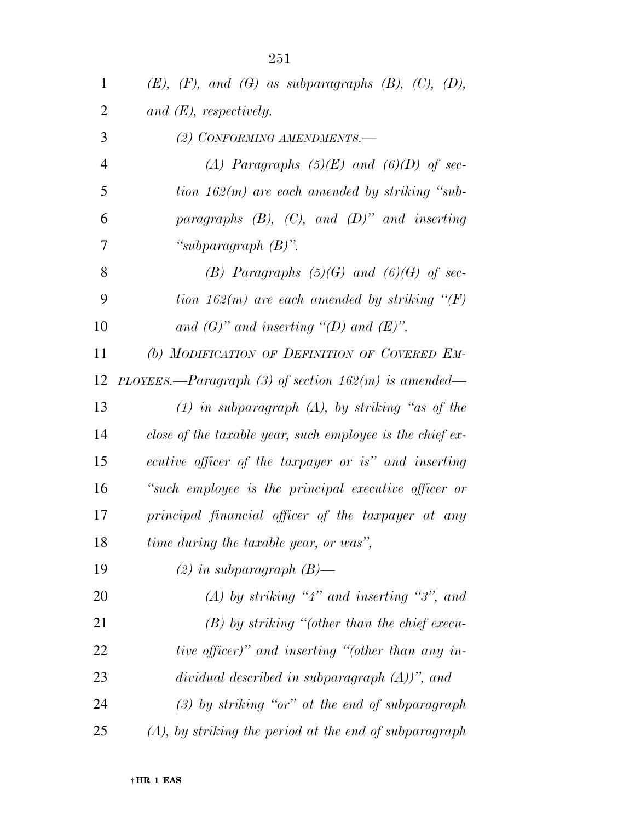| $\mathbf{1}$ | $(E),$ $(F),$ and $(G)$ as subparagraphs $(B),$ $(C),$ $(D),$ |
|--------------|---------------------------------------------------------------|
| 2            | and $(E)$ , respectively.                                     |
| 3            | (2) CONFORMING AMENDMENTS.-                                   |
| 4            | (A) Paragraphs $(5)(E)$ and $(6)(D)$ of sec-                  |
| 5            | tion $162(m)$ are each amended by striking "sub-              |
| 6            | paragraphs $(B)$ , $(C)$ , and $(D)$ " and inserting          |
| 7            | "subparagraph $(B)$ ".                                        |
| 8            | (B) Paragraphs $(5)(G)$ and $(6)(G)$ of sec-                  |
| 9            | tion 162(m) are each amended by striking $\lq (F)$            |
| 10           | and $(G)$ " and inserting "(D) and $(E)$ ".                   |
| 11           | (b) MODIFICATION OF DEFINITION OF COVERED EM-                 |
| 12           | PLOYEES.—Paragraph (3) of section $162(m)$ is amended—        |
| 13           | $(1)$ in subparagraph $(A)$ , by striking "as of the          |
| 14           | close of the taxable year, such employee is the chief ex-     |
| 15           | ecutive officer of the taxpayer or is" and inserting          |
| 16           | "such employee is the principal executive officer or          |
| 17           | principal financial officer of the taxpayer at any            |
| 18           | time during the taxable year, or was",                        |
| 19           | $(2)$ in subparagraph $(B)$ —                                 |
| 20           | (A) by striking "4" and inserting "3", and                    |
| 21           | $(B)$ by striking "(other than the chief execu-               |
| 22           | tive officer)" and inserting "(other than any in-             |
| 23           | dividual described in subparagraph $(A)$ )", and              |
| 24           | $(3)$ by striking "or" at the end of subparagraph             |
| 25           | $(A)$ , by striking the period at the end of subparagraph     |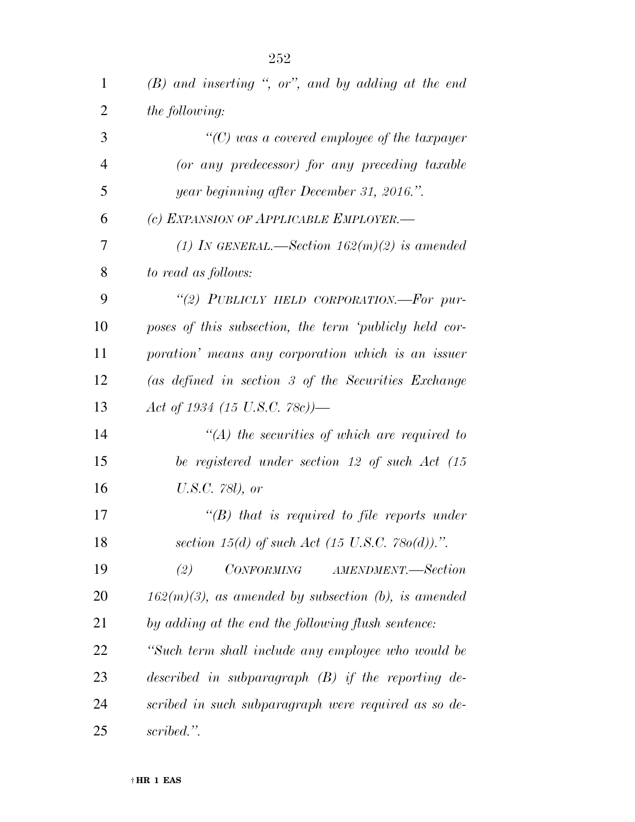| 1              | $(B)$ and inserting ", or", and by adding at the end   |
|----------------|--------------------------------------------------------|
| $\overline{2}$ | the following:                                         |
| 3              | $\lq\lq$ (C) was a covered employee of the taxpayer    |
| $\overline{4}$ | (or any predecessor) for any preceding taxable         |
| 5              | year beginning after December 31, 2016.".              |
| 6              | (c) EXPANSION OF APPLICABLE EMPLOYER.-                 |
| 7              | (1) In GENERAL.—Section $162(m)(2)$ is amended         |
| 8              | to read as follows:                                    |
| 9              | "(2) PUBLICLY HELD CORPORATION.-For pur-               |
| 10             | poses of this subsection, the term 'publicly held cor- |
| 11             | poration' means any corporation which is an issuer     |
| 12             | (as defined in section 3 of the Securities Exchange    |
| 13             | Act of 1934 (15 U.S.C. 78c))—                          |
| 14             | $\lq (A)$ the securities of which are required to      |
| 15             | be registered under section 12 of such Act (15         |
| 16             | U.S.C. 781), or                                        |
| 17             | $\lq\lq B$ that is required to file reports under      |
| 18             | section 15(d) of such Act (15 U.S.C. 780(d)).".        |
| 19             | <i>CONFORMING</i><br>(2)<br>AMENDMENT.—Section         |
| 20             | $162(m)(3)$ , as amended by subsection (b), is amended |
| 21             | by adding at the end the following flush sentence:     |
| 22             | "Such term shall include any employee who would be     |
| 23             | described in subparagraph $(B)$ if the reporting de-   |
| 24             | scribed in such subparagraph were required as so de-   |
| 25             | scribed.".                                             |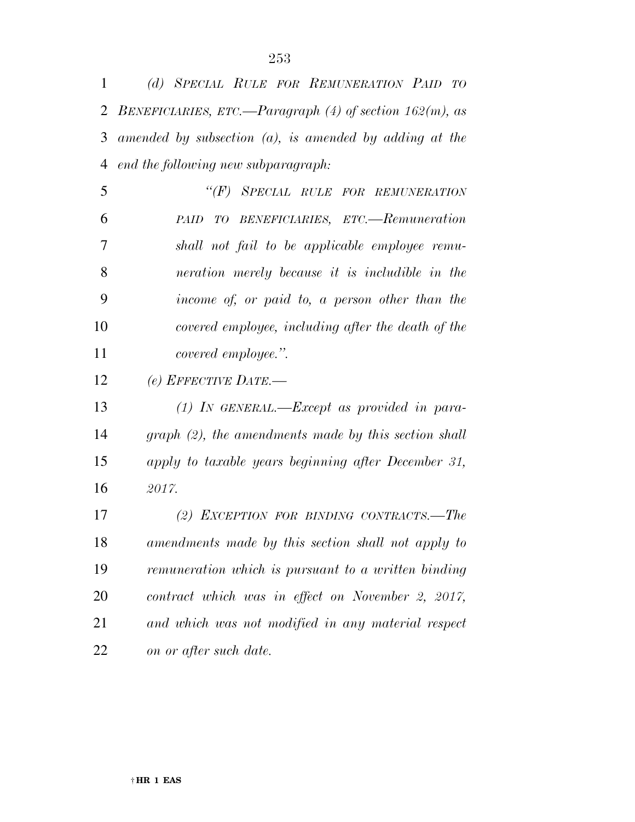| 1              | (d) SPECIAL RULE FOR REMUNERATION PAID TO                  |
|----------------|------------------------------------------------------------|
| $\overline{2}$ | BENEFICIARIES, ETC.—Paragraph (4) of section $162(m)$ , as |
| 3              | amended by subsection $(a)$ , is amended by adding at the  |
| 4              | end the following new subparagraph:                        |
| 5              | "(F) SPECIAL RULE FOR REMUNERATION                         |
| 6              | PAID TO BENEFICIARIES, ETC.—Remuneration                   |
| 7              | shall not fail to be applicable employee remu-             |
| 8              | neration merely because it is includible in the            |
| 9              | income of, or paid to, a person other than the             |
| 10             | covered employee, including after the death of the         |
| 11             | covered employee.".                                        |
| 12             | (e) EFFECTIVE DATE.-                                       |
| 13             | $(1)$ IN GENERAL.—Except as provided in para-              |
| 14             | $graph (2)$ , the amendments made by this section shall    |
| 15             | apply to taxable years beginning after December 31,        |
| 16             | 2017.                                                      |
| 17             | (2) EXCEPTION FOR BINDING CONTRACTS.—The                   |
| 18             | amendments made by this section shall not apply to         |
| 19             | remuneration which is pursuant to a written binding        |
| 20             | contract which was in effect on November 2, 2017,          |
| 21             | and which was not modified in any material respect         |
| 22             | on or after such date.                                     |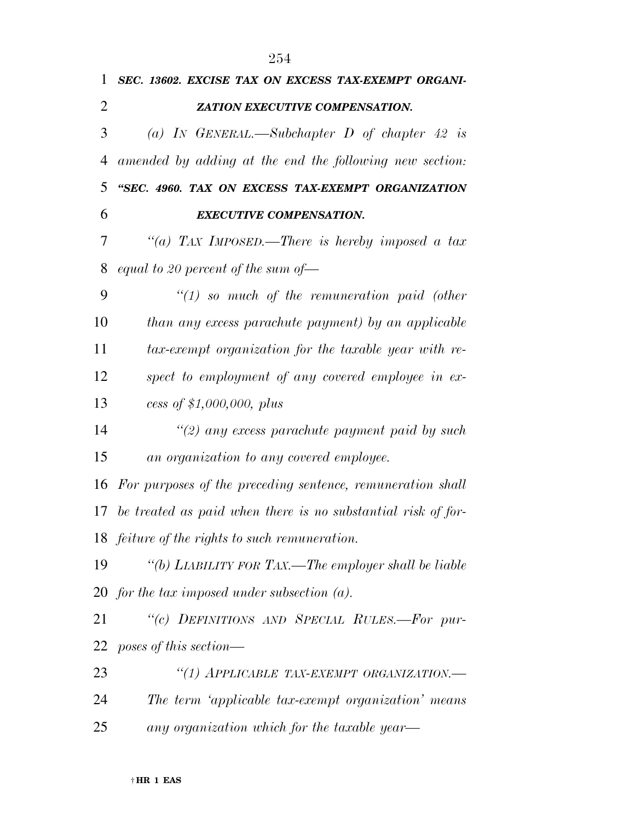| 1              | SEC. 13602. EXCISE TAX ON EXCESS TAX-EXEMPT ORGANI-             |
|----------------|-----------------------------------------------------------------|
| $\overline{2}$ | ZATION EXECUTIVE COMPENSATION.                                  |
| 3              | (a) IN GENERAL.—Subchapter D of chapter 42 is                   |
| 4              | amended by adding at the end the following new section:         |
| 5              | "SEC. 4960. TAX ON EXCESS TAX-EXEMPT ORGANIZATION               |
| 6              | <b>EXECUTIVE COMPENSATION.</b>                                  |
| 7              | "(a) TAX IMPOSED.—There is hereby imposed a tax                 |
| 8              | equal to 20 percent of the sum of $-$                           |
| 9              | $"(1)$ so much of the remuneration paid (other                  |
| 10             | than any excess parachute payment) by an applicable             |
| 11             | tax-exempt organization for the taxable year with re-           |
| 12             | spect to employment of any covered employee in ex-              |
| 13             | cess of $$1,000,000, \text{ plus}$                              |
| 14             | $\lq(2)$ any excess parachute payment paid by such              |
| 15             | an organization to any covered employee.                        |
| 16             | For purposes of the preceding sentence, remuneration shall      |
|                | 17 be treated as paid when there is no substantial risk of for- |
|                | 18 <i>feiture of the rights to such remuneration</i> .          |
| 19             | "(b) LIABILITY FOR TAX.—The employer shall be liable            |
|                | 20 for the tax imposed under subsection $(a)$ .                 |
| 21             | "(c) DEFINITIONS AND SPECIAL RULES.-For pur-                    |
| 22             | poses of this section—                                          |
| 23             | "(1) APPLICABLE TAX-EXEMPT ORGANIZATION.-                       |
| 24             | The term 'applicable tax-exempt organization' means             |
| 25             | any organization which for the taxable year—                    |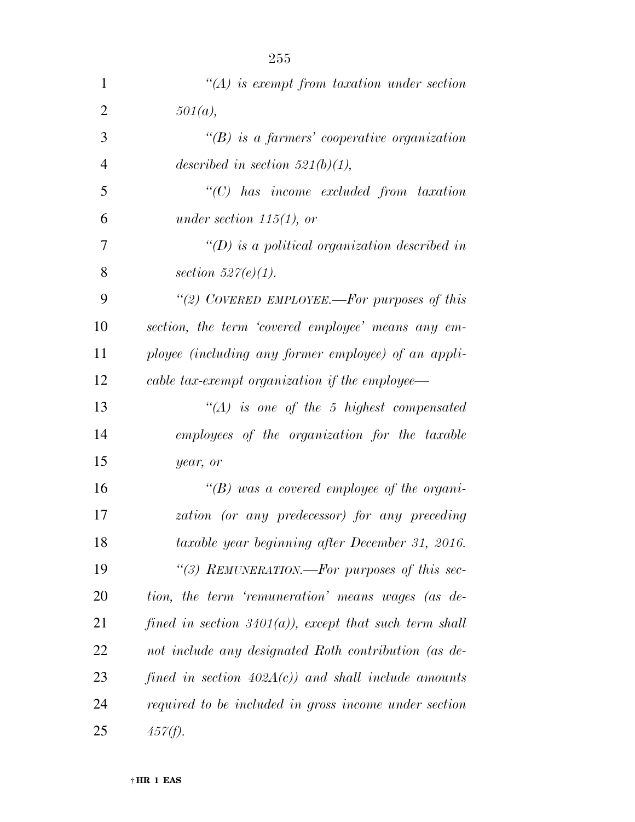| 1              | $\lq (A)$ is exempt from taxation under section          |
|----------------|----------------------------------------------------------|
| $\overline{2}$ | 501(a),                                                  |
| 3              | $\lq (B)$ is a farmers' cooperative organization         |
| 4              | described in section 521(b)(1),                          |
| 5              | "(C) has income excluded from taxation                   |
| 6              | under section 115(1), or                                 |
| 7              | $\lq (D)$ is a political organization described in       |
| 8              | section $527(e)(1)$ .                                    |
| 9              | "(2) COVERED EMPLOYEE.—For purposes of this              |
| 10             | section, the term 'covered employee' means any em-       |
| 11             | ployee (including any former employee) of an appli-      |
| 12             | cable tax-exempt organization if the employee—           |
| 13             | $\lq (A)$ is one of the 5 highest compensated            |
| 14             | employees of the organization for the taxable            |
| 15             | year, or                                                 |
| 16             | $\lq\lq(B)$ was a covered employee of the organi-        |
| 17             | zation (or any predecessor) for any preceding            |
| 18             | taxable year beginning after December 31, 2016.          |
| 19             | "(3) REMUNERATION.—For purposes of this sec-             |
| 20             | tion, the term 'remuneration' means wages (as de-        |
| 21             | fined in section $3401(a)$ , except that such term shall |
| 22             | not include any designated Roth contribution (as de-     |
| 23             | fined in section $402A(c)$ and shall include amounts     |
| 24             | required to be included in gross income under section    |
| 25             | $457(f)$ .                                               |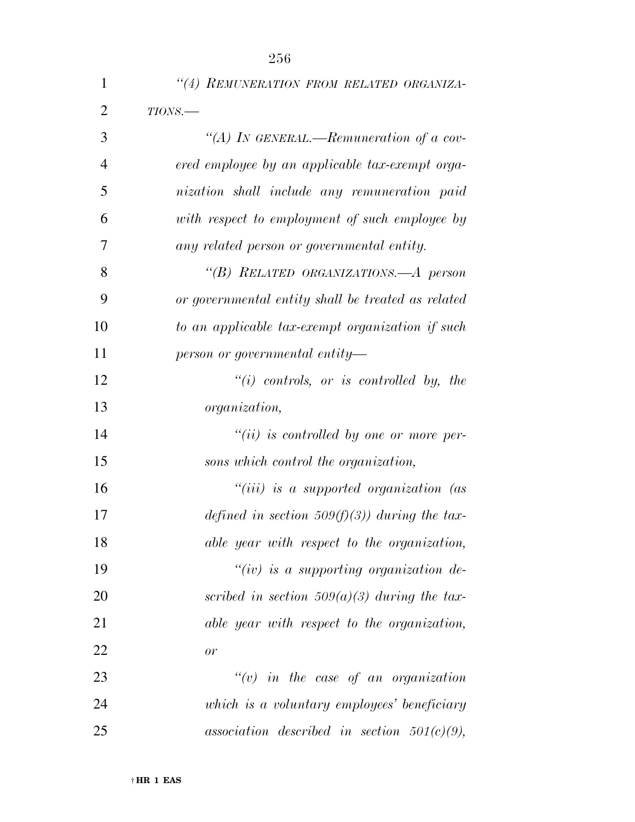| $\mathbf 1$    | "(4) REMUNERATION FROM RELATED ORGANIZA-           |
|----------------|----------------------------------------------------|
| $\overline{2}$ | $TIONS$ .                                          |
| 3              | "(A) IN GENERAL.—Remuneration of a cov-            |
| $\overline{4}$ | ered employee by an applicable tax-exempt orga-    |
| 5              | nization shall include any remuneration paid       |
| 6              | with respect to employment of such employee by     |
| 7              | any related person or governmental entity.         |
| 8              | "(B) RELATED ORGANIZATIONS.—A person               |
| 9              | or governmental entity shall be treated as related |
| 10             | to an applicable tax-exempt organization if such   |
| 11             | person or governmental entity—                     |
| 12             | $``(i)$ controls, or is controlled by, the         |
| 13             | organization,                                      |
| 14             | $``(ii)$ is controlled by one or more per-         |
| 15             | sons which control the organization,               |
| 16             | "(iii) is a supported organization (as             |
| 17             | defined in section 509(f)(3)) during the tax-      |
| 18             | able year with respect to the organization,        |
| 19             | " $(iv)$ is a supporting organization de-          |
| 20             | scribed in section 509(a)(3) during the tax-       |
| 21             | able year with respect to the organization,        |
| 22             | or                                                 |
| 23             | $\tilde{f}(v)$ in the case of an organization      |
| 24             | which is a voluntary employees' beneficiary        |
| 25             | association described in section $501(c)(9)$ ,     |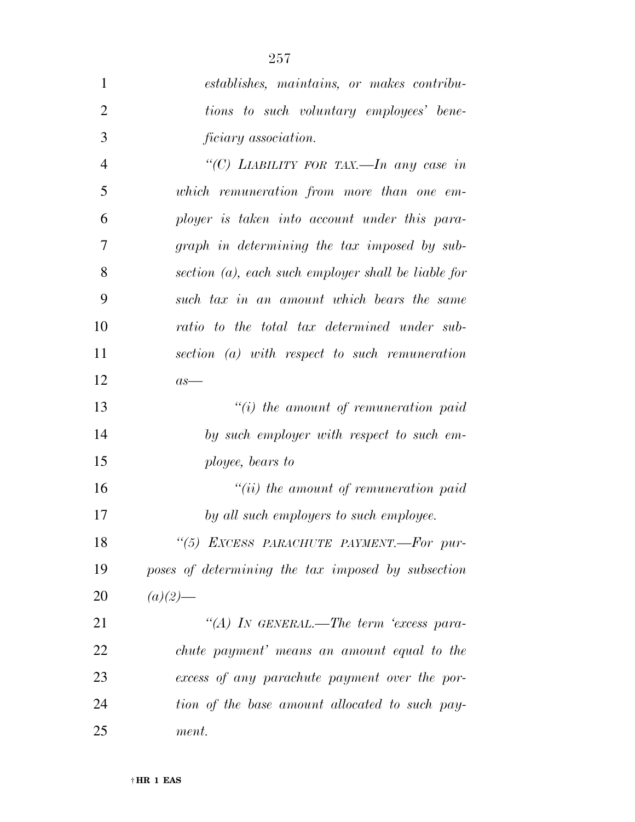| $\mathbf{1}$   | establishes, maintains, or makes contribu-             |
|----------------|--------------------------------------------------------|
| $\overline{2}$ | tions to such voluntary employees' bene-               |
| 3              | <i>ficiary</i> association.                            |
| $\overline{4}$ | "(C) LIABILITY FOR TAX.—In any case in                 |
| 5              | which remuneration from more than one em-              |
| 6              | ployer is taken into account under this para-          |
| 7              | graph in determining the tax imposed by sub-           |
| 8              | section $(a)$ , each such employer shall be liable for |
| 9              | such tax in an amount which bears the same             |
| 10             | ratio to the total tax determined under sub-           |
| 11             | section (a) with respect to such remuneration          |
| 12             | $as-$                                                  |
| 13             | $"(i)$ the amount of remuneration paid                 |
| 14             | by such employer with respect to such em-              |
| 15             | ployee, bears to                                       |
| 16             | $``(ii)$ the amount of remuneration paid               |
| 17             | by all such employers to such employee.                |
| 18             | "(5) EXCESS PARACHUTE PAYMENT.-For pur-                |
| 19             | poses of determining the tax imposed by subsection     |
| 20             | $(a)(2)$ —                                             |
| 21             | "(A) IN GENERAL.—The term 'excess para-                |
| 22             | chute payment' means an amount equal to the            |
| 23             | excess of any parachute payment over the por-          |
| 24             | tion of the base amount allocated to such pay-         |

*ment.*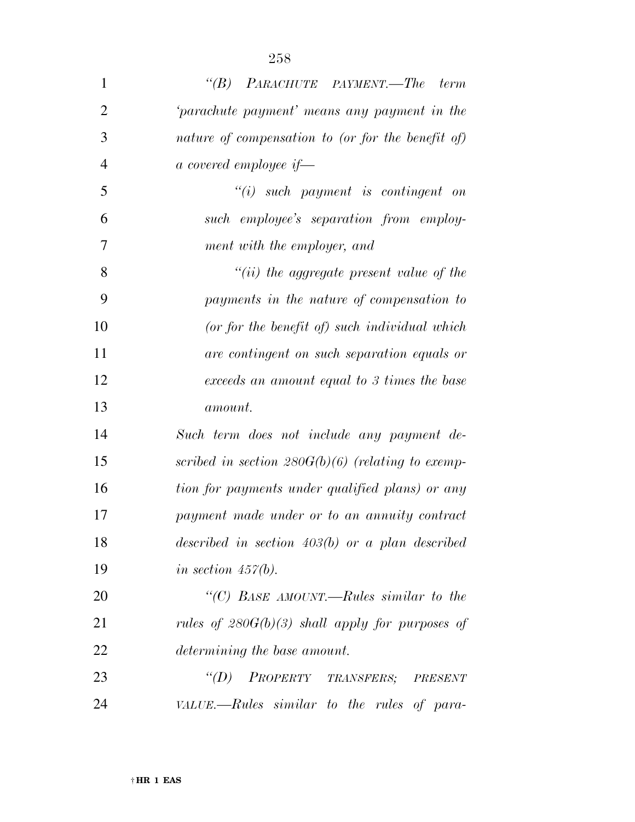| $\mathbf{1}$   | "(B) PARACHUTE PAYMENT.—The term                    |
|----------------|-----------------------------------------------------|
| $\overline{2}$ | 'parachute payment' means any payment in the        |
| 3              | nature of compensation to (or for the benefit of)   |
| $\overline{4}$ | a covered employee if—                              |
| 5              | $``(i)$ such payment is contingent on               |
| 6              | such employee's separation from employ-             |
| 7              | ment with the employer, and                         |
| 8              | $``(ii)$ the aggregate present value of the         |
| 9              | payments in the nature of compensation to           |
| 10             | (or for the benefit of) such individual which       |
| 11             | are contingent on such separation equals or         |
| 12             | exceeds an amount equal to 3 times the base         |
| 13             | <i>amount.</i>                                      |
| 14             | Such term does not include any payment de-          |
| 15             | scribed in section $280G(b)(6)$ (relating to exemp- |
| 16             | tion for payments under qualified plans) or any     |
| 17             | payment made under or to an annuity contract        |
| 18             | described in section $403(b)$ or a plan described   |
| 19             | in section $457(b)$ .                               |
| 20             | "(C) BASE AMOUNT.—Rules similar to the              |
| 21             | rules of $280G(b)(3)$ shall apply for purposes of   |

 *''(D) PROPERTY TRANSFERS; PRESENT VALUE.—Rules similar to the rules of para-*

*determining the base amount.*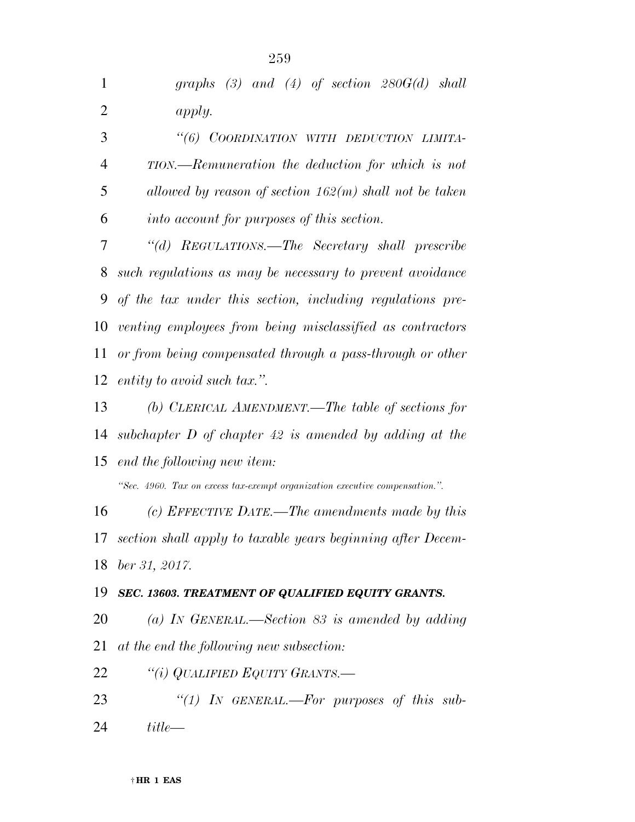| $\mathbf{1}$   | graphs $(3)$ and $(4)$ of section $280G(d)$ shall                           |
|----------------|-----------------------------------------------------------------------------|
| $\overline{2}$ | apply.                                                                      |
| 3              | "(6) COORDINATION WITH DEDUCTION LIMITA-                                    |
| $\overline{4}$ | TION.—Remuneration the deduction for which is not                           |
| 5              | allowed by reason of section $162(m)$ shall not be taken                    |
| 6              | <i>into account for purposes of this section.</i>                           |
| 7              | "(d) REGULATIONS.—The Secretary shall prescribe                             |
| 8              | such regulations as may be necessary to prevent avoidance                   |
| 9              | of the tax under this section, including regulations pre-                   |
| 10             | venting employees from being misclassified as contractors                   |
| 11             | or from being compensated through a pass-through or other                   |
| 12             | entity to avoid such tax.".                                                 |
| 13             | (b) CLERICAL AMENDMENT.—The table of sections for                           |
| 14             | subchapter $D$ of chapter 42 is amended by adding at the                    |
| 15             | end the following new item:                                                 |
|                | "Sec. 4960. Tax on excess tax-exempt organization executive compensation.". |
| 16             | (c) EFFECTIVE DATE.—The amendments made by this                             |
| 17             | section shall apply to taxable years beginning after Decem-                 |
| 18             | ber 31, 2017.                                                               |
| 19             | SEC. 13603. TREATMENT OF QUALIFIED EQUITY GRANTS.                           |
| 20             | (a) IN GENERAL.—Section 83 is amended by adding                             |
| 21             | at the end the following new subsection:                                    |
| 22             | "(i) QUALIFIED EQUITY GRANTS.—                                              |
| 23             | "(1) IN GENERAL.—For purposes of this sub-                                  |
| 24             | $title-$                                                                    |
|                |                                                                             |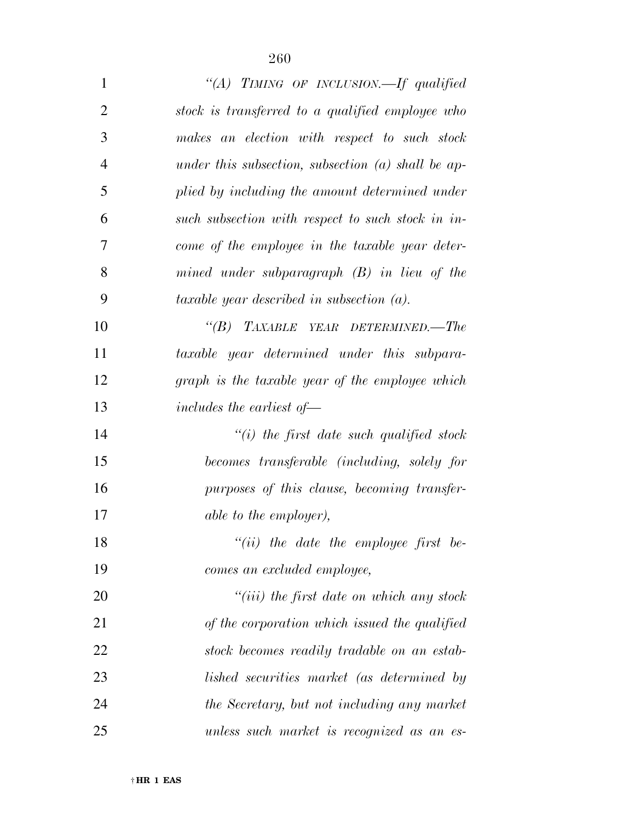| $\mathbf{1}$   | "(A) TIMING OF INCLUSION.—If qualified               |
|----------------|------------------------------------------------------|
| $\overline{2}$ | stock is transferred to a qualified employee who     |
| 3              | makes an election with respect to such stock         |
| $\overline{4}$ | under this subsection, subsection $(a)$ shall be ap- |
| 5              | plied by including the amount determined under       |
| 6              | such subsection with respect to such stock in in-    |
| 7              | come of the employee in the taxable year deter-      |
| 8              | mined under subparagraph $(B)$ in lieu of the        |
| 9              | taxable year described in subsection $(a)$ .         |
| 10             | $\lq\lq B$ TAXABLE YEAR DETERMINED.—The              |
| 11             | taxable year determined under this subpara-          |
| 12             | graph is the taxable year of the employee which      |
| 13             | includes the earliest of $-$                         |
| 14             | $``(i)$ the first date such qualified stock          |
| 15             | becomes transferable (including, solely for          |
| 16             | purposes of this clause, becoming transfer-          |
| 17             | <i>able to the employer),</i>                        |
| 18             | $"(ii)$ the date the employee first be-              |
| 19             | comes an excluded employee,                          |
| 20             | $``(iii)$ the first date on which any stock          |
| 21             | of the corporation which issued the qualified        |
| 22             | stock becomes readily tradable on an estab-          |
| 23             | lished securities market (as determined by           |
| 24             | the Secretary, but not including any market          |
| 25             | unless such market is recognized as an es-           |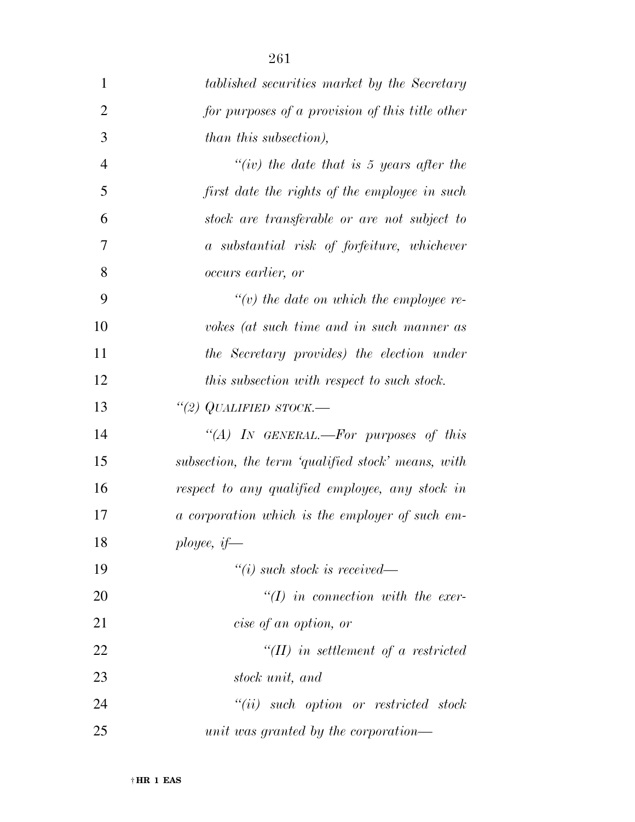| $\mathbf{1}$   | tablished securities market by the Secretary       |
|----------------|----------------------------------------------------|
| $\overline{2}$ | for purposes of a provision of this title other    |
| 3              | than this subsection),                             |
| $\overline{4}$ | $``(iv)$ the date that is 5 years after the        |
| 5              | first date the rights of the employee in such      |
| 6              | stock are transferable or are not subject to       |
| 7              | a substantial risk of forfeiture, whichever        |
| 8              | <i>occurs earlier, or</i>                          |
| 9              | $\lq\lq(v)$ the date on which the employee re-     |
| 10             | vokes (at such time and in such manner as          |
| 11             | the Secretary provides) the election under         |
| 12             | this subsection with respect to such stock.        |
| 13             | "(2) QUALIFIED STOCK.—                             |
| 14             | "(A) IN GENERAL.—For purposes of this              |
| 15             | subsection, the term 'qualified stock' means, with |
| 16             | respect to any qualified employee, any stock in    |
| 17             | a corporation which is the employer of such em-    |
| 18             | ployee, $if$                                       |
| 19             | $``(i)$ such stock is received—                    |
| 20             | $\lq (I)$ in connection with the exer-             |
| 21             | cise of an option, or                              |
| 22             | $\lq (II)$ in settlement of a restricted           |
| 23             | stock unit, and                                    |
| 24             | $``(ii)$ such option or restricted stock           |
| 25             | unit was granted by the corporation—               |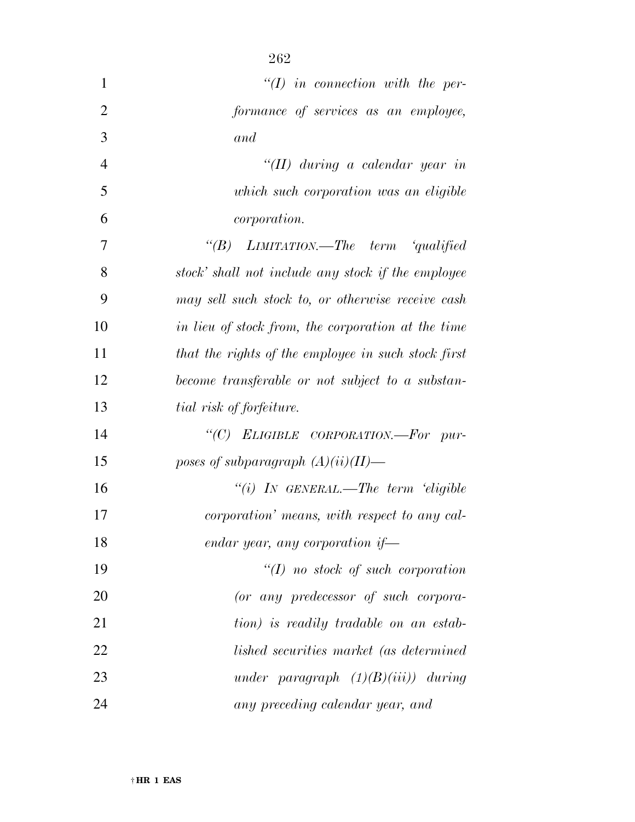| $\mathbf{1}$   | $\lq (I)$ in connection with the per-               |
|----------------|-----------------------------------------------------|
| $\overline{2}$ | formance of services as an employee,                |
| 3              | and                                                 |
| 4              | "(II) during a calendar year in                     |
| 5              | which such corporation was an eligible              |
| 6              | <i>corporation.</i>                                 |
| $\overline{7}$ | "(B) LIMITATION.—The term 'qualified                |
| 8              | stock' shall not include any stock if the employee  |
| 9              | may sell such stock to, or otherwise receive cash   |
| 10             | in lieu of stock from, the corporation at the time  |
| 11             | that the rights of the employee in such stock first |
| 12             | become transferable or not subject to a substan-    |
| 13             | tial risk of forfeiture.                            |
| 14             | "(C) ELIGIBLE CORPORATION.-For pur-                 |
| 15             | poses of subparagraph $(A)(ii)(II)$ —               |
| 16             | "(i) IN GENERAL.—The term 'eligible                 |
| 17             | corporation' means, with respect to any cal-        |
| 18             | endar year, any corporation if—                     |
| 19             | $\lq (I)$ no stock of such corporation              |
| 20             | (or any predecessor of such corpora-                |
| 21             | tion) is readily tradable on an estab-              |
| 22             | lished securities market (as determined             |
| 23             | under paragraph $(1)(B)(iii)$ during                |
| 24             | any preceding calendar year, and                    |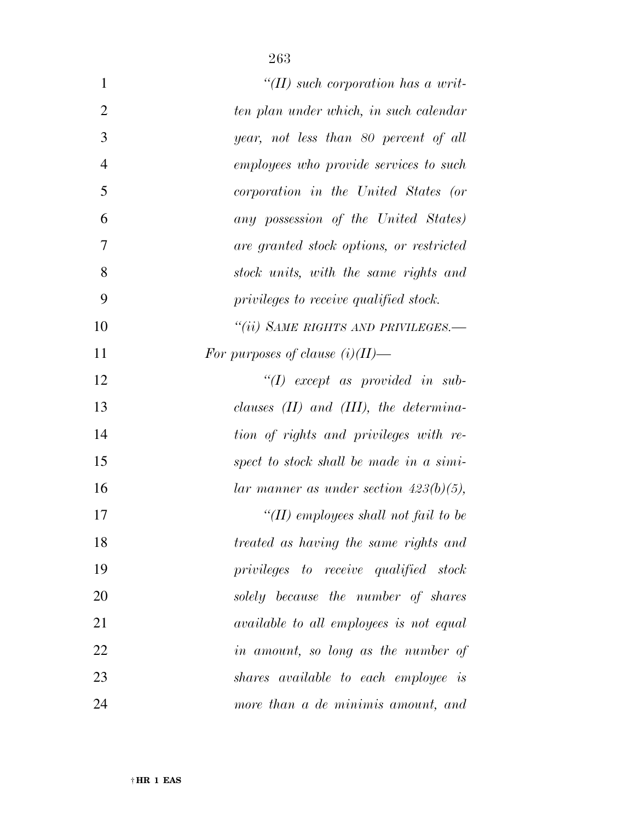| $\mathbf{1}$   | "(II) such corporation has a writ-             |
|----------------|------------------------------------------------|
| $\overline{2}$ | ten plan under which, in such calendar         |
| 3              | year, not less than 80 percent of all          |
| $\overline{4}$ | employees who provide services to such         |
| 5              | corporation in the United States (or           |
| 6              | any possession of the United States)           |
| 7              | are granted stock options, or restricted       |
| 8              | stock units, with the same rights and          |
| 9              | privileges to receive qualified stock.         |
| 10             | "(ii) SAME RIGHTS AND PRIVILEGES.-             |
| 11             | For purposes of clause $(i)(II)$ —             |
| 12             | $\lq (I)$ except as provided in sub-           |
| 13             | clauses $(II)$ and $(III)$ , the determina-    |
| 14             | tion of rights and privileges with re-         |
| 15             | spect to stock shall be made in a simi-        |
| 16             | lar manner as under section $423(b)(5)$ ,      |
| 17             | "(II) employees shall not fail to be           |
| 18             | treated as having the same rights and          |
| 19             | privileges to receive qualified stock          |
| 20             | solely because the number of shares            |
| 21             | <i>available to all employees is not equal</i> |
| 22             | in amount, so long as the number of            |
| 23             | shares available to each employee is           |
| 24             | more than a de minimis amount, and             |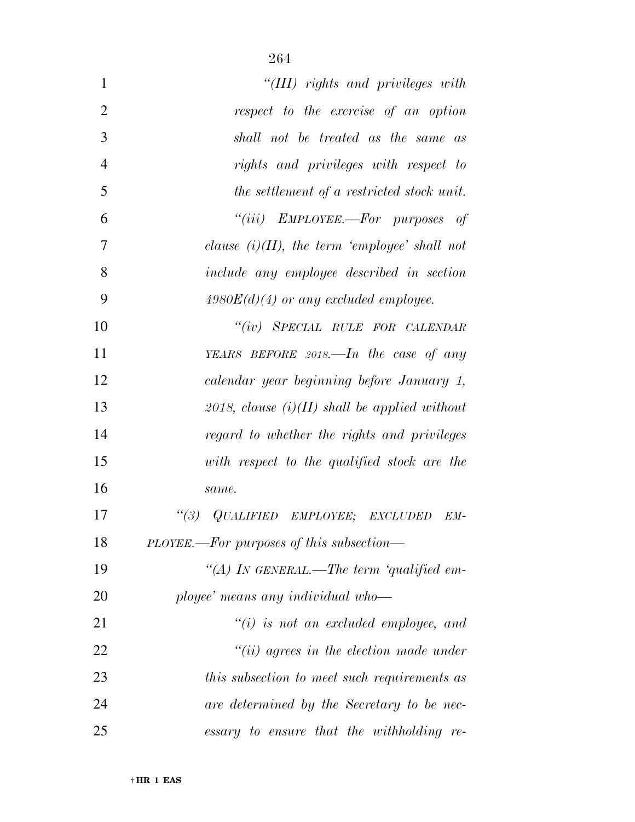| 1              | "(III) rights and privileges with                 |
|----------------|---------------------------------------------------|
| $\overline{2}$ | respect to the exercise of an option              |
| 3              | shall not be treated as the same as               |
| $\overline{4}$ | rights and privileges with respect to             |
| 5              | the settlement of a restricted stock unit.        |
| 6              | "(iii) $EMPLOYEE$ . For purposes of               |
| 7              | clause $(i)(II)$ , the term 'employee' shall not  |
| 8              | include any employee described in section         |
| 9              | $4980E(d)(4)$ or any excluded employee.           |
| 10             | "(iv) SPECIAL RULE FOR CALENDAR                   |
| 11             | YEARS BEFORE $2018$ —In the case of any           |
| 12             | calendar year beginning before January 1,         |
| 13             | 2018, clause $(i)(II)$ shall be applied without   |
| 14             | regard to whether the rights and privileges       |
| 15             | with respect to the qualified stock are the       |
| 16             | same.                                             |
| 17             | $\frac{1}{3}$<br>QUALIFIED EMPLOYEE; EXCLUDED EM- |
| 18             | PLOYEE.—For purposes of this subsection—          |
| 19             | "(A) IN GENERAL.—The term 'qualified em-          |
| 20             | ployee' means any individual who-                 |
| 21             | $``(i)$ is not an excluded employee, and          |
| 22             | $``(ii)$ agrees in the election made under        |
| 23             | this subsection to meet such requirements as      |
| 24             | are determined by the Secretary to be nec-        |
| 25             | essary to ensure that the withholding re-         |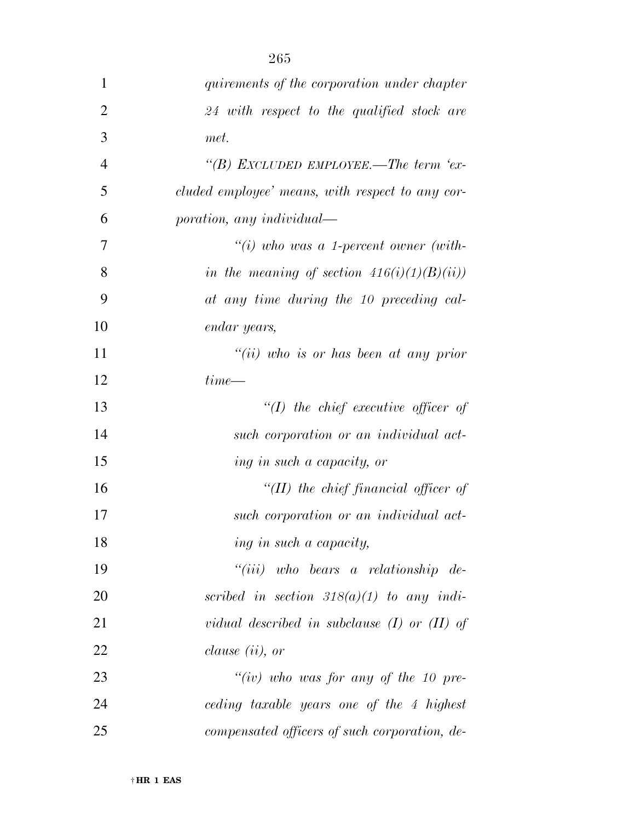| 1              | quirements of the corporation under chapter      |
|----------------|--------------------------------------------------|
| 2              | 24 with respect to the qualified stock are       |
| 3              | met.                                             |
| $\overline{4}$ | "(B) EXCLUDED EMPLOYEE.—The term 'ex-            |
| 5              | cluded employee' means, with respect to any cor- |
| 6              | poration, any individual—                        |
| 7              | "(i) who was a 1-percent owner (with-            |
| 8              | in the meaning of section $416(i)(1)(B)(ii)$     |
| 9              | at any time during the 10 preceding cal-         |
| 10             | endar years,                                     |
| 11             | "(ii) who is or has been at any prior            |
| 12             | $time$ —                                         |
| 13             | $\lq (I)$ the chief executive officer of         |
| 14             | such corporation or an individual act-           |
| 15             | ing in such a capacity, or                       |
| 16             | "(II) the chief financial officer of             |
| 17             | such corporation or an individual act-           |
| 18             | ing in such a capacity,                          |
| 19             | $``(iii)$ who bears a relationship de-           |
| 20             | scribed in section $318(a)(1)$ to any indi-      |
| 21             | vidual described in subclause $(I)$ or $(II)$ of |
| 22             | <i>clause</i> $(ii)$ , or                        |
| 23             | "(iv) who was for any of the 10 pre-             |
| 24             | ceding taxable years one of the 4 highest        |
| 25             | compensated officers of such corporation, de-    |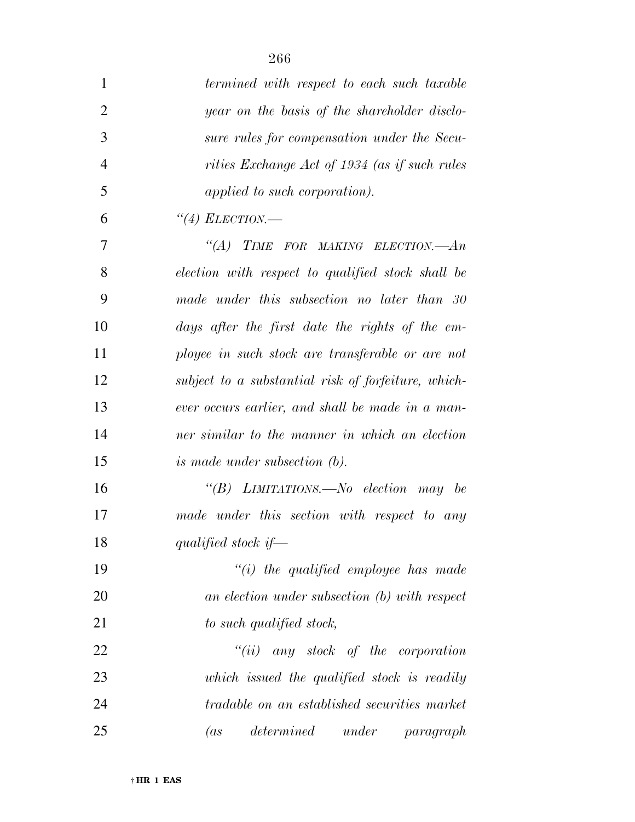| $\mathbf{1}$   | termined with respect to each such taxable          |
|----------------|-----------------------------------------------------|
| $\overline{2}$ | year on the basis of the shareholder disclo-        |
| 3              | sure rules for compensation under the Secu-         |
| $\overline{4}$ | rities Exchange Act of 1934 (as if such rules       |
| 5              | applied to such corporation).                       |
| 6              | $\lq(4)$ ELECTION.—                                 |
| 7              | "(A) TIME FOR MAKING ELECTION.— $An$                |
| 8              | election with respect to qualified stock shall be   |
| 9              | made under this subsection no later than 30         |
| 10             | days after the first date the rights of the em-     |
| 11             | ployee in such stock are transferable or are not    |
| 12             | subject to a substantial risk of forfeiture, which- |
| 13             | ever occurs earlier, and shall be made in a man-    |
| 14             | ner similar to the manner in which an election      |
| 15             | <i>is made under subsection (b).</i>                |
| 16             | "(B) LIMITATIONS.—No election may be                |
| 17             | made under this section with respect to any         |
| 18             | qualified stock if $-$                              |
| 19             | $``(i)$ the qualified employee has made             |
| 20             | an election under subsection (b) with respect       |
| 21             | to such qualified stock,                            |
| 22             | $``(ii)$ any stock of the corporation               |
| 23             | which issued the qualified stock is readily         |
| 24             | tradable on an established securities market        |
| 25             | determined<br>under<br>(as<br>paragraph             |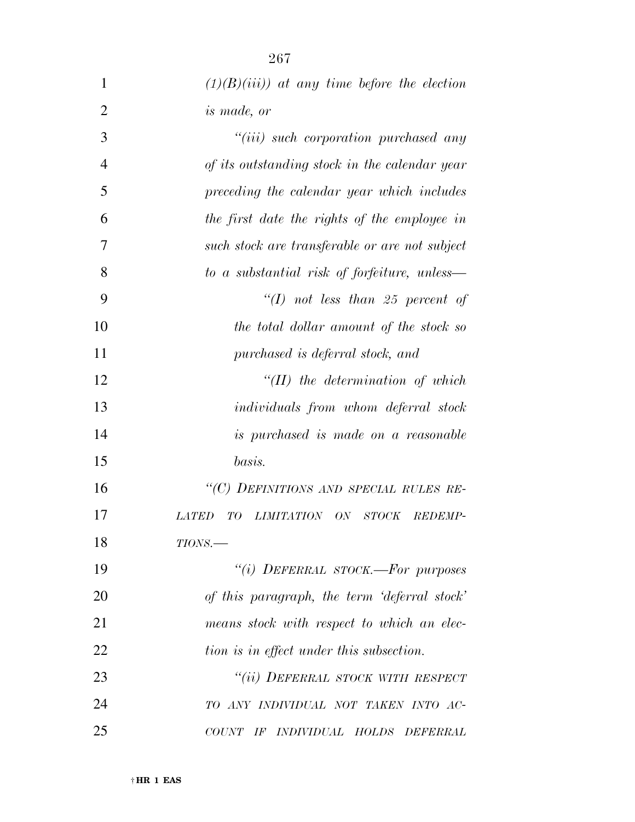| $\mathbf{1}$   | $(1)(B)(iii)$ at any time before the election         |
|----------------|-------------------------------------------------------|
| $\overline{2}$ | <i>is made, or</i>                                    |
| 3              | "(iii) such corporation purchased any                 |
| $\overline{4}$ | of its outstanding stock in the calendar year         |
| 5              | preceding the calendar year which includes            |
| 6              | the first date the rights of the employee in          |
| 7              | such stock are transferable or are not subject        |
| 8              | to a substantial risk of forfeiture, unless—          |
| 9              | "(I) not less than 25 percent of                      |
| 10             | the total dollar amount of the stock so               |
| 11             | purchased is deferral stock, and                      |
| 12             | $``(II)$ the determination of which                   |
| 13             | <i>individuals from whom deferral stock</i>           |
| 14             | is purchased is made on a reasonable                  |
| 15             | basis.                                                |
| 16             | "(C) DEFINITIONS AND SPECIAL RULES RE-                |
| 17             | ON STOCK REDEMP-<br><i>LATED</i><br>TO.<br>LIMITATION |
| 18             | $TIONS$ .                                             |
| 19             | "(i) DEFERRAL STOCK.-For purposes                     |
| 20             | of this paragraph, the term 'deferral stock'          |
| 21             | means stock with respect to which an elec-            |
| 22             | tion is in effect under this subsection.              |
| 23             | "(ii) DEFERRAL STOCK WITH RESPECT                     |
| 24             | TO ANY INDIVIDUAL NOT TAKEN INTO AC-                  |
| 25             | COUNT IF INDIVIDUAL HOLDS DEFERRAL                    |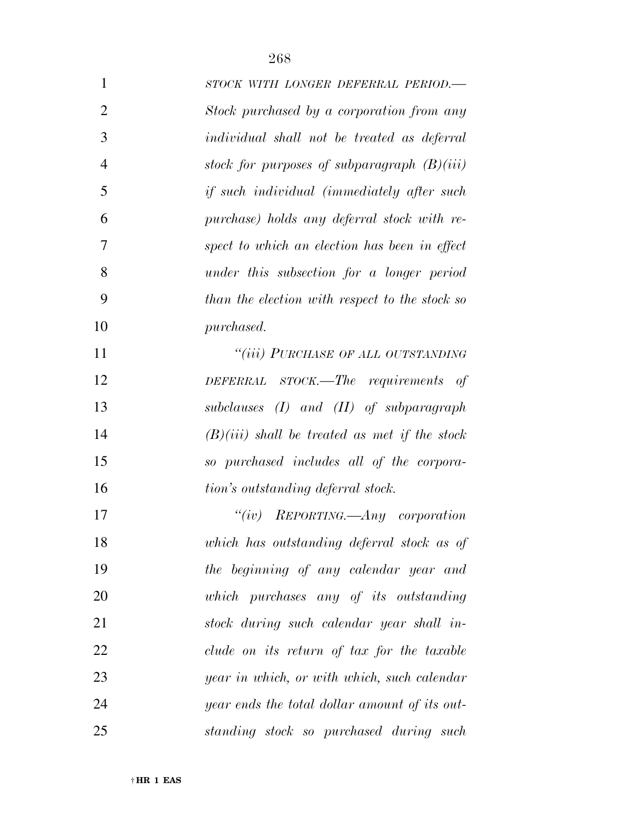| $\mathbf{1}$   | STOCK WITH LONGER DEFERRAL PERIOD.-                |
|----------------|----------------------------------------------------|
| 2              | Stock purchased by a corporation from any          |
| 3              | <i>individual shall not be treated as deferral</i> |
| $\overline{4}$ | stock for purposes of subparagraph $(B)(iii)$      |

 *stock for purposes of subparagraph (B)(iii) if such individual (immediately after such purchase) holds any deferral stock with re- spect to which an election has been in effect under this subsection for a longer period than the election with respect to the stock so purchased.* 

 *''(iii) PURCHASE OF ALL OUTSTANDING DEFERRAL STOCK.—The requirements of subclauses (I) and (II) of subparagraph (B)(iii) shall be treated as met if the stock so purchased includes all of the corpora-tion's outstanding deferral stock.* 

 *''(iv) REPORTING.—Any corporation which has outstanding deferral stock as of the beginning of any calendar year and which purchases any of its outstanding stock during such calendar year shall in- clude on its return of tax for the taxable year in which, or with which, such calendar year ends the total dollar amount of its out-standing stock so purchased during such*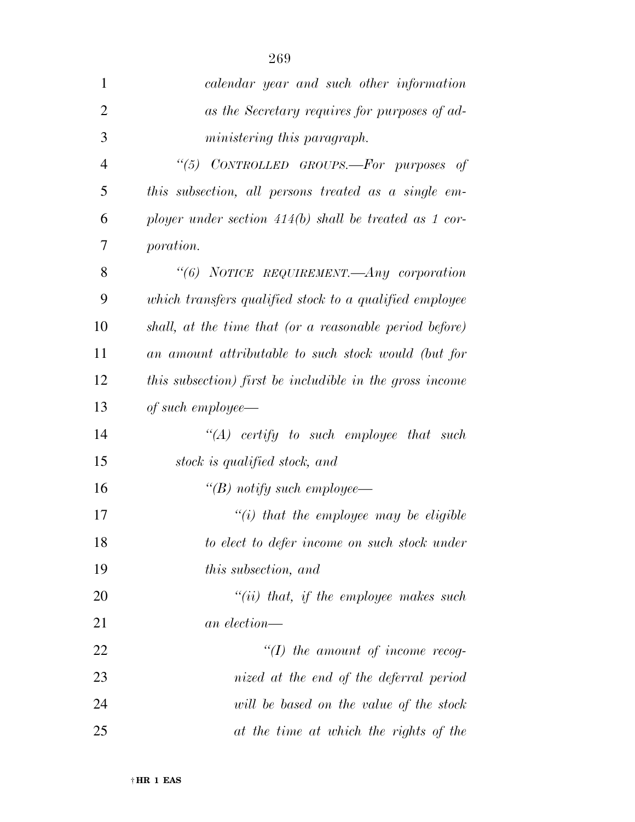| 1              | calendar year and such other information                 |
|----------------|----------------------------------------------------------|
| $\overline{2}$ | as the Secretary requires for purposes of ad-            |
| 3              | ministering this paragraph.                              |
| $\overline{4}$ | "(5) CONTROLLED GROUPS.-For purposes of                  |
| 5              | this subsection, all persons treated as a single em-     |
| 6              | ployer under section $414(b)$ shall be treated as 1 cor- |
| 7              | <i>poration.</i>                                         |
| 8              | "(6) NOTICE REQUIREMENT.—Any corporation                 |
| 9              | which transfers qualified stock to a qualified employee  |
| 10             | shall, at the time that (or a reasonable period before)  |
| 11             | an amount attributable to such stock would (but for      |
| 12             | this subsection) first be includible in the gross income |
| 13             | of such employee—                                        |
| 14             | $``(A)$ certify to such employee that such               |
| 15             | stock is qualified stock, and                            |
| 16             | "(B) notify such employee—                               |
| 17             | $"(i)$ that the employee may be eligible                 |
| 18             | to elect to defer income on such stock under             |
| 19             | <i>this subsection, and</i>                              |
| 20             | $``(ii)$ that, if the employee makes such                |
| 21             | an election—                                             |
| 22             | $``(I)$ the amount of income recog-                      |
| 23             | nized at the end of the deferral period                  |
| 24             | will be based on the value of the stock                  |
| 25             | at the time at which the rights of the                   |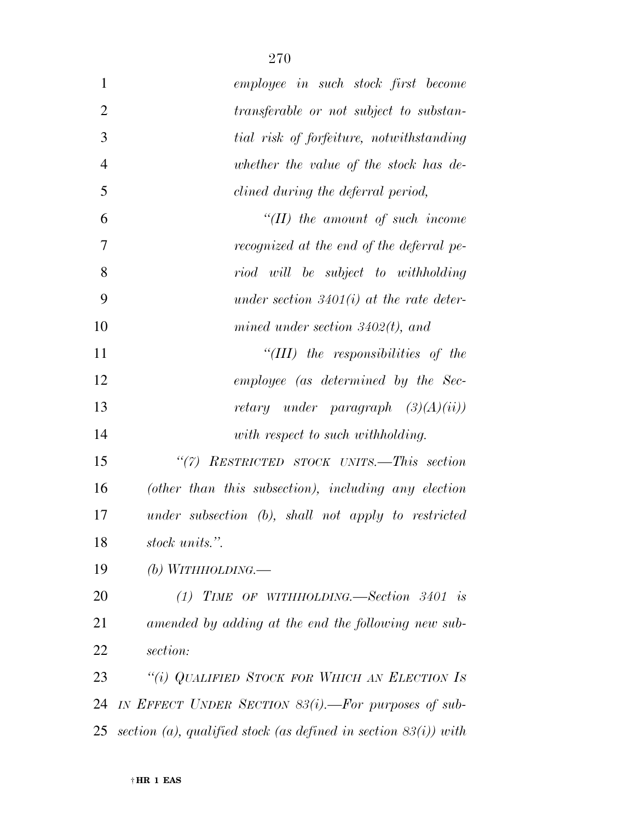| $\mathbf{1}$   | employee in such stock first become                                |
|----------------|--------------------------------------------------------------------|
| $\overline{2}$ | transferable or not subject to substan-                            |
| 3              | tial risk of forfeiture, notwithstanding                           |
| $\overline{4}$ | whether the value of the stock has de-                             |
| 5              | clined during the deferral period,                                 |
| 6              | $H(H)$ the amount of such income                                   |
| 7              | recognized at the end of the deferral pe-                          |
| 8              | riod will be subject to withholding                                |
| 9              | under section $3401(i)$ at the rate deter-                         |
| 10             | mined under section $3402(t)$ , and                                |
| 11             | "(III) the responsibilities of the                                 |
| 12             | employee (as determined by the Sec-                                |
| 13             | retary under paragraph $(3)(A)(ii)$                                |
| 14             | with respect to such withholding.                                  |
| 15             | "(7) RESTRICTED STOCK UNITS.-This section                          |
| 16             | (other than this subsection), including any election               |
| 17             | under subsection (b), shall not apply to restricted                |
| 18             | stock units.".                                                     |
| 19             | (b) WITHHOLDING.—                                                  |
| 20             | (1) TIME OF WITHHOLDING.—Section 3401 is                           |
| 21             | amended by adding at the end the following new sub-                |
| 22             | section:                                                           |
| 23             | "(i) QUALIFIED STOCK FOR WHICH AN ELECTION IS                      |
| 24             | IN EFFECT UNDER SECTION 83(i). - For purposes of sub-              |
| 25             | section (a), qualified stock (as defined in section $83(i)$ ) with |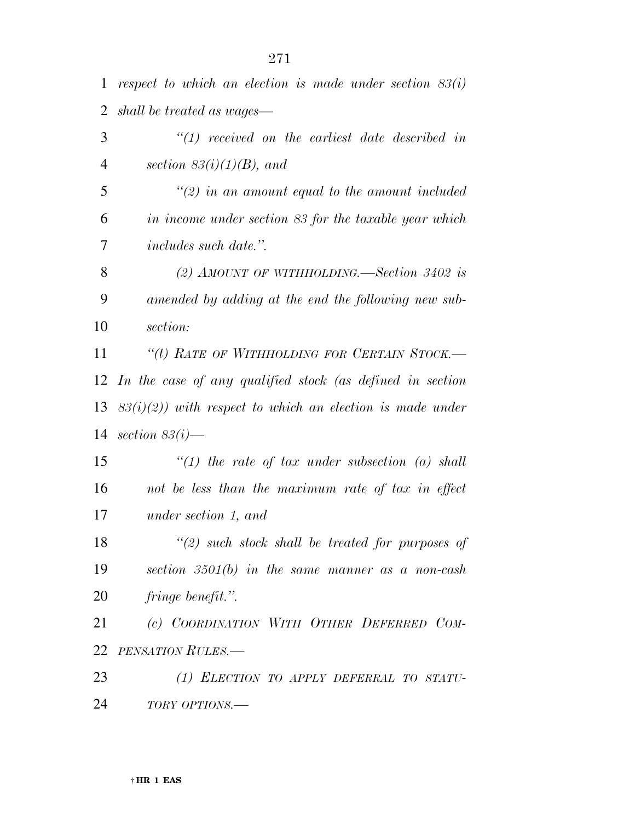*respect to which an election is made under section 83(i) shall be treated as wages— ''(1) received on the earliest date described in section 83(i)(1)(B), and ''(2) in an amount equal to the amount included in income under section 83 for the taxable year which includes such date.''.* 

 *(2) AMOUNT OF WITHHOLDING.—Section 3402 is amended by adding at the end the following new sub-section:* 

 *''(t) RATE OF WITHHOLDING FOR CERTAIN STOCK.— In the case of any qualified stock (as defined in section 83(i)(2)) with respect to which an election is made under section 83(i)—* 

 *''(1) the rate of tax under subsection (a) shall not be less than the maximum rate of tax in effect under section 1, and* 

 *''(2) such stock shall be treated for purposes of section 3501(b) in the same manner as a non-cash fringe benefit.''.* 

 *(c) COORDINATION WITH OTHER DEFERRED COM-PENSATION RULES.—* 

 *(1) ELECTION TO APPLY DEFERRAL TO STATU-TORY OPTIONS.—*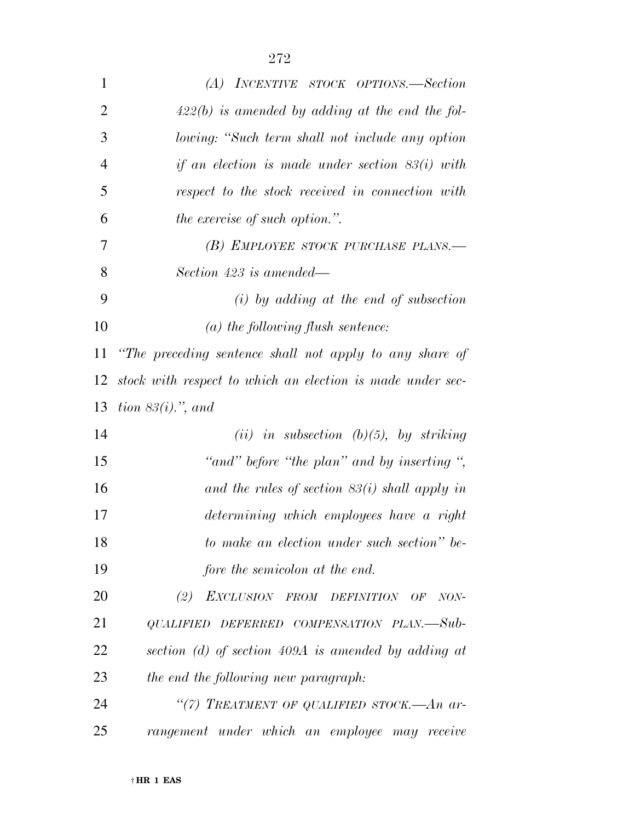| $\mathbf{1}$   | (A) INCENTIVE STOCK OPTIONS.—Section                       |
|----------------|------------------------------------------------------------|
| $\overline{2}$ | $422(b)$ is amended by adding at the end the fol-          |
| 3              | lowing: "Such term shall not include any option            |
| $\overline{4}$ | if an election is made under section $83(i)$ with          |
| 5              | respect to the stock received in connection with           |
| 6              | <i>the exercise of such option.</i> ".                     |
| 7              | (B) EMPLOYEE STOCK PURCHASE PLANS.—                        |
| 8              | Section 423 is amended—                                    |
| 9              | $(i)$ by adding at the end of subsection                   |
| 10             | $(a)$ the following flush sentence:                        |
| 11             | "The preceding sentence shall not apply to any share of    |
| 12             | stock with respect to which an election is made under sec- |
| 13             | tion $83(i)$ , and                                         |
| 14             | (ii) in subsection (b)(5), by striking                     |
| 15             | "and" before "the plan" and by inserting",                 |
| 16             | and the rules of section $83(i)$ shall apply in            |
| 17             | determining which employees have a right                   |
| 18             | to make an election under such section" be-                |
| 19             | fore the semicolon at the end.                             |
| 20             | (2) EXCLUSION FROM DEFINITION OF NON-                      |
| 21             | QUALIFIED DEFERRED COMPENSATION PLAN.-Sub-                 |
| 22             | section (d) of section $409A$ is amended by adding at      |
| 23             | the end the following new paragraph:                       |
| 24             | "(7) TREATMENT OF QUALIFIED STOCK.-An ar-                  |
| 25             | rangement under which an employee may receive              |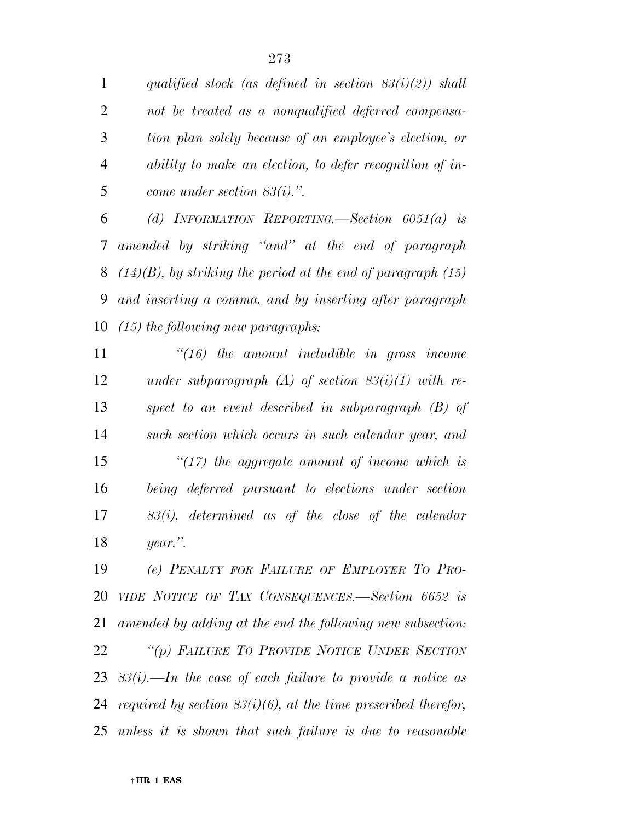*qualified stock (as defined in section 83(i)(2)) shall not be treated as a nonqualified deferred compensa-*

 *tion plan solely because of an employee's election, or ability to make an election, to defer recognition of in-come under section 83(i).''.* 

 *(d) INFORMATION REPORTING.—Section 6051(a) is amended by striking ''and'' at the end of paragraph (14)(B), by striking the period at the end of paragraph (15) and inserting a comma, and by inserting after paragraph (15) the following new paragraphs:* 

 *''(16) the amount includible in gross income under subparagraph (A) of section 83(i)(1) with re- spect to an event described in subparagraph (B) of such section which occurs in such calendar year, and ''(17) the aggregate amount of income which is being deferred pursuant to elections under section 83(i), determined as of the close of the calendar year.''.* 

 *(e) PENALTY FOR FAILURE OF EMPLOYER TO PRO- VIDE NOTICE OF TAX CONSEQUENCES.—Section 6652 is amended by adding at the end the following new subsection: ''(p) FAILURE TO PROVIDE NOTICE UNDER SECTION 83(i).—In the case of each failure to provide a notice as required by section 83(i)(6), at the time prescribed therefor, unless it is shown that such failure is due to reasonable*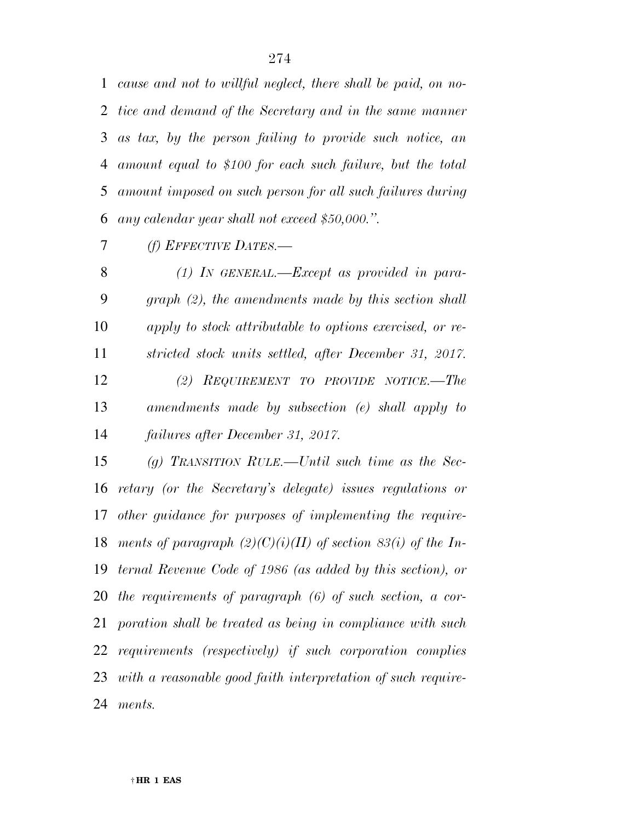*cause and not to willful neglect, there shall be paid, on no- tice and demand of the Secretary and in the same manner as tax, by the person failing to provide such notice, an amount equal to \$100 for each such failure, but the total amount imposed on such person for all such failures during any calendar year shall not exceed \$50,000.''.* 

*(f) EFFECTIVE DATES.—* 

 *(1) IN GENERAL.—Except as provided in para- graph (2), the amendments made by this section shall apply to stock attributable to options exercised, or re- stricted stock units settled, after December 31, 2017. (2) REQUIREMENT TO PROVIDE NOTICE.—The amendments made by subsection (e) shall apply to failures after December 31, 2017.* 

 *(g) TRANSITION RULE.—Until such time as the Sec- retary (or the Secretary's delegate) issues regulations or other guidance for purposes of implementing the require- ments of paragraph (2)(C)(i)(II) of section 83(i) of the In- ternal Revenue Code of 1986 (as added by this section), or the requirements of paragraph (6) of such section, a cor- poration shall be treated as being in compliance with such requirements (respectively) if such corporation complies with a reasonable good faith interpretation of such require-ments.*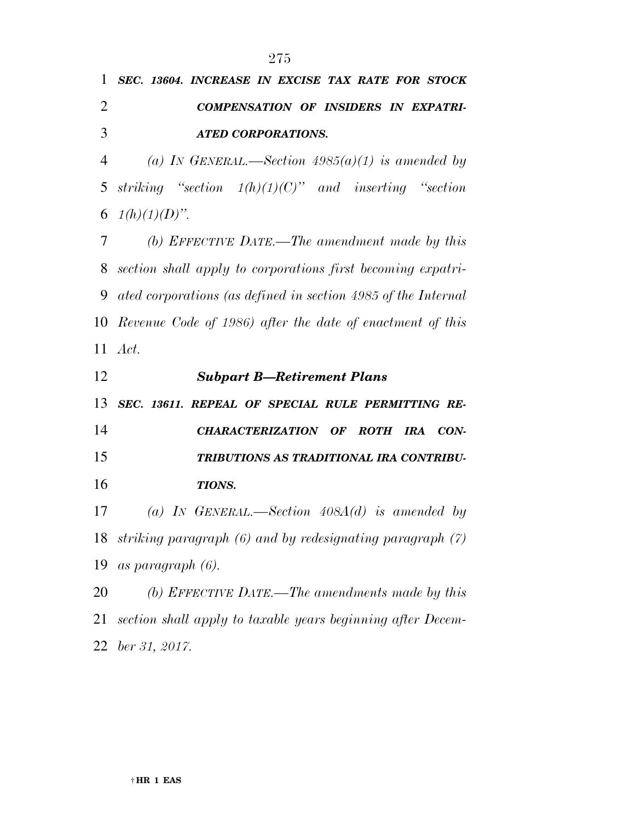|               | 1 SEC. 13604. INCREASE IN EXCISE TAX RATE FOR STOCK |                    |  |                                             |
|---------------|-----------------------------------------------------|--------------------|--|---------------------------------------------|
|               |                                                     |                    |  | <b>COMPENSATION OF INSIDERS IN EXPATRI-</b> |
| $\mathcal{R}$ |                                                     | ATED CORPORATIONS. |  |                                             |

 *(a) IN GENERAL.—Section 4985(a)(1) is amended by striking ''section 1(h)(1)(C)'' and inserting ''section*  6  $1(h)(1)(D)$ ".

 *(b) EFFECTIVE DATE.—The amendment made by this section shall apply to corporations first becoming expatri- ated corporations (as defined in section 4985 of the Internal Revenue Code of 1986) after the date of enactment of this Act.* 

 *Subpart B—Retirement Plans SEC. 13611. REPEAL OF SPECIAL RULE PERMITTING RE- CHARACTERIZATION OF ROTH IRA CON- TRIBUTIONS AS TRADITIONAL IRA CONTRIBU- TIONS. (a) IN GENERAL.—Section 408A(d) is amended by striking paragraph (6) and by redesignating paragraph (7) as paragraph (6). (b) EFFECTIVE DATE.—The amendments made by this section shall apply to taxable years beginning after Decem-*

*ber 31, 2017.*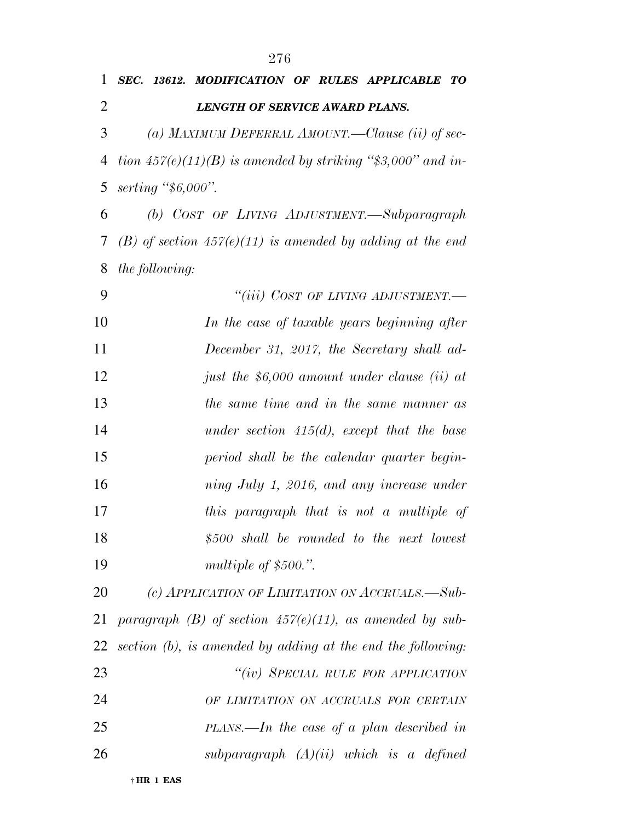| 1              | SEC. 13612. MODIFICATION OF RULES APPLICABLE<br>TО            |
|----------------|---------------------------------------------------------------|
| $\overline{2}$ | <b>LENGTH OF SERVICE AWARD PLANS.</b>                         |
| 3              | (a) MAXIMUM DEFERRAL AMOUNT.—Clause (ii) of sec-              |
| 4              | tion $457(e)(11)(B)$ is amended by striking "\$3,000" and in- |
| 5              | serting $\frac{4}{5}6,000$ .                                  |
| 6              | (b) COST OF LIVING ADJUSTMENT.—Subparagraph                   |
| 7              | (B) of section $457(e)(11)$ is amended by adding at the end   |
| 8              | <i>the following:</i>                                         |
| 9              | "(iii) COST OF LIVING ADJUSTMENT.—                            |
| 10             | In the case of taxable years beginning after                  |
| 11             | December 31, 2017, the Secretary shall ad-                    |
| 12             | just the \$6,000 amount under clause (ii) at                  |
| 13             | the same time and in the same manner as                       |
| 14             | under section $415(d)$ , except that the base                 |
| 15             | period shall be the calendar quarter begin-                   |
| 16             | ning July 1, 2016, and any increase under                     |
| 17             | this paragraph that is not a multiple of                      |
| 18             | $$500$ shall be rounded to the next lowest                    |
| 19             | multiple of $$500."$ .                                        |
| 20             | (c) APPLICATION OF LIMITATION ON ACCRUALS.-Sub-               |
| 21             | paragraph (B) of section $457(e)(11)$ , as amended by sub-    |
| 22             | section (b), is amended by adding at the end the following:   |
| 23             | "(iv) SPECIAL RULE FOR APPLICATION                            |
| 24             | OF LIMITATION ON ACCRUALS FOR CERTAIN                         |
| 25             | $PLANS.$ —In the case of a plan described in                  |
| 26             | subparagraph $(A)(ii)$ which is a defined                     |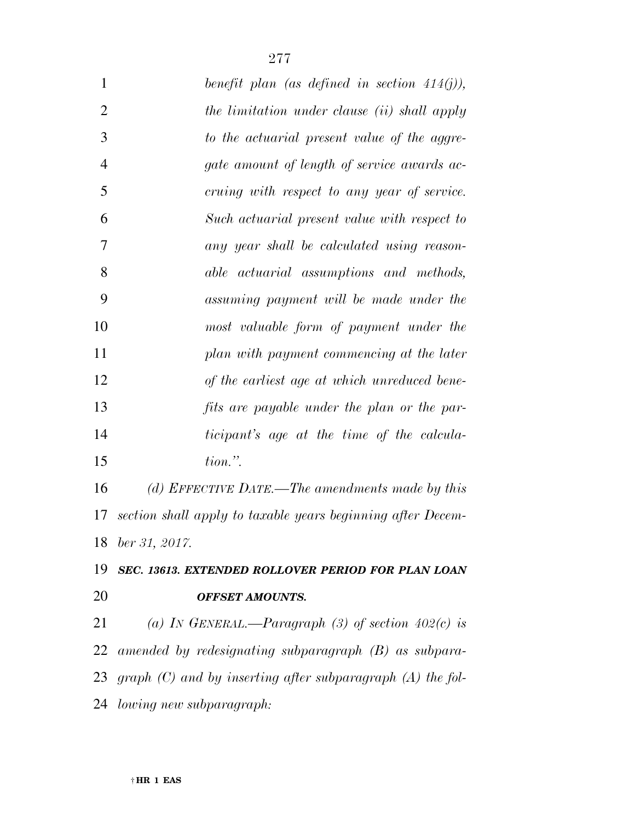| $\mathbf{1}$   | benefit plan (as defined in section $414(j)$ ),             |
|----------------|-------------------------------------------------------------|
| $\overline{2}$ | the limitation under clause (ii) shall apply                |
| 3              | to the actuarial present value of the aggre-                |
| $\overline{4}$ | gate amount of length of service awards ac-                 |
| 5              | cruing with respect to any year of service.                 |
| 6              | Such actuarial present value with respect to                |
| 7              | any year shall be calculated using reason-                  |
| 8              | able actuarial assumptions and methods,                     |
| 9              | assuming payment will be made under the                     |
| 10             | most valuable form of payment under the                     |
| 11             | plan with payment commencing at the later                   |
| 12             | of the earliest age at which unreduced bene-                |
| 13             | fits are payable under the plan or the par-                 |
| 14             | <i>ticipant's</i> age at the time of the calcula-           |
| 15             | $tion.$ ".                                                  |
| 16             | (d) EFFECTIVE DATE.—The amendments made by this             |
| 17             | section shall apply to taxable years beginning after Decem- |
| 18             | ber 31, 2017.                                               |
| 19             | SEC. 13613. EXTENDED ROLLOVER PERIOD FOR PLAN LOAN          |
| 20             | <b>OFFSET AMOUNTS.</b>                                      |

 *(a) IN GENERAL.—Paragraph (3) of section 402(c) is amended by redesignating subparagraph (B) as subpara- graph (C) and by inserting after subparagraph (A) the fol-lowing new subparagraph:*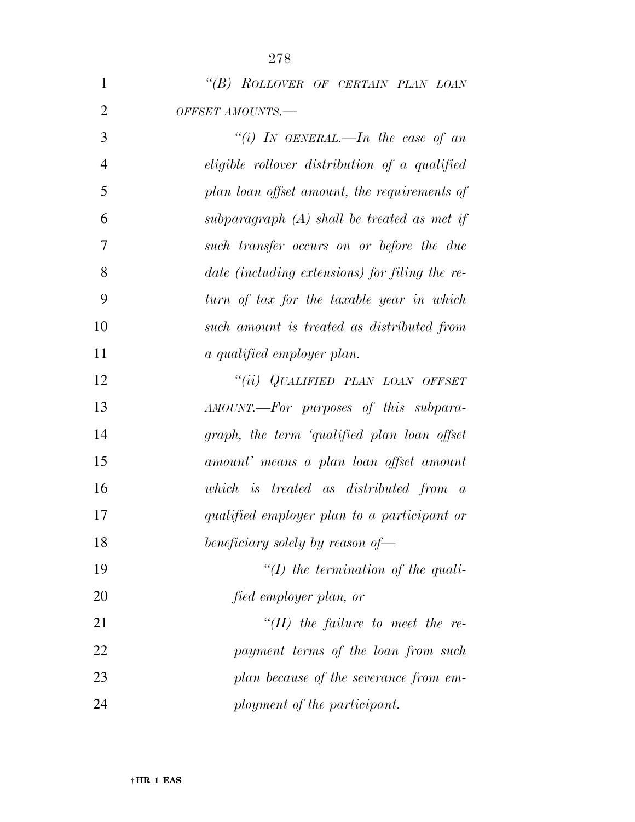*''(B) ROLLOVER OF CERTAIN PLAN LOAN OFFSET AMOUNTS.—* 

 *''(i) IN GENERAL.—In the case of an eligible rollover distribution of a qualified plan loan offset amount, the requirements of subparagraph (A) shall be treated as met if such transfer occurs on or before the due date (including extensions) for filing the re- turn of tax for the taxable year in which such amount is treated as distributed from a qualified employer plan. ''(ii) QUALIFIED PLAN LOAN OFFSET AMOUNT.—For purposes of this subpara- graph, the term 'qualified plan loan offset amount' means a plan loan offset amount which is treated as distributed from a qualified employer plan to a participant or beneficiary solely by reason of— ''(I) the termination of the quali-fied employer plan, or* 

 *''(II) the failure to meet the re- payment terms of the loan from such plan because of the severance from em-ployment of the participant.*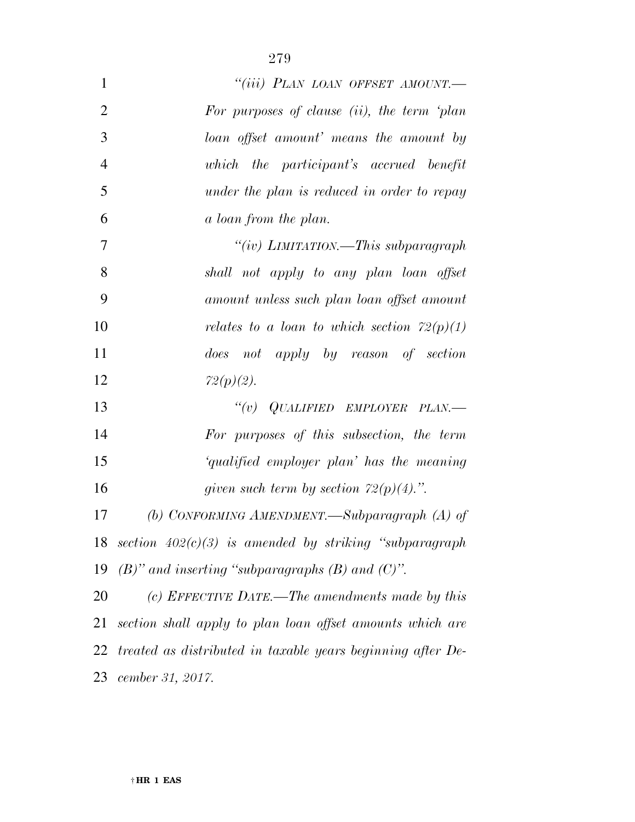| 1              | "(iii) PLAN LOAN OFFSET AMOUNT.-                            |
|----------------|-------------------------------------------------------------|
| $\overline{2}$ | For purposes of clause (ii), the term 'plan                 |
| 3              | loan offset amount' means the amount by                     |
| $\overline{4}$ | which the participant's accrued benefit                     |
| 5              | under the plan is reduced in order to repay                 |
| 6              | a loan from the plan.                                       |
| 7              | "(iv) LIMITATION.—This subparagraph                         |
| 8              | shall not apply to any plan loan offset                     |
| 9              | amount unless such plan loan offset amount                  |
| 10             | relates to a loan to which section $72(p)(1)$               |
| 11             | does not apply by reason of section                         |
| 12             | $72(p)(2)$ .                                                |
| 13             | $``(v)$ QUALIFIED EMPLOYER PLAN.—                           |
| 14             | For purposes of this subsection, the term                   |
| 15             | 'qualified employer plan' has the meaning                   |
| 16             | given such term by section $72(p)(4)$ .".                   |
| 17             | (b) CONFORMING AMENDMENT.—Subparagraph (A) of               |
| 18             | section $402(c)(3)$ is amended by striking "subparagraph"   |
| 19             | $(B)$ " and inserting "subparagraphs $(B)$ and $(C)$ ".     |
| 20             | (c) EFFECTIVE DATE.—The amendments made by this             |
| 21             | section shall apply to plan loan offset amounts which are   |
| 22             | treated as distributed in taxable years beginning after De- |
| 23             | cember 31, 2017.                                            |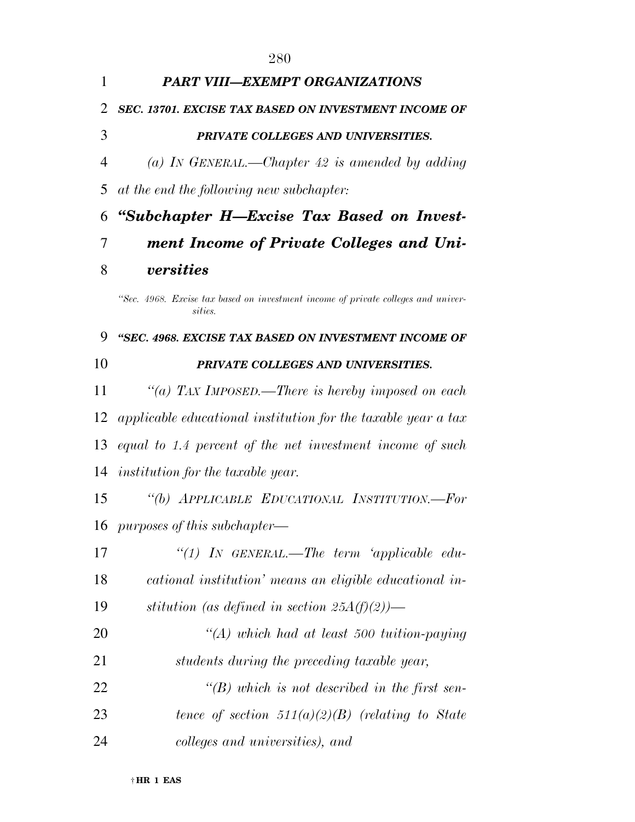*PART VIII—EXEMPT ORGANIZATIONS SEC. 13701. EXCISE TAX BASED ON INVESTMENT INCOME OF PRIVATE COLLEGES AND UNIVERSITIES. (a) IN GENERAL.—Chapter 42 is amended by adding at the end the following new subchapter: ''Subchapter H—Excise Tax Based on Invest- ment Income of Private Colleges and Uni-versities* 

*''Sec. 4968. Excise tax based on investment income of private colleges and universities.* 

## *''SEC. 4968. EXCISE TAX BASED ON INVESTMENT INCOME OF PRIVATE COLLEGES AND UNIVERSITIES.*

 *''(a) TAX IMPOSED.—There is hereby imposed on each applicable educational institution for the taxable year a tax equal to 1.4 percent of the net investment income of such institution for the taxable year.* 

 *''(b) APPLICABLE EDUCATIONAL INSTITUTION.—For purposes of this subchapter—* 

| 17 | "(1) IN GENERAL.—The term 'applicable edu-              |
|----|---------------------------------------------------------|
| 18 | cational institution' means an eligible educational in- |
| 19 | stitution (as defined in section $25A(f)(2)$ )—         |
| 20 | $\lq (A)$ which had at least 500 tuition-paying         |
| 21 | students during the preceding taxable year,             |
| 22 | "(B) which is not described in the first sen-           |
| 23 | tence of section $511(a)(2)(B)$ (relating to State      |
| 24 | colleges and universities), and                         |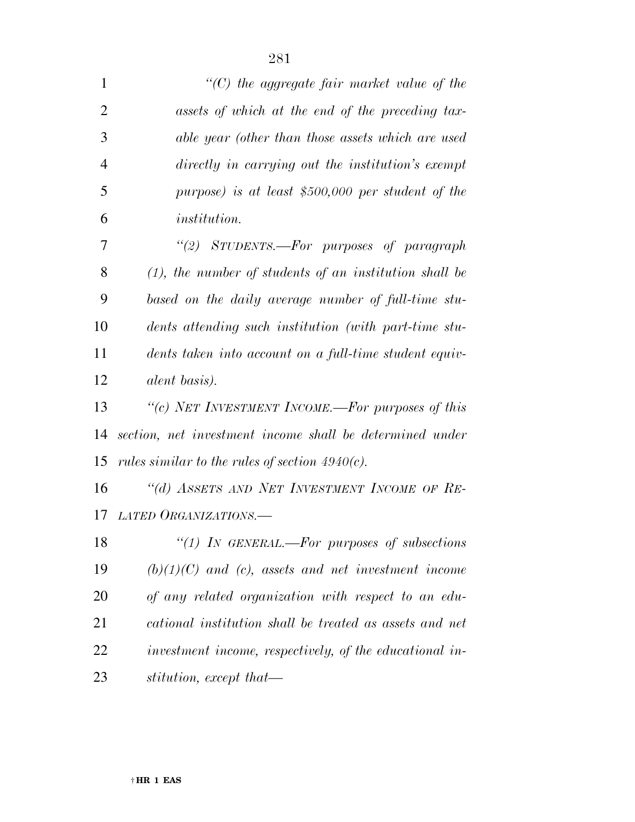| $\mathbf{1}$   | $\lq\lq$ the aggregate fair market value of the           |
|----------------|-----------------------------------------------------------|
| $\overline{2}$ | assets of which at the end of the preceding tax-          |
| 3              | able year (other than those assets which are used         |
| $\overline{4}$ | directly in carrying out the institution's exempt         |
| 5              | purpose) is at least $$500,000$ per student of the        |
| 6              | <i>institution.</i>                                       |
| 7              | "(2) STUDENTS.—For purposes of paragraph                  |
| 8              | $(1)$ , the number of students of an institution shall be |
| 9              | based on the daily average number of full-time stu-       |
| 10             | dents attending such institution (with part-time stu-     |
| 11             | dents taken into account on a full-time student equiv-    |
| 12             | <i>alent basis</i> ).                                     |
| 13             | "(c) NET INVESTMENT INCOME.—For purposes of this          |
| 14             | section, net investment income shall be determined under  |
| 15             | rules similar to the rules of section $4940(c)$ .         |
| 16             | "(d) ASSETS AND NET INVESTMENT INCOME OF RE-              |
| 17             | LATED ORGANIZATIONS.                                      |
| 18             | "(1) IN GENERAL.—For purposes of subsections              |
| 19             | $(b)(1)(C)$ and $(c)$ , assets and net investment income  |
| 20             | of any related organization with respect to an edu-       |
| 21             | cational institution shall be treated as assets and net   |
| 22             | investment income, respectively, of the educational in-   |
| 23             | stitution, except that—                                   |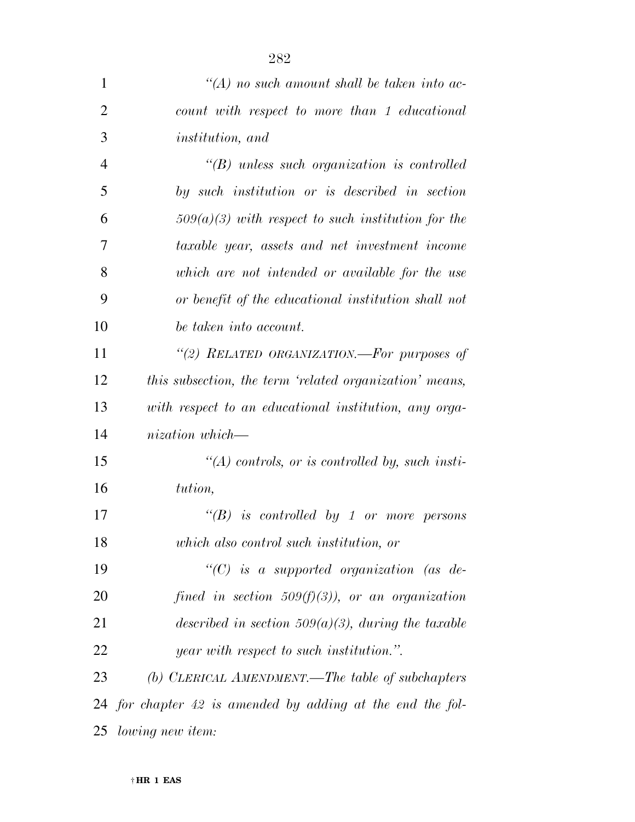| $\mathbf{1}$   | $\lq (A)$ no such amount shall be taken into ac-             |
|----------------|--------------------------------------------------------------|
| $\overline{2}$ | count with respect to more than 1 educational                |
| 3              | <i>institution</i> , and                                     |
| $\overline{4}$ | $\lq\lq(B)$ unless such organization is controlled           |
| 5              | by such institution or is described in section               |
| 6              | $509(a)(3)$ with respect to such institution for the         |
| 7              | taxable year, assets and net investment income               |
| 8              | which are not intended or available for the use              |
| 9              | or benefit of the educational institution shall not          |
| 10             | be taken into account.                                       |
| 11             | "(2) RELATED ORGANIZATION.—For purposes of                   |
| 12             | this subsection, the term 'related organization' means,      |
| 13             | with respect to an educational institution, any orga-        |
| 14             | nization which—                                              |
| 15             | $\lq (A)$ controls, or is controlled by, such insti-         |
| 16             | tution,                                                      |
| 17             | $\lq\lq(B)$ is controlled by 1 or more persons               |
| 18             | which also control such institution, or                      |
| 19             | "(C) is a supported organization (as de-                     |
| 20             | fined in section 509 $(f)(3)$ , or an organization           |
| 21             | described in section 509(a)(3), during the taxable           |
| 22             | year with respect to such institution.".                     |
| 23             | (b) CLERICAL AMENDMENT.—The table of subchapters             |
|                | 24 for chapter $42$ is amended by adding at the end the fol- |
| 25             | <i>lowing new item:</i>                                      |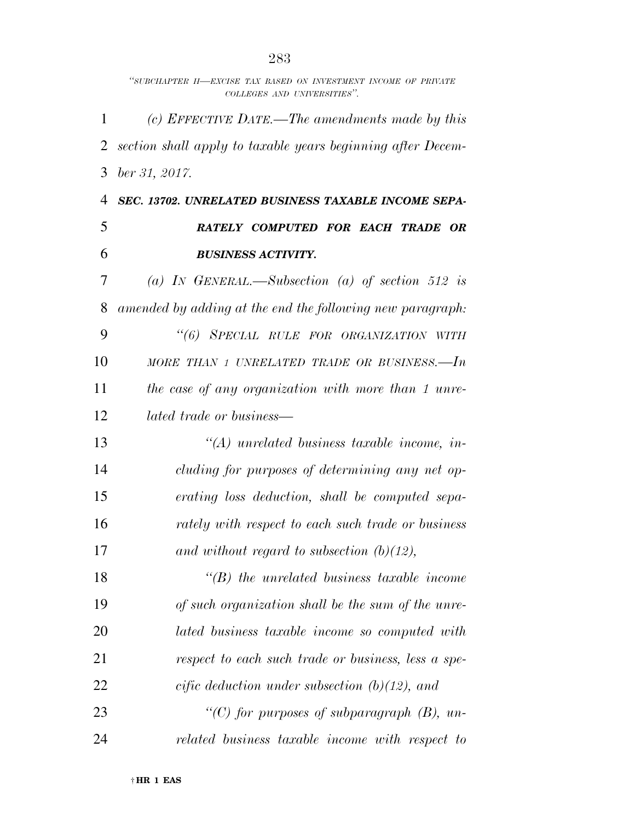|    | "SUBCHAPTER H-EXCISE TAX BASED ON INVESTMENT INCOME OF PRIVATE<br>COLLEGES AND UNIVERSITIES". |
|----|-----------------------------------------------------------------------------------------------|
| 1  | (c) EFFECTIVE DATE.—The amendments made by this                                               |
| 2  | section shall apply to taxable years beginning after Decem-                                   |
| 3  | $ber\,31,\,2017.$                                                                             |
| 4  | SEC. 13702. UNRELATED BUSINESS TAXABLE INCOME SEPA-                                           |
| 5  | RATELY COMPUTED FOR EACH TRADE OR                                                             |
| 6  | <b>BUSINESS ACTIVITY.</b>                                                                     |
| 7  | (a) IN GENERAL.—Subsection (a) of section 512 is                                              |
| 8  | amended by adding at the end the following new paragraph:                                     |
| 9  | "(6) SPECIAL RULE FOR ORGANIZATION WITH                                                       |
| 10 | MORE THAN 1 UNRELATED TRADE OR BUSINESS. $-In$                                                |
| 11 | the case of any organization with more than 1 unre-                                           |
| 12 | <i>lated trade or business—</i>                                                               |
| 13 | $\lq (A)$ unrelated business taxable income, in-                                              |
| 14 | cluding for purposes of determining any net op-                                               |
| 15 | erating loss deduction, shall be computed sepa-                                               |
| 16 | rately with respect to each such trade or business                                            |
| 17 | and without regard to subsection $(b)(12)$ ,                                                  |
| 18 | $\lq\lq(B)$ the unrelated business taxable income                                             |
| 19 | of such organization shall be the sum of the unre-                                            |
| 20 | lated business taxable income so computed with                                                |
| 21 | respect to each such trade or business, less a spe-                                           |
| 22 | cific deduction under subsection $(b)(12)$ , and                                              |
| 23 | "(C) for purposes of subparagraph $(B)$ , un-                                                 |
| 24 | related business taxable income with respect to                                               |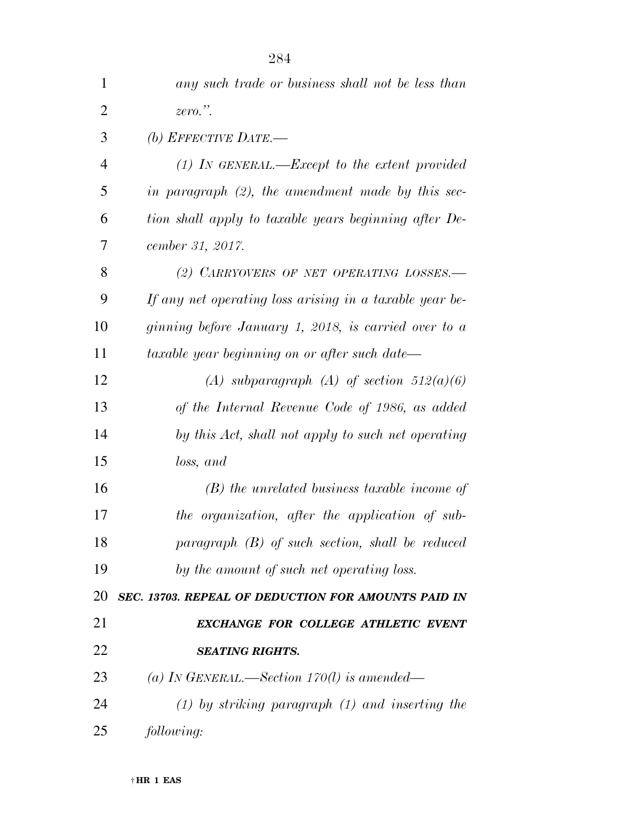| 1              | any such trade or business shall not be less than       |
|----------------|---------------------------------------------------------|
| 2              | $zero.$ ".                                              |
| 3              | (b) EFFECTIVE DATE.—                                    |
| $\overline{4}$ | $(1)$ In GENERAL.—Except to the extent provided         |
| 5              | in paragraph $(2)$ , the amendment made by this sec-    |
| 6              | tion shall apply to taxable years beginning after De-   |
| 7              | cember 31, 2017.                                        |
| 8              | (2) CARRYOVERS OF NET OPERATING LOSSES.-                |
| 9              | If any net operating loss arising in a taxable year be- |
| 10             | ginning before January 1, 2018, is carried over to a    |
| 11             | taxable year beginning on or after such date—           |
| 12             | (A) subparagraph (A) of section $512(a)(6)$             |
| 13             | of the Internal Revenue Code of 1986, as added          |
| 14             | by this Act, shall not apply to such net operating      |
| 15             | loss, and                                               |
| 16             | $(B)$ the unrelated business taxable income of          |
| 17             | the organization, after the application of sub-         |
| 18             | $paramph$ (B) of such section, shall be reduced         |
| 19             | by the amount of such net operating loss.               |
| 20             | SEC. 13703. REPEAL OF DEDUCTION FOR AMOUNTS PAID IN     |
| 21             | EXCHANGE FOR COLLEGE ATHLETIC EVENT                     |
| 22             | <b>SEATING RIGHTS.</b>                                  |
| 23             | (a) IN GENERAL.—Section $170(l)$ is amended—            |
| 24             | $(1)$ by striking paragraph $(1)$ and inserting the     |
| 25             | following:                                              |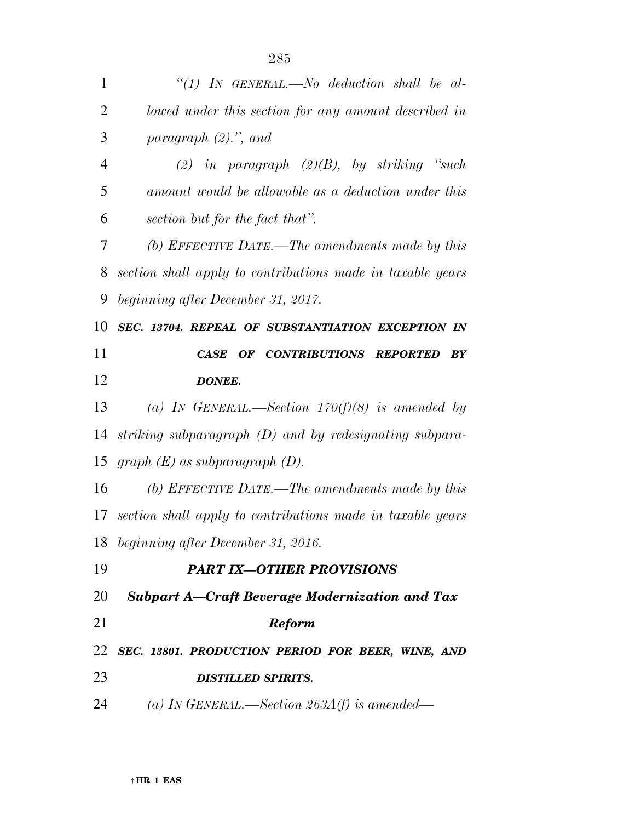| 1              | "(1) IN GENERAL.—No deduction shall be al-                                 |
|----------------|----------------------------------------------------------------------------|
| $\overline{2}$ | lowed under this section for any amount described in                       |
| 3              | paragraph $(2)$ .", and                                                    |
| $\overline{4}$ | (2) in paragraph $(2)(B)$ , by striking "such                              |
| 5              | amount would be allowable as a deduction under this                        |
| 6              | section but for the fact that".                                            |
| 7              | (b) EFFECTIVE DATE.—The amendments made by this                            |
| 8              | section shall apply to contributions made in taxable years                 |
| 9              | beginning after December 31, 2017.                                         |
| 10             | SEC. 13704. REPEAL OF SUBSTANTIATION EXCEPTION IN                          |
| 11             | OF CONTRIBUTIONS REPORTED<br>$\boldsymbol{B}\boldsymbol{Y}$<br><b>CASE</b> |
| 12             | <b>DONEE.</b>                                                              |
| 13             | (a) IN GENERAL.—Section $170(f)(8)$ is amended by                          |
|                |                                                                            |
| 14             | striking subparagraph $(D)$ and by redesignating subpara-                  |
| 15             | graph $(E)$ as subparagraph $(D)$ .                                        |
|                | (b) EFFECTIVE DATE.—The amendments made by this                            |
|                | 17 section shall apply to contributions made in taxable years              |
|                | beginning after December 31, 2016.                                         |
| 16<br>18<br>19 | <b>PART IX-OTHER PROVISIONS</b>                                            |
| 20             | <b>Subpart A-Craft Beverage Modernization and Tax</b>                      |
|                | <b>Reform</b>                                                              |
| 21<br>22       | SEC. 13801. PRODUCTION PERIOD FOR BEER, WINE, AND                          |
| 23             | <b>DISTILLED SPIRITS.</b>                                                  |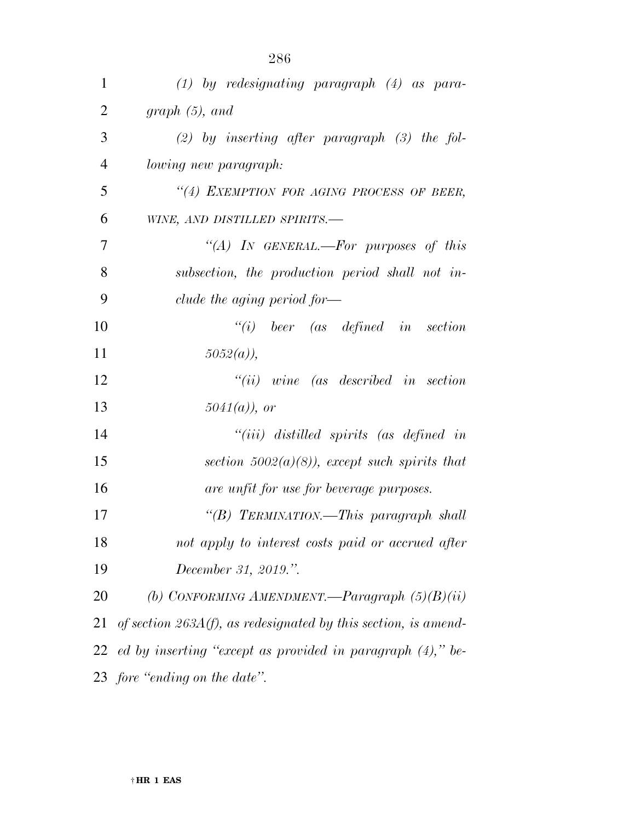| 1              | $(1)$ by redesignating paragraph $(4)$ as para-                   |
|----------------|-------------------------------------------------------------------|
| $\overline{2}$ | graph(5), and                                                     |
| 3              | $(2)$ by inserting after paragraph $(3)$ the fol-                 |
| 4              | <i>lowing new paragraph:</i>                                      |
| 5              | "(4) EXEMPTION FOR AGING PROCESS OF BEER,                         |
| 6              | WINE, AND DISTILLED SPIRITS.-                                     |
| 7              | "(A) IN GENERAL.—For purposes of this                             |
| 8              | subsection, the production period shall not in-                   |
| 9              | clude the aging period for—                                       |
| 10             | $``(i)$ beer (as defined in section                               |
| 11             | $5052(a)$ ,                                                       |
| 12             | $``(ii)$ wine (as described in section                            |
| 13             | $5041(a)$ , or                                                    |
| 14             | $``(iii)$ distilled spirits (as defined in                        |
| 15             | section $5002(a)(8)$ , except such spirits that                   |
| 16             | are unfit for use for beverage purposes.                          |
| 17             | "(B) TERMINATION.—This paragraph shall                            |
| 18             | not apply to interest costs paid or accrued after                 |
| 19             | December 31, 2019.".                                              |
| 20             | (b) CONFORMING AMENDMENT.—Paragraph $(5)(B)(ii)$                  |
| 21             | of section $263A(f)$ , as redesignated by this section, is amend- |
| 22             | ed by inserting "except as provided in paragraph $(4)$ ," be-     |
|                | 23 fore "ending on the date".                                     |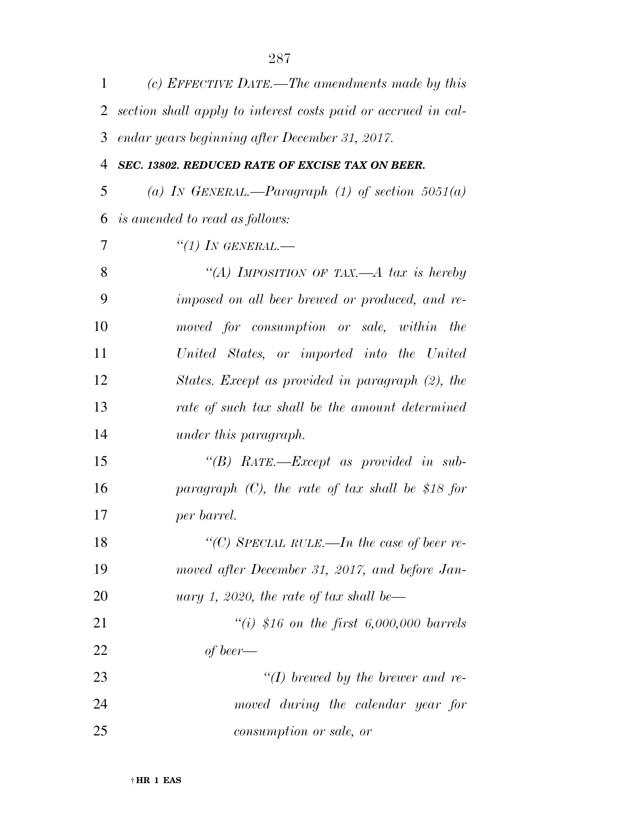| 1              | (c) EFFECTIVE DATE.—The amendments made by this               |
|----------------|---------------------------------------------------------------|
| 2              | section shall apply to interest costs paid or accrued in cal- |
| 3              | endar years beginning after December 31, 2017.                |
| $\overline{4}$ | SEC. 13802. REDUCED RATE OF EXCISE TAX ON BEER.               |
| 5              | (a) IN GENERAL.—Paragraph (1) of section $5051(a)$            |
| 6              | <i>is amended to read as follows:</i>                         |
| 7              | "(1) IN GENERAL.—                                             |
| 8              | "(A) IMPOSITION OF TAX—A tax is hereby                        |
| 9              | imposed on all beer brewed or produced, and re-               |
| 10             | moved for consumption or sale, within the                     |
| 11             | United States, or imported into the United                    |
| 12             | States. Except as provided in paragraph (2), the              |
| 13             | rate of such tax shall be the amount determined               |
| 14             | under this paragraph.                                         |
| 15             | "(B) RATE.—Except as provided in sub-                         |
| 16             | paragraph $(C)$ , the rate of tax shall be \$18 for           |
| 17             | per barrel.                                                   |
| 18             | "(C) SPECIAL RULE.—In the case of beer re-                    |
| 19             | moved after December 31, 2017, and before Jan-                |
| 20             | uary 1, 2020, the rate of tax shall be—                       |
| 21             | "(i) \$16 on the first $6,000,000$ barrels                    |
| 22             | of beer—                                                      |
| 23             | $\lq (I)$ brewed by the brewer and re-                        |
| 24             | moved during the calendar year for                            |
| 25             | consumption or sale, or                                       |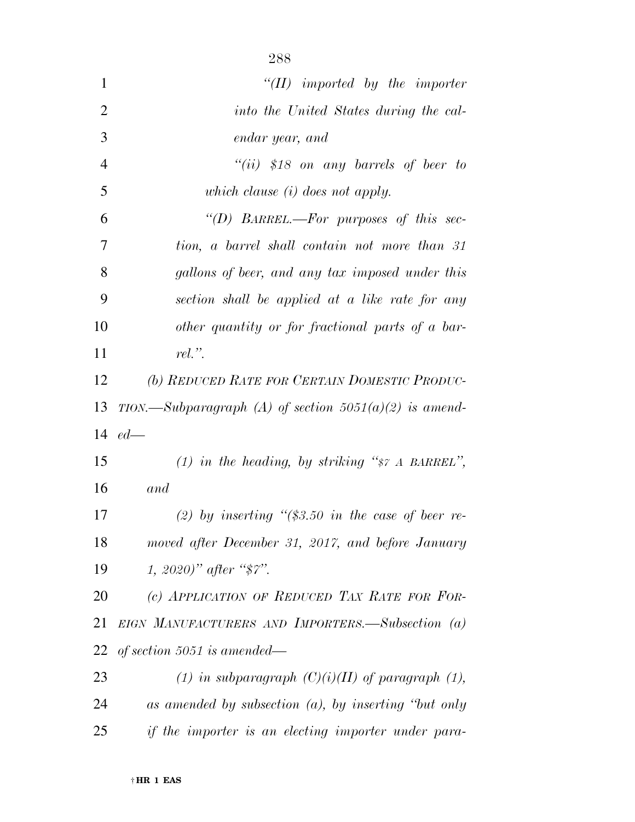| $\mathbf{1}$   | $``(II)$ imported by the importer                        |
|----------------|----------------------------------------------------------|
| $\overline{2}$ | into the United States during the cal-                   |
| 3              | endar year, and                                          |
| $\overline{4}$ | "(ii) \$18 on any barrels of beer to                     |
| 5              | which clause $(i)$ does not apply.                       |
| 6              | "(D) BARREL.—For purposes of this sec-                   |
| $\tau$         | tion, a barrel shall contain not more than 31            |
| 8              | gallons of beer, and any tax imposed under this          |
| 9              | section shall be applied at a like rate for any          |
| 10             | other quantity or for fractional parts of a bar-         |
| 11             | $rel.$ ".                                                |
| 12             | (b) REDUCED RATE FOR CERTAIN DOMESTIC PRODUC-            |
| 13             | TION.—Subparagraph (A) of section $5051(a)(2)$ is amend- |
|                | 14 $ed-$                                                 |
| 15             | (1) in the heading, by striking " $\gamma$ A BARREL",    |
| 16             | and                                                      |
| 17             | (2) by inserting " $(\$3.50$ in the case of beer re-     |
| 18             | moved after December 31, 2017, and before January        |
| 19             | 1, 2020)" after " $\frac{2020}{1}$ ".                    |
| 20             | (c) APPLICATION OF REDUCED TAX RATE FOR FOR-             |
| 21             | EIGN MANUFACTURERS AND IMPORTERS.—Subsection (a)         |
| 22             | of section 5051 is amended—                              |
| 23             | (1) in subparagraph $(C)(i)(II)$ of paragraph (1),       |
| 24             | as amended by subsection $(a)$ , by inserting "but only  |
| 25             | if the importer is an electing importer under para-      |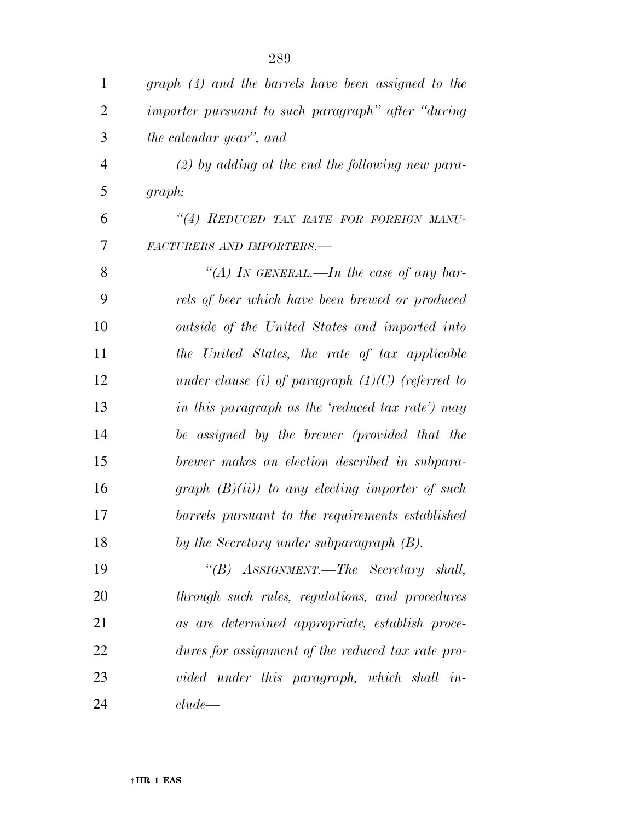| 1              | graph (4) and the barrels have been assigned to the |
|----------------|-----------------------------------------------------|
| $\overline{2}$ | importer pursuant to such paragraph" after "during  |
| 3              | the calendar year", and                             |
| $\overline{4}$ | $(2)$ by adding at the end the following new para-  |
| 5              | graph:                                              |
| 6              | "(4) REDUCED TAX RATE FOR FOREIGN MANU-             |
| 7              | FACTURERS AND IMPORTERS.-                           |
| 8              | "(A) In GENERAL.—In the case of any bar-            |
| 9              | rels of beer which have been brewed or produced     |
| 10             | outside of the United States and imported into      |
| 11             | the United States, the rate of tax applicable       |
| 12             | under clause (i) of paragraph $(1)(C)$ (referred to |
| 13             | in this paragraph as the 'reduced tax rate') may    |
| 14             | be assigned by the brewer (provided that the        |
| 15             | brewer makes an election described in subpara-      |
| 16             | graph $(B)(ii)$ to any electing importer of such    |
| 17             | barrels pursuant to the requirements established    |
| 18             | by the Secretary under subparagraph (B).            |
| 19             | "(B) ASSIGNMENT.—The Secretary shall,               |
| 20             | through such rules, regulations, and procedures     |
| 21             | as are determined appropriate, establish proce-     |
| 22             | dures for assignment of the reduced tax rate pro-   |
| 23             | vided under this paragraph, which shall in-         |
| 24             | clude                                               |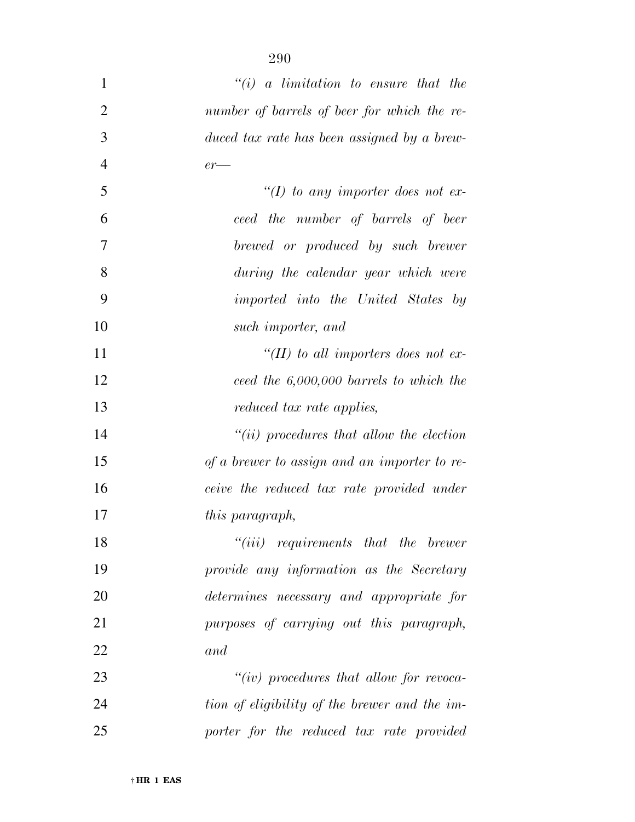| 1              | $``(i)$ a limitation to ensure that the       |
|----------------|-----------------------------------------------|
| $\overline{2}$ | number of barrels of beer for which the re-   |
| 3              | duced tax rate has been assigned by a brew-   |
| $\overline{4}$ | $er-$                                         |
| 5              | "(I) to any importer does not ex-             |
| 6              | ceed the number of barrels of beer            |
| 7              | brewed or produced by such brewer             |
| 8              | during the calendar year which were           |
| 9              | <i>imported into the United States by</i>     |
| 10             | such importer, and                            |
| 11             | "(II) to all importers does not ex-           |
| 12             | ceed the $6,000,000$ barrels to which the     |
| 13             | reduced tax rate applies,                     |
| 14             | $``(ii)$ procedures that allow the election   |
| 15             | of a brewer to assign and an importer to re-  |
| 16             | ceive the reduced tax rate provided under     |
| 17             | this paragraph,                               |
| 18             | $``(iii)$ requirements that the brewer        |
| 19             | provide any information as the Secretary      |
| 20             | determines necessary and appropriate for      |
| 21             | purposes of carrying out this paragraph,      |
| 22             | and                                           |
| 23             | " $(iv)$ procedures that allow for revoca-    |
| 24             | tion of eligibility of the brewer and the im- |
| 25             | porter for the reduced tax rate provided      |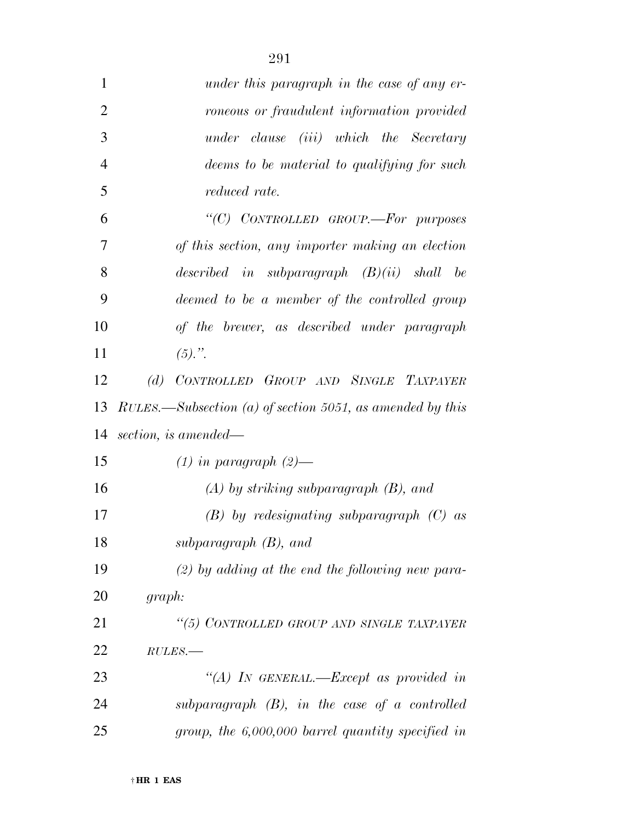| $\mathbf{1}$   | under this paragraph in the case of any er-               |
|----------------|-----------------------------------------------------------|
| $\overline{2}$ | roneous or fraudulent information provided                |
| 3              | under clause (iii) which the Secretary                    |
| $\overline{4}$ | deems to be material to qualifying for such               |
| 5              | <i>reduced rate.</i>                                      |
| 6              | "(C) CONTROLLED GROUP.—For purposes                       |
| 7              | of this section, any importer making an election          |
| 8              | described in subparagraph $(B)(ii)$ shall be              |
| 9              | deemed to be a member of the controlled group             |
| 10             | of the brewer, as described under paragraph               |
| 11             | $(5).$ ".                                                 |
| 12             | CONTROLLED GROUP AND SINGLE TAXPAYER<br>(d)               |
| 13             | RULES.—Subsection (a) of section 5051, as amended by this |
| 14             | section, is amended—                                      |
| 15             | $(1)$ in paragraph $(2)$ —                                |
| 16             | $(A)$ by striking subparagraph $(B)$ , and                |
| 17             | $(B)$ by redesignating subparagraph $(C)$ as              |
| 18             | subparagraph $(B)$ , and                                  |
| 19             | $(2)$ by adding at the end the following new para-        |
| 20             | graph:                                                    |
| 21             | "(5) CONTROLLED GROUP AND SINGLE TAXPAYER                 |
| 22             | $RULES$ .                                                 |
| 23             | "(A) IN GENERAL.—Except as provided in                    |
| 24             | $subparagnph$ (B), in the case of a controlled            |
| 25             | group, the $6,000,000$ barrel quantity specified in       |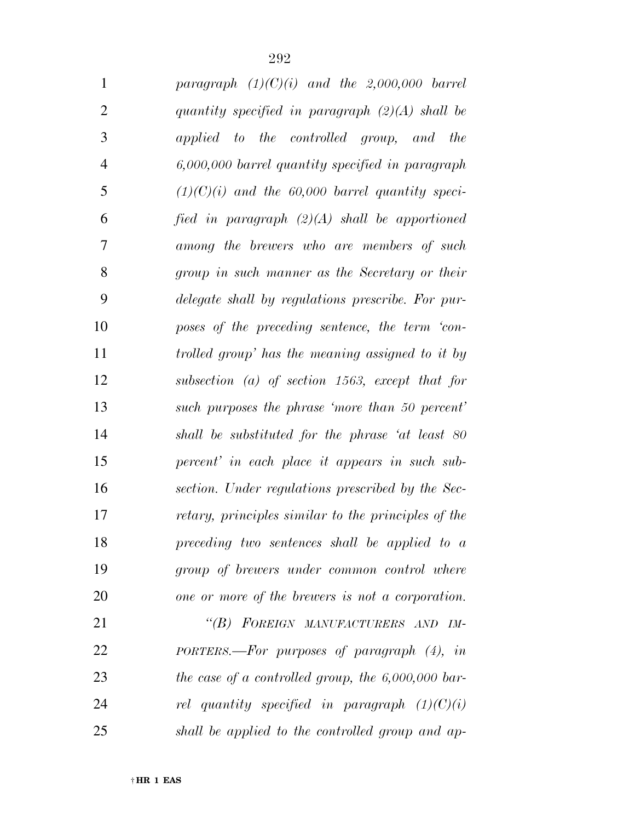| $\mathbf{1}$   | paragraph $(1)(C)(i)$ and the 2,000,000 barrel       |
|----------------|------------------------------------------------------|
| $\overline{2}$ | quantity specified in paragraph $(2)(A)$ shall be    |
| 3              | applied to the controlled group, and<br>the          |
| $\overline{4}$ | 6,000,000 barrel quantity specified in paragraph     |
| 5              | $(1)(C)(i)$ and the 60,000 barrel quantity speci-    |
| 6              | fied in paragraph $(2)(A)$ shall be apportioned      |
| 7              | among the brewers who are members of such            |
| 8              | group in such manner as the Secretary or their       |
| 9              | delegate shall by regulations prescribe. For pur-    |
| 10             | poses of the preceding sentence, the term 'con-      |
| 11             | trolled group' has the meaning assigned to it by     |
| 12             | subsection $(a)$ of section 1563, except that for    |
| 13             | such purposes the phrase 'more than 50 percent'      |
| 14             | shall be substituted for the phrase 'at least 80     |
| 15             | percent' in each place it appears in such sub-       |
| 16             | section. Under regulations prescribed by the Sec-    |
| 17             | retary, principles similar to the principles of the  |
| 18             | preceding two sentences shall be applied to a        |
| 19             | group of brewers under common control where          |
| 20             | one or more of the brewers is not a corporation.     |
| 21             | "(B) FOREIGN MANUFACTURERS AND IM-                   |
| 22             | PORTERS.—For purposes of paragraph $(4)$ , in        |
| 23             | the case of a controlled group, the $6,000,000$ bar- |
| 24             | rel quantity specified in paragraph $(1)(C)(i)$      |
| 25             | shall be applied to the controlled group and ap-     |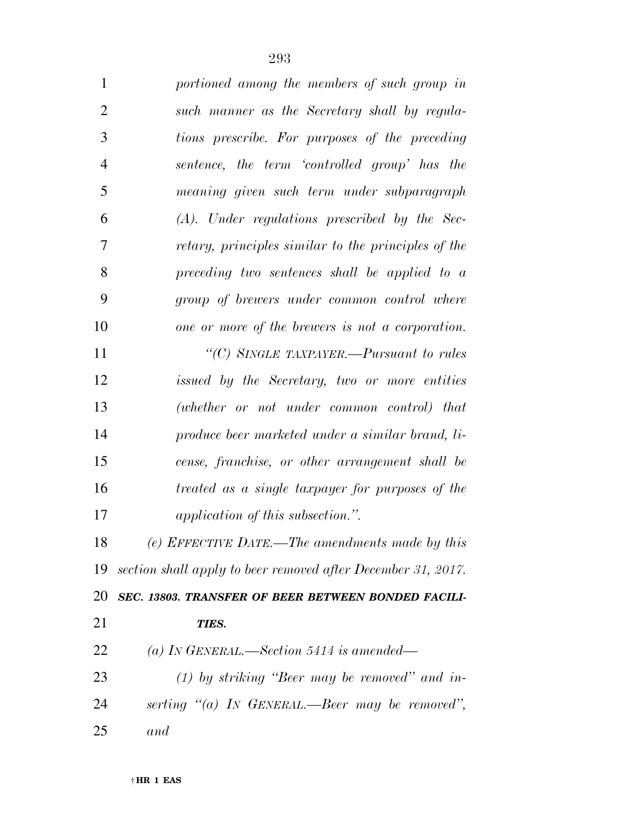| $\mathbf{1}$   | portioned among the members of such group in                 |
|----------------|--------------------------------------------------------------|
| $\overline{2}$ | such manner as the Secretary shall by regula-                |
| 3              | tions prescribe. For purposes of the preceding               |
| 4              | sentence, the term 'controlled group' has the                |
| 5              | meaning given such term under subparagraph                   |
| 6              | $(A)$ . Under regulations prescribed by the Sec-             |
| 7              | retary, principles similar to the principles of the          |
| 8              | preceding two sentences shall be applied to a                |
| 9              | group of brewers under common control where                  |
| 10             | one or more of the brewers is not a corporation.             |
| 11             | "(C) SINGLE TAXPAYER.—Pursuant to rules                      |
| 12             | issued by the Secretary, two or more entities                |
| 13             | (whether or not under common control) that                   |
| 14             | produce beer marketed under a similar brand, li-             |
| 15             | cense, franchise, or other arrangement shall be              |
| 16             | treated as a single taxpayer for purposes of the             |
| 17             | application of this subsection.".                            |
| 18             | (e) EFFECTIVE DATE.—The amendments made by this              |
| 19             | section shall apply to beer removed after December 31, 2017. |
| 20             | SEC. 13803. TRANSFER OF BEER BETWEEN BONDED FACILI-          |
| 21             | TIES.                                                        |
| 22             | (a) In GENERAL.—Section 5414 is amended—                     |
| 23             | $(1)$ by striking "Beer may be removed" and in-              |
| 24             | serting "(a) IN GENERAL.—Beer may be removed",               |
| 25             | and                                                          |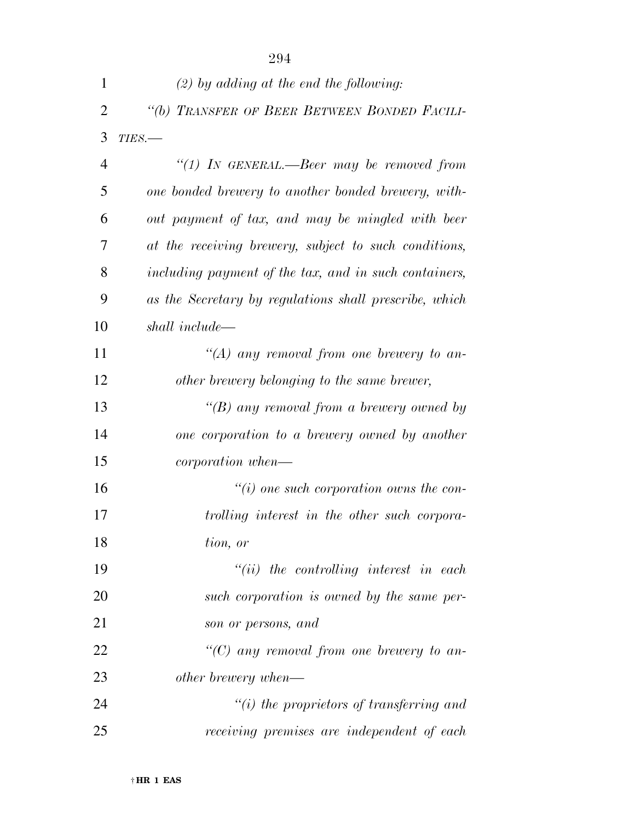|                | 294                                                    |
|----------------|--------------------------------------------------------|
| 1              | $(2)$ by adding at the end the following:              |
| $\overline{2}$ | "(b) TRANSFER OF BEER BETWEEN BONDED FACILI-           |
| 3              | $TIES$ .                                               |
| $\overline{4}$ | "(1) IN GENERAL.—Beer may be removed from              |
| 5              | one bonded brewery to another bonded brewery, with-    |
| 6              | out payment of tax, and may be mingled with beer       |
| 7              | at the receiving brewery, subject to such conditions,  |
| 8              | including payment of the tax, and in such containers,  |
| 9              | as the Secretary by regulations shall prescribe, which |
| 10             | shall include—                                         |
| 11             | "(A) any removal from one brewery to an-               |
| 12             | other brewery belonging to the same brewer,            |
| 13             | "(B) any removal from a brewery owned by               |
| 14             | one corporation to a brewery owned by another          |
| 15             | <i>corporation</i> when—                               |
| 16             | $\lq\lq(i)$ one such corporation owns the con-         |
| 17             | trolling interest in the other such corpora-           |
| 18             | tion, or                                               |
| 19             | $``(ii)$ the controlling interest in each              |
| 20             | such corporation is owned by the same per-             |
| 21             | son or persons, and                                    |
| 22             | "(C) any removal from one brewery to an-               |
| 23             | other brewery when—                                    |
| 24             | $\tilde{f}(i)$ the proprietors of transferring and     |
| 25             | receiving premises are independent of each             |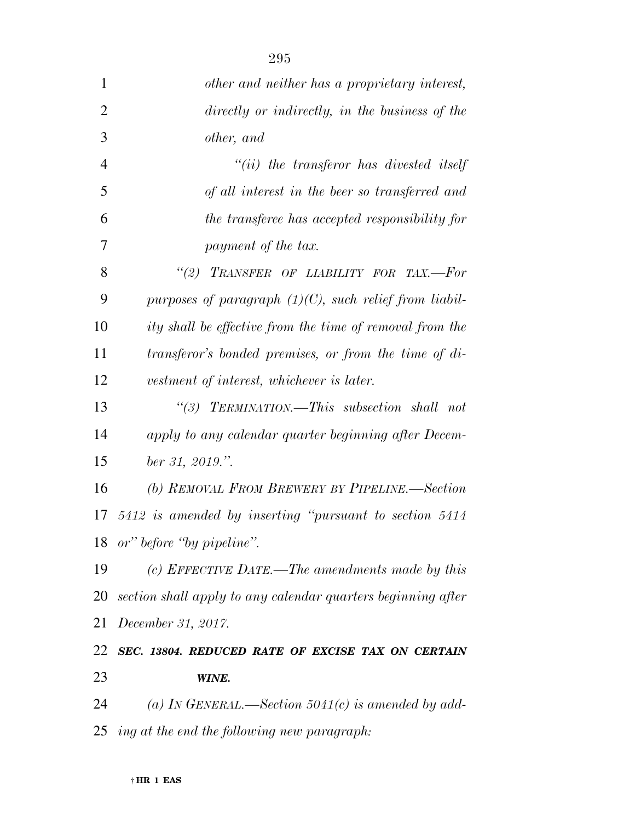| 1              | other and neither has a proprietary interest,                |
|----------------|--------------------------------------------------------------|
| $\overline{2}$ | directly or indirectly, in the business of the               |
| 3              | other, and                                                   |
| $\overline{4}$ | $``(ii)$ the transferor has divested itself                  |
| 5              | of all interest in the beer so transferred and               |
| 6              | the transferee has accepted responsibility for               |
| 7              | payment of the tax.                                          |
| 8              | "(2) TRANSFER OF LIABILITY FOR TAX.-For                      |
| 9              | purposes of paragraph $(1)(C)$ , such relief from liabil-    |
| 10             | ity shall be effective from the time of removal from the     |
| 11             | transferor's bonded premises, or from the time of di-        |
| 12             | vestment of interest, whichever is later.                    |
| 13             | "(3) TERMINATION.—This subsection shall not                  |
| 14             | apply to any calendar quarter beginning after Decem-         |
| 15             | ber 31, 2019.".                                              |
| 16             | (b) REMOVAL FROM BREWERY BY PIPELINE.—Section                |
|                | 17 5412 is amended by inserting "pursuant to section 5414    |
|                | 18 or" before "by pipeline".                                 |
| 19             | (c) EFFECTIVE DATE.—The amendments made by this              |
| 20             | section shall apply to any calendar quarters beginning after |
| 21             | December 31, 2017.                                           |
| 22             | SEC. 13804. REDUCED RATE OF EXCISE TAX ON CERTAIN            |
| 23             | WINE.                                                        |
| 24             | (a) IN GENERAL.—Section 5041(c) is amended by add-           |
|                | $25$ ing at the end the following new paragraph:             |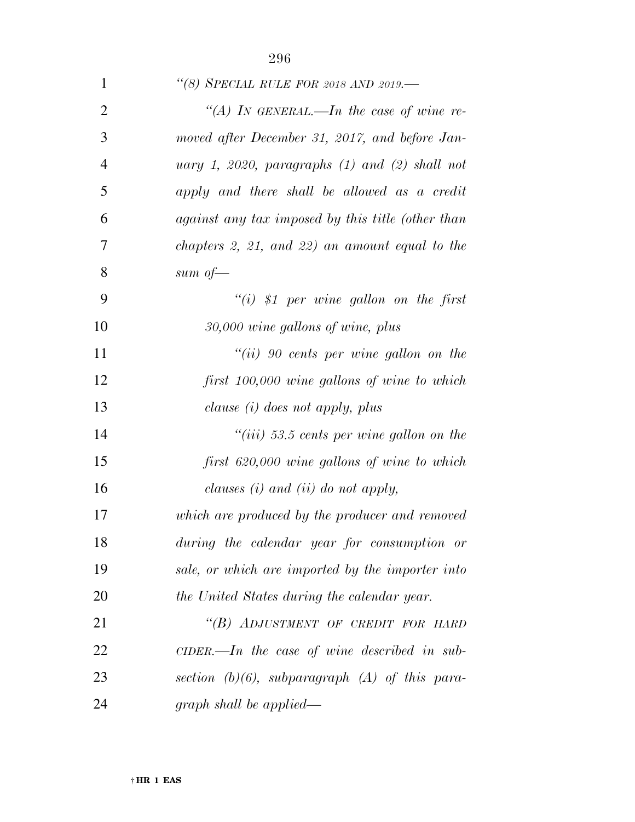| $\mathbf{1}$   | "(8) SPECIAL RULE FOR 2018 AND 2019.-               |
|----------------|-----------------------------------------------------|
| $\overline{2}$ | "(A) IN GENERAL.—In the case of wine re-            |
| 3              | moved after December 31, 2017, and before Jan-      |
| $\overline{4}$ | uary 1, 2020, paragraphs $(1)$ and $(2)$ shall not  |
| 5              | apply and there shall be allowed as a credit        |
| 6              | against any tax imposed by this title (other than   |
| $\overline{7}$ | chapters $2, 21,$ and $22)$ an amount equal to the  |
| 8              | sum of $-$                                          |
| 9              | $``(i)$ \$1 per wine gallon on the first            |
| 10             | $30,000$ wine gallons of wine, plus                 |
| 11             | $``(ii)$ 90 cents per wine gallon on the            |
| 12             | first 100,000 wine gallons of wine to which         |
| 13             | clause (i) does not apply, plus                     |
| 14             | "(iii) 53.5 cents per wine gallon on the            |
| 15             | first 620,000 wine gallons of wine to which         |
| 16             | clauses $(i)$ and $(ii)$ do not apply,              |
| 17             | which are produced by the producer and removed      |
| 18             | during the calendar year for consumption or         |
| 19             | sale, or which are imported by the importer into    |
| 20             | the United States during the calendar year.         |
| 21             | "(B) ADJUSTMENT OF CREDIT FOR HARD                  |
| 22             | $CIDER$ . In the case of wine described in sub-     |
| 23             | section $(b)(6)$ , subparagraph $(A)$ of this para- |
| 24             | graph shall be applied—                             |
|                |                                                     |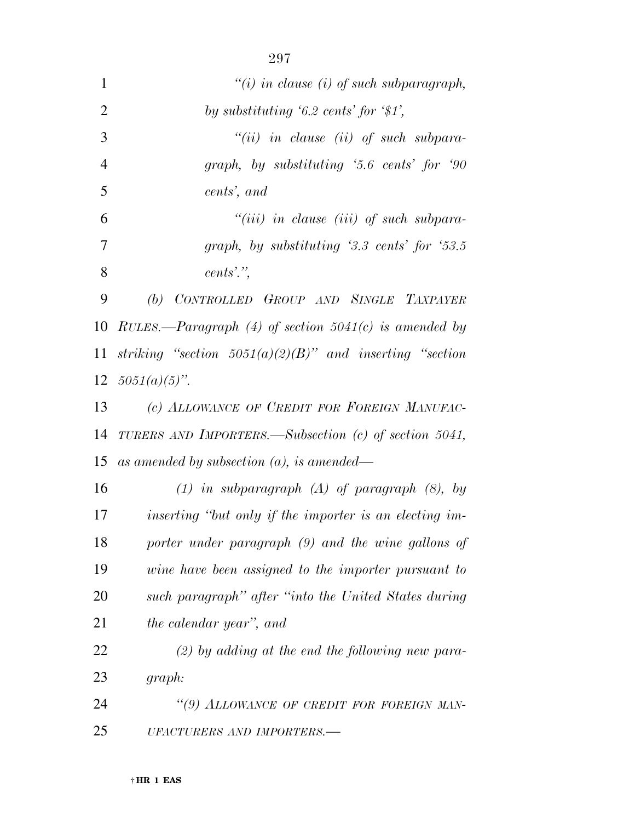| $\mathbf{1}$   | "(i) in clause (i) of such subparagraph,                   |
|----------------|------------------------------------------------------------|
| $\overline{2}$ | by substituting $6.2 \text{ cents}$ for $\frac{4}{3}$ ,    |
| 3              | $``(ii)$ in clause (ii) of such subpara-                   |
| $\overline{4}$ | graph, by substituting '5.6 cents' for '90                 |
| 5              | cents', and                                                |
| 6              | $``(iii)$ in clause (iii) of such subpara-                 |
| 7              | graph, by substituting $3.3 \text{ cents}$ for $53.5$      |
| 8              | $cents$ ".                                                 |
| 9              | (b) CONTROLLED GROUP AND SINGLE TAXPAYER                   |
| 10             | RULES.—Paragraph (4) of section $5041(c)$ is amended by    |
| 11             | striking "section $5051(a)(2)(B)$ " and inserting "section |
|                | 12 $5051(a)(5)$ ".                                         |
| 13             | (c) ALLOWANCE OF CREDIT FOR FOREIGN MANUFAC-               |
| 14             | TURERS AND IMPORTERS.—Subsection (c) of section 5041,      |
| 15             | as amended by subsection $(a)$ , is amended—               |
| 16             | $(1)$ in subparagraph $(A)$ of paragraph $(8)$ , by        |
| 17             | inserting "but only if the importer is an electing im-     |
| 18             | porter under paragraph (9) and the wine gallons of         |
| 19             | wine have been assigned to the importer pursuant to        |
| 20             | such paragraph" after "into the United States during       |
| 21             | the calendar year", and                                    |
| 22             | $(2)$ by adding at the end the following new para-         |
| 23             | graph:                                                     |
| 24             | "(9) ALLOWANCE OF CREDIT FOR FOREIGN MAN-                  |
| 25             | UFACTURERS AND IMPORTERS.-                                 |

† **HR 1 EAS**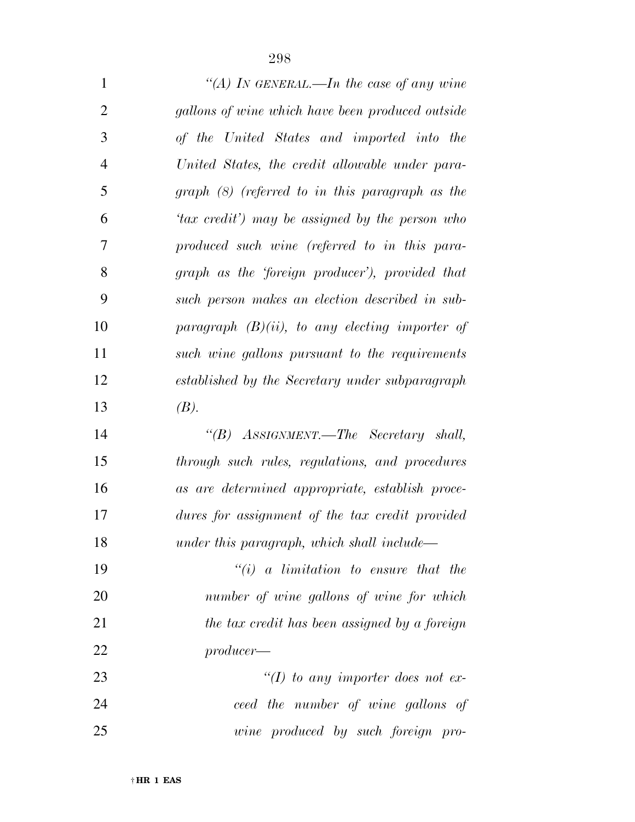| $\mathbf{1}$   | "(A) IN GENERAL.—In the case of any wine          |
|----------------|---------------------------------------------------|
| $\overline{2}$ | gallons of wine which have been produced outside  |
| 3              | of the United States and imported into the        |
| $\overline{4}$ | United States, the credit allowable under para-   |
| 5              | $graph (8)$ (referred to in this paragraph as the |
| 6              | 'tax credit') may be assigned by the person who   |
| 7              | produced such wine (referred to in this para-     |
| 8              | graph as the 'foreign producer'), provided that   |
| 9              | such person makes an election described in sub-   |
| 10             | paragraph $(B)(ii)$ , to any electing importer of |
| 11             | such wine gallons pursuant to the requirements    |
| 12             | established by the Secretary under subparagraph   |
| 13             | (B).                                              |
| 14             | "(B) ASSIGNMENT.—The Secretary shall,             |
| 15             | through such rules, regulations, and procedures   |
| 16             | as are determined appropriate, establish proce-   |
| 17             | dures for assignment of the tax credit provided   |
| 18             | under this paragraph, which shall include—        |
| 19             | $``(i)$ a limitation to ensure that the           |
| 20             | number of wine gallons of wine for which          |
| 21             | the tax credit has been assigned by a foreign     |
| 22             | $producer$ —                                      |
| 23             | "(I) to any importer does not ex-                 |
| 24             | ceed the number of wine gallons of                |
| 25             | wine produced by such foreign pro-                |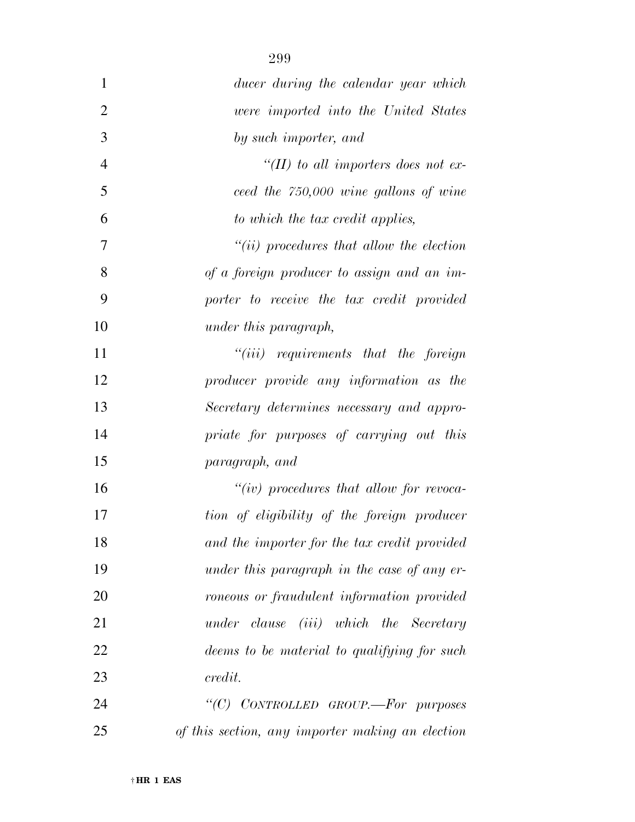| $\mathbf{1}$   | ducer during the calendar year which             |
|----------------|--------------------------------------------------|
| $\overline{2}$ | were imported into the United States             |
| 3              | by such importer, and                            |
| 4              | "(II) to all importers does not ex-              |
| 5              | ceed the 750,000 wine gallons of wine            |
| 6              | to which the tax credit applies,                 |
| 7              | $``(ii)$ procedures that allow the election      |
| 8              | of a foreign producer to assign and an im-       |
| 9              | porter to receive the tax credit provided        |
| 10             | under this paragraph,                            |
| 11             | $``(iii)$ requirements that the foreign          |
| 12             | producer provide any information as the          |
| 13             | Secretary determines necessary and appro-        |
| 14             | priate for purposes of carrying out this         |
| 15             | paragraph, and                                   |
| 16             | $``(iv)$ procedures that allow for revoca-       |
| 17             | tion of eligibility of the foreign producer      |
| 18             | and the importer for the tax credit provided     |
| 19             | under this paragraph in the case of any er-      |
| 20             | roneous or fraudulent information provided       |
| 21             | under clause (iii) which the Secretary           |
| 22             | deems to be material to qualifying for such      |
| 23             | credit.                                          |
| 24             | "(C) CONTROLLED GROUP.-For purposes              |
| 25             | of this section, any importer making an election |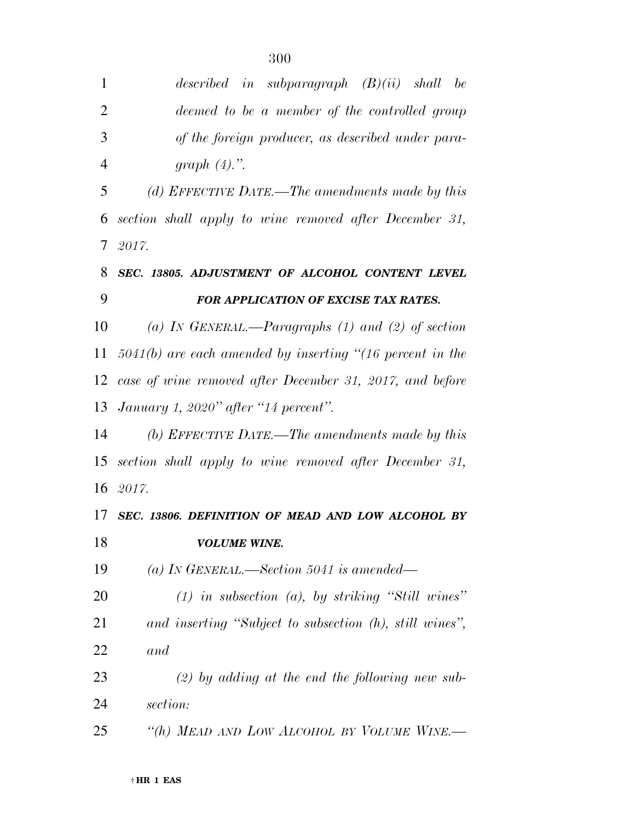| 1              | described in subparagraph $(B)(ii)$ shall be                |
|----------------|-------------------------------------------------------------|
| $\overline{2}$ | deemed to be a member of the controlled group               |
| 3              | of the foreign producer, as described under para-           |
| $\overline{4}$ | graph $(4)$ .".                                             |
| 5              | (d) EFFECTIVE DATE.—The amendments made by this             |
| 6              | section shall apply to wine removed after December 31,      |
| $\tau$         | - 2017.                                                     |
| 8              | SEC. 13805. ADJUSTMENT OF ALCOHOL CONTENT LEVEL             |
| 9              | FOR APPLICATION OF EXCISE TAX RATES.                        |
| 10             | (a) IN GENERAL.—Paragraphs $(1)$ and $(2)$ of section       |
| 11             | $5041(b)$ are each amended by inserting "(16 percent in the |
|                | 12 case of wine removed after December 31, 2017, and before |
|                | 13 January 1, 2020" after "14 percent".                     |
| 14             | (b) EFFECTIVE DATE.—The amendments made by this             |
| 15             | section shall apply to wine removed after December 31,      |
|                | 16 2017.                                                    |
|                | 17 SEC. 13806. DEFINITION OF MEAD AND LOW ALCOHOL BY        |
| 18             | <b>VOLUME WINE.</b>                                         |
| 19             | (a) In GENERAL.—Section 5041 is amended—                    |
| 20             | $(1)$ in subsection $(a)$ , by striking "Still wines"       |
| 21             | and inserting "Subject to subsection (h), still wines",     |
| 22             | and                                                         |
| 23             | $(2)$ by adding at the end the following new sub-           |
| 24             | section:                                                    |
| 25             | "(h) MEAD AND LOW ALCOHOL BY VOLUME WINE.-                  |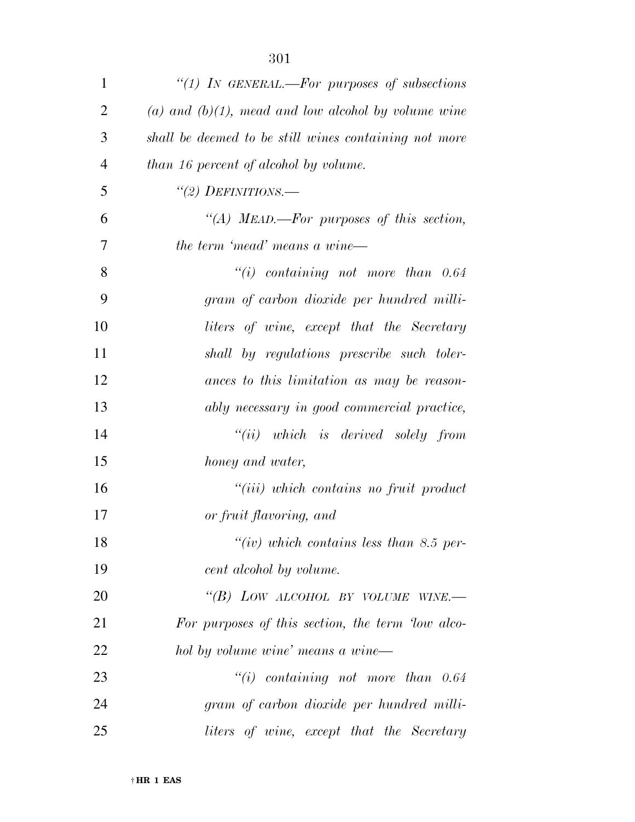| $\mathbf{1}$   | "(1) In GENERAL.—For purposes of subsections             |
|----------------|----------------------------------------------------------|
| $\overline{2}$ | $(a)$ and $(b)(1)$ , mead and low alcohol by volume wine |
| 3              | shall be deemed to be still wines containing not more    |
| $\overline{4}$ | than 16 percent of alcohol by volume.                    |
| 5              | $\lq(2)$ DEFINITIONS.—                                   |
| 6              | "(A) MEAD.—For purposes of this section,                 |
| 7              | the term 'mead' means a wine—                            |
| 8              | $``(i)$ containing not more than $0.64$                  |
| 9              | gram of carbon dioxide per hundred milli-                |
| 10             | liters of wine, except that the Secretary                |
| 11             | shall by regulations prescribe such toler-               |
| 12             | ances to this limitation as may be reason-               |
| 13             | ably necessary in good commercial practice,              |
| 14             | $``(ii)$ which is derived solely from                    |
| 15             | honey and water,                                         |
| 16             | $``(iii)$ which contains no fruit product                |
| 17             | or fruit flavoring, and                                  |
| 18             | "(iv) which contains less than 8.5 per-                  |
| 19             | cent alcohol by volume.                                  |
| 20             | "(B) LOW ALCOHOL BY VOLUME WINE.-                        |
| 21             | For purposes of this section, the term 'low alco-        |
| 22             | hol by volume wine' means a wine-                        |
| 23             | $``(i)$ containing not more than $0.64$                  |
| 24             | gram of carbon dioxide per hundred milli-                |
| 25             | liters of wine, except that the Secretary                |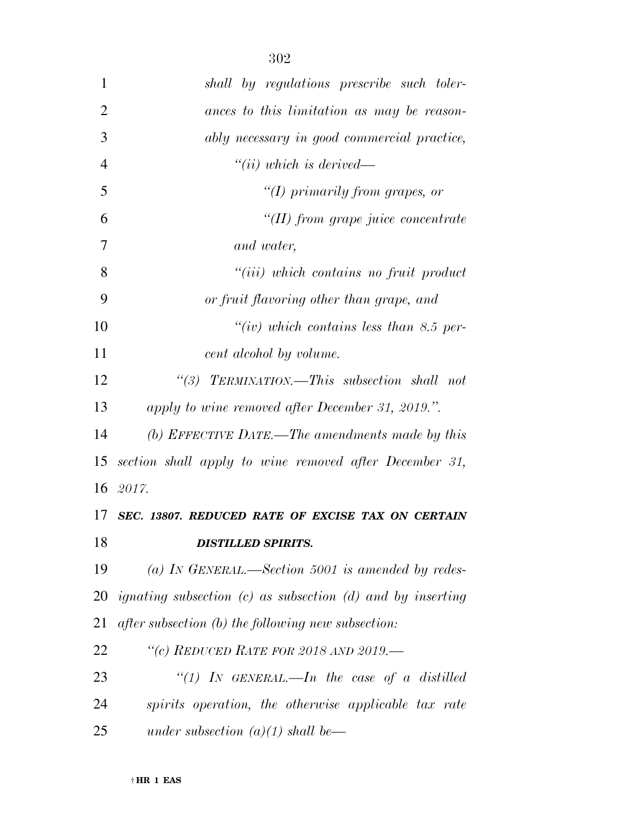| $\mathbf{1}$   | shall by regulations prescribe such toler-                     |
|----------------|----------------------------------------------------------------|
| $\overline{2}$ | ances to this limitation as may be reason-                     |
| 3              | ably necessary in good commercial practice,                    |
| $\overline{4}$ | ``(ii) which is derived—                                       |
| 5              | "(I) primarily from grapes, or                                 |
| 6              | $H(H)$ from grape juice concentrate                            |
| 7              | and water,                                                     |
| 8              | $``(iii)$ which contains no fruit product                      |
| 9              | or fruit flavoring other than grape, and                       |
| 10             | "(iv) which contains less than 8.5 per-                        |
| 11             | cent alcohol by volume.                                        |
| 12             | $\lq(3)$ TERMINATION.—This subsection shall not                |
| 13             | apply to wine removed after December 31, 2019.".               |
| 14             | (b) EFFECTIVE DATE.—The amendments made by this                |
| 15             | section shall apply to wine removed after December 31,         |
| 16             | 2017.                                                          |
| 17             | SEC. 13807. REDUCED RATE OF EXCISE TAX ON CERTAIN              |
| 18             | <b>DISTILLED SPIRITS.</b>                                      |
| 19             | (a) IN GENERAL.—Section 5001 is amended by redes-              |
| 20             | ignating subsection $(c)$ as subsection $(d)$ and by inserting |
| 21             | after subsection (b) the following new subsection:             |
| 22             | "(c) REDUCED RATE FOR 2018 AND 2019.-                          |
| 23             | "(1) In GENERAL.—In the case of a distilled                    |
| 24             | spirits operation, the otherwise applicable tax rate           |
| 25             | under subsection $(a)(1)$ shall be—                            |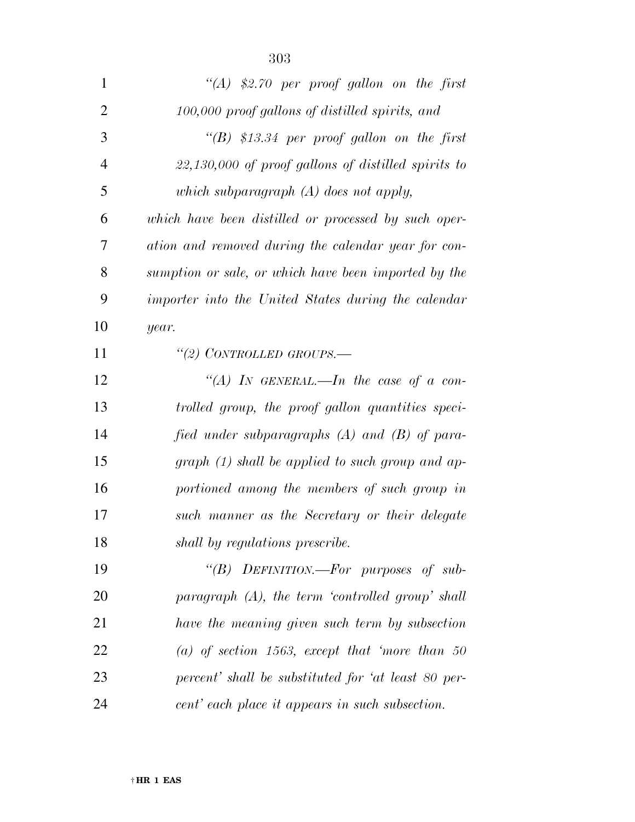| $\mathbf{1}$   | "(A) \$2.70 per proof gallon on the first             |
|----------------|-------------------------------------------------------|
| $\overline{2}$ | 100,000 proof gallons of distilled spirits, and       |
| 3              | "(B) \$13.34 per proof gallon on the first            |
| $\overline{4}$ | $22,130,000$ of proof gallons of distilled spirits to |
| 5              | which subparagraph $(A)$ does not apply,              |
| 6              | which have been distilled or processed by such oper-  |
| 7              | ation and removed during the calendar year for con-   |
| 8              | sumption or sale, or which have been imported by the  |
| 9              | importer into the United States during the calendar   |
| 10             | year.                                                 |
| 11             | "(2) CONTROLLED GROUPS.—                              |
| 12             | "(A) IN GENERAL.—In the case of a con-                |
| 13             | trolled group, the proof gallon quantities speci-     |
| 14             | fied under subparagraphs $(A)$ and $(B)$ of para-     |
| 15             | $graph (1) shall be applied to such group and ap-$    |
| 16             | portioned among the members of such group in          |
| 17             | such manner as the Secretary or their delegate        |
| 18             | shall by regulations prescribe.                       |
| 19             | "(B) DEFINITION.—For purposes of sub-                 |
| 20             | paragraph $(A)$ , the term 'controlled group' shall   |
| 21             | have the meaning given such term by subsection        |
| 22             | (a) of section 1563, except that 'more than 50        |
| 23             | percent' shall be substituted for 'at least 80 per-   |
| 24             | cent' each place it appears in such subsection.       |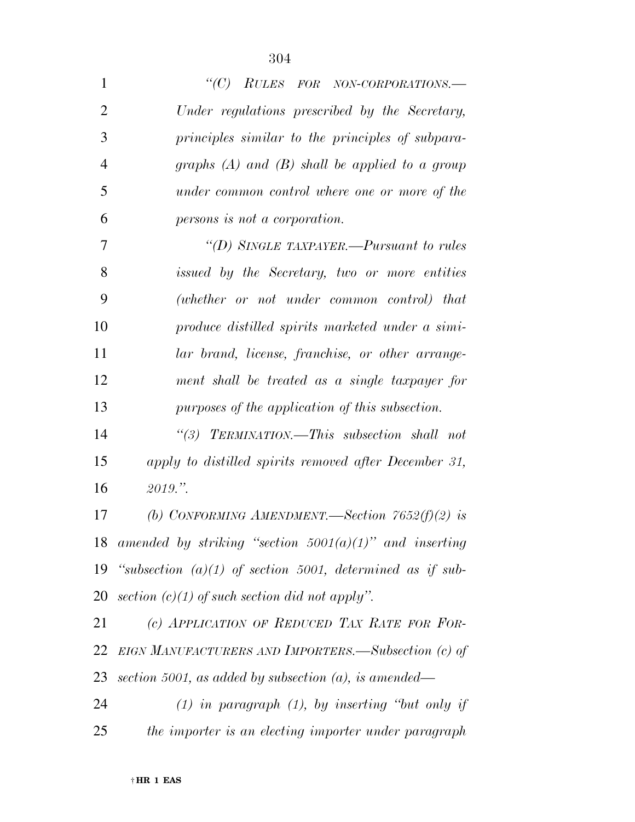| $\mathbf{1}$   | " $(C)$ RULES FOR NON-CORPORATIONS.—                        |
|----------------|-------------------------------------------------------------|
| $\overline{2}$ | Under regulations prescribed by the Secretary,              |
| 3              | principles similar to the principles of subpara-            |
| $\overline{4}$ | graphs $(A)$ and $(B)$ shall be applied to a group          |
| 5              | under common control where one or more of the               |
| 6              | persons is not a corporation.                               |
| 7              | "(D) SINGLE TAXPAYER.—Pursuant to rules                     |
| 8              | issued by the Secretary, two or more entities               |
| 9              | (whether or not under common control) that                  |
| 10             | produce distilled spirits marketed under a simi-            |
| 11             | lar brand, license, franchise, or other arrange-            |
| 12             | ment shall be treated as a single taxpayer for              |
| 13             | purposes of the application of this subsection.             |
| 14             | "(3) TERMINATION.—This subsection shall not                 |
| 15             | apply to distilled spirits removed after December 31,       |
| 16             | 2019."                                                      |
| 17             | (b) CONFORMING AMENDMENT.—Section $7652(f)(2)$ is           |
| 18             | amended by striking "section $5001(a)(1)$ " and inserting   |
| 19             | "subsection $(a)(1)$ of section 5001, determined as if sub- |
| 20             | section $(c)(1)$ of such section did not apply".            |
| 21             | (c) APPLICATION OF REDUCED TAX RATE FOR FOR-                |
| 22             | EIGN MANUFACTURERS AND IMPORTERS.—Subsection (c) of         |
| 23             | section 5001, as added by subsection $(a)$ , is amended—    |
| 24             | $(1)$ in paragraph $(1)$ , by inserting "but only if        |
| 25             | the importer is an electing importer under paragraph        |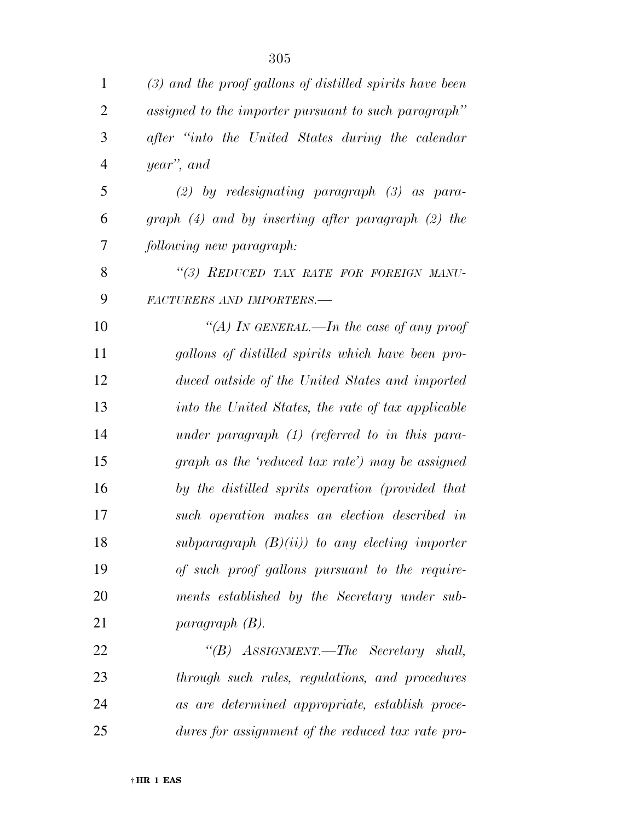| $\mathbf{1}$   | $(3)$ and the proof gallons of distilled spirits have been |
|----------------|------------------------------------------------------------|
| $\overline{2}$ | assigned to the importer pursuant to such paragraph"       |
| 3              | after "into the United States during the calendar"         |
| $\overline{4}$ | year", and                                                 |
| 5              | $(2)$ by redesignating paragraph $(3)$ as para-            |
| 6              | graph $(4)$ and by inserting after paragraph $(2)$ the     |
| 7              | following new paragraph:                                   |
| 8              | "(3) REDUCED TAX RATE FOR FOREIGN MANU-                    |
| 9              | FACTURERS AND IMPORTERS.-                                  |
| 10             | "(A) In GENERAL.—In the case of any proof                  |
| 11             | gallons of distilled spirits which have been pro-          |
| 12             | duced outside of the United States and imported            |
| 13             | into the United States, the rate of tax applicable         |
| 14             | under paragraph $(1)$ (referred to in this para-           |
| 15             | graph as the 'reduced tax rate') may be assigned           |
| 16             | by the distilled sprits operation (provided that           |
| 17             | such operation makes an election described in              |
| 18             | subparagraph $(B)(ii)$ to any electing importer            |
| 19             | of such proof gallons pursuant to the require-             |
| 20             | ments established by the Secretary under sub-              |
| 21             | paragnph(B).                                               |
| 22             | "(B) ASSIGNMENT.—The Secretary shall,                      |
| 23             | through such rules, regulations, and procedures            |
| 24             | as are determined appropriate, establish proce-            |
| 25             | dures for assignment of the reduced tax rate pro-          |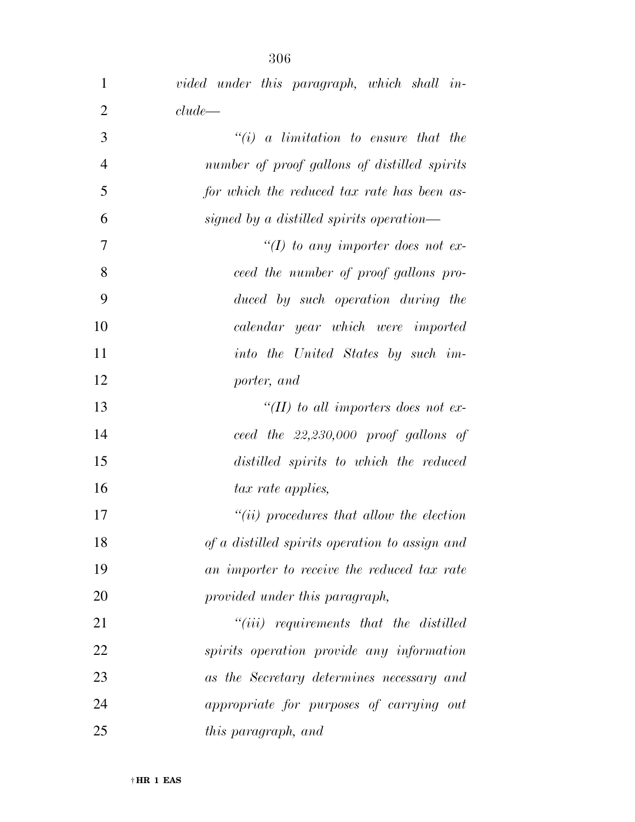| $\mathbf{1}$   | vided under this paragraph, which shall in-    |
|----------------|------------------------------------------------|
| $\overline{2}$ | clude                                          |
| 3              | $``(i)$ a limitation to ensure that the        |
| $\overline{4}$ | number of proof gallons of distilled spirits   |
| 5              | for which the reduced tax rate has been as-    |
| 6              | signed by a distilled spirits operation—       |
| 7              | "(I) to any importer does not ex-              |
| 8              | ceed the number of proof gallons pro-          |
| 9              | duced by such operation during the             |
| 10             | calendar year which were imported              |
| 11             | into the United States by such im-             |
| 12             | porter, and                                    |
| 13             | "(II) to all importers does not ex-            |
| 14             | ceed the $22,230,000$ proof gallons of         |
| 15             | distilled spirits to which the reduced         |
| 16             | tax rate applies,                              |
| 17             | $``(ii)$ procedures that allow the election    |
| 18             | of a distilled spirits operation to assign and |
| 19             | an importer to receive the reduced tax rate    |
| 20             | provided under this paragraph,                 |
| 21             | $``(iii)$ requirements that the distilled      |
| 22             | spirits operation provide any information      |
| 23             | as the Secretary determines necessary and      |
| 24             | appropriate for purposes of carrying out       |
| 25             | this paragraph, and                            |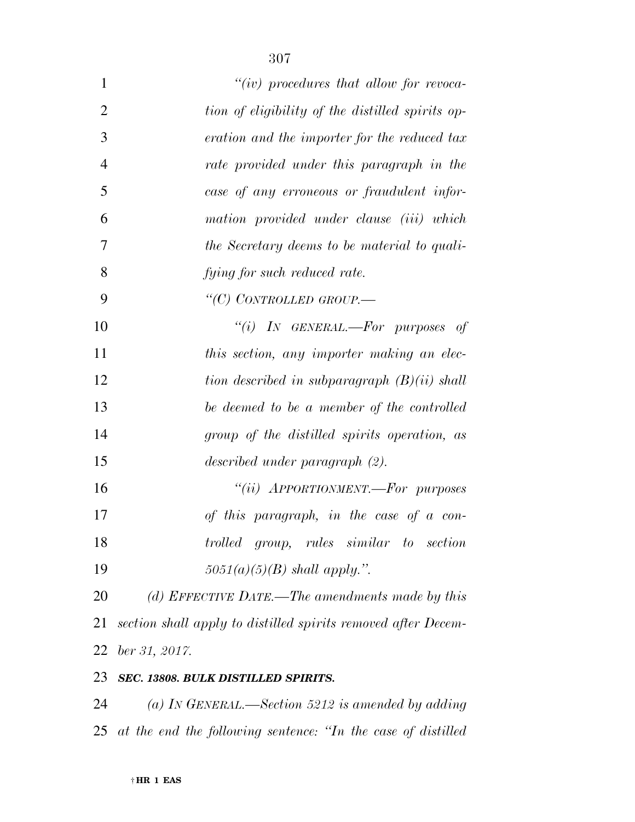| $\mathbf{1}$   | "(iv) procedures that allow for revoca-                       |
|----------------|---------------------------------------------------------------|
| $\overline{2}$ | tion of eligibility of the distilled spirits op-              |
| 3              | eration and the importer for the reduced tax                  |
| $\overline{4}$ | rate provided under this paragraph in the                     |
| 5              | case of any erroneous or fraudulent infor-                    |
| 6              | mation provided under clause (iii) which                      |
| 7              | the Secretary deems to be material to quali-                  |
| 8              | fying for such reduced rate.                                  |
| 9              | "(C) CONTROLLED GROUP.—                                       |
| 10             | "(i) IN GENERAL.—For purposes of                              |
| 11             | this section, any importer making an elec-                    |
| 12             | tion described in subparagraph $(B)(ii)$ shall                |
| 13             | be deemed to be a member of the controlled                    |
| 14             | group of the distilled spirits operation, as                  |
| 15             | described under paragraph (2).                                |
| 16             | "(ii) APPORTIONMENT.—For purposes                             |
| 17             | of this paragraph, in the case of a con-                      |
| 18             | trolled group, rules similar to section                       |
| 19             | $5051(a)(5)(B)$ shall apply.".                                |
| 20             | (d) EFFECTIVE DATE.—The amendments made by this               |
| 21             | section shall apply to distilled spirits removed after Decem- |
| 22             | ber 31, 2017.                                                 |
|                |                                                               |

## *SEC. 13808. BULK DISTILLED SPIRITS.*

 *(a) IN GENERAL.—Section 5212 is amended by adding at the end the following sentence: ''In the case of distilled*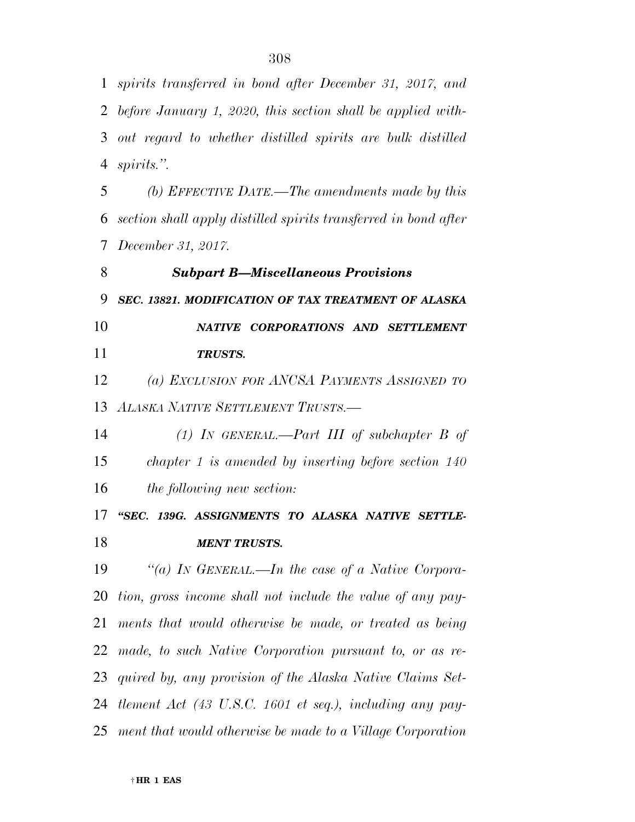*spirits transferred in bond after December 31, 2017, and* 

 *before January 1, 2020, this section shall be applied with- out regard to whether distilled spirits are bulk distilled spirits.''. (b) EFFECTIVE DATE.—The amendments made by this section shall apply distilled spirits transferred in bond after December 31, 2017. Subpart B—Miscellaneous Provisions SEC. 13821. MODIFICATION OF TAX TREATMENT OF ALASKA NATIVE CORPORATIONS AND SETTLEMENT TRUSTS. (a) EXCLUSION FOR ANCSA PAYMENTS ASSIGNED TO ALASKA NATIVE SETTLEMENT TRUSTS.— (1) IN GENERAL.—Part III of subchapter B of chapter 1 is amended by inserting before section 140 the following new section: ''SEC. 139G. ASSIGNMENTS TO ALASKA NATIVE SETTLE-MENT TRUSTS.* 

 *''(a) IN GENERAL.—In the case of a Native Corpora- tion, gross income shall not include the value of any pay- ments that would otherwise be made, or treated as being made, to such Native Corporation pursuant to, or as re- quired by, any provision of the Alaska Native Claims Set- tlement Act (43 U.S.C. 1601 et seq.), including any pay-ment that would otherwise be made to a Village Corporation*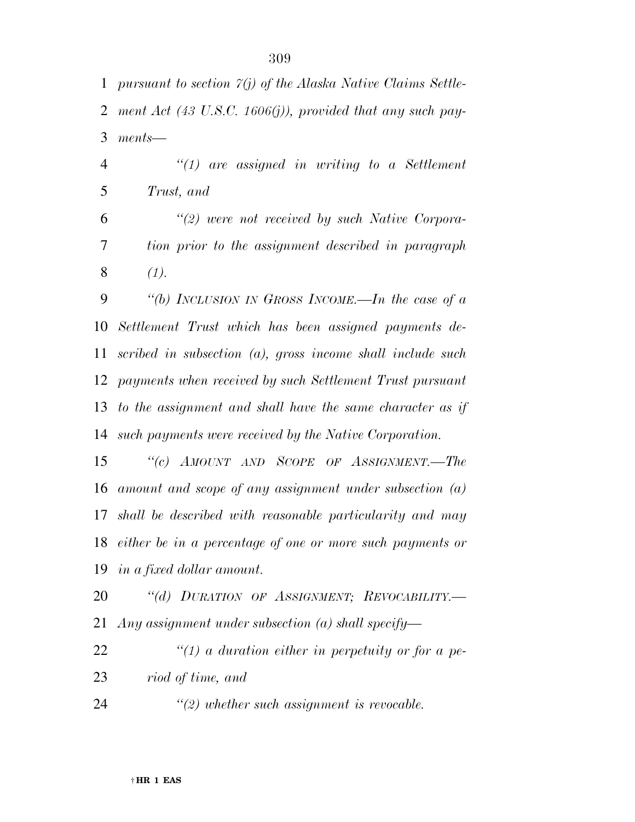*pursuant to section 7(j) of the Alaska Native Claims Settle- ment Act (43 U.S.C. 1606(j)), provided that any such pay-ments—* 

 *''(1) are assigned in writing to a Settlement Trust, and* 

 *''(2) were not received by such Native Corpora- tion prior to the assignment described in paragraph (1).* 

 *''(b) INCLUSION IN GROSS INCOME.—In the case of a Settlement Trust which has been assigned payments de- scribed in subsection (a), gross income shall include such payments when received by such Settlement Trust pursuant to the assignment and shall have the same character as if such payments were received by the Native Corporation.* 

 *''(c) AMOUNT AND SCOPE OF ASSIGNMENT.—The amount and scope of any assignment under subsection (a) shall be described with reasonable particularity and may either be in a percentage of one or more such payments or in a fixed dollar amount.* 

 *''(d) DURATION OF ASSIGNMENT; REVOCABILITY.— Any assignment under subsection (a) shall specify—* 

 *''(1) a duration either in perpetuity or for a pe-riod of time, and* 

*''(2) whether such assignment is revocable.*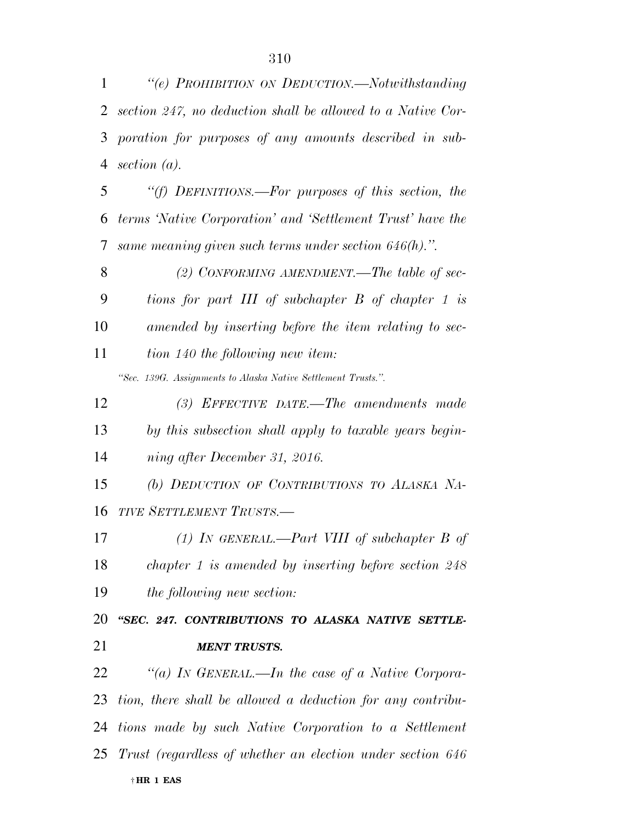| 2  | section 247, no deduction shall be allowed to a Native Cor-   |
|----|---------------------------------------------------------------|
| 3  | poration for purposes of any amounts described in sub-        |
| 4  | section $(a)$ .                                               |
| 5  | "(f) DEFINITIONS.—For purposes of this section, the           |
| 6  | terms 'Native Corporation' and 'Settlement Trust' have the    |
| 7  | same meaning given such terms under section $646(h)$ .".      |
| 8  | (2) CONFORMING AMENDMENT.—The table of sec-                   |
| 9  | tions for part III of subchapter B of chapter 1 is            |
| 10 | amended by inserting before the item relating to sec-         |
| 11 | tion 140 the following new item:                              |
|    | "Sec. 139G. Assignments to Alaska Native Settlement Trusts.". |
| 12 | $(3)$ EFFECTIVE DATE.—The amendments made                     |
| 13 | by this subsection shall apply to taxable years begin-        |
| 14 | ning after December 31, 2016.                                 |
| 15 | (b) DEDUCTION OF CONTRIBUTIONS TO ALASKA NA-                  |
| 16 | TIVE SETTLEMENT TRUSTS.-                                      |
| 17 | (1) IN GENERAL.—Part VIII of subchapter $B$ of                |
| 18 | $chapter 1$ is amended by inserting before section $248$      |
| 19 | the following new section:                                    |
| 20 | "SEC. 247. CONTRIBUTIONS TO ALASKA NATIVE SETTLE-             |
| 21 | <b>MENT TRUSTS.</b>                                           |
| 22 | "(a) IN GENERAL.—In the case of a Native Corpora-             |
| 23 | tion, there shall be allowed a deduction for any contribu-    |
|    | 24 tions made by such Native Corporation to a Settlement      |
|    | 25 Trust (regardless of whether an election under section 646 |
|    | †HR 1 EAS                                                     |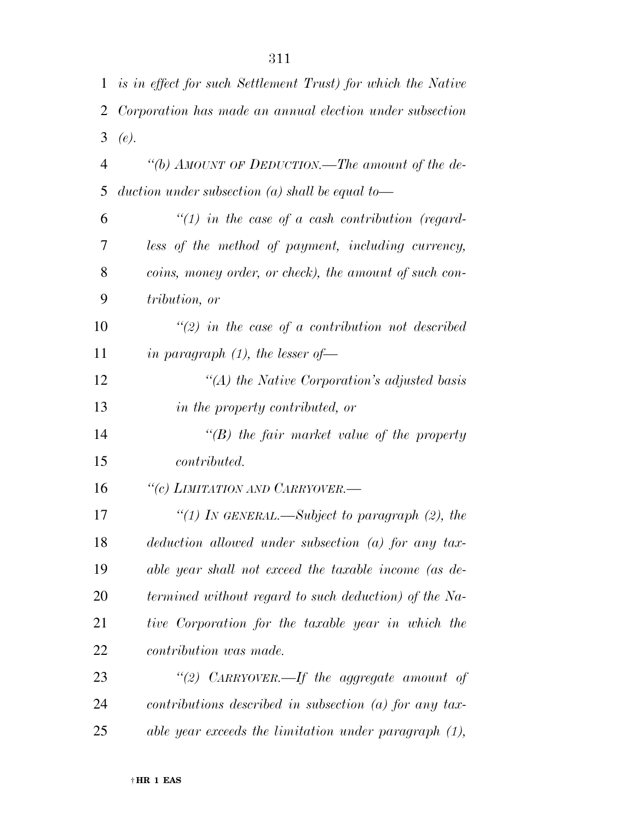| 1              | is in effect for such Settlement Trust) for which the Native |
|----------------|--------------------------------------------------------------|
| 2              | Corporation has made an annual election under subsection     |
| 3              | (e).                                                         |
| $\overline{4}$ | "(b) AMOUNT OF DEDUCTION.—The amount of the de-              |
| 5              | duction under subsection (a) shall be equal to—              |
| 6              | $\lq(1)$ in the case of a cash contribution (regard-         |
| 7              | less of the method of payment, including currency,           |
| 8              | coins, money order, or check), the amount of such con-       |
| 9              | tribution, or                                                |
| 10             | $\lq(2)$ in the case of a contribution not described         |
| 11             | in paragraph $(1)$ , the lesser of-                          |
| 12             | "(A) the Native Corporation's adjusted basis                 |
| 13             | in the property contributed, or                              |
| 14             | $\lq\lq(B)$ the fair market value of the property            |
| 15             | <i>contributed.</i>                                          |
| 16             | "(c) LIMITATION AND CARRYOVER.-                              |
| 17             | "(1) IN GENERAL.—Subject to paragraph $(2)$ , the            |
| 18             | $deduction$ allowed under subsection (a) for any tax-        |
| 19             | able year shall not exceed the taxable income (as de-        |
| 20             | termined without regard to such deduction) of the Na-        |
| 21             | tive Corporation for the taxable year in which the           |
| 22             | <i>contribution was made.</i>                                |
| 23             | "(2) CARRYOVER.—If the aggregate amount of                   |
| 24             | $contributions$ described in subsection (a) for any tax-     |
| 25             | able year exceeds the limitation under paragraph $(1)$ ,     |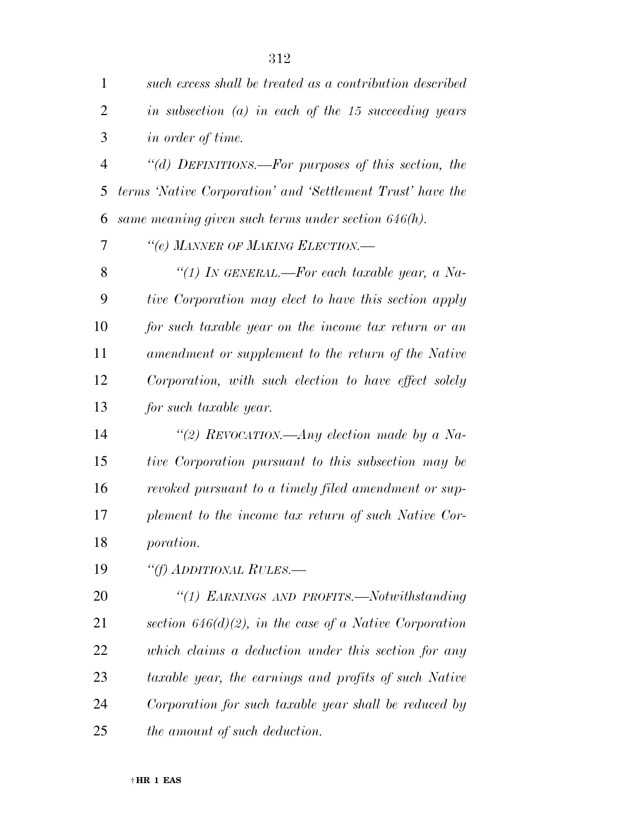| $\mathbf{1}$   | such excess shall be treated as a contribution described   |
|----------------|------------------------------------------------------------|
| $\overline{2}$ | in subsection $(a)$ in each of the 15 succeeding years     |
| 3              | <i>in order of time.</i>                                   |
| $\overline{4}$ | "(d) DEFINITIONS.—For purposes of this section, the        |
| 5              | terms 'Native Corporation' and 'Settlement Trust' have the |
| 6              | same meaning given such terms under section $646(h)$ .     |
| 7              | "(e) MANNER OF MAKING ELECTION.-                           |
| 8              | "(1) In GENERAL.—For each taxable year, a Na-              |
| 9              | tive Corporation may elect to have this section apply      |
| 10             | for such taxable year on the income tax return or an       |
| 11             | amendment or supplement to the return of the Native        |
| 12             | Corporation, with such election to have effect solely      |
| 13             | for such taxable year.                                     |
| 14             | "(2) REVOCATION.—Any election made by a Na-                |
| 15             | tive Corporation pursuant to this subsection may be        |
| 16             | revoked pursuant to a timely filed amendment or sup-       |
| 17             | plement to the income tax return of such Native Cor-       |
| 18             | <i>poration.</i>                                           |
| 19             | "(f) ADDITIONAL RULES.—                                    |
| 20             | "(1) EARNINGS AND PROFITS.—Notwithstanding                 |
| 21             | section $646(d)(2)$ , in the case of a Native Corporation  |
| 22             | which claims a deduction under this section for any        |
| 23             | taxable year, the earnings and profits of such Native      |
| 24             | Corporation for such taxable year shall be reduced by      |
| 25             | the amount of such deduction.                              |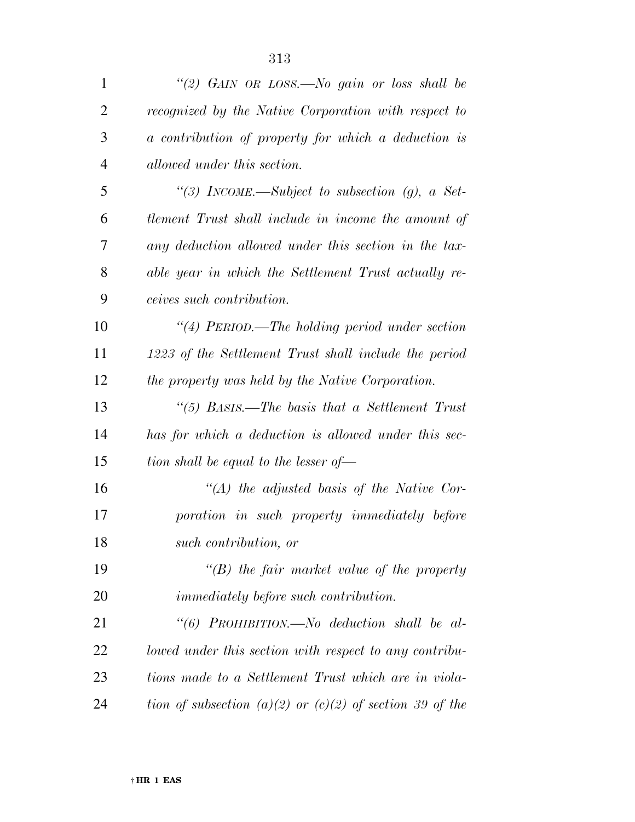| 1              | "(2) GAIN OR LOSS.—No gain or loss shall be                  |
|----------------|--------------------------------------------------------------|
| $\overline{2}$ | recognized by the Native Corporation with respect to         |
| 3              | a contribution of property for which a deduction is          |
| $\overline{4}$ | allowed under this section.                                  |
| 5              | "(3) INCOME.—Subject to subsection (g), a Set-               |
| 6              | tlement Trust shall include in income the amount of          |
| 7              | any deduction allowed under this section in the tax-         |
| 8              | able year in which the Settlement Trust actually re-         |
| 9              | ceives such contribution.                                    |
| 10             | "(4) PERIOD.—The holding period under section                |
| 11             | 1223 of the Settlement Trust shall include the period        |
| 12             | the property was held by the Native Corporation.             |
| 13             | "(5) BASIS.—The basis that a Settlement Trust                |
| 14             | has for which a deduction is allowed under this sec-         |
| 15             | tion shall be equal to the lesser of $-$                     |
| 16             | $\lq (A)$ the adjusted basis of the Native Cor-              |
| 17             | poration in such property immediately before                 |
| 18             | such contribution, or                                        |
| 19             | $\lq\lq(B)$ the fair market value of the property            |
| 20             | <i>immediately before such contribution.</i>                 |
| 21             | "(6) PROHIBITION.—No deduction shall be al-                  |
| 22             | lowed under this section with respect to any contribu-       |
| 23             | tions made to a Settlement Trust which are in viola-         |
| 24             | tion of subsection $(a)(2)$ or $(c)(2)$ of section 39 of the |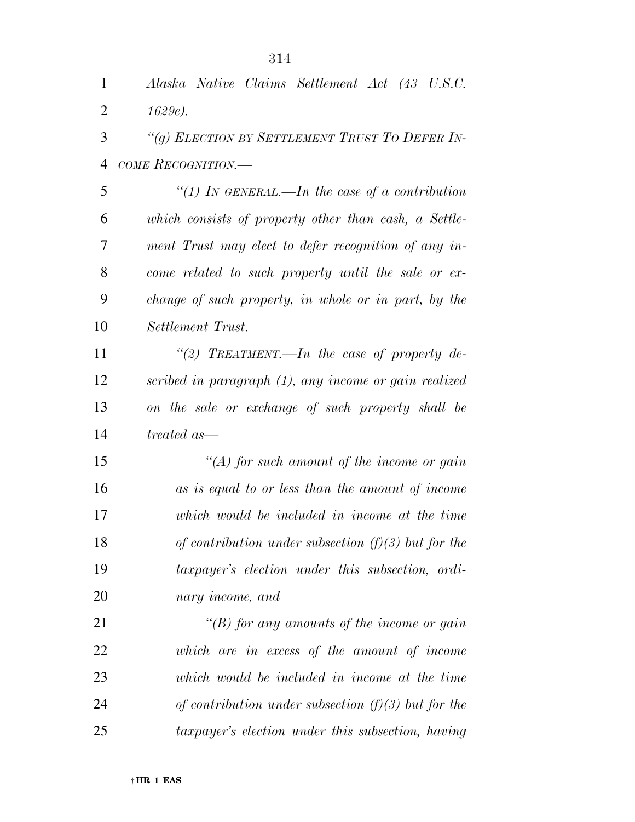| $\mathbf{1}$   | Alaska Native Claims Settlement Act (43 U.S.C.        |
|----------------|-------------------------------------------------------|
| $\overline{2}$ | 1629e.                                                |
| 3              | "(g) ELECTION BY SETTLEMENT TRUST TO DEFER IN-        |
| $\overline{4}$ | COME RECOGNITION.—                                    |
| 5              | "(1) In GENERAL.—In the case of a contribution        |
| 6              | which consists of property other than cash, a Settle- |
| 7              | ment Trust may elect to defer recognition of any in-  |
| 8              | come related to such property until the sale or ex-   |
| 9              | change of such property, in whole or in part, by the  |
| 10             | Settlement Trust.                                     |
| 11             | "(2) TREATMENT.—In the case of property de-           |
| 12             | scribed in paragraph (1), any income or gain realized |
| 13             | on the sale or exchange of such property shall be     |
| 14             | treated as—                                           |
| 15             | $\lq (A)$ for such amount of the income or gain       |
| 16             | as is equal to or less than the amount of income      |
| 17             | which would be included in income at the time         |
| 18             | of contribution under subsection $(f)(3)$ but for the |
| 19             | taxpayer's election under this subsection, ordi-      |
| 20             | nary income, and                                      |
| 21             | "(B) for any amounts of the income or gain            |
| 22             | which are in excess of the amount of income           |
| 23             | which would be included in income at the time         |
| 24             | of contribution under subsection $(f)(3)$ but for the |
| 25             | taxpayer's election under this subsection, having     |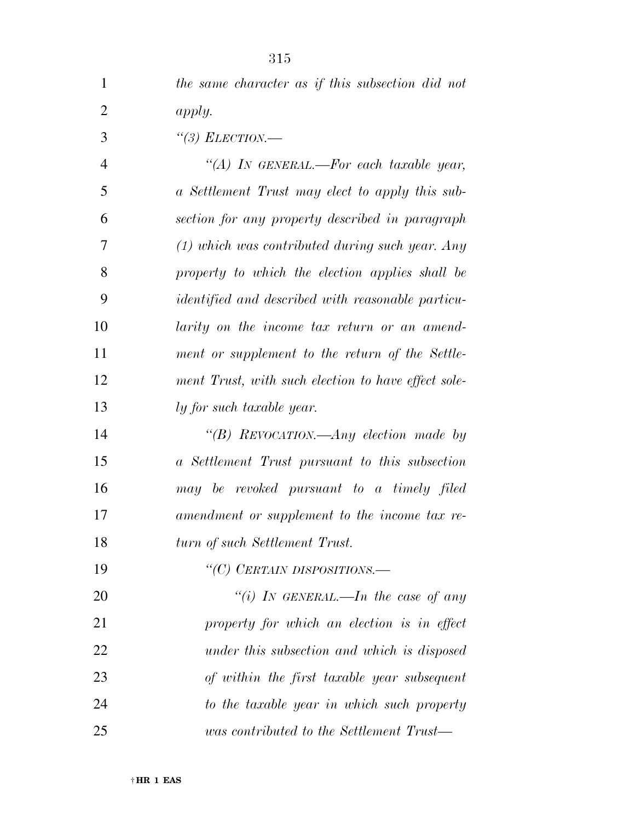| $\mathbf{1}$   | the same character as if this subsection did not         |
|----------------|----------------------------------------------------------|
| $\overline{2}$ | apply.                                                   |
| 3              | "(3) ELECTION.—                                          |
| $\overline{4}$ | "(A) In GENERAL.—For each taxable year,                  |
| 5              | a Settlement Trust may elect to apply this sub-          |
| 6              | section for any property described in paragraph          |
| 7              | $(1)$ which was contributed during such year. Any        |
| 8              | property to which the election applies shall be          |
| 9              | <i>identified and described with reasonable particu-</i> |
| 10             | larity on the income tax return or an amend-             |
| 11             | ment or supplement to the return of the Settle-          |
| 12             | ment Trust, with such election to have effect sole-      |
| 13             | ly for such taxable year.                                |
| 14             | "(B) REVOCATION.—Any election made by                    |
| 15             | a Settlement Trust pursuant to this subsection           |
| 16             | may be revoked pursuant to a timely filed                |
| 17             | amendment or supplement to the income tax re-            |
| 18             | turn of such Settlement Trust.                           |
| 19             | "(C) CERTAIN DISPOSITIONS.-                              |
| 20             | "(i) IN GENERAL.—In the case of any                      |
| 21             | property for which an election is in effect              |
| 22             | under this subsection and which is disposed              |
| 23             | of within the first taxable year subsequent              |
| 24             | to the taxable year in which such property               |
| 25             | was contributed to the Settlement Trust—                 |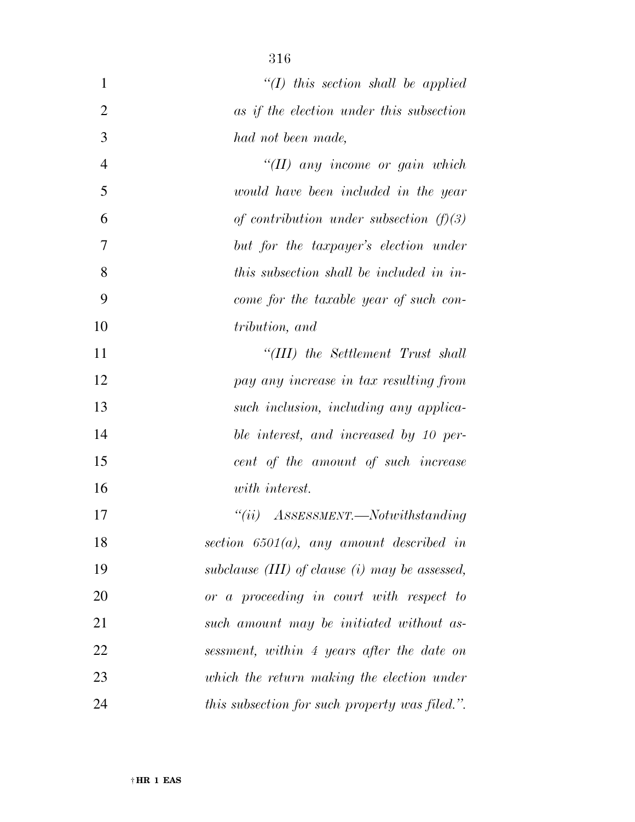| $\mathbf{1}$   | $\lq (I)$ this section shall be applied            |
|----------------|----------------------------------------------------|
| $\overline{2}$ | as if the election under this subsection           |
| 3              | had not been made,                                 |
| $\overline{4}$ | $\lq (II)$ any income or gain which                |
| 5              | would have been included in the year               |
| 6              | of contribution under subsection $(f)(3)$          |
| 7              | but for the taxpayer's election under              |
| 8              | this subsection shall be included in in-           |
| 9              | come for the taxable year of such con-             |
| 10             | tribution, and                                     |
| 11             | "(III) the Settlement Trust shall                  |
| 12             | pay any increase in tax resulting from             |
| 13             | such inclusion, including any applica-             |
| 14             | ble interest, and increased by 10 per-             |
| 15             | cent of the amount of such increase                |
| 16             | with interest.                                     |
| 17             | $``(ii)$ ASSESSMENT.—Notwithstanding               |
| 18             | section $6501(a)$ , any amount described in        |
| 19             | subclause $(III)$ of clause $(i)$ may be assessed, |
| 20             | or a proceeding in court with respect to           |
| 21             | such amount may be initiated without as-           |
| 22             | sessment, within 4 years after the date on         |
| 23             | which the return making the election under         |
| 24             | this subsection for such property was filed.".     |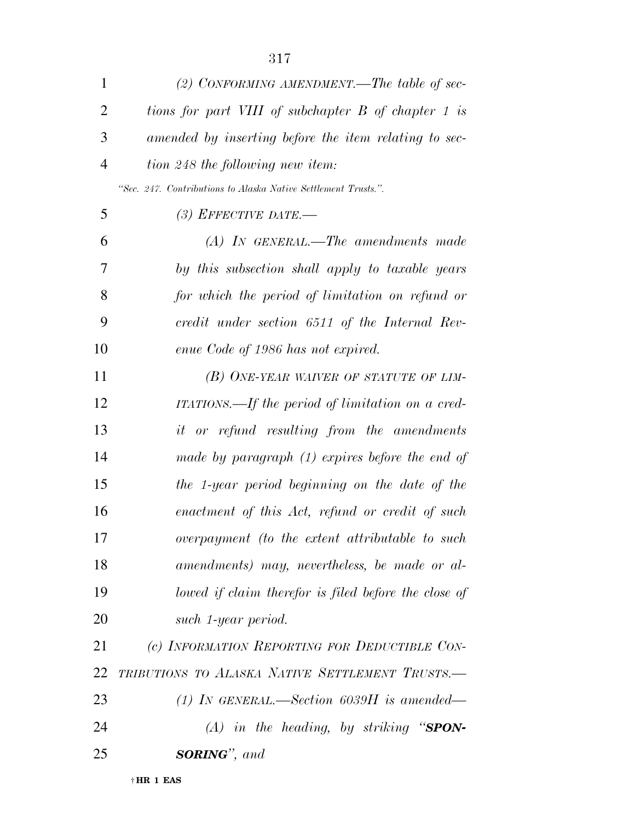| 1              | (2) CONFORMING AMENDMENT.—The table of sec-                    |
|----------------|----------------------------------------------------------------|
| $\overline{2}$ | tions for part VIII of subchapter B of chapter 1 is            |
| 3              | amended by inserting before the item relating to sec-          |
| $\overline{4}$ | tion 248 the following new item:                               |
|                | "Sec. 247. Contributions to Alaska Native Settlement Trusts.". |
| 5              | (3) EFFECTIVE DATE.—                                           |
| 6              | $(A)$ IN GENERAL.—The amendments made                          |
| 7              | by this subsection shall apply to taxable years                |
| 8              | for which the period of limitation on refund or                |
| 9              | credit under section 6511 of the Internal Rev-                 |
| 10             | enue Code of 1986 has not expired.                             |
| 11             | (B) ONE-YEAR WAIVER OF STATUTE OF LIM-                         |
| 12             | ITATIONS.—If the period of limitation on a cred-               |
| 13             | <i>it</i> or refund resulting from the amendments              |
| 14             | made by paragraph $(1)$ expires before the end of              |
| 15             | the 1-year period beginning on the date of the                 |
| 16             | enactment of this Act, refund or credit of such                |
| 17             | overpayment (to the extent attributable to such                |
| 18             | amendments) may, nevertheless, be made or al-                  |
| 19             | lowed if claim therefor is filed before the close of           |
| 20             | such 1-year period.                                            |
| 21             | (c) INFORMATION REPORTING FOR DEDUCTIBLE CON-                  |
| 22             | TRIBUTIONS TO ALASKA NATIVE SETTLEMENT TRUSTS.-                |
| 23             | (1) IN GENERAL.—Section 6039H is amended—                      |
| 24             | $(A)$ in the heading, by striking "SPON-                       |
| 25             | <b>SORING</b> ", and                                           |
|                |                                                                |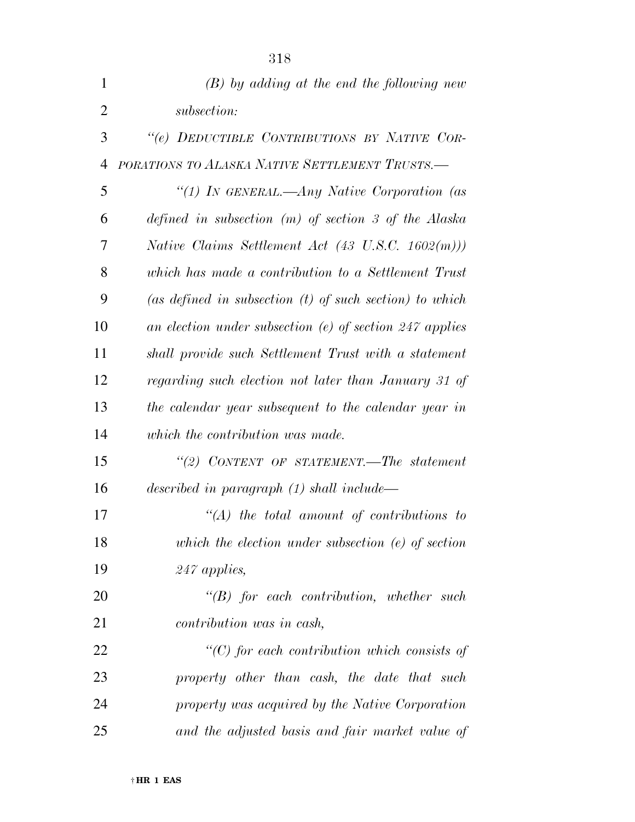| $\mathbf{1}$   | $(B)$ by adding at the end the following new                 |
|----------------|--------------------------------------------------------------|
| $\overline{2}$ | subsection:                                                  |
| 3              | "(e) DEDUCTIBLE CONTRIBUTIONS BY NATIVE COR-                 |
| $\overline{4}$ | PORATIONS TO ALASKA NATIVE SETTLEMENT TRUSTS.-               |
| 5              | "(1) In GENERAL.—Any Native Corporation (as                  |
| 6              | defined in subsection $(m)$ of section 3 of the Alaska       |
| 7              | Native Claims Settlement Act $(43 \text{ U.S.C. } 1602(m)))$ |
| 8              | which has made a contribution to a Settlement Trust          |
| 9              | (as defined in subsection $(t)$ of such section) to which    |
| 10             | an election under subsection $(e)$ of section 247 applies    |
| 11             | shall provide such Settlement Trust with a statement         |
| 12             | regarding such election not later than January 31 of         |
| 13             | the calendar year subsequent to the calendar year in         |
| 14             | which the contribution was made.                             |
| 15             | "(2) CONTENT OF STATEMENT.—The statement                     |
| 16             | described in paragraph $(1)$ shall include—                  |
| 17             | $\lq (A)$ the total amount of contributions to               |
| 18             | which the election under subsection $(e)$ of section         |
| 19             | $247$ applies,                                               |
| 20             | $\lq\lq(B)$ for each contribution, whether such              |
| 21             | contribution was in cash,                                    |
| 22             | $\lq (C)$ for each contribution which consists of            |
| 23             | property other than cash, the date that such                 |
| 24             | property was acquired by the Native Corporation              |
| 25             | and the adjusted basis and fair market value of              |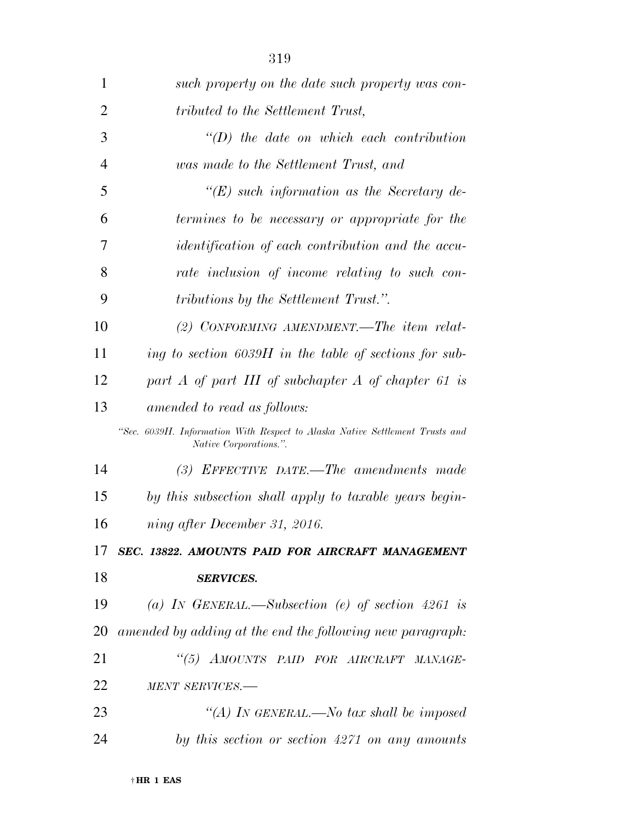| 1              | such property on the date such property was con-                                                       |
|----------------|--------------------------------------------------------------------------------------------------------|
| $\overline{2}$ | tributed to the Settlement Trust,                                                                      |
| 3              | $\lq\lq D$ the date on which each contribution                                                         |
| 4              | was made to the Settlement Trust, and                                                                  |
| 5              | $\lq\lq (E)$ such information as the Secretary de-                                                     |
| 6              | termines to be necessary or appropriate for the                                                        |
| 7              | <i>identification of each contribution and the accu-</i>                                               |
| 8              | rate inclusion of income relating to such con-                                                         |
| 9              | <i>tributions by the Settlement Trust."</i> .                                                          |
| 10             | (2) CONFORMING AMENDMENT.—The item relat-                                                              |
| 11             | ing to section $6039H$ in the table of sections for sub-                                               |
| 12             | part $A$ of part III of subchapter $A$ of chapter 61 is                                                |
| 13             | amended to read as follows:                                                                            |
|                | "Sec. 6039H. Information With Respect to Alaska Native Settlement Trusts and<br>Native Corporations.". |
| 14             | $(3)$ EFFECTIVE DATE.—The amendments made                                                              |
| 15             | by this subsection shall apply to taxable years begin-                                                 |
| 16             | ning after December 31, 2016.                                                                          |
| 17             | SEC. 13822. AMOUNTS PAID FOR AIRCRAFT MANAGEMENT                                                       |
| 18             | <b>SERVICES.</b>                                                                                       |
| 19             | (a) IN GENERAL.—Subsection (e) of section 4261 is                                                      |
| 20             | amended by adding at the end the following new paragraph:                                              |
| 21             | "(5) AMOUNTS PAID FOR AIRCRAFT MANAGE-                                                                 |
| 22             | MENT SERVICES.-                                                                                        |
| 23             | "(A) IN GENERAL.—No tax shall be imposed                                                               |
| 24             | by this section or section 4271 on any amounts                                                         |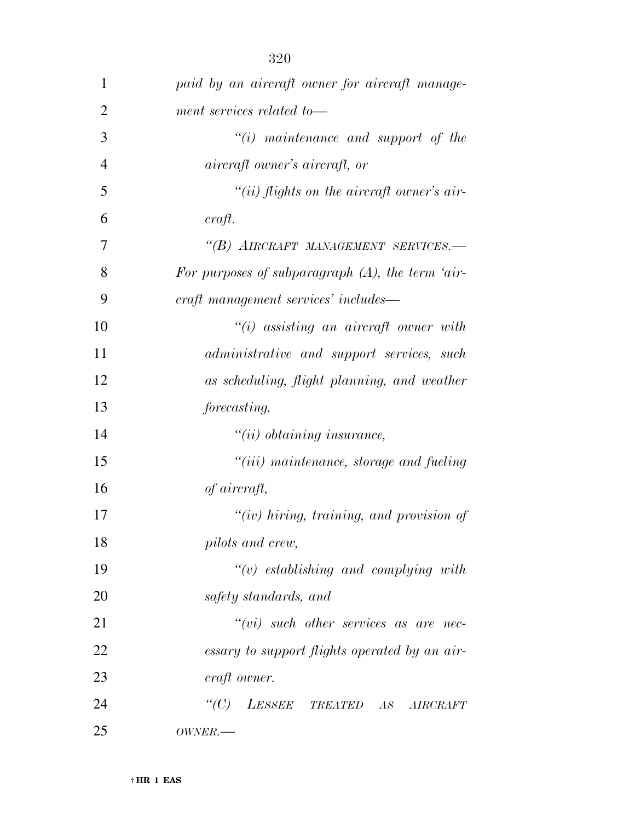| 1              | paid by an aircraft owner for aircraft manage-      |
|----------------|-----------------------------------------------------|
| $\overline{2}$ | ment services related to-                           |
| 3              | $\lq\lq(i)$ maintenance and support of the          |
| $\overline{4}$ | <i>aircraft owner's aircraft, or</i>                |
| 5              | "(ii) flights on the aircraft owner's air-          |
| 6              | craft.                                              |
| 7              | "(B) AIRCRAFT MANAGEMENT SERVICES.-                 |
| 8              | For purposes of subparagraph $(A)$ , the term 'air- |
| 9              | eraft management services' includes—                |
| 10             | $``(i)$ assisting an aircraft owner with            |
| 11             | administrative and support services, such           |
| 12             | as scheduling, flight planning, and weather         |
| 13             | forecasting,                                        |
| 14             | $"(ii)$ obtaining insurance,                        |
| 15             | $"(iii)$ maintenance, storage and fueling           |
| 16             | of aircraft,                                        |
| 17             | " $(iv)$ hiring, training, and provision of         |
| 18             | pilots and crew,                                    |
| 19             | $\tilde{f}(v)$ establishing and complying with      |
| 20             | safety standards, and                               |
| 21             | $``(vi)$ such other services as are nec-            |
| 22             | essary to support flights operated by an air-       |
| 23             | craft owner.                                        |
| 24             | "(C) LESSEE TREATED AS AIRCRAFT                     |
| 25             | OWNER.                                              |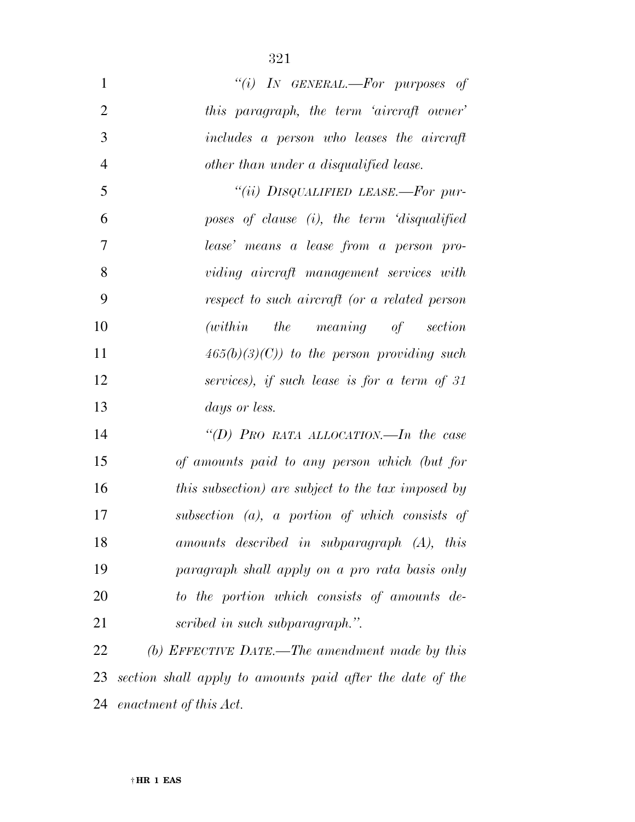| $\mathbf{1}$   | "(i) IN GENERAL.—For purposes of                   |
|----------------|----------------------------------------------------|
| $\overline{2}$ | this paragraph, the term 'aircraft owner'          |
| 3              | includes a person who leases the aircraft          |
| $\overline{4}$ | other than under a disqualified lease.             |
| 5              | "(ii) DISQUALIFIED LEASE.—For pur-                 |
| 6              | poses of clause (i), the term 'disqualified        |
| $\overline{7}$ | lease' means a lease from a person pro-            |
| 8              | viding aircraft management services with           |
| 9              | respect to such aircraft (or a related person      |
| 10             | (within the meaning of section                     |
| 11             | $465(b)(3)(C)$ to the person providing such        |
| 12             | services), if such lease is for a term of 31       |
| 13             | <i>days or less.</i>                               |
| 14             | "(D) PRO RATA ALLOCATION.—In the case              |
| 15             | of amounts paid to any person which (but for       |
| 16             | this subsection) are subject to the tax imposed by |
| 17             | subsection $(a)$ , a portion of which consists of  |

 *(b) EFFECTIVE DATE.—The amendment made by this section shall apply to amounts paid after the date of the enactment of this Act.* 

*amounts described in subparagraph (A), this* 

*paragraph shall apply on a pro rata basis only* 

*to the portion which consists of amounts de-*

*scribed in such subparagraph.''.*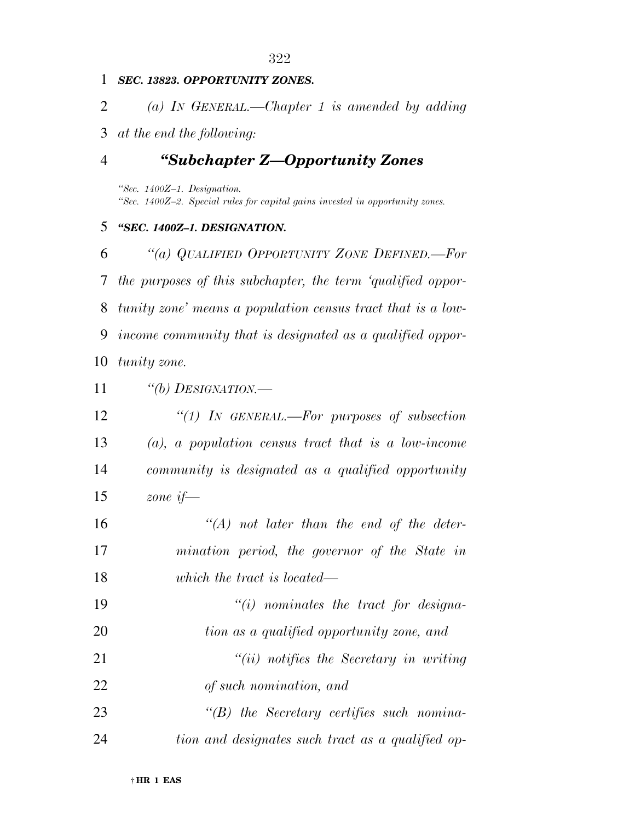## *SEC. 13823. OPPORTUNITY ZONES.*

*(a) IN GENERAL.—Chapter 1 is amended by adding* 

*at the end the following:* 

## *''Subchapter Z—Opportunity Zones*

*''Sec. 1400Z–1. Designation. ''Sec. 1400Z–2. Special rules for capital gains invested in opportunity zones.* 

## *''SEC. 1400Z–1. DESIGNATION.*

 *''(a) QUALIFIED OPPORTUNITY ZONE DEFINED.—For the purposes of this subchapter, the term 'qualified oppor- tunity zone' means a population census tract that is a low- income community that is designated as a qualified oppor-tunity zone.* 

*''(b) DESIGNATION.—* 

| 12 | "(1) IN GENERAL.—For purposes of subsection            |
|----|--------------------------------------------------------|
| 13 | $(a)$ , a population census tract that is a low-income |
| 14 | community is designated as a qualified opportunity     |
| 15 | zone if—                                               |
| 16 | $\lq\lq (A)$ not later than the end of the deter-      |
| 17 | mination poriod the governor of the State in           |

 *mination period, the governor of the State in which the tract is located—* 

 *''(i) nominates the tract for designa- tion as a qualified opportunity zone, and ''(ii) notifies the Secretary in writing of such nomination, and* 

 *''(B) the Secretary certifies such nomina-tion and designates such tract as a qualified op-*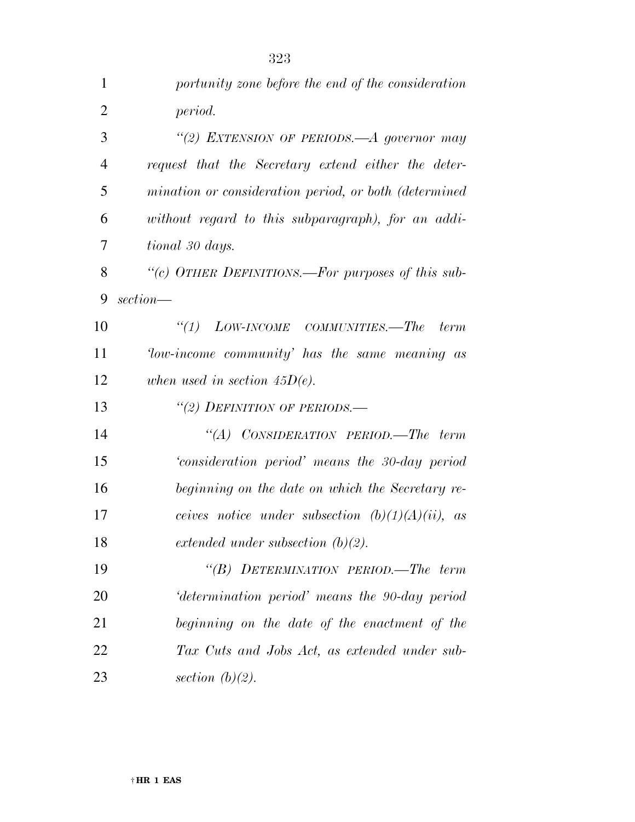| 1              | portunity zone before the end of the consideration    |
|----------------|-------------------------------------------------------|
| $\overline{2}$ | period.                                               |
| 3              | "(2) EXTENSION OF PERIODS. A governor may             |
| 4              | request that the Secretary extend either the deter-   |
| 5              | mination or consideration period, or both (determined |
| 6              | without regard to this subparagraph), for an addi-    |
| 7              | tional 30 days.                                       |
| 8              | "(c) OTHER DEFINITIONS.—For purposes of this sub-     |
| 9              | section—                                              |
| 10             | "(1) $Low\text{-}INCOME$ COMMUNITIES.—The term        |
| 11             | Tow-income community' has the same meaning as         |
| 12             | when used in section $45D(e)$ .                       |
| 13             | "(2) DEFINITION OF PERIODS.—                          |
| 14             | "(A) CONSIDERATION PERIOD.—The term                   |
| 15             | consideration period' means the 30-day period         |
| 16             | beginning on the date on which the Secretary re-      |
| 17             | ceives notice under subsection $(b)(1)(A)(ii)$ , as   |
| 18             | extended under subsection $(b)(2)$ .                  |
| 19             | "(B) DETERMINATION PERIOD.—The term                   |
| 20             | determination period' means the 90-day period         |
| 21             | beginning on the date of the enactment of the         |
| 22             | Tax Cuts and Jobs Act, as extended under sub-         |
| 23             | section $(b)(2)$ .                                    |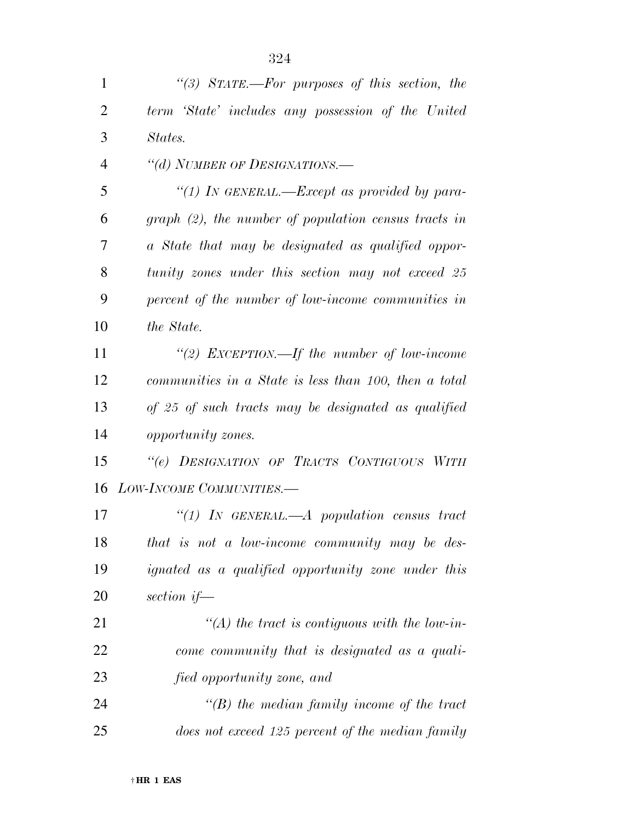*''(3) STATE.—For purposes of this section, the term 'State' includes any possession of the United States. ''(d) NUMBER OF DESIGNATIONS.— ''(1) IN GENERAL.—Except as provided by para- graph (2), the number of population census tracts in a State that may be designated as qualified oppor- tunity zones under this section may not exceed 25 percent of the number of low-income communities in the State. ''(2) EXCEPTION.—If the number of low-income communities in a State is less than 100, then a total of 25 of such tracts may be designated as qualified opportunity zones. ''(e) DESIGNATION OF TRACTS CONTIGUOUS WITH LOW-INCOME COMMUNITIES.—* 

 *''(1) IN GENERAL.—A population census tract that is not a low-income community may be des- ignated as a qualified opportunity zone under this section if—* 

 *''(A) the tract is contiguous with the low-in- come community that is designated as a quali-fied opportunity zone, and* 

 *''(B) the median family income of the tract does not exceed 125 percent of the median family*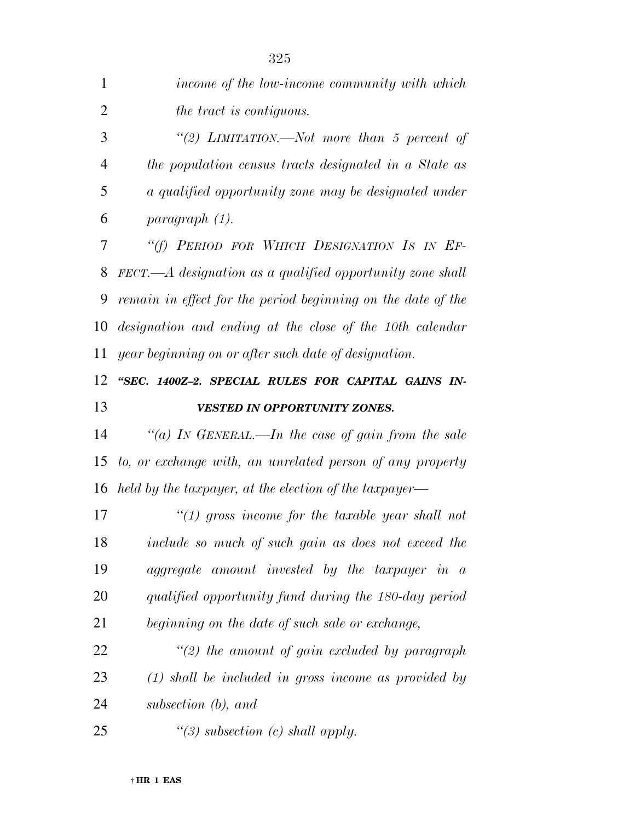| 1              | income of the low-income community with which                                   |
|----------------|---------------------------------------------------------------------------------|
| $\overline{2}$ | the tract is contiguous.                                                        |
| 3              | "(2) LIMITATION.—Not more than 5 percent of                                     |
| $\overline{4}$ | the population census tracts designated in a State as                           |
| 5              | a qualified opportunity zone may be designated under                            |
| 6              | paragraph (1).                                                                  |
| 7              | "(f) PERIOD FOR WHICH DESIGNATION IS IN EF-                                     |
| 8              | $\textit{FECT.} \text{---} A$ designation as a qualified opportunity zone shall |
| 9              | remain in effect for the period beginning on the date of the                    |
| 10             | designation and ending at the close of the 10th calendar                        |
| 11             | year beginning on or after such date of designation.                            |
| 12             | "SEC. 1400Z-2. SPECIAL RULES FOR CAPITAL GAINS IN-                              |
| 13             | <b>VESTED IN OPPORTUNITY ZONES.</b>                                             |
| 14             | "(a) IN GENERAL.—In the case of gain from the sale                              |
| 15             | to, or exchange with, an unrelated person of any property                       |
|                | 16 held by the taxpayer, at the election of the taxpayer—                       |
| 17             | $\lq(1)$ gross income for the taxable year shall not                            |
| 18             | include so much of such gain as does not exceed the                             |
| 19             | aggregate amount invested by the taxpayer in a                                  |
| 20             | qualified opportunity fund during the 180-day period                            |
| 21             | beginning on the date of such sale or exchange,                                 |
| 22             | $\lq(2)$ the amount of gain excluded by paragraph                               |
| 23             | $(1)$ shall be included in gross income as provided by                          |
| 24             | subsection (b), and                                                             |
| 25             | "(3) subsection (c) shall apply.                                                |
|                |                                                                                 |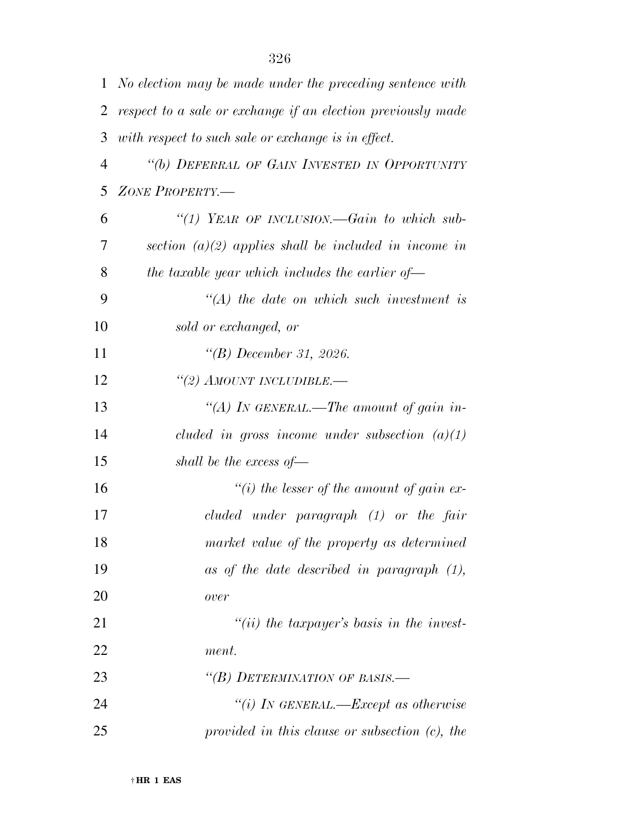| 1              | No election may be made under the preceding sentence with    |
|----------------|--------------------------------------------------------------|
| 2              | respect to a sale or exchange if an election previously made |
| 3              | with respect to such sale or exchange is in effect.          |
| $\overline{4}$ | "(b) DEFERRAL OF GAIN INVESTED IN OPPORTUNITY                |
| 5              | ZONE PROPERTY.-                                              |
| 6              | "(1) YEAR OF INCLUSION.—Gain to which sub-                   |
| 7              | section $(a)(2)$ applies shall be included in income in      |
| 8              | the taxable year which includes the earlier of $-$           |
| 9              | $\lq (A)$ the date on which such investment is               |
| 10             | sold or exchanged, or                                        |
| 11             | $\lq\lq(B)$ December 31, 2026.                               |
| 12             | "(2) AMOUNT INCLUDIBLE.—                                     |
| 13             | "(A) In GENERAL.—The amount of gain in-                      |
| 14             | cluded in gross income under subsection $(a)(1)$             |
| 15             | shall be the excess of $-$                                   |
| 16             | "(i) the lesser of the amount of gain ex-                    |
| 17             | $cluded$ under paragraph $(1)$ or the fair                   |
| 18             | market value of the property as determined                   |
| 19             | as of the date described in paragraph $(1)$ ,                |
| 20             | over                                                         |
| 21             | $"(ii)$ the taxpayer's basis in the invest-                  |
| 22             | ment.                                                        |
| 23             | "(B) DETERMINATION OF BASIS.-                                |
| 24             | "(i) IN GENERAL.—Except as otherwise                         |
| 25             | provided in this clause or subsection $(c)$ , the            |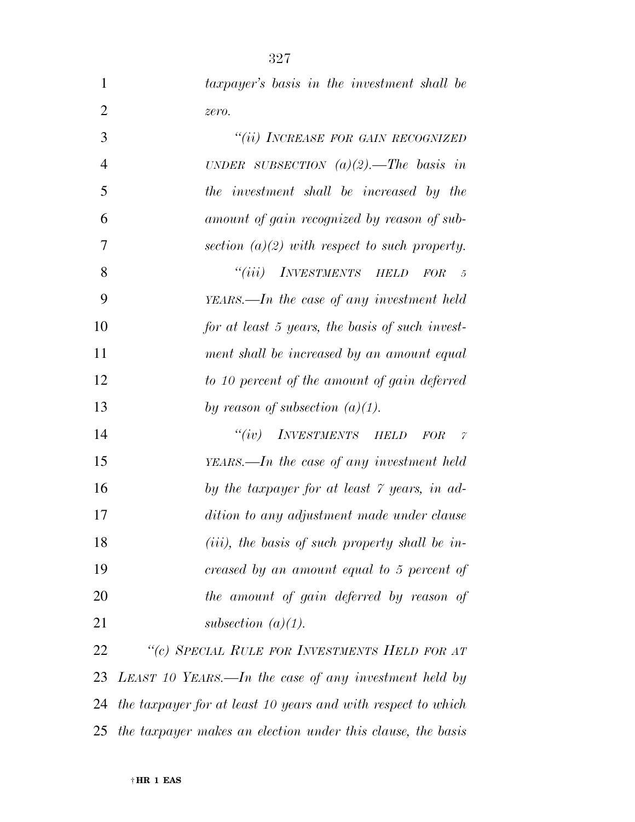| <i>taxpayer's</i> basis in the investment shall be |
|----------------------------------------------------|
| zero.                                              |
| "(ii) INCREASE FOR GAIN RECOGNIZED                 |

| $\overline{4}$ | UNDER SUBSECTION $(a)(2)$ . The basis in            |
|----------------|-----------------------------------------------------|
| 5              | the investment shall be increased by the            |
| 6              | amount of gain recognized by reason of sub-         |
| 7              | section $(a)(2)$ with respect to such property.     |
| 8              | "(iii) INVESTMENTS HELD FOR<br>$-5$                 |
| 9              | $YEARS$ —In the case of any investment held         |
| 10             | for at least 5 years, the basis of such invest-     |
| 11             | ment shall be increased by an amount equal          |
| 12             | to 10 percent of the amount of gain deferred        |
| 13             | by reason of subsection $(a)(1)$ .                  |
| 14             | $``(iv)$ INVESTMENTS HELD<br>FOR<br>$\widetilde{Z}$ |
| 15             | $VFRRS = In$ the case of any investment held        |

 *YEARS.—In the case of any investment held by the taxpayer for at least 7 years, in ad- dition to any adjustment made under clause (iii), the basis of such property shall be in- creased by an amount equal to 5 percent of the amount of gain deferred by reason of subsection (a)(1).* 

 *''(c) SPECIAL RULE FOR INVESTMENTS HELD FOR AT LEAST 10 YEARS.—In the case of any investment held by the taxpayer for at least 10 years and with respect to which the taxpayer makes an election under this clause, the basis*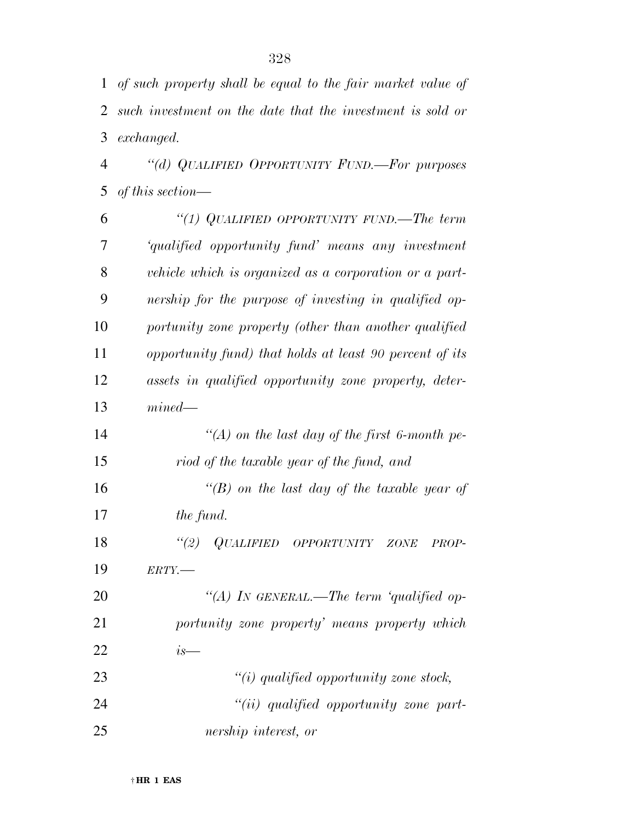*of such property shall be equal to the fair market value of such investment on the date that the investment is sold or exchanged. ''(d) QUALIFIED OPPORTUNITY FUND.—For purposes of this section— ''(1) QUALIFIED OPPORTUNITY FUND.—The term* 

 *'qualified opportunity fund' means any investment vehicle which is organized as a corporation or a part- nership for the purpose of investing in qualified op- portunity zone property (other than another qualified opportunity fund) that holds at least 90 percent of its assets in qualified opportunity zone property, deter- mined— ''(A) on the last day of the first 6-month pe-riod of the taxable year of the fund, and* 

 *''(B) on the last day of the taxable year of the fund.* 

 *''(2) QUALIFIED OPPORTUNITY ZONE PROP-ERTY.—* 

 *''(A) IN GENERAL.—The term 'qualified op- portunity zone property' means property which is— ''(i) qualified opportunity zone stock,* 

 *''(ii) qualified opportunity zone part-nership interest, or*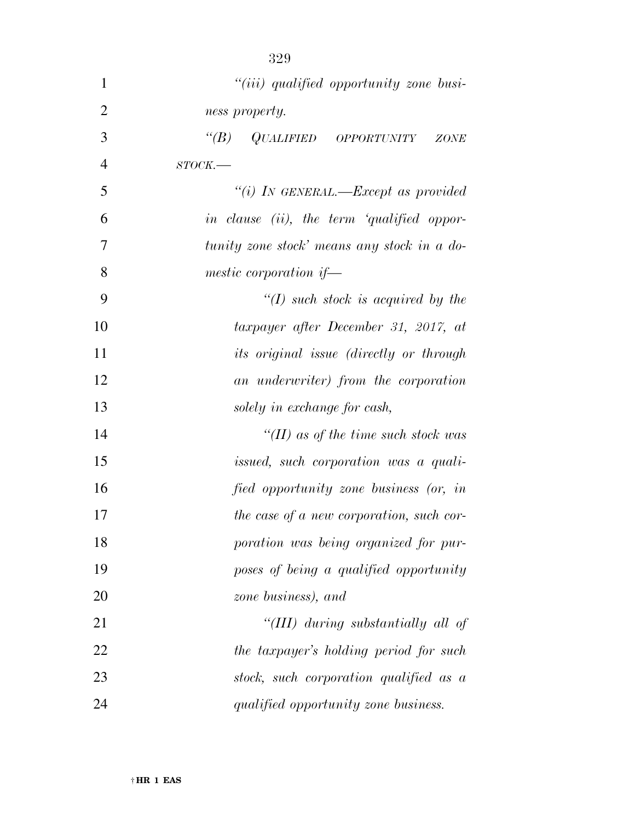| $\mathbf{1}$   | "( <i>iii</i> ) qualified opportunity zone busi-  |
|----------------|---------------------------------------------------|
| $\overline{2}$ | ness property.                                    |
| 3              | $\lq (B)$<br>QUALIFIED OPPORTUNITY<br><b>ZONE</b> |
| $\overline{4}$ | $STOCK$ .                                         |
| 5              | "(i) IN GENERAL.—Except as provided               |
| 6              | in clause (ii), the term 'qualified oppor-        |
| 7              | tunity zone stock' means any stock in a do-       |
| 8              | mestic corporation if-                            |
| 9              | $\lq (I)$ such stock is acquired by the           |
| 10             | taxpayer after December 31, 2017, at              |
| 11             | its original issue (directly or through           |
| 12             | an underwriter) from the corporation              |
| 13             | solely in exchange for cash,                      |
| 14             | "(II) as of the time such stock was               |
| 15             | issued, such corporation was a quali-             |
| 16             | fied opportunity zone business (or, in            |
| 17             | the case of a new corporation, such cor-          |
| 18             | poration was being organized for pur-             |
| 19             | poses of being a qualified opportunity            |
| 20             | zone business), and                               |
| 21             | "(III) during substantially all of                |
| 22             | the taxpayer's holding period for such            |
| 23             | stock, such corporation qualified as a            |
| 24             | qualified opportunity zone business.              |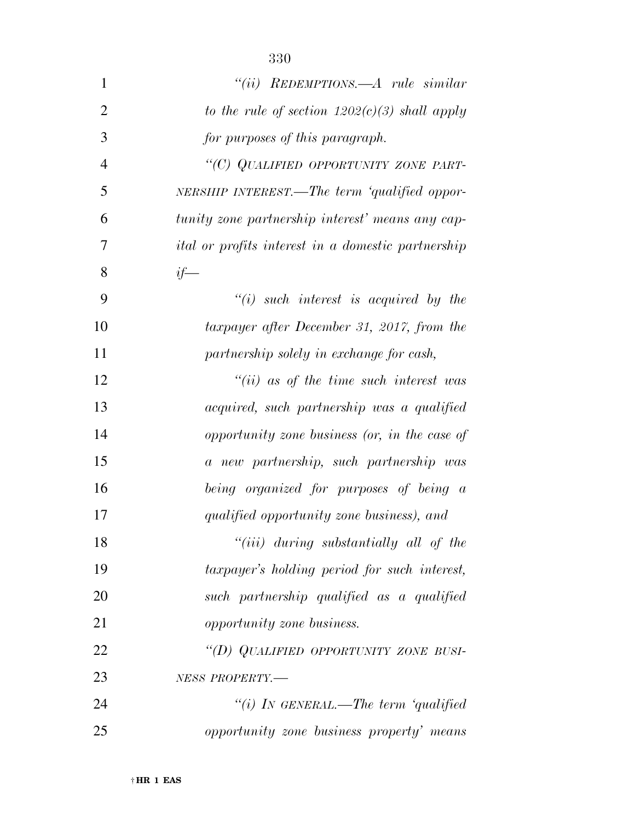| $\mathbf{1}$   | "(ii) $REDEMPTIONS. -A rule similar$                      |
|----------------|-----------------------------------------------------------|
| $\overline{2}$ | to the rule of section $1202(c)(3)$ shall apply           |
| 3              | for purposes of this paragraph.                           |
| $\overline{4}$ | "(C) QUALIFIED OPPORTUNITY ZONE PART-                     |
| 5              | NERSHIP INTEREST.—The term 'qualified oppor-              |
| 6              | tunity zone partnership interest' means any cap-          |
| 7              | <i>ital or profits interest in a domestic partnership</i> |
| 8              | $if-$                                                     |
| 9              | $\lq\lq(i)$ such interest is acquired by the              |
| 10             | taxpayer after December 31, 2017, from the                |
| 11             | partnership solely in exchange for cash,                  |
| 12             | $``(ii)$ as of the time such interest was                 |
| 13             | acquired, such partnership was a qualified                |
| 14             | opportunity zone business (or, in the case of             |
| 15             | a new partnership, such partnership was                   |
| 16             | being organized for purposes of being a                   |
| 17             | qualified opportunity zone business), and                 |
| 18             | $``(iii)$ during substantially all of the                 |
| 19             | taxpayer's holding period for such interest,              |
| 20             | such partnership qualified as a qualified                 |
| 21             | <i>opportunity zone business.</i>                         |
| 22             | "(D) QUALIFIED OPPORTUNITY ZONE BUSI-                     |
| 23             | NESS PROPERTY.-                                           |
| 24             | "(i) IN GENERAL.—The term 'qualified                      |
| 25             | opportunity zone business property' means                 |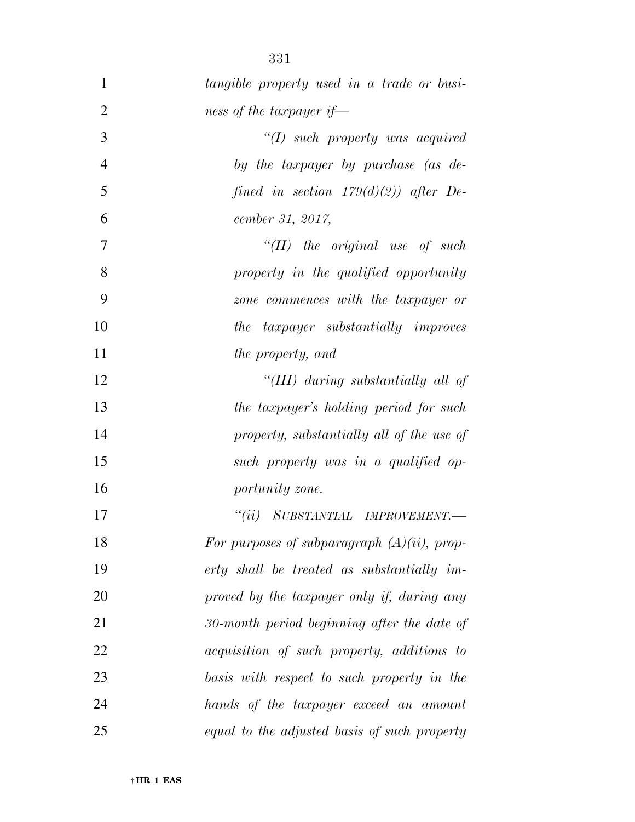| $\mathbf{1}$   | tangible property used in a trade or busi-     |
|----------------|------------------------------------------------|
| $\overline{2}$ | ness of the taxpayer if—                       |
| 3              | $\lq (I)$ such property was acquired           |
| $\overline{4}$ | by the taxpayer by purchase (as de-            |
| 5              | fined in section $179(d)(2)$ after De-         |
| 6              | cember 31, 2017,                               |
| $\overline{7}$ | $``(II)$ the original use of such              |
| 8              | property in the qualified opportunity          |
| 9              | zone commences with the taxpayer or            |
| 10             | the taxpayer substantially improves            |
| 11             | the property, and                              |
| 12             | "(III) during substantially all of             |
| 13             | the taxpayer's holding period for such         |
| 14             | property, substantially all of the use of      |
| 15             | such property was in a qualified op-           |
| 16             | portunity zone.                                |
| 17             | "(ii) SUBSTANTIAL IMPROVEMENT.-                |
| 18             | For purposes of subparagraph $(A)(ii)$ , prop- |
| 19             | erty shall be treated as substantially im-     |
| 20             | proved by the taxpayer only if, during any     |
| 21             | 30-month period beginning after the date of    |
| 22             | acquisition of such property, additions to     |
| 23             | basis with respect to such property in the     |
| 24             | hands of the taxpayer exceed an amount         |
| 25             | equal to the adjusted basis of such property   |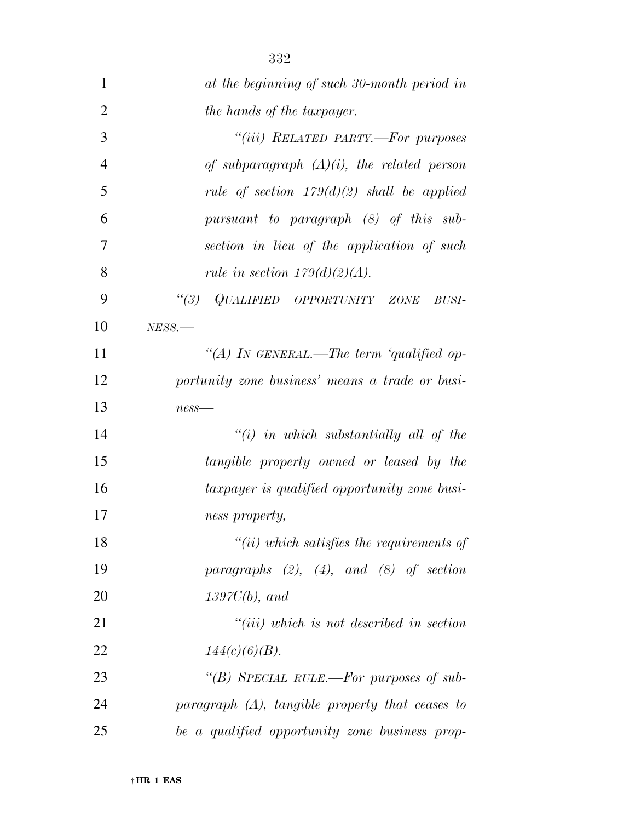| 1              | at the beginning of such 30-month period in        |
|----------------|----------------------------------------------------|
| $\overline{2}$ | the hands of the taxpayer.                         |
| 3              | "(iii) RELATED PARTY.-For purposes                 |
| $\overline{4}$ | of subparagraph $(A)(i)$ , the related person      |
| 5              | rule of section $179(d)(2)$ shall be applied       |
| 6              | pursuant to paragraph (8) of this sub-             |
| 7              | section in lieu of the application of such         |
| 8              | rule in section $179(d)(2)(A)$ .                   |
| 9              | "(3) QUALIFIED OPPORTUNITY ZONE<br>BUSI-           |
| 10             | $NESS$ .                                           |
| 11             | "(A) IN GENERAL.—The term 'qualified op-           |
| 12             | portunity zone business' means a trade or busi-    |
| 13             | $ness$ —                                           |
| 14             | $``(i)$ in which substantially all of the          |
| 15             | tangible property owned or leased by the           |
| 16             | taxpayer is qualified opportunity zone busi-       |
| 17             | ness property,                                     |
| 18             | $"(ii)$ which satisfies the requirements of        |
| 19             | paragraphs $(2)$ , $(4)$ , and $(8)$ of section    |
| 20             | $1397C(b)$ , and                                   |
| 21             | $``(iii)$ which is not described in section        |
| 22             | $144(c)(6)(B)$ .                                   |
| 23             | "(B) SPECIAL RULE.—For purposes of sub-            |
| 24             | paragraph $(A)$ , tangible property that ceases to |
| 25             | be a qualified opportunity zone business prop-     |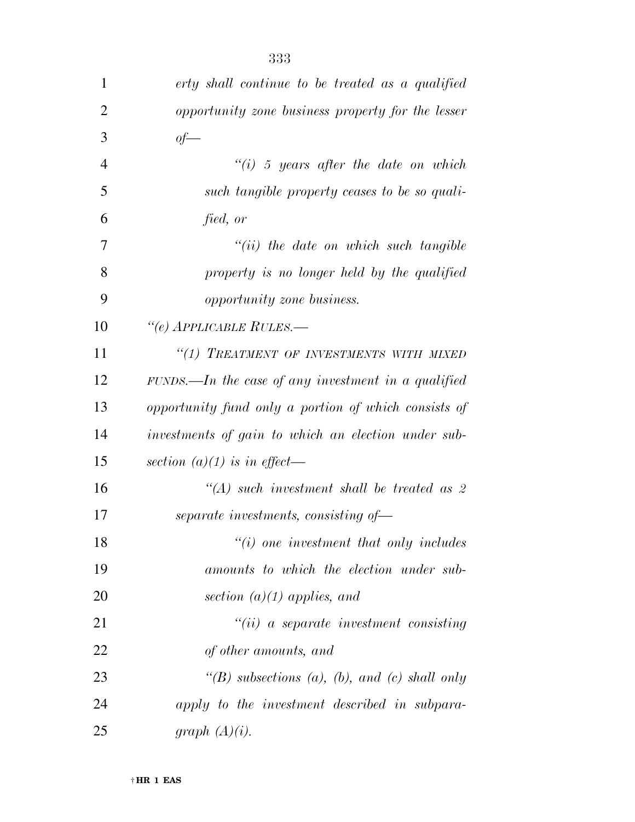| $\mathbf{1}$ | erty shall continue to be treated as a qualified     |
|--------------|------------------------------------------------------|
| 2            | opportunity zone business property for the lesser    |
| 3            | $of-$                                                |
| 4            | "(i) 5 years after the date on which                 |
| 5            | such tangible property ceases to be so quali-        |
| 6            | fied, or                                             |
| 7            | $``(ii)$ the date on which such tangible             |
| 8            | property is no longer held by the qualified          |
| 9            | opportunity zone business.                           |
| 10           | "(e) APPLICABLE RULES.—                              |
| 11           | "(1) TREATMENT OF INVESTMENTS WITH MIXED             |
| 12           | $FUNDS.$ The case of any investment in a qualified   |
| 13           | opportunity fund only a portion of which consists of |
| 14           | investments of gain to which an election under sub-  |
| 15           | section $(a)(1)$ is in effect—                       |
| 16           | $\lq (A)$ such investment shall be treated as 2      |
| 17           | separate investments, consisting of-                 |
| 18           | $"(i)$ one investment that only includes             |
| 19           | amounts to which the election under sub-             |
| 20           | section $(a)(1)$ applies, and                        |
| 21           | $``(ii)$ a separate investment consisting            |
| 22           | of other amounts, and                                |
| 23           | "(B) subsections (a), (b), and (c) shall only        |
| 24           | apply to the investment described in subpara-        |
| 25           | graph $(A)(i)$ .                                     |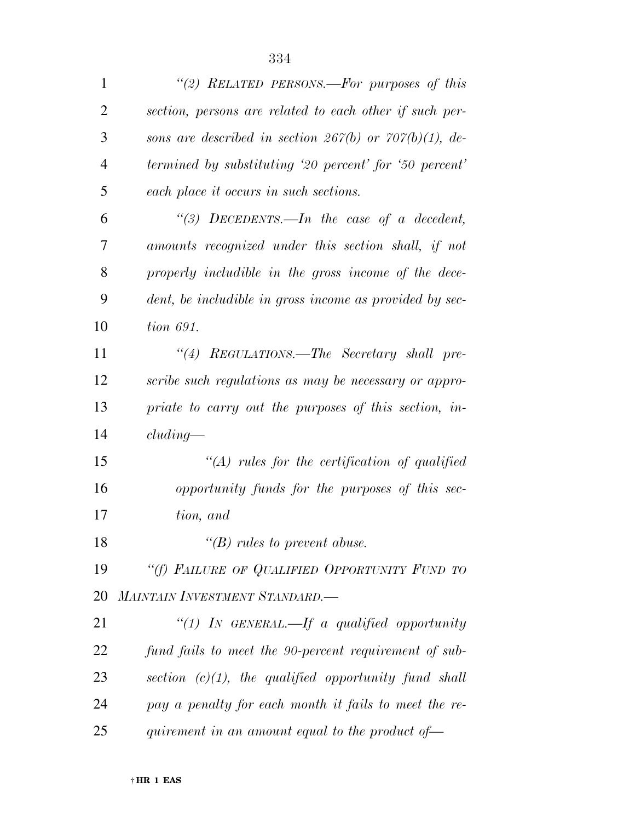| $\mathbf{1}$   | "(2) RELATED PERSONS.—For purposes of this                   |
|----------------|--------------------------------------------------------------|
| $\overline{2}$ | section, persons are related to each other if such per-      |
| 3              | sons are described in section 267(b) or 707(b)(1), de-       |
| $\overline{4}$ | termined by substituting '20 percent' for '50 percent'       |
| 5              | each place it occurs in such sections.                       |
| 6              | "(3) DECEDENTS.—In the case of a decedent,                   |
| 7              | amounts recognized under this section shall, if not          |
| 8              | properly includible in the gross income of the dece-         |
| 9              | dent, be includible in gross income as provided by sec-      |
| 10             | tion 691.                                                    |
| 11             | "(4) REGULATIONS.—The Secretary shall pre-                   |
| 12             | scribe such regulations as may be necessary or appro-        |
| 13             | priate to carry out the purposes of this section, in-        |
| 14             | cluding                                                      |
| 15             | $\lq (A)$ rules for the certification of qualified           |
| 16             | opportunity funds for the purposes of this sec-              |
| 17             | tion, and                                                    |
| 18             | $\lq\lq(B)$ rules to prevent abuse.                          |
| 19             | "(f) FAILURE OF QUALIFIED OPPORTUNITY FUND TO                |
| 20             | MAINTAIN INVESTMENT STANDARD.-                               |
| 21             | "(1) In GENERAL.—If a qualified opportunity                  |
| 22             | fund fails to meet the 90-percent requirement of sub-        |
| 23             | section $(c)(1)$ , the qualified opportunity fund shall      |
| 24             | pay a penalty for each month it fails to meet the re-        |
| 25             | quirement in an amount equal to the product of $\rightarrow$ |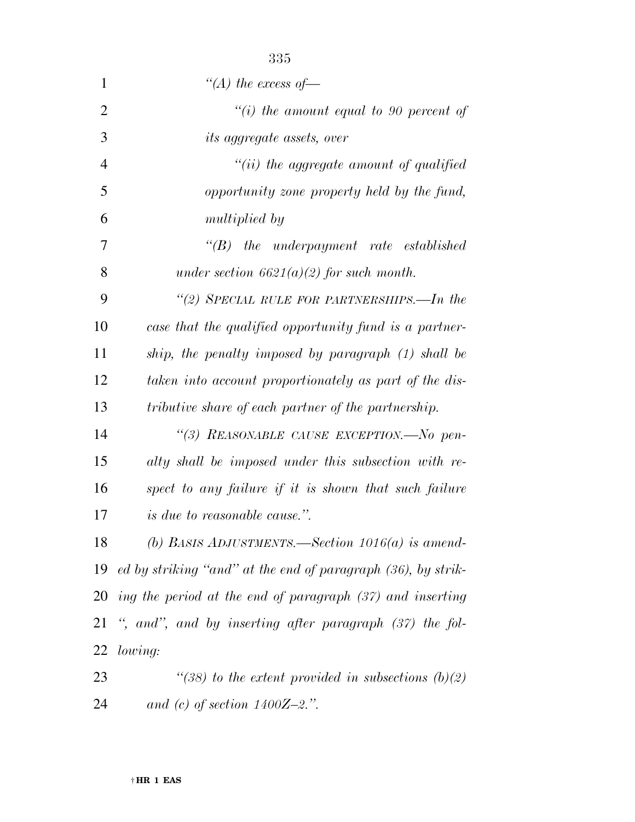| $\mathbf{1}$   | "(A) the excess of —                                           |
|----------------|----------------------------------------------------------------|
| $\overline{2}$ | $``(i)$ the amount equal to 90 percent of                      |
| 3              | <i>its aggregate assets, over</i>                              |
| 4              | "(ii) the aggregate amount of qualified                        |
| 5              | opportunity zone property held by the fund,                    |
| 6              | <i>multiplied by</i>                                           |
| 7              | $\lq\lq B$ the underpayment rate established                   |
| 8              | under section $6621(a)(2)$ for such month.                     |
| 9              | "(2) SPECIAL RULE FOR PARTNERSHIPS.—In the                     |
| 10             | case that the qualified opportunity fund is a partner-         |
| 11             | ship, the penalty imposed by paragraph (1) shall be            |
| 12             | taken into account proportionately as part of the dis-         |
| 13             | tributive share of each partner of the partnership.            |
| 14             | "(3) REASONABLE CAUSE EXCEPTION.—No pen-                       |
| 15             | alty shall be imposed under this subsection with re-           |
| 16             | spect to any failure if it is shown that such failure          |
| 17             | <i>is due to reasonable cause.</i> ".                          |
| 18             | (b) BASIS ADJUSTMENTS.—Section $1016(a)$ is amend-             |
| 19             | ed by striking "and" at the end of paragraph (36), by strik-   |
|                | 20 ing the period at the end of paragraph $(37)$ and inserting |
| 21             | ", and", and by inserting after paragraph $(37)$ the fol-      |
| 22             | lowing:                                                        |
| 23             | "(38) to the extent provided in subsections $(b)(2)$           |
| 24             | and (c) of section $1400Z - 2$ .".                             |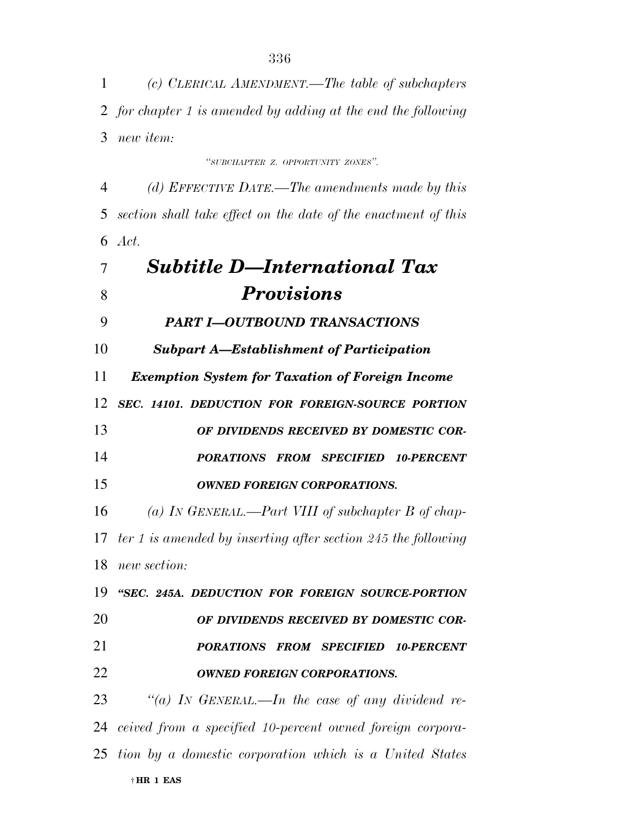*(c) CLERICAL AMENDMENT.—The table of subchapters for chapter 1 is amended by adding at the end the following new item:* 

*''SUBCHAPTER Z. OPPORTUNITY ZONES''.* 

 *(d) EFFECTIVE DATE.—The amendments made by this section shall take effect on the date of the enactment of this Act.* 

 *Subtitle D—International Tax Provisions PART I—OUTBOUND TRANSACTIONS Subpart A—Establishment of Participation Exemption System for Taxation of Foreign Income SEC. 14101. DEDUCTION FOR FOREIGN-SOURCE PORTION OF DIVIDENDS RECEIVED BY DOMESTIC COR- PORATIONS FROM SPECIFIED 10-PERCENT OWNED FOREIGN CORPORATIONS. (a) IN GENERAL.—Part VIII of subchapter B of chap- ter 1 is amended by inserting after section 245 the following new section: ''SEC. 245A. DEDUCTION FOR FOREIGN SOURCE-PORTION OF DIVIDENDS RECEIVED BY DOMESTIC COR- PORATIONS FROM SPECIFIED 10-PERCENT OWNED FOREIGN CORPORATIONS. ''(a) IN GENERAL.—In the case of any dividend re- ceived from a specified 10-percent owned foreign corpora-tion by a domestic corporation which is a United States* 

† **HR 1 EAS**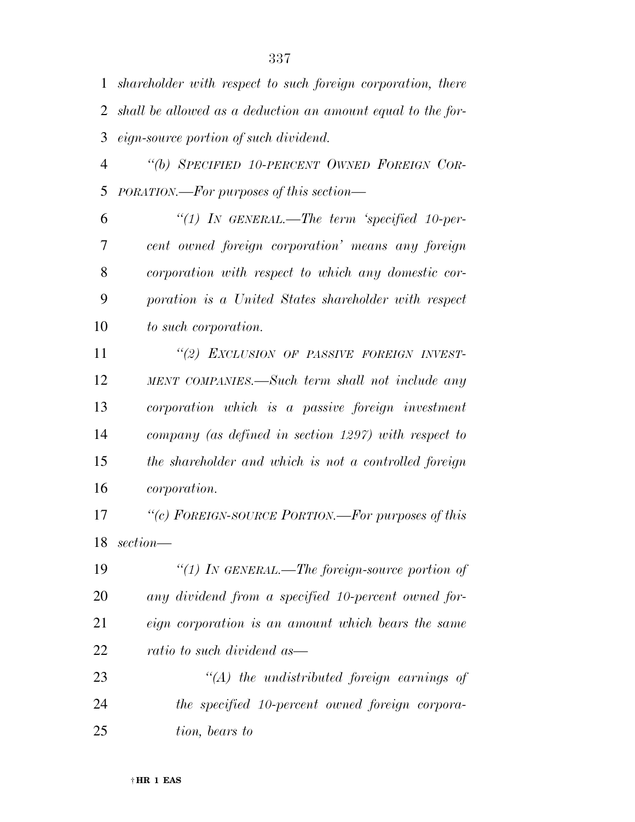*shareholder with respect to such foreign corporation, there shall be allowed as a deduction an amount equal to the for-eign-source portion of such dividend.* 

 *''(b) SPECIFIED 10-PERCENT OWNED FOREIGN COR-PORATION.—For purposes of this section—* 

 *''(1) IN GENERAL.—The term 'specified 10-per- cent owned foreign corporation' means any foreign corporation with respect to which any domestic cor- poration is a United States shareholder with respect to such corporation.* 

 *''(2) EXCLUSION OF PASSIVE FOREIGN INVEST- MENT COMPANIES.—Such term shall not include any corporation which is a passive foreign investment company (as defined in section 1297) with respect to the shareholder and which is not a controlled foreign corporation.* 

 *''(c) FOREIGN-SOURCE PORTION.—For purposes of this section—* 

 *''(1) IN GENERAL.—The foreign-source portion of any dividend from a specified 10-percent owned for- eign corporation is an amount which bears the same ratio to such dividend as—* 

 *''(A) the undistributed foreign earnings of the specified 10-percent owned foreign corpora-tion, bears to*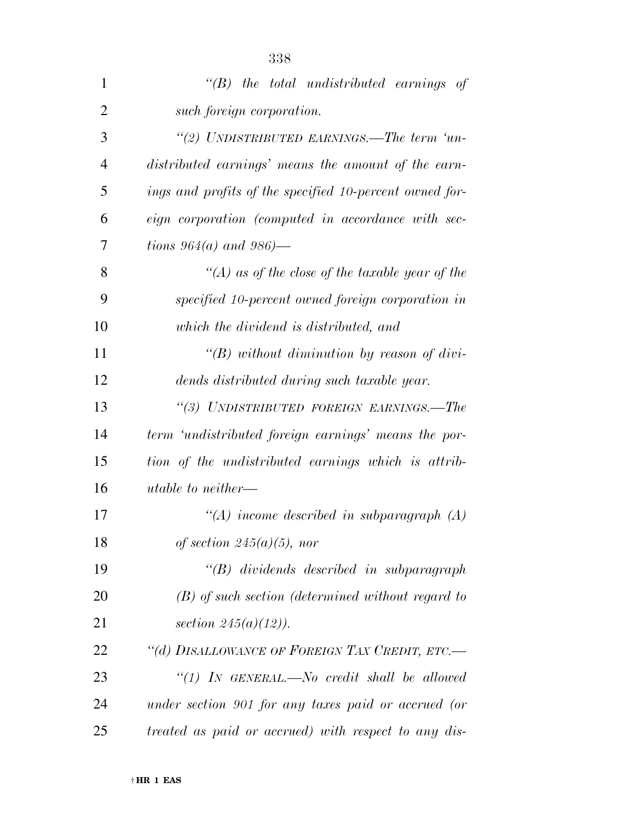| $\mathbf{1}$   | $\lq\lq B$ the total undistributed earnings of          |
|----------------|---------------------------------------------------------|
| $\overline{2}$ | such foreign corporation.                               |
| 3              | "(2) UNDISTRIBUTED EARNINGS.—The term 'un-              |
| 4              | distributed earnings' means the amount of the earn-     |
| 5              | ings and profits of the specified 10-percent owned for- |
| 6              | eign corporation (computed in accordance with sec-      |
| 7              | tions $964(a)$ and $986$ )—                             |
| 8              | "(A) as of the close of the taxable year of the         |
| 9              | specified 10-percent owned foreign corporation in       |
| 10             | which the dividend is distributed, and                  |
| 11             | " $(B)$ without diminution by reason of divi-           |
| 12             | dends distributed during such taxable year.             |
| 13             | "(3) UNDISTRIBUTED FOREIGN EARNINGS.—The                |
| 14             | term 'undistributed foreign earnings' means the por-    |
| 15             | tion of the undistributed earnings which is attrib-     |
| 16             | utable to neither—                                      |
| 17             | "(A) income described in subparagraph $(A)$             |
| 18             | of section $245(a)(5)$ , nor                            |
| 19             | $\lq\lq B$ dividends described in subparagraph          |
| 20             | $(B)$ of such section (determined without regard to     |
| 21             | section $245(a)(12)$ ).                                 |
| 22             | "(d) DISALLOWANCE OF FOREIGN TAX CREDIT, ETC.-          |
| 23             | "(1) IN GENERAL.—No credit shall be allowed             |
| 24             | under section 901 for any taxes paid or accrued (or     |
| 25             | treated as paid or accrued) with respect to any dis-    |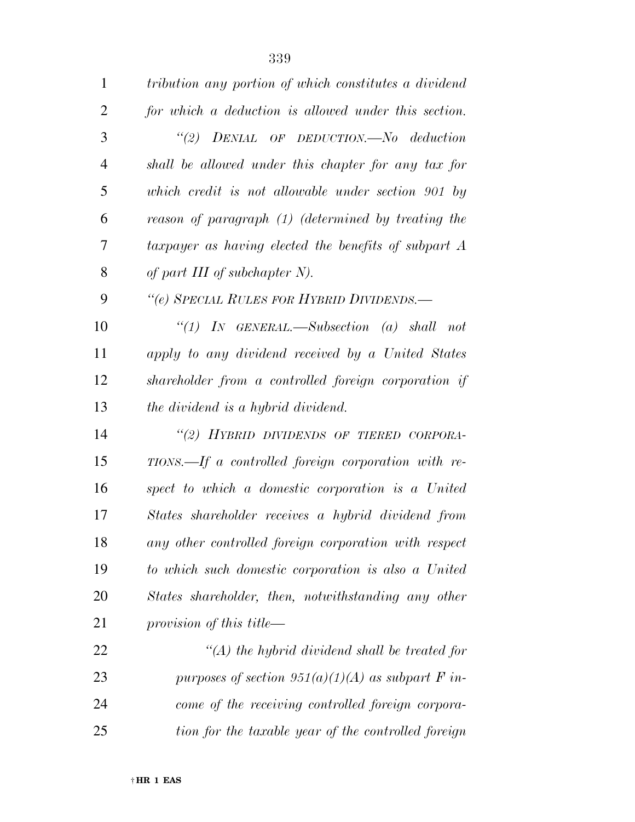| $\mathbf{1}$ | tribution any portion of which constitutes a dividend   |
|--------------|---------------------------------------------------------|
| 2            | for which a deduction is allowed under this section.    |
| 3            | "(2) $DENIAL$ OF $DEDUCTION.$ No deduction              |
| 4            | shall be allowed under this chapter for any tax for     |
| 5            | which credit is not allowable under section 901 by      |
| 6            | reason of paragraph (1) (determined by treating the     |
| 7            | taxpayer as having elected the benefits of subpart A    |
| 8            | of part III of subchapter $N$ ).                        |
| 9            | "(e) SPECIAL RULES FOR HYBRID DIVIDENDS.-               |
| 10           | "(1) IN GENERAL.—Subsection (a) shall not               |
| 11           | apply to any dividend received by a United States       |
| 12           | shareholder from a controlled foreign corporation if    |
| 13           | the dividend is a hybrid dividend.                      |
| 14           | "(2) HYBRID DIVIDENDS OF TIERED CORPORA-                |
| 15           | $TIONS. - If a controlled foreign corporation with re-$ |
| 16           | spect to which a domestic corporation is a United       |
| 17           | States shareholder receives a hybrid dividend from      |
| 18           | any other controlled foreign corporation with respect   |
| 19           | to which such domestic corporation is also a United     |
| 20           | States shareholder, then, notwithstanding any other     |
| 21           | provision of this title—                                |
| 22           | $\lq (A)$ the hybrid dividend shall be treated for      |
| 23           | purposes of section $951(a)(1)(A)$ as subpart F in-     |
| 24           | come of the receiving controlled foreign corpora-       |
| 25           | tion for the taxable year of the controlled foreign     |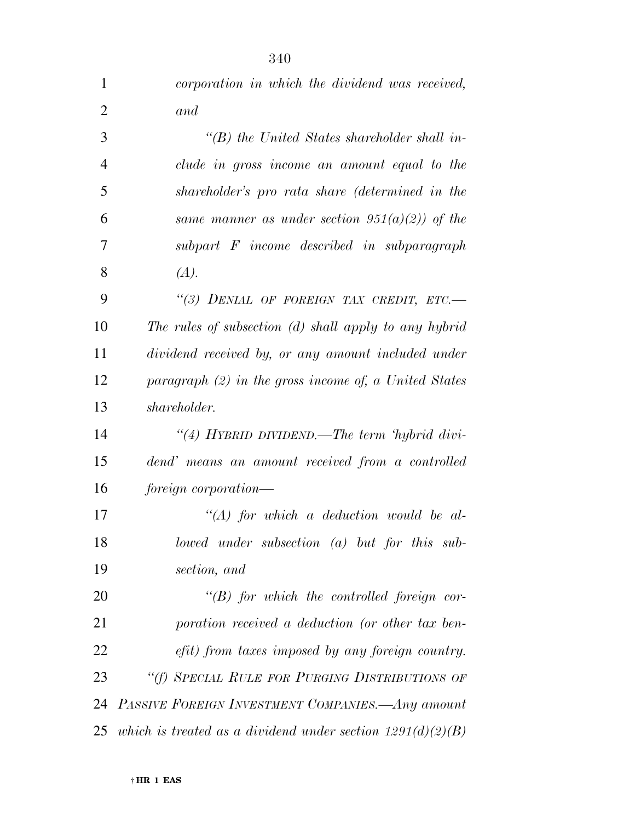| $\mathbf{1}$   | corporation in which the dividend was received,              |
|----------------|--------------------------------------------------------------|
| $\overline{2}$ | and                                                          |
| 3              | $\lq\lq(B)$ the United States shareholder shall in-          |
| $\overline{4}$ | clude in gross income an amount equal to the                 |
| 5              | shareholder's pro rata share (determined in the              |
| 6              | same manner as under section $951(a)(2)$ of the              |
| 7              | subpart F income described in subparagraph                   |
| 8              | (A).                                                         |
| 9              | "(3) DENIAL OF FOREIGN TAX CREDIT, ETC.-                     |
| 10             | The rules of subsection (d) shall apply to any hybrid        |
| 11             | dividend received by, or any amount included under           |
| 12             | paragraph $(2)$ in the gross income of, a United States      |
| 13             | shareholder.                                                 |
| 14             | "(4) HYBRID DIVIDEND.—The term 'hybrid divi-                 |
| 15             | dend' means an amount received from a controlled             |
| 16             | foreign corporation—                                         |
| 17             | $\lq (A)$ for which a deduction would be al-                 |
| 18             | lowed under subsection $(a)$ but for this sub-               |
| 19             | section, and                                                 |
| 20             | $\lq\lq B$ for which the controlled foreign cor-             |
| 21             | poration received a deduction (or other tax ben-             |
| 22             | efit) from taxes imposed by any foreign country.             |
| 23             | "(f) SPECIAL RULE FOR PURGING DISTRIBUTIONS OF               |
| 24             | PASSIVE FOREIGN INVESTMENT COMPANIES.—Any amount             |
| 25             | which is treated as a dividend under section $1291(d)(2)(B)$ |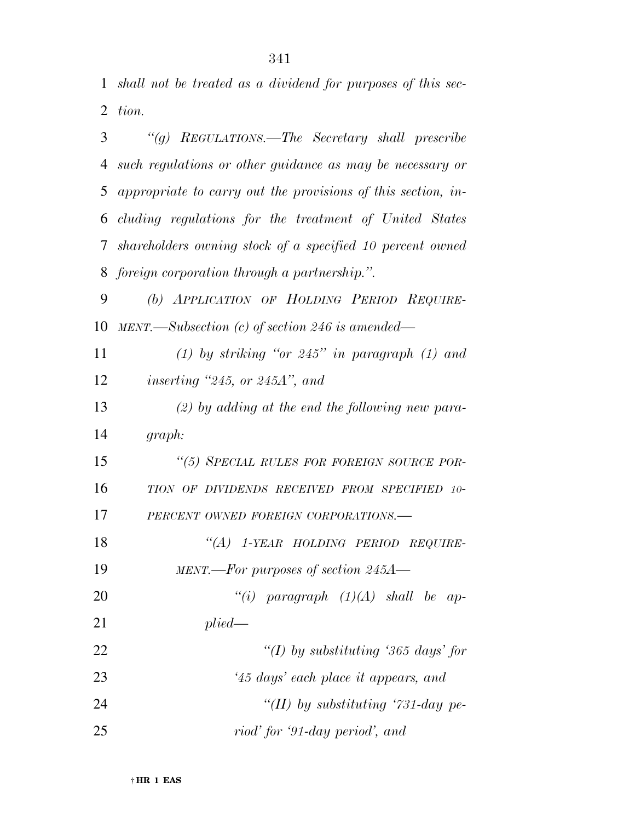*shall not be treated as a dividend for purposes of this sec-tion.* 

| 3              | "(g) REGULATIONS.—The Secretary shall prescribe              |
|----------------|--------------------------------------------------------------|
| $\overline{4}$ | such regulations or other guidance as may be necessary or    |
| 5              | appropriate to carry out the provisions of this section, in- |
| 6              | cluding regulations for the treatment of United States       |
| $7\phantom{.}$ | shareholders owning stock of a specified 10 percent owned    |
| 8              | foreign corporation through a partnership.".                 |
| 9              | (b) APPLICATION OF HOLDING PERIOD REQUIRE-                   |
| 10             | MENT.—Subsection (c) of section 246 is amended—              |
| 11             | (1) by striking "or $245"$ in paragraph (1) and              |
| 12             | inserting $"245$ , or $245A"$ , and                          |
| 13             | $(2)$ by adding at the end the following new para-           |
| 14             | graph:                                                       |
| 15             | "(5) SPECIAL RULES FOR FOREIGN SOURCE POR-                   |
| 16             | TION OF DIVIDENDS RECEIVED FROM SPECIFIED 10-                |
| 17             | PERCENT OWNED FOREIGN CORPORATIONS.-                         |
| 18             | "(A) 1-YEAR HOLDING PERIOD REQUIRE-                          |
| 19             | $MENT.$ -For purposes of section 245A-                       |
| 20             | "(i) paragraph $(1)(A)$ shall be ap-                         |
| 21             | plied                                                        |
| 22             | "(I) by substituting '365 days' for                          |
| 23             | '45 days' each place it appears, and                         |
| 24             | "(II) by substituting '731-day pe-                           |
| 25             | riod' for '91-day period', and                               |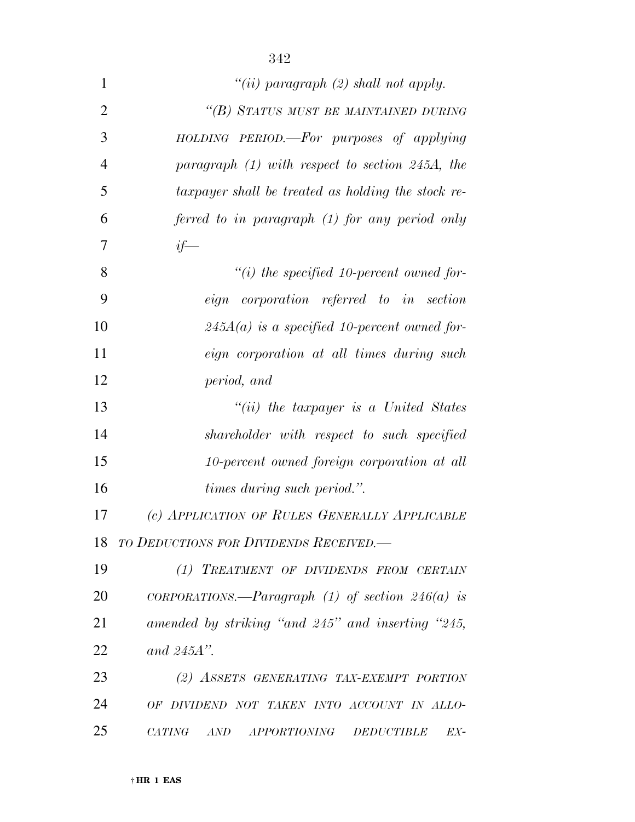| $\mathbf{1}$   | "(ii) paragraph $(2)$ shall not apply.             |
|----------------|----------------------------------------------------|
| $\overline{2}$ | "(B) STATUS MUST BE MAINTAINED DURING              |
| 3              | HOLDING PERIOD.—For purposes of applying           |
| $\overline{4}$ | paragraph $(1)$ with respect to section 245A, the  |
| 5              | taxpayer shall be treated as holding the stock re- |
| 6              | ferred to in paragraph (1) for any period only     |
| 7              | $if-$                                              |
| 8              | $``(i)$ the specified 10-percent owned for-        |
| 9              | eign corporation referred to in section            |
| 10             | $245A(a)$ is a specified 10-percent owned for-     |
| 11             | eign corporation at all times during such          |
| 12             | period, and                                        |
| 13             | $``(ii)$ the taxpayer is a United States           |
| 14             | shareholder with respect to such specified         |
| 15             | 10-percent owned foreign corporation at all        |
| 16             | times during such period.".                        |
| 17             | (c) APPLICATION OF RULES GENERALLY APPLICABLE      |
| 18             | TO DEDUCTIONS FOR DIVIDENDS RECEIVED.              |
| 19             | (1) TREATMENT OF DIVIDENDS FROM CERTAIN            |
| 20             | CORPORATIONS.—Paragraph (1) of section $246(a)$ is |
| 21             | amended by striking "and 245" and inserting "245,  |
| 22             | and $245A$ ".                                      |
| 23             | (2) ASSETS GENERATING TAX-EXEMPT PORTION           |
| 24             | OF DIVIDEND NOT TAKEN INTO ACCOUNT IN ALLO-        |
| 25             | CATING AND APPORTIONING DEDUCTIBLE<br>EX-          |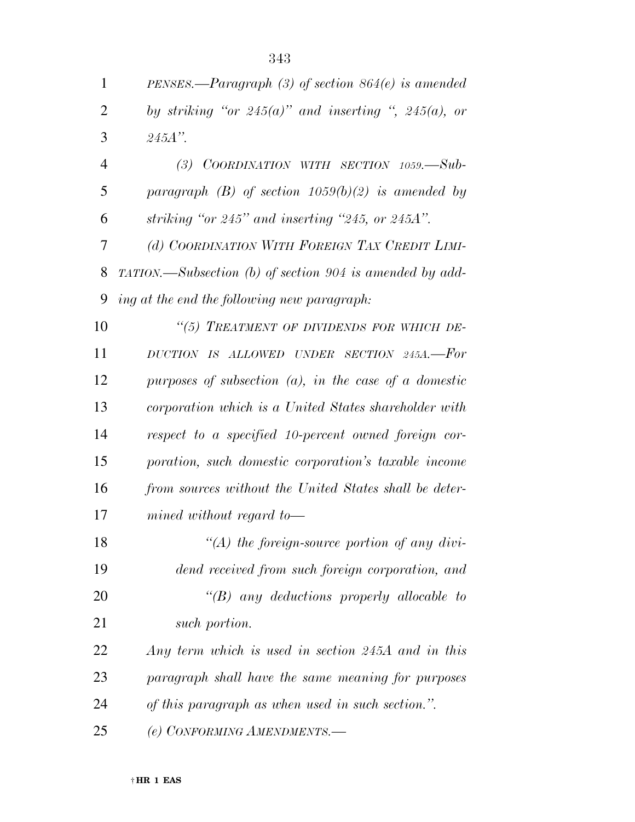*PENSES.—Paragraph (3) of section 864(e) is amended* 

| $\overline{2}$ | by striking "or $245(a)$ " and inserting ", $245(a)$ , or                  |
|----------------|----------------------------------------------------------------------------|
| 3              | $245A$ ".                                                                  |
| $\overline{4}$ | (3) COORDINATION WITH SECTION $1059$ . $-Sub-$                             |
| 5              | paragraph (B) of section $1059(b)(2)$ is amended by                        |
| 6              | striking "or $245$ " and inserting "245, or $245A$ ".                      |
| 7              | (d) COORDINATION WITH FOREIGN TAX CREDIT LIMI-                             |
| 8              | $TATION. \longrightarrow Subsection$ (b) of section 904 is amended by add- |
| 9              | ing at the end the following new paragraph:                                |
| 10             | "(5) TREATMENT OF DIVIDENDS FOR WHICH DE-                                  |
| 11             | DUCTION IS ALLOWED UNDER SECTION 245A.-For                                 |
| 12             | purposes of subsection $(a)$ , in the case of a domestic                   |
| 13             | corporation which is a United States shareholder with                      |
| 14             | respect to a specified 10-percent owned foreign cor-                       |
| 15             | poration, such domestic corporation's taxable income                       |
| 16             | from sources without the United States shall be deter-                     |
| 17             | $mined$ without regard to-                                                 |
| 18             | $\lq (A)$ the foreign-source portion of any divi-                          |
| 19             | dend received from such foreign corporation, and                           |
| 20             | $\lq\lq B$ any deductions properly allocable to                            |
| 21             | such portion.                                                              |
| 22             | Any term which is used in section 245A and in this                         |
| 23             | paragraph shall have the same meaning for purposes                         |
| 24             | of this paragraph as when used in such section.".                          |
| 25             | (e) CONFORMING AMENDMENTS.-                                                |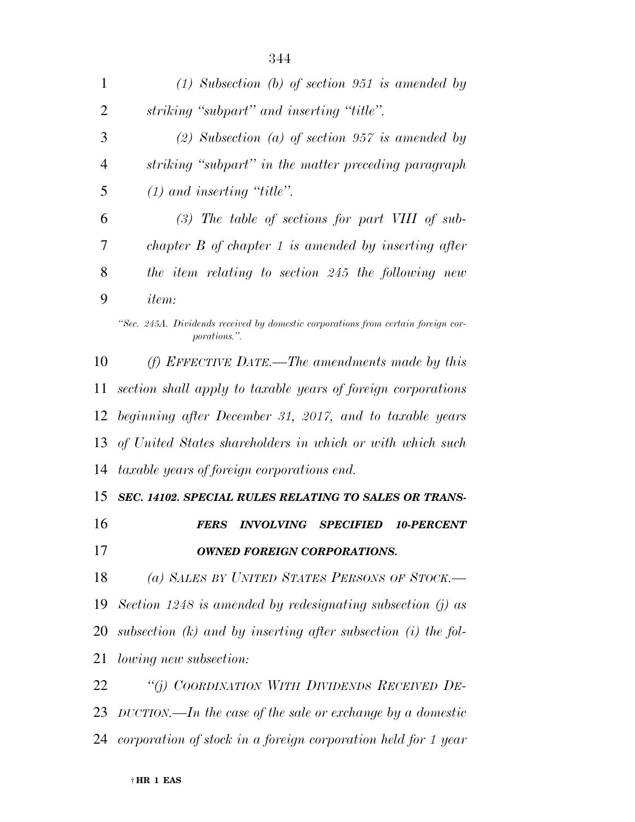| 1              | $(1)$ Subsection (b) of section 951 is amended by                                                                                                                                                                                                                                                                                                                                          |
|----------------|--------------------------------------------------------------------------------------------------------------------------------------------------------------------------------------------------------------------------------------------------------------------------------------------------------------------------------------------------------------------------------------------|
| $\overline{2}$ | striking "subpart" and inserting "title".                                                                                                                                                                                                                                                                                                                                                  |
| 3              | (2) Subsection (a) of section 957 is amended by                                                                                                                                                                                                                                                                                                                                            |
| $\overline{4}$ | striking "subpart" in the matter preceding paragraph                                                                                                                                                                                                                                                                                                                                       |
| 5              | $(1)$ and inserting "title".                                                                                                                                                                                                                                                                                                                                                               |
| 6              | $(3)$ The table of sections for part VIII of sub-                                                                                                                                                                                                                                                                                                                                          |
| 7              | chapter $B$ of chapter 1 is amended by inserting after                                                                                                                                                                                                                                                                                                                                     |
| 8              | the item relating to section 245 the following new                                                                                                                                                                                                                                                                                                                                         |
| 9              | <i>item:</i>                                                                                                                                                                                                                                                                                                                                                                               |
|                | "Sec. 245A. Dividends received by domestic corporations from certain foreign cor-<br><i>porations.</i> "                                                                                                                                                                                                                                                                                   |
| 10             | (f) EFFECTIVE DATE.—The amendments made by this                                                                                                                                                                                                                                                                                                                                            |
| 11             | section shall apply to taxable years of foreign corporations                                                                                                                                                                                                                                                                                                                               |
|                | 12 beginning after December 31, 2017, and to taxable years                                                                                                                                                                                                                                                                                                                                 |
| $1^{\circ}$    | $\ell$ $\overline{I}$ $\overline{I}$ $\overline{I}$ $\overline{I}$ $\overline{I}$ $\overline{I}$ $\overline{I}$ $\overline{I}$ $\overline{I}$ $\overline{I}$ $\overline{I}$ $\overline{I}$ $\overline{I}$ $\overline{I}$ $\overline{I}$ $\overline{I}$ $\overline{I}$ $\overline{I}$ $\overline{I}$ $\overline{I}$ $\overline{I}$ $\overline{I}$ $\overline{I}$ $\overline{I}$<br>י ייד הי |

 *section shall apply to taxable years of foreign corporations beginning after December 31, 2017, and to taxable years of United States shareholders in which or with which such taxable years of foreign corporations end.* 

 *SEC. 14102. SPECIAL RULES RELATING TO SALES OR TRANS- FERS INVOLVING SPECIFIED 10-PERCENT OWNED FOREIGN CORPORATIONS.* 

 *(a) SALES BY UNITED STATES PERSONS OF STOCK.— Section 1248 is amended by redesignating subsection (j) as subsection (k) and by inserting after subsection (i) the fol-lowing new subsection:* 

 *''(j) COORDINATION WITH DIVIDENDS RECEIVED DE- DUCTION.—In the case of the sale or exchange by a domestic corporation of stock in a foreign corporation held for 1 year*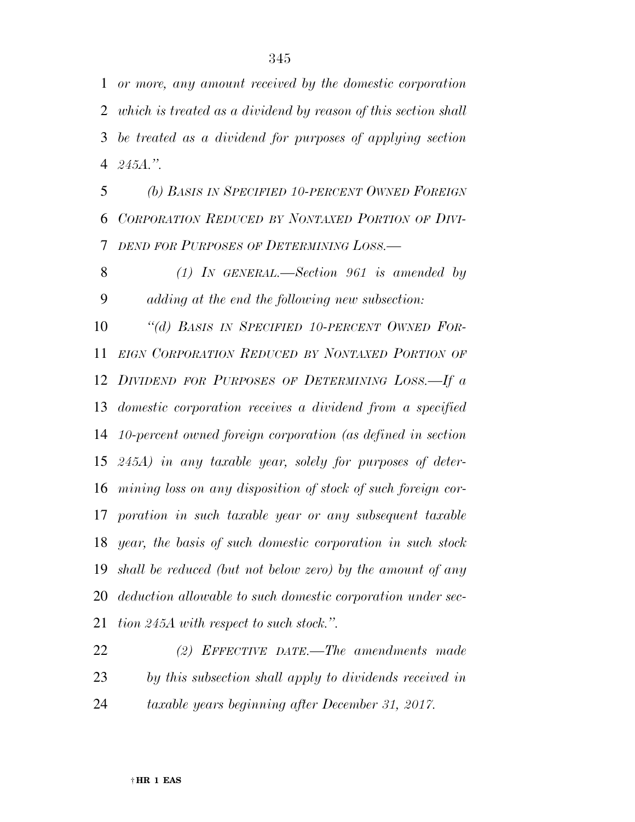*or more, any amount received by the domestic corporation* 

 *which is treated as a dividend by reason of this section shall be treated as a dividend for purposes of applying section 245A.''.* 

 *(b) BASIS IN SPECIFIED 10-PERCENT OWNED FOREIGN CORPORATION REDUCED BY NONTAXED PORTION OF DIVI-DEND FOR PURPOSES OF DETERMINING LOSS.—* 

 *(1) IN GENERAL.—Section 961 is amended by adding at the end the following new subsection:* 

 *''(d) BASIS IN SPECIFIED 10-PERCENT OWNED FOR- EIGN CORPORATION REDUCED BY NONTAXED PORTION OF DIVIDEND FOR PURPOSES OF DETERMINING LOSS.—If a domestic corporation receives a dividend from a specified 10-percent owned foreign corporation (as defined in section 245A) in any taxable year, solely for purposes of deter- mining loss on any disposition of stock of such foreign cor- poration in such taxable year or any subsequent taxable year, the basis of such domestic corporation in such stock shall be reduced (but not below zero) by the amount of any deduction allowable to such domestic corporation under sec-tion 245A with respect to such stock.''.* 

 *(2) EFFECTIVE DATE.—The amendments made by this subsection shall apply to dividends received in taxable years beginning after December 31, 2017.*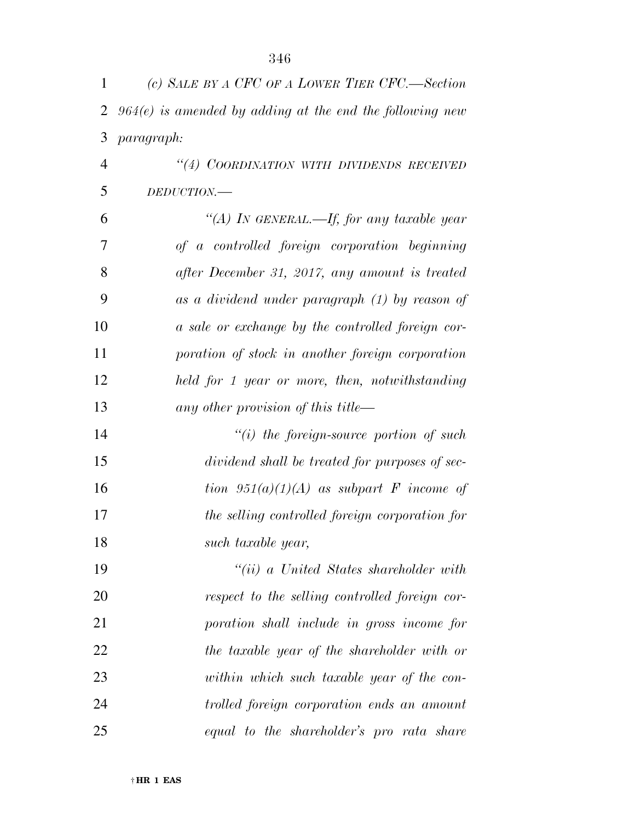| 1              | (c) SALE BY A CFC OF A LOWER TIER CFC.—Section             |
|----------------|------------------------------------------------------------|
| $\overline{2}$ | $964(e)$ is amended by adding at the end the following new |
| 3              | paragraph:                                                 |
| $\overline{4}$ | "(4) COORDINATION WITH DIVIDENDS RECEIVED                  |
| 5              | DEDUCTION.-                                                |
| 6              | "(A) In GENERAL.—If, for any taxable year                  |
| 7              | of a controlled foreign corporation beginning              |
| 8              | after December 31, 2017, any amount is treated             |
| 9              | as a dividend under paragraph (1) by reason of             |
| 10             | a sale or exchange by the controlled foreign cor-          |
| 11             | poration of stock in another foreign corporation           |
| 12             | held for 1 year or more, then, notwithstanding             |
| 13             | any other provision of this title—                         |
| 14             | $``(i)$ the foreign-source portion of such                 |
| 15             | dividend shall be treated for purposes of sec-             |
| 16             | tion $951(a)(1)(A)$ as subpart F income of                 |
| 17             | the selling controlled foreign corporation for             |
| 18             | such taxable year,                                         |
| 19             | $``(ii)$ a United States shareholder with                  |
| 20             | respect to the selling controlled foreign cor-             |
| 21             | poration shall include in gross income for                 |
| 22             | the taxable year of the shareholder with or                |
| 23             | within which such taxable year of the con-                 |
| 24             | trolled foreign corporation ends an amount                 |
| 25             | equal to the shareholder's pro rata share                  |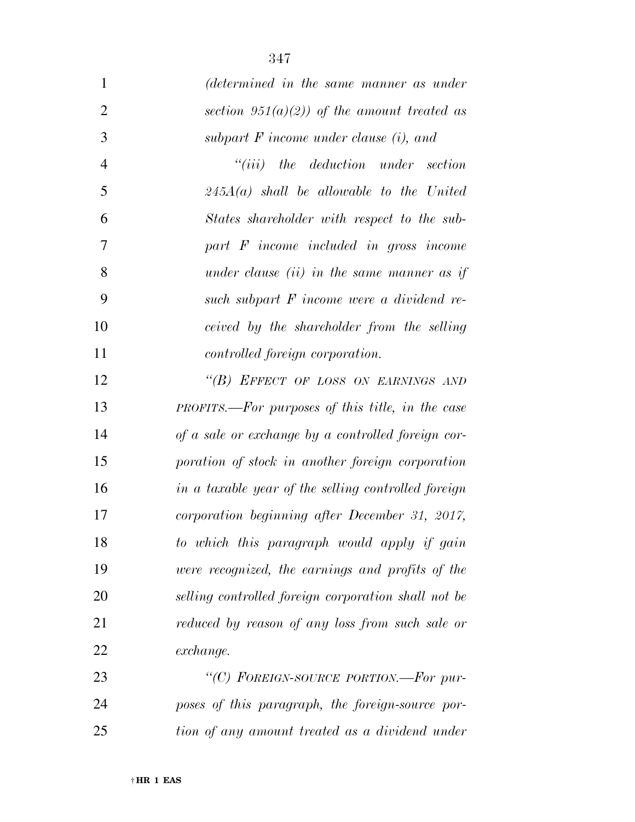| $\mathbf{1}$   | (determined in the same manner as under                 |
|----------------|---------------------------------------------------------|
| $\overline{2}$ | section 951(a)(2)) of the amount treated as             |
| 3              | subpart $F$ income under clause $(i)$ , and             |
| $\overline{4}$ | ``(iii)<br>the deduction under section                  |
| $\mathfrak{S}$ | $245A(a)$ shall be allowable to the United              |
| 6              | States shareholder with respect to the sub-             |
| 7              | part $F$ income included in gross income                |
| 8              | under clause $(ii)$ in the same manner as if            |
| 9              | such subpart F income were a dividend re-               |
| 10             | ceived by the shareholder from the selling              |
| 11             | controlled foreign corporation.                         |
| 12             | "(B) EFFECT OF LOSS ON EARNINGS AND                     |
| 13             | <b>PROFITS.—For purposes of this title, in the case</b> |
| 14             | of a sale or exchange by a controlled foreign cor-      |
| 15             | poration of stock in another foreign corporation        |
| 16             | in a taxable year of the selling controlled foreign     |
| 17             | corporation beginning after December 31, 2017,          |
| 18             | to which this paragraph would apply if gain             |
| 19             | were recognized, the earnings and profits of the        |
| 20             | selling controlled foreign corporation shall not be     |
| 21             | reduced by reason of any loss from such sale or         |
| 22             | exchange.                                               |
| 23             | "(C) FOREIGN-SOURCE PORTION.—For pur-                   |
| 24             | poses of this paragraph, the foreign-source por-        |
| 25             | tion of any amount treated as a dividend under          |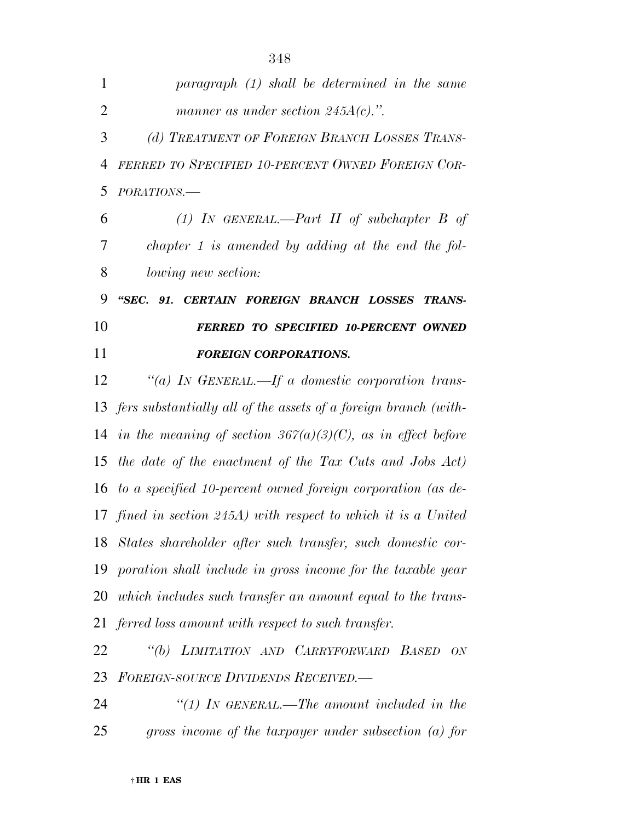| 1              | paragraph (1) shall be determined in the same                      |
|----------------|--------------------------------------------------------------------|
| $\overline{2}$ | manner as under section $245A(c)$ .".                              |
| 3              | (d) TREATMENT OF FOREIGN BRANCH LOSSES TRANS-                      |
| $\overline{4}$ | FERRED TO SPECIFIED 10-PERCENT OWNED FOREIGN COR-                  |
| 5              | PORATIONS.-                                                        |
| 6              | (1) IN GENERAL.—Part II of subchapter B of                         |
| 7              | chapter $1$ is amended by adding at the end the fol-               |
| 8              | <i>lowing new section:</i>                                         |
| 9              | "SEC. 91. CERTAIN FOREIGN BRANCH LOSSES TRANS-                     |
| 10             | <b>FERRED TO SPECIFIED 10-PERCENT OWNED</b>                        |
| 11             | <b>FOREIGN CORPORATIONS.</b>                                       |
| 12             | "(a) IN GENERAL.—If a domestic corporation trans-                  |
|                | 13 fers substantially all of the assets of a foreign branch (with- |
|                | 14 in the meaning of section $367(a)(3)(C)$ , as in effect before  |
| 15             | the date of the enactment of the Tax Cuts and Jobs Act)            |
| 16             | to a specified 10-percent owned foreign corporation (as de-        |
|                | 17 fined in section 245A) with respect to which it is a United     |
| 18             | States shareholder after such transfer, such domestic cor-         |
| 19             | poration shall include in gross income for the taxable year        |
| 20             | which includes such transfer an amount equal to the trans-         |
| 21             | ferred loss amount with respect to such transfer.                  |
| 22             | "(b) LIMITATION AND CARRYFORWARD BASED<br>ON                       |
| 23             | <b>FOREIGN-SOURCE DIVIDENDS RECEIVED.</b>                          |
| 24             | "(1) IN GENERAL.—The amount included in the                        |
| 25             | gross income of the taxpayer under subsection $(a)$ for            |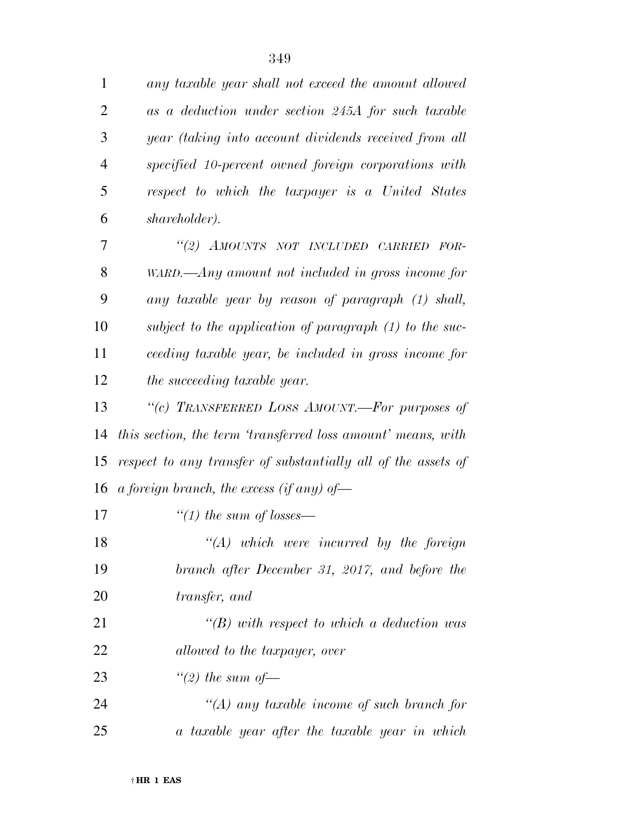| $\mathbf{1}$   | any taxable year shall not exceed the amount allowed          |
|----------------|---------------------------------------------------------------|
| $\overline{2}$ | as a deduction under section 245A for such taxable            |
| 3              | year (taking into account dividends received from all         |
| $\overline{4}$ | specified 10-percent owned foreign corporations with          |
| 5              | respect to which the taxpayer is a United States              |
| 6              | shareholder).                                                 |
| 7              | "(2) AMOUNTS NOT INCLUDED CARRIED FOR-                        |
| 8              | $WARD$ — $Any$ amount not included in gross income for        |
| 9              | any taxable year by reason of paragraph (1) shall,            |
| 10             | subject to the application of paragraph $(1)$ to the suc-     |
| 11             | ceeding taxable year, be included in gross income for         |
| 12             | the succeeding taxable year.                                  |
| 13             | "(c) TRANSFERRED LOSS AMOUNT.—For purposes of                 |
| 14             | this section, the term 'transferred loss amount' means, with  |
| 15             | respect to any transfer of substantially all of the assets of |
| 16             | a foreign branch, the excess (if any) of-                     |
| 17             | "(1) the sum of losses—                                       |
| 18             | $\lq (A)$ which were incurred by the foreign                  |
| 19             | branch after December 31, 2017, and before the                |
| 20             | transfer, and                                                 |
| 21             | $\lq (B)$ with respect to which a deduction was               |
| 22             | allowed to the taxpayer, over                                 |
| 23             | "(2) the sum of $-$                                           |
| 24             | $\lq (A)$ any taxable income of such branch for               |
| 25             | a taxable year after the taxable year in which                |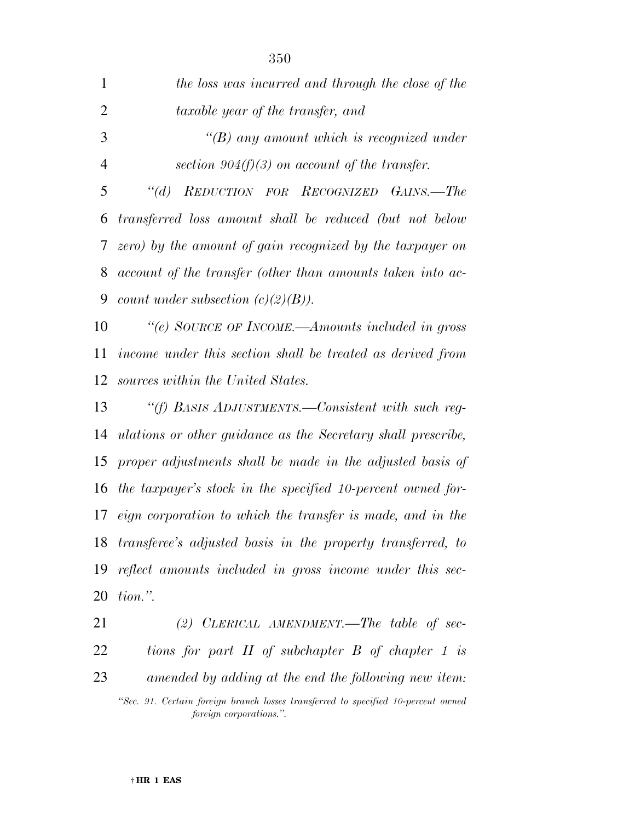| $\mathbf{1}$   | the loss was incurred and through the close of the             |
|----------------|----------------------------------------------------------------|
| $\overline{2}$ | taxable year of the transfer, and                              |
| 3              | $\lq (B)$ any amount which is recognized under                 |
| $\overline{4}$ | section $904(f)(3)$ on account of the transfer.                |
| 5              | "(d) REDUCTION FOR RECOGNIZED GAINS.—The                       |
| 6              | transferred loss amount shall be reduced (but not below        |
| 7              | zero) by the amount of gain recognized by the taxpayer on      |
| 8              | account of the transfer (other than amounts taken into ac-     |
| 9              | count under subsection $(c)(2)(B)$ .                           |
| 10             | "(e) SOURCE OF INCOME.—Amounts included in gross               |
| 11             | income under this section shall be treated as derived from     |
| 12             | sources within the United States.                              |
| 13             | "(f) BASIS ADJUSTMENTS.—Consistent with such reg-              |
| 14             | ulations or other guidance as the Secretary shall prescribe,   |
| 15             | proper adjustments shall be made in the adjusted basis of      |
| 16             | the taxpayer's stock in the specified 10-percent owned for-    |
| 17             | eign corporation to which the transfer is made, and in the     |
|                | 18 transferee's adjusted basis in the property transferred, to |

 *reflect amounts included in gross income under this sec-tion.''.* 

 *(2) CLERICAL AMENDMENT.—The table of sec- tions for part II of subchapter B of chapter 1 is amended by adding at the end the following new item:* 

*<sup>&#</sup>x27;'Sec. 91. Certain foreign branch losses transferred to specified 10-percent owned foreign corporations.''.*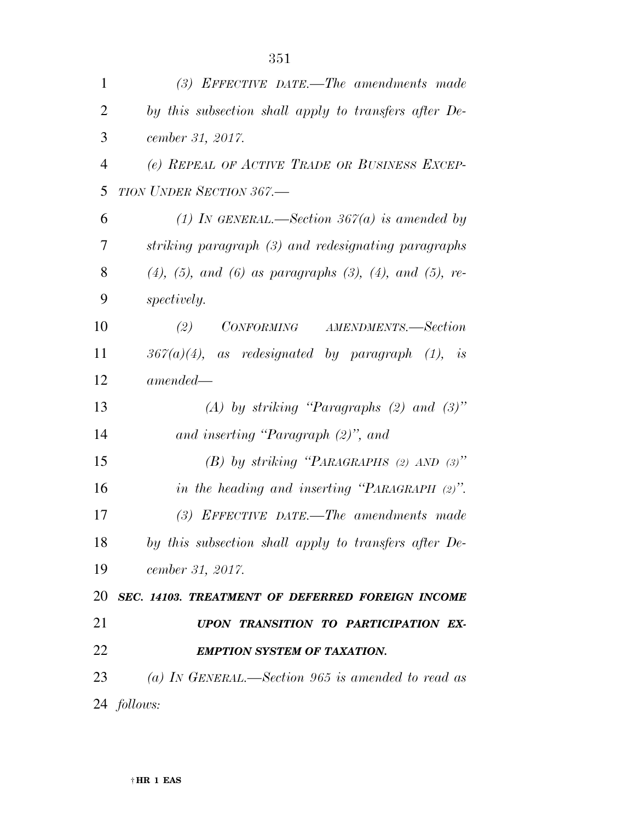| $\mathbf{1}$   | (3) EFFECTIVE DATE.—The amendments made                                 |
|----------------|-------------------------------------------------------------------------|
| $\overline{2}$ | by this subsection shall apply to transfers after De-                   |
| 3              | cember 31, 2017.                                                        |
| $\overline{4}$ | (e) REPEAL OF ACTIVE TRADE OR BUSINESS EXCEP-                           |
| 5              | TION UNDER SECTION 367.-                                                |
| 6              | (1) In GENERAL.—Section 367(a) is amended by                            |
| 7              | striking paragraph (3) and redesignating paragraphs                     |
| 8              | $(4)$ , $(5)$ , and $(6)$ as paragraphs $(3)$ , $(4)$ , and $(5)$ , re- |
| 9              | <i>spectively.</i>                                                      |
| 10             | (2) CONFORMING AMENDMENTS.—Section                                      |
| 11             | $367(a)(4)$ , as redesignated by paragraph (1), is                      |
| 12             | $amended-$                                                              |
| 13             | (A) by striking "Paragraphs $(2)$ and $(3)$ "                           |
| 14             | and inserting "Paragraph $(2)$ ", and                                   |
| 15             | (B) by striking "PARAGRAPHS (2) AND $(3)$ "                             |
| 16             | in the heading and inserting "PARAGRAPH $(2)$ ".                        |
| 17             | $(3)$ EFFECTIVE DATE.—The amendments made                               |
| 18             | by this subsection shall apply to transfers after De-                   |
| 19             | cember 31, 2017.                                                        |
| 20             | SEC. 14103. TREATMENT OF DEFERRED FOREIGN INCOME                        |
| 21             | UPON TRANSITION TO PARTICIPATION EX-                                    |
|                |                                                                         |
| 22             | <b>EMPTION SYSTEM OF TAXATION.</b>                                      |
| 23             | (a) IN GENERAL.—Section 965 is amended to read as                       |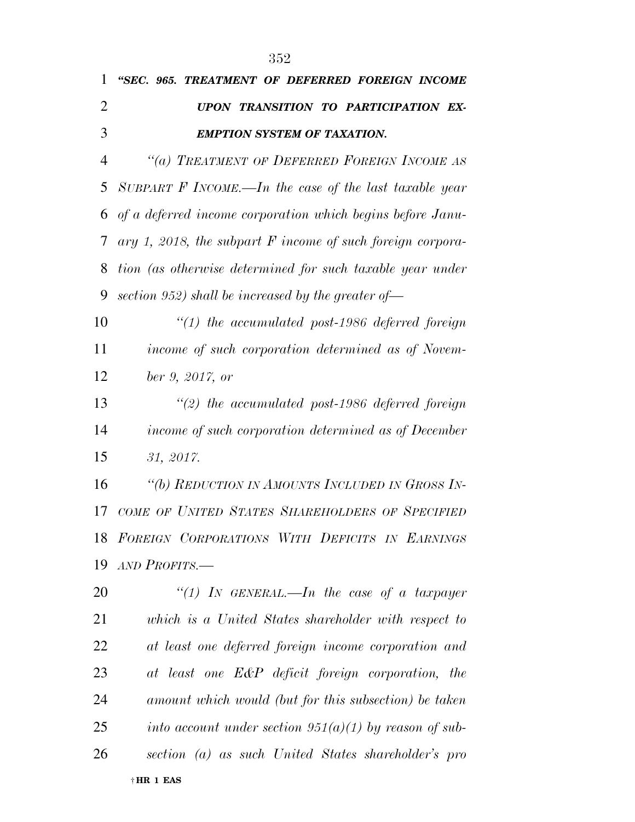| 1              | "SEC. 965. TREATMENT OF DEFERRED FOREIGN INCOME              |
|----------------|--------------------------------------------------------------|
| $\overline{2}$ | UPON TRANSITION TO PARTICIPATION EX-                         |
| 3              | <b>EMPTION SYSTEM OF TAXATION.</b>                           |
| $\overline{4}$ | "(a) TREATMENT OF DEFERRED FOREIGN INCOME AS                 |
| 5              | SUBPART F INCOME.—In the case of the last taxable year       |
| 6              | of a deferred income corporation which begins before Janu-   |
| 7              | ary 1, 2018, the subpart $F$ income of such foreign corpora- |
| 8              | tion (as otherwise determined for such taxable year under    |
| 9              | section 952) shall be increased by the greater of-           |
| 10             | $"(1)$ the accumulated post-1986 deferred foreign            |
| 11             | income of such corporation determined as of Novem-           |
| 12             | ber 9, 2017, or                                              |
| 13             | $\lq(2)$ the accumulated post-1986 deferred foreign          |
| 14             | income of such corporation determined as of December         |
| 15             | 31, 2017.                                                    |
| 16             | "(b) REDUCTION IN AMOUNTS INCLUDED IN GROSS IN-              |
| 17             | COME OF UNITED STATES SHAREHOLDERS OF SPECIFIED              |
|                | 18 FOREIGN CORPORATIONS WITH DEFICITS IN EARNINGS            |
| 19             | AND PROFITS.-                                                |
| 20             | "(1) In GENERAL.—In the case of a taxpayer                   |
| 21             | which is a United States shareholder with respect to         |
| 22             | at least one deferred foreign income corporation and         |
| 23             | at least one E&P deficit foreign corporation, the            |
| 24             | amount which would (but for this subsection) be taken        |
| 25             | into account under section $951(a)(1)$ by reason of sub-     |
| 26             | section (a) as such United States shareholder's pro          |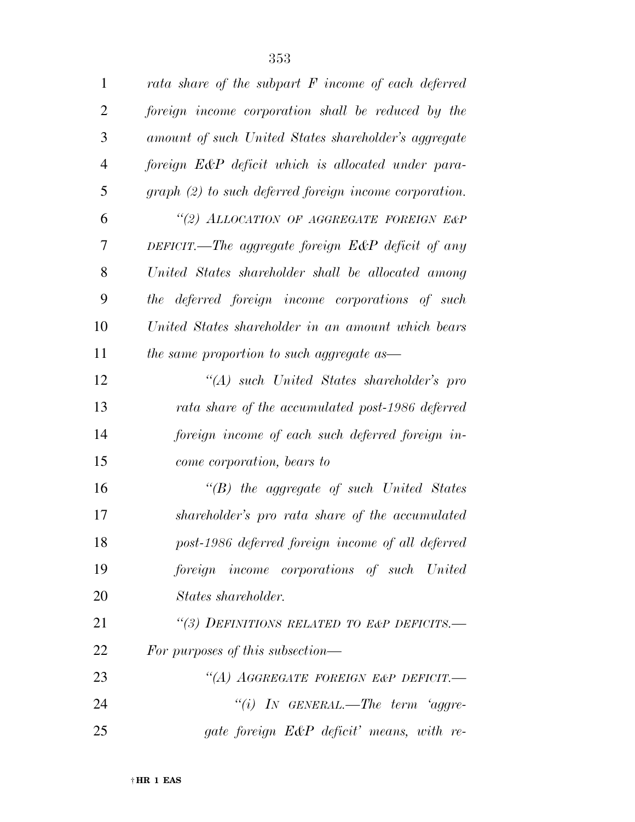| $\mathbf{1}$   | rata share of the subpart $F$ income of each deferred           |
|----------------|-----------------------------------------------------------------|
| $\overline{2}$ | foreign income corporation shall be reduced by the              |
| 3              | amount of such United States shareholder's aggregate            |
| $\overline{4}$ | foreign E&P deficit which is allocated under para-              |
| 5              | $graph (2) to such \ defined \ foreign \ income \ corporation.$ |
| 6              | "(2) ALLOCATION OF AGGREGATE FOREIGN E&P                        |
| 7              | DEFICIT.—The aggregate foreign $E\&P$ deficit of any            |
| 8              | United States shareholder shall be allocated among              |
| 9              | the deferred foreign income corporations of such                |
| 10             | United States shareholder in an amount which bears              |
| 11             | the same proportion to such aggregate as—                       |
| 12             | "(A) such United States shareholder's pro                       |
| 13             | rata share of the accumulated post-1986 deferred                |
| 14             | foreign income of each such deferred foreign in-                |
| 15             | come corporation, bears to                                      |
| 16             | $\lq\lq(B)$ the aggregate of such United States                 |
| 17             | shareholder's pro rata share of the accumulated                 |
| 18             | post-1986 deferred foreign income of all deferred               |
| 19             | foreign income corporations of such United                      |
| <b>20</b>      | States shareholder.                                             |
| 21             | "(3) DEFINITIONS RELATED TO E&P DEFICITS.-                      |
| 22             | For purposes of this subsection—                                |
| 23             | "(A) AGGREGATE FOREIGN E&P DEFICIT.-                            |
| 24             | "(i) In GENERAL.—The term 'aggre-                               |
| 25             | gate foreign E&P deficit' means, with re-                       |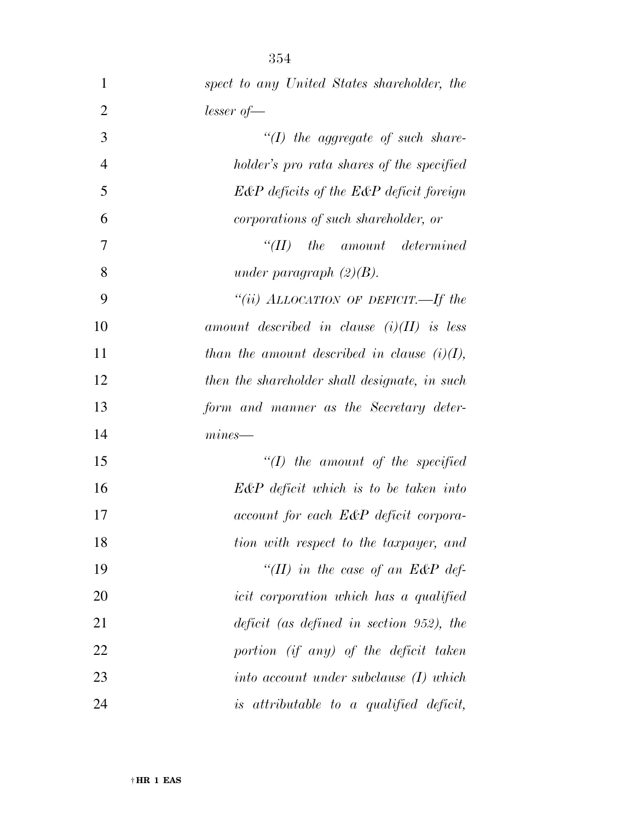| 1              | spect to any United States shareholder, the    |
|----------------|------------------------------------------------|
| $\overline{2}$ | $lesser of \text{---}$                         |
| 3              | $"(1)$ the aggregate of such share-            |
| $\overline{4}$ | holder's pro rata shares of the specified      |
| 5              | $E\&P$ deficits of the $E\&P$ deficit foreign  |
| 6              | corporations of such shareholder, or           |
| 7              | $``(II)$ the amount determined                 |
| 8              | under paragraph $(2)(B)$ .                     |
| 9              | "(ii) ALLOCATION OF DEFICIT.—If the            |
| 10             | amount described in clause $(i)(II)$ is less   |
| 11             | than the amount described in clause $(i)(I)$ , |
| 12             | then the shareholder shall designate, in such  |
| 13             | form and manner as the Secretary deter-        |
| 14             | $mines$ —                                      |
| 15             | $"(1)$ the amount of the specified             |
| 16             | $E\&P$ deficit which is to be taken into       |
| 17             | account for each E&P deficit corpora-          |
| 18             | tion with respect to the taxpayer, and         |
| 19             | "(II) in the case of an $E\&P$ def-            |
| 20             | icit corporation which has a qualified         |
| 21             | $deficit$ (as defined in section 952), the     |
| 22             | portion (if any) of the deficit taken          |
| 23             | into account under subclause $(I)$ which       |
| 24             | is attributable to a qualified deficit,        |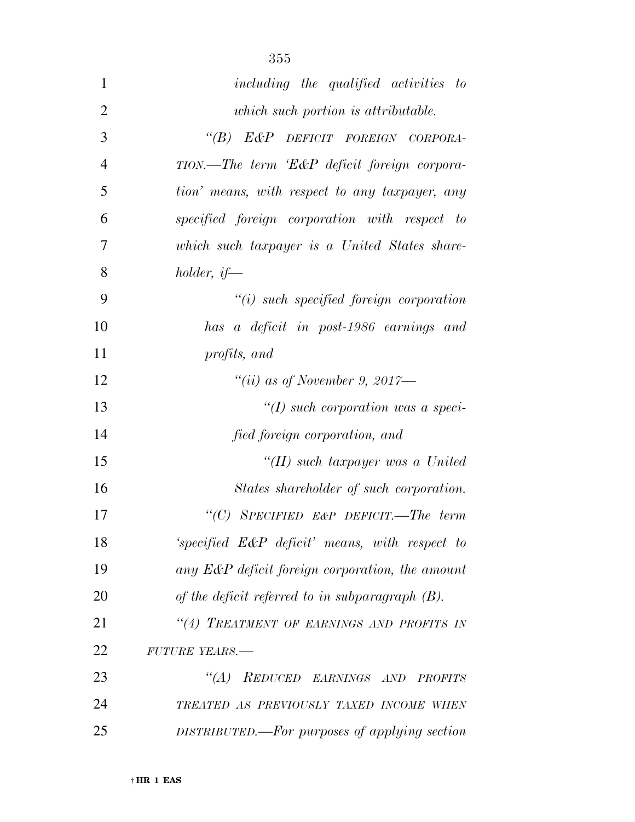| $\mathbf{1}$   | including the qualified activities to              |
|----------------|----------------------------------------------------|
| $\mathbf{2}$   | which such portion is attributable.                |
| 3              | "(B) E&P DEFICIT FOREIGN CORPORA-                  |
| $\overline{4}$ | TION.—The term 'E&P deficit foreign corpora-       |
| 5              | tion' means, with respect to any taxpayer, any     |
| 6              | specified foreign corporation with respect to      |
| 7              | which such taxpayer is a United States share-      |
| 8              | holder, if—                                        |
| 9              | $"(i)$ such specified foreign corporation          |
| 10             | has a deficit in post-1986 earnings and            |
| 11             | profits, and                                       |
| 12             | "(ii) as of November 9, 2017—                      |
| 13             | $\lq (I)$ such corporation was a speci-            |
| 14             | fied foreign corporation, and                      |
| 15             | "(II) such taxpayer was a United                   |
| 16             | States shareholder of such corporation.            |
| 17             | "(C) SPECIFIED E&P DEFICIT.—The term               |
| 18             | 'specified E&P deficit' means, with respect to     |
| 19             | any E&P deficit foreign corporation, the amount    |
| 20             | of the deficit referred to in subparagraph $(B)$ . |
| 21             | "(4) TREATMENT OF EARNINGS AND PROFITS IN          |
| 22             | FUTURE YEARS.-                                     |
| 23             | "(A) REDUCED EARNINGS AND PROFITS                  |
| 24             | TREATED AS PREVIOUSLY TAXED INCOME WHEN            |
| 25             | DISTRIBUTED.—For purposes of applying section      |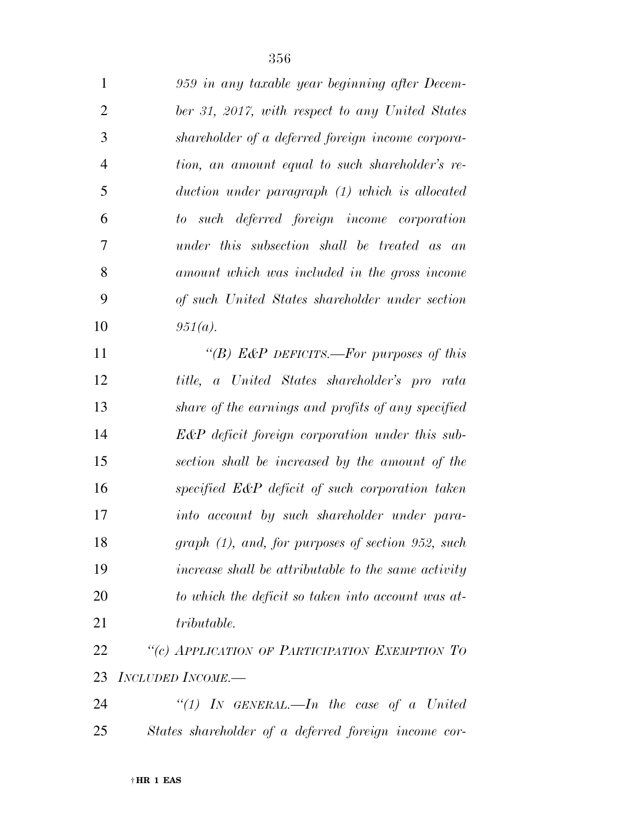| $\mathbf{1}$   | 959 in any taxable year beginning after Decem-      |
|----------------|-----------------------------------------------------|
| $\overline{2}$ | ber 31, 2017, with respect to any United States     |
| 3              | shareholder of a deferred foreign income corpora-   |
| 4              | tion, an amount equal to such shareholder's re-     |
| 5              | $duction$ under paragraph $(1)$ which is allocated  |
| 6              | to such deferred foreign income corporation         |
| 7              | under this subsection shall be treated as an        |
| 8              | amount which was included in the gross income       |
| 9              | of such United States shareholder under section     |
| 10             | $951(a)$ .                                          |
| 11             | "(B) E&P DEFICITS.—For purposes of this             |
| 12             | title, a United States shareholder's pro rata       |
| 13             | share of the earnings and profits of any specified  |
| 14             | E&P deficit foreign corporation under this sub-     |
| 15             | section shall be increased by the amount of the     |
| 16             | specified E&P deficit of such corporation taken     |
| 17             | into account by such shareholder under para-        |
| 18             | $graph (1), and, for purposes of section 952, such$ |
| 19             | increase shall be attributable to the same activity |
| 20             | to which the deficit so taken into account was at-  |
| 21             | tributable.                                         |
| 22             | "(c) APPLICATION OF PARTICIPATION EXEMPTION TO      |

- *INCLUDED INCOME.—*
- *''(1) IN GENERAL.—In the case of a United States shareholder of a deferred foreign income cor-*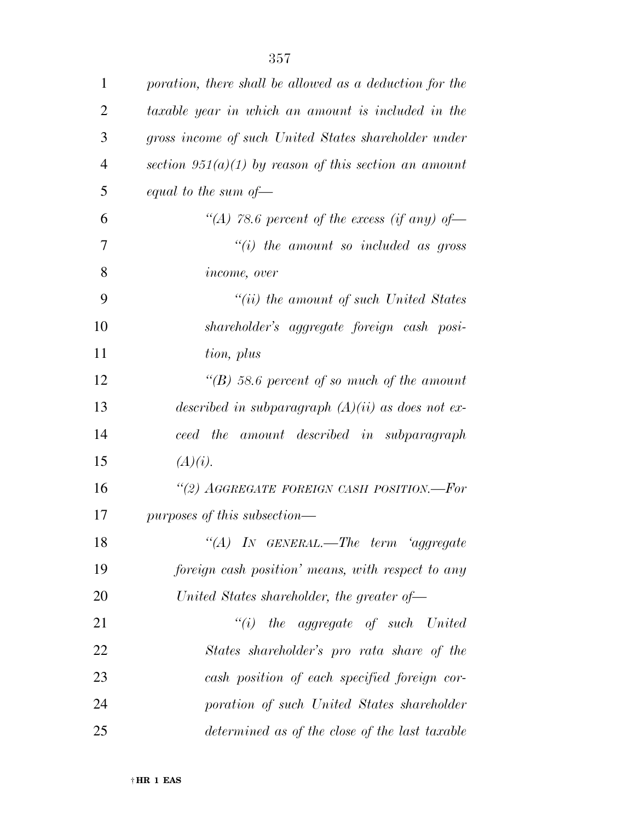| $\mathbf{1}$   | poration, there shall be allowed as a deduction for the |
|----------------|---------------------------------------------------------|
| $\overline{2}$ | taxable year in which an amount is included in the      |
| 3              | gross income of such United States shareholder under    |
| $\overline{4}$ | section $951(a)(1)$ by reason of this section an amount |
| 5              | equal to the sum of $-$                                 |
| 6              | "(A) 78.6 percent of the excess (if any) of —           |
| 7              | $``(i)$ the amount so included as gross                 |
| 8              | <i>income, over</i>                                     |
| 9              | $``(ii)$ the amount of such United States               |
| 10             | shareholder's aggregate foreign cash posi-              |
| 11             | tion, plus                                              |
| 12             | "(B) 58.6 percent of so much of the amount              |
| 13             | described in subparagraph $(A)(ii)$ as does not ex-     |
| 14             | ceed the amount described in subparagraph               |
| 15             | (A)(i).                                                 |
| 16             | "(2) AGGREGATE FOREIGN CASH POSITION.--For              |
| 17             | purposes of this subsection—                            |
| 18             | "(A) IN GENERAL.—The term 'aggregate                    |
| 19             | foreign cash position' means, with respect to any       |
| 20             | United States shareholder, the greater of $-$           |
| 21             | $``(i)$ the aggregate of such United                    |
| 22             | States shareholder's pro rata share of the              |
| 23             | cash position of each specified foreign cor-            |
| 24             | poration of such United States shareholder              |
| 25             | determined as of the close of the last taxable          |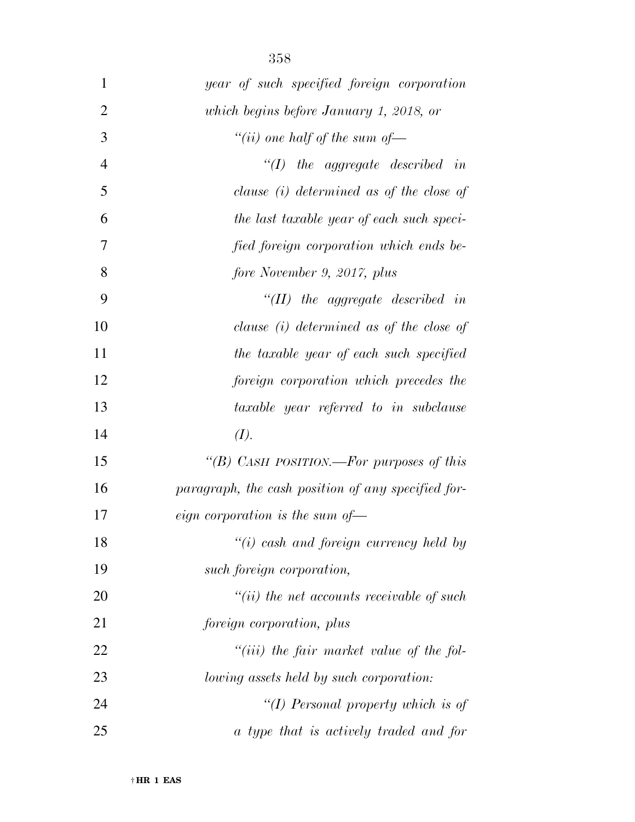| $\mathbf{1}$   | year of such specified foreign corporation         |
|----------------|----------------------------------------------------|
| $\overline{2}$ | which begins before January 1, 2018, or            |
| 3              | "(ii) one half of the sum of $-$                   |
| $\overline{4}$ | $\lq (I)$ the aggregate described in               |
| 5              | clause $(i)$ determined as of the close of         |
| 6              | the last taxable year of each such speci-          |
| 7              | fied foreign corporation which ends be-            |
| 8              | fore November 9, 2017, plus                        |
| 9              | $\lq$ (II) the aggregate described in              |
| 10             | clause $(i)$ determined as of the close of         |
| 11             | the taxable year of each such specified            |
| 12             | foreign corporation which precedes the             |
| 13             | taxable year referred to in subclause              |
| 14             | (I).                                               |
| 15             | "(B) CASH POSITION.—For purposes of this           |
| 16             | paragraph, the cash position of any specified for- |
| 17             | <i>eign</i> corporation is the sum of-             |
| 18             | $"(i)$ cash and foreign currency held by           |
| 19             | such foreign corporation,                          |
| 20             | $``(ii)$ the net accounts receivable of such       |
| 21             | foreign corporation, plus                          |
| 22             | $"(iii)$ the fair market value of the fol-         |
| 23             | lowing assets held by such corporation:            |
| 24             | "(I) Personal property which is of                 |
| 25             | a type that is actively traded and for             |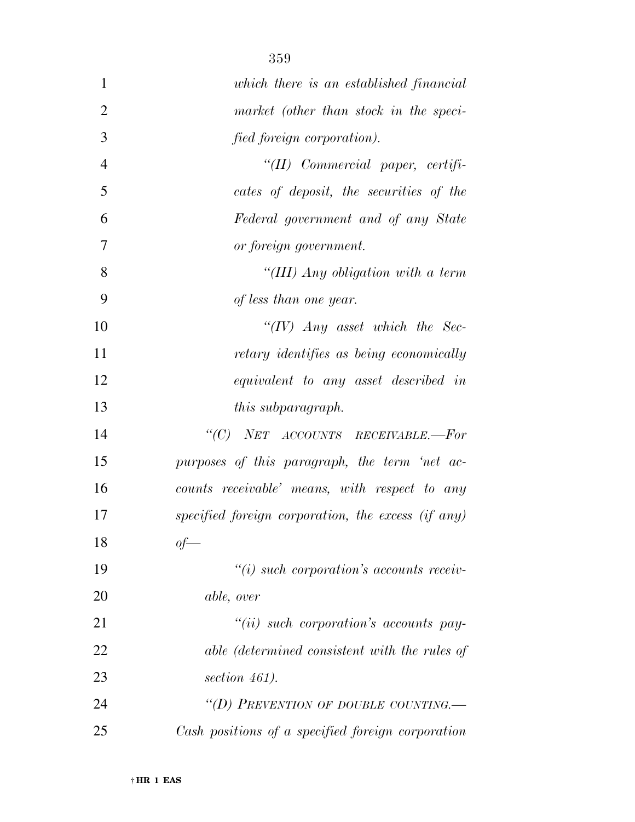| $\mathbf{1}$   | which there is an established financial            |
|----------------|----------------------------------------------------|
| $\overline{2}$ | market (other than stock in the speci-             |
| 3              | fied foreign corporation).                         |
| $\overline{4}$ | "(II) Commercial paper, certifi-                   |
| 5              | cates of deposit, the securities of the            |
| 6              | Federal government and of any State                |
| 7              | or foreign government.                             |
| 8              | "(III) Any obligation with a term                  |
| 9              | of less than one year.                             |
| 10             | " $(IV)$ Any asset which the Sec-                  |
| 11             | retary identifies as being economically            |
| 12             | equivalent to any asset described in               |
| 13             | <i>this subparagraph.</i>                          |
| 14             | "(C) NET ACCOUNTS RECEIVABLE.-For                  |
| 15             | purposes of this paragraph, the term 'net ac-      |
| 16             | counts receivable' means, with respect to any      |
| 17             | specified foreign corporation, the excess (if any) |
| 18             | of                                                 |
| 19             | $``(i)$ such corporation's accounts receiv-        |
| 20             | <i>able, over</i>                                  |
| 21             | $``(ii)$ such corporation's accounts pay-          |
| 22             | able (determined consistent with the rules of      |
| 23             | section 461).                                      |
| 24             | "(D) PREVENTION OF DOUBLE COUNTING.                |
| 25             | Cash positions of a specified foreign corporation  |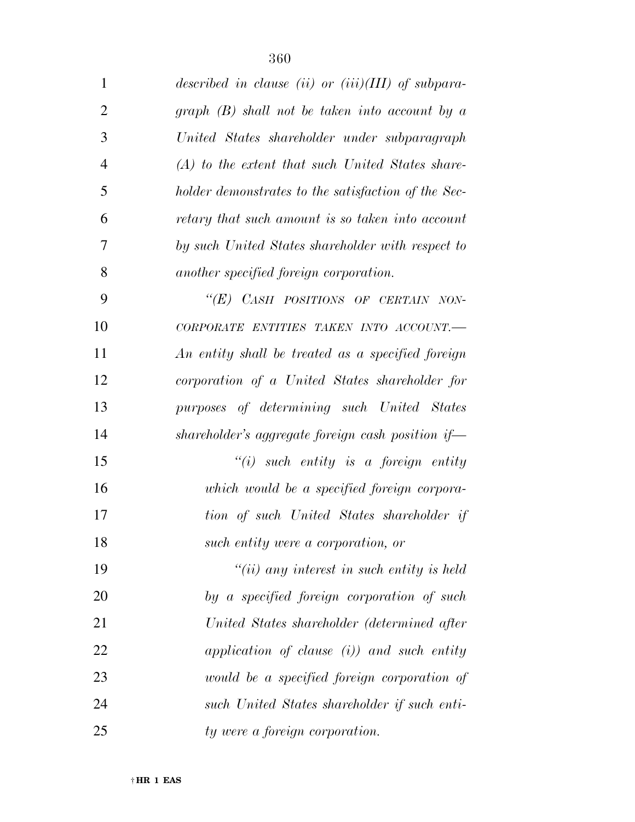| $\mathbf{1}$   | described in clause (ii) or (iii)( $III$ ) of subpara- |
|----------------|--------------------------------------------------------|
| $\overline{2}$ | graph $(B)$ shall not be taken into account by a       |
| 3              | United States shareholder under subparagraph           |
| $\overline{4}$ | $(A)$ to the extent that such United States share-     |
| 5              | holder demonstrates to the satisfaction of the Sec-    |
| 6              | retary that such amount is so taken into account       |
| $\overline{7}$ | by such United States shareholder with respect to      |
| 8              | another specified foreign corporation.                 |
| 9              | "(E) CASH POSITIONS OF CERTAIN NON-                    |
| 10             | CORPORATE ENTITIES TAKEN INTO ACCOUNT.-                |
| 11             | An entity shall be treated as a specified foreign      |
| 12             | corporation of a United States shareholder for         |
| 13             | purposes of determining such United States             |
| 14             | shareholder's aggregate foreign cash position if       |
| 15             | $"(i)$ such entity is a foreign entity                 |
| 16             | which would be a specified foreign corpora-            |
| 17             | tion of such United States shareholder if              |
| 18             | such entity were a corporation, or                     |
| 19             | $``(ii)$ any interest in such entity is held           |
| 20             | by a specified foreign corporation of such             |
| 21             | United States shareholder (determined after            |
| 22             | application of clause $(i)$ and such entity            |
| 23             | would be a specified foreign corporation of            |
| 24             | such United States shareholder if such enti-           |
| 25             | ty were a foreign corporation.                         |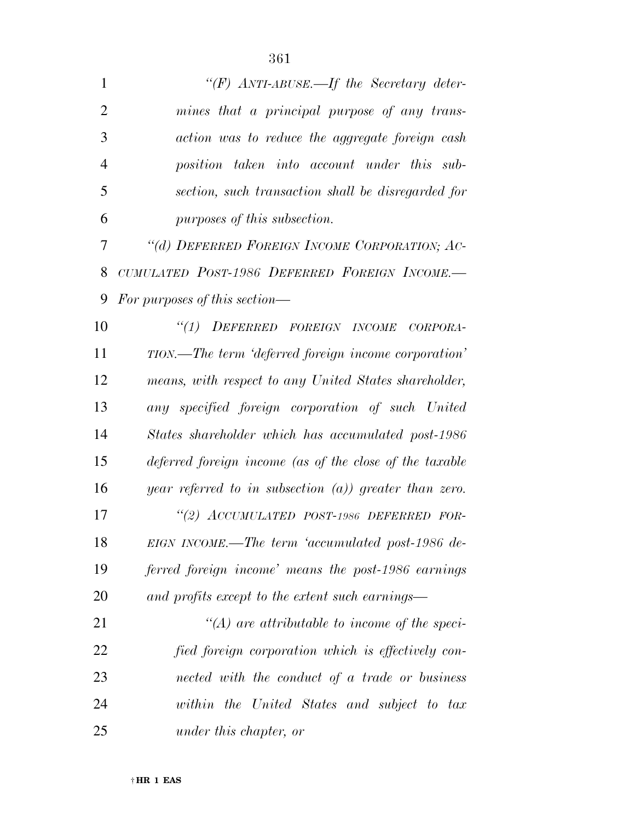| 1              | "(F) $ANTI-ABUSE$ . If the Secretary deter-               |
|----------------|-----------------------------------------------------------|
| $\overline{2}$ | mines that a principal purpose of any trans-              |
| 3              | action was to reduce the aggregate foreign cash           |
| $\overline{4}$ | position taken into account under this sub-               |
| 5              | section, such transaction shall be disregarded for        |
| 6              | purposes of this subsection.                              |
| 7              | "(d) DEFERRED FOREIGN INCOME CORPORATION; AC-             |
| 8              | CUMULATED POST-1986 DEFERRED FOREIGN INCOME.-             |
| 9              | For purposes of this section—                             |
| 10             | "(1) DEFERRED FOREIGN INCOME<br>CORPORA-                  |
| 11             | TION.—The term 'deferred foreign income corporation'      |
| 12             | means, with respect to any United States shareholder,     |
| 13             | any specified foreign corporation of such United          |
| 14             | States shareholder which has accumulated post-1986        |
| 15             | deferred foreign income (as of the close of the taxable   |
| 16             | year referred to in subsection $(a)$ ) greater than zero. |
| 17             | "(2) ACCUMULATED POST-1986 DEFERRED FOR-                  |
| 18             | EIGN INCOME.—The term 'accumulated post-1986 de-          |
| 19             | ferred foreign income' means the post-1986 earnings       |
| 20             | and profits except to the extent such earnings—           |
| 21             | $\lq (A)$ are attributable to income of the speci-        |
| 22             | fied foreign corporation which is effectively con-        |
| 23             | nected with the conduct of a trade or business            |
| 24             | within the United States and subject to tax               |

*under this chapter, or*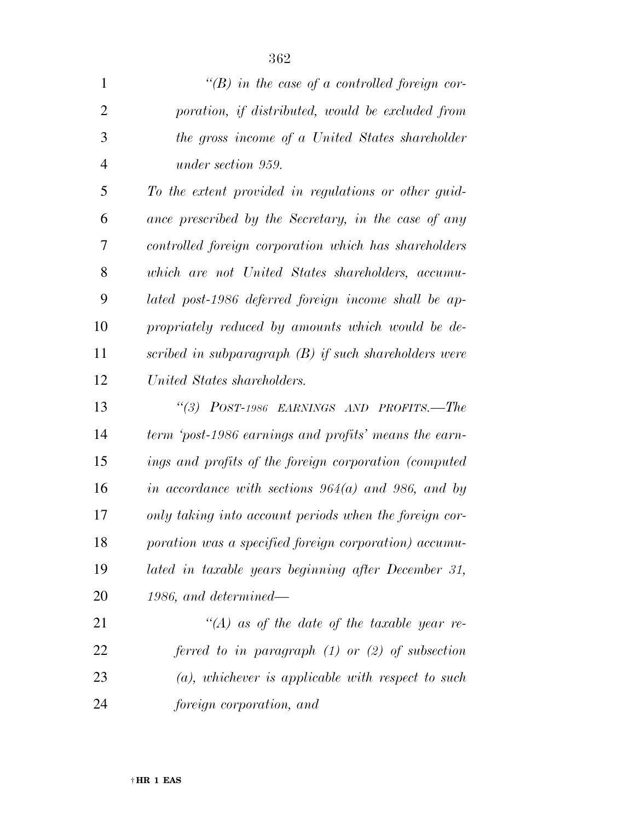| "(B) in the case of a controlled foreign cor-           |
|---------------------------------------------------------|
| poration, if distributed, would be excluded from        |
| the gross income of a United States shareholder         |
| under section 959.                                      |
| To the extent provided in regulations or other guid-    |
| ance prescribed by the Secretary, in the case of any    |
| controlled foreign corporation which has shareholders   |
| which are not United States shareholders, accumu-       |
| lated post-1986 deferred foreign income shall be ap-    |
| propriately reduced by amounts which would be de-       |
| scribed in subparagraph $(B)$ if such shareholders were |
| United States shareholders.                             |
| "(3) POST-1986 EARNINGS AND PROFITS.-The                |
| term 'post-1986 earnings and profits' means the earn-   |
| ings and profits of the foreign corporation (computed   |
| in accordance with sections $964(a)$ and $986$ , and by |
| only taking into account periods when the foreign cor-  |
| poration was a specified foreign corporation) accumu-   |
| lated in taxable years beginning after December 31,     |
| $1986$ , and determined—                                |
| "(A) as of the date of the taxable year re-             |
| ferred to in paragraph $(1)$ or $(2)$ of subsection     |
|                                                         |

*foreign corporation, and* 

*(a), whichever is applicable with respect to such*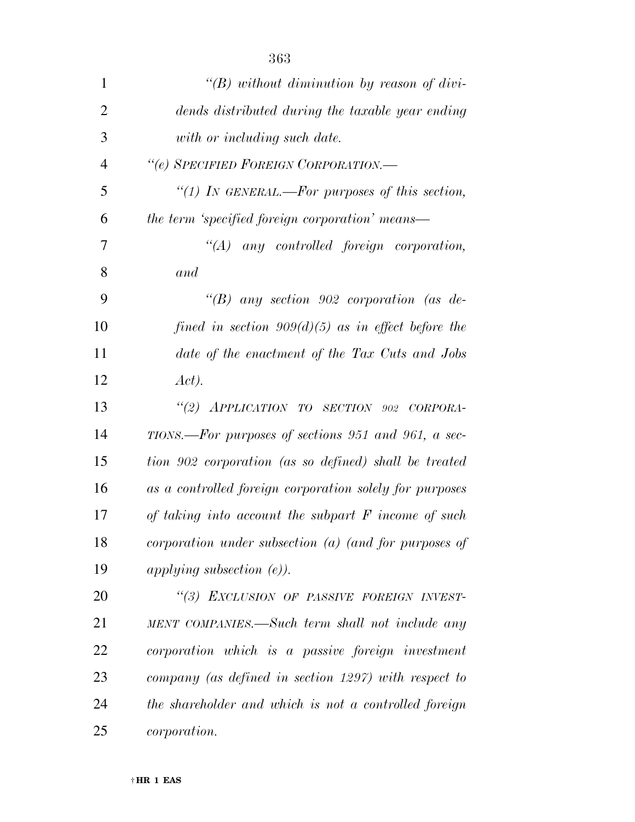| $\mathbf{1}$   | "(B) without diminution by reason of divi-              |
|----------------|---------------------------------------------------------|
| $\overline{2}$ | dends distributed during the taxable year ending        |
| 3              | with or including such date.                            |
| 4              | "(e) SPECIFIED FOREIGN CORPORATION.-                    |
| 5              | "(1) In GENERAL.—For purposes of this section,          |
| 6              | the term 'specified foreign corporation' means—         |
| 7              | $\lq\lq (A)$ any controlled foreign corporation,        |
| 8              | and                                                     |
| 9              | "(B) any section 902 corporation (as de-                |
| 10             | fined in section $909(d)(5)$ as in effect before the    |
| 11             | date of the enactment of the Tax Cuts and Jobs          |
| 12             | Act).                                                   |
| 13             | "(2) APPLICATION TO SECTION 902 CORPORA-                |
| 14             | TIONS.—For purposes of sections 951 and 961, a sec-     |
| 15             | tion 902 corporation (as so defined) shall be treated   |
| 16             | as a controlled foreign corporation solely for purposes |
| 17             | of taking into account the subpart $F$ income of such   |
| 18             | corporation under subsection $(a)$ (and for purposes of |
| 19             | applying subsection $(e)$ ).                            |
| 20             | "(3) EXCLUSION OF PASSIVE FOREIGN INVEST-               |
| 21             | MENT COMPANIES.—Such term shall not include any         |
| 22             | corporation which is a passive foreign investment       |
| 23             | company (as defined in section 1297) with respect to    |
| 24             | the shareholder and which is not a controlled foreign   |
| 25             | <i>corporation.</i>                                     |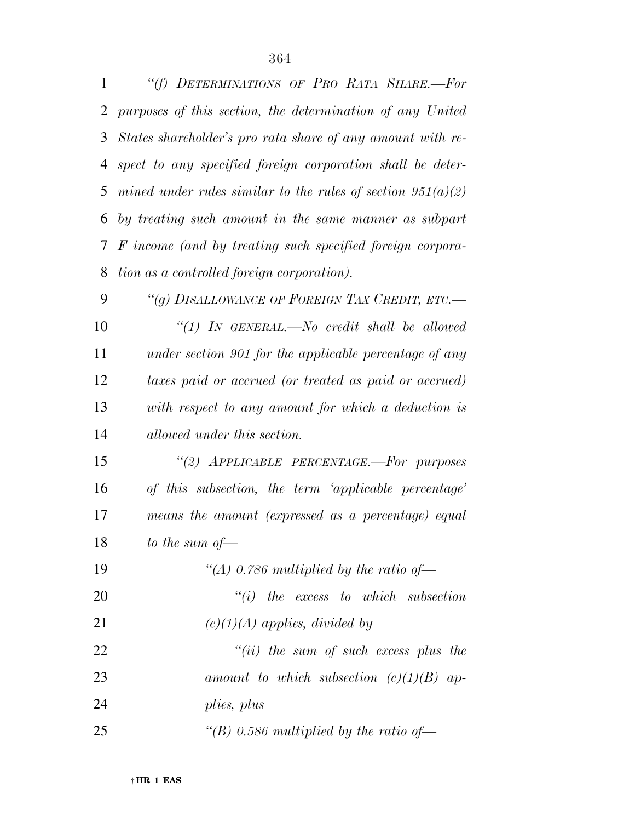| 1  | "(f) DETERMINATIONS OF PRO RATA SHARE.-For                    |
|----|---------------------------------------------------------------|
| 2  | purposes of this section, the determination of any United     |
| 3  | States shareholder's pro rata share of any amount with re-    |
| 4  | spect to any specified foreign corporation shall be deter-    |
| 5  | mined under rules similar to the rules of section $951(a)(2)$ |
| 6  | by treating such amount in the same manner as subpart         |
| 7  | F income (and by treating such specified foreign corpora-     |
| 8  | tion as a controlled foreign corporation).                    |
| 9  | "(g) DISALLOWANCE OF FOREIGN TAX CREDIT, ETC.-                |
| 10 | "(1) IN GENERAL.—No credit shall be allowed                   |
| 11 | under section 901 for the applicable percentage of any        |
| 12 | taxes paid or accrued (or treated as paid or accrued)         |
| 13 | with respect to any amount for which a deduction is           |
| 14 | allowed under this section.                                   |
| 15 | "(2) APPLICABLE PERCENTAGE.-For purposes                      |
| 16 | of this subsection, the term 'applicable percentage'          |
| 17 | means the amount (expressed as a percentage) equal            |
| 18 | to the sum of $-$                                             |
| 19 | "(A) 0.786 multiplied by the ratio of $-$                     |
| 20 | $``(i)$ the excess to which subsection                        |
| 21 | $(c)(1)(A)$ applies, divided by                               |
| 22 | $``(ii)$ the sum of such excess plus the                      |
| 23 | amount to which subsection $(c)(1)(B)$ ap-                    |
| 24 | plies, plus                                                   |
| 25 | "(B) 0.586 multiplied by the ratio of-                        |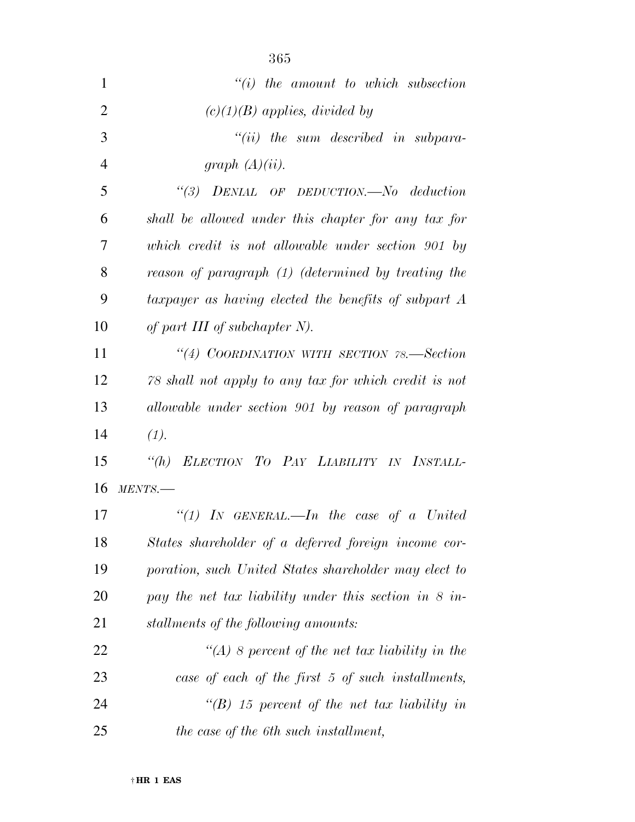|                | 365                                                     |
|----------------|---------------------------------------------------------|
| 1              | $``(i)$ the amount to which subsection                  |
| $\overline{2}$ | $(c)(1)(B)$ applies, divided by                         |
| 3              | $``(ii)$ the sum described in subpara-                  |
| $\overline{4}$ | graph $(A)(ii)$ .                                       |
| 5              | $\lq(3)$ DENIAL OF DEDUCTION.—No deduction              |
| 6              | shall be allowed under this chapter for any tax for     |
| 7              | which credit is not allowable under section 901 by      |
| 8              | reason of paragraph (1) (determined by treating the     |
| 9              | taxpayer as having elected the benefits of subpart A    |
| 10             | of part III of subchapter $N$ ).                        |
| 11             | "(4) COORDINATION WITH SECTION 78.—Section              |
| 12             | 78 shall not apply to any tax for which credit is not   |
| 13             | allowable under section 901 by reason of paragraph      |
| 14             | (1).                                                    |
| 15             | "(h) ELECTION TO PAY LIABILITY IN INSTALL-              |
| 16             | MENTS.                                                  |
| 17             | "(1) IN GENERAL.—In the case of a United                |
| 18             | States shareholder of a deferred foreign income cor-    |
| 19             | poration, such United States shareholder may elect to   |
| <b>20</b>      | pay the net tax liability under this section in $8$ in- |
| 21             | stallments of the following amounts:                    |
| 22             | $\lq (A)$ 8 percent of the net tax liability in the     |
| 23             | case of each of the first 5 of such installments,       |
| 24             | $\lq (B)$ 15 percent of the net tax liability in        |
| 25             | the case of the 6th such installment,                   |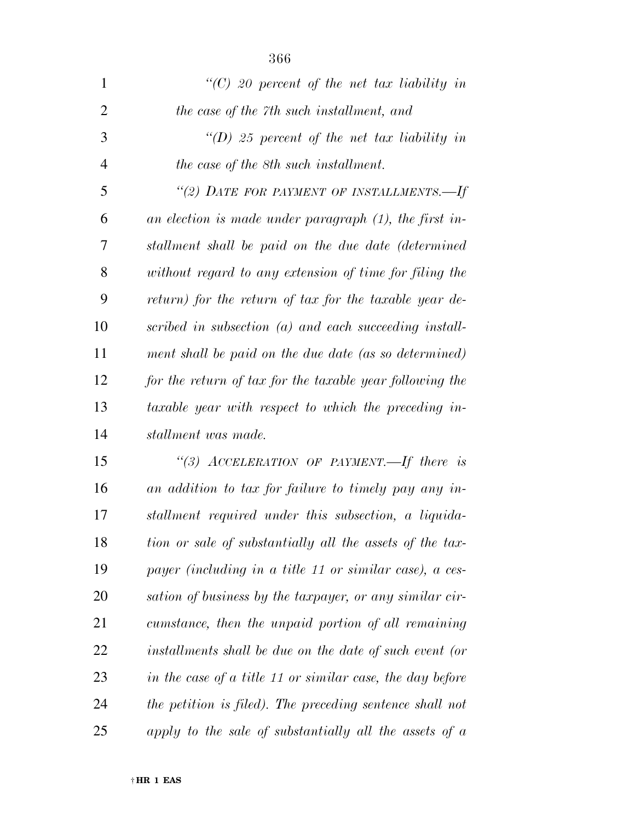| $\mathbf{1}$   | "(C) 20 percent of the net tax liability in                   |
|----------------|---------------------------------------------------------------|
| $\overline{2}$ | the case of the 7th such installment, and                     |
| 3              | "(D) 25 percent of the net tax liability in                   |
| $\overline{4}$ | the case of the 8th such installment.                         |
| 5              | "(2) DATE FOR PAYMENT OF INSTALLMENTS.-If                     |
| 6              | an election is made under paragraph $(1)$ , the first in-     |
| 7              | stallment shall be paid on the due date (determined           |
| 8              | without regard to any extension of time for filing the        |
| 9              | return) for the return of tax for the taxable year de-        |
| 10             | scribed in subsection (a) and each succeeding install-        |
| 11             | ment shall be paid on the due date (as so determined)         |
| 12             | for the return of tax for the taxable year following the      |
| 13             | taxable year with respect to which the preceding in-          |
| 14             | stallment was made.                                           |
| 15             | "(3) ACCELERATION OF PAYMENT.—If there is                     |
| 16             | an addition to tax for failure to timely pay any in-          |
| 17             | stallment required under this subsection, a liquida-          |
| 18             | tion or sale of substantially all the assets of the tax-      |
| 19             | payer (including in a title 11 or similar case), a ces-       |
| 20             | sation of business by the taxpayer, or any similar cir-       |
| 21             | cumstance, then the unpaid portion of all remaining           |
| 22             | installments shall be due on the date of such event (or       |
| 23             | in the case of a title 11 or similar case, the day before     |
| 24             | the petition is filed). The preceding sentence shall not      |
| 25             | apply to the sale of substantially all the assets of $\alpha$ |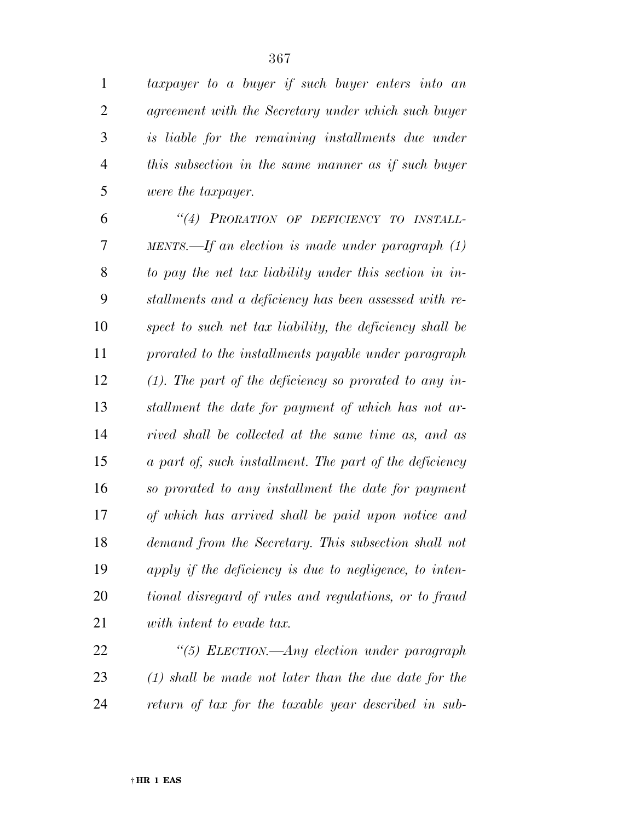*taxpayer to a buyer if such buyer enters into an agreement with the Secretary under which such buyer is liable for the remaining installments due under this subsection in the same manner as if such buyer were the taxpayer.* 

 *''(4) PRORATION OF DEFICIENCY TO INSTALL- MENTS.—If an election is made under paragraph (1) to pay the net tax liability under this section in in- stallments and a deficiency has been assessed with re- spect to such net tax liability, the deficiency shall be prorated to the installments payable under paragraph (1). The part of the deficiency so prorated to any in- stallment the date for payment of which has not ar- rived shall be collected at the same time as, and as a part of, such installment. The part of the deficiency so prorated to any installment the date for payment of which has arrived shall be paid upon notice and demand from the Secretary. This subsection shall not apply if the deficiency is due to negligence, to inten- tional disregard of rules and regulations, or to fraud with intent to evade tax.* 

 *''(5) ELECTION.—Any election under paragraph (1) shall be made not later than the due date for the return of tax for the taxable year described in sub-*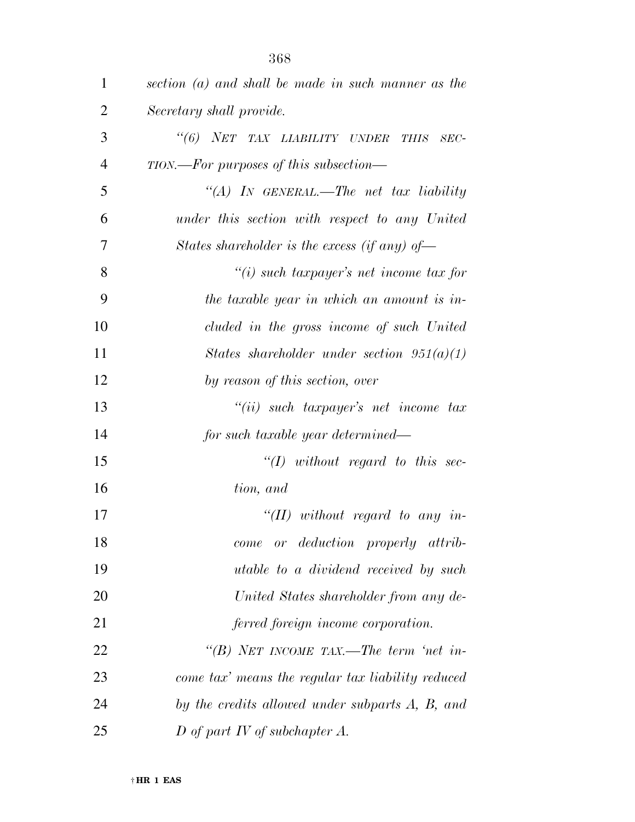| $\mathbf{1}$   | section $(a)$ and shall be made in such manner as the |
|----------------|-------------------------------------------------------|
| 2              | Secretary shall provide.                              |
| 3              | "(6) NET TAX LIABILITY UNDER<br><b>THIS</b><br>$SEC-$ |
| $\overline{4}$ | TION.—For purposes of this subsection—                |
| 5              | "(A) IN GENERAL.—The net tax liability                |
| 6              | under this section with respect to any United         |
| 7              | States shareholder is the excess (if any) of-         |
| 8              | $\lq\lq(i)$ such taxpayer's net income tax for        |
| 9              | the taxable year in which an amount is in-            |
| 10             | cluded in the gross income of such United             |
| 11             | States shareholder under section $951(a)(1)$          |
| 12             | by reason of this section, over                       |
| 13             | $``(ii)$ such taxpayer's net income tax               |
| 14             | for such taxable year determined—                     |
| 15             | $``(1)$ without regard to this sec-                   |
| 16             | tion, and                                             |
| 17             | "(II) without regard to any in-                       |
| 18             | or deduction properly attrib-<br>come                 |
| 19             | utable to a dividend received by such                 |
| 20             | United States shareholder from any de-                |
| 21             | ferred foreign income corporation.                    |
| 22             | "(B) NET INCOME TAX.—The term 'net in-                |
| 23             | come tax' means the regular tax liability reduced     |
| 24             | by the credits allowed under subparts A, B, and       |
| 25             | D of part IV of subchapter $A$ .                      |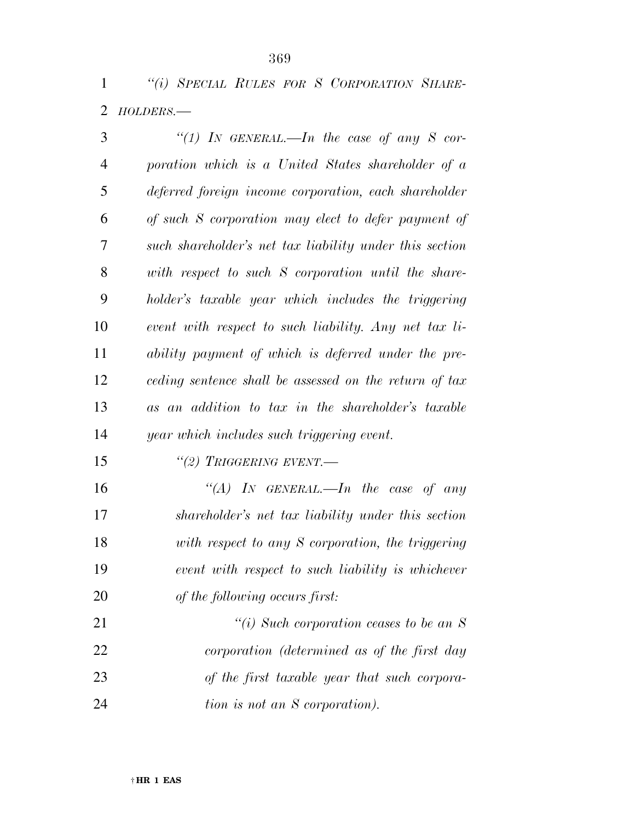*''(i) SPECIAL RULES FOR S CORPORATION SHARE-HOLDERS.—* 

| 3              | "(1) In GENERAL.—In the case of any S cor-              |
|----------------|---------------------------------------------------------|
| $\overline{4}$ | poration which is a United States shareholder of a      |
| 5              | deferred foreign income corporation, each shareholder   |
| 6              | of such S corporation may elect to defer payment of     |
| 7              | such shareholder's net tax liability under this section |
| 8              | with respect to such S corporation until the share-     |
| 9              | holder's taxable year which includes the triggering     |
| 10             | event with respect to such liability. Any net tax li-   |
| 11             | ability payment of which is deferred under the pre-     |
| 12             | ceding sentence shall be assessed on the return of tax  |
| 13             | as an addition to tax in the shareholder's taxable      |
| 14             | year which includes such triggering event.              |
| 15             | $``(2)$ Triggering event.                               |
| 16             | "(A) IN GENERAL.—In the case of any                     |
| 17             | shareholder's net tax liability under this section      |
| 18             | with respect to any S corporation, the triggering       |
| 19             | event with respect to such liability is whichever       |
| 20             | of the following occurs first:                          |
| 21             | "(i) Such corporation ceases to be an $S$               |
|                |                                                         |

 *corporation (determined as of the first day of the first taxable year that such corpora-tion is not an S corporation).* 

† **HR 1 EAS**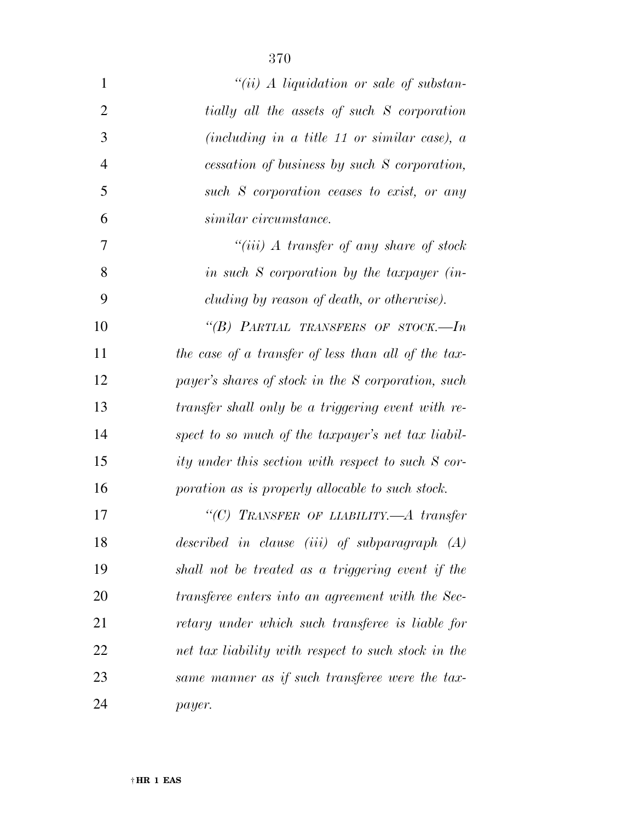| $\mathbf{1}$   | $``(ii)$ A liquidation or sale of substan-          |
|----------------|-----------------------------------------------------|
| $\overline{2}$ | tially all the assets of such S corporation         |
| 3              | (including in a title 11 or similar case), $a$      |
| $\overline{4}$ | cessation of business by such S corporation,        |
| 5              | such S corporation ceases to exist, or any          |
| 6              | similar circumstance.                               |
| 7              | "(iii) $\Lambda$ transfer of any share of stock     |
| 8              | in such S corporation by the taxpayer (in-          |
| 9              | cluding by reason of death, or otherwise).          |
| 10             | "(B) PARTIAL TRANSFERS OF STOCK.—In                 |
| 11             | the case of a transfer of less than all of the tax- |
| 12             | payer's shares of stock in the S corporation, such  |
| 13             | transfer shall only be a triggering event with re-  |
| 14             | spect to so much of the taxpayer's net tax liabil-  |
| 15             | ity under this section with respect to such S cor-  |
| 16             | poration as is properly allocable to such stock.    |
| 17             | "(C) TRANSFER OF LIABILITY.—A transfer              |
| 18             | described in clause $(iii)$ of subparagraph $(A)$   |
| 19             | shall not be treated as a triggering event if the   |
| 20             | transferee enters into an agreement with the Sec-   |
| 21             | retary under which such transferee is liable for    |
| 22             | net tax liability with respect to such stock in the |
| 23             | same manner as if such transferee were the tax-     |
| 24             | payer.                                              |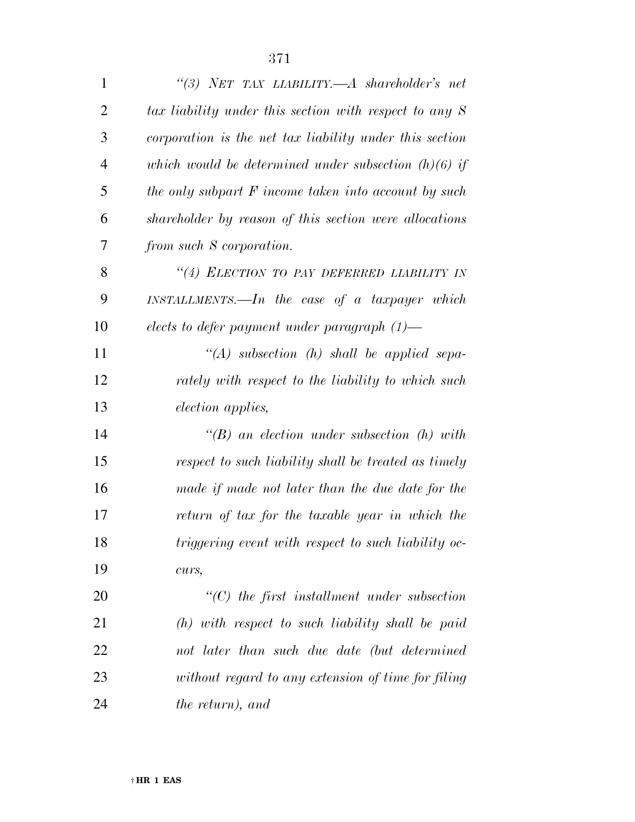| $\mathbf{1}$   | "(3) NET TAX LIABILITY,— $A$ shareholder's net           |
|----------------|----------------------------------------------------------|
| $\overline{2}$ | tax liability under this section with respect to any $S$ |
| 3              | corporation is the net tax liability under this section  |
| $\overline{4}$ | which would be determined under subsection $(h)(6)$ if   |
| 5              | the only subpart $F$ income taken into account by such   |
| 6              | shareholder by reason of this section were allocations   |
| 7              | from such S corporation.                                 |
| 8              | "(4) ELECTION TO PAY DEFERRED LIABILITY IN               |
| 9              | $INSTALLMENTS.$ The case of a taxpayer which             |
| 10             | elects to defer payment under paragraph $(1)$ —          |
| 11             | "(A) subsection (h) shall be applied sepa-               |
| 12             | rately with respect to the liability to which such       |
| 13             | <i>election applies,</i>                                 |
| 14             | $\lq\lq B$ an election under subsection (h) with         |
| 15             | respect to such liability shall be treated as timely     |
| 16             | made if made not later than the due date for the         |
| 17             | return of tax for the taxable year in which the          |
| 18             | triggering event with respect to such liability oc-      |
| 19             | curs,                                                    |
| 20             | $\lq\lq C$ the first installment under subsection        |
| 21             | $(h)$ with respect to such liability shall be paid       |
|                |                                                          |

 *not later than such due date (but determined without regard to any extension of time for filing the return), and*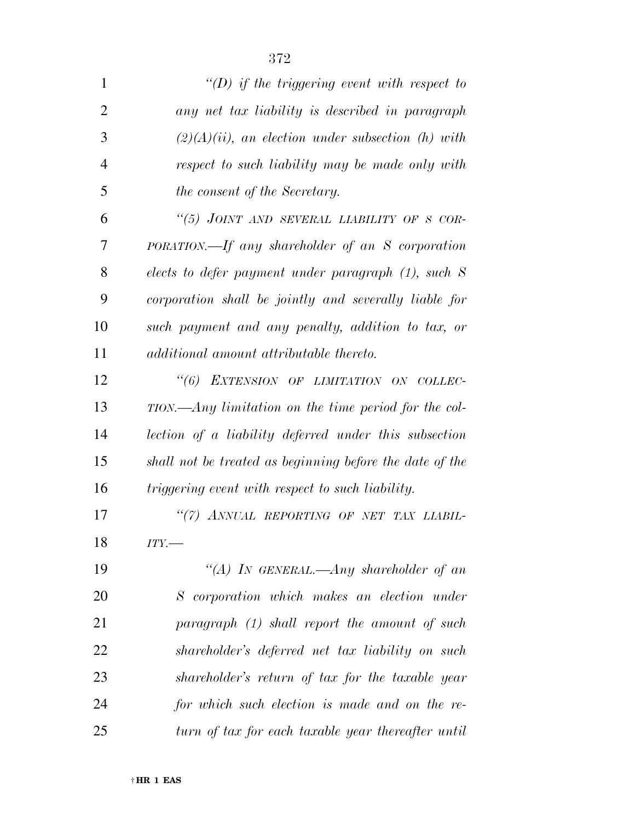| $\mathbf{1}$   | "(D) if the triggering event with respect to             |
|----------------|----------------------------------------------------------|
| $\overline{2}$ | any net tax liability is described in paragraph          |
| 3              | $(2)(A)(ii)$ , an election under subsection (h) with     |
| $\overline{4}$ | respect to such liability may be made only with          |
| 5              | the consent of the Secretary.                            |
| 6              | "(5) JOINT AND SEVERAL LIABILITY OF S COR-               |
| 7              | PORATION.—If any shareholder of an S corporation         |
| 8              | elects to defer payment under paragraph $(1)$ , such S   |
| 9              | corporation shall be jointly and severally liable for    |
| 10             | such payment and any penalty, addition to tax, or        |
| 11             | additional amount attributable thereto.                  |
| 12             | "(6) EXTENSION OF LIMITATION ON COLLEC-                  |
| 13             | $TION.$ —Any limitation on the time period for the col-  |
| 14             | lection of a liability deferred under this subsection    |
| 15             | shall not be treated as beginning before the date of the |
| 16             | triggering event with respect to such liability.         |
| 17             | "(7) ANNUAL REPORTING OF NET TAX LIABIL-                 |
| 18             | $ITY$ .                                                  |
| 19             | "(A) IN GENERAL.—Any shareholder of an                   |
| 20             | S corporation which makes an election under              |
| 21             | paragraph (1) shall report the amount of such            |
| 22             | shareholder's deferred net tax liability on such         |
| 23             | shareholder's return of tax for the taxable year         |
| 24             | for which such election is made and on the re-           |
| 25             | turn of tax for each taxable year thereafter until       |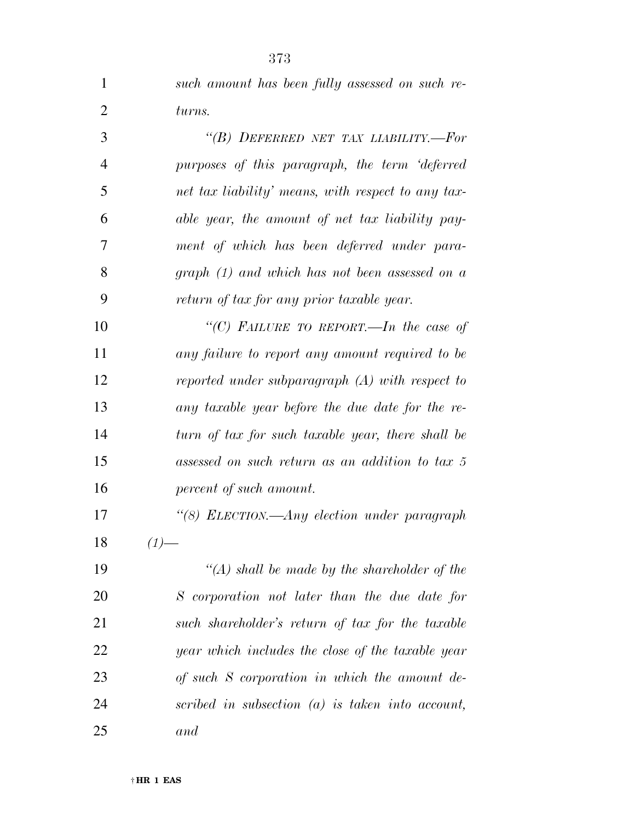| $\mathbf{1}$   | such amount has been fully assessed on such re-    |
|----------------|----------------------------------------------------|
| $\overline{2}$ | turns.                                             |
| 3              | "(B) DEFERRED NET TAX LIABILITY.-For               |
| $\overline{4}$ | purposes of this paragraph, the term 'deferred     |
| 5              | net tax liability' means, with respect to any tax- |
| 6              | able year, the amount of net tax liability pay-    |
| 7              | ment of which has been deferred under para-        |
| 8              | graph $(1)$ and which has not been assessed on a   |
| 9              | return of tax for any prior taxable year.          |
| 10             | "(C) FAILURE TO REPORT.—In the case of             |
| 11             | any failure to report any amount required to be    |
| 12             | reported under subparagraph $(A)$ with respect to  |
| 13             | any taxable year before the due date for the re-   |
| 14             | turn of tax for such taxable year, there shall be  |
| 15             | assessed on such return as an addition to tax 5    |
| 16             | percent of such amount.                            |
| 17             | "(8) ELECTION.—Any election under paragraph        |
| 18             | $(1)$ —                                            |
| 19             | "(A) shall be made by the shareholder of the       |
| 20             | S corporation not later than the due date for      |
| 21             | such shareholder's return of tax for the taxable   |
| 22             | year which includes the close of the taxable year  |
| 23             | of such S corporation in which the amount de-      |
| 24             | scribed in subsection $(a)$ is taken into account, |

*and*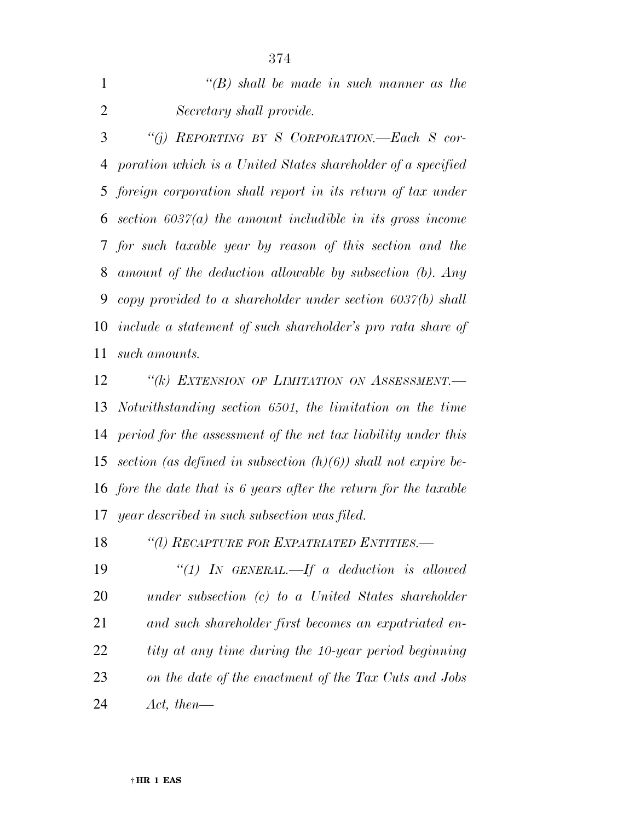|              | $\lq\lq(B)$ shall be made in such manner as the                |
|--------------|----------------------------------------------------------------|
| 2            | Secretary shall provide.                                       |
| $\mathbf{3}$ | "(i) REPORTING BY S CORPORATION.—Each S cor-                   |
|              | 4 poration which is a United States shareholder of a specified |

 *foreign corporation shall report in its return of tax under section 6037(a) the amount includible in its gross income for such taxable year by reason of this section and the amount of the deduction allowable by subsection (b). Any copy provided to a shareholder under section 6037(b) shall include a statement of such shareholder's pro rata share of such amounts.* 

 *''(k) EXTENSION OF LIMITATION ON ASSESSMENT.— Notwithstanding section 6501, the limitation on the time period for the assessment of the net tax liability under this section (as defined in subsection (h)(6)) shall not expire be- fore the date that is 6 years after the return for the taxable year described in such subsection was filed.* 

*''(l) RECAPTURE FOR EXPATRIATED ENTITIES.—* 

 *''(1) IN GENERAL.—If a deduction is allowed under subsection (c) to a United States shareholder and such shareholder first becomes an expatriated en- tity at any time during the 10-year period beginning on the date of the enactment of the Tax Cuts and Jobs Act, then—*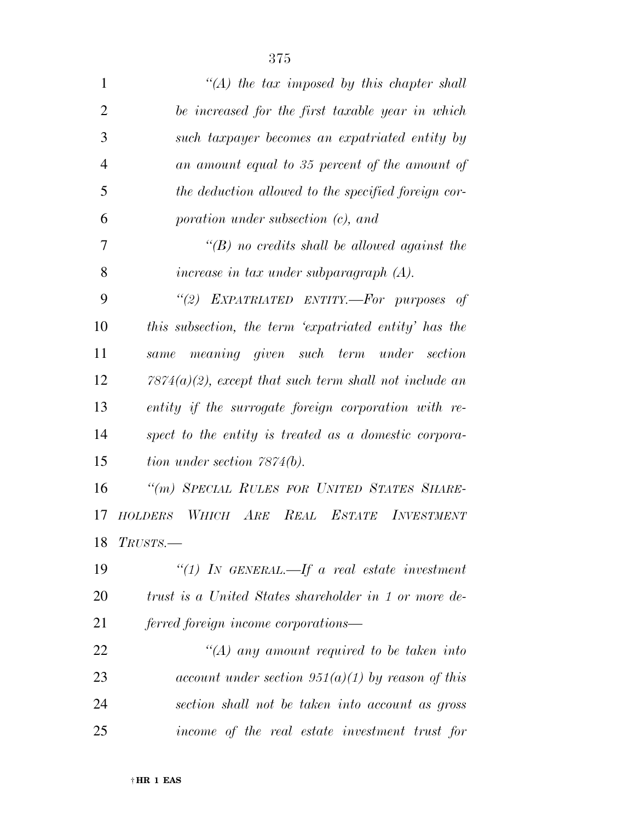| 1              | $\lq (A)$ the tax imposed by this chapter shall           |
|----------------|-----------------------------------------------------------|
| $\overline{2}$ | be increased for the first taxable year in which          |
| 3              | such taxpayer becomes an expatriated entity by            |
| $\overline{4}$ | an amount equal to 35 percent of the amount of            |
| 5              | the deduction allowed to the specified foreign cor-       |
| 6              | poration under subsection (c), and                        |
| 7              | $\lq\lq(B)$ no credits shall be allowed against the       |
| 8              | increase in tax under subparagraph $(A)$ .                |
| 9              | "(2) EXPATRIATED ENTITY.-For purposes of                  |
| 10             | this subsection, the term 'expatriated entity' has the    |
| 11             | meaning given such term under section<br>same             |
| 12             | $7874(a)(2)$ , except that such term shall not include an |
| 13             | entity if the surrogate foreign corporation with re-      |
| 14             | spect to the entity is treated as a domestic corpora-     |
| 15             | tion under section $7874(b)$ .                            |
| 16             | "(m) SPECIAL RULES FOR UNITED STATES SHARE-               |
| 17             | WHICH ARE REAL ESTATE INVESTMENT<br><b>HOLDERS</b>        |
| 18             | $T\textit{RUSTS}.$                                        |
| 19             | "(1) IN GENERAL.—If a real estate investment              |
| 20             | trust is a United States shareholder in 1 or more de-     |
| 21             | ferred foreign income corporations—                       |
| 22             | "(A) any amount required to be taken into                 |
| 23             | account under section $951(a)(1)$ by reason of this       |
| 24             | section shall not be taken into account as gross          |
| 25             | income of the real estate investment trust for            |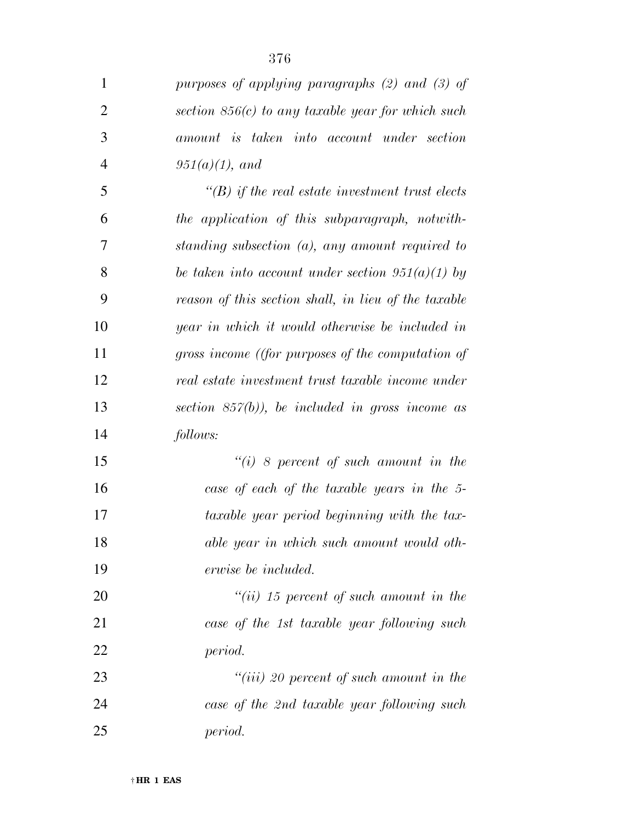| $\mathbf{1}$   | purposes of applying paragraphs $(2)$ and $(3)$ of     |
|----------------|--------------------------------------------------------|
| $\overline{2}$ | section $856(c)$ to any taxable year for which such    |
| 3              | amount is taken into account under section             |
| $\overline{4}$ | $951(a)(1)$ , and                                      |
| 5              | $\lq\lq(B)$ if the real estate investment trust elects |
| 6              | the application of this subparagraph, notwith-         |
| 7              | standing subsection $(a)$ , any amount required to     |
| 8              | be taken into account under section $951(a)(1)$ by     |
| 9              | reason of this section shall, in lieu of the taxable   |
| 10             | year in which it would otherwise be included in        |
| 11             | gross income ((for purposes of the computation of      |
| 12             | real estate investment trust taxable income under      |
| 13             | section $857(b)$ , be included in gross income as      |
| 14             | follows:                                               |
| 15             | $``(i)$ 8 percent of such amount in the                |
| 16             | case of each of the taxable years in the 5-            |
| 17             | taxable year period beginning with the tax-            |
| 18             | able year in which such amount would oth-              |
| 19             | erwise be included.                                    |
| 20             | $``(ii)$ 15 percent of such amount in the              |
| 21             | case of the 1st taxable year following such            |
| 22             | period.                                                |
| 23             | $``(iii)$ 20 percent of such amount in the             |
| 24             | case of the 2nd taxable year following such            |
| 25             | period.                                                |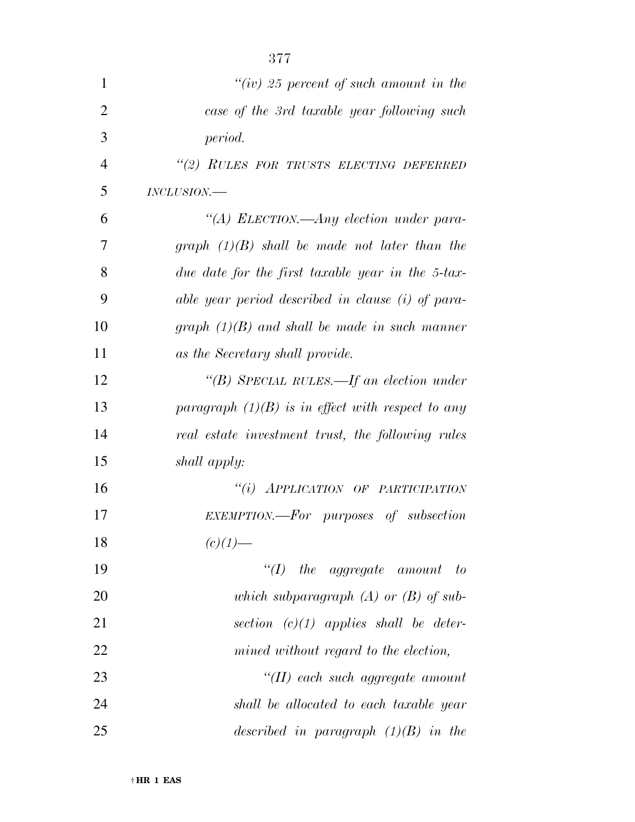| $\mathbf{1}$   | "(iv) 25 percent of such amount in the              |
|----------------|-----------------------------------------------------|
| $\overline{2}$ | case of the 3rd taxable year following such         |
| 3              | period.                                             |
| $\overline{4}$ | "(2) RULES FOR TRUSTS ELECTING DEFERRED             |
| 5              | $INCLUSION$ .                                       |
| 6              | "(A) ELECTION.—Any election under para-             |
| 7              | graph $(1)(B)$ shall be made not later than the     |
| 8              | due date for the first taxable year in the 5-tax-   |
| 9              | able year period described in clause (i) of para-   |
| 10             | graph $(1)(B)$ and shall be made in such manner     |
| 11             | as the Secretary shall provide.                     |
| 12             | "(B) SPECIAL RULES.—If an election under            |
| 13             | paragraph $(1)(B)$ is in effect with respect to any |
| 14             | real estate investment trust, the following rules   |
| 15             | shall apply:                                        |
| 16             | "(i) APPLICATION OF PARTICIPATION                   |
| 17             | EXEMPTION.—For purposes of subsection               |
| 18             | $(c)(1)$ —                                          |
| 19             | $\lq (I)$ the aggregate amount<br>$-to$             |
| 20             | which subparagraph $(A)$ or $(B)$ of sub-           |
| 21             | section $(c)(1)$ applies shall be deter-            |
| 22             | mined without regard to the election,               |
| 23             | $``(II)$ each such aggregate amount                 |
| 24             | shall be allocated to each taxable year             |
| 25             | described in paragraph $(1)(B)$ in the              |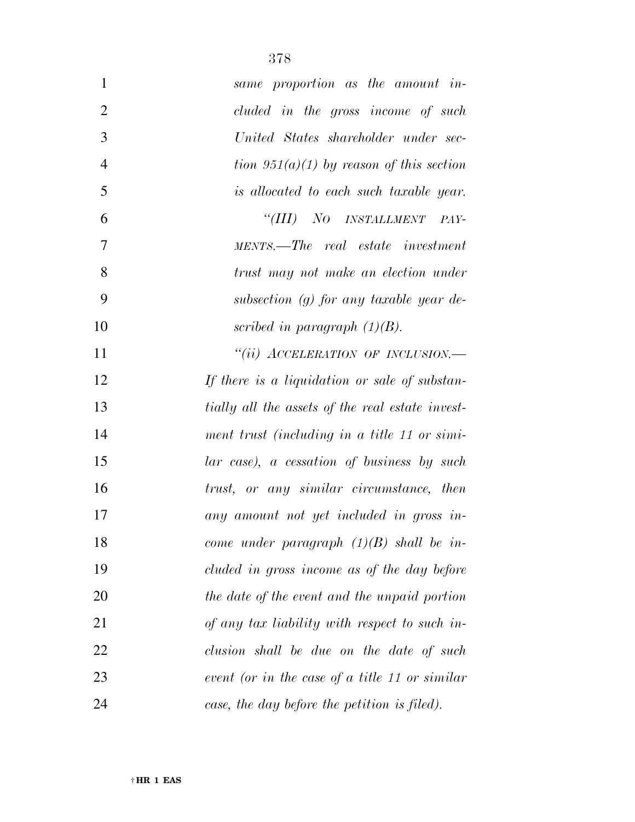| $\mathbf{1}$   | same proportion as the amount in-                |
|----------------|--------------------------------------------------|
| $\overline{2}$ | cluded in the gross income of such               |
| 3              | United States shareholder under sec-             |
| $\overline{4}$ | tion $951(a)(1)$ by reason of this section       |
| 5              | <i>is allocated to each such taxable year.</i>   |
| 6              | "(III) NO INSTALLMENT<br>PAY-                    |
| 7              | MENTS.—The real estate investment                |
| 8              | trust may not make an election under             |
| 9              | subsection $(g)$ for any taxable year de-        |
| 10             | scribed in paragraph $(1)(B)$ .                  |
| 11             | "(ii) ACCELERATION OF INCLUSION.—                |
| 12             | If there is a liquidation or sale of substan-    |
| 13             | tially all the assets of the real estate invest- |
| 14             | ment trust (including in a title 11 or simi-     |
| 15             | lar case), a cessation of business by such       |
| 16             | trust, or any similar circumstance, then         |
| 17             | any amount not yet included in gross in-         |
| 18             | come under paragraph $(1)(B)$ shall be in-       |
| 19             | cluded in gross income as of the day before      |
| 20             | the date of the event and the unpaid portion     |
| 21             | of any tax liability with respect to such in-    |
| 22             | clusion shall be due on the date of such         |
| 23             | event (or in the case of a title 11 or similar   |
| 24             | case, the day before the petition is filed).     |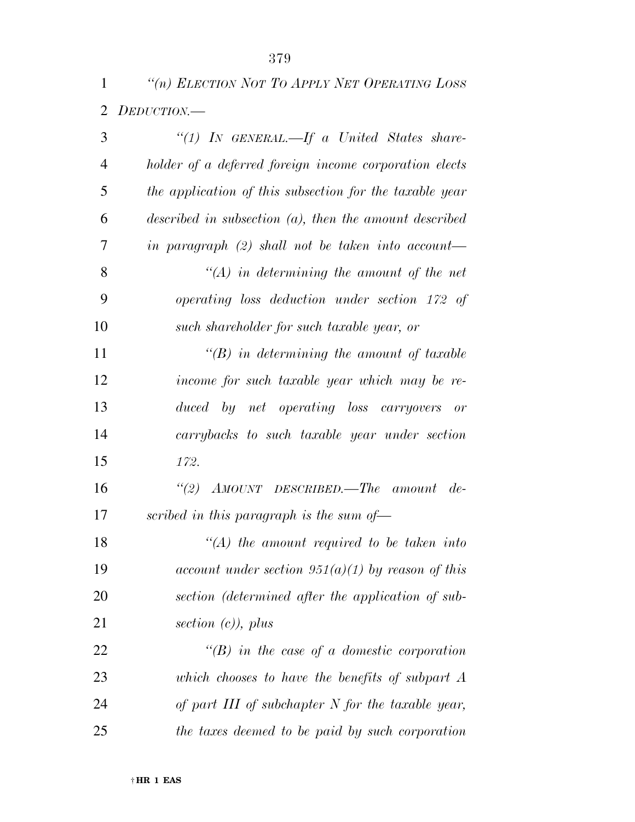*''(n) ELECTION NOT TO APPLY NET OPERATING LOSS DEDUCTION.—* 

| 3              | "(1) IN GENERAL.—If a United States share-                |
|----------------|-----------------------------------------------------------|
| $\overline{4}$ | holder of a deferred foreign income corporation elects    |
| 5              | the application of this subsection for the taxable year   |
| 6              | described in subsection $(a)$ , then the amount described |
| 7              | in paragraph $(2)$ shall not be taken into account—       |
| 8              | $\lq (A)$ in determining the amount of the net            |
| 9              | operating loss deduction under section 172 of             |
| 10             | such shareholder for such taxable year, or                |
| 11             | $\lq\lq(B)$ in determining the amount of taxable          |
| 12             | income for such taxable year which may be re-             |
| 13             | duced by net operating loss carryovers or                 |
| 14             | carrybacks to such taxable year under section             |
| 15             | 172.                                                      |
| 16             | "(2) $AMOUNT$ DESCRIBED.—The amount de-                   |
| 17             | scribed in this paragraph is the sum of $-$               |
| 18             | $\lq (A)$ the amount required to be taken into            |
| 19             | account under section $951(a)(1)$ by reason of this       |
| 20             | section (determined after the application of sub-         |
| 21             | section $(c)$ , plus                                      |
| 22             | $\lq\lq(B)$ in the case of a domestic corporation         |
| 23             | which chooses to have the benefits of subpart $A$         |
| 24             | of part III of subchapter N for the taxable year,         |
| 25             | the taxes deemed to be paid by such corporation           |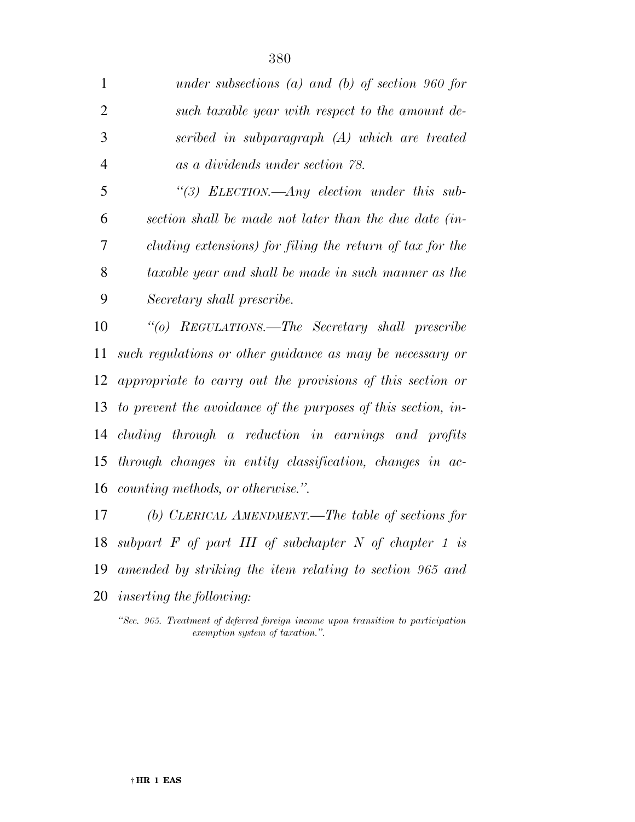| $\mathbf{1}$   | under subsections (a) and (b) of section 960 for              |
|----------------|---------------------------------------------------------------|
| $\overline{2}$ | such taxable year with respect to the amount de-              |
| 3              | scribed in subparagraph (A) which are treated                 |
| $\overline{4}$ | as a dividends under section 78.                              |
| 5              | "(3) ELECTION.—Any election under this sub-                   |
| 6              | section shall be made not later than the due date (in-        |
| 7              | cluding extensions) for filing the return of tax for the      |
| 8              | taxable year and shall be made in such manner as the          |
| 9              | Secretary shall prescribe.                                    |
| 10             | "(o) REGULATIONS.—The Secretary shall prescribe               |
| 11             | such regulations or other guidance as may be necessary or     |
|                | 12 appropriate to carry out the provisions of this section or |
| 13             | to prevent the avoidance of the purposes of this section, in- |
|                | 14 cluding through a reduction in earnings and profits        |
|                | 15 through changes in entity classification, changes in ac-   |

*counting methods, or otherwise.''.* 

 *(b) CLERICAL AMENDMENT.—The table of sections for subpart F of part III of subchapter N of chapter 1 is amended by striking the item relating to section 965 and inserting the following:* 

*''Sec. 965. Treatment of deferred foreign income upon transition to participation exemption system of taxation.''.*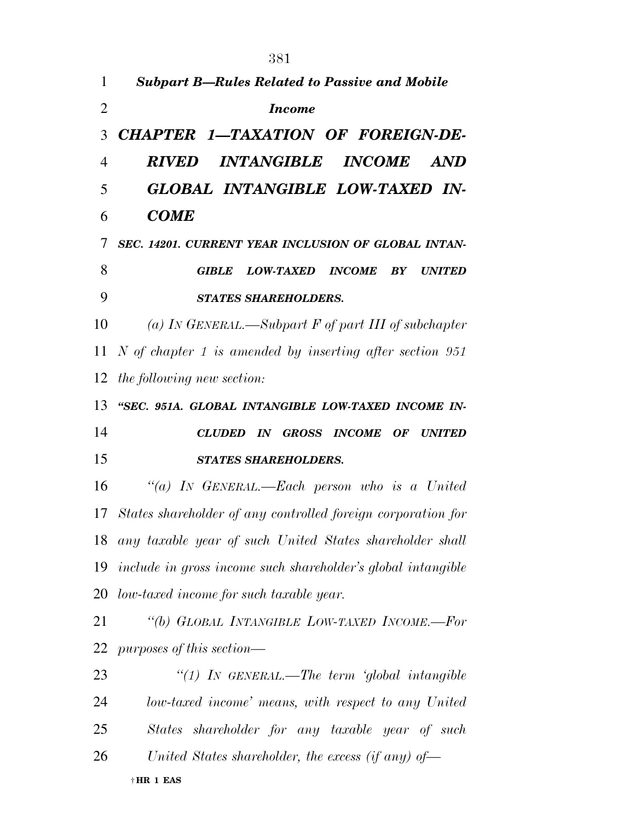|                | 381                                                                     |
|----------------|-------------------------------------------------------------------------|
| $\mathbf{1}$   | <b>Subpart B-Rules Related to Passive and Mobile</b>                    |
| $\overline{2}$ | <b>Income</b>                                                           |
| 3              | CHAPTER 1-TAXATION OF FOREIGN-DE-                                       |
| $\overline{4}$ | <i><b>INTANGIBLE</b></i><br><i><b>RIVED</b></i><br><b>INCOME</b><br>AND |
| 5              | GLOBAL INTANGIBLE LOW-TAXED IN-                                         |
| 6              | <b>COME</b>                                                             |
| 7              | SEC. 14201. CURRENT YEAR INCLUSION OF GLOBAL INTAN-                     |
| 8              | LOW-TAXED INCOME BY<br><b>UNITED</b><br><b>GIBLE</b>                    |
| 9              | <b>STATES SHAREHOLDERS.</b>                                             |
| 10             | (a) IN GENERAL.—Subpart $F$ of part III of subchapter                   |
| 11             | $N$ of chapter 1 is amended by inserting after section 951              |
| 12             | <i>the following new section:</i>                                       |
| 13             | "SEC. 951A. GLOBAL INTANGIBLE LOW-TAXED INCOME IN-                      |
| 14             | CLUDED IN GROSS INCOME OF UNITED                                        |
| 15             | <b>STATES SHAREHOLDERS.</b>                                             |
| 16             | "(a) IN GENERAL.—Each person who is a United                            |
|                | 17 States shareholder of any controlled foreign corporation for         |
|                |                                                                         |
|                | 18 any taxable year of such United States shareholder shall             |
|                | 19 include in gross income such shareholder's global intangible         |
|                | 20 low-taxed income for such taxable year.                              |
| 21             | "(b) GLOBAL INTANGIBLE LOW-TAXED INCOME.-For                            |
| 22             | purposes of this section—                                               |
| 23             | "(1) IN GENERAL.—The term 'global intangible                            |
| 24             | low-taxed income' means, with respect to any United                     |
| 25             | States shareholder for any taxable year of such                         |
| 26             | United States shareholder, the excess (if any) of-                      |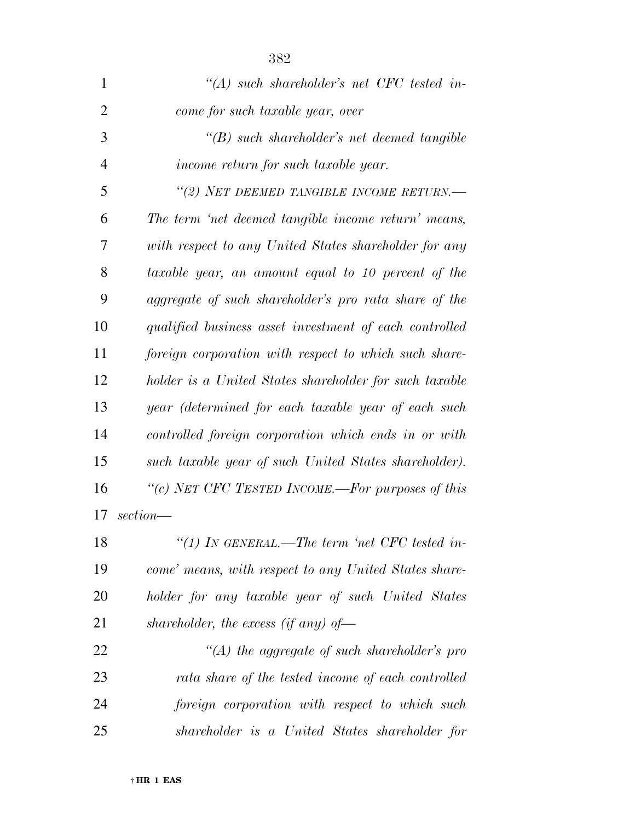| $\mathbf{1}$   | "(A) such shareholder's net CFC tested in-             |
|----------------|--------------------------------------------------------|
| $\overline{2}$ | come for such taxable year, over                       |
| 3              | $\lq\lq(B)$ such shareholder's net deemed tangible     |
| $\overline{4}$ | income return for such taxable year.                   |
| 5              | "(2) NET DEEMED TANGIBLE INCOME RETURN.—               |
| 6              | The term 'net deemed tangible income return' means,    |
| 7              | with respect to any United States shareholder for any  |
| 8              | taxable year, an amount equal to 10 percent of the     |
| 9              | aggregate of such shareholder's pro rata share of the  |
| 10             | qualified business asset investment of each controlled |
| 11             | foreign corporation with respect to which such share-  |
| 12             | holder is a United States shareholder for such taxable |
| 13             | year (determined for each taxable year of each such    |
| 14             | controlled foreign corporation which ends in or with   |
| 15             | such taxable year of such United States shareholder).  |
| 16             | "(c) NET CFC TESTED INCOME.—For purposes of this       |
| 17             | $section$ —                                            |
| 18             | "(1) IN GENERAL.—The term 'net CFC tested in-          |
| 19             | come' means, with respect to any United States share-  |
| 20             | holder for any taxable year of such United States      |
| 21             | shareholder, the excess (if any) of-                   |
| 22             | $\lq (A)$ the aggregate of such shareholder's pro      |
| 23             | rata share of the tested income of each controlled     |
| 24             | foreign corporation with respect to which such         |
| 25             | shareholder is a United States shareholder for         |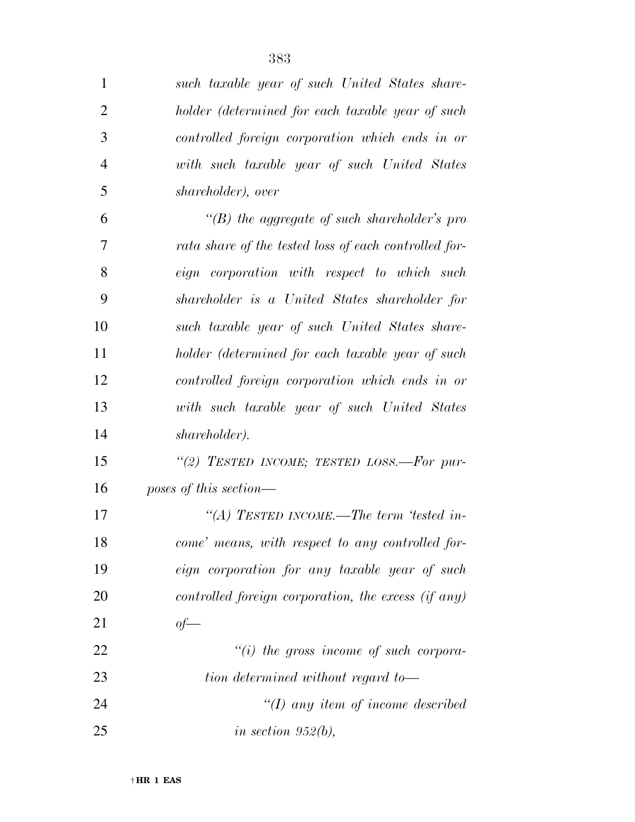| $\mathbf{1}$   | such taxable year of such United States share-        |
|----------------|-------------------------------------------------------|
| $\overline{2}$ | holder (determined for each taxable year of such      |
| 3              | controlled foreign corporation which ends in or       |
| $\overline{4}$ | with such taxable year of such United States          |
| 5              | shareholder), over                                    |
| 6              | $\lq\lq(B)$ the aggregate of such shareholder's pro   |
| 7              | rata share of the tested loss of each controlled for- |
| 8              | eign corporation with respect to which such           |
| 9              | shareholder is a United States shareholder for        |
| 10             | such taxable year of such United States share-        |
| 11             | holder (determined for each taxable year of such      |
| 12             | controlled foreign corporation which ends in or       |
| 13             | with such taxable year of such United States          |
| 14             | shareholder).                                         |
| 15             | "(2) TESTED INCOME; TESTED LOSS.—For pur-             |
| 16             | poses of this section—                                |
| 17             | "(A) TESTED INCOME.—The term 'tested in-              |
| 18             | come' means, with respect to any controlled for-      |
| 19             | eign corporation for any taxable year of such         |
| <b>20</b>      | controlled foreign corporation, the excess (if any)   |
| 21             | $of$ —                                                |
| 22             | $``(i)$ the gross income of such corpora-             |
| 23             | tion determined without regard to-                    |
| 24             | $\lq (I)$ any item of income described                |
| 25             | in section $952(b)$ ,                                 |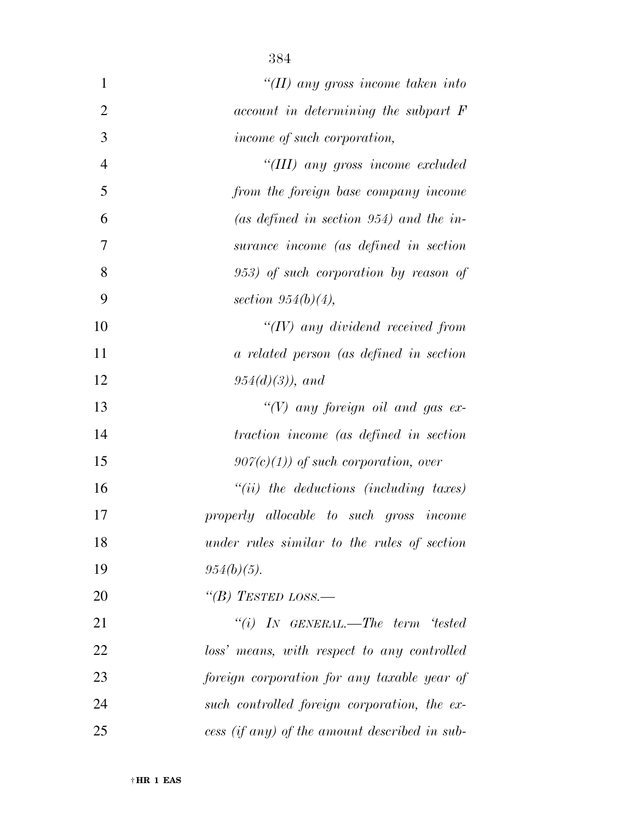| $\mathbf{1}$   | "(II) any gross income taken into             |
|----------------|-----------------------------------------------|
| $\overline{2}$ | account in determining the subpart F          |
| 3              | income of such corporation,                   |
| $\overline{4}$ | "(III) any gross income excluded              |
| 5              | from the foreign base company income          |
| 6              | (as defined in section 954) and the in-       |
| $\overline{7}$ | surance income (as defined in section         |
| 8              | 953) of such corporation by reason of         |
| 9              | section $954(b)(4)$ ,                         |
| 10             | $\lq (IV)$ any dividend received from         |
| 11             | a related person (as defined in section       |
| 12             | $954(d)(3)$ , and                             |
| 13             | " $(V)$ any foreign oil and gas ex-           |
| 14             | traction income (as defined in section        |
| 15             | $907(c)(1)$ of such corporation, over         |
| 16             | $"(ii)$ the deductions (including taxes)      |
| 17             | properly allocable to such gross income       |
| 18             | under rules similar to the rules of section   |
| 19             | $954(b)(5)$ .                                 |
| 20             | "(B) TESTED LOSS.—                            |
| 21             | "(i) IN GENERAL.—The term 'tested             |
| 22             | loss' means, with respect to any controlled   |
| 23             | foreign corporation for any taxable year of   |
| 24             | such controlled foreign corporation, the ex-  |
| 25             | cess (if any) of the amount described in sub- |

† **HR 1 EAS**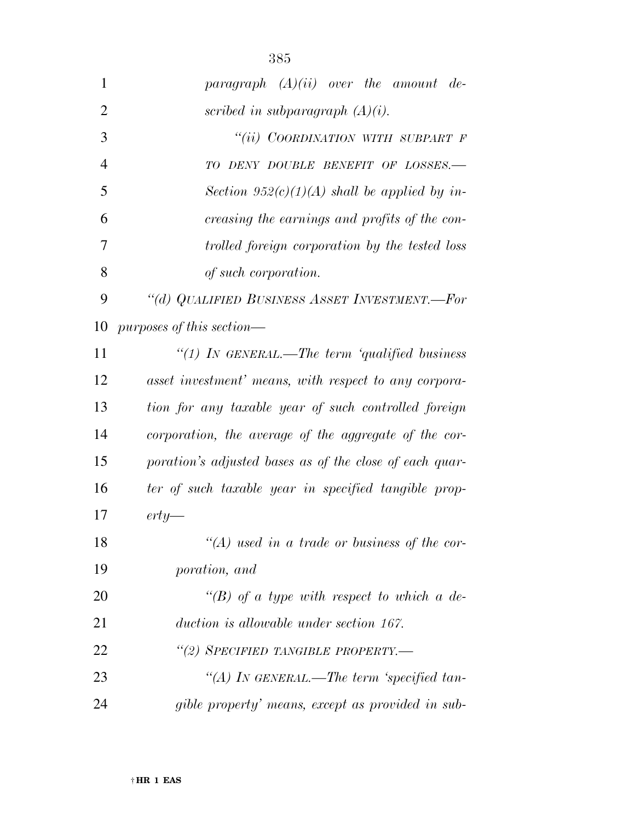| 1  | paragraph $(A)(ii)$ over the amount de-                 |
|----|---------------------------------------------------------|
| 2  | scribed in subparagraph $(A)(i)$ .                      |
| 3  | "(ii) COORDINATION WITH SUBPART F                       |
| 4  | TO DENY DOUBLE BENEFIT OF LOSSES.-                      |
| 5  | Section $952(c)(1)(A)$ shall be applied by in-          |
| 6  | creasing the earnings and profits of the con-           |
| 7  | trolled foreign corporation by the tested loss          |
| 8  | of such corporation.                                    |
| 9  | "(d) QUALIFIED BUSINESS ASSET INVESTMENT.-For           |
| 10 | purposes of this section—                               |
| 11 | "(1) IN GENERAL.—The term 'qualified business           |
| 12 | asset investment' means, with respect to any corpora-   |
| 13 | tion for any taxable year of such controlled foreign    |
| 14 | corporation, the average of the aggregate of the cor-   |
| 15 | poration's adjusted bases as of the close of each quar- |
| 16 | ter of such taxable year in specified tangible prop-    |
| 17 | $\text{erty}$ —                                         |
| 18 | $\lq (A)$ used in a trade or business of the cor-       |
| 19 | poration, and                                           |
| 20 | "(B) of a type with respect to which a de-              |
| 21 | duction is allowable under section 167.                 |
| 22 | "(2) SPECIFIED TANGIBLE PROPERTY.—                      |
| 23 | "(A) In GENERAL.—The term 'specified tan-               |
| 24 | gible property' means, except as provided in sub-       |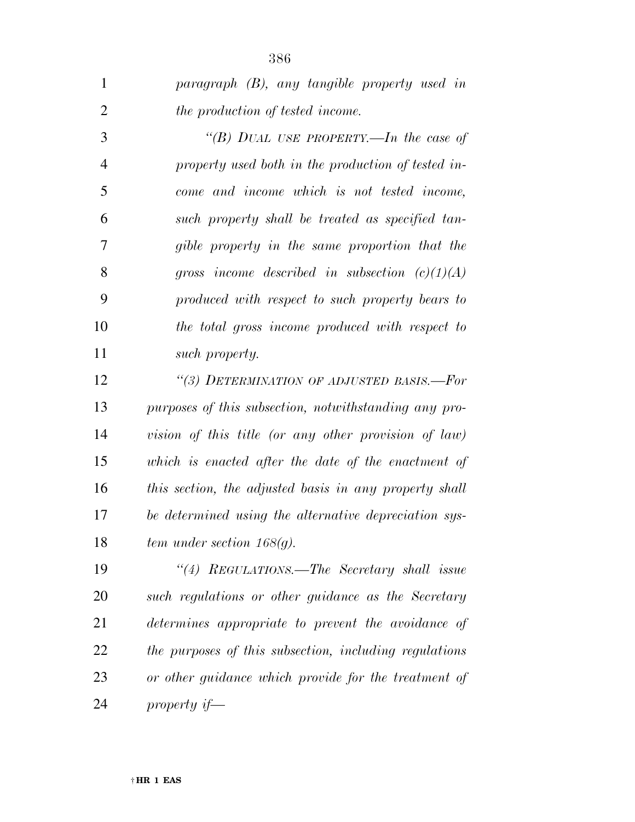| 1              | paragraph (B), any tangible property used in           |
|----------------|--------------------------------------------------------|
| $\overline{2}$ | the production of tested income.                       |
| 3              | "(B) DUAL USE PROPERTY.—In the case of                 |
| 4              | property used both in the production of tested in-     |
| 5              | come and income which is not tested income,            |
| 6              | such property shall be treated as specified tan-       |
| 7              | gible property in the same proportion that the         |
| 8              | gross income described in subsection $(c)(1)(A)$       |
| 9              | produced with respect to such property bears to        |
| 10             | the total gross income produced with respect to        |
| 11             | such property.                                         |
| 12             | "(3) DETERMINATION OF ADJUSTED BASIS.—For              |
| 13             | purposes of this subsection, notwithstanding any pro-  |
| 14             | vision of this title (or any other provision of law)   |
| 15             | which is enacted after the date of the enactment of    |
| 16             | this section, the adjusted basis in any property shall |
| 17             | be determined using the alternative depreciation sys-  |
| 18             | tem under section $168(g)$ .                           |
| 19             | "(4) REGULATIONS.—The Secretary shall issue            |
| 20             | such regulations or other guidance as the Secretary    |
| 21             | determines appropriate to prevent the avoidance of     |
| 22             | the purposes of this subsection, including regulations |
| 23             | or other guidance which provide for the treatment of   |
| 24             | property $if$ —                                        |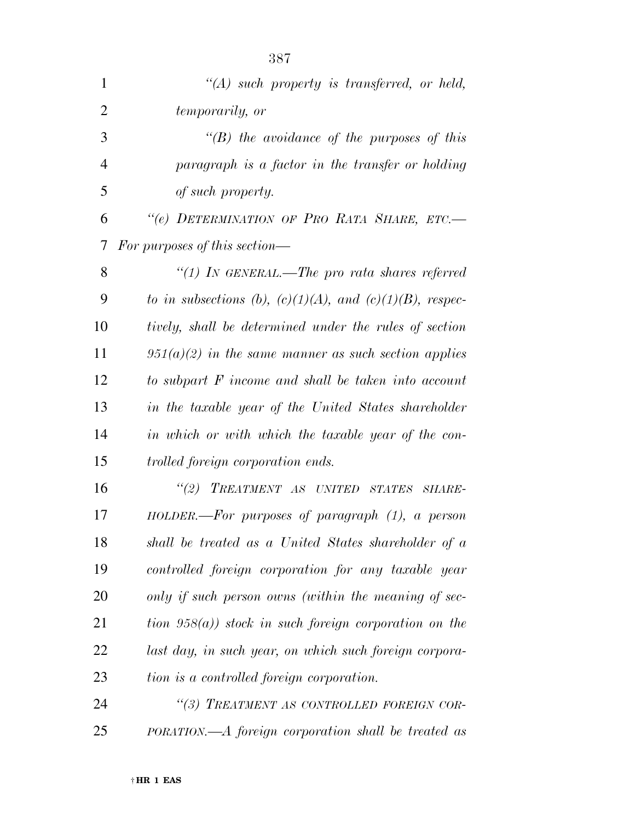| 1              | $\lq\lq (A)$ such property is transferred, or held,            |
|----------------|----------------------------------------------------------------|
| $\overline{2}$ | temporarily, or                                                |
| 3              | $\lq\lq(B)$ the avoidance of the purposes of this              |
| 4              | paragraph is a factor in the transfer or holding               |
| 5              | of such property.                                              |
| 6              | "(e) DETERMINATION OF PRO RATA SHARE, ETC.-                    |
| 7              | For purposes of this section—                                  |
| 8              | "(1) IN GENERAL.—The pro rata shares referred                  |
| 9              | to in subsections (b), $(c)(1)(A)$ , and $(c)(1)(B)$ , respec- |
| 10             | tively, shall be determined under the rules of section         |
| 11             | $951(a)(2)$ in the same manner as such section applies         |
| 12             | to subpart F income and shall be taken into account            |
| 13             | in the taxable year of the United States shareholder           |
| 14             | in which or with which the taxable year of the con-            |
| 15             | trolled foreign corporation ends.                              |
| 16             | "(2) TREATMENT AS UNITED STATES SHARE-                         |
| 17             | $HOLDER.$ --For purposes of paragraph $(1)$ , a person         |
| 18             | shall be treated as a United States shareholder of a           |
| 19             | controlled foreign corporation for any taxable year            |
| 20             | only if such person owns (within the meaning of sec-           |
| 21             | tion $958(a)$ ) stock in such foreign corporation on the       |
| 22             | last day, in such year, on which such foreign corpora-         |
| 23             | tion is a controlled foreign corporation.                      |
| 24             | "(3) TREATMENT AS CONTROLLED FOREIGN COR-                      |
| 25             | PORATION.—A foreign corporation shall be treated as            |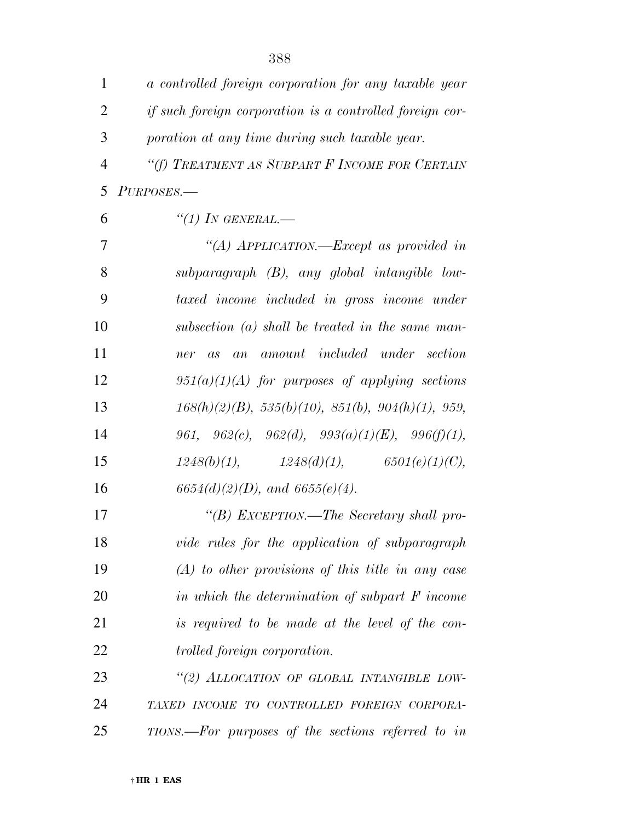| $\mathbf{1}$   | a controlled foreign corporation for any taxable year            |
|----------------|------------------------------------------------------------------|
| $\overline{2}$ | <i>if such foreign corporation is a controlled foreign cor-</i>  |
| 3              | poration at any time during such taxable year.                   |
| $\overline{4}$ | "(f) TREATMENT AS SUBPART F INCOME FOR CERTAIN                   |
| 5              | PURPOSES.-                                                       |
| 6              | $``(1)$ In GENERAL.—                                             |
| 7              | "(A) APPLICATION.—Except as provided in                          |
| 8              | $subparagraph$ $(B)$ , any global intangible low-                |
| 9              | taxed income included in gross income under                      |
| 10             | subsection (a) shall be treated in the same man-                 |
| 11             | amount included under section<br>ner as an                       |
| 12             | $951(a)(1)(A)$ for purposes of applying sections                 |
| 13             | $168(h)(2)(B)$ , $535(h)(10)$ , $851(h)$ , $904(h)(1)$ , $959$ , |
| 14             | 961, 962(c), 962(d), 993(a)(1)(E), 996(f)(1),                    |
| 15             | $1248(b)(1),$ $1248(d)(1),$ $6501(e)(1)(C),$                     |
| 16             | $6654(d)(2)(D)$ , and $6655(e)(4)$ .                             |
| 17             | "(B) EXCEPTION.—The Secretary shall pro-                         |
| 18             | vide rules for the application of subparagraph                   |
| 19             | $(A)$ to other provisions of this title in any case              |
| 20             | in which the determination of subpart $F$ income                 |
| 21             | is required to be made at the level of the con-                  |
| 22             | <i>trolled foreign corporation.</i>                              |
| 23             | "(2) ALLOCATION OF GLOBAL INTANGIBLE LOW-                        |
| 24             | TAXED INCOME TO CONTROLLED FOREIGN CORPORA-                      |
| 25             | $TIONS.$ For purposes of the sections referred to in             |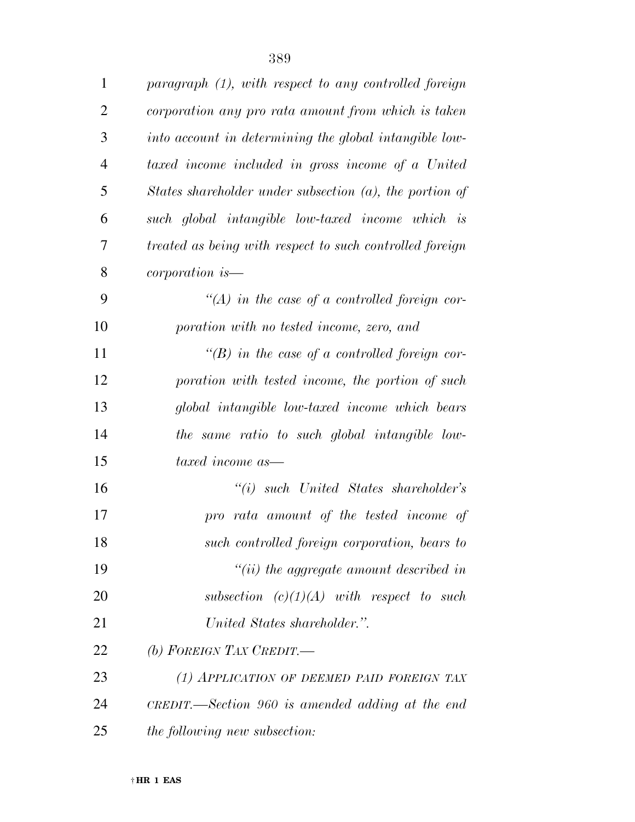| $\mathbf{1}$   | paragraph (1), with respect to any controlled foreign      |
|----------------|------------------------------------------------------------|
| $\overline{c}$ | corporation any pro rata amount from which is taken        |
| 3              | into account in determining the global intangible low-     |
| $\overline{4}$ | taxed income included in gross income of a United          |
| 5              | States shareholder under subsection $(a)$ , the portion of |
| 6              | such global intangible low-taxed income which is           |
| $\tau$         | treated as being with respect to such controlled foreign   |
| 8              | <i>corporation</i> is—                                     |
| 9              | $\lq (A)$ in the case of a controlled foreign cor-         |
| 10             | poration with no tested income, zero, and                  |
| 11             | $\lq\lq(B)$ in the case of a controlled foreign cor-       |
| 12             | poration with tested income, the portion of such           |
| 13             | global intangible low-taxed income which bears             |
| 14             | the same ratio to such global intangible low-              |
| 15             | taxed income as—                                           |
| 16             | $``(i)$ such United States shareholder's                   |
| 17             | pro rata amount of the tested income of                    |
| 18             | such controlled foreign corporation, bears to              |
| 19             | $``(ii)$ the aggregate amount described in                 |
| 20             | subsection $(c)(1)(A)$ with respect to such                |
| 21             | United States shareholder.".                               |
| 22             | (b) FOREIGN TAX CREDIT.—                                   |
| 23             | (1) APPLICATION OF DEEMED PAID FOREIGN TAX                 |
| 24             | CREDIT.—Section 960 is amended adding at the end           |
| 25             | <i>the following new subsection:</i>                       |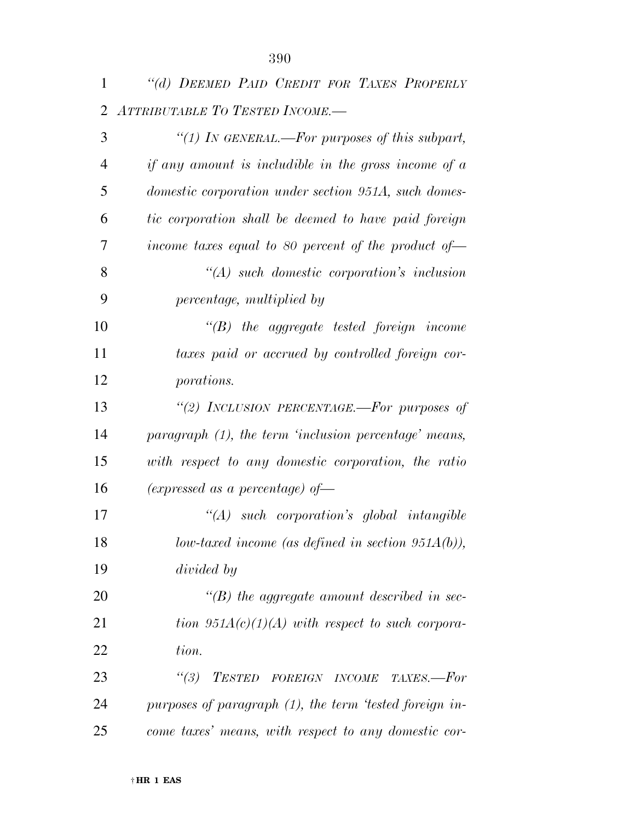| 1  | "(d) DEEMED PAID CREDIT FOR TAXES PROPERLY                        |
|----|-------------------------------------------------------------------|
| 2  | ATTRIBUTABLE TO TESTED INCOME.-                                   |
| 3  | "(1) IN GENERAL.—For purposes of this subpart,                    |
| 4  | if any amount is includible in the gross income of $a$            |
| 5  | domestic corporation under section 951A, such domes-              |
| 6  | tic corporation shall be deemed to have paid foreign              |
| 7  | income taxes equal to 80 percent of the product of $\overline{a}$ |
| 8  | $\lq (A)$ such domestic corporation's inclusion                   |
| 9  | percentage, multiplied by                                         |
| 10 | $\lq\lq B$ the aggregate tested foreign income                    |
| 11 | taxes paid or accrued by controlled foreign cor-                  |
| 12 | porations.                                                        |
| 13 | "(2) INCLUSION PERCENTAGE.—For purposes of                        |
| 14 | paragraph (1), the term 'inclusion percentage' means,             |
| 15 | with respect to any domestic corporation, the ratio               |
| 16 | (expressed as a percentage) of $\equiv$                           |
| 17 | $\lq (A)$ such corporation's global intangible                    |
| 18 | $low\text{-}taxed\text{ income (as defined in section 951A(b))},$ |
| 19 | divided by                                                        |
| 20 | $\lq\lq(B)$ the aggregate amount described in sec-                |
| 21 | tion $951A(c)(1)(A)$ with respect to such corpora-                |
| 22 | tion.                                                             |
| 23 | $\degree(3)$<br>TESTED FOREIGN INCOME TAXES.-For                  |
| 24 | purposes of paragraph (1), the term 'tested foreign in-           |
| 25 | come taxes' means, with respect to any domestic cor-              |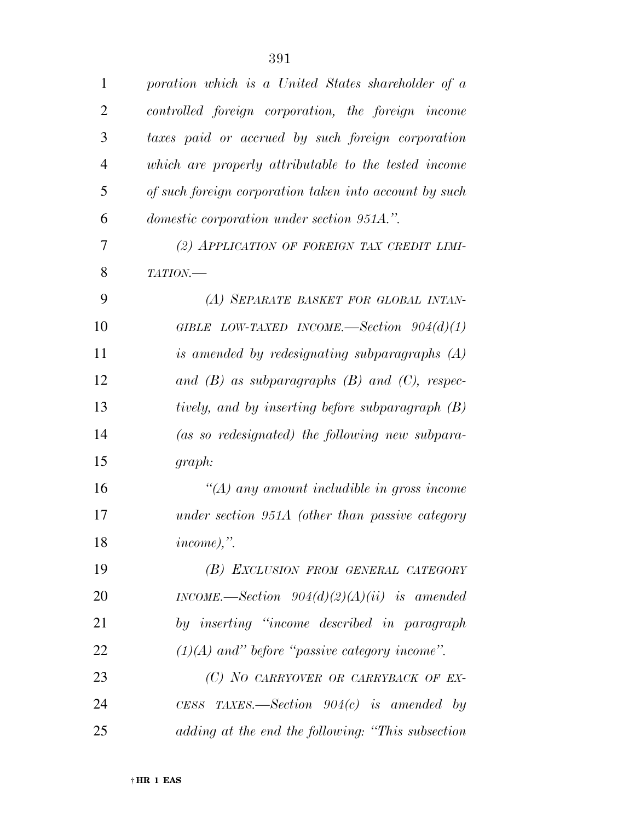| $\mathbf{1}$   | poration which is a United States shareholder of a     |
|----------------|--------------------------------------------------------|
| $\overline{2}$ | controlled foreign corporation, the foreign income     |
| 3              | taxes paid or accrued by such foreign corporation      |
| $\overline{4}$ | which are properly attributable to the tested income   |
| 5              | of such foreign corporation taken into account by such |
| 6              | <i>domestic corporation under section 951A.".</i>      |
| 7              | (2) APPLICATION OF FOREIGN TAX CREDIT LIMI-            |
| 8              | TATION.                                                |
| 9              | (A) SEPARATE BASKET FOR GLOBAL INTAN-                  |
| 10             | GIBLE LOW-TAXED INCOME.—Section $904(d)(1)$            |
| 11             | is amended by redesignating subparagraphs $(A)$        |
| 12             | and $(B)$ as subparagraphs $(B)$ and $(C)$ , respec-   |
| 13             | tively, and by inserting before subparagraph (B)       |
| 14             | (as so redesignated) the following new subpara-        |
| 15             | graph:                                                 |
| 16             | $\lq (A)$ any amount includible in gross income        |
| 17             | under section 951A (other than passive category        |
| 18             | $income$ ,".                                           |
| 19             | (B) EXCLUSION FROM GENERAL CATEGORY                    |
| <b>20</b>      | INCOME.—Section $904(d)(2)(A)(ii)$ is amended          |
| 21             | by inserting "income described in paragraph"           |
| 22             | $(1)(A)$ and" before "passive category income".        |
| 23             | (C) NO CARRYOVER OR CARRYBACK OF EX-                   |
| 24             | CESS TAXES.—Section $904(c)$ is amended by             |
| 25             | adding at the end the following: "This subsection"     |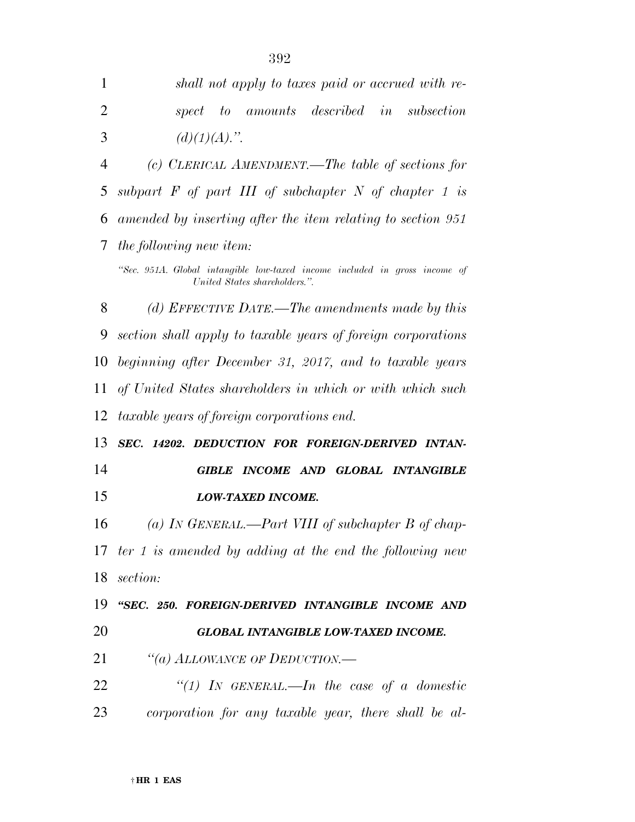| 1              | shall not apply to taxes paid or accrued with re-                                                           |
|----------------|-------------------------------------------------------------------------------------------------------------|
| $\overline{2}$ | amounts described<br>in<br>subsection<br>$- to$<br>spect                                                    |
| 3              | $(d)(1)(A)$ .".                                                                                             |
| 4              | (c) CLERICAL AMENDMENT.—The table of sections for                                                           |
| 5              | subpart $F$ of part III of subchapter N of chapter 1 is                                                     |
| 6              | amended by inserting after the item relating to section 951                                                 |
| 7              | the following new item:                                                                                     |
|                | "Sec. 951A. Global intangible low-taxed income included in gross income of<br>United States shareholders.". |
| 8              | (d) EFFECTIVE DATE.—The amendments made by this                                                             |
| 9              | section shall apply to taxable years of foreign corporations                                                |
| 10             | beginning after December 31, 2017, and to taxable years                                                     |
| 11             | of United States shareholders in which or with which such                                                   |
| 12             | <i>taxable years of foreign corporations end.</i>                                                           |
| 13             | SEC. 14202. DEDUCTION FOR FOREIGN-DERIVED INTAN-                                                            |
| 14             | INCOME AND GLOBAL INTANGIBLE<br><b>GIBLE</b>                                                                |
| 15             | LOW-TAXED INCOME.                                                                                           |
| 16             | (a) IN GENERAL.—Part VIII of subchapter $B$ of chap-                                                        |
|                | 17 ter 1 is amended by adding at the end the following new                                                  |
| 18             | section:                                                                                                    |
| 19             | "SEC. 250. FOREIGN-DERIVED INTANGIBLE INCOME AND                                                            |
| 20             | <b>GLOBAL INTANGIBLE LOW-TAXED INCOME.</b>                                                                  |
| 21             | "(a) ALLOWANCE OF DEDUCTION.—                                                                               |
| 22             | "(1) IN GENERAL.—In the case of a domestic                                                                  |
| 23             | corporation for any taxable year, there shall be al-                                                        |
|                |                                                                                                             |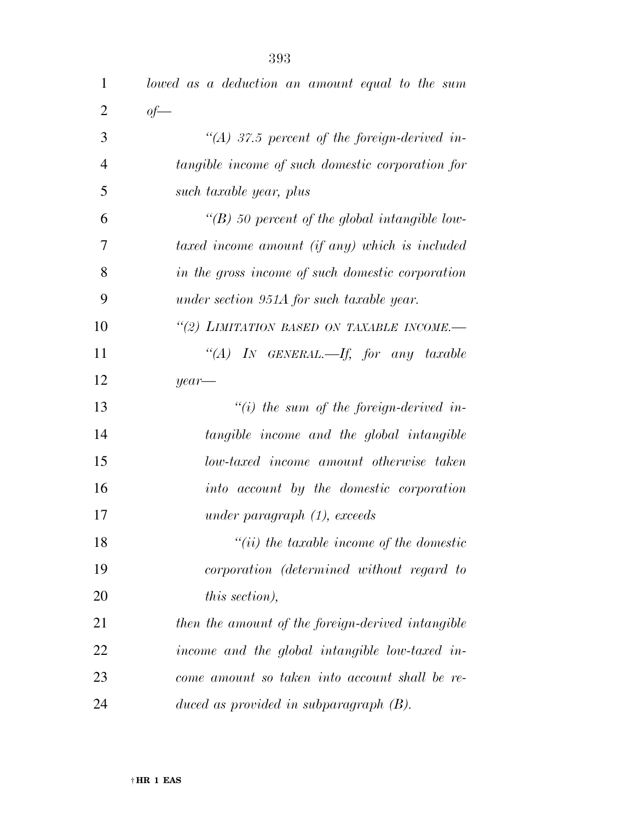| $\mathbf 1$    | lowed as a deduction an amount equal to the sum    |
|----------------|----------------------------------------------------|
| $\overline{2}$ | $of$ —                                             |
| 3              | $\lq (A)$ 37.5 percent of the foreign-derived in-  |
| $\overline{4}$ | tangible income of such domestic corporation for   |
| 5              | such taxable year, plus                            |
| 6              | $\lq (B)$ 50 percent of the global intangible low- |
| 7              | taxed income amount (if any) which is included     |
| 8              | in the gross income of such domestic corporation   |
| 9              | under section 951A for such taxable year.          |
| 10             | "(2) LIMITATION BASED ON TAXABLE INCOME.-          |
| 11             | "(A) IN GENERAL.—If, for any taxable               |
| 12             | $year-$                                            |
| 13             | "(i) the sum of the foreign-derived in-            |
| 14             | tangible income and the global intangible          |
| 15             | low-taxed income amount otherwise taken            |
| 16             | into account by the domestic corporation           |
| 17             | under paragraph $(1)$ , exceeds                    |
| 18             | $``(ii)$ the taxable income of the domestic        |
| 19             | corporation (determined without regard to          |
| 20             | this section),                                     |
| 21             | then the amount of the foreign-derived intangible  |
| 22             | income and the global intangible low-taxed in-     |
| 23             | come amount so taken into account shall be re-     |
| 24             | duced as provided in subparagraph $(B)$ .          |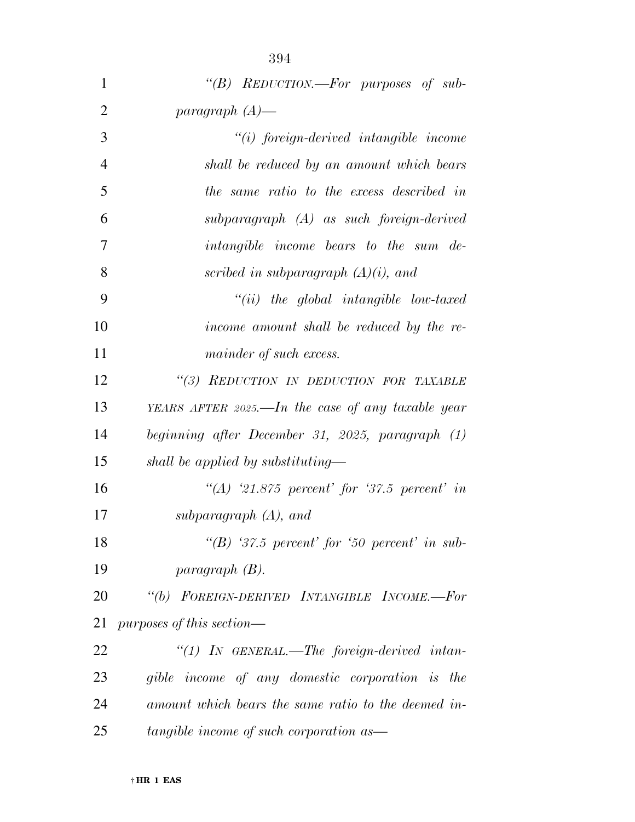| $\mathbf{1}$   | "(B) REDUCTION.—For purposes of sub-                |
|----------------|-----------------------------------------------------|
| $\overline{2}$ | paragraph $(A)$ —                                   |
| 3              | $"(i)$ foreign-derived intangible income            |
| $\overline{4}$ | shall be reduced by an amount which bears           |
| 5              | the same ratio to the excess described in           |
| 6              | subparagraph (A) as such foreign-derived            |
| $\overline{7}$ | <i>intangible income bears to the sum de-</i>       |
| 8              | scribed in subparagraph $(A)(i)$ , and              |
| 9              | $``(ii)$ the global intangible low-taxed            |
| 10             | income amount shall be reduced by the re-           |
| 11             | mainder of such excess.                             |
| 12             | "(3) REDUCTION IN DEDUCTION FOR TAXABLE             |
| 13             | YEARS AFTER 2025.—In the case of any taxable year   |
| 14             | beginning after December 31, 2025, paragraph (1)    |
| 15             | shall be applied by substituting—                   |
| 16             | $\lq (A)$ 21.875 percent for 37.5 percent in        |
| 17             | subparagraph $(A)$ , and                            |
| 18             | "(B) '37.5 percent' for '50 percent' in sub-        |
| 19             | paragnph(B).                                        |
| 20             | "(b) FOREIGN-DERIVED INTANGIBLE INCOME.-For         |
| 21             | purposes of this section—                           |
| 22             | "(1) IN GENERAL.—The foreign-derived intan-         |
| 23             | gible income of any domestic corporation is the     |
| 24             | amount which bears the same ratio to the deemed in- |

*tangible income of such corporation as—*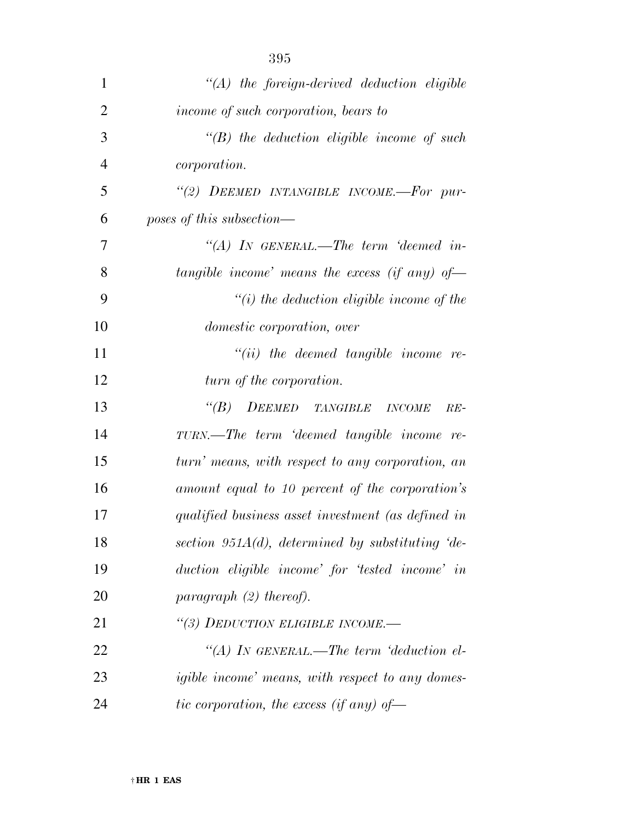| 1              | $\lq (A)$ the foreign-derived deduction eligible       |
|----------------|--------------------------------------------------------|
| $\overline{2}$ | income of such corporation, bears to                   |
| 3              | $\lq\lq(B)$ the deduction eligible income of such      |
| $\overline{4}$ | <i>corporation.</i>                                    |
| 5              | "(2) DEEMED INTANGIBLE INCOME.-For pur-                |
| 6              | poses of this subsection—                              |
| 7              | "(A) In GENERAL.—The term 'deemed in-                  |
| 8              | tangible income' means the excess (if any) of-         |
| 9              | $\lq\lq(i)$ the deduction eligible income of the       |
| 10             | <i>domestic corporation, over</i>                      |
| 11             | $``(ii)$ the deemed tangible income re-                |
| 12             | turn of the corporation.                               |
| 13             | <b>DEEMED</b> TANGIBLE INCOME<br>$\lq(B)$<br>$RE-$     |
| 14             | TURN.—The term 'deemed tangible income re-             |
| 15             | turn' means, with respect to any corporation, an       |
| 16             | amount equal to 10 percent of the corporation's        |
| 17             | qualified business asset investment (as defined in     |
| 18             | section 951 $A(d)$ , determined by substituting 'de-   |
| 19             | duction eligible income' for 'tested income' in        |
| 20             | paragraph $(2)$ thereof).                              |
| 21             | "(3) DEDUCTION ELIGIBLE INCOME.-                       |
| 22             | "(A) IN GENERAL.—The term 'deduction el-               |
| 23             | <i>igible income</i> means, with respect to any domes- |
| 24             | tic corporation, the excess (if any) of-               |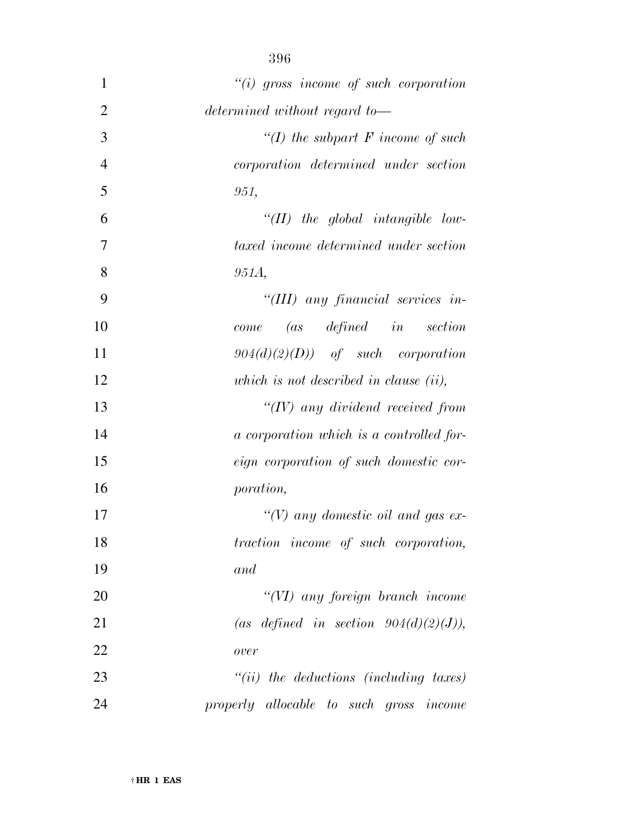| $\mathbf{1}$   | $``(i)$ gross income of such corporation           |
|----------------|----------------------------------------------------|
| $\overline{2}$ | determined without regard to-                      |
| 3              | "(I) the subpart $F$ income of such                |
| $\overline{4}$ | corporation determined under section               |
| 5              | 951,                                               |
| 6              | $\lq (II)$ the global intangible low-              |
| 7              | taxed income determined under section              |
| 8              | 951A,                                              |
| 9              | "(III) any financial services in-                  |
| 10             | $(as \quad defined \quad in \quad section$<br>come |
| 11             | $904(d)(2)(D)$ of such corporation                 |
| 12             | which is not described in clause $(ii)$ ,          |
| 13             | $H(V)$ any dividend received from                  |
| 14             | a corporation which is a controlled for-           |
| 15             | eign corporation of such domestic cor-             |
| 16             | <i>poration,</i>                                   |
| 17             | "(V) any domestic oil and gas ex-                  |
| 18             | traction income of such corporation,               |
| 19             | and                                                |
| 20             | "(VI) any foreign branch income                    |
| 21             | (as defined in section $904(d)(2)(J)$ ),           |
| 22             | over                                               |
| 23             | $``(ii)$ the deductions (including taxes)          |
| 24             | properly allocable to such gross income            |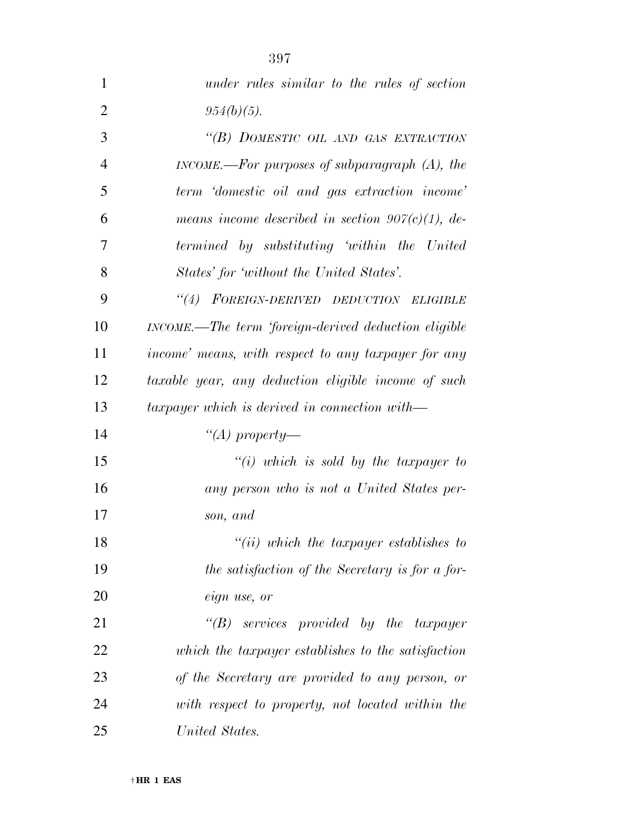| $\mathbf{1}$   | under rules similar to the rules of section          |
|----------------|------------------------------------------------------|
| $\overline{2}$ | $954(b)(5)$ .                                        |
| 3              | "(B) DOMESTIC OIL AND GAS EXTRACTION                 |
| $\overline{4}$ | INCOME.—For purposes of subparagraph $(A)$ , the     |
| 5              | term 'domestic oil and gas extraction income'        |
| 6              | means income described in section $907(c)(1)$ , de-  |
| 7              | termined by substituting 'within the United          |
| 8              | States' for 'without the United States'.             |
| 9              | "(4) FOREIGN-DERIVED DEDUCTION ELIGIBLE              |
| 10             | INCOME.—The term 'foreign-derived deduction eligible |
| 11             | income' means, with respect to any taxpayer for any  |
| 12             | taxable year, any deduction eligible income of such  |
| 13             | $taryayer$ which is derived in connection with-      |
| 14             | "(A) property—                                       |
| 15             | $``(i)$ which is sold by the taxpayer to             |
| 16             | any person who is not a United States per-           |
| 17             | son, and                                             |
| 18             | $``(ii)$ which the taxpayer establishes to           |
| 19             | the satisfaction of the Secretary is for a for-      |
| 20             | eign use, or                                         |
| 21             | $\lq\lq B$ services provided by the taxpayer         |
| 22             | which the taxpayer establishes to the satisfaction   |
| 23             | of the Secretary are provided to any person, or      |
| 24             | with respect to property, not located within the     |
| 25             | United States.                                       |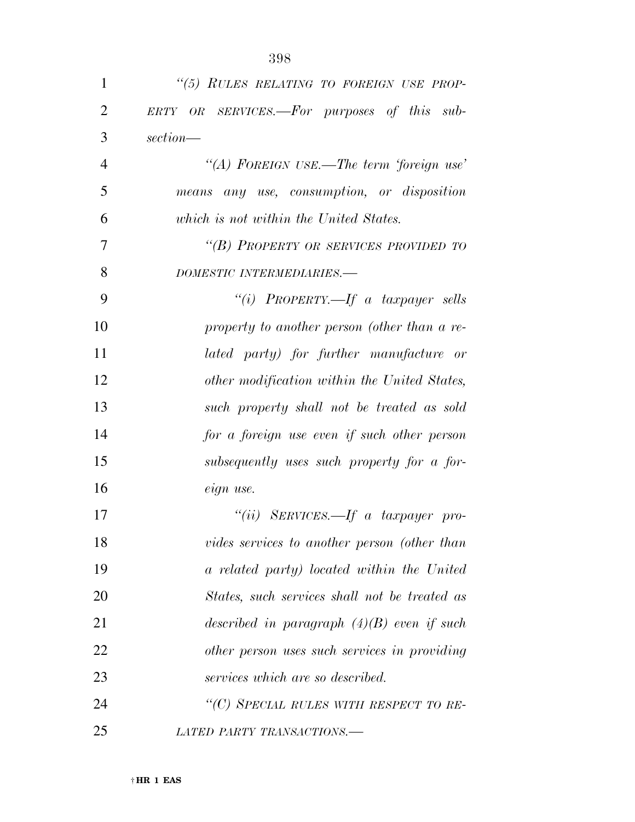| 1              | "(5) RULES RELATING TO FOREIGN USE PROP-      |
|----------------|-----------------------------------------------|
| $\overline{2}$ | ERTY OR SERVICES.—For purposes of this sub-   |
| 3              | section—                                      |
| $\overline{4}$ | "(A) FOREIGN USE.—The term 'foreign use'      |
| 5              | means any use, consumption, or disposition    |
| 6              | which is not within the United States.        |
| 7              | "(B) PROPERTY OR SERVICES PROVIDED TO         |
| 8              | DOMESTIC INTERMEDIARIES.-                     |
| 9              | "(i) PROPERTY.—If a taxpayer sells            |
| 10             | property to another person (other than a re-  |
| 11             | lated party) for further manufacture or       |
| 12             | other modification within the United States,  |
| 13             | such property shall not be treated as sold    |
| 14             | for a foreign use even if such other person   |
| 15             | subsequently uses such property for a for-    |
| 16             | eign use.                                     |
| 17             | "(ii) SERVICES.—If a taxpayer pro-            |
| 18             | vides services to another person (other than  |
| 19             | a related party) located within the United    |
| 20             | States, such services shall not be treated as |
| 21             | described in paragraph $(4)(B)$ even if such  |
| 22             | other person uses such services in providing  |
| 23             | services which are so described.              |
| 24             | "(C) SPECIAL RULES WITH RESPECT TO RE-        |
| 25             | LATED PARTY TRANSACTIONS.                     |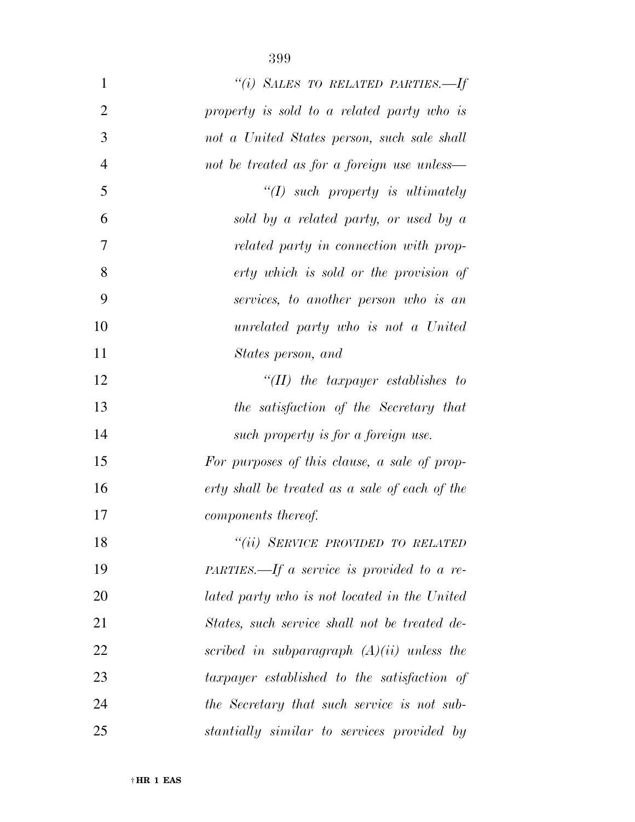| $\mathbf{1}$   | "(i) SALES TO RELATED PARTIES.-If              |
|----------------|------------------------------------------------|
| $\overline{2}$ | property is sold to a related party who is     |
| 3              | not a United States person, such sale shall    |
| $\overline{4}$ | not be treated as for a foreign use unless—    |
| 5              | $\lq (I)$ such property is ultimately          |
| 6              | sold by a related party, or used by a          |
| 7              | related party in connection with prop-         |
| 8              | erty which is sold or the provision of         |
| 9              | services, to another person who is an          |
| 10             | unrelated party who is not a United            |
| 11             | States person, and                             |
| 12             | $``(II)$ the taxpayer establishes to           |
| 13             | the satisfaction of the Secretary that         |
| 14             | such property is for a foreign use.            |
| 15             | For purposes of this clause, a sale of prop-   |
| 16             | erty shall be treated as a sale of each of the |
| 17             | components thereof.                            |
| 18             | "(ii) SERVICE PROVIDED TO RELATED              |
| 19             | $PARTIES. - If a service is provided to a re-$ |
| 20             | lated party who is not located in the United   |
| 21             | States, such service shall not be treated de-  |
| 22             | scribed in subparagraph $(A)(ii)$ unless the   |
| 23             | taxpayer established to the satisfaction of    |
| 24             | the Secretary that such service is not sub-    |
| 25             | stantially similar to services provided by     |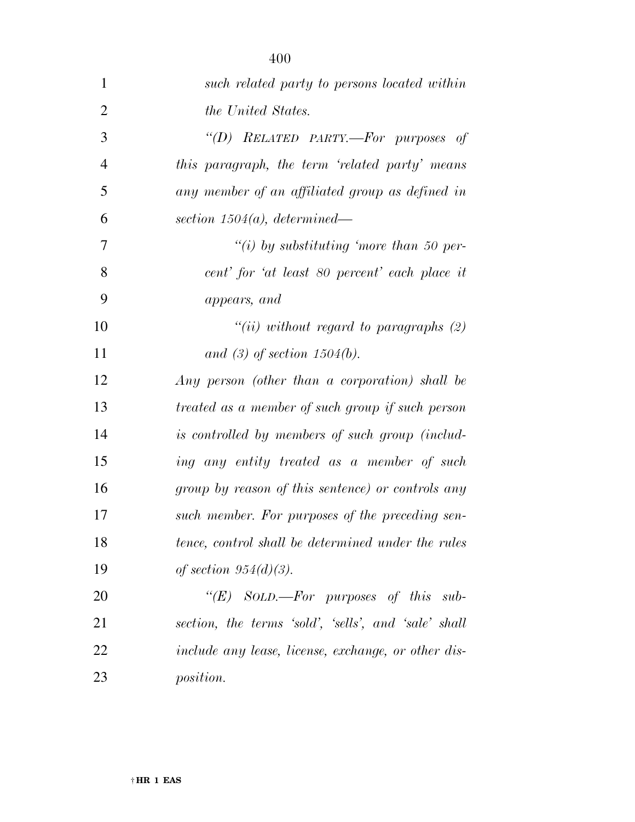| $\mathbf{1}$   | such related party to persons located within         |
|----------------|------------------------------------------------------|
| $\overline{2}$ | the United States.                                   |
| 3              | "(D) RELATED PARTY,—For purposes of                  |
| $\overline{4}$ | this paragraph, the term 'related party' means       |
| 5              | any member of an affiliated group as defined in      |
| 6              | section $1504(a)$ , determined—                      |
| 7              | "(i) by substituting 'more than 50 per-              |
| 8              | cent' for 'at least 80 percent' each place it        |
| 9              | appears, and                                         |
| 10             | "(ii) without regard to paragraphs $(2)$             |
| 11             | and (3) of section $1504(b)$ .                       |
| 12             | Any person (other than a corporation) shall be       |
| 13             | treated as a member of such group if such person     |
| 14             | is controlled by members of such group (includ-      |
| 15             | ing any entity treated as a member of such           |
| 16             | group by reason of this sentence) or controls any    |
| 17             | such member. For purposes of the preceding sen-      |
| 18             | tence, control shall be determined under the rules   |
| 19             | of section $954(d)(3)$ .                             |
| 20             | " $(E)$ SOLD.—For purposes of this sub-              |
| 21             | section, the terms 'sold', 'sells', and 'sale' shall |
| 22             | include any lease, license, exchange, or other dis-  |
| 23             | <i>position.</i>                                     |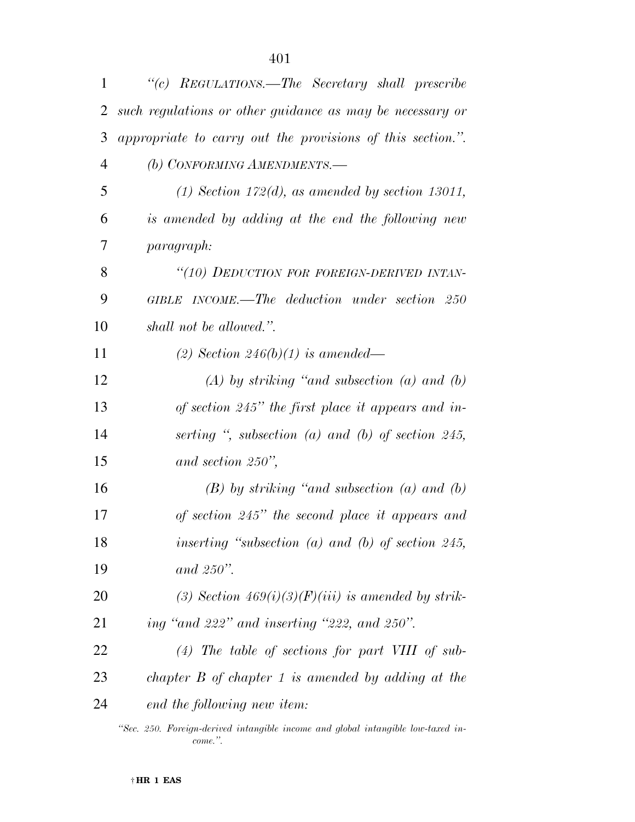| $\mathbf{1}$ | "(c) REGULATIONS.—The Secretary shall prescribe                                  |
|--------------|----------------------------------------------------------------------------------|
| 2            | such regulations or other guidance as may be necessary or                        |
| 3            | appropriate to carry out the provisions of this section.".                       |
| 4            | (b) CONFORMING AMENDMENTS.-                                                      |
| 5            | $(1)$ Section 172 $(d)$ , as amended by section 13011,                           |
| 6            | is amended by adding at the end the following new                                |
| 7            | paragraph:                                                                       |
| 8            | "(10) DEDUCTION FOR FOREIGN-DERIVED INTAN-                                       |
| 9            | GIBLE INCOME.—The deduction under section 250                                    |
| 10           | shall not be allowed.".                                                          |
| 11           | (2) Section 246(b)(1) is amended—                                                |
| 12           | $(A)$ by striking "and subsection (a) and (b)                                    |
| 13           | of section $245$ " the first place it appears and in-                            |
| 14           | serting $\degree$ , subsection (a) and (b) of section 245,                       |
| 15           | and section $250$ ",                                                             |
| 16           | $(B)$ by striking "and subsection (a) and (b)                                    |
| 17           | of section 245" the second place it appears and                                  |
| 18           | inserting "subsection $(a)$ and $(b)$ of section 245,                            |
| 19           | and $250$ ".                                                                     |
| 20           | (3) Section $469(i)(3)(F)(iii)$ is amended by strik-                             |
| 21           | ing "and 222" and inserting "222, and 250".                                      |
| 22           | $(4)$ The table of sections for part VIII of sub-                                |
| 23           | chapter $B$ of chapter 1 is amended by adding at the                             |
| 24           | end the following new item:                                                      |
|              | "Sec. 250. Foreign-derived intangible income and global intangible low-taxed in- |

*come.''.*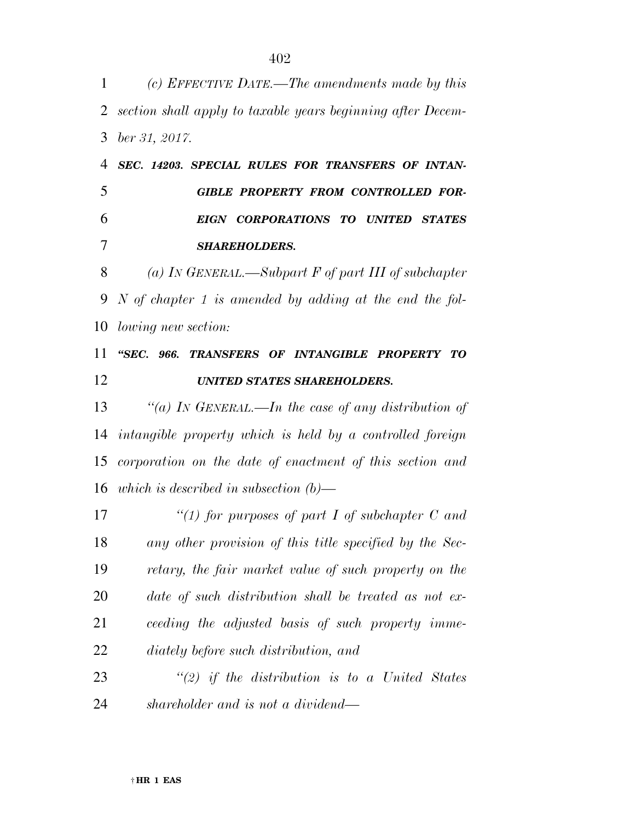*section shall apply to taxable years beginning after Decem- ber 31, 2017. SEC. 14203. SPECIAL RULES FOR TRANSFERS OF INTAN- GIBLE PROPERTY FROM CONTROLLED FOR- EIGN CORPORATIONS TO UNITED STATES SHAREHOLDERS. (a) IN GENERAL.—Subpart F of part III of subchapter N of chapter 1 is amended by adding at the end the fol- lowing new section: ''SEC. 966. TRANSFERS OF INTANGIBLE PROPERTY TO UNITED STATES SHAREHOLDERS.* 

 *''(a) IN GENERAL.—In the case of any distribution of intangible property which is held by a controlled foreign corporation on the date of enactment of this section and which is described in subsection (b)—* 

 *''(1) for purposes of part I of subchapter C and any other provision of this title specified by the Sec- retary, the fair market value of such property on the date of such distribution shall be treated as not ex- ceeding the adjusted basis of such property imme-diately before such distribution, and* 

 *''(2) if the distribution is to a United States shareholder and is not a dividend—* 

*(c) EFFECTIVE DATE.—The amendments made by this*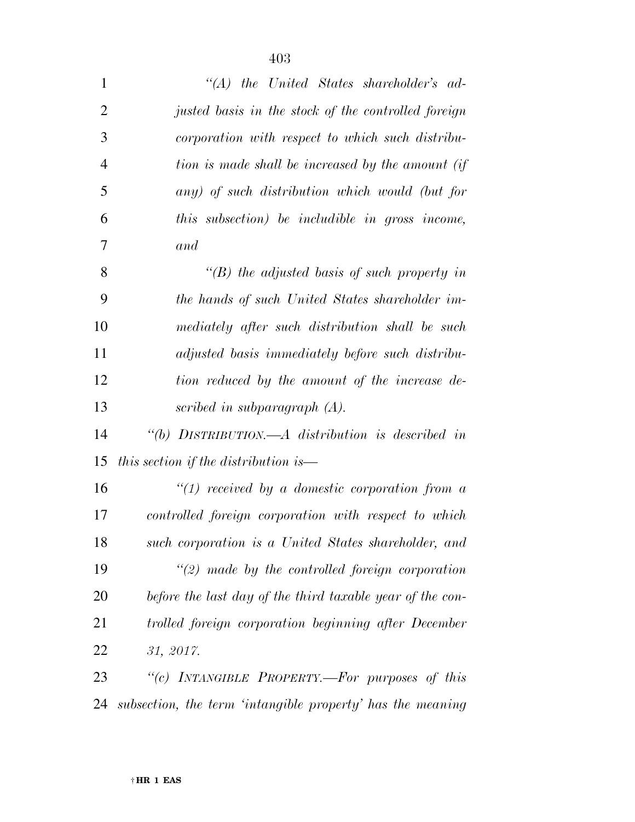| $\mathbf{1}$   | $\lq\lq (A)$ the United States shareholder's ad-           |
|----------------|------------------------------------------------------------|
| $\overline{2}$ | justed basis in the stock of the controlled foreign        |
| 3              | corporation with respect to which such distribu-           |
| $\overline{4}$ | tion is made shall be increased by the amount (if          |
| 5              | any) of such distribution which would (but for             |
| 6              | this subsection) be includible in gross income,            |
| 7              | and                                                        |
| 8              | $\lq\lq(B)$ the adjusted basis of such property in         |
| 9              | the hands of such United States shareholder im-            |
| 10             | mediately after such distribution shall be such            |
| 11             | adjusted basis immediately before such distribu-           |
| 12             | tion reduced by the amount of the increase de-             |
| 13             | scribed in subparagraph $(A)$ .                            |
| 14             | "(b) DISTRIBUTION.— $A$ distribution is described in       |
| 15             | this section if the distribution is—                       |
| 16             | $\lq(1)$ received by a domestic corporation from a         |
| 17             | controlled foreign corporation with respect to which       |
| 18             | such corporation is a United States shareholder, and       |
| 19             | $\lq(2)$ made by the controlled foreign corporation        |
| 20             | before the last day of the third taxable year of the con-  |
| 21             | trolled foreign corporation beginning after December       |
| 22             | 31, 2017.                                                  |
| 23             | "(c) INTANGIBLE PROPERTY.—For purposes of this             |
| 24             | subsection, the term 'intangible property' has the meaning |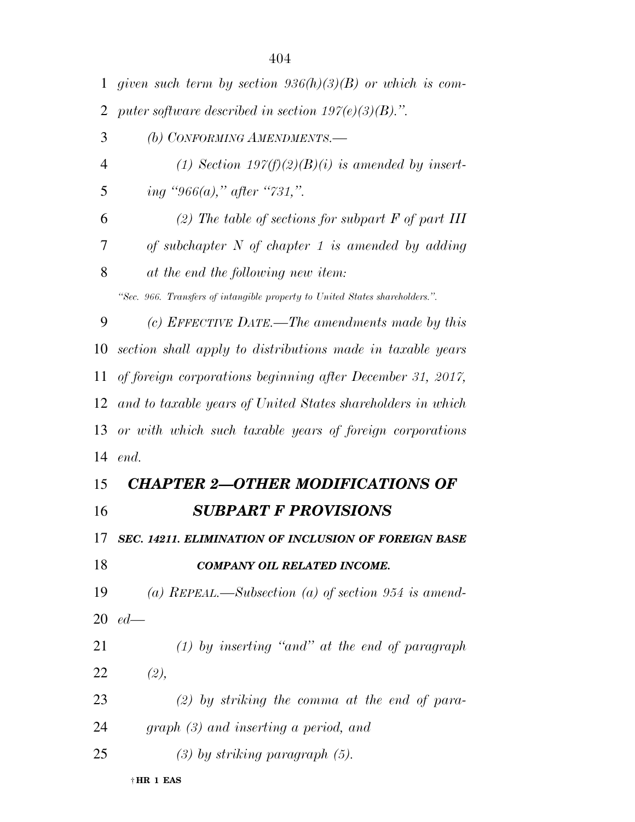| 1              | given such term by section $936(h)(3)(B)$ or which is com-                   |
|----------------|------------------------------------------------------------------------------|
| 2              | puter software described in section $197(e)(3)(B)$ .".                       |
| 3              | (b) CONFORMING AMENDMENTS.-                                                  |
| $\overline{4}$ | (1) Section $197(f)(2)(B)(i)$ is amended by insert-                          |
| 5              | ing "966(a)," after "731,".                                                  |
| 6              | (2) The table of sections for subpart $F$ of part III                        |
| 7              | of subchapter $N$ of chapter 1 is amended by adding                          |
| 8              | at the end the following new item:                                           |
|                | "Sec. 966. Transfers of intangible property to United States shareholders.". |
| 9              | (c) EFFECTIVE DATE.—The amendments made by this                              |
| 10             | section shall apply to distributions made in taxable years                   |
| 11             | of foreign corporations beginning after December 31, 2017,                   |
| 12             | and to taxable years of United States shareholders in which                  |
| 13             | or with which such taxable years of foreign corporations                     |
| 14             | end.                                                                         |
|                |                                                                              |
| 15             | <b>CHAPTER 2-OTHER MODIFICATIONS OF</b>                                      |
| 16             | <b>SUBPART F PROVISIONS</b>                                                  |
|                | 17 SEC. 14211. ELIMINATION OF INCLUSION OF FOREIGN BASE                      |
|                | <b>COMPANY OIL RELATED INCOME.</b>                                           |
| 18<br>19       | (a) REPEAL.—Subsection (a) of section 954 is amend-                          |
|                | 20 $ed-$                                                                     |
| 21             | $(1)$ by inserting "and" at the end of paragraph                             |
| <u>22</u>      | (2),                                                                         |
| 23             | $(2)$ by striking the comma at the end of para-                              |
| 24             | $graph (3)$ and inserting a period, and                                      |
| 25             | $(3)$ by striking paragraph $(5)$ .                                          |

† **HR 1 EAS**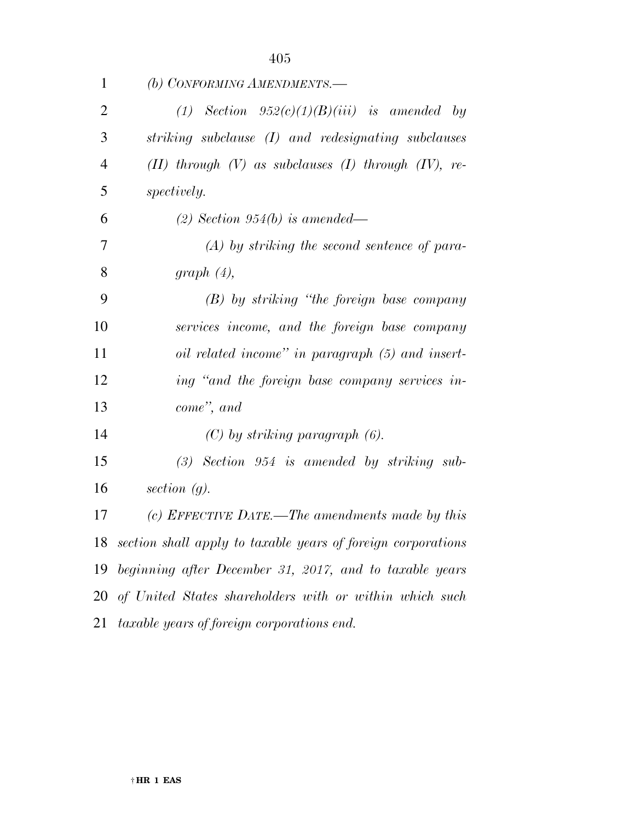| $\mathbf{1}$   | (b) CONFORMING AMENDMENTS.—                                   |
|----------------|---------------------------------------------------------------|
| $\overline{2}$ | (1) Section $952(c)(1)(B)(iii)$ is amended by                 |
| 3              | striking subclause (I) and redesignating subclauses           |
| $\overline{4}$ | $(II)$ through $(V)$ as subclauses $(I)$ through $(IV)$ , re- |
| 5              | <i>spectively.</i>                                            |
| 6              | $(2)$ Section 954(b) is amended—                              |
| 7              | $(A)$ by striking the second sentence of para-                |
| 8              | graph $(4)$ ,                                                 |
| 9              | (B) by striking "the foreign base company                     |
| $\Omega$       | required to come and the family have companied                |

 *services income, and the foreign base company oil related income'' in paragraph (5) and insert- ing ''and the foreign base company services in-come'', and* 

*(C) by striking paragraph (6).* 

 *(3) Section 954 is amended by striking sub-section (g).* 

 *(c) EFFECTIVE DATE.—The amendments made by this section shall apply to taxable years of foreign corporations beginning after December 31, 2017, and to taxable years of United States shareholders with or within which such taxable years of foreign corporations end.*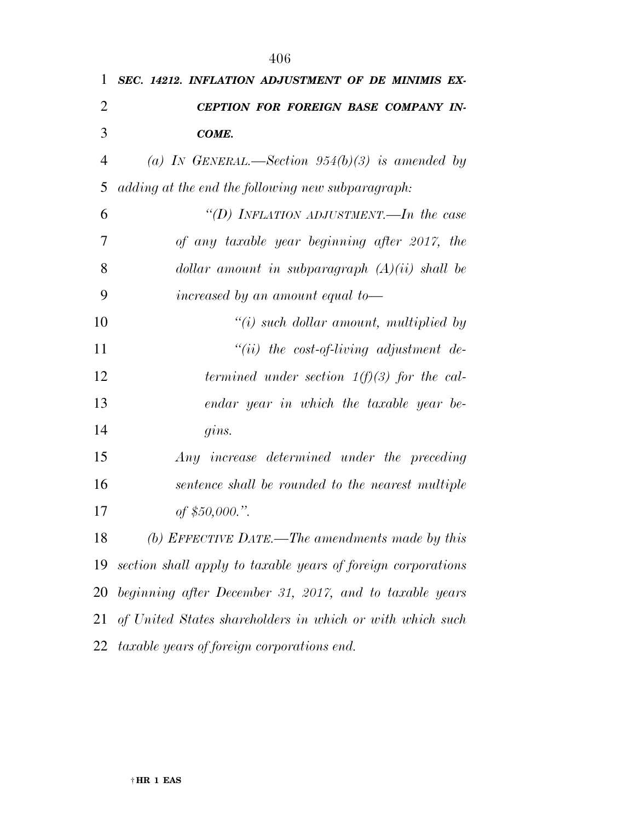| $\mathbf{1}$   | SEC. 14212. INFLATION ADJUSTMENT OF DE MINIMIS EX-           |
|----------------|--------------------------------------------------------------|
| $\overline{2}$ | CEPTION FOR FOREIGN BASE COMPANY IN-                         |
| 3              | COME.                                                        |
| $\overline{4}$ | (a) IN GENERAL.—Section $954(b)(3)$ is amended by            |
| 5              | adding at the end the following new subparagraph:            |
| 6              | "(D) INFLATION ADJUSTMENT.—In the case                       |
| 7              | of any taxable year beginning after 2017, the                |
| 8              | dollar amount in subparagraph $(A)(ii)$ shall be             |
| 9              | increased by an amount equal to-                             |
| 10             | $\lq\lq(i)$ such dollar amount, multiplied by                |
| 11             | $``(ii)$ the cost-of-living adjustment de-                   |
| 12             | termined under section $1(f)(3)$ for the cal-                |
| 13             | endar year in which the taxable year be-                     |
| 14             | gins.                                                        |
| 15             | Any increase determined under the preceding                  |
| 16             | sentence shall be rounded to the nearest multiple            |
| 17             | of $$50,000."$ .                                             |
| 18             | (b) EFFECTIVE DATE.—The amendments made by this              |
| 19             | section shall apply to taxable years of foreign corporations |
| 20             | beginning after December 31, 2017, and to taxable years      |
|                |                                                              |

*of United States shareholders in which or with which such* 

*taxable years of foreign corporations end.*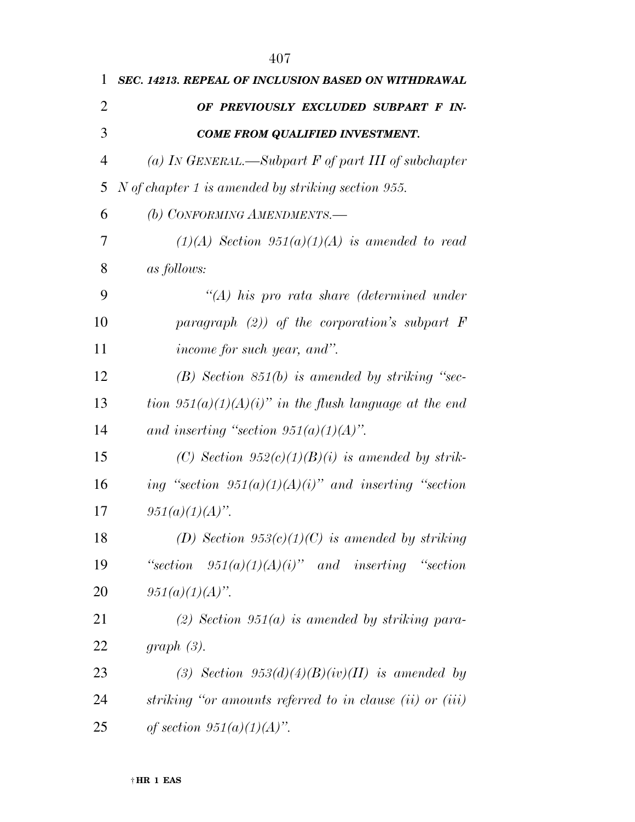| 1              | SEC. 14213. REPEAL OF INCLUSION BASED ON WITHDRAWAL          |
|----------------|--------------------------------------------------------------|
| 2              | OF PREVIOUSLY EXCLUDED SUBPART F IN-                         |
| 3              | <b>COME FROM QUALIFIED INVESTMENT.</b>                       |
| $\overline{4}$ | (a) In GENERAL.—Subpart F of part III of subchapter          |
| 5              | N of chapter 1 is amended by striking section 955.           |
| 6              | (b) CONFORMING AMENDMENTS.-                                  |
| 7              | $(1)(A)$ Section 951 $(a)(1)(A)$ is amended to read          |
| 8              | <i>as follows:</i>                                           |
| 9              | $\lq (A)$ his pro rata share (determined under               |
| 10             | paragraph $(2)$ ) of the corporation's subpart $F$           |
| 11             | income for such year, and".                                  |
| 12             | $(B)$ Section 851(b) is amended by striking "sec-            |
| 13             | tion $951(a)(1)(A)(i)$ " in the flush language at the end    |
| 14             | and inserting "section $951(a)(1)(A)$ ".                     |
| 15             | (C) Section $952(c)(1)(B)(i)$ is amended by strik-           |
| 16             | ing "section $951(a)(1)(A)(i)$ " and inserting "section      |
| 17             | $951(a)(1)(A)$ ".                                            |
| 18             | (D) Section $953(c)(1)(C)$ is amended by striking            |
| 19             | "section $951(a)(1)(A)(i)$ " and inserting "section"         |
| 20             | $951(a)(1)(A)$ ".                                            |
| 21             | (2) Section 951(a) is amended by striking para-              |
| 22             | $graph(3)$ .                                                 |
| 23             | (3) Section $953(d)(4)(B)(iv)(II)$ is amended by             |
| 24             | striking "or amounts referred to in clause $(ii)$ or $(iii)$ |
| 25             | of section $951(a)(1)(A)$ .                                  |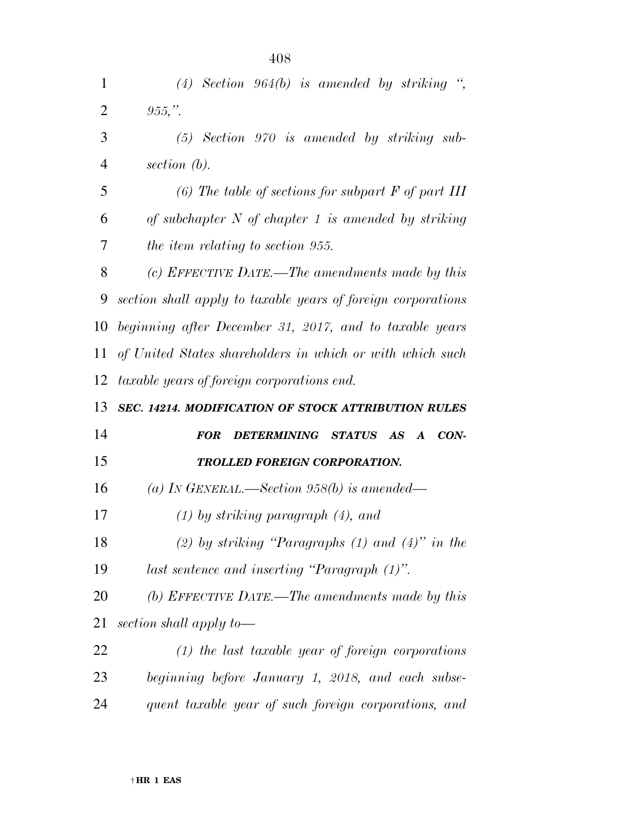| $\mathbf{1}$   | (4) Section 964(b) is amended by striking ",                  |
|----------------|---------------------------------------------------------------|
| $\overline{2}$ | $955,$ ".                                                     |
| 3              | $(5)$ Section 970 is amended by striking sub-                 |
| 4              | section $(b)$ .                                               |
| 5              | (6) The table of sections for subpart $F$ of part III         |
| 6              | of subchapter $N$ of chapter 1 is amended by striking         |
| 7              | the item relating to section 955.                             |
| 8              | (c) EFFECTIVE DATE.—The amendments made by this               |
| 9              | section shall apply to taxable years of foreign corporations  |
| 10             | beginning after December 31, 2017, and to taxable years       |
| 11             | of United States shareholders in which or with which such     |
| 12             | taxable years of foreign corporations end.                    |
|                |                                                               |
| 13             | <b>SEC. 14214. MODIFICATION OF STOCK ATTRIBUTION RULES</b>    |
| 14             | DETERMINING STATUS AS A<br>$\boldsymbol{CON}$ -<br><i>FOR</i> |
| 15             | TROLLED FOREIGN CORPORATION.                                  |
| 16             | (a) IN GENERAL.—Section 958(b) is amended—                    |
| 17             | $(1)$ by striking paragraph $(4)$ , and                       |
| 18             | (2) by striking "Paragraphs $(1)$ and $(4)$ " in the          |
| 19             | last sentence and inserting "Paragraph (1)".                  |
| 20             | (b) EFFECTIVE DATE.—The amendments made by this               |
| 21             | section shall apply to-                                       |
| 22             | $(1)$ the last taxable year of foreign corporations           |
| 23             | beginning before January 1, 2018, and each subse-             |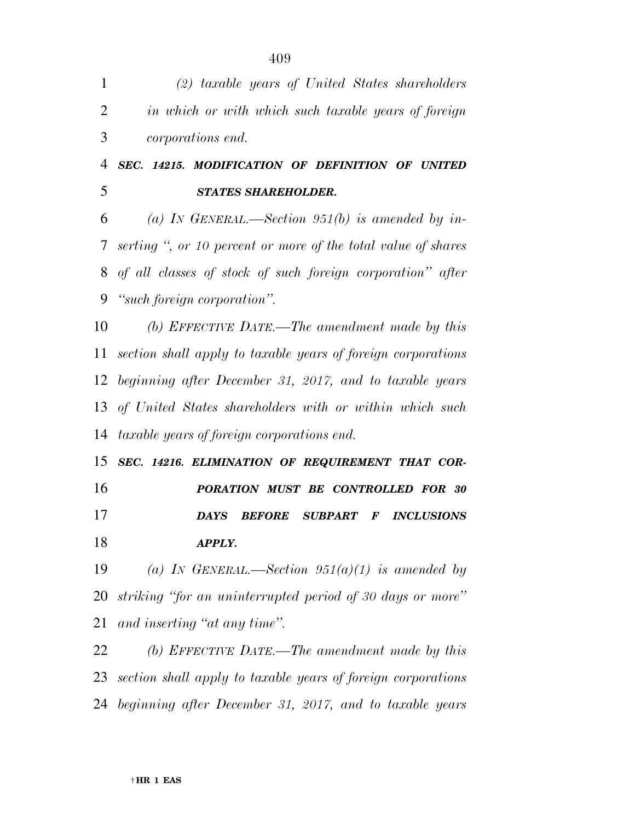| $\mathbf{1}$   | (2) taxable years of United States shareholders                              |
|----------------|------------------------------------------------------------------------------|
| $\overline{2}$ | in which or with which such taxable years of foreign                         |
| 3              | <i>corporations end.</i>                                                     |
| $\overline{4}$ | SEC. 14215. MODIFICATION OF DEFINITION OF UNITED                             |
| 5              | <b>STATES SHAREHOLDER.</b>                                                   |
| 6              | (a) IN GENERAL.—Section 951(b) is amended by in-                             |
| 7              | serting ", or 10 percent or more of the total value of shares                |
| 8              | of all classes of stock of such foreign corporation" after                   |
| 9              | "such foreign corporation".                                                  |
| 10             | (b) EFFECTIVE DATE.—The amendment made by this                               |
| 11             | section shall apply to taxable years of foreign corporations                 |
| 12             | beginning after December 31, 2017, and to taxable years                      |
| 13             | of United States shareholders with or within which such                      |
| 14             | <i>taxable years of foreign corporations end.</i>                            |
| 15             | SEC. 14216. ELIMINATION OF REQUIREMENT THAT COR-                             |
| 16             | PORATION MUST BE CONTROLLED FOR 30                                           |
| 17             | <b>DAYS</b><br><b>BEFORE SUBPART</b><br><i><b>INCLUSIONS</b></i><br>$\bm{F}$ |
| 18             | APPLY.                                                                       |
| 19             | (a) IN GENERAL.—Section $951(a)(1)$ is amended by                            |
| 20             | striking "for an uninterrupted period of 30 days or more"                    |
| 21             | and inserting "at any time".                                                 |
| 22             | (b) EFFECTIVE DATE.—The amendment made by this                               |
| 23             | section shall apply to taxable years of foreign corporations                 |
| 24             | beginning after December 31, 2017, and to taxable years                      |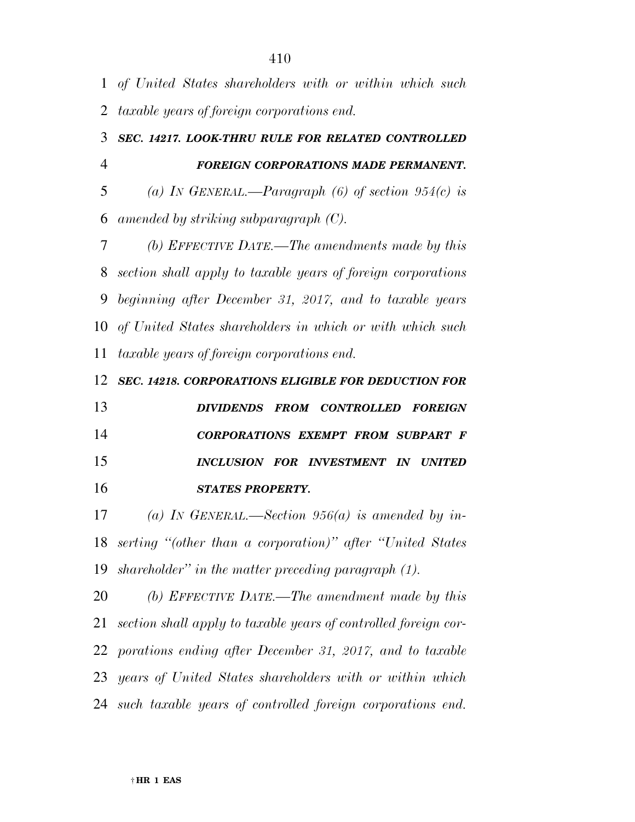*of United States shareholders with or within which such taxable years of foreign corporations end.* 

## *SEC. 14217. LOOK-THRU RULE FOR RELATED CONTROLLED FOREIGN CORPORATIONS MADE PERMANENT.*

 *(a) IN GENERAL.—Paragraph (6) of section 954(c) is amended by striking subparagraph (C).* 

 *(b) EFFECTIVE DATE.—The amendments made by this section shall apply to taxable years of foreign corporations beginning after December 31, 2017, and to taxable years of United States shareholders in which or with which such taxable years of foreign corporations end.* 

*SEC. 14218. CORPORATIONS ELIGIBLE FOR DEDUCTION FOR* 

 *DIVIDENDS FROM CONTROLLED FOREIGN CORPORATIONS EXEMPT FROM SUBPART F INCLUSION FOR INVESTMENT IN UNITED STATES PROPERTY.* 

 *(a) IN GENERAL.—Section 956(a) is amended by in- serting ''(other than a corporation)'' after ''United States shareholder'' in the matter preceding paragraph (1).* 

 *(b) EFFECTIVE DATE.—The amendment made by this section shall apply to taxable years of controlled foreign cor- porations ending after December 31, 2017, and to taxable years of United States shareholders with or within which such taxable years of controlled foreign corporations end.*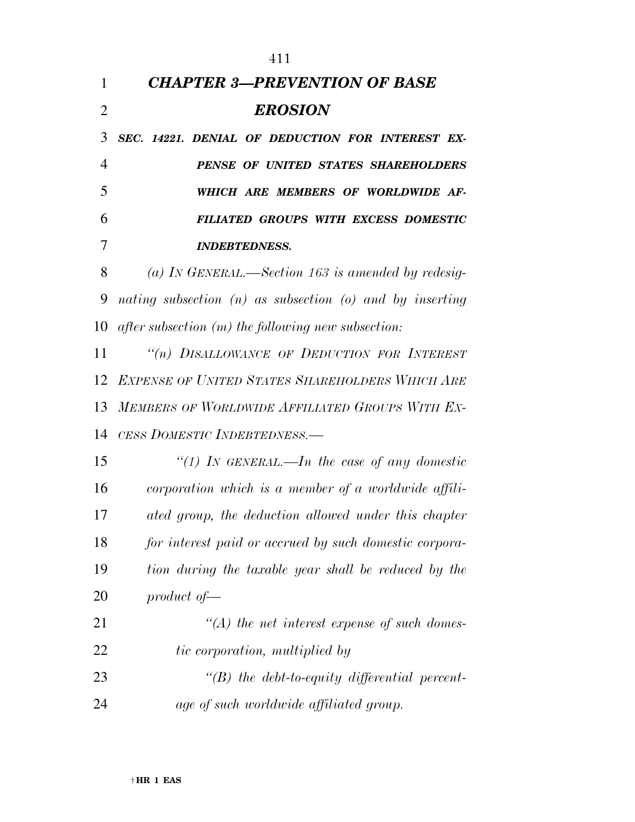|                | 411                                                          |
|----------------|--------------------------------------------------------------|
| $\mathbf{1}$   | <b>CHAPTER 3-PREVENTION OF BASE</b>                          |
| $\overline{2}$ | <b>EROSION</b>                                               |
| 3              | SEC. 14221. DENIAL OF DEDUCTION FOR INTEREST EX-             |
| $\overline{4}$ | PENSE OF UNITED STATES SHAREHOLDERS                          |
| 5              | WHICH ARE MEMBERS OF WORLDWIDE AF-                           |
| 6              | FILIATED GROUPS WITH EXCESS DOMESTIC                         |
| 7              | <b>INDEBTEDNESS.</b>                                         |
| 8              | (a) IN GENERAL.—Section 163 is amended by redesig-           |
| 9              | nating subsection $(n)$ as subsection $(o)$ and by inserting |
| 10             | $after$ subsection $(m)$ the following new subsection:       |
| 11             | "(n) DISALLOWANCE OF DEDUCTION FOR INTEREST                  |
| 12             | <b>EXPENSE OF UNITED STATES SHAREHOLDERS WHICH ARE</b>       |
| 13             | MEMBERS OF WORLDWIDE AFFILIATED GROUPS WITH EX-              |
| 14             | CESS DOMESTIC INDEBTEDNESS.—                                 |
| 15             | "(1) IN GENERAL.—In the case of any domestic                 |
| 16             | corporation which is a member of a worldwide affili-         |
| 17             | ated group, the deduction allowed under this chapter         |
| 18             | for interest paid or accrued by such domestic corpora-       |
| 19             | tion during the taxable year shall be reduced by the         |
| 20             | product of $-$                                               |
| 21             | $\lq (A)$ the net interest expense of such domes-            |
| 22             | tic corporation, multiplied by                               |
| 23             | $\lq\lq(B)$ the debt-to-equity differential percent-         |
| 24             | age of such worldwide affiliated group.                      |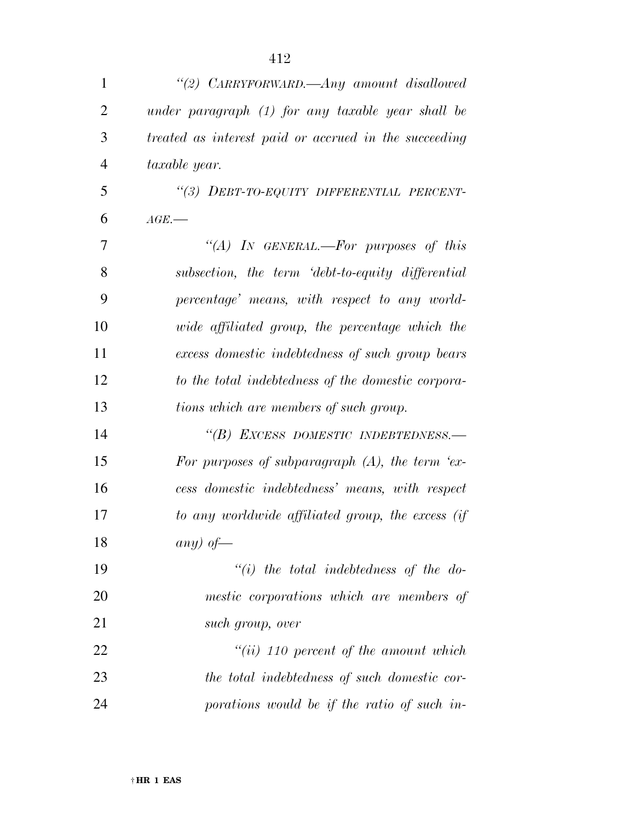| $\mathbf{1}$   | "(2) CARRYFORWARD.—Any amount disallowed              |
|----------------|-------------------------------------------------------|
| $\overline{2}$ | under paragraph (1) for any taxable year shall be     |
| 3              | treated as interest paid or accrued in the succeeding |
| $\overline{4}$ | taxable year.                                         |
| 5              | "(3) DEBT-TO-EQUITY DIFFERENTIAL PERCENT-             |
| 6              | $AGE$ .                                               |
| 7              | "(A) IN GENERAL.—For purposes of this                 |
| 8              | subsection, the term 'debt-to-equity differential     |
| 9              | percentage' means, with respect to any world-         |
| 10             | wide affiliated group, the percentage which the       |
| 11             | excess domestic indebtedness of such group bears      |
| 12             | to the total indebtedness of the domestic corpora-    |
| 13             | tions which are members of such group.                |
| 14             | "(B) EXCESS DOMESTIC INDEBTEDNESS.-                   |
| 15             | For purposes of subparagraph $(A)$ , the term 'ex-    |
| 16             | cess domestic indebtedness' means, with respect       |
| 17             | to any worldwide affiliated group, the excess (if     |
| 18             | any) of —                                             |
| 19             | $``(i)$ the total indebtedness of the do-             |
| 20             | mestic corporations which are members of              |
| 21             | such group, over                                      |
| 22             | $``(ii)$ 110 percent of the amount which              |
| 23             | the total indebtedness of such domestic cor-          |
| 24             | porations would be if the ratio of such in-           |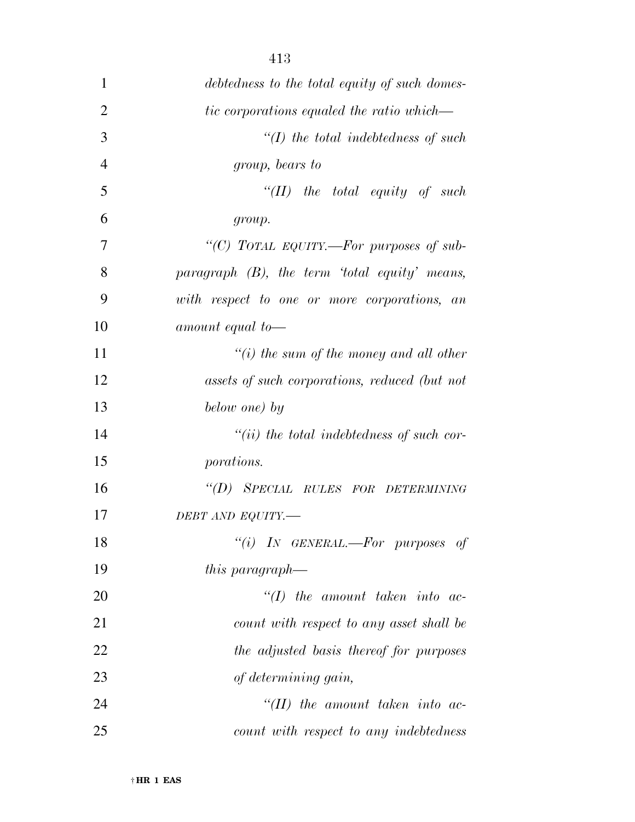| $\mathbf{1}$   | debtedness to the total equity of such domes-    |
|----------------|--------------------------------------------------|
| $\overline{2}$ | tic corporations equaled the ratio which—        |
| 3              | $\lq (I)$ the total indebtedness of such         |
| $\overline{4}$ | group, bears to                                  |
| 5              | "(II) the total equity of such                   |
| 6              | group.                                           |
| 7              | "(C) TOTAL EQUITY.—For purposes of sub-          |
| 8              | paragraph $(B)$ , the term 'total equity' means, |
| 9              | with respect to one or more corporations, an     |
| 10             | amount equal to-                                 |
| 11             | "(i) the sum of the money and all other          |
| 12             | assets of such corporations, reduced (but not    |
| 13             | below one) by                                    |
| 14             | $``(ii)$ the total indebtedness of such cor-     |
| 15             | porations.                                       |
| 16             | "(D) SPECIAL RULES FOR DETERMINING               |
| 17             | DEBT AND EQUITY.-                                |
| 18             | "(i) IN GENERAL.—For purposes of                 |
| 19             | this paragraph—                                  |
| 20             | $\lq (I)$ the amount taken into ac-              |
| 21             | count with respect to any asset shall be         |
| 22             | the adjusted basis thereof for purposes          |
| 23             | of determining gain,                             |
| 24             | $\lq (II)$ the amount taken into ac-             |
| 25             | count with respect to any indebtedness           |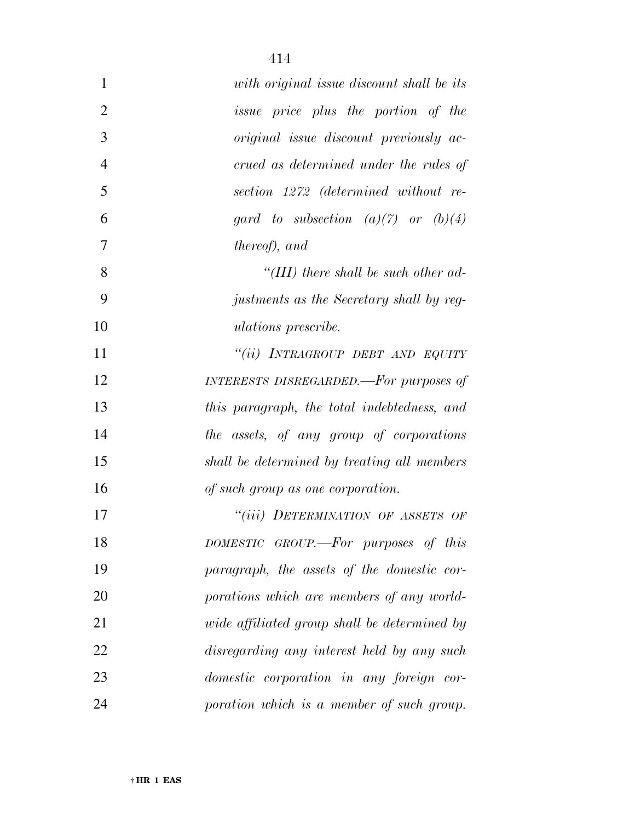| $\mathbf{1}$   | with original issue discount shall be its    |
|----------------|----------------------------------------------|
| $\overline{2}$ | <i>issue</i> price plus the portion of the   |
| 3              | original issue discount previously ac-       |
| $\overline{4}$ | crued as determined under the rules of       |
| 5              | section 1272 (determined without re-         |
| 6              | gard to subsection $(a)(7)$ or $(b)(4)$      |
| $\overline{7}$ | <i>thereof</i> ), and                        |
| 8              | "(III) there shall be such other ad-         |
| 9              | justments as the Secretary shall by reg-     |
| 10             | <i>ulations</i> prescribe.                   |
| 11             | "(ii) INTRAGROUP DEBT AND EQUITY             |
| 12             | INTERESTS DISREGARDED.—For purposes of       |
| 13             | this paragraph, the total indebtedness, and  |
| 14             | the assets, of any group of corporations     |
| 15             | shall be determined by treating all members  |
| 16             | of such group as one corporation.            |
| 17             | "(iii) DETERMINATION OF ASSETS OF            |
| 18             | DOMESTIC GROUP.—For purposes of this         |
| 19             | paragraph, the assets of the domestic cor-   |
| 20             | porations which are members of any world-    |
| 21             | wide affiliated group shall be determined by |
| 22             | disregarding any interest held by any such   |
| 23             | domestic corporation in any foreign cor-     |
| 24             | poration which is a member of such group.    |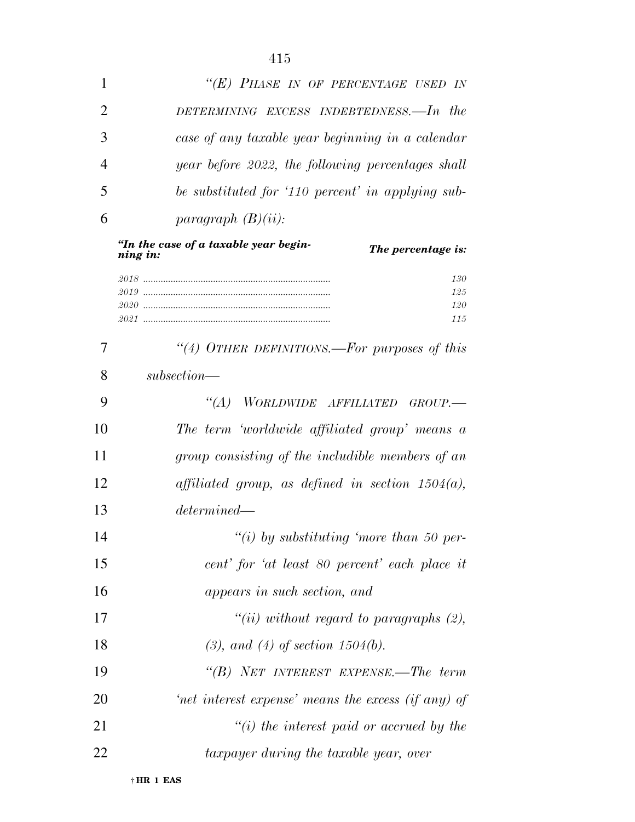|                | "(E) PHASE IN OF PERCENTAGE USED IN               |
|----------------|---------------------------------------------------|
| 2              | DETERMINING EXCESS INDEBTEDNESS.—In the           |
| 3              | case of any taxable year beginning in a calendar  |
| $\overline{4}$ | year before 2022, the following percentages shall |
| 5              | be substituted for '110 percent' in applying sub- |
| 6              | paragraph $(B)(ii)$ :                             |

*''In the case of a taxable year begin-<i>The percentage is: 2018 ........................................................................... 130 2019 ........................................................................... 125 2020 ........................................................................... 120 2021 ........................................................................... 115* 

 *''(4) OTHER DEFINITIONS.—For purposes of this subsection— ''(A) WORLDWIDE AFFILIATED GROUP.— The term 'worldwide affiliated group' means a group consisting of the includible members of an affiliated group, as defined in section 1504(a), determined— ''(i) by substituting 'more than 50 per- cent' for 'at least 80 percent' each place it appears in such section, and ''(ii) without regard to paragraphs (2), (3), and (4) of section 1504(b). ''(B) NET INTEREST EXPENSE.—The term 'net interest expense' means the excess (if any) of ''(i) the interest paid or accrued by the taxpayer during the taxable year, over*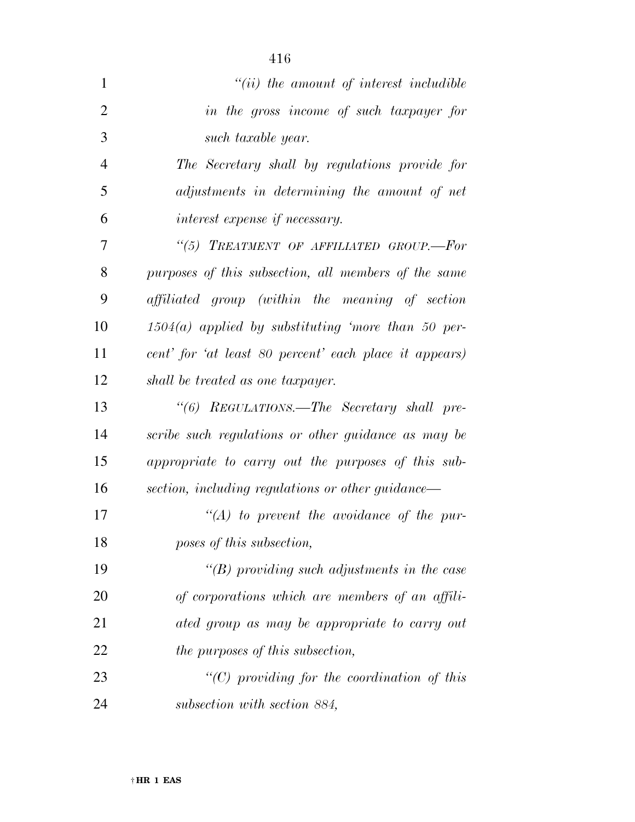| $\mathbf{1}$   | $"(ii)$ the amount of interest includible              |
|----------------|--------------------------------------------------------|
| $\overline{2}$ | in the gross income of such taxpayer for               |
| 3              | such taxable year.                                     |
| $\overline{4}$ | The Secretary shall by regulations provide for         |
| 5              | adjustments in determining the amount of net           |
| 6              | interest expense if necessary.                         |
| $\overline{7}$ | "(5) TREATMENT OF AFFILIATED GROUP.-For                |
| 8              | purposes of this subsection, all members of the same   |
| 9              | affiliated group (within the meaning of section        |
| 10             | $1504(a)$ applied by substituting 'more than 50 per-   |
| 11             | cent' for 'at least 80 percent' each place it appears) |
| 12             | shall be treated as one taxpayer.                      |
| 13             | "(6) REGULATIONS.—The Secretary shall pre-             |
| 14             | scribe such regulations or other guidance as may be    |
| 15             | appropriate to carry out the purposes of this sub-     |
| 16             | section, including regulations or other guidance—      |
| 17             | $\lq (A)$ to prevent the avoidance of the pur-         |
| 18             | poses of this subsection,                              |
| 19             | $\lq\lq(B)$ providing such adjustments in the case     |
| 20             | of corporations which are members of an affili-        |
| 21             | ated group as may be appropriate to carry out          |
| 22             | the purposes of this subsection,                       |
| 23             | $"(C)$ providing for the coordination of this          |
| 24             | subsection with section 884,                           |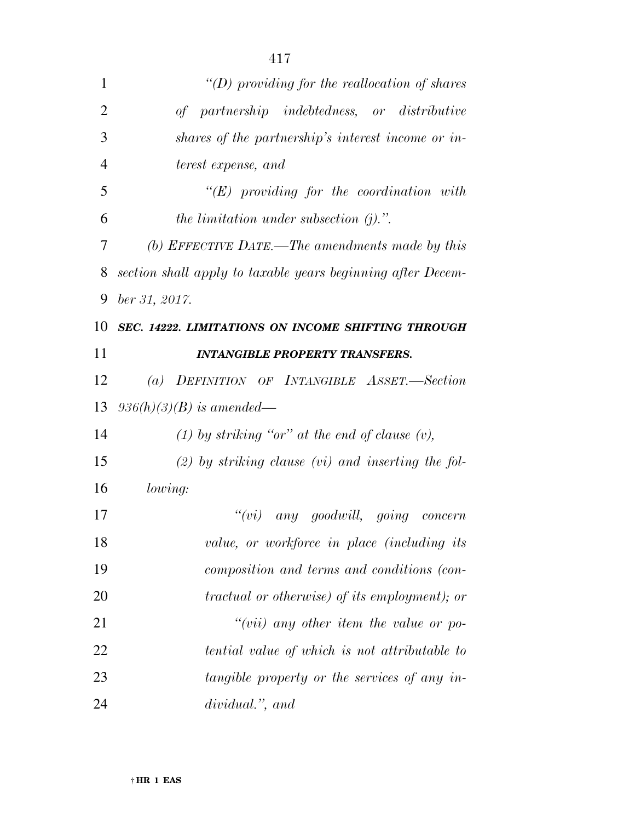| $\mathbf{1}$   | "(D) providing for the reallocation of shares               |
|----------------|-------------------------------------------------------------|
| $\overline{2}$ | of partnership indebtedness, or distributive                |
| 3              | shares of the partnership's interest income or in-          |
| $\overline{4}$ | terest expense, and                                         |
| 5              | $\lq\lq (E)$ providing for the coordination with            |
| 6              | the limitation under subsection $(j)$ .".                   |
| 7              | (b) EFFECTIVE DATE.—The amendments made by this             |
| 8              | section shall apply to taxable years beginning after Decem- |
| 9              | ber 31, 2017.                                               |
| 10             | SEC. 14222. LIMITATIONS ON INCOME SHIFTING THROUGH          |
| 11             | <b>INTANGIBLE PROPERTY TRANSFERS.</b>                       |
| 12             | (a) DEFINITION OF INTANGIBLE ASSET.-Section                 |
| 13             | $936(h)(3)(B)$ is amended—                                  |
| 14             | (1) by striking "or" at the end of clause $(v)$ ,           |
| 15             | $(2)$ by striking clause (vi) and inserting the fol-        |
| 16             | lowing:                                                     |
| 17             | ``(vi)<br>any goodwill, going concern                       |
| 18             | value, or workforce in place (including its                 |
| 19             | composition and terms and conditions (con-                  |
| 20             | tractual or otherwise) of its employment); or               |
| 21             | $``(vii)$ any other item the value or po-                   |
| 22             | tential value of which is not attributable to               |
| 23             | tangible property or the services of any in-                |
| 24             | dividual.", and                                             |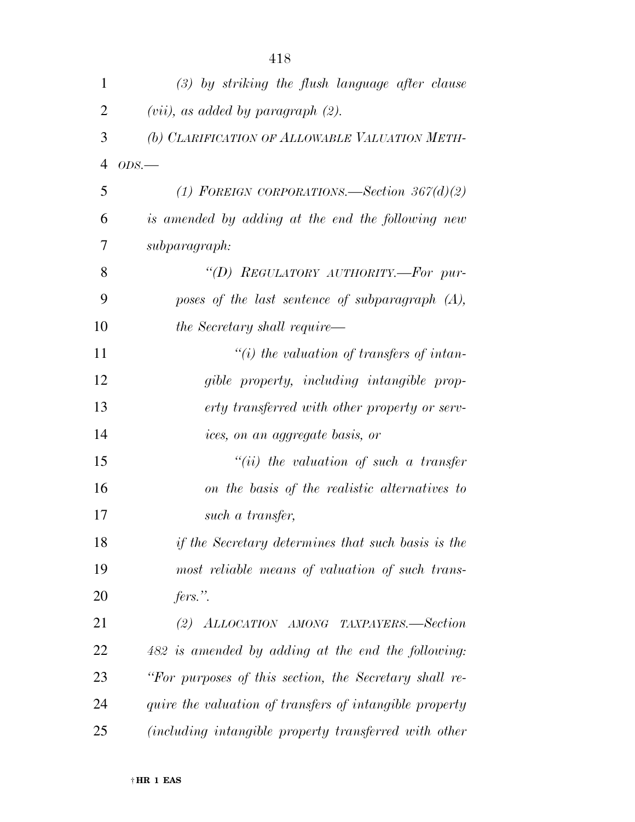| $\mathbf{1}$   | $(3)$ by striking the flush language after clause       |
|----------------|---------------------------------------------------------|
| $\overline{2}$ | $(vii)$ , as added by paragraph $(2)$ .                 |
| 3              | (b) CLARIFICATION OF ALLOWABLE VALUATION METH-          |
| $\overline{4}$ | ODS.                                                    |
| 5              | (1) FOREIGN CORPORATIONS.—Section $367(d)(2)$           |
| 6              | is amended by adding at the end the following new       |
| 7              | subparagraph:                                           |
| 8              | "(D) REGULATORY AUTHORITY.—For pur-                     |
| 9              | poses of the last sentence of subparagraph $(A)$ ,      |
| 10             | the Secretary shall require—                            |
| 11             | $\tilde{f}(i)$ the valuation of transfers of intan-     |
| 12             | gible property, including intangible prop-              |
| 13             | erty transferred with other property or serv-           |
| 14             | ices, on an aggregate basis, or                         |
| 15             | $``(ii)$ the valuation of such a transfer               |
| 16             | on the basis of the realistic alternatives to           |
| 17             | such a transfer,                                        |
| 18             | if the Secretary determines that such basis is the      |
| 19             | most reliable means of valuation of such trans-         |
| <b>20</b>      | fers.".                                                 |
| 21             | (2) ALLOCATION AMONG TAXPAYERS.—Section                 |
| 22             | 482 is amended by adding at the end the following:      |
| 23             | "For purposes of this section, the Secretary shall re-  |
| 24             | quire the valuation of transfers of intangible property |
| 25             | (including intangible property transferred with other   |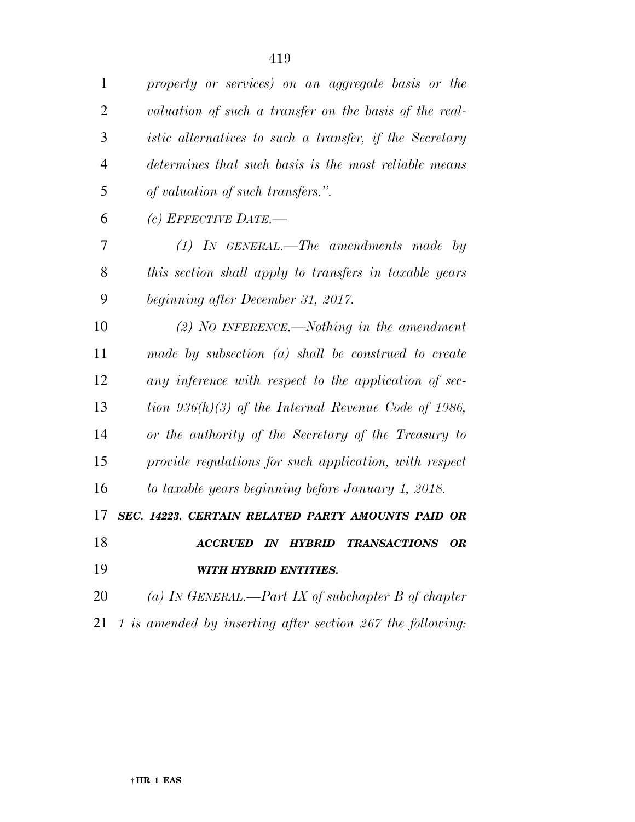*property or services) on an aggregate basis or the valuation of such a transfer on the basis of the real- istic alternatives to such a transfer, if the Secretary determines that such basis is the most reliable means of valuation of such transfers.''.* 

*(c) EFFECTIVE DATE.—* 

 *(1) IN GENERAL.—The amendments made by this section shall apply to transfers in taxable years beginning after December 31, 2017.* 

 *(2) NO INFERENCE.—Nothing in the amendment made by subsection (a) shall be construed to create any inference with respect to the application of sec- tion 936(h)(3) of the Internal Revenue Code of 1986, or the authority of the Secretary of the Treasury to provide regulations for such application, with respect to taxable years beginning before January 1, 2018.* 

*SEC. 14223. CERTAIN RELATED PARTY AMOUNTS PAID OR* 

 *ACCRUED IN HYBRID TRANSACTIONS OR WITH HYBRID ENTITIES.* 

 *(a) IN GENERAL.—Part IX of subchapter B of chapter 1 is amended by inserting after section 267 the following:*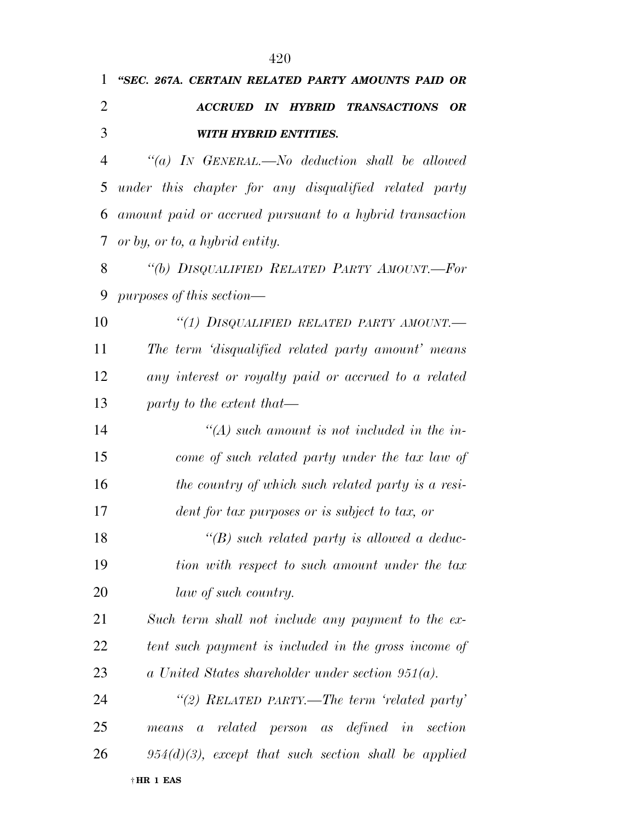| $\mathbf{1}$   | "SEC. 267A. CERTAIN RELATED PARTY AMOUNTS PAID OR       |
|----------------|---------------------------------------------------------|
| $\overline{2}$ | <b>ACCRUED IN HYBRID TRANSACTIONS</b><br><b>OR</b>      |
| 3              | <b>WITH HYBRID ENTITIES.</b>                            |
| 4              | "(a) IN GENERAL.—No deduction shall be allowed          |
| 5              | under this chapter for any disqualified related party   |
| 6              | amount paid or accrued pursuant to a hybrid transaction |
| 7              | or by, or to, a hybrid entity.                          |
| 8              | "(b) DISQUALIFIED RELATED PARTY AMOUNT.—For             |
| 9              | $purposes$ of this section—                             |
| 10             | "(1) DISQUALIFIED RELATED PARTY AMOUNT.-                |
| 11             | The term 'disqualified related party amount' means      |
| 12             | any interest or royalty paid or accrued to a related    |
| 13             | party to the extent that—                               |
| 14             | $\lq (A)$ such amount is not included in the in-        |
| 15             | come of such related party under the tax law of         |
| 16             | the country of which such related party is a resi-      |
| 17             | dent for tax purposes or is subject to tax, or          |
| 18             | $\lq\lq(B)$ such related party is allowed a deduc-      |
| 19             | tion with respect to such amount under the tax          |
| 20             | law of such country.                                    |
| 21             | Such term shall not include any payment to the ex-      |
| 22             | tent such payment is included in the gross income of    |
| 23             | a United States shareholder under section $951(a)$ .    |
| 24             | "(2) RELATED PARTY.—The term 'related party'            |
| 25             | means a related person as defined in section            |
| 26             | $954(d)(3)$ , except that such section shall be applied |
|                |                                                         |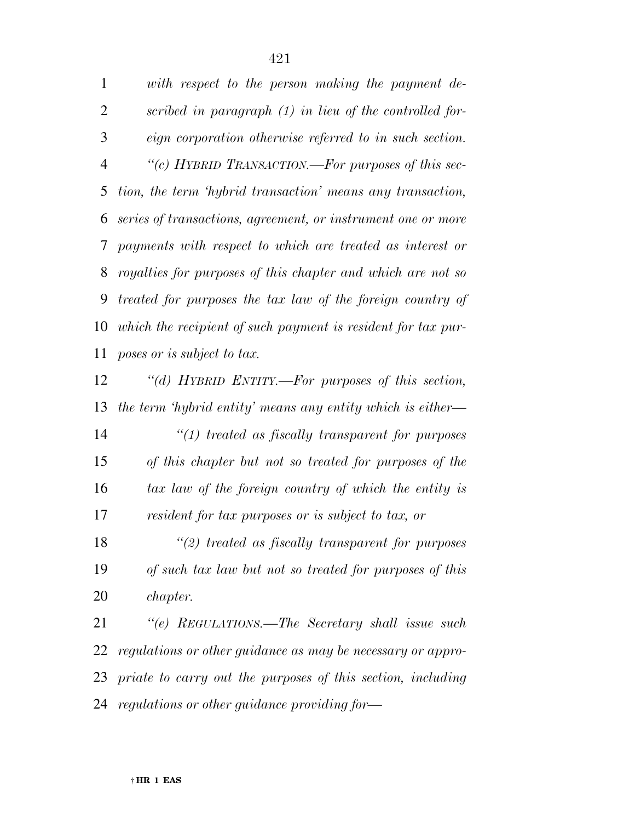*with respect to the person making the payment de- scribed in paragraph (1) in lieu of the controlled for- eign corporation otherwise referred to in such section. ''(c) HYBRID TRANSACTION.—For purposes of this sec- tion, the term 'hybrid transaction' means any transaction, series of transactions, agreement, or instrument one or more payments with respect to which are treated as interest or royalties for purposes of this chapter and which are not so treated for purposes the tax law of the foreign country of which the recipient of such payment is resident for tax pur-poses or is subject to tax.* 

 *''(d) HYBRID ENTITY.—For purposes of this section, the term 'hybrid entity' means any entity which is either—* 

 *''(1) treated as fiscally transparent for purposes of this chapter but not so treated for purposes of the tax law of the foreign country of which the entity is resident for tax purposes or is subject to tax, or* 

 *''(2) treated as fiscally transparent for purposes of such tax law but not so treated for purposes of this chapter.* 

 *''(e) REGULATIONS.—The Secretary shall issue such regulations or other guidance as may be necessary or appro- priate to carry out the purposes of this section, including regulations or other guidance providing for—*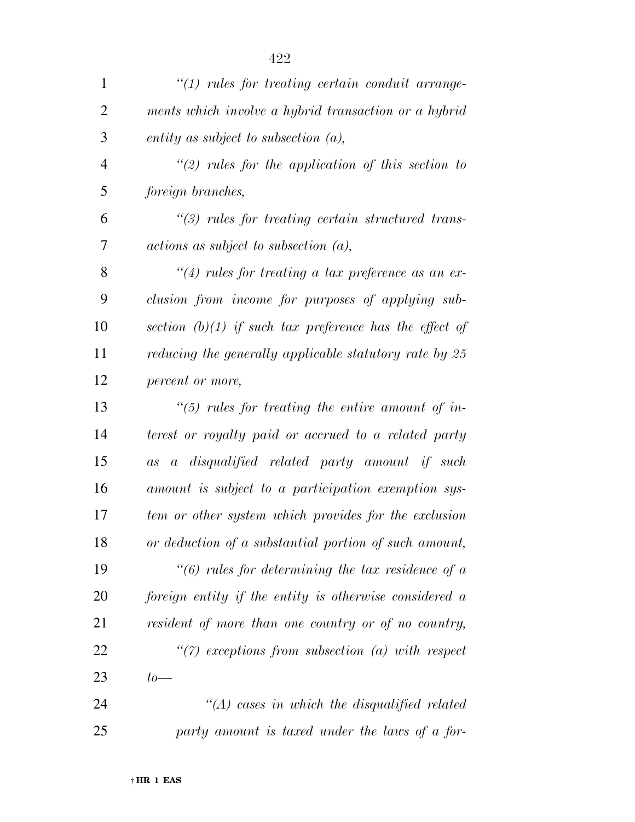| $\mathbf{1}$   | $\lq(1)$ rules for treating certain conduit arrange-      |
|----------------|-----------------------------------------------------------|
| $\overline{2}$ | ments which involve a hybrid transaction or a hybrid      |
| 3              | entity as subject to subsection $(a)$ ,                   |
| $\overline{4}$ | $\lq(2)$ rules for the application of this section to     |
| 5              | foreign branches,                                         |
| 6              | $\lq(3)$ rules for treating certain structured trans-     |
| 7              | $actions$ as subject to subsection $(a)$ ,                |
| 8              | $\lq(4)$ rules for treating a tax preference as an ex-    |
| 9              | clusion from income for purposes of applying sub-         |
| 10             | section $(b)(1)$ if such tax preference has the effect of |
| 11             | reducing the generally applicable statutory rate by 25    |
| 12             | percent or more,                                          |
| 13             | $\lq(5)$ rules for treating the entire amount of in-      |
| 14             | terest or royalty paid or accrued to a related party      |
| 15             | as a disqualified related party amount if such            |
| 16             | amount is subject to a participation exemption sys-       |
| 17             | tem or other system which provides for the exclusion      |
| 18             | or deduction of a substantial portion of such amount,     |
| 19             | $\lq(6)$ rules for determining the tax residence of a     |
| 20             | foreign entity if the entity is otherwise considered a    |
| 21             | resident of more than one country or of no country,       |
| 22             | $\lq(7)$ exceptions from subsection (a) with respect      |
| 23             | $to-$                                                     |
| 24             | $\lq (A)$ cases in which the disqualified related         |
| 25             | party amount is taxed under the laws of a for-            |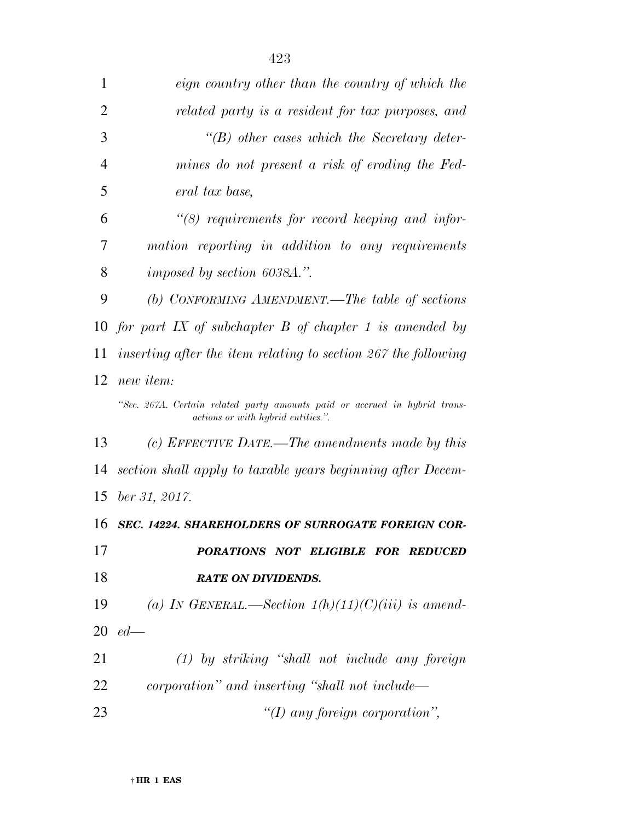| 1              | eign country other than the country of which the                                                                 |
|----------------|------------------------------------------------------------------------------------------------------------------|
| $\overline{2}$ | related party is a resident for tax purposes, and                                                                |
| 3              | $\lq\lq(B)$ other cases which the Secretary deter-                                                               |
| $\overline{4}$ | mines do not present a risk of eroding the Fed-                                                                  |
| 5              | eral tax base,                                                                                                   |
| 6              | $\lq(8)$ requirements for record keeping and infor-                                                              |
| 7              | mation reporting in addition to any requirements                                                                 |
| 8              | imposed by section 6038A.".                                                                                      |
| 9              | (b) CONFORMING AMENDMENT.—The table of sections                                                                  |
|                | 10 for part IX of subchapter $B$ of chapter 1 is amended by                                                      |
| 11             | inserting after the item relating to section 267 the following                                                   |
| 12             | new item:                                                                                                        |
|                | "Sec. 267A. Certain related party amounts paid or accrued in hybrid trans-<br>actions or with hybrid entities.". |
| 13             | (c) EFFECTIVE DATE.—The amendments made by this                                                                  |
| 14             | section shall apply to taxable years beginning after Decem-                                                      |
| 15             | ber 31, 2017.                                                                                                    |
| 16             | <b>SEC. 14224. SHAREHOLDERS OF SURROGATE FOREIGN COR-</b>                                                        |
| 17             | PORATIONS NOT ELIGIBLE FOR REDUCED                                                                               |
| 18             | <b>RATE ON DIVIDENDS.</b>                                                                                        |
| 19             | (a) IN GENERAL.—Section $1(h)(11)(C)(iii)$ is amend-                                                             |
| 20             | $ed$ —                                                                                                           |
| 21             | $(1)$ by striking "shall not include any foreign                                                                 |
| 22             | corporation" and inserting "shall not include—                                                                   |
| 23             | "(I) any foreign corporation",                                                                                   |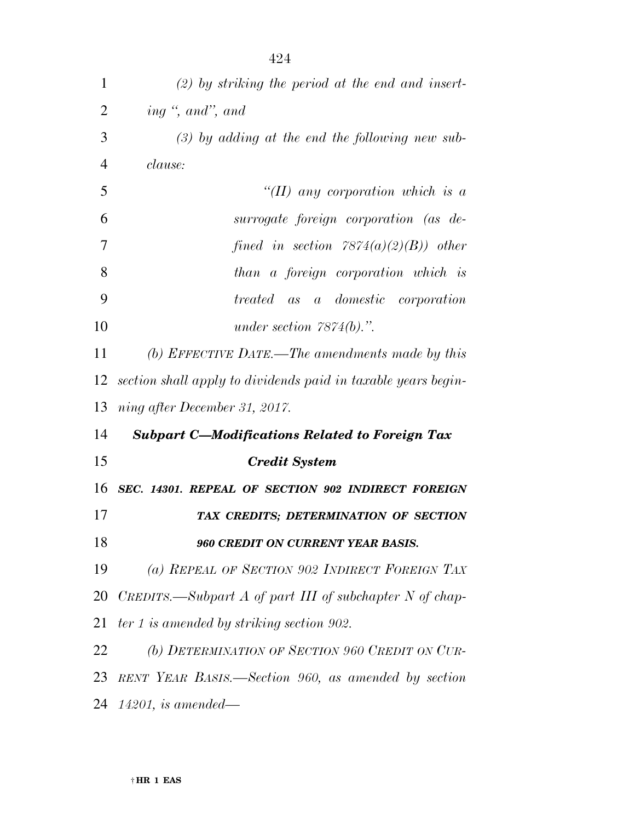| 1              | $(2)$ by striking the period at the end and insert-           |
|----------------|---------------------------------------------------------------|
| $\overline{2}$ | ing ", and", and                                              |
| 3              | $(3)$ by adding at the end the following new sub-             |
| $\overline{4}$ | clause:                                                       |
| 5              | "(II) any corporation which is a                              |
| 6              | surrogate foreign corporation (as de-                         |
| 7              | fined in section $7874(a)(2)(B)$ other                        |
| 8              | than a foreign corporation which is                           |
| 9              | <i>treated</i> as a <i>domestic</i> corporation               |
| 10             | under section $7874(b)$ .".                                   |
| 11             | (b) EFFECTIVE DATE.—The amendments made by this               |
| 12             | section shall apply to dividends paid in taxable years begin- |
| 13             | ning after December 31, 2017.                                 |
| 14             | <b>Subpart C-Modifications Related to Foreign Tax</b>         |
| 15             | <b>Credit System</b>                                          |
| 16             | SEC. 14301. REPEAL OF SECTION 902 INDIRECT FOREIGN            |
| 17             | TAX CREDITS; DETERMINATION OF SECTION                         |
| 18             | 960 CREDIT ON CURRENT YEAR BASIS.                             |
| 19             | (a) REPEAL OF SECTION 902 INDIRECT FOREIGN TAX                |
| 20             | CREDITS.—Subpart A of part III of subchapter N of chap-       |
| 21             | $ter 1$ is amended by striking section 902.                   |
| 22             | (b) DETERMINATION OF SECTION 960 CREDIT ON CUR-               |
| 23             | RENT YEAR BASIS.—Section 960, as amended by section           |
|                | 24 <i>14201, is amended</i> —                                 |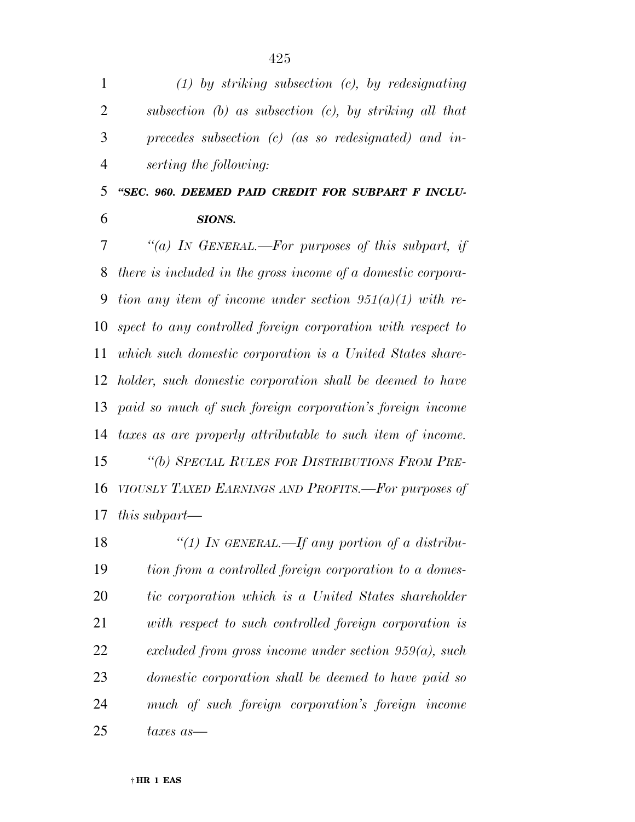| $\mathbf{1}$   | $(1)$ by striking subsection $(c)$ , by redesignating        |
|----------------|--------------------------------------------------------------|
| $\overline{2}$ | subsection $(b)$ as subsection $(c)$ , by striking all that  |
| 3              | precedes subsection $(c)$ (as so redesignated) and in-       |
| $\overline{4}$ | serting the following:                                       |
| 5              | "SEC. 960. DEEMED PAID CREDIT FOR SUBPART F INCLU-           |
| 6              | SIONS.                                                       |
| 7              | "(a) In GENERAL.—For purposes of this subpart, if            |
| 8              | there is included in the gross income of a domestic corpora- |
| 9              | tion any item of income under section $951(a)(1)$ with re-   |
| 10             | spect to any controlled foreign corporation with respect to  |
| 11             | which such domestic corporation is a United States share-    |
| 12             | holder, such domestic corporation shall be deemed to have    |
| 13             | paid so much of such foreign corporation's foreign income    |
| 14             | taxes as are properly attributable to such item of income.   |
| 15             | "(b) SPECIAL RULES FOR DISTRIBUTIONS FROM PRE-               |
| 16             | VIOUSLY TAXED EARNINGS AND PROFITS.-For purposes of          |
| 17             | this subpart—                                                |
| 18             | "(1) IN GENERAL.—If any portion of a distribu-               |
| 19             | tion from a controlled foreign corporation to a domes-       |
| 20             | tic corporation which is a United States shareholder         |
| 21             | with respect to such controlled foreign corporation is       |

*excluded from gross income under section 959(a), such* 

*domestic corporation shall be deemed to have paid so* 

*much of such foreign corporation's foreign income* 

† **HR 1 EAS** 

*taxes as—*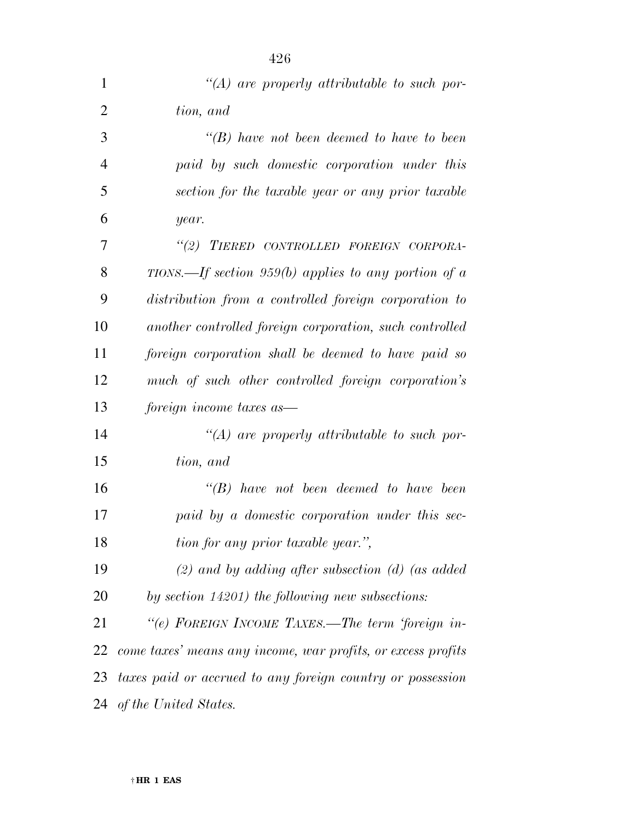| 1              | $\lq (A)$ are properly attributable to such por-             |
|----------------|--------------------------------------------------------------|
| $\overline{2}$ | tion, and                                                    |
| 3              | $\lq\lq(B)$ have not been deemed to have to been             |
| $\overline{4}$ | paid by such domestic corporation under this                 |
| 5              | section for the taxable year or any prior taxable            |
| 6              | year.                                                        |
| 7              | "(2) TIERED CONTROLLED FOREIGN CORPORA-                      |
| 8              | TIONS.—If section 959(b) applies to any portion of a         |
| 9              | distribution from a controlled foreign corporation to        |
| 10             | another controlled foreign corporation, such controlled      |
| 11             | foreign corporation shall be deemed to have paid so          |
| 12             | much of such other controlled foreign corporation's          |
| 13             | foreign income taxes as                                      |
| 14             | $\lq (A)$ are properly attributable to such por-             |
| 15             | tion, and                                                    |
| 16             | $\lq\lq B$ have not been deemed to have been                 |
| 17             | paid by a domestic corporation under this sec-               |
| 18             | tion for any prior taxable year.",                           |
| 19             | $(2)$ and by adding after subsection (d) (as added           |
| 20             | by section $14201$ ) the following new subsections:          |
| 21             | "(e) FOREIGN INCOME TAXES.—The term 'foreign in-             |
| 22             | come taxes' means any income, war profits, or excess profits |
| 23             | taxes paid or accrued to any foreign country or possession   |
|                | 24 of the United States.                                     |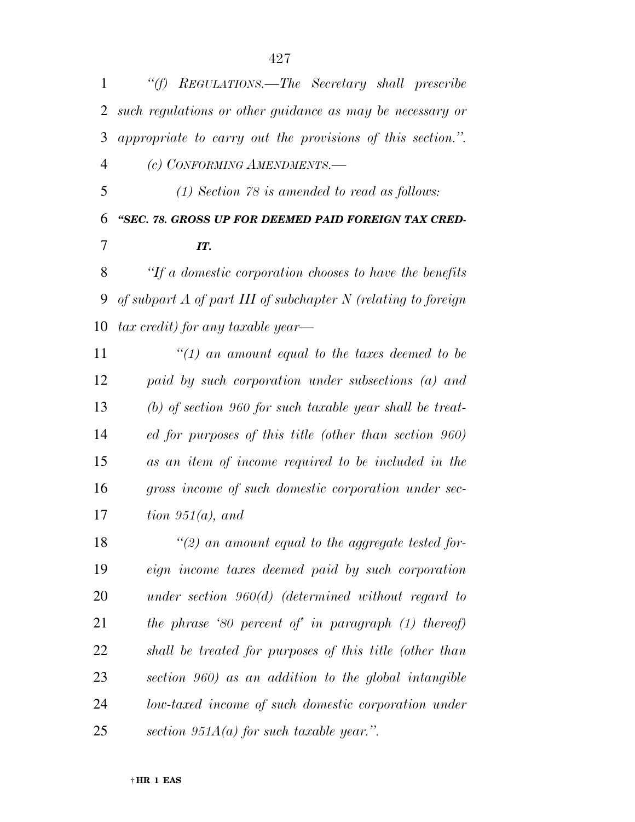| 1              | "(f) REGULATIONS.—The Secretary shall prescribe                   |
|----------------|-------------------------------------------------------------------|
| $\overline{2}$ | such regulations or other guidance as may be necessary or         |
| 3              | appropriate to carry out the provisions of this section.".        |
| 4              | (c) CONFORMING AMENDMENTS.-                                       |
| 5              | $(1)$ Section 78 is amended to read as follows:                   |
| 6              | "SEC. 78. GROSS UP FOR DEEMED PAID FOREIGN TAX CRED-              |
| 7              | IT.                                                               |
| 8              | "If a domestic corporation chooses to have the benefits"          |
| 9              | of subpart $A$ of part III of subchapter $N$ (relating to foreign |
| 10             | $tax\ credit)$ for any taxable year—                              |
| 11             | "(1) an amount equal to the taxes deemed to be                    |
| 12             | paid by such corporation under subsections (a) and                |
| 13             | $(b)$ of section 960 for such taxable year shall be treat-        |
| 14             | ed for purposes of this title (other than section 960)            |
| 15             | as an item of income required to be included in the               |
| 16             | gross income of such domestic corporation under sec-              |
| 17             | tion $951(a)$ , and                                               |
| 18             | $\lq(2)$ an amount equal to the aggregate tested for-             |
| 19             | eign income taxes deemed paid by such corporation                 |
| 20             | under section $960(d)$ (determined without regard to              |
| 21             | the phrase '80 percent of' in paragraph $(1)$ thereof)            |

*shall be treated for purposes of this title (other than* 

*section 960) as an addition to the global intangible* 

*low-taxed income of such domestic corporation under* 

*section 951A(a) for such taxable year.''.*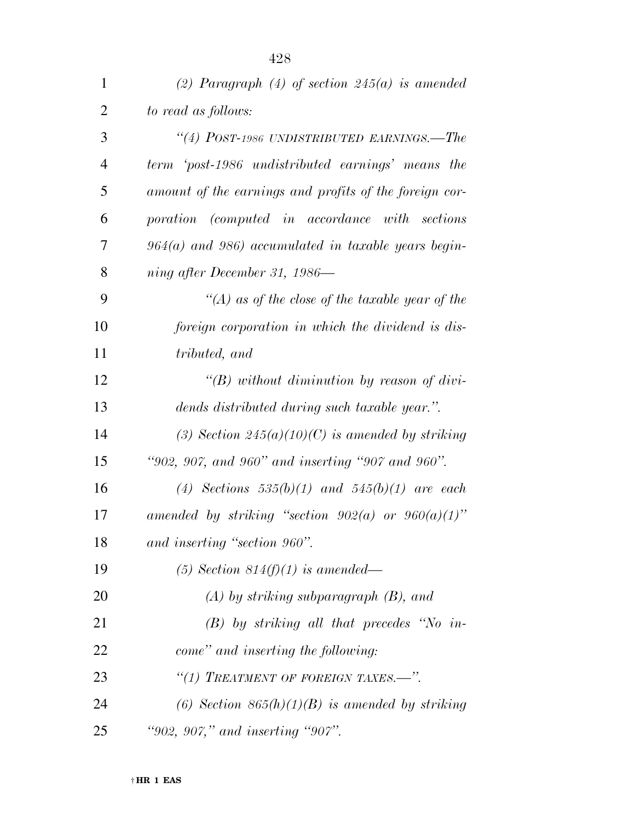| $\mathbf{1}$   | (2) Paragraph (4) of section $245(a)$ is amended        |
|----------------|---------------------------------------------------------|
| $\overline{2}$ | to read as follows:                                     |
| 3              | "(4) POST-1986 UNDISTRIBUTED EARNINGS.—The              |
| 4              | term 'post-1986 undistributed earnings' means the       |
| 5              | amount of the earnings and profits of the foreign cor-  |
| 6              | poration (computed in accordance with sections          |
| 7              | $964(a)$ and $986)$ accumulated in taxable years begin- |
| 8              | ning after December 31, 1986—                           |
| 9              | "(A) as of the close of the taxable year of the         |
| 10             | foreign corporation in which the dividend is dis-       |
| 11             | tributed, and                                           |
| 12             | "(B) without diminution by reason of divi-              |
| 13             | dends distributed during such taxable year.".           |
| 14             | (3) Section $245(a)(10)(C)$ is amended by striking      |
| 15             | "902, 907, and 960" and inserting "907 and 960".        |
| 16             | (4) Sections $535(b)(1)$ and $545(b)(1)$ are each       |
| 17             | amended by striking "section $902(a)$ or $960(a)(1)$ "  |
| 18             | and inserting "section 960".                            |
| 19             | (5) Section 814(f)(1) is amended—                       |
| 20             | $(A)$ by striking subparagraph $(B)$ , and              |
| 21             | $(B)$ by striking all that precedes "No in-             |
| 22             | come" and inserting the following:                      |
| 23             | "(1) TREATMENT OF FOREIGN TAXES.-".                     |
| 24             | (6) Section $865(h)(1)(B)$ is amended by striking       |
| 25             | "902, 907," and inserting "907".                        |

† **HR 1 EAS**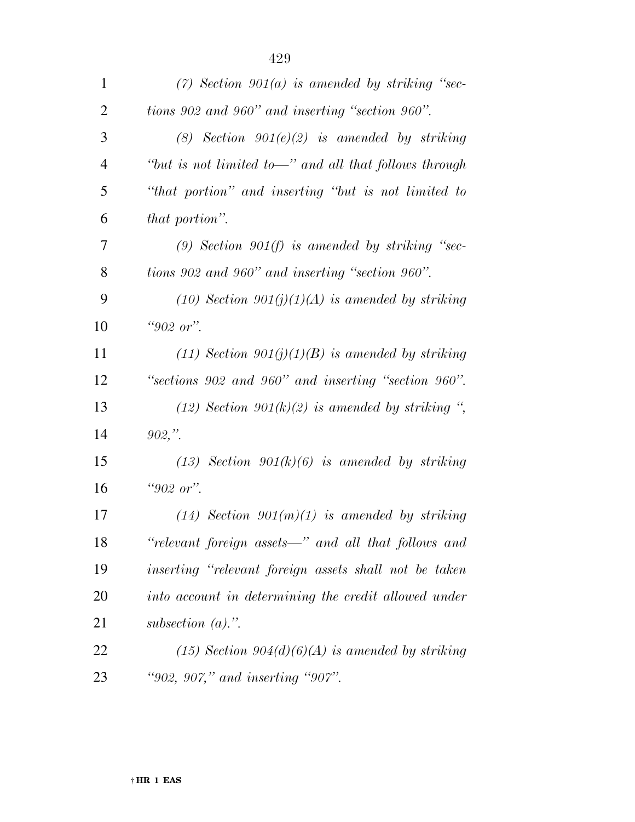| $\mathbf{1}$   | $(7)$ Section 901(a) is amended by striking "sec-     |
|----------------|-------------------------------------------------------|
| $\overline{2}$ | tions 902 and 960" and inserting "section 960".       |
| 3              | (8) Section $901(e)(2)$ is amended by striking        |
| $\overline{4}$ | "but is not limited to—" and all that follows through |
| 5              | "that portion" and inserting "but is not limited to   |
| 6              | that portion".                                        |
| 7              | (9) Section 901(f) is amended by striking "sec-       |
| 8              | tions 902 and 960" and inserting "section 960".       |
| 9              | $(10)$ Section $901(j)(1)(A)$ is amended by striking  |
| 10             | " $902$ or".                                          |
| 11             | $(11)$ Section 901(j)(1)(B) is amended by striking    |
| 12             | "sections 902 and 960" and inserting "section 960".   |
| 13             | $(12)$ Section 901(k)(2) is amended by striking ",    |
| 14             | $902,$ ".                                             |
| 15             | $(13)$ Section $901(k)(6)$ is amended by striking     |
| 16             | "902 or".                                             |
| 17             | $(14)$ Section 901 $(m)(1)$ is amended by striking    |
| 18             | "relevant foreign assets—" and all that follows and   |
| 19             | inserting "relevant foreign assets shall not be taken |
| 20             | into account in determining the credit allowed under  |
| 21             | subsection $(a)$ .".                                  |
| 22             | $(15)$ Section 904(d)(6)(A) is amended by striking    |
| 23             | "902, 907," and inserting "907".                      |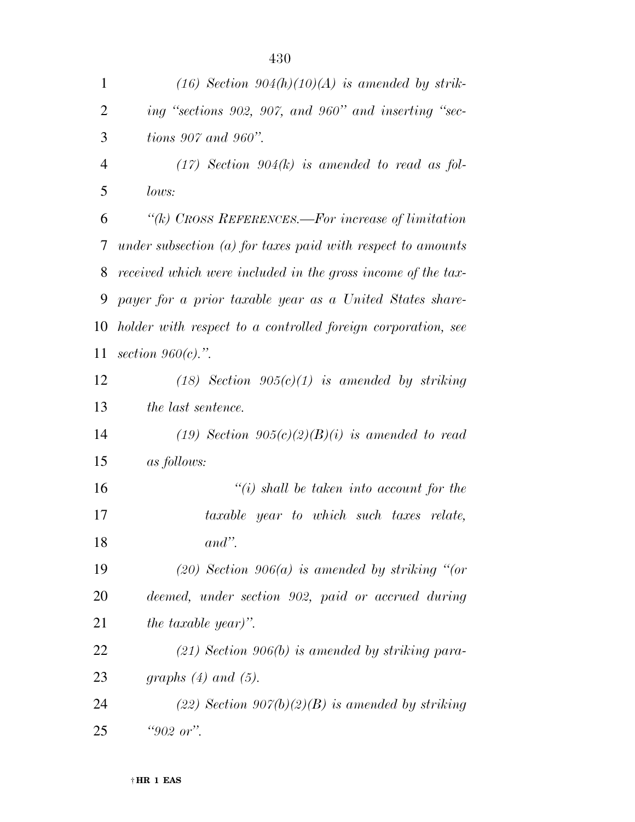| $\mathbf{1}$   | $(16)$ Section 904(h)(10)(A) is amended by strik-             |
|----------------|---------------------------------------------------------------|
| $\overline{2}$ | ing "sections 902, 907, and 960" and inserting "sec-          |
| 3              | tions $907$ and $960$ ".                                      |
| $\overline{4}$ | $(17)$ Section 904(k) is amended to read as fol-              |
| 5              | lows:                                                         |
| 6              | " $(k)$ CROSS REFERENCES.—For increase of limitation          |
| 7              | under subsection $(a)$ for taxes paid with respect to amounts |
| 8              | received which were included in the gross income of the tax-  |
| 9              | payer for a prior taxable year as a United States share-      |
| 10             | holder with respect to a controlled foreign corporation, see  |
| 11             | section $960(c)$ .".                                          |
| 12             | $(18)$ Section $905(c)(1)$ is amended by striking             |
| 13             | <i>the last sentence.</i>                                     |
| 14             | (19) Section $905(c)(2)(B)(i)$ is amended to read             |
| 15             | <i>as follows:</i>                                            |
| 16             | $\lq\lq(i)$ shall be taken into account for the               |
| 17             | taxable year to which such taxes relate,                      |
| 18             | $and$ ".                                                      |
| 19             | $(20)$ Section 906(a) is amended by striking "(or             |
| 20             | deemed, under section 902, paid or accrued during             |
| 21             | <i>the taxable year)</i> ".                                   |
| 22             | $(21)$ Section 906(b) is amended by striking para-            |
| 23             | graphs $(4)$ and $(5)$ .                                      |
| 24             | $(22)$ Section 907(b)(2)(B) is amended by striking            |
| 25             | "902 or".                                                     |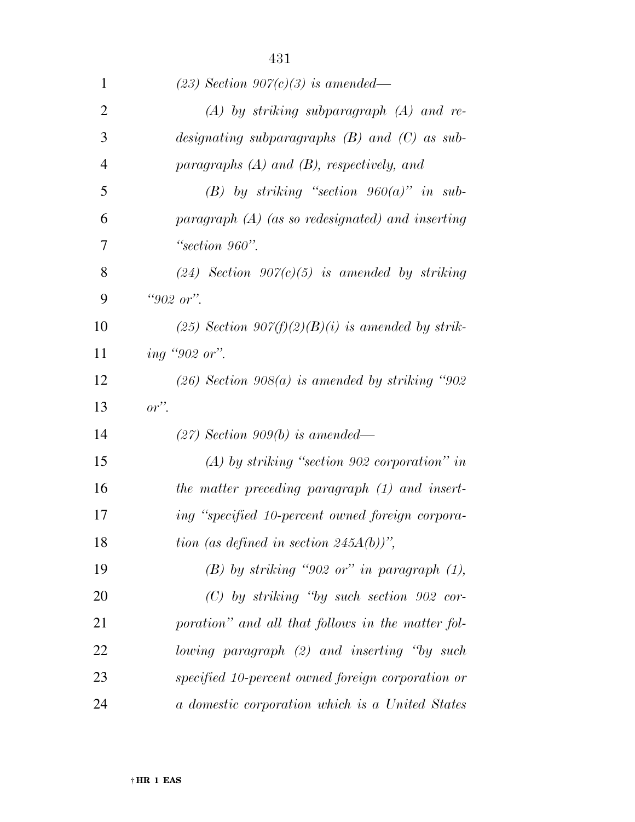| $\mathbf 1$    | $(23)$ Section 907 $(c)(3)$ is amended—             |
|----------------|-----------------------------------------------------|
| $\overline{2}$ | $(A)$ by striking subparagraph $(A)$ and re-        |
| 3              | designating subparagraphs $(B)$ and $(C)$ as sub-   |
| $\overline{4}$ | paragraphs $(A)$ and $(B)$ , respectively, and      |
| 5              | (B) by striking "section $960(a)$ " in sub-         |
| 6              | paragraph $(A)$ (as so redesignated) and inserting  |
| 7              | "section 960".                                      |
| 8              | $(24)$ Section 907(c)(5) is amended by striking     |
| 9              | "902 or".                                           |
| 10             | $(25)$ Section 907(f)(2)(B)(i) is amended by strik- |
| 11             | ing "902 or".                                       |
| 12             | $(26)$ Section 908(a) is amended by striking "902   |
| 13             | $or$ ".                                             |
| 14             | $(27)$ Section 909(b) is amended—                   |
| 15             | $(A)$ by striking "section 902 corporation" in      |
| 16             | the matter preceding paragraph (1) and insert-      |
| 17             | ing "specified 10-percent owned foreign corpora-    |
| 18             | tion (as defined in section $245A(b)$ )",           |
| 19             | $(B)$ by striking "902 or" in paragraph $(1)$ ,     |
| 20             | $(C)$ by striking "by such section 902 cor-         |
| 21             | poration" and all that follows in the matter fol-   |
| 22             | lowing paragraph (2) and inserting "by such         |
| 23             | specified 10-percent owned foreign corporation or   |
| 24             | a domestic corporation which is a United States     |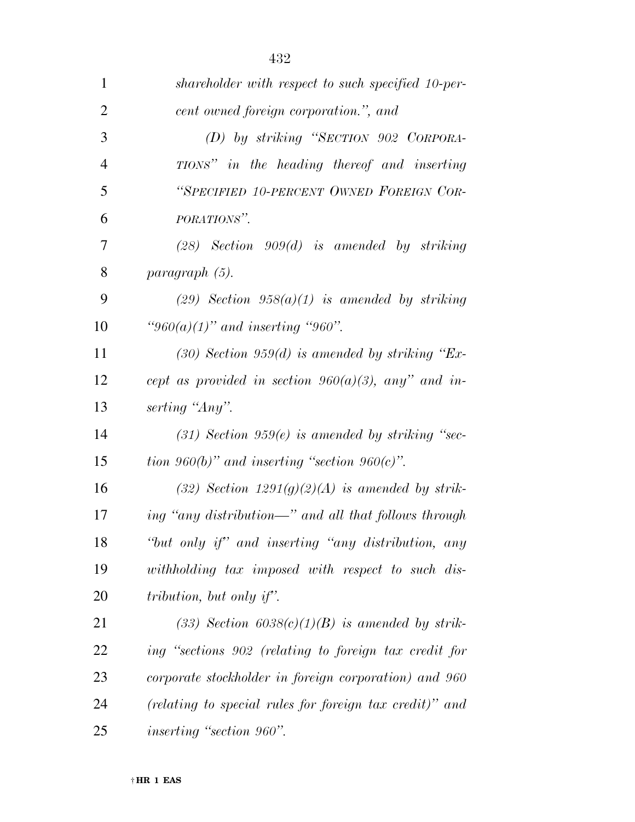| $\mathbf{1}$   | shareholder with respect to such specified 10-per-      |
|----------------|---------------------------------------------------------|
| $\overline{2}$ | cent owned foreign corporation.", and                   |
| 3              | (D) by striking "SECTION 902 CORPORA-                   |
| $\overline{4}$ | TIONS" in the heading thereof and inserting             |
| 5              | "SPECIFIED 10-PERCENT OWNED FOREIGN COR-                |
| 6              | PORATIONS".                                             |
| 7              | $(28)$ Section 909 $(d)$ is amended by striking         |
| 8              | paragraph (5).                                          |
| 9              | $(29)$ Section $958(a)(1)$ is amended by striking       |
| 10             | "960(a)(1)" and inserting "960".                        |
| 11             | $(30)$ Section 959 $(d)$ is amended by striking "Ex-    |
| 12             | cept as provided in section $960(a)(3)$ , any" and in-  |
| 13             | serting "Any".                                          |
| 14             | $(31)$ Section 959 $(e)$ is amended by striking "sec-   |
| 15             | tion 960(b)" and inserting "section 960(c)".            |
| 16             | (32) Section $1291(g)(2)(A)$ is amended by strik-       |
| 17             | ing "any distribution—" and all that follows through    |
| 18             | "but only if" and inserting "any distribution, any      |
| 19             | withholding tax imposed with respect to such dis-       |
| 20             | tribution, but only if".                                |
| 21             | $(33)$ Section $6038(c)(1)(B)$ is amended by strik-     |
| 22             | ing "sections 902 (relating to foreign tax credit for   |
| 23             | corporate stockholder in foreign corporation) and 960   |
| 24             | (relating to special rules for foreign tax credit)" and |
| 25             | <i>inserting</i> "section 960".                         |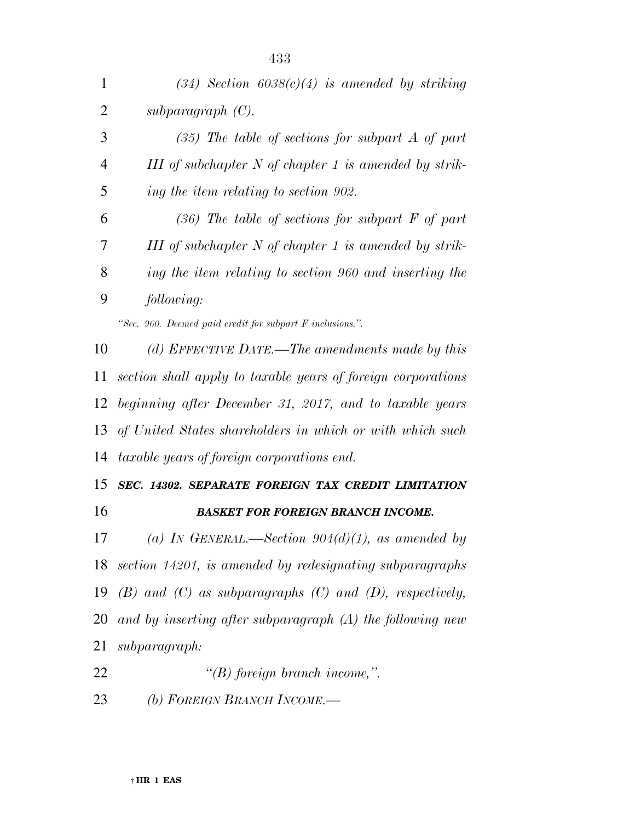| $\mathbf{1}$   | $(34)$ Section $6038(c)(4)$ is amended by striking               |
|----------------|------------------------------------------------------------------|
| $\overline{2}$ | subparagraph $(C)$ .                                             |
| 3              | $(35)$ The table of sections for subpart A of part               |
| $\overline{4}$ | III of subchapter $N$ of chapter 1 is amended by strik-          |
| 5              | ing the item relating to section 902.                            |
| 6              | $(36)$ The table of sections for subpart F of part               |
| 7              | III of subchapter $N$ of chapter 1 is amended by strik-          |
| 8              | ing the item relating to section 960 and inserting the           |
| 9              | following:                                                       |
|                | "Sec. 960. Deemed paid credit for subpart F inclusions.".        |
| 10             | (d) EFFECTIVE DATE.—The amendments made by this                  |
| 11             | section shall apply to taxable years of foreign corporations     |
| 12             | beginning after December 31, 2017, and to taxable years          |
| 13             | of United States shareholders in which or with which such        |
| 14             | <i>taxable years of foreign corporations end.</i>                |
| 15             | SEC. 14302. SEPARATE FOREIGN TAX CREDIT LIMITATION               |
| 16             | <b>BASKET FOR FOREIGN BRANCH INCOME.</b>                         |
| 17             | (a) IN GENERAL.—Section $904(d)(1)$ , as amended by              |
| 18             | section 14201, is amended by redesignating subparagraphs         |
| 19             | $(B)$ and $(C)$ as subparagraphs $(C)$ and $(D)$ , respectively, |
| 20             | and by inserting after subparagraph $(A)$ the following new      |
| 21             | subparagraph:                                                    |
| 22             | $\lq (B)$ foreign branch income,".                               |
| 23             | (b) FOREIGN BRANCH INCOME.-                                      |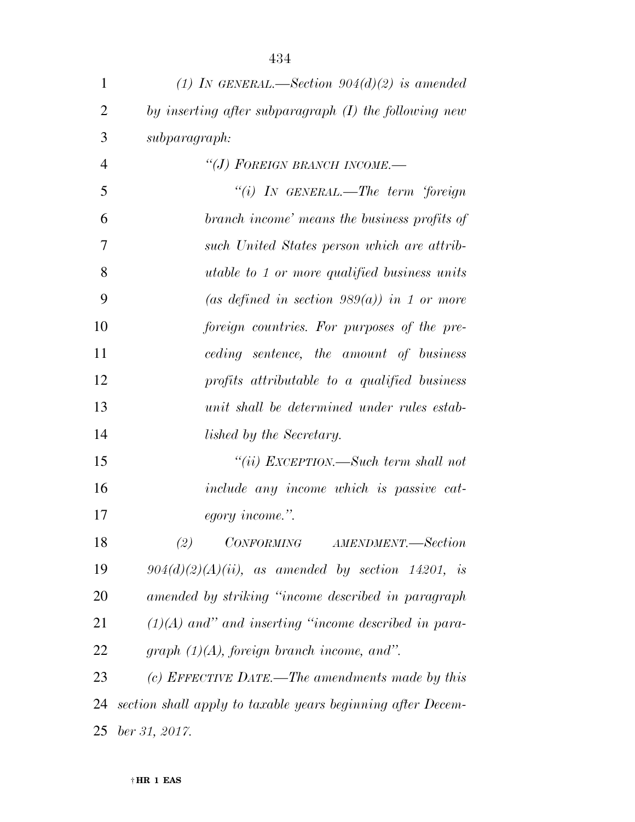| $\mathbf{1}$   | (1) IN GENERAL.—Section $904(d)(2)$ is amended              |
|----------------|-------------------------------------------------------------|
| $\overline{2}$ | by inserting after subparagraph (I) the following new       |
| 3              | subparagraph:                                               |
| $\overline{4}$ | "(J) FOREIGN BRANCH INCOME.-                                |
| 5              | "(i) IN GENERAL.—The term 'foreign                          |
| 6              | branch income' means the business profits of                |
| $\overline{7}$ | such United States person which are attrib-                 |
| 8              | <i>utable to 1 or more qualified business units</i>         |
| 9              | (as defined in section 989(a)) in 1 or more                 |
| 10             | foreign countries. For purposes of the pre-                 |
| 11             | ceding sentence, the amount of business                     |
| 12             | profits attributable to a qualified business                |
| 13             | unit shall be determined under rules estab-                 |
| 14             | lished by the Secretary.                                    |
| 15             | "(ii) EXCEPTION.—Such term shall not                        |
| 16             | include any income which is passive cat-                    |
| 17             | egory income.".                                             |
| 18             | (2) CONFORMING AMENDMENT.-Section                           |
| 19             | $904(d)(2)(A)(ii)$ , as amended by section 14201, is        |
| <b>20</b>      | amended by striking "income described in paragraph          |
| 21             | $(1)(A)$ and" and inserting "income described in para-      |
| 22             | graph $(1)(A)$ , foreign branch income, and".               |
| 23             | (c) EFFECTIVE DATE.—The amendments made by this             |
| 24             | section shall apply to taxable years beginning after Decem- |
| 25             | ber 31, 2017.                                               |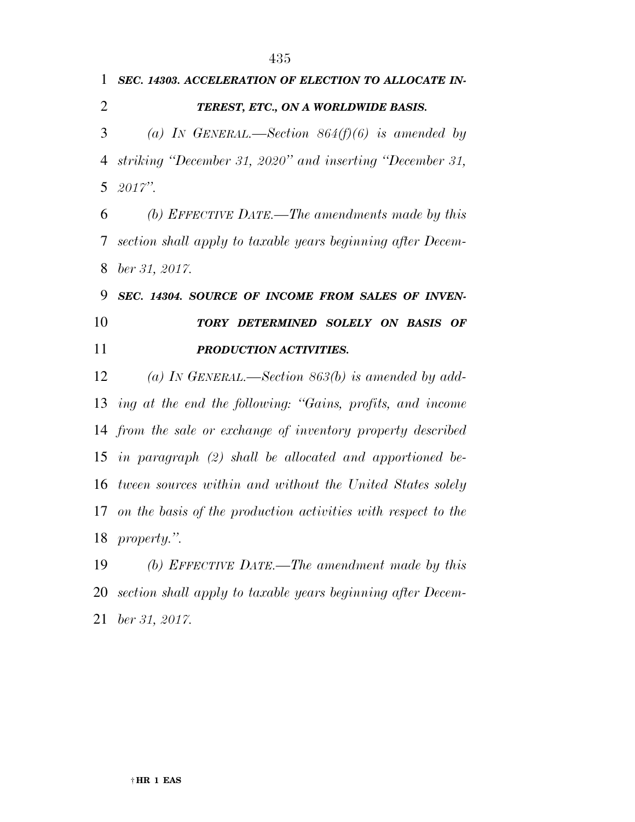*SEC. 14303. ACCELERATION OF ELECTION TO ALLOCATE IN- TEREST, ETC., ON A WORLDWIDE BASIS. (a) IN GENERAL.—Section 864(f)(6) is amended by striking ''December 31, 2020'' and inserting ''December 31, 2017''. (b) EFFECTIVE DATE.—The amendments made by this section shall apply to taxable years beginning after Decem- ber 31, 2017. SEC. 14304. SOURCE OF INCOME FROM SALES OF INVEN- TORY DETERMINED SOLELY ON BASIS OF PRODUCTION ACTIVITIES. (a) IN GENERAL.—Section 863(b) is amended by add- ing at the end the following: ''Gains, profits, and income from the sale or exchange of inventory property described in paragraph (2) shall be allocated and apportioned be- tween sources within and without the United States solely on the basis of the production activities with respect to the property.''. (b) EFFECTIVE DATE.—The amendment made by this section shall apply to taxable years beginning after Decem-ber 31, 2017.*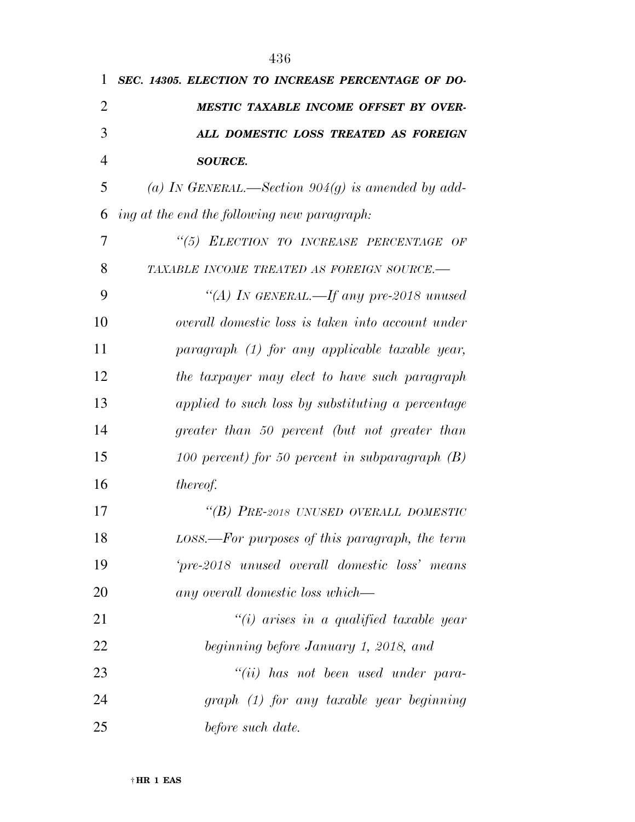| 1              | SEC. 14305. ELECTION TO INCREASE PERCENTAGE OF DO-  |
|----------------|-----------------------------------------------------|
| $\overline{2}$ | MESTIC TAXABLE INCOME OFFSET BY OVER-               |
| 3              | ALL DOMESTIC LOSS TREATED AS FOREIGN                |
| $\overline{4}$ | <b>SOURCE.</b>                                      |
| 5              | (a) IN GENERAL.—Section $904(g)$ is amended by add- |
| 6              | ing at the end the following new paragraph:         |
| 7              | "(5) ELECTION TO INCREASE PERCENTAGE OF             |
| 8              | TAXABLE INCOME TREATED AS FOREIGN SOURCE.-          |
| 9              | "(A) IN GENERAL.—If any pre-2018 unused             |
| 10             | overall domestic loss is taken into account under   |
| 11             | $paramph$ (1) for any applicable taxable year,      |
| 12             | the taxpayer may elect to have such paragraph       |
| 13             | applied to such loss by substituting a percentage   |
| 14             | greater than 50 percent (but not greater than       |
| 15             | 100 percent) for 50 percent in subparagraph $(B)$   |
| 16             | thereof.                                            |
| 17             | "(B) PRE-2018 UNUSED OVERALL DOMESTIC               |
| 18             | LOSS.—For purposes of this paragraph, the term      |
| 19             | 'pre-2018 unused overall domestic loss' means       |
| 20             | any overall domestic loss which—                    |
| 21             | $\lq\lq(i)$ arises in a qualified taxable year      |
| 22             | beginning before January 1, 2018, and               |
| 23             | "(ii) has not been used under para-                 |
| 24             | graph (1) for any taxable year beginning            |
| 25             | before such date.                                   |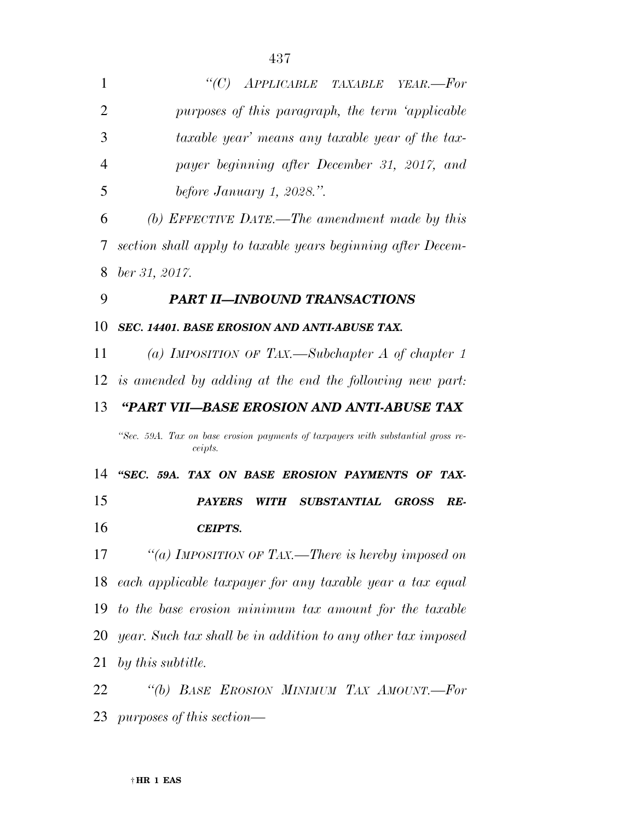| 1              | "(C) APPLICABLE TAXABLE YEAR.-For                                               |
|----------------|---------------------------------------------------------------------------------|
| $\overline{2}$ | purposes of this paragraph, the term 'applicable                                |
| 3              | taxable year' means any taxable year of the tax-                                |
| $\overline{4}$ | payer beginning after December 31, 2017, and                                    |
| 5              | before January 1, 2028.".                                                       |
| 6              | (b) EFFECTIVE DATE.—The amendment made by this                                  |
| 7              | section shall apply to taxable years beginning after Decem-                     |
| 8              | $ber\,31,\,2017.$                                                               |
| 9              | <b>PART II-INBOUND TRANSACTIONS</b>                                             |
| 10             | SEC. 14401. BASE EROSION AND ANTI-ABUSE TAX.                                    |
| 11             | (a) IMPOSITION OF TAX.—Subchapter A of chapter 1                                |
|                | 12 is amended by adding at the end the following new part:                      |
| 13             | "PART VII—BASE EROSION AND ANTI-ABUSE TAX                                       |
|                | "Sec. 59A. Tax on base erosion payments of taxpayers with substantial gross re- |
|                | ceipts.                                                                         |
| 14             | "SEC. 59A. TAX ON BASE EROSION PAYMENTS OF TAX-                                 |
| 15             | <b>PAYERS</b><br><i>WITH</i><br><b>SUBSTANTIAL</b><br><b>GROSS</b><br>RE-       |
| 16             | <b>CEIPTS.</b>                                                                  |
| 17             | "(a) IMPOSITION OF TAX.—There is hereby imposed on                              |
| 18             | each applicable taxpayer for any taxable year a tax equal                       |
| 19             | to the base erosion minimum tax amount for the taxable                          |
| 20             | year. Such tax shall be in addition to any other tax imposed                    |
| 21             | by this subtitle.                                                               |
| 22             | "(b) BASE EROSION MINIMUM TAX AMOUNT.-For                                       |
|                | 23 purposes of this section—                                                    |
|                |                                                                                 |

*CEIPTS.* 

*by this subtitle.*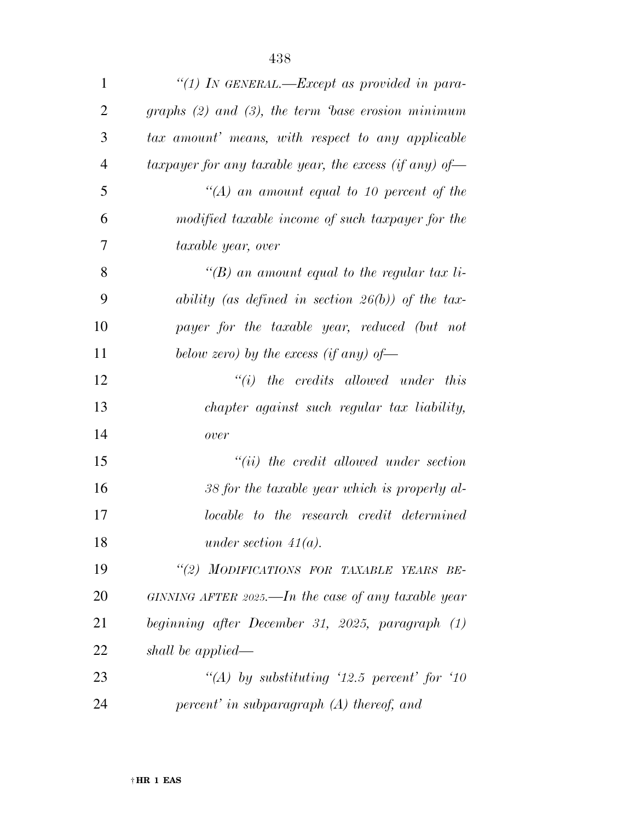| $\mathbf{1}$   | "(1) IN GENERAL.—Except as provided in para-           |
|----------------|--------------------------------------------------------|
| $\overline{2}$ | graphs $(2)$ and $(3)$ , the term base erosion minimum |
| 3              | tax amount' means, with respect to any applicable      |
| $\overline{4}$ | taxpayer for any taxable year, the excess (if any) of- |
| 5              | $\lq (A)$ an amount equal to 10 percent of the         |
| 6              | modified taxable income of such taxpayer for the       |
| 7              | taxable year, over                                     |
| 8              | "(B) an amount equal to the regular tax li-            |
| 9              | ability (as defined in section $26(b)$ ) of the tax-   |
| 10             | payer for the taxable year, reduced (but not           |
| 11             | below zero) by the excess (if any) of-                 |
| 12             | $``(i)$ the credits allowed under this                 |
| 13             | chapter against such regular tax liability,            |
| 14             | over                                                   |
| 15             | $``(ii)$ the credit allowed under section              |
| 16             | 38 for the taxable year which is properly al-          |
| 17             | locable to the research credit determined              |
| 18             | under section $41(a)$ .                                |
| 19             | "(2) MODIFICATIONS FOR TAXABLE YEARS BE-               |
| 20             | GINNING AFTER 2025.—In the case of any taxable year    |
| 21             | beginning after December 31, 2025, paragraph (1)       |
| 22             | shall be applied—                                      |
| 23             | "(A) by substituting '12.5 percent' for '10            |
| 24             | $percent'$ in subparagraph $(A)$ thereof, and          |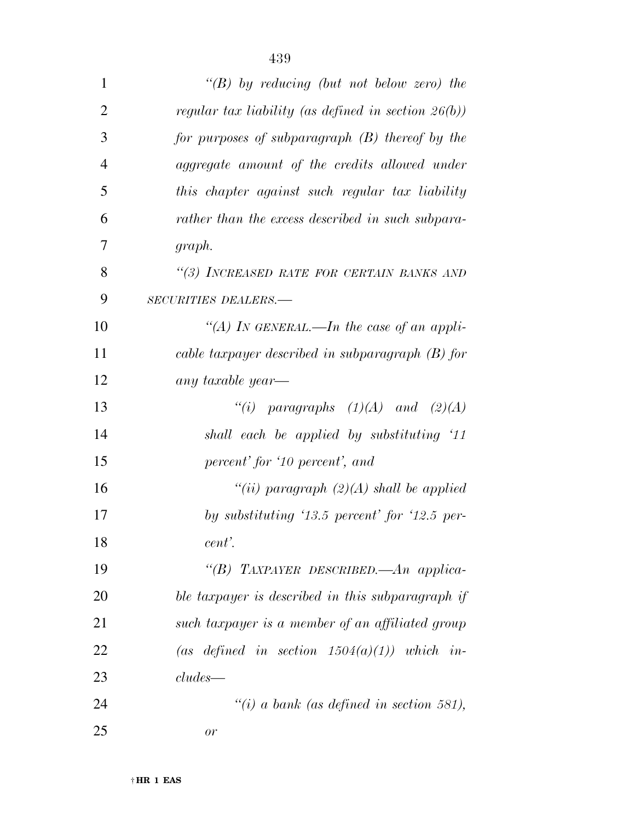| $\mathbf{1}$   | " $(B)$ by reducing (but not below zero) the           |
|----------------|--------------------------------------------------------|
| $\overline{2}$ | regular tax liability (as defined in section $26(b)$ ) |
| 3              | for purposes of subparagraph $(B)$ thereof by the      |
| $\overline{4}$ | aggregate amount of the credits allowed under          |
| 5              | this chapter against such regular tax liability        |
| 6              | rather than the excess described in such subpara-      |
| 7              | graph.                                                 |
| 8              | "(3) INCREASED RATE FOR CERTAIN BANKS AND              |
| 9              | <b>SECURITIES DEALERS.—</b>                            |
| 10             | "(A) In GENERAL.—In the case of an appli-              |
| 11             | cable taxpayer described in subparagraph $(B)$ for     |
| 12             | any taxable year—                                      |
| 13             | "(i) paragraphs $(1)(A)$ and $(2)(A)$                  |
| 14             | shall each be applied by substituting '11              |
| 15             | percent' for '10 percent', and                         |
| 16             | "(ii) paragraph $(2)(A)$ shall be applied              |
| 17             | by substituting $13.5$ percent for $12.5$ per-         |
| 18             | cent'.                                                 |
| 19             | "(B) TAXPAYER DESCRIBED.—An applica-                   |
| 20             | ble taxpayer is described in this subparagraph if      |
| 21             | such taxpayer is a member of an affiliated group       |
| 22             | (as defined in section $1504(a)(1)$ ) which in-        |
| 23             | $cludes$ —                                             |
| 24             | "(i) a bank (as defined in section 581),               |
| 25             | or                                                     |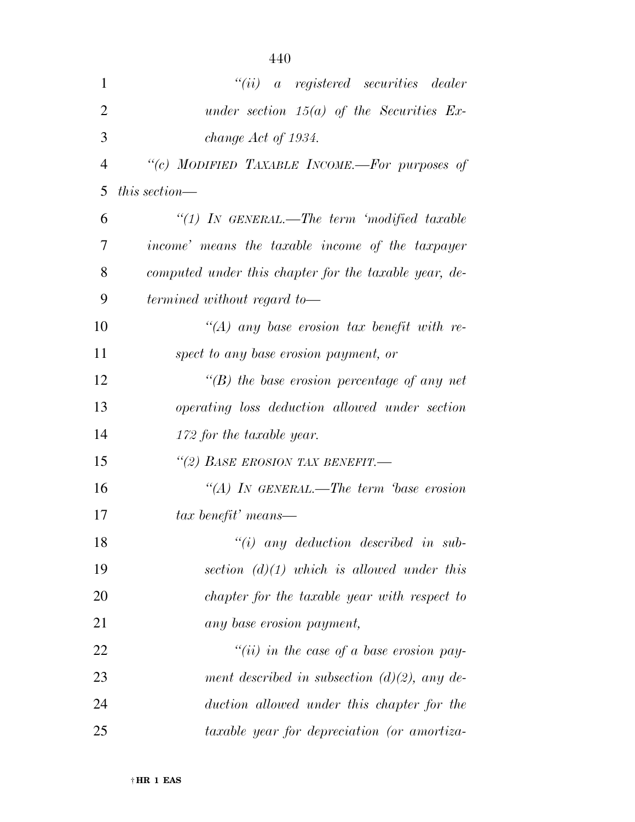| $\mathbf{1}$   | $``(ii)$ a registered securities dealer                |
|----------------|--------------------------------------------------------|
| $\overline{2}$ | under section $15(a)$ of the Securities Ex-            |
| 3              | change Act of 1934.                                    |
| $\overline{4}$ | "(c) MODIFIED TAXABLE INCOME.-For purposes of          |
| 5              | this section—                                          |
| 6              | "(1) IN GENERAL.—The term 'modified taxable            |
| 7              | <i>income</i> means the taxable income of the taxpayer |
| 8              | computed under this chapter for the taxable year, de-  |
| 9              | termined without regard to-                            |
| 10             | "(A) any base erosion tax benefit with re-             |
| 11             | spect to any base erosion payment, or                  |
| 12             | $\lq\lq(B)$ the base erosion percentage of any net     |
| 13             | <i>operating loss deduction allowed under section</i>  |
| 14             | 172 for the taxable year.                              |
| 15             | "(2) BASE EROSION TAX BENEFIT.-                        |
| 16             | "(A) IN GENERAL.—The term base erosion                 |
| 17             | tax benefit' means—                                    |
| 18             | $``(i)$ any deduction described in sub-                |
| 19             | section $(d)(1)$ which is allowed under this           |
| 20             | chapter for the taxable year with respect to           |
| 21             | any base erosion payment,                              |
| 22             | "(ii) in the case of a base erosion pay-               |
| 23             | ment described in subsection $(d)(2)$ , any de-        |
| 24             | duction allowed under this chapter for the             |
| 25             | taxable year for depreciation (or amortiza-            |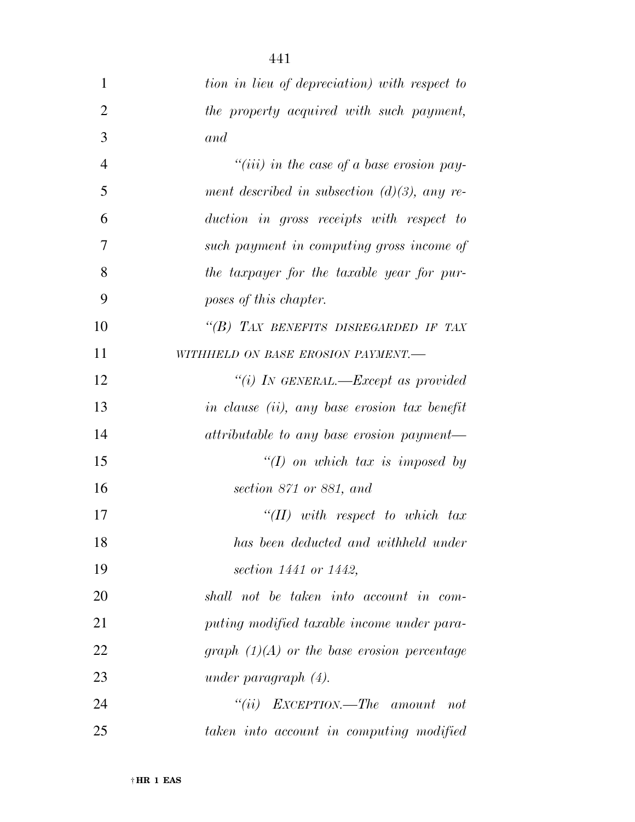| $\mathbf{1}$   | tion in lieu of depreciation) with respect to      |
|----------------|----------------------------------------------------|
| $\overline{2}$ | the property acquired with such payment,           |
| 3              | and                                                |
| $\overline{4}$ | "( <i>iii</i> ) in the case of a base erosion pay- |
| 5              | ment described in subsection $(d)(3)$ , any re-    |
| 6              | duction in gross receipts with respect to          |
| 7              | such payment in computing gross income of          |
| 8              | the taxpayer for the taxable year for pur-         |
| 9              | poses of this chapter.                             |
| 10             | "(B) TAX BENEFITS DISREGARDED IF TAX               |
| 11             | WITHHELD ON BASE EROSION PAYMENT.-                 |
| 12             | "(i) IN GENERAL.—Except as provided                |
| 13             | in clause (ii), any base erosion tax benefit       |
| 14             | attributable to any base erosion payment—          |
| 15             | $\lq (I)$ on which tax is imposed by               |
| 16             | section 871 or 881, and                            |
| 17             | $``(II)$ with respect to which tax                 |
| 18             | has been deducted and withheld under               |
| 19             | section 1441 or 1442,                              |
| 20             | shall not be taken into account in com-            |
| 21             | puting modified taxable income under para-         |
| 22             | graph $(1)(A)$ or the base erosion percentage      |
| 23             | under paragraph $(4)$ .                            |
| 24             | "(ii) $EXCEPTION$ —The amount<br>not               |
| 25             | taken into account in computing modified           |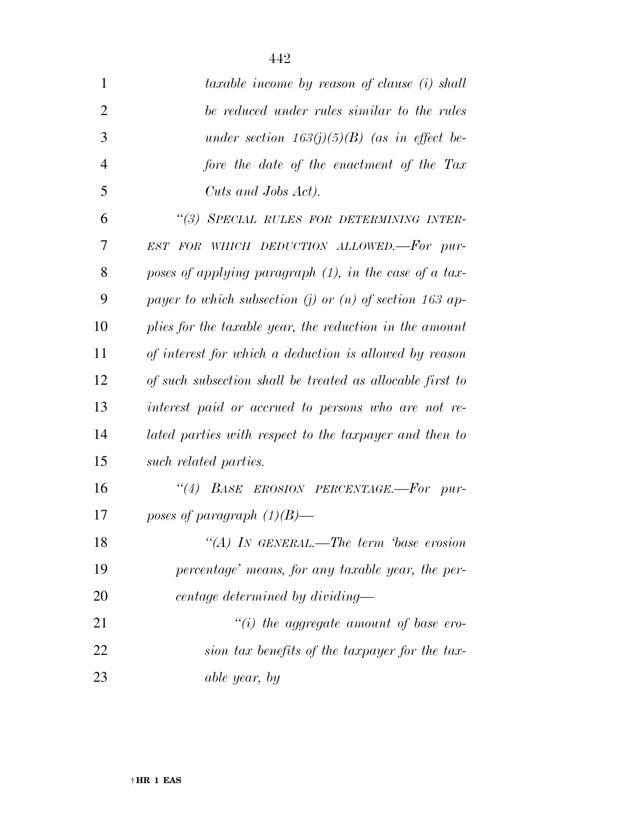| $\mathbf{1}$   | taxable income by reason of clause (i) shall              |
|----------------|-----------------------------------------------------------|
| $\overline{2}$ | be reduced under rules similar to the rules               |
| 3              | under section $163(j)(5)(B)$ (as in effect be-            |
| $\overline{4}$ | fore the date of the enactment of the Tax                 |
| 5              | Cuts and Jobs Act).                                       |
| 6              | "(3) SPECIAL RULES FOR DETERMINING INTER-                 |
| 7              | EST FOR WHICH DEDUCTION ALLOWED.-For pur-                 |
| 8              | poses of applying paragraph $(1)$ , in the case of a tax- |
| 9              | payer to which subsection (j) or (n) of section 163 ap-   |
| 10             | plies for the taxable year, the reduction in the amount   |
| 11             | of interest for which a deduction is allowed by reason    |
| 12             | of such subsection shall be treated as allocable first to |
| 13             | interest paid or accrued to persons who are not re-       |
|                |                                                           |

 *lated parties with respect to the taxpayer and then to such related parties.* 

 *''(4) BASE EROSION PERCENTAGE.—For pur-poses of paragraph (1)(B)—* 

 *''(A) IN GENERAL.—The term 'base erosion percentage' means, for any taxable year, the per-centage determined by dividing—* 

 *''(i) the aggregate amount of base ero- sion tax benefits of the taxpayer for the tax-able year, by*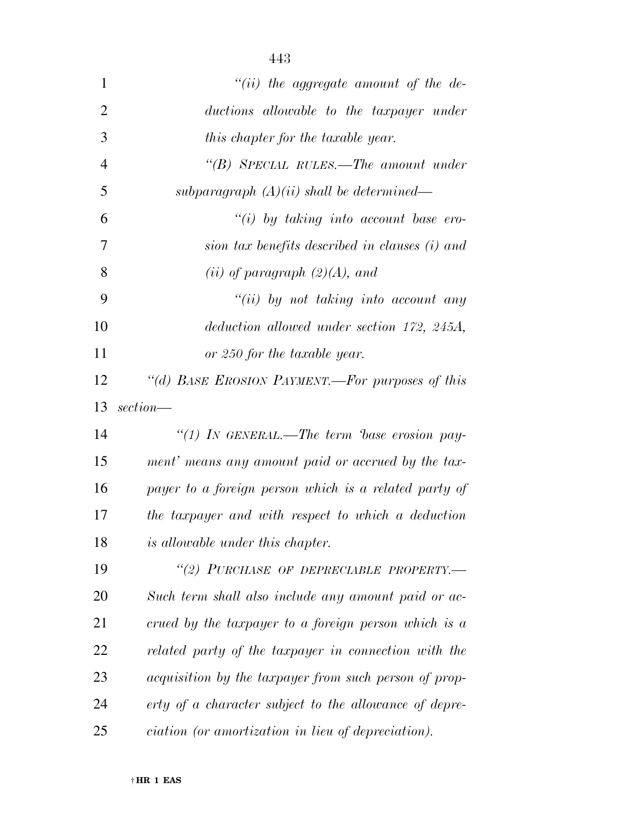| $\mathbf{1}$   | "(ii) the aggregate amount of the de-                        |
|----------------|--------------------------------------------------------------|
| $\overline{2}$ | ductions allowable to the taxpayer under                     |
| 3              | this chapter for the taxable year.                           |
| $\overline{4}$ | "(B) SPECIAL RULES.—The amount under                         |
| 5              | subparagraph $(A)(ii)$ shall be determined—                  |
| 6              | "(i) by taking into account base ero-                        |
| 7              | sion tax benefits described in clauses (i) and               |
| 8              | (ii) of paragraph $(2)(A)$ , and                             |
| 9              | $``(ii)$ by not taking into account any                      |
| 10             | deduction allowed under section 172, 245A,                   |
| 11             | or 250 for the taxable year.                                 |
| 12             | "(d) BASE EROSION PAYMENT.-- For purposes of this            |
| 13             | section—                                                     |
| 14             | "(1) IN GENERAL.—The term 'base erosion pay-                 |
| 15             | ment' means any amount paid or accrued by the tax-           |
| 16             | payer to a foreign person which is a related party of        |
| 17             | the taxpayer and with respect to which a deduction           |
| 18             | <i>is allowable under this chapter.</i>                      |
| 19             | "(2) PURCHASE OF DEPRECIABLE PROPERTY.-                      |
| 20             | Such term shall also include any amount paid or ac-          |
| 21             | crued by the taxpayer to a foreign person which is a         |
| 22             | related party of the taxpayer in connection with the         |
| 23             | <i>acquisition by the taxpayer from such person of prop-</i> |
| 24             | erty of a character subject to the allowance of depre-       |
| 25             | <i>ciation</i> (or amortization in lieu of depreciation).    |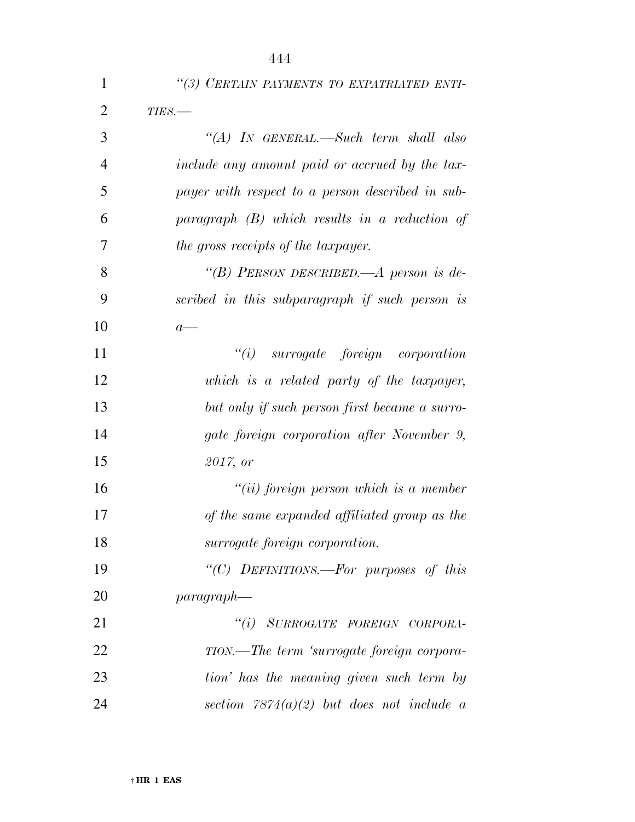| $\mathbf{1}$   | "(3) CERTAIN PAYMENTS TO EXPATRIATED ENTI-       |
|----------------|--------------------------------------------------|
| $\overline{2}$ | TIES.-                                           |
| 3              | "(A) IN GENERAL.—Such term shall also            |
| $\overline{4}$ | include any amount paid or accrued by the tax-   |
| 5              | payer with respect to a person described in sub- |
| 6              | paragraph $(B)$ which results in a reduction of  |
| 7              | the gross receipts of the taxpayer.              |
| 8              | "(B) PERSON DESCRIBED.—A person is de-           |
| 9              | scribed in this subparagraph if such person is   |
| 10             | $a-$                                             |
| 11             | $``(i)$ surrogate foreign corporation            |
| 12             | which is a related party of the taxpayer,        |
| 13             | but only if such person first became a surro-    |
| 14             | gate foreign corporation after November 9,       |
| 15             | 2017, or                                         |
| 16             | $``(ii)$ foreign person which is a member        |
| 17             | of the same expanded affiliated group as the     |
| 18             | surrogate foreign corporation.                   |
| 19             | "(C) DEFINITIONS.—For purposes of this           |
| 20             | $paragnah$ —                                     |
| 21             | "(i) SURROGATE FOREIGN CORPORA-                  |
| 22             | TION.—The term 'surrogate foreign corpora-       |
| 23             | tion' has the meaning given such term by         |
| 24             | section $7874(a)(2)$ but does not include a      |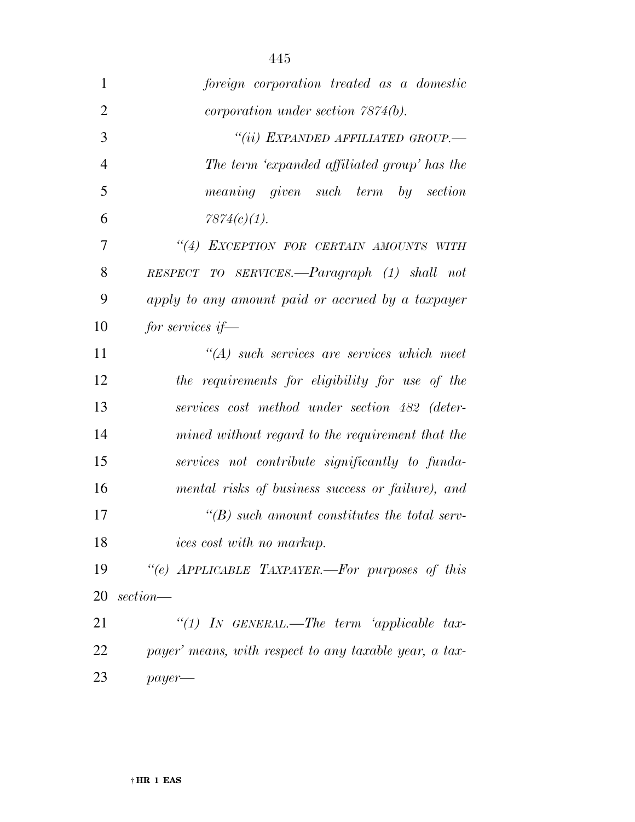| $\mathbf{1}$   | foreign corporation treated as a domestic              |
|----------------|--------------------------------------------------------|
| $\overline{2}$ | <i>corporation under section <math>7874(b)</math>.</i> |
| 3              | "(ii) EXPANDED AFFILIATED GROUP.—                      |
| 4              | The term 'expanded affiliated group' has the           |
| 5              | meaning given such term by<br>section                  |
| 6              | $7874(c)(1)$ .                                         |
| 7              | "(4) EXCEPTION FOR CERTAIN AMOUNTS WITH                |
| 8              | RESPECT TO SERVICES.—Paragraph (1) shall not           |
| 9              | apply to any amount paid or accrued by a taxpayer      |
| 10             | for services if $-$                                    |
| 11             | $H(A)$ such services are services which meet           |
| 12             | the requirements for eligibility for use of the        |
| 13             | services cost method under section 482 (deter-         |
| 14             | mined without regard to the requirement that the       |
| 15             | services not contribute significantly to funda-        |
| 16             | mental risks of business success or failure), and      |
| 17             | $\lq\lq(B)$ such amount constitutes the total serv-    |
| 18             | <i>ices cost with no markup.</i>                       |
| 19             | "(e) APPLICABLE TAXPAYER.—For purposes of this         |
| 20             | $section$ —                                            |
| 21             | "(1) IN GENERAL.—The term 'applicable tax-             |
| 22             | payer' means, with respect to any taxable year, a tax- |
| 23             | $payer$ —                                              |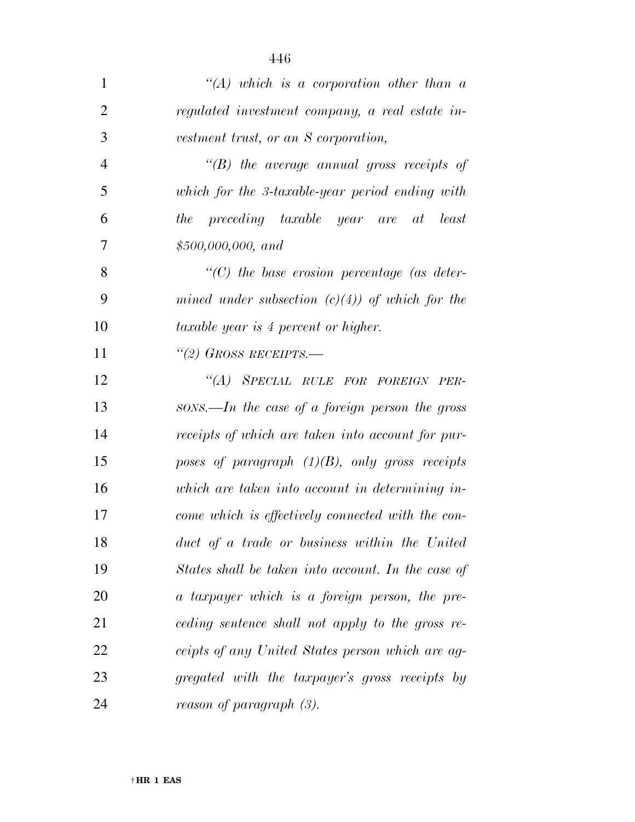| $\mathbf{1}$   | $\lq (A)$ which is a corporation other than a      |
|----------------|----------------------------------------------------|
| $\overline{2}$ | regulated investment company, a real estate in-    |
| 3              | vestment trust, or an S corporation,               |
| $\overline{4}$ | $\lq\lq(B)$ the average annual gross receipts of   |
| 5              | which for the 3-taxable-year period ending with    |
| 6              | the preceding taxable year are at<br>least         |
| 7              | \$500,000,000, and                                 |
| 8              | $\lq\lq$ the base erosion percentage (as deter-    |
| 9              | mined under subsection $(c)(4)$ of which for the   |
| 10             | <i>taxable year is 4 percent or higher.</i>        |
| 11             | "(2) GROSS RECEIPTS.—                              |
| 12             | "(A) SPECIAL RULE FOR FOREIGN PER-                 |
| 13             | sons.—In the case of a foreign person the gross    |
| 14             | receipts of which are taken into account for pur-  |
| 15             | poses of paragraph $(1)(B)$ , only gross receipts  |
| 16             | which are taken into account in determining in-    |
| 17             | come which is effectively connected with the con-  |
| 18             | duct of a trade or business within the United      |
| 19             | States shall be taken into account. In the case of |
| 20             | a taxpayer which is a foreign person, the pre-     |
| 21             | ceding sentence shall not apply to the gross re-   |
| 22             | ceipts of any United States person which are ag-   |
| 23             | gregated with the taxpayer's gross receipts by     |
| 24             | reason of paragraph (3).                           |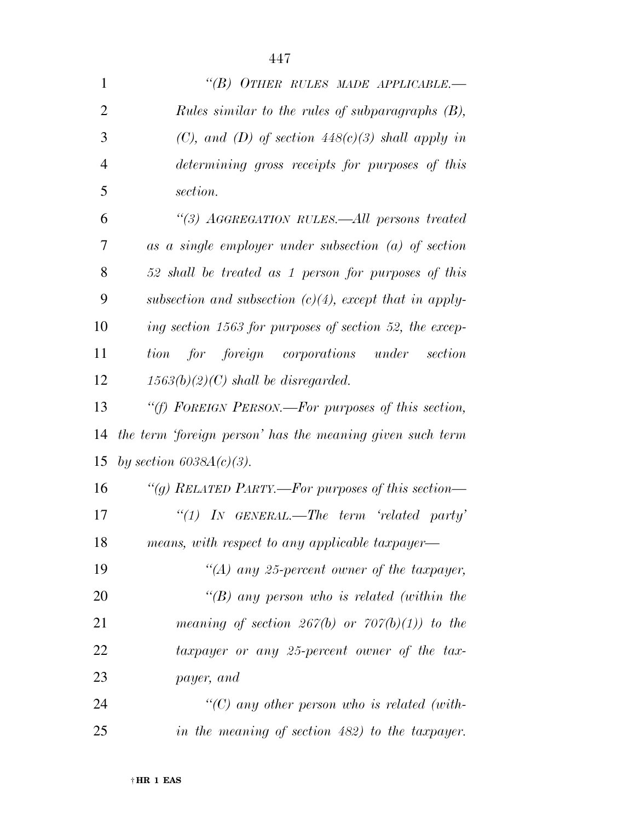| $\mathbf{1}$   | "(B) OTHER RULES MADE APPLICABLE.—                                             |
|----------------|--------------------------------------------------------------------------------|
| $\overline{2}$ | Rules similar to the rules of subparagraphs (B),                               |
| 3              | (C), and (D) of section $448(c)(3)$ shall apply in                             |
| $\overline{4}$ | determining gross receipts for purposes of this                                |
| 5              | section.                                                                       |
| 6              | "(3) AGGREGATION RULES.—All persons treated                                    |
| 7              | $as \, a \, single \, employer \, under \, subsection \, (a) \, of \, section$ |
| 8              | 52 shall be treated as 1 person for purposes of this                           |
| 9              | subsection and subsection $(c)(4)$ , except that in apply-                     |
| 10             | ing section 1563 for purposes of section 52, the excep-                        |
| 11             | tion for foreign corporations under<br>section                                 |
| 12             | $1563(b)(2)(C)$ shall be disregarded.                                          |
| 13             | "(f) FOREIGN PERSON.—For purposes of this section,                             |
| 14             | the term 'foreign person' has the meaning given such term                      |
| 15             | by section $6038A(c)(3)$ .                                                     |
| 16             | "(g) RELATED PARTY.—For purposes of this section—                              |
| 17             | "(1) IN GENERAL.—The term 'related party'                                      |
| 18             | means, with respect to any applicable taxpayer—                                |
| 19             | "(A) any 25-percent owner of the taxpayer,                                     |
| 20             | "(B) any person who is related (within the                                     |
| 21             | meaning of section 267(b) or $707(b)(1)$ to the                                |
| 22             | taxpayer or any 25-percent owner of the tax-                                   |
| 23             | payer, and                                                                     |
| 24             | "(C) any other person who is related (with-                                    |
| 25             | in the meaning of section 482) to the taxpayer.                                |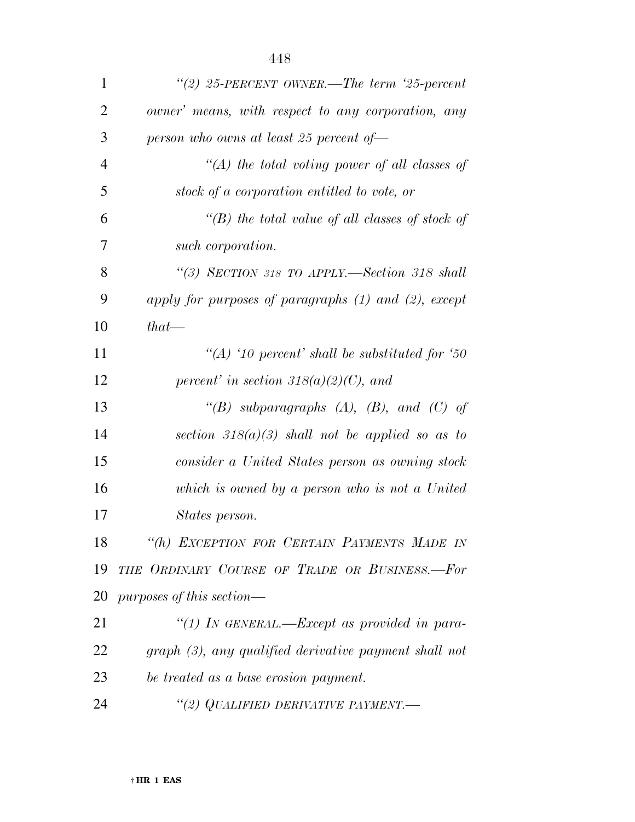| 1              | "(2) 25-PERCENT OWNER.—The term '25-percent               |
|----------------|-----------------------------------------------------------|
| $\overline{2}$ | owner' means, with respect to any corporation, any        |
| 3              | person who owns at least 25 percent of $-$                |
| $\overline{4}$ | $\lq (A)$ the total voting power of all classes of        |
| 5              | stock of a corporation entitled to vote, or               |
| 6              | "(B) the total value of all classes of stock of           |
| 7              | such corporation.                                         |
| 8              | "(3) SECTION 318 TO APPLY.—Section 318 shall              |
| 9              | apply for purposes of paragraphs $(1)$ and $(2)$ , except |
| 10             | $that -$                                                  |
| 11             | "(A) '10 percent' shall be substituted for '50            |
| 12             | percent' in section $318(a)(2)(C)$ , and                  |
| 13             | "(B) subparagraphs $(A)$ , $(B)$ , and $(C)$ of           |
| 14             | section $318(a)(3)$ shall not be applied so as to         |
| 15             | consider a United States person as owning stock           |
| 16             | which is owned by a person who is not a United            |
| 17             | States person.                                            |
| 18             | "(h) EXCEPTION FOR CERTAIN PAYMENTS MADE IN               |
| 19             | THE ORDINARY COURSE OF TRADE OR BUSINESS.-For             |
| 20             | purposes of this section—                                 |
| 21             | "(1) IN GENERAL.—Except as provided in para-              |
| 22             | graph (3), any qualified derivative payment shall not     |
| 23             | be treated as a base erosion payment.                     |
| 24             | "(2) QUALIFIED DERIVATIVE PAYMENT.—                       |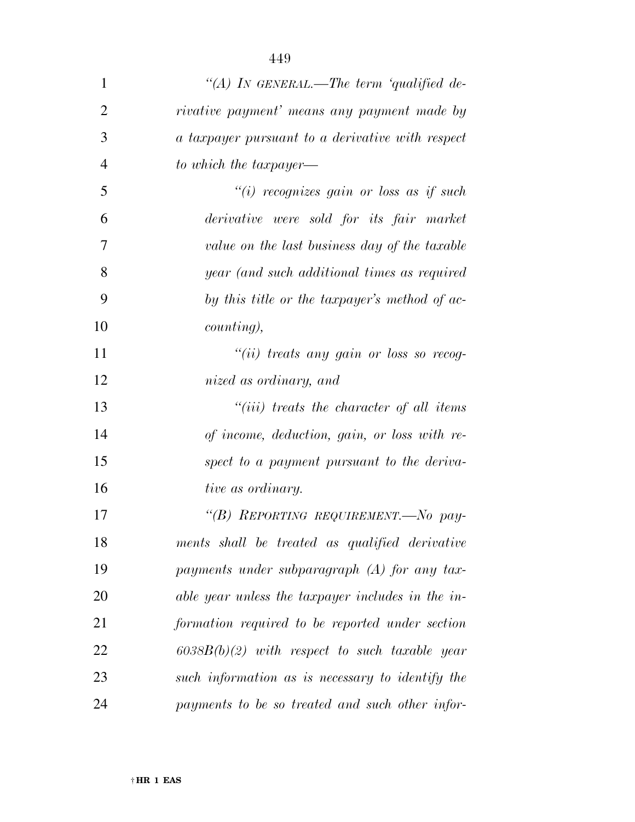| $\mathbf{1}$   | "(A) IN GENERAL.—The term 'qualified de-          |
|----------------|---------------------------------------------------|
| $\overline{2}$ | rivative payment' means any payment made by       |
| 3              | a taxpayer pursuant to a derivative with respect  |
| $\overline{4}$ | to which the taxpayer—                            |
| 5              | "(i) recognizes gain or loss as if such           |
| 6              | derivative were sold for its fair market          |
| 7              | value on the last business day of the taxable     |
| 8              | year (and such additional times as required       |
| 9              | by this title or the taxpayer's method of ac-     |
| 10             | counting),                                        |
| 11             | "(ii) treats any gain or loss so recog-           |
| 12             | nized as ordinary, and                            |
| 13             | $``(iii)$ treats the character of all items       |
| 14             | of income, deduction, gain, or loss with re-      |
| 15             | spect to a payment pursuant to the deriva-        |
| 16             | tive as ordinary.                                 |
| 17             | "(B) REPORTING REQUIREMENT.-No pay-               |
| 18             | ments shall be treated as qualified derivative    |
| 19             | payments under subparagraph $(A)$ for any tax-    |
| 20             | able year unless the taxpayer includes in the in- |
| 21             | formation required to be reported under section   |
| 22             | $6038B(b)(2)$ with respect to such taxable year   |
| 23             | such information as is necessary to identify the  |
| 24             | payments to be so treated and such other infor-   |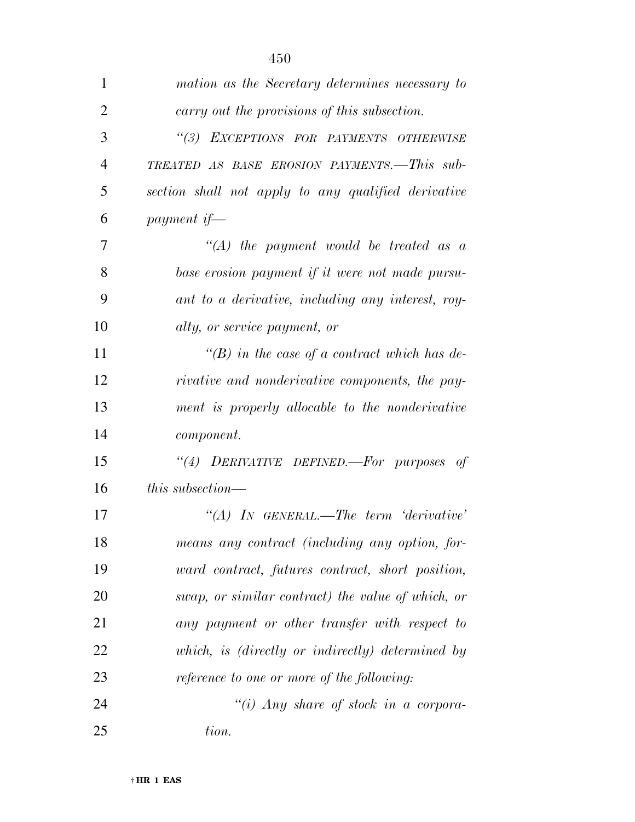| 1              | mation as the Secretary determines necessary to        |
|----------------|--------------------------------------------------------|
| $\overline{2}$ | carry out the provisions of this subsection.           |
| 3              | "(3) EXCEPTIONS FOR PAYMENTS OTHERWISE                 |
| $\overline{4}$ | TREATED AS BASE EROSION PAYMENTS.-This sub-            |
| 5              | section shall not apply to any qualified derivative    |
| 6              | payment if—                                            |
| 7              | $\lq\lq (A)$ the payment would be treated as a         |
| 8              | base erosion payment if it were not made pursu-        |
| 9              | ant to a derivative, including any interest, roy-      |
| 10             | alty, or service payment, or                           |
| 11             | "(B) in the case of a contract which has de-           |
| 12             | <i>rivative and nonderivative components, the pay-</i> |
| 13             | ment is properly allocable to the nonderivative        |
| 14             | <i>component.</i>                                      |
| 15             | "(4) DERIVATIVE DEFINED. For purposes of               |
| 16             | <i>this subsection—</i>                                |
| 17             | $\lq\lq (A)$ In GENERAL.—The term 'derivative'         |
| 18             | means any contract (including any option, for-         |
| 19             | ward contract, futures contract, short position,       |
| 20             | swap, or similar contract) the value of which, or      |
| 21             | any payment or other transfer with respect to          |
| 22             | which, is (directly or indirectly) determined by       |
| 23             | reference to one or more of the following:             |
| 24             | "(i) Any share of stock in a corpora-                  |
| 25             | tion.                                                  |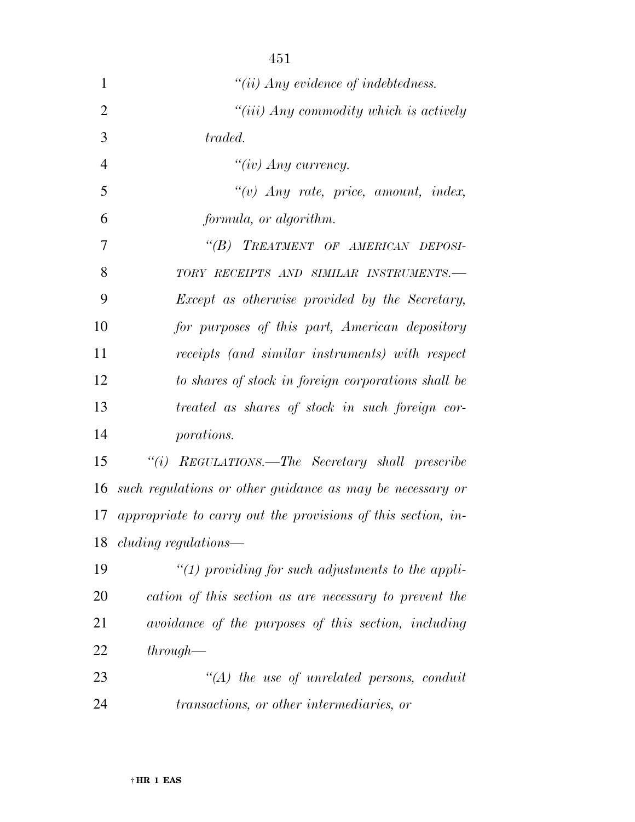| $\mathbf{1}$   | $``(ii)$ Any evidence of indebtedness.                          |
|----------------|-----------------------------------------------------------------|
| $\overline{2}$ | $``(iii)$ Any commodity which is actively                       |
| 3              | traded.                                                         |
| $\overline{4}$ | " $(iv)$ Any currency.                                          |
| 5              | $``(v)$ Any rate, price, amount, index,                         |
| 6              | formula, or algorithm.                                          |
| 7              | "(B) TREATMENT OF AMERICAN DEPOSI-                              |
| 8              | TORY RECEIPTS AND SIMILAR INSTRUMENTS.-                         |
| 9              | Except as otherwise provided by the Secretary,                  |
| 10             | for purposes of this part, American depository                  |
| 11             | receipts (and similar instruments) with respect                 |
| 12             | to shares of stock in foreign corporations shall be             |
| 13             | treated as shares of stock in such foreign cor-                 |
| 14             | porations.                                                      |
| 15             | "(i) REGULATIONS.—The Secretary shall prescribe                 |
| 16             | such regulations or other guidance as may be necessary or       |
|                | 17 appropriate to carry out the provisions of this section, in- |
|                | 18 <i>cluding regulations—</i>                                  |
| 19             | "(1) providing for such adjustments to the appli-               |
| 20             | cation of this section as are necessary to prevent the          |
| 21             | avoidance of the purposes of this section, including            |
| 22             | $through-$                                                      |
| 23             | $\lq (A)$ the use of unrelated persons, conduit                 |
| 24             | transactions, or other intermediaries, or                       |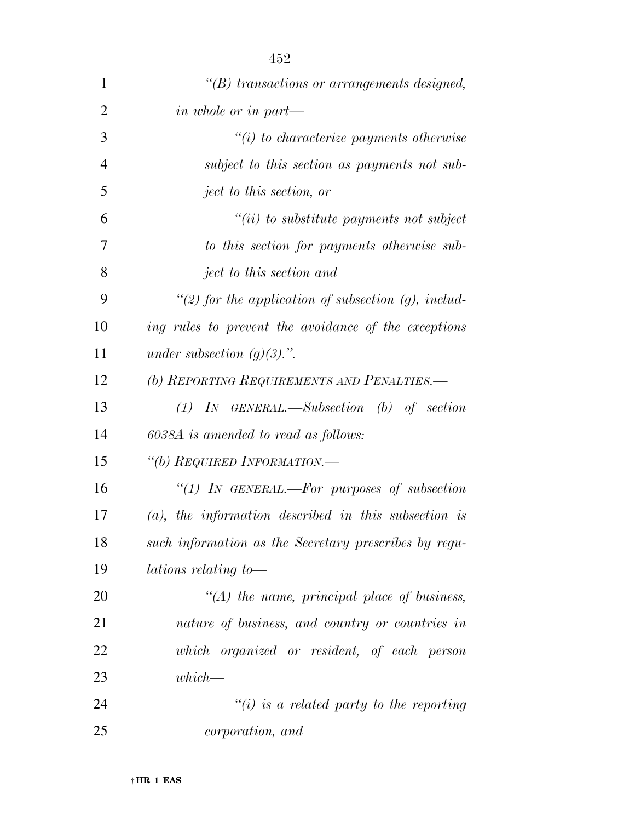| $\mathbf{1}$   | $\lq\lq(B)$ transactions or arrangements designed,      |
|----------------|---------------------------------------------------------|
| $\overline{2}$ | in whole or in part—                                    |
| 3              | $\tilde{f}(i)$ to characterize payments otherwise       |
| $\overline{4}$ | subject to this section as payments not sub-            |
| 5              | ject to this section, or                                |
| 6              | $``(ii)$ to substitute payments not subject             |
| 7              | to this section for payments otherwise sub-             |
| 8              | ject to this section and                                |
| 9              | "(2) for the application of subsection $(g)$ , includ-  |
| 10             | ing rules to prevent the avoidance of the exceptions    |
| 11             | under subsection $(g)(3)$ .".                           |
| 12             | (b) REPORTING REQUIREMENTS AND PENALTIES.—              |
| 13             | $(1)$ IN GENERAL.—Subsection (b) of section             |
| 14             | 6038A is amended to read as follows:                    |
| 15             | "(b) REQUIRED INFORMATION.—                             |
| 16             | "(1) IN GENERAL.—For purposes of subsection             |
| 17             | $(a)$ , the information described in this subsection is |
| 18             | such information as the Secretary prescribes by regu-   |
| 19             | <i>lations relating to</i> —                            |
| 20             | $\lq (A)$ the name, principal place of business,        |
| 21             | nature of business, and country or countries in         |
| 22             | which organized or resident, of each person             |
| 23             | $which$ —                                               |
| 24             | $\lq\lq(i)$ is a related party to the reporting         |
| 25             | <i>corporation</i> , and                                |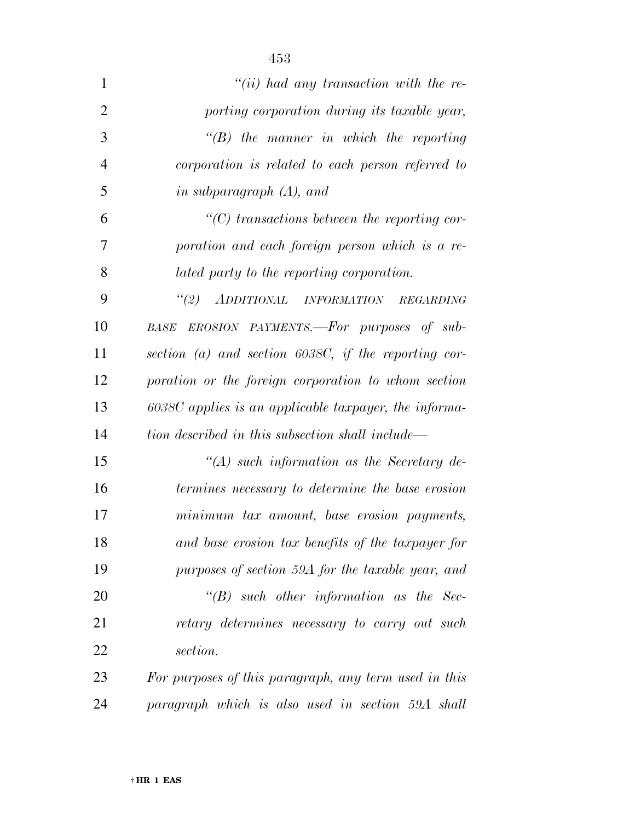| $\mathbf{1}$   | $``(ii)$ had any transaction with the re-               |
|----------------|---------------------------------------------------------|
| $\overline{2}$ | porting corporation during its taxable year,            |
| 3              | $\lq\lq B$ the manner in which the reporting            |
| $\overline{4}$ | corporation is related to each person referred to       |
| 5              | in subparagraph $(A)$ , and                             |
| 6              | $\lq\lq C$ transactions between the reporting cor-      |
| 7              | poration and each foreign person which is a re-         |
| 8              | lated party to the reporting corporation.               |
| 9              | "(2) ADDITIONAL INFORMATION REGARDING                   |
| 10             | EROSION PAYMENTS.—For purposes of sub-<br>BASE          |
| 11             | section (a) and section $6038C$ , if the reporting cor- |
| 12             | poration or the foreign corporation to whom section     |
| 13             | 6038C applies is an applicable taxpayer, the informa-   |
| 14             | tion described in this subsection shall include—        |
| 15             | $\lq (A)$ such information as the Secretary de-         |
| 16             | termines necessary to determine the base erosion        |
| 17             | minimum tax amount, base erosion payments,              |
| 18             | and base erosion tax benefits of the taxpayer for       |
| 19             | purposes of section 59A for the taxable year, and       |
| 20             | $\lq\lq B$ such other information as the Sec-           |
| 21             | retary determines necessary to carry out such           |
| 22             | section.                                                |
| 23             | For purposes of this paragraph, any term used in this   |
| 24             | paragraph which is also used in section 59A shall       |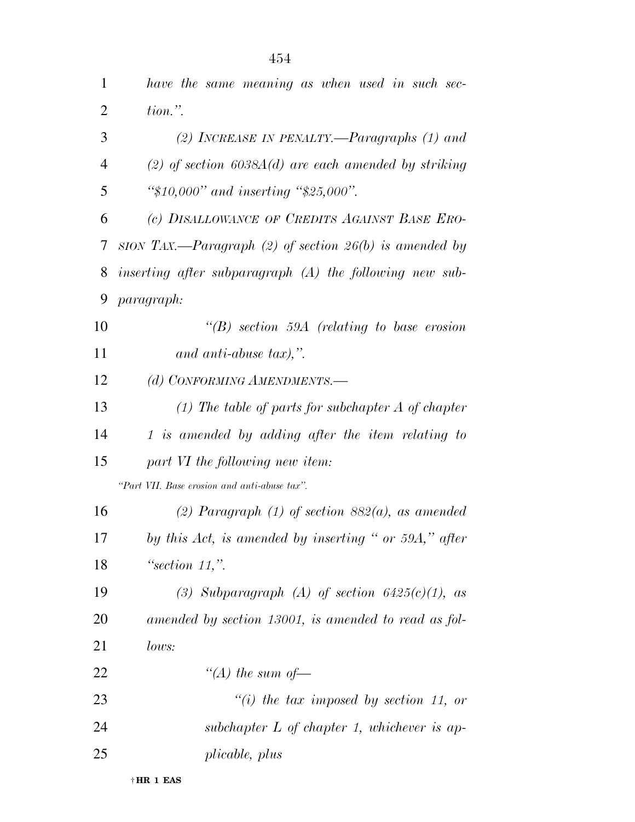| 1              | have the same meaning as when used in such sec-           |
|----------------|-----------------------------------------------------------|
| $\overline{2}$ | $tion.$ ".                                                |
| 3              | (2) INCREASE IN PENALTY.—Paragraphs $(1)$ and             |
| $\overline{4}$ | (2) of section $6038A(d)$ are each amended by striking    |
| 5              | " $$10,000"$ and inserting " $$25,000"$ .                 |
| 6              | (c) DISALLOWANCE OF CREDITS AGAINST BASE ERO-             |
| 7              | sion TAX.—Paragraph (2) of section $26(b)$ is amended by  |
| 8              | inserting after subparagraph $(A)$ the following new sub- |
| 9              | paragraph:                                                |
| 10             | $\lq\lq B$ section 59A (relating to base erosion)         |
| 11             | and anti-abuse tax),".                                    |
| 12             | (d) CONFORMING AMENDMENTS.-                               |
| 13             | $(1)$ The table of parts for subchapter A of chapter      |
| 14             | 1 is amended by adding after the item relating to         |
| 15             | part VI the following new item:                           |
|                | "Part VII. Base erosion and anti-abuse tax".              |
| 16             | (2) Paragraph (1) of section $882(a)$ , as amended        |
| 17             | by this Act, is amended by inserting " or 59A," after     |
| 18             | "section $11$ ,".                                         |
| 19             | (3) Subparagraph (A) of section $6425(c)(1)$ , as         |
| 20             | amended by section 13001, is amended to read as fol-      |
| 21             | lows:                                                     |
| 22             | "(A) the sum of $-$                                       |
| 23             | "(i) the tax imposed by section 11, or                    |
| 24             | subchapter $L$ of chapter 1, whichever is ap-             |
| 25             | plicable, plus                                            |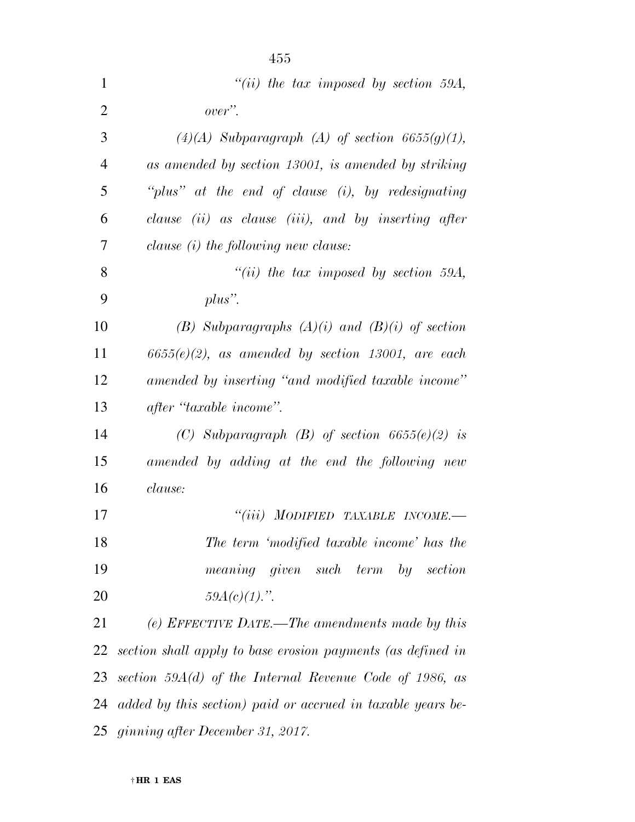| 1              | "(ii) the tax imposed by section 59A,                       |
|----------------|-------------------------------------------------------------|
| 2              | over".                                                      |
| 3              | $(4)(A)$ Subparagraph $(A)$ of section 6655(g)(1),          |
| $\overline{4}$ | as amended by section 13001, is amended by striking         |
| 5              | "plus" at the end of clause $(i)$ , by redesignating        |
| 6              | clause (ii) as clause (iii), and by inserting after         |
| 7              | clause (i) the following new clause:                        |
| 8              | $``(ii)$ the tax imposed by section 59A,                    |
| 9              | $plus$ ".                                                   |
| 10             | (B) Subparagraphs $(A)(i)$ and $(B)(i)$ of section          |
| 11             | $6655(e)(2)$ , as amended by section 13001, are each        |
| 12             | amended by inserting "and modified taxable income"          |
| 13             | after "taxable income".                                     |
| 14             | (C) Subparagraph (B) of section $6655(e)(2)$ is             |
| 15             | amended by adding at the end the following new              |
| 16             | clause:                                                     |
| 17             | "(iii) MODIFIED TAXABLE INCOME.-                            |
| 18             | The term 'modified taxable income' has the                  |
| 19             | meaning given such term<br>$by \quad section$               |
| <b>20</b>      | $59A(c)(1)$ .".                                             |
| 21             | (e) EFFECTIVE DATE.—The amendments made by this             |
| 22             | section shall apply to base erosion payments (as defined in |
| 23             | section 59 $A(d)$ of the Internal Revenue Code of 1986, as  |
| 24             | added by this section) paid or accrued in taxable years be- |
|                | 25 ginning after December 31, 2017.                         |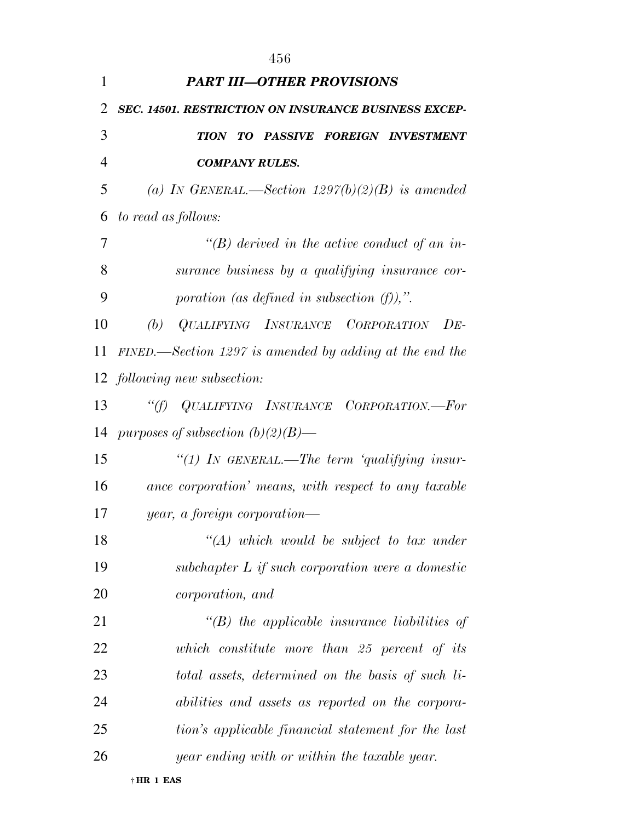|                | 456                                                       |
|----------------|-----------------------------------------------------------|
| 1              | <b>PART III-OTHER PROVISIONS</b>                          |
| $\overline{2}$ | SEC. 14501. RESTRICTION ON INSURANCE BUSINESS EXCEP-      |
| 3              | TION TO PASSIVE FOREIGN INVESTMENT                        |
| 4              | <b>COMPANY RULES.</b>                                     |
| 5              | (a) IN GENERAL.—Section $1297(b)(2)(B)$ is amended        |
| 6              | to read as follows:                                       |
| 7              | "(B) derived in the active conduct of an in-              |
| 8              | surance business by a qualifying insurance cor-           |
| 9              | poration (as defined in subsection $(f)$ ),".             |
| 10             | QUALIFYING INSURANCE CORPORATION<br>(b)<br>$DE-$          |
| 11             | $FINED$ —Section 1297 is amended by adding at the end the |
|                | 12 <i>following new subsection:</i>                       |
| 13             | "(f) QUALIFYING INSURANCE CORPORATION.—For                |
| 14             | purposes of subsection $(b)(2)(B)$ —                      |
| 15             | "(1) IN GENERAL.—The term 'qualifying insur-              |
| 16             | ance corporation' means, with respect to any taxable      |
| 17             | year, a foreign corporation—                              |
| 18             | $\lq (A)$ which would be subject to tax under             |
| 19             | subchapter $L$ if such corporation were a domestic        |
| 20             | <i>corporation</i> , and                                  |
| 21             | $\lq$ (B) the applicable insurance liabilities of         |
| 22             | which constitute more than 25 percent of its              |
| 23             | total assets, determined on the basis of such li-         |
| 24             | abilities and assets as reported on the corpora-          |
| 25             | tion's applicable financial statement for the last        |
| 26             | year ending with or within the taxable year.              |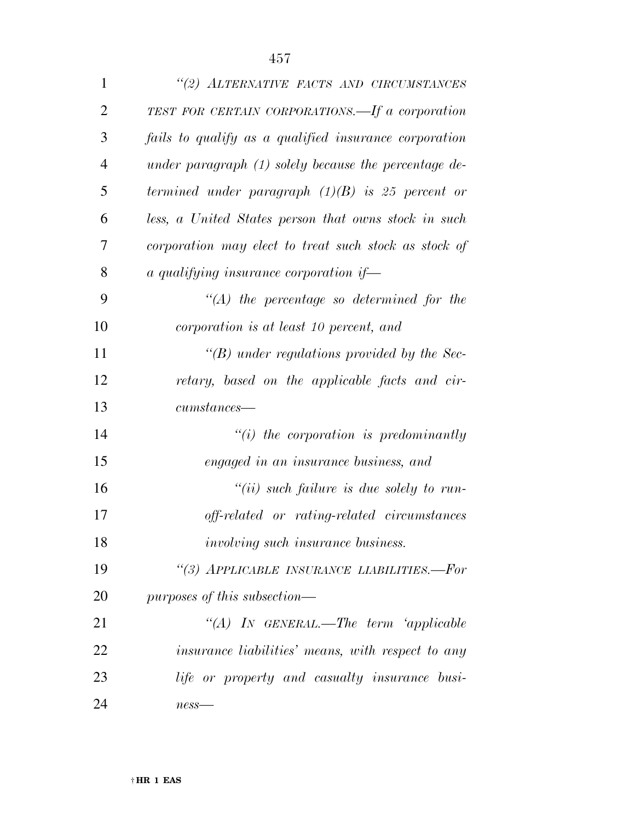| $\mathbf{1}$   | "(2) ALTERNATIVE FACTS AND CIRCUMSTANCES                |
|----------------|---------------------------------------------------------|
| $\overline{2}$ | TEST FOR CERTAIN CORPORATIONS.—If a corporation         |
| 3              | fails to qualify as a qualified insurance corporation   |
| $\overline{4}$ | under paragraph $(1)$ solely because the percentage de- |
| 5              | termined under paragraph $(1)(B)$ is 25 percent or      |
| 6              | less, a United States person that owns stock in such    |
| 7              | corporation may elect to treat such stock as stock of   |
| 8              | a qualifying insurance corporation if-                  |
| 9              | $\lq (A)$ the percentage so determined for the          |
| 10             | corporation is at least 10 percent, and                 |
| 11             | $\lq\lq(B)$ under regulations provided by the Sec-      |
| 12             | retary, based on the applicable facts and cir-          |
| 13             | $cumstances$ —                                          |
| 14             | $``(i)$ the corporation is predominantly                |
| 15             | engaged in an insurance business, and                   |
| 16             | $``(ii)$ such failure is due solely to run-             |
| 17             | off-related or rating-related circumstances             |
| 18             | <i>involving such insurance business.</i>               |
| 19             | "(3) APPLICABLE INSURANCE LIABILITIES.-For              |
| 20             | purposes of this subsection—                            |
| 21             | "(A) IN GENERAL.—The term 'applicable                   |
| 22             | insurance liabilities' means, with respect to any       |
| 23             | life or property and casualty insurance busi-           |
| 24             | $ness$ —                                                |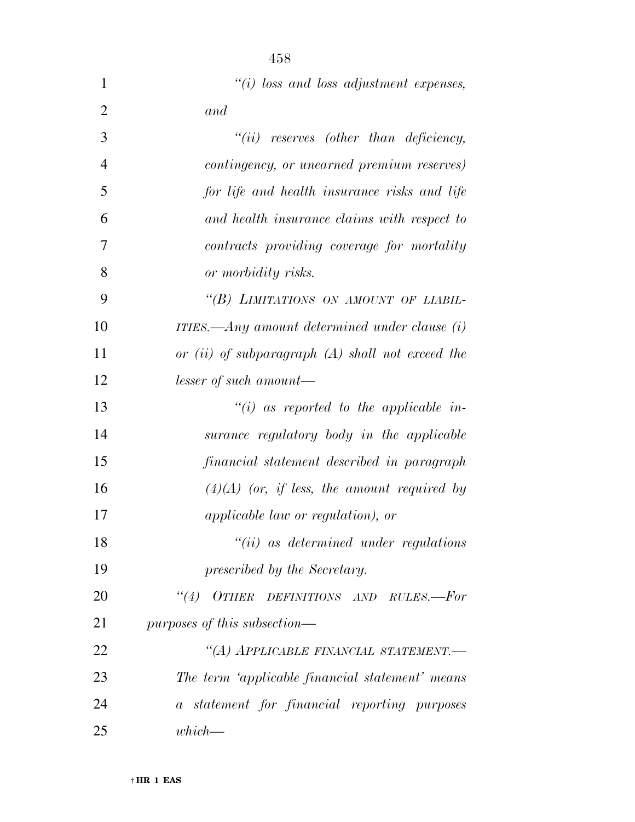| $\mathbf{1}$   | $\lq\lq(i)$ loss and loss adjustment expenses,     |
|----------------|----------------------------------------------------|
| 2              | and                                                |
| 3              | $``(ii)$ reserves (other than deficiency,          |
| $\overline{4}$ | contingency, or unearned premium reserves)         |
| 5              | for life and health insurance risks and life       |
| 6              | and health insurance claims with respect to        |
| 7              | contracts providing coverage for mortality         |
| 8              | or morbidity risks.                                |
| 9              | "(B) LIMITATIONS ON AMOUNT OF LIABIL-              |
| 10             | ITIES.—Any amount determined under clause $(i)$    |
| 11             | or (ii) of subparagraph $(A)$ shall not exceed the |
| 12             | lesser of such amount—                             |
| 13             | $\lq\lq(i)$ as reported to the applicable in-      |
| 14             | surance regulatory body in the applicable          |
| 15             | financial statement described in paragraph         |
| 16             | $(4)(A)$ (or, if less, the amount required by      |
| 17             | <i>applicable law or regulation), or</i>           |
| 18             | $``(ii)$ as determined under regulations           |
| 19             | prescribed by the Secretary.                       |
| 20             | (4)<br>OTHER DEFINITIONS AND RULES.-For            |
| 21             | purposes of this subsection—                       |
| 22             | "(A) APPLICABLE FINANCIAL STATEMENT.-              |
| 23             | The term 'applicable financial statement' means    |
| 24             | a statement for financial reporting purposes       |
| 25             | $which$ —                                          |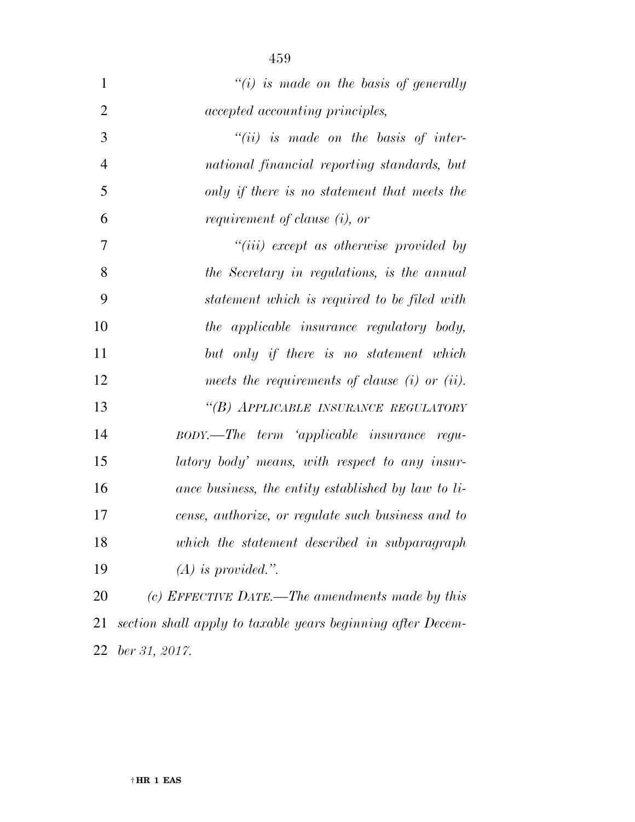| $\mathbf{1}$   | "(i) is made on the basis of generally                      |
|----------------|-------------------------------------------------------------|
| $\overline{2}$ | <i>accepted accounting principles,</i>                      |
| 3              | $``(ii)$ is made on the basis of inter-                     |
| $\overline{4}$ | national financial reporting standards, but                 |
| 5              | only if there is no statement that meets the                |
| 6              | requirement of clause (i), or                               |
| $\overline{7}$ | $``(iii)$ except as otherwise provided by                   |
| 8              | the Secretary in regulations, is the annual                 |
| 9              | statement which is required to be filed with                |
| 10             | the applicable insurance regulatory body,                   |
| 11             | but only if there is no statement which                     |
| 12             | meets the requirements of clause $(i)$ or $(ii)$ .          |
| 13             | "(B) APPLICABLE INSURANCE REGULATORY                        |
| 14             | BODY.—The term 'applicable insurance regu-                  |
| 15             | latory body' means, with respect to any insur-              |
| 16             | ance business, the entity established by law to li-         |
| 17             | cense, authorize, or regulate such business and to          |
| 18             | which the statement described in subparagraph               |
| 19             | $(A)$ is provided.".                                        |
| <b>20</b>      | (c) EFFECTIVE DATE.—The amendments made by this             |
| 21             | section shall apply to taxable years beginning after Decem- |
| 22             | $ber\,31,\,2017.$                                           |

† **HR 1 EAS**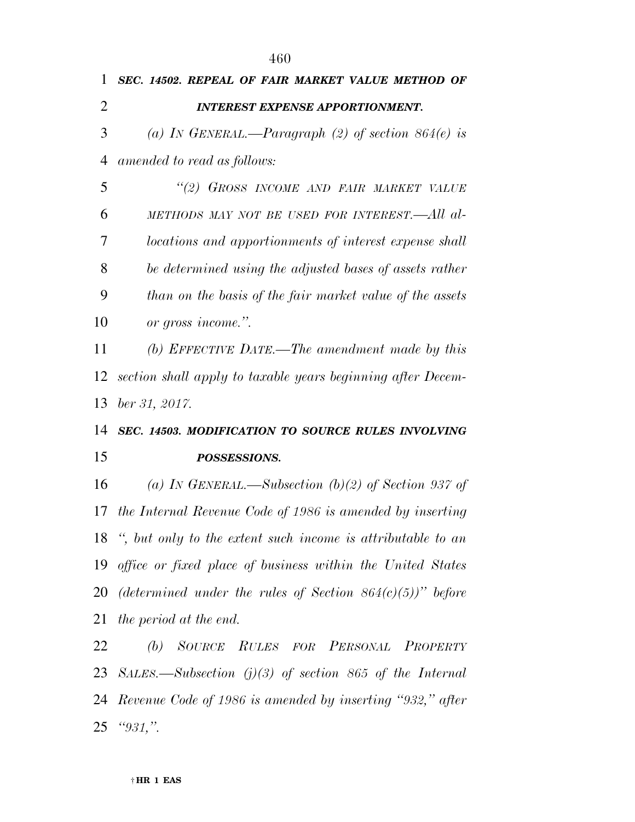| 1              | SEC. 14502. REPEAL OF FAIR MARKET VALUE METHOD OF            |
|----------------|--------------------------------------------------------------|
| $\overline{2}$ | <b>INTEREST EXPENSE APPORTIONMENT.</b>                       |
| 3              | (a) IN GENERAL.—Paragraph (2) of section $864(e)$ is         |
| 4              | amended to read as follows:                                  |
| 5              | "(2) GROSS INCOME AND FAIR MARKET VALUE                      |
| 6              | METHODS MAY NOT BE USED FOR INTEREST.—All al-                |
| 7              | locations and apportionments of interest expense shall       |
| 8              | be determined using the adjusted bases of assets rather      |
| 9              | than on the basis of the fair market value of the assets     |
| 10             | or gross income.".                                           |
| 11             | (b) EFFECTIVE DATE.—The amendment made by this               |
| 12             | section shall apply to taxable years beginning after Decem-  |
| 13             | $ber\,31,\,2017.$                                            |
| 14             | SEC. 14503. MODIFICATION TO SOURCE RULES INVOLVING           |
| 15             | POSSESSIONS.                                                 |
| 16             | (a) IN GENERAL.—Subsection (b)(2) of Section 937 of          |
| 17             | the Internal Revenue Code of 1986 is amended by inserting    |
| 18             | ", but only to the extent such income is attributable to an  |
| 19             | office or fixed place of business within the United States   |
| 20             | (determined under the rules of Section $864(c)(5)$ )" before |
| 21             | the period at the end.                                       |
| 22             | SOURCE RULES FOR PERSONAL PROPERTY<br>(b)                    |
| 23             | SALES.—Subsection $(j)(3)$ of section 865 of the Internal    |
| 24             | Revenue Code of 1986 is amended by inserting "932," after    |
| 25             | " $931,$ "                                                   |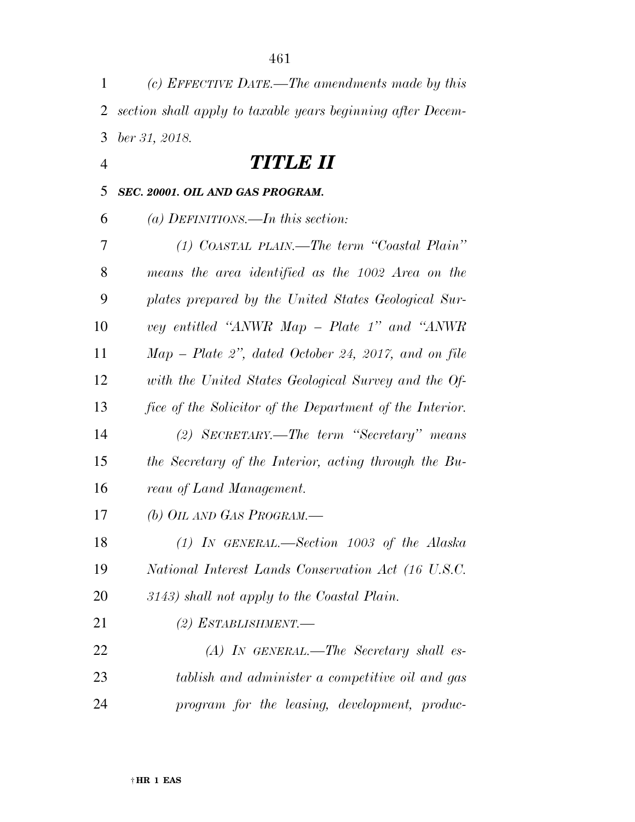| 1              | (c) EFFECTIVE DATE.—The amendments made by this             |
|----------------|-------------------------------------------------------------|
| $\overline{2}$ | section shall apply to taxable years beginning after Decem- |
| 3              | ber 31, 2018.                                               |
| $\overline{4}$ | <i>TITLE II</i>                                             |
| 5              | SEC. 20001. OIL AND GAS PROGRAM.                            |
| 6              | (a) DEFINITIONS.—In this section:                           |
| 7              | $(1)$ COASTAL PLAIN.—The term "Coastal Plain"               |
| 8              | means the area identified as the 1002 Area on the           |
| 9              | plates prepared by the United States Geological Sur-        |
| 10             | vey entitled "ANWR Map – Plate 1" and "ANWR                 |
| 11             | $Map$ – Plate 2", dated October 24, 2017, and on file       |
| 12             | with the United States Geological Survey and the Of-        |
| 13             | fice of the Solicitor of the Department of the Interior.    |
| 14             | (2) SECRETARY.—The term "Secretary" means                   |
| 15             | the Secretary of the Interior, acting through the Bu-       |
| 16             | reau of Land Management.                                    |
| 17             | (b) OIL AND GAS PROGRAM.—                                   |
| 18             | $(1)$ IN GENERAL.—Section 1003 of the Alaska                |
| 19             | National Interest Lands Conservation Act (16 U.S.C.         |
| 20             | 3143) shall not apply to the Coastal Plain.                 |
| 21             | (2) ESTABLISHMENT.—                                         |
| 22             | $(A)$ In GENERAL.—The Secretary shall es-                   |
| 23             | tablish and administer a competitive oil and gas            |
| 24             | program for the leasing, development, produc-               |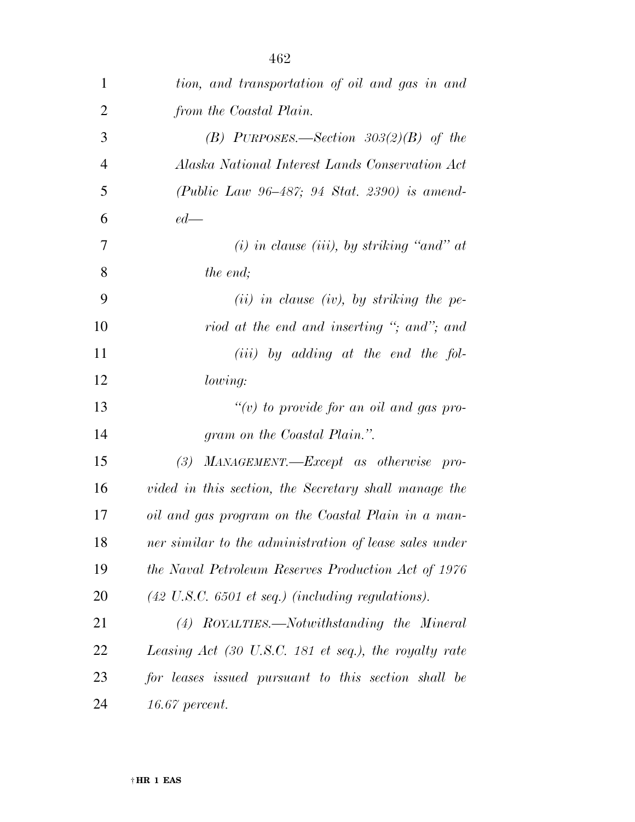| $\mathbf{1}$   | tion, and transportation of oil and gas in and                       |
|----------------|----------------------------------------------------------------------|
| $\overline{2}$ | from the Coastal Plain.                                              |
| 3              | (B) PURPOSES.—Section $303(2)(B)$ of the                             |
| $\overline{4}$ | Alaska National Interest Lands Conservation Act                      |
| 5              | (Public Law 96–487; 94 Stat. 2390) is amend-                         |
| 6              | $ed$ —                                                               |
| 7              | $(i)$ in clause (iii), by striking "and" at                          |
| 8              | <i>the end;</i>                                                      |
| 9              | $(ii)$ in clause (iv), by striking the pe-                           |
| 10             | riod at the end and inserting "; and"; and                           |
| 11             | $(iii)$ by adding at the end the fol-                                |
| 12             | lowing:                                                              |
| 13             | $``(v)$ to provide for an oil and gas pro-                           |
| 14             | gram on the Coastal Plain.".                                         |
| 15             | MANAGEMENT.-Except as otherwise pro-<br>(3)                          |
| 16             | vided in this section, the Secretary shall manage the                |
| 17             | oil and gas program on the Coastal Plain in a man-                   |
| 18             | ner similar to the administration of lease sales under               |
| 19             | the Naval Petroleum Reserves Production Act of 1976                  |
| 20             | $(42 \text{ U.S.C. } 6501 \text{ et seq.})$ (including regulations). |
| 21             | (4) ROYALTIES.—Notwithstanding the Mineral                           |
| 22             | Leasing Act (30 U.S.C. 181 et seq.), the royalty rate                |
| 23             | for leases issued pursuant to this section shall be                  |
| 24             | $16.67$ percent.                                                     |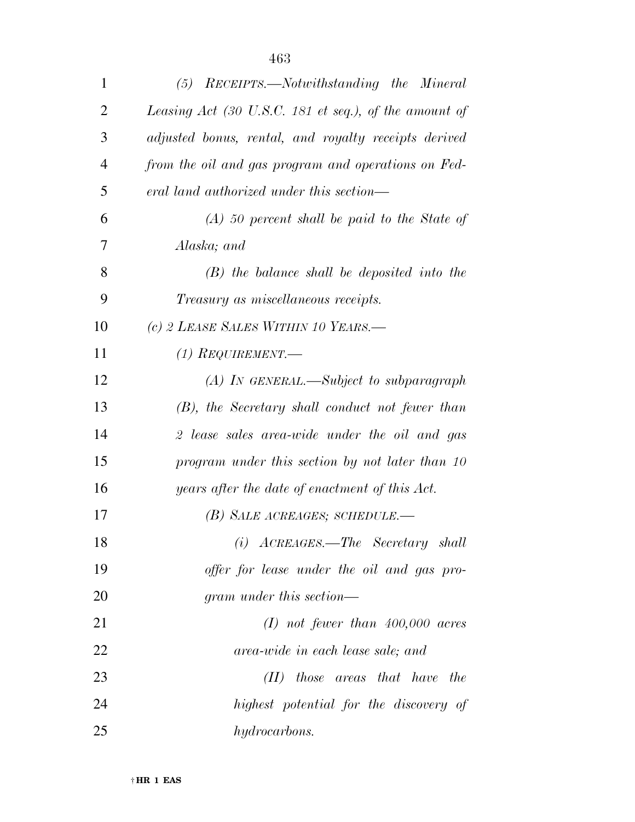| 1              | $(5)$ RECEIPTS.—Notwithstanding the Mineral           |
|----------------|-------------------------------------------------------|
| $\overline{2}$ | Leasing Act (30 U.S.C. 181 et seq.), of the amount of |
| 3              | adjusted bonus, rental, and royalty receipts derived  |
| $\overline{4}$ | from the oil and gas program and operations on Fed-   |
| 5              | eral land authorized under this section—              |
| 6              | $(A)$ 50 percent shall be paid to the State of        |
| 7              | Alaska; and                                           |
| 8              | $(B)$ the balance shall be deposited into the         |
| 9              | <i>Treasury as miscellaneous receipts.</i>            |
| 10             | (c) 2 LEASE SALES WITHIN 10 YEARS.                    |
| 11             | (1) REQUIREMENT.—                                     |
| 12             | $(A)$ In GENERAL.—Subject to subparagraph             |
| 13             | $(B)$ , the Secretary shall conduct not fewer than    |
| 14             | 2 lease sales area-wide under the oil and gas         |
| 15             | program under this section by not later than 10       |
| 16             | years after the date of enactment of this Act.        |
| 17             | (B) SALE ACREAGES; SCHEDULE.—                         |
| 18             | $(i)$ ACREAGES.—The Secretary shall                   |
| 19             | offer for lease under the oil and gas pro-            |
| 20             | gram under this section—                              |
| 21             | $(I)$ not fewer than 400,000 acres                    |
| 22             | area-wide in each lease sale; and                     |
| 23             | $(II)$ those areas that have<br>the                   |
| 24             | highest potential for the discovery of                |
| 25             | hydrocarbons.                                         |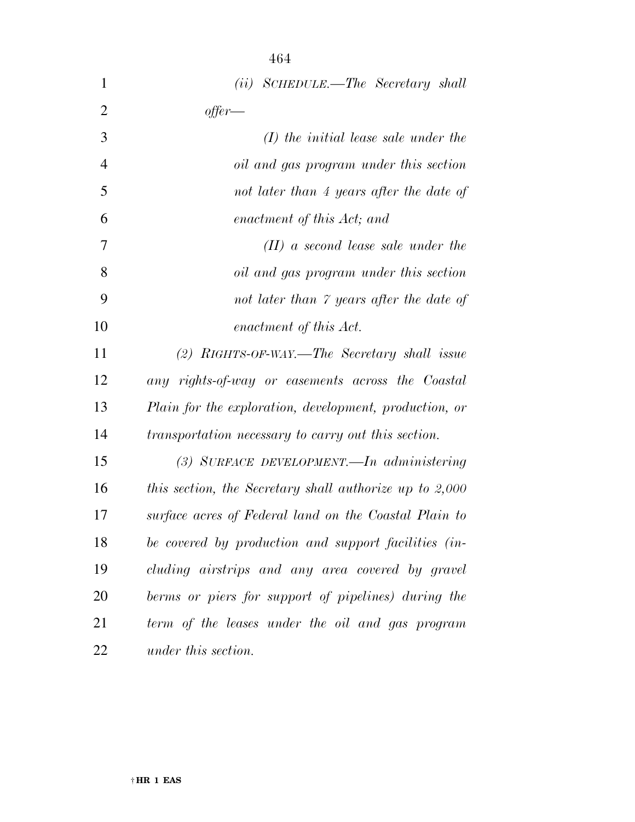| 1              | (ii) SCHEDULE.—The Secretary shall                      |
|----------------|---------------------------------------------------------|
| $\overline{2}$ | offer—                                                  |
| 3              | $(I)$ the initial lease sale under the                  |
| 4              | oil and gas program under this section                  |
| 5              | not later than 4 years after the date of                |
| 6              | enactment of this Act; and                              |
| 7              | $(II)$ a second lease sale under the                    |
| 8              | oil and gas program under this section                  |
| 9              | not later than 7 years after the date of                |
| 10             | enactment of this Act.                                  |
| 11             | $(2)$ RIGHTS-OF-WAY.—The Secretary shall issue          |
| 12             | any rights-of-way or easements across the Coastal       |
| 13             | Plain for the exploration, development, production, or  |
| 14             | transportation necessary to carry out this section.     |
| 15             | (3) SURFACE DEVELOPMENT.—In administering               |
| 16             | this section, the Secretary shall authorize up to 2,000 |
| 17             | surface acres of Federal land on the Coastal Plain to   |
| 18             | be covered by production and support facilities (in-    |
| 19             | cluding airstrips and any area covered by gravel        |
| 20             | berms or piers for support of pipelines) during the     |
| 21             | term of the leases under the oil and gas program        |
| 22             | under this section.                                     |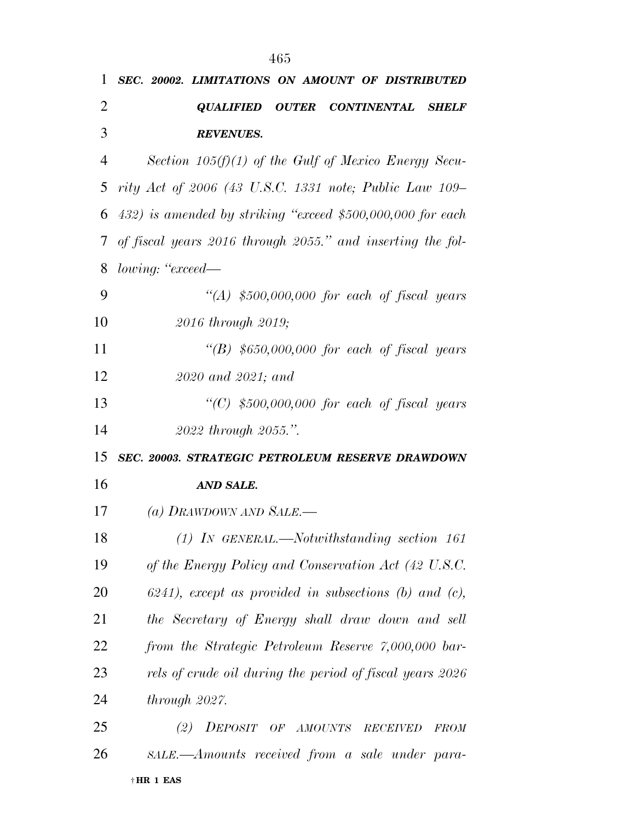| 1              | SEC. 20002. LIMITATIONS ON AMOUNT OF DISTRIBUTED            |
|----------------|-------------------------------------------------------------|
| $\overline{2}$ | <b>QUALIFIED OUTER CONTINENTAL</b><br><b>SHELF</b>          |
| 3              | <b>REVENUES.</b>                                            |
| 4              | Section $105(f)(1)$ of the Gulf of Mexico Energy Secu-      |
| 5              | rity Act of 2006 (43 U.S.C. 1331 note; Public Law 109–      |
| 6              | 432) is amended by striking "exceed \$500,000,000 for each  |
| $\tau$         | of fiscal years 2016 through 2055." and inserting the fol-  |
| 8              | lowing: "exceed—                                            |
| 9              | "(A) $$500,000,000$ for each of fiscal years                |
| 10             | 2016 through 2019;                                          |
| 11             | "(B) $$650,000,000$ for each of fiscal years                |
| 12             | 2020 and 2021; and                                          |
| 13             | "(C) $$500,000,000$ for each of fiscal years                |
| 14             | 2022 through 2055.".                                        |
| 15             | SEC. 20003. STRATEGIC PETROLEUM RESERVE DRAWDOWN            |
| 16             | AND SALE.                                                   |
| 17             | (a) DRAWDOWN AND SALE.—                                     |
| 18             | $(1)$ In GENERAL.—Notwithstanding section 161               |
| 19             | of the Energy Policy and Conservation Act (42 U.S.C.        |
| 20             | $6241$ , except as provided in subsections (b) and (c),     |
| 21             | the Secretary of Energy shall draw down and sell            |
| 22             | from the Strategic Petroleum Reserve 7,000,000 bar-         |
| 23             | rels of crude oil during the period of fiscal years 2026    |
| 24             | through 2027.                                               |
| 25             | DEPOSIT OF AMOUNTS<br>(2)<br><b>RECEIVED</b><br><b>FROM</b> |
| 26             | SALE.—Amounts received from a sale under para-              |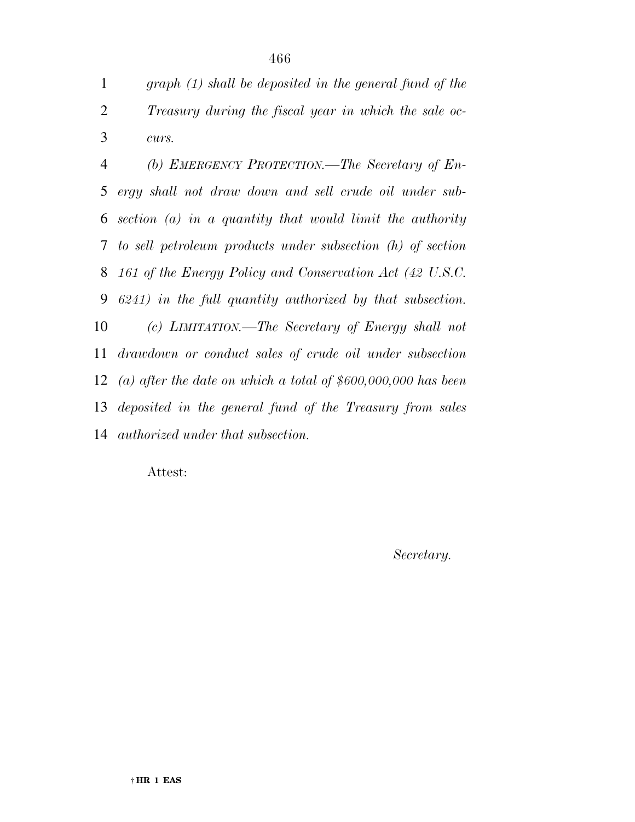*graph (1) shall be deposited in the general fund of the Treasury during the fiscal year in which the sale oc-curs.* 

 *(b) EMERGENCY PROTECTION.—The Secretary of En- ergy shall not draw down and sell crude oil under sub- section (a) in a quantity that would limit the authority to sell petroleum products under subsection (h) of section 161 of the Energy Policy and Conservation Act (42 U.S.C. 6241) in the full quantity authorized by that subsection. (c) LIMITATION.—The Secretary of Energy shall not drawdown or conduct sales of crude oil under subsection (a) after the date on which a total of \$600,000,000 has been deposited in the general fund of the Treasury from sales authorized under that subsection.* 

Attest:

*Secretary.*